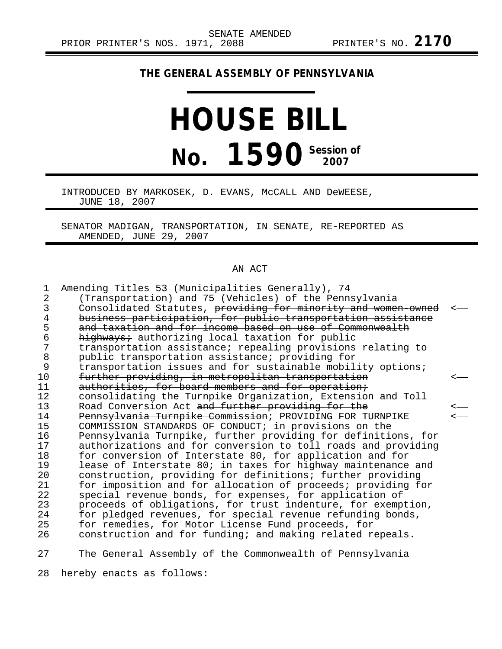## **THE GENERAL ASSEMBLY OF PENNSYLVANIA**

## **HOUSE BILL No. 1590** Session of

INTRODUCED BY MARKOSEK, D. EVANS, McCALL AND DeWEESE, JUNE 18, 2007

SENATOR MADIGAN, TRANSPORTATION, IN SENATE, RE-REPORTED AS AMENDED, JUNE 29, 2007

## AN ACT

| 1              | Amending Titles 53 (Municipalities Generally), 74             |                          |
|----------------|---------------------------------------------------------------|--------------------------|
| $\overline{2}$ | (Transportation) and 75 (Vehicles) of the Pennsylvania        |                          |
| 3              | Consolidated Statutes, providing for minority and women owned |                          |
| 4              | business participation, for public transportation assistance  |                          |
| 5              | and taxation and for income based on use of Commonwealth      |                          |
| 6              | highways; authorizing local taxation for public               |                          |
| 7              | transportation assistance; repealing provisions relating to   |                          |
| $\, 8$         | public transportation assistance; providing for               |                          |
| $\mathsf 9$    | transportation issues and for sustainable mobility options;   |                          |
| 10             | further providing, in metropolitan transportation             | <u>&lt;—</u>             |
| 11             | authorities, for board members and for operation;             |                          |
| 12             | consolidating the Turnpike Organization, Extension and Toll   |                          |
| 13             | Road Conversion Act and further providing for the             | <—                       |
| 14             | Pennsylvania Turnpike Commission; PROVIDING FOR TURNPIKE      | $\overline{\phantom{a}}$ |
| 15             | COMMISSION STANDARDS OF CONDUCT; in provisions on the         |                          |
| 16             | Pennsylvania Turnpike, further providing for definitions, for |                          |
| 17             | authorizations and for conversion to toll roads and providing |                          |
| 18             | for conversion of Interstate 80, for application and for      |                          |
| 19             | lease of Interstate 80; in taxes for highway maintenance and  |                          |
| 20             | construction, providing for definitions; further providing    |                          |
| 21             | for imposition and for allocation of proceeds; providing for  |                          |
| 22             | special revenue bonds, for expenses, for application of       |                          |
| 23             | proceeds of obligations, for trust indenture, for exemption,  |                          |
| 24             | for pledged revenues, for special revenue refunding bonds,    |                          |
| 25             | for remedies, for Motor License Fund proceeds, for            |                          |
| 26             | construction and for funding; and making related repeals.     |                          |
| 27             | The General Assembly of the Commonwealth of Pennsylvania      |                          |

28 hereby enacts as follows: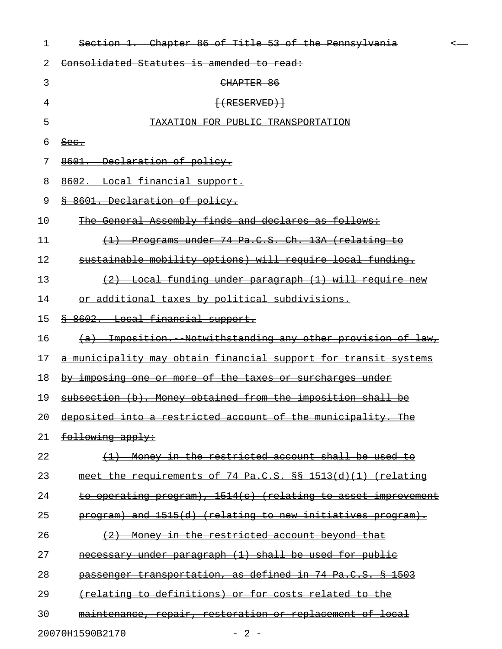| 1  | Section 1. Chapter 86 of Title 53 of the Pennsylvania                          |  |
|----|--------------------------------------------------------------------------------|--|
| 2  | Consolidated Statutes is amended to read:                                      |  |
| 3  | CHAPTER 86                                                                     |  |
| 4  | $\{$ (RESERVED) $\}$                                                           |  |
| 5  | <u>KATION FOR PUBLIC TRANSPORTATI</u>                                          |  |
| 6  | $\frac{\text{Sec.}}{\text{Sec.}}$                                              |  |
| 7  | Declaration of policy.                                                         |  |
| 8  | Local financial support.                                                       |  |
| 9  | 8601. Declaration of policy.                                                   |  |
| 10 | The General Assembly finds and declares as follows:                            |  |
| 11 | Programs under 74 Pa.C.S. Ch. 13A (relating to<br>$\leftrightarrow$            |  |
| 12 | sustainable mobility options) will require local funding.                      |  |
| 13 | (2) Local funding under paragraph (1) will require new                         |  |
| 14 | or additional taxes by political subdivisions.                                 |  |
| 15 | § 8602. Local financial support.                                               |  |
| 16 | Imposition. Notwithstanding any other provision of law,<br><del>(a)</del>      |  |
| 17 | a municipality may obtain financial support for transit systems                |  |
| 18 | by imposing one or more of the taxes or surcharges under                       |  |
| 19 | subsection (b). Money obtained from the imposition shall be                    |  |
| 20 | deposited into a restricted account of the municipality. The                   |  |
| 21 | following apply:                                                               |  |
| 22 | Money in the restricted account shall be used to<br>$\left(\frac{1}{2}\right)$ |  |
| 23 | meet the requirements of 74 Pa.C.S. $88$ 1513(d)(1) (relating                  |  |
| 24 | to operating program), 1514(c) (relating to asset improvement                  |  |
| 25 | program) and 1515(d) (relating to new initiatives program).                    |  |
| 26 | (2)<br>Money in the restricted account beyond that                             |  |
| 27 | necessary under paragraph (1) shall be used for public                         |  |
| 28 | passenger transportation, as defined in 74 Pa.C.S. § 1503                      |  |
| 29 | (relating to definitions) or for costs related to the                          |  |
| 30 | maintenance, repair, restoration or replacement of local                       |  |
|    | 20070H1590B2170<br>$-2$ -                                                      |  |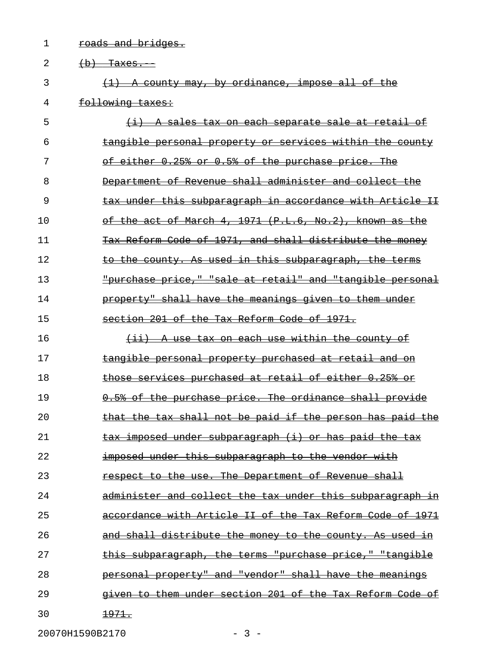1 roads and bridges.

| 2  | <del>(b) Taxes.</del>                                         |
|----|---------------------------------------------------------------|
| 3  | $(1)$ A county may, by ordinance, impose all of the           |
| 4  | following taxes:                                              |
| 5  | (i) A sales tax on each separate sale at retail of            |
| 6  | tangible personal property or services within the county      |
| 7  | of either 0.25% or 0.5% of the purchase price. The            |
| 8  | Department of Revenue shall administer and collect the        |
| 9  | tax under this subparagraph in accordance with Article II     |
| 10 | of the act of March 4, 1971 (P.L.6, No.2), known as the       |
| 11 | Tax Reform Code of 1971, and shall distribute the money       |
| 12 | to the county. As used in this subparagraph, the terms        |
| 13 | "purchase price," "sale at retail" and "tangible personal     |
| 14 | property" shall have the meanings given to them under         |
| 15 | section 201 of the Tax Reform Code of 1971.                   |
| 16 | (ii) A use tax on each use within the county of               |
| 17 | tangible personal property purchased at retail and on         |
| 18 | those services purchased at retail of either 0.25% or         |
| 19 | 0.5% of the purchase price. The ordinance shall provide       |
| 20 | that the tax shall not be paid if the person has paid the     |
| 21 | <u>tax imposed under subparagraph (i) or has paid the tax</u> |
| 22 | <u>imposed under this subparagraph to the vendor with</u>     |
| 23 | respect to the use. The Department of Revenue shall           |
| 24 | administer and collect the tax under this subparagraph in     |
| 25 | accordance with Article II of the Tax Reform Code of 1971     |
| 26 | and shall distribute the money to the county. As used in      |
| 27 | this subparagraph, the terms "purchase price," "tangible      |
| 28 | personal property" and "vendor" shall have the meanings       |
| 29 | given to them under section 201 of the Tax Reform Code of     |
| 30 | <u> 1971.</u>                                                 |

20070H1590B2170 - 3 -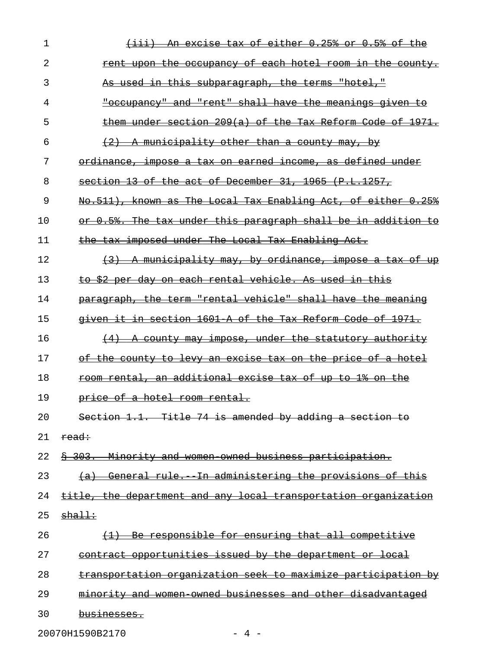| 1  | An excise tax of either 0.25% or 0.5% of the                     |
|----|------------------------------------------------------------------|
| 2  | <u>rent upon the occupancy of each hotel room in the county.</u> |
| 3  | <u>As used in this subparagraph, the terms "hotel,"</u>          |
| 4  | "occupancy" and "rent" shall have the meanings given to          |
| 5  | them under section 209(a) of the Tax Reform Code of 1971.        |
| 6  | (2) A municipality other than a county may, by                   |
| 7  | ordinance, impose a tax on earned income, as defined under       |
| 8  | section 13 of the act of December 31, 1965 (P.L.1257,            |
| 9  | No.511), known as The Local Tax Enabling Act, of either 0.25%    |
| 10 | or 0.5%. The tax under this paragraph shall be in addition to    |
| 11 | the tax imposed under The Local Tax Enabling Act.                |
| 12 | (3) A municipality may, by ordinance, impose a tax of up         |
| 13 | to \$2 per day on each rental vehicle. As used in this           |
| 14 | paragraph, the term "rental vehicle" shall have the meaning      |
| 15 | given it in section 1601 A of the Tax Reform Code of 1971.       |
| 16 | (4) A county may impose, under the statutory authority           |
| 17 | of the county to levy an excise tax on the price of a hotel      |
| 18 | room rental, an additional excise tax of up to 1% on the         |
| 19 | price of a hotel room rental.                                    |
| 20 | Section 1.1. Title 74 is amended by adding a section to          |
| 21 | read:                                                            |
| 22 | \$ 303. Minority and women owned business participation.         |
| 23 | (a) General rule. In administering the provisions of this        |
| 24 | title, the department and any local transportation organization  |
| 25 | $sha$ <sup>11</sup>                                              |
| 26 | (1) Be responsible for ensuring that all competitive             |
| 27 | contract opportunities issued by the department or local         |
| 28 | transportation organization seek to maximize participation by    |
| 29 | minority and women owned businesses and other disadvantaged      |
| 30 | businesses.                                                      |
|    |                                                                  |

20070H1590B2170 - 4 -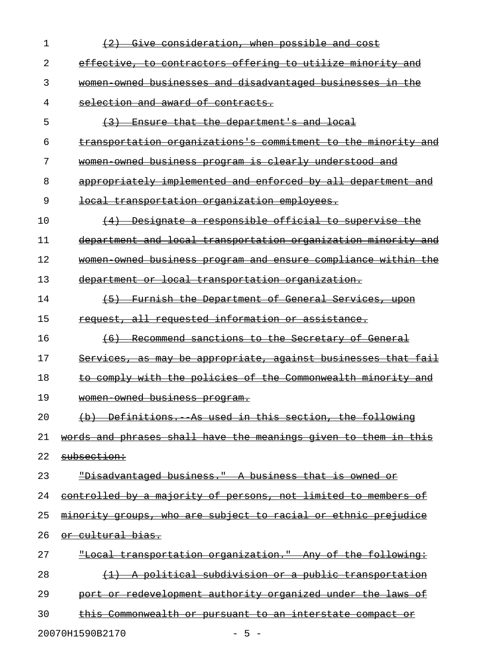| 1  | Give consideration, when possible and cost                                |
|----|---------------------------------------------------------------------------|
| 2  | effective, to contractors offering to utilize minority and                |
| 3  | women owned businesses and disadvantaged businesses in the                |
| 4  | selection and award of contracts.                                         |
| 5  | Ensure that the department's and local<br>(3)                             |
| 6  | <u>transportation organizations's commitment to the minority and </u>     |
| 7  | women owned business program is clearly understood and                    |
| 8  | appropriately implemented and enforced by all department and              |
| 9  | <del>local transportation organization employees.</del>                   |
| 10 | Designate a responsible official to supervise the<br>(4)                  |
| 11 | department and local transportation organization minority and             |
| 12 | women owned business program and ensure compliance within the             |
| 13 | department or local transportation organization.                          |
| 14 | (5)<br>Furnish the Department of General Services, upon                   |
| 15 | request, all requested information or assistance.                         |
| 16 | Recommend sanctions to the Secretary of General<br>(6)                    |
| 17 | Services, as may be appropriate, against businesses that fail             |
| 18 | to comply with the policies of the Commonwealth minority and              |
| 19 | women owned business program.                                             |
| 20 | -Definitions. As used in this section, the following<br>$\leftrightarrow$ |
| 21 | words and phrases shall have the meanings given to them in this           |
| 22 | subsection:                                                               |
| 23 | "Disadvantaged business." A business that is owned or                     |
| 24 | <u>controlled by a majority of persons, not limited to members of</u>     |
| 25 | minority groups, who are subject to racial or ethnic prejudice            |
| 26 | <del>or cultural bias.</del>                                              |
| 27 | "Local transportation organization." Any of the following:                |
| 28 | <u>A political subdivision or a public transportation</u>                 |
| 29 | port or redevelopment authority organized under the laws of               |
| 30 | this Commonwealth or pursuant to an interstate compact                    |
|    |                                                                           |

20070H1590B2170 - 5 -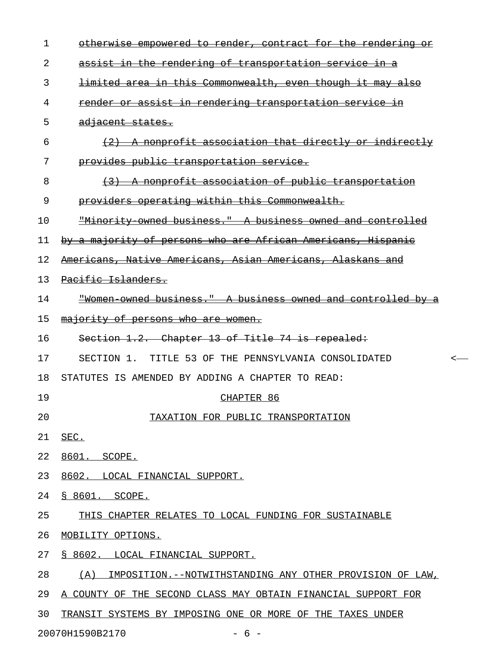| $\mathbf 1$ | otherwise empowered to render, contract for the rendering or    |
|-------------|-----------------------------------------------------------------|
| 2           | assist in the rendering of transportation service in a          |
| 3           | limited area in this Commonwealth, even though it may also      |
| 4           | render or assist in rendering transportation service in         |
| 5           | adjacent states.                                                |
| 6           | (2) A nonprofit association that directly or indirectly         |
| 7           | provides public transportation service.                         |
| 8           | (3) A nonprofit association of public transportation            |
| 9           | providers operating within this Commonwealth.                   |
| 10          | "Minority owned business." A business owned and controlled      |
| 11          | by a majority of persons who are African Americans, Hispanic    |
| 12          | Americans, Native Americans, Asian Americans, Alaskans and      |
| 13          | Pacific Islanders.                                              |
| 14          | "Women owned business." A business owned and controlled by a    |
| 15          | majority of persons who are women.                              |
| 16          | Section 1.2. Chapter 13 of Title 74 is repealed:                |
| 17          | SECTION 1. TITLE 53 OF THE PENNSYLVANIA CONSOLIDATED            |
| 18          | STATUTES IS AMENDED BY ADDING A CHAPTER TO READ:                |
| 19          | CHAPTER 86                                                      |
| 20          | TAXATION FOR PUBLIC TRANSPORTATION                              |
| 21          | SEC.                                                            |
| 22          | 8601. SCOPE.                                                    |
| 23          | 8602. LOCAL FINANCIAL SUPPORT.                                  |
| 24          | <u>S 8601. SCOPE.</u>                                           |
| 25          | THIS CHAPTER RELATES TO LOCAL FUNDING FOR SUSTAINABLE           |
| 26          | MOBILITY OPTIONS.                                               |
| 27          | S 8602. LOCAL FINANCIAL SUPPORT.                                |
| 28          | IMPOSITION.--NOTWITHSTANDING ANY OTHER PROVISION OF LAW,<br>(A) |
| 29          | A COUNTY OF THE SECOND CLASS MAY OBTAIN FINANCIAL SUPPORT FOR   |
| 30          | TRANSIT SYSTEMS BY IMPOSING ONE OR MORE OF THE TAXES UNDER      |

20070H1590B2170 - 6 -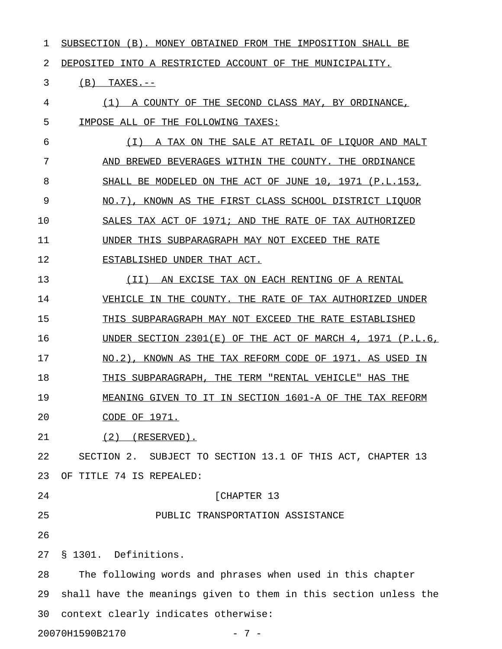| 1  | SUBSECTION (B).<br>MONEY OBTAINED FROM THE IMPOSITION SHALL BE   |
|----|------------------------------------------------------------------|
| 2  | DEPOSITED INTO A RESTRICTED ACCOUNT OF THE MUNICIPALITY.         |
| 3  | (B)<br>$TAXES. --$                                               |
| 4  | A COUNTY OF THE SECOND CLASS MAY, BY ORDINANCE,<br>(1)           |
| 5  | IMPOSE ALL OF THE FOLLOWING TAXES:                               |
| 6  | A TAX ON THE SALE AT RETAIL OF LIOUOR AND MALT<br>( I )          |
| 7  | BREWED BEVERAGES WITHIN THE COUNTY. THE ORDINANCE<br>AND         |
| 8  | SHALL BE MODELED ON THE ACT OF JUNE 10, 1971 (P.L.153,           |
| 9  | KNOWN AS THE FIRST CLASS SCHOOL DISTRICT LIQUOR<br>NO.7).        |
| 10 | SALES TAX ACT OF 1971; AND THE RATE OF TAX AUTHORIZED            |
| 11 | UNDER THIS SUBPARAGRAPH MAY NOT EXCEED THE RATE                  |
| 12 | ESTABLISHED UNDER THAT ACT.                                      |
| 13 | AN EXCISE TAX ON EACH RENTING OF A RENTAL<br>(II)                |
| 14 | VEHICLE IN THE COUNTY. THE RATE OF TAX AUTHORIZED UNDER          |
| 15 | THIS SUBPARAGRAPH MAY NOT EXCEED THE RATE ESTABLISHED            |
| 16 | UNDER SECTION $2301(E)$ OF THE ACT OF MARCH 4, 1971 (P.L.6,      |
| 17 | KNOWN AS THE TAX REFORM CODE OF 1971. AS USED IN<br>NO.2).       |
| 18 | THIS SUBPARAGRAPH, THE TERM "RENTAL VEHICLE" HAS THE             |
| 19 | MEANING GIVEN TO IT IN SECTION 1601-A OF THE TAX REFORM          |
| 20 | <u>CODE OF 1971.</u>                                             |
| 21 | (RESERVED).<br>(2)                                               |
| 22 | SECTION 2. SUBJECT TO SECTION 13.1 OF THIS ACT, CHAPTER 13       |
| 23 | OF TITLE 74 IS REPEALED:                                         |
| 24 | [CHAPTER 13                                                      |
| 25 | PUBLIC TRANSPORTATION ASSISTANCE                                 |
| 26 |                                                                  |
| 27 | § 1301. Definitions.                                             |
| 28 | The following words and phrases when used in this chapter        |
| 29 | shall have the meanings given to them in this section unless the |
| 30 | context clearly indicates otherwise:                             |

20070H1590B2170 - 7 -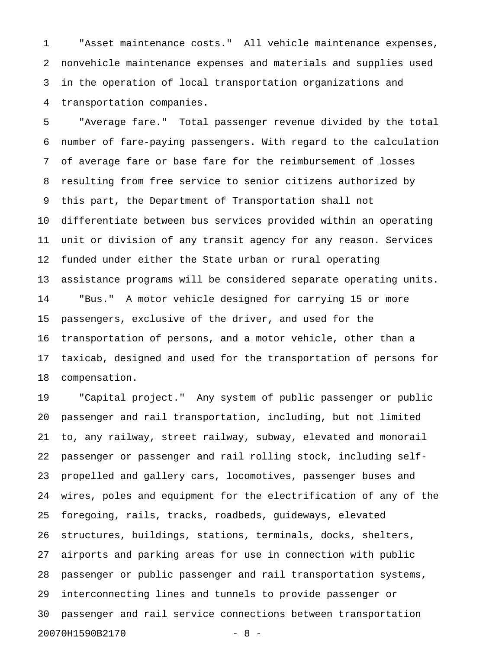1 "Asset maintenance costs." All vehicle maintenance expenses, 2 nonvehicle maintenance expenses and materials and supplies used 3 in the operation of local transportation organizations and 4 transportation companies.

5 "Average fare." Total passenger revenue divided by the total 6 number of fare-paying passengers. With regard to the calculation 7 of average fare or base fare for the reimbursement of losses 8 resulting from free service to senior citizens authorized by 9 this part, the Department of Transportation shall not 10 differentiate between bus services provided within an operating 11 unit or division of any transit agency for any reason. Services 12 funded under either the State urban or rural operating 13 assistance programs will be considered separate operating units. 14 "Bus." A motor vehicle designed for carrying 15 or more 15 passengers, exclusive of the driver, and used for the 16 transportation of persons, and a motor vehicle, other than a 17 taxicab, designed and used for the transportation of persons for 18 compensation.

19 "Capital project." Any system of public passenger or public 20 passenger and rail transportation, including, but not limited 21 to, any railway, street railway, subway, elevated and monorail 22 passenger or passenger and rail rolling stock, including self-23 propelled and gallery cars, locomotives, passenger buses and 24 wires, poles and equipment for the electrification of any of the 25 foregoing, rails, tracks, roadbeds, guideways, elevated 26 structures, buildings, stations, terminals, docks, shelters, 27 airports and parking areas for use in connection with public 28 passenger or public passenger and rail transportation systems, 29 interconnecting lines and tunnels to provide passenger or 30 passenger and rail service connections between transportation 20070H1590B2170 - 8 -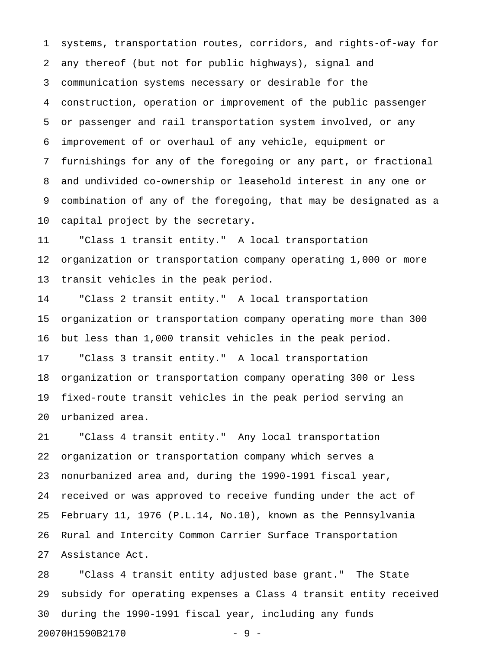1 systems, transportation routes, corridors, and rights-of-way for 2 any thereof (but not for public highways), signal and 3 communication systems necessary or desirable for the 4 construction, operation or improvement of the public passenger 5 or passenger and rail transportation system involved, or any 6 improvement of or overhaul of any vehicle, equipment or 7 furnishings for any of the foregoing or any part, or fractional 8 and undivided co-ownership or leasehold interest in any one or 9 combination of any of the foregoing, that may be designated as a 10 capital project by the secretary.

11 "Class 1 transit entity." A local transportation 12 organization or transportation company operating 1,000 or more 13 transit vehicles in the peak period.

14 "Class 2 transit entity." A local transportation 15 organization or transportation company operating more than 300 16 but less than 1,000 transit vehicles in the peak period.

17 "Class 3 transit entity." A local transportation 18 organization or transportation company operating 300 or less 19 fixed-route transit vehicles in the peak period serving an 20 urbanized area.

21 "Class 4 transit entity." Any local transportation 22 organization or transportation company which serves a 23 nonurbanized area and, during the 1990-1991 fiscal year, 24 received or was approved to receive funding under the act of 25 February 11, 1976 (P.L.14, No.10), known as the Pennsylvania 26 Rural and Intercity Common Carrier Surface Transportation 27 Assistance Act.

28 "Class 4 transit entity adjusted base grant." The State 29 subsidy for operating expenses a Class 4 transit entity received 30 during the 1990-1991 fiscal year, including any funds 20070H1590B2170 - 9 -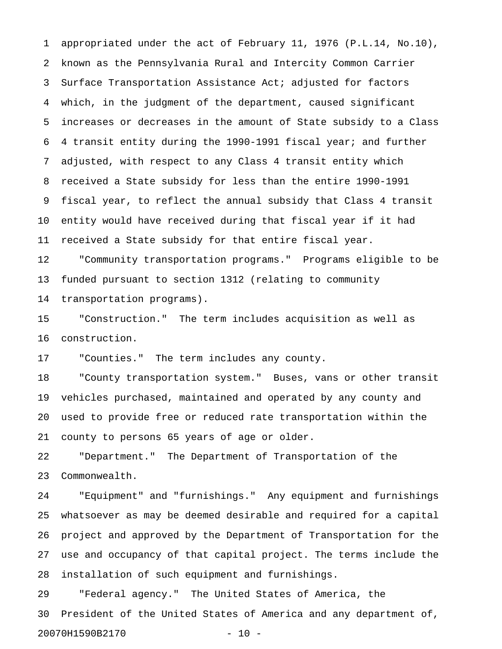1 appropriated under the act of February 11, 1976 (P.L.14, No.10), 2 known as the Pennsylvania Rural and Intercity Common Carrier 3 Surface Transportation Assistance Act; adjusted for factors 4 which, in the judgment of the department, caused significant 5 increases or decreases in the amount of State subsidy to a Class 6 4 transit entity during the 1990-1991 fiscal year; and further 7 adjusted, with respect to any Class 4 transit entity which 8 received a State subsidy for less than the entire 1990-1991 9 fiscal year, to reflect the annual subsidy that Class 4 transit 10 entity would have received during that fiscal year if it had 11 received a State subsidy for that entire fiscal year.

12 "Community transportation programs." Programs eligible to be 13 funded pursuant to section 1312 (relating to community 14 transportation programs).

15 "Construction." The term includes acquisition as well as 16 construction.

17 "Counties." The term includes any county.

18 "County transportation system." Buses, vans or other transit 19 vehicles purchased, maintained and operated by any county and 20 used to provide free or reduced rate transportation within the 21 county to persons 65 years of age or older.

22 "Department." The Department of Transportation of the 23 Commonwealth.

24 "Equipment" and "furnishings." Any equipment and furnishings 25 whatsoever as may be deemed desirable and required for a capital 26 project and approved by the Department of Transportation for the 27 use and occupancy of that capital project. The terms include the 28 installation of such equipment and furnishings.

29 "Federal agency." The United States of America, the 30 President of the United States of America and any department of, 20070H1590B2170 - 10 -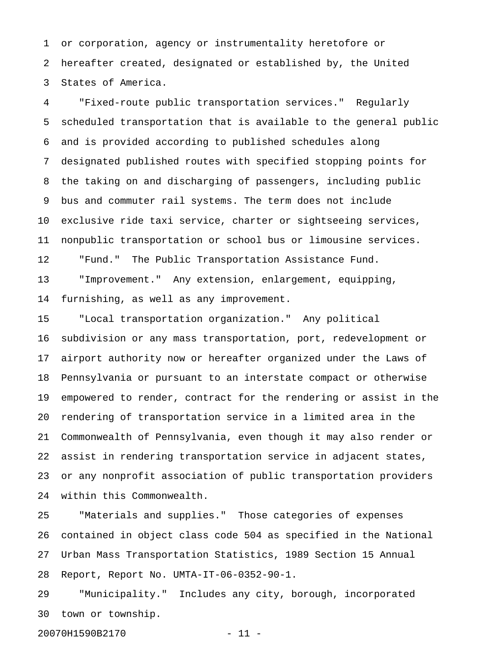1 or corporation, agency or instrumentality heretofore or 2 hereafter created, designated or established by, the United 3 States of America.

4 "Fixed-route public transportation services." Regularly 5 scheduled transportation that is available to the general public 6 and is provided according to published schedules along 7 designated published routes with specified stopping points for 8 the taking on and discharging of passengers, including public 9 bus and commuter rail systems. The term does not include 10 exclusive ride taxi service, charter or sightseeing services, 11 nonpublic transportation or school bus or limousine services. 12 "Fund." The Public Transportation Assistance Fund. 13 "Improvement." Any extension, enlargement, equipping,

14 furnishing, as well as any improvement.

15 "Local transportation organization." Any political 16 subdivision or any mass transportation, port, redevelopment or 17 airport authority now or hereafter organized under the Laws of 18 Pennsylvania or pursuant to an interstate compact or otherwise 19 empowered to render, contract for the rendering or assist in the 20 rendering of transportation service in a limited area in the 21 Commonwealth of Pennsylvania, even though it may also render or 22 assist in rendering transportation service in adjacent states, 23 or any nonprofit association of public transportation providers 24 within this Commonwealth.

25 "Materials and supplies." Those categories of expenses 26 contained in object class code 504 as specified in the National 27 Urban Mass Transportation Statistics, 1989 Section 15 Annual 28 Report, Report No. UMTA-IT-06-0352-90-1.

29 "Municipality." Includes any city, borough, incorporated 30 town or township.

20070H1590B2170 - 11 -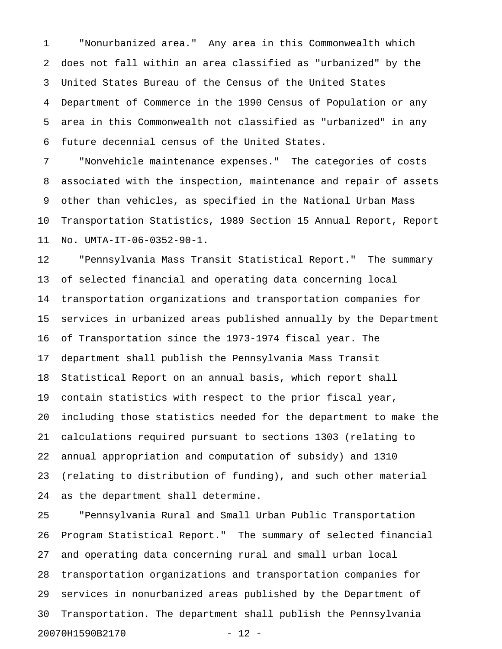1 "Nonurbanized area." Any area in this Commonwealth which 2 does not fall within an area classified as "urbanized" by the 3 United States Bureau of the Census of the United States 4 Department of Commerce in the 1990 Census of Population or any 5 area in this Commonwealth not classified as "urbanized" in any 6 future decennial census of the United States.

7 "Nonvehicle maintenance expenses." The categories of costs 8 associated with the inspection, maintenance and repair of assets 9 other than vehicles, as specified in the National Urban Mass 10 Transportation Statistics, 1989 Section 15 Annual Report, Report 11 No. UMTA-IT-06-0352-90-1.

12 "Pennsylvania Mass Transit Statistical Report." The summary 13 of selected financial and operating data concerning local 14 transportation organizations and transportation companies for 15 services in urbanized areas published annually by the Department 16 of Transportation since the 1973-1974 fiscal year. The 17 department shall publish the Pennsylvania Mass Transit 18 Statistical Report on an annual basis, which report shall 19 contain statistics with respect to the prior fiscal year, 20 including those statistics needed for the department to make the 21 calculations required pursuant to sections 1303 (relating to 22 annual appropriation and computation of subsidy) and 1310 23 (relating to distribution of funding), and such other material 24 as the department shall determine.

25 "Pennsylvania Rural and Small Urban Public Transportation 26 Program Statistical Report." The summary of selected financial 27 and operating data concerning rural and small urban local 28 transportation organizations and transportation companies for 29 services in nonurbanized areas published by the Department of 30 Transportation. The department shall publish the Pennsylvania 20070H1590B2170 - 12 -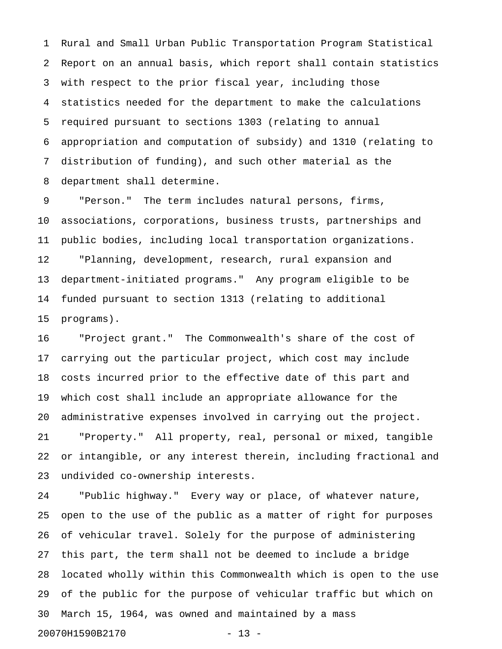1 Rural and Small Urban Public Transportation Program Statistical 2 Report on an annual basis, which report shall contain statistics 3 with respect to the prior fiscal year, including those 4 statistics needed for the department to make the calculations 5 required pursuant to sections 1303 (relating to annual 6 appropriation and computation of subsidy) and 1310 (relating to 7 distribution of funding), and such other material as the 8 department shall determine.

9 "Person." The term includes natural persons, firms, 10 associations, corporations, business trusts, partnerships and 11 public bodies, including local transportation organizations. 12 "Planning, development, research, rural expansion and 13 department-initiated programs." Any program eligible to be 14 funded pursuant to section 1313 (relating to additional 15 programs).

16 "Project grant." The Commonwealth's share of the cost of 17 carrying out the particular project, which cost may include 18 costs incurred prior to the effective date of this part and 19 which cost shall include an appropriate allowance for the 20 administrative expenses involved in carrying out the project. 21 "Property." All property, real, personal or mixed, tangible 22 or intangible, or any interest therein, including fractional and 23 undivided co-ownership interests.

24 "Public highway." Every way or place, of whatever nature, 25 open to the use of the public as a matter of right for purposes 26 of vehicular travel. Solely for the purpose of administering 27 this part, the term shall not be deemed to include a bridge 28 located wholly within this Commonwealth which is open to the use 29 of the public for the purpose of vehicular traffic but which on 30 March 15, 1964, was owned and maintained by a mass 20070H1590B2170 - 13 -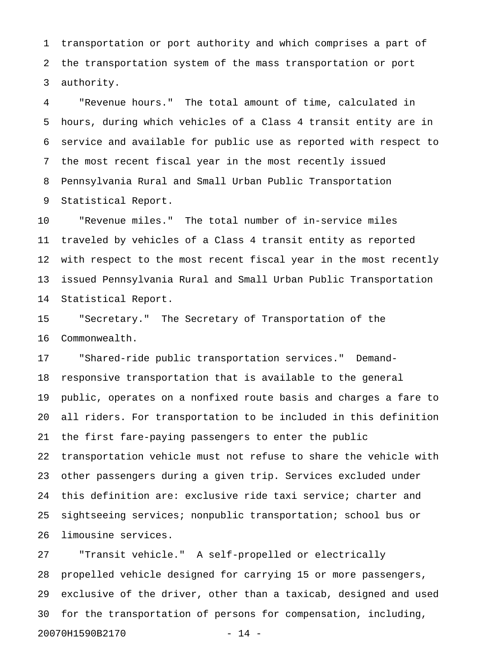1 transportation or port authority and which comprises a part of 2 the transportation system of the mass transportation or port 3 authority.

4 "Revenue hours." The total amount of time, calculated in 5 hours, during which vehicles of a Class 4 transit entity are in 6 service and available for public use as reported with respect to 7 the most recent fiscal year in the most recently issued 8 Pennsylvania Rural and Small Urban Public Transportation 9 Statistical Report.

10 "Revenue miles." The total number of in-service miles 11 traveled by vehicles of a Class 4 transit entity as reported 12 with respect to the most recent fiscal year in the most recently 13 issued Pennsylvania Rural and Small Urban Public Transportation 14 Statistical Report.

15 "Secretary." The Secretary of Transportation of the 16 Commonwealth.

17 "Shared-ride public transportation services." Demand-18 responsive transportation that is available to the general 19 public, operates on a nonfixed route basis and charges a fare to 20 all riders. For transportation to be included in this definition 21 the first fare-paying passengers to enter the public 22 transportation vehicle must not refuse to share the vehicle with 23 other passengers during a given trip. Services excluded under 24 this definition are: exclusive ride taxi service; charter and 25 sightseeing services; nonpublic transportation; school bus or 26 limousine services.

27 "Transit vehicle." A self-propelled or electrically 28 propelled vehicle designed for carrying 15 or more passengers, 29 exclusive of the driver, other than a taxicab, designed and used 30 for the transportation of persons for compensation, including, 20070H1590B2170 - 14 -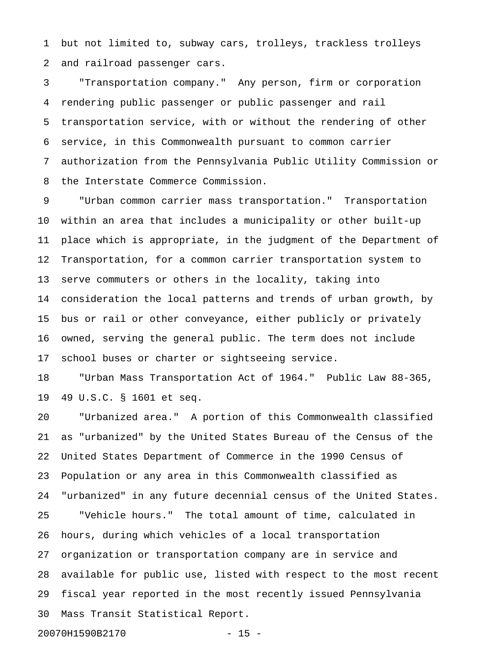1 but not limited to, subway cars, trolleys, trackless trolleys 2 and railroad passenger cars.

3 "Transportation company." Any person, firm or corporation 4 rendering public passenger or public passenger and rail 5 transportation service, with or without the rendering of other 6 service, in this Commonwealth pursuant to common carrier 7 authorization from the Pennsylvania Public Utility Commission or 8 the Interstate Commerce Commission.

9 "Urban common carrier mass transportation." Transportation 10 within an area that includes a municipality or other built-up 11 place which is appropriate, in the judgment of the Department of 12 Transportation, for a common carrier transportation system to 13 serve commuters or others in the locality, taking into 14 consideration the local patterns and trends of urban growth, by 15 bus or rail or other conveyance, either publicly or privately 16 owned, serving the general public. The term does not include 17 school buses or charter or sightseeing service.

18 "Urban Mass Transportation Act of 1964." Public Law 88-365, 19 49 U.S.C. § 1601 et seq.

20 "Urbanized area." A portion of this Commonwealth classified 21 as "urbanized" by the United States Bureau of the Census of the 22 United States Department of Commerce in the 1990 Census of 23 Population or any area in this Commonwealth classified as 24 "urbanized" in any future decennial census of the United States. 25 "Vehicle hours." The total amount of time, calculated in 26 hours, during which vehicles of a local transportation 27 organization or transportation company are in service and 28 available for public use, listed with respect to the most recent 29 fiscal year reported in the most recently issued Pennsylvania 30 Mass Transit Statistical Report.

20070H1590B2170 - 15 -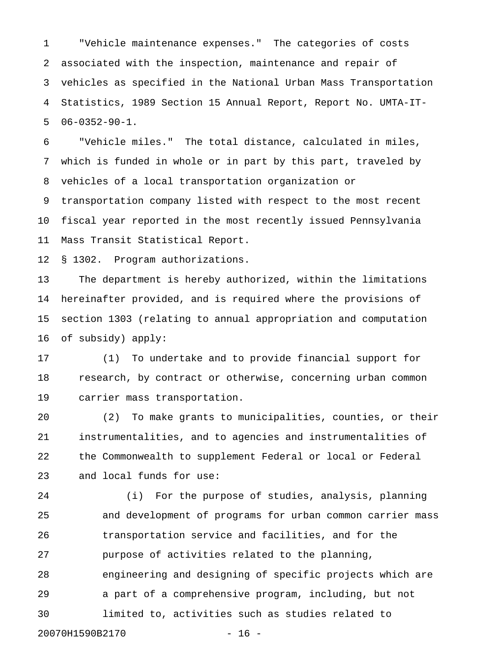1 "Vehicle maintenance expenses." The categories of costs 2 associated with the inspection, maintenance and repair of 3 vehicles as specified in the National Urban Mass Transportation 4 Statistics, 1989 Section 15 Annual Report, Report No. UMTA-IT-5 06-0352-90-1.

6 "Vehicle miles." The total distance, calculated in miles, 7 which is funded in whole or in part by this part, traveled by 8 vehicles of a local transportation organization or 9 transportation company listed with respect to the most recent

10 fiscal year reported in the most recently issued Pennsylvania 11 Mass Transit Statistical Report.

12 § 1302. Program authorizations.

13 The department is hereby authorized, within the limitations 14 hereinafter provided, and is required where the provisions of 15 section 1303 (relating to annual appropriation and computation 16 of subsidy) apply:

17 (1) To undertake and to provide financial support for 18 research, by contract or otherwise, concerning urban common 19 carrier mass transportation.

20 (2) To make grants to municipalities, counties, or their 21 instrumentalities, and to agencies and instrumentalities of 22 the Commonwealth to supplement Federal or local or Federal 23 and local funds for use:

24 (i) For the purpose of studies, analysis, planning 25 and development of programs for urban common carrier mass 26 transportation service and facilities, and for the 27 purpose of activities related to the planning, 28 engineering and designing of specific projects which are 29 a part of a comprehensive program, including, but not 30 limited to, activities such as studies related to 20070H1590B2170 - 16 -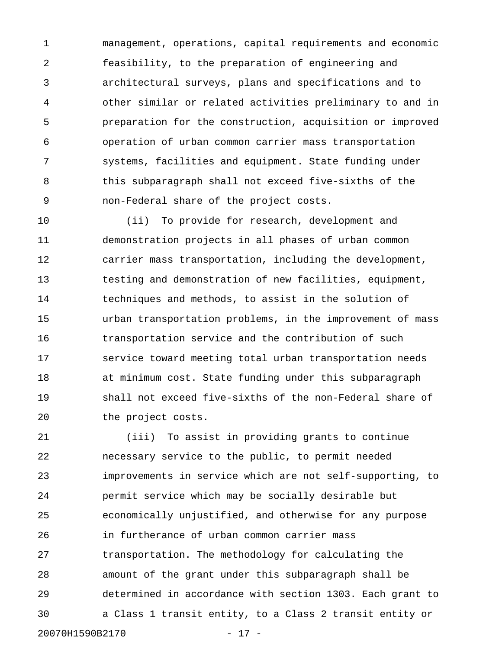1 management, operations, capital requirements and economic 2 feasibility, to the preparation of engineering and 3 architectural surveys, plans and specifications and to 4 other similar or related activities preliminary to and in 5 preparation for the construction, acquisition or improved 6 operation of urban common carrier mass transportation 7 systems, facilities and equipment. State funding under 8 this subparagraph shall not exceed five-sixths of the 9 non-Federal share of the project costs.

10 (ii) To provide for research, development and 11 demonstration projects in all phases of urban common 12 carrier mass transportation, including the development, 13 testing and demonstration of new facilities, equipment, 14 techniques and methods, to assist in the solution of 15 urban transportation problems, in the improvement of mass 16 transportation service and the contribution of such 17 service toward meeting total urban transportation needs 18 at minimum cost. State funding under this subparagraph 19 shall not exceed five-sixths of the non-Federal share of 20 the project costs.

21 (iii) To assist in providing grants to continue 22 necessary service to the public, to permit needed 23 improvements in service which are not self-supporting, to 24 permit service which may be socially desirable but 25 economically unjustified, and otherwise for any purpose 26 in furtherance of urban common carrier mass 27 transportation. The methodology for calculating the 28 amount of the grant under this subparagraph shall be 29 determined in accordance with section 1303. Each grant to 30 a Class 1 transit entity, to a Class 2 transit entity or 20070H1590B2170 - 17 -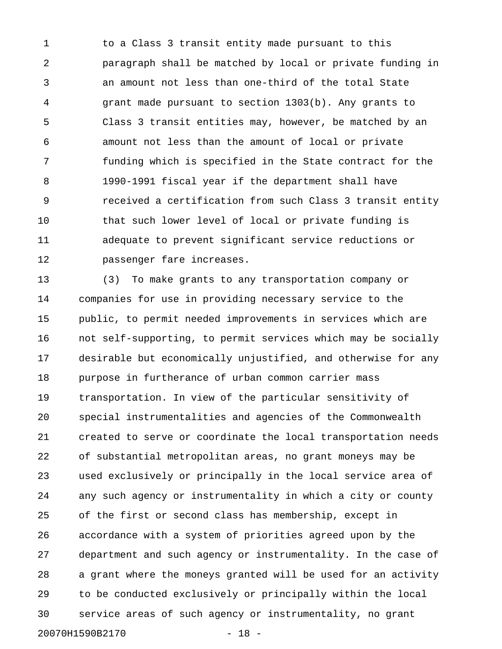1 to a Class 3 transit entity made pursuant to this 2 paragraph shall be matched by local or private funding in 3 an amount not less than one-third of the total State 4 grant made pursuant to section 1303(b). Any grants to 5 Class 3 transit entities may, however, be matched by an 6 amount not less than the amount of local or private 7 funding which is specified in the State contract for the 8 1990-1991 fiscal year if the department shall have 9 received a certification from such Class 3 transit entity 10 that such lower level of local or private funding is 11 adequate to prevent significant service reductions or 12 passenger fare increases.

13 (3) To make grants to any transportation company or 14 companies for use in providing necessary service to the 15 public, to permit needed improvements in services which are 16 not self-supporting, to permit services which may be socially 17 desirable but economically unjustified, and otherwise for any 18 purpose in furtherance of urban common carrier mass 19 transportation. In view of the particular sensitivity of 20 special instrumentalities and agencies of the Commonwealth 21 created to serve or coordinate the local transportation needs 22 of substantial metropolitan areas, no grant moneys may be 23 used exclusively or principally in the local service area of 24 any such agency or instrumentality in which a city or county 25 of the first or second class has membership, except in 26 accordance with a system of priorities agreed upon by the 27 department and such agency or instrumentality. In the case of 28 a grant where the moneys granted will be used for an activity 29 to be conducted exclusively or principally within the local 30 service areas of such agency or instrumentality, no grant 20070H1590B2170 - 18 -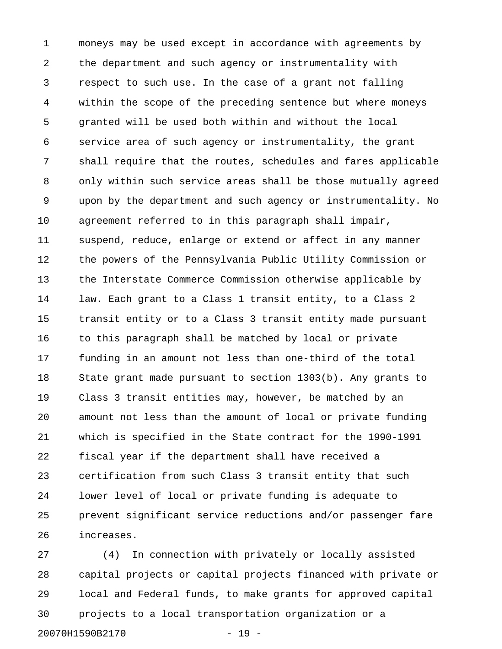1 moneys may be used except in accordance with agreements by 2 the department and such agency or instrumentality with 3 respect to such use. In the case of a grant not falling 4 within the scope of the preceding sentence but where moneys 5 granted will be used both within and without the local 6 service area of such agency or instrumentality, the grant 7 shall require that the routes, schedules and fares applicable 8 only within such service areas shall be those mutually agreed 9 upon by the department and such agency or instrumentality. No 10 agreement referred to in this paragraph shall impair, 11 suspend, reduce, enlarge or extend or affect in any manner 12 the powers of the Pennsylvania Public Utility Commission or 13 the Interstate Commerce Commission otherwise applicable by 14 law. Each grant to a Class 1 transit entity, to a Class 2 15 transit entity or to a Class 3 transit entity made pursuant 16 to this paragraph shall be matched by local or private 17 funding in an amount not less than one-third of the total 18 State grant made pursuant to section 1303(b). Any grants to 19 Class 3 transit entities may, however, be matched by an 20 amount not less than the amount of local or private funding 21 which is specified in the State contract for the 1990-1991 22 fiscal year if the department shall have received a 23 certification from such Class 3 transit entity that such 24 lower level of local or private funding is adequate to 25 prevent significant service reductions and/or passenger fare 26 increases.

27 (4) In connection with privately or locally assisted 28 capital projects or capital projects financed with private or 29 local and Federal funds, to make grants for approved capital 30 projects to a local transportation organization or a 20070H1590B2170 - 19 -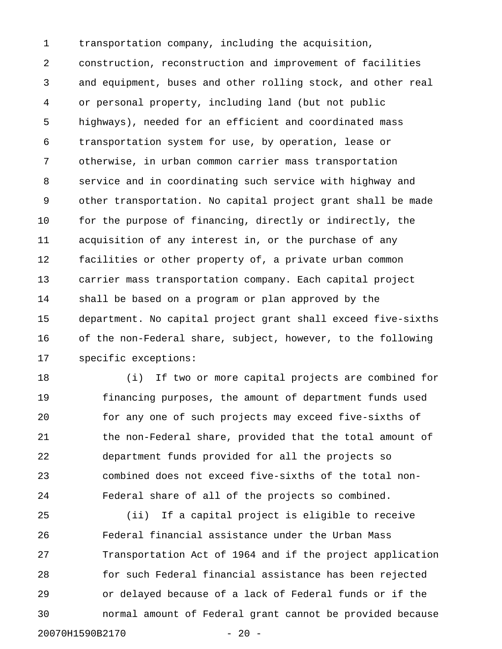1 transportation company, including the acquisition, 2 construction, reconstruction and improvement of facilities 3 and equipment, buses and other rolling stock, and other real 4 or personal property, including land (but not public 5 highways), needed for an efficient and coordinated mass 6 transportation system for use, by operation, lease or 7 otherwise, in urban common carrier mass transportation 8 service and in coordinating such service with highway and 9 other transportation. No capital project grant shall be made 10 for the purpose of financing, directly or indirectly, the 11 acquisition of any interest in, or the purchase of any 12 facilities or other property of, a private urban common 13 carrier mass transportation company. Each capital project 14 shall be based on a program or plan approved by the 15 department. No capital project grant shall exceed five-sixths 16 of the non-Federal share, subject, however, to the following 17 specific exceptions:

18 (i) If two or more capital projects are combined for 19 financing purposes, the amount of department funds used 20 for any one of such projects may exceed five-sixths of 21 the non-Federal share, provided that the total amount of 22 department funds provided for all the projects so 23 combined does not exceed five-sixths of the total non-24 Federal share of all of the projects so combined.

25 (ii) If a capital project is eligible to receive 26 Federal financial assistance under the Urban Mass 27 Transportation Act of 1964 and if the project application 28 for such Federal financial assistance has been rejected 29 or delayed because of a lack of Federal funds or if the 30 normal amount of Federal grant cannot be provided because 20070H1590B2170 - 20 -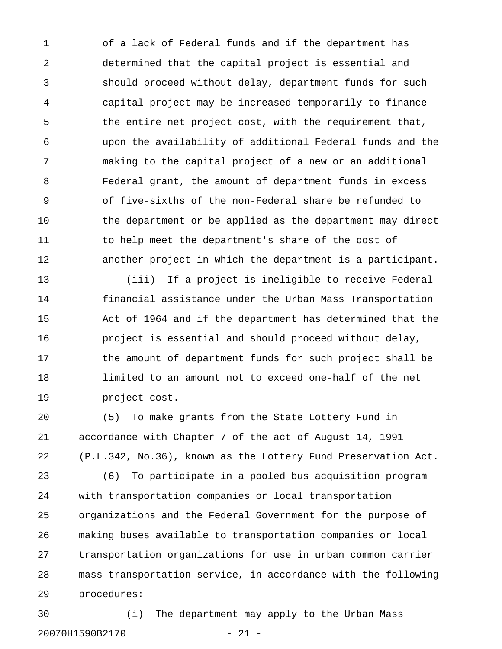1 of a lack of Federal funds and if the department has 2 determined that the capital project is essential and 3 should proceed without delay, department funds for such 4 capital project may be increased temporarily to finance 5 the entire net project cost, with the requirement that, 6 upon the availability of additional Federal funds and the 7 making to the capital project of a new or an additional 8 Federal grant, the amount of department funds in excess 9 of five-sixths of the non-Federal share be refunded to 10 the department or be applied as the department may direct 11 to help meet the department's share of the cost of 12 another project in which the department is a participant.

13 (iii) If a project is ineligible to receive Federal 14 financial assistance under the Urban Mass Transportation 15 Act of 1964 and if the department has determined that the 16 project is essential and should proceed without delay, 17 the amount of department funds for such project shall be 18 limited to an amount not to exceed one-half of the net 19 project cost.

20 (5) To make grants from the State Lottery Fund in 21 accordance with Chapter 7 of the act of August 14, 1991 22 (P.L.342, No.36), known as the Lottery Fund Preservation Act.

23 (6) To participate in a pooled bus acquisition program 24 with transportation companies or local transportation 25 organizations and the Federal Government for the purpose of 26 making buses available to transportation companies or local 27 transportation organizations for use in urban common carrier 28 mass transportation service, in accordance with the following 29 procedures:

30 (i) The department may apply to the Urban Mass 20070H1590B2170 - 21 -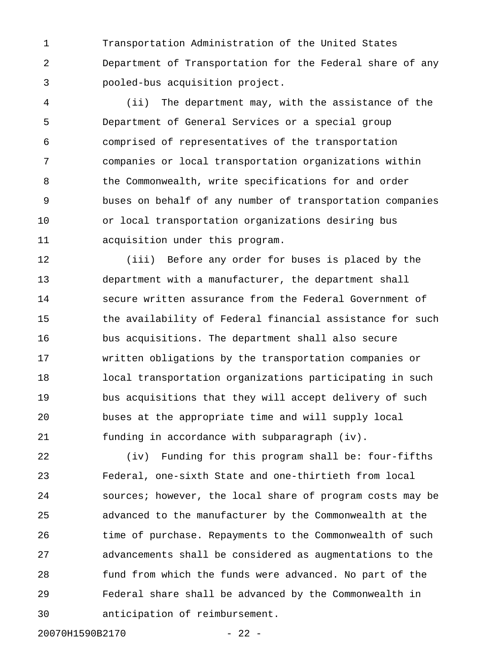1 Transportation Administration of the United States 2 Department of Transportation for the Federal share of any 3 pooled-bus acquisition project.

4 (ii) The department may, with the assistance of the 5 Department of General Services or a special group 6 comprised of representatives of the transportation 7 companies or local transportation organizations within 8 the Commonwealth, write specifications for and order 9 buses on behalf of any number of transportation companies 10 or local transportation organizations desiring bus 11 acquisition under this program.

12 (iii) Before any order for buses is placed by the 13 department with a manufacturer, the department shall 14 secure written assurance from the Federal Government of 15 the availability of Federal financial assistance for such 16 bus acquisitions. The department shall also secure 17 written obligations by the transportation companies or 18 local transportation organizations participating in such 19 bus acquisitions that they will accept delivery of such 20 buses at the appropriate time and will supply local 21 funding in accordance with subparagraph (iv).

22 (iv) Funding for this program shall be: four-fifths 23 Federal, one-sixth State and one-thirtieth from local 24 sources; however, the local share of program costs may be 25 advanced to the manufacturer by the Commonwealth at the 26 time of purchase. Repayments to the Commonwealth of such 27 advancements shall be considered as augmentations to the 28 fund from which the funds were advanced. No part of the 29 Federal share shall be advanced by the Commonwealth in 30 anticipation of reimbursement.

20070H1590B2170 - 22 -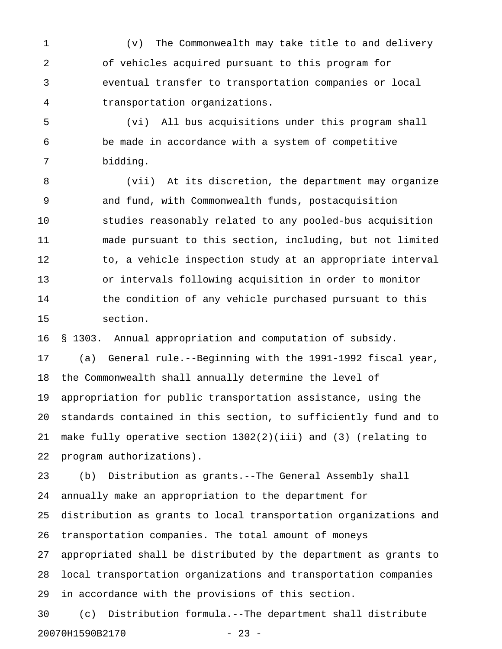1 (v) The Commonwealth may take title to and delivery 2 of vehicles acquired pursuant to this program for 3 eventual transfer to transportation companies or local 4 transportation organizations.

5 (vi) All bus acquisitions under this program shall 6 be made in accordance with a system of competitive 7 bidding.

8 (vii) At its discretion, the department may organize 9 and fund, with Commonwealth funds, postacquisition 10 studies reasonably related to any pooled-bus acquisition 11 made pursuant to this section, including, but not limited 12 to, a vehicle inspection study at an appropriate interval 13 or intervals following acquisition in order to monitor 14 the condition of any vehicle purchased pursuant to this 15 section.

16 § 1303. Annual appropriation and computation of subsidy.

17 (a) General rule.--Beginning with the 1991-1992 fiscal year, 18 the Commonwealth shall annually determine the level of 19 appropriation for public transportation assistance, using the 20 standards contained in this section, to sufficiently fund and to 21 make fully operative section 1302(2)(iii) and (3) (relating to 22 program authorizations).

23 (b) Distribution as grants.--The General Assembly shall 24 annually make an appropriation to the department for 25 distribution as grants to local transportation organizations and 26 transportation companies. The total amount of moneys 27 appropriated shall be distributed by the department as grants to 28 local transportation organizations and transportation companies 29 in accordance with the provisions of this section.

30 (c) Distribution formula.--The department shall distribute 20070H1590B2170 - 23 -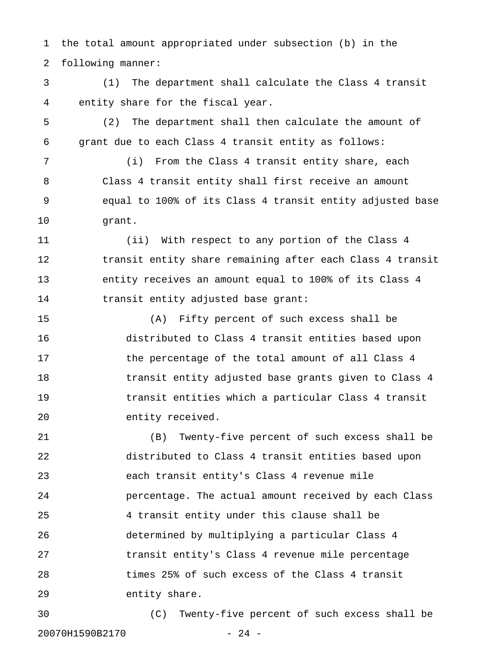1 the total amount appropriated under subsection (b) in the 2 following manner:

3 (1) The department shall calculate the Class 4 transit 4 entity share for the fiscal year.

5 (2) The department shall then calculate the amount of 6 grant due to each Class 4 transit entity as follows:

7 (i) From the Class 4 transit entity share, each 8 Class 4 transit entity shall first receive an amount 9 equal to 100% of its Class 4 transit entity adjusted base 10 grant.

11 (ii) With respect to any portion of the Class 4 12 transit entity share remaining after each Class 4 transit 13 entity receives an amount equal to 100% of its Class 4 14 transit entity adjusted base grant:

15 (A) Fifty percent of such excess shall be 16 distributed to Class 4 transit entities based upon 17 the percentage of the total amount of all Class 4 18 transit entity adjusted base grants given to Class 4 19 transit entities which a particular Class 4 transit 20 entity received.

21 (B) Twenty-five percent of such excess shall be 22 distributed to Class 4 transit entities based upon 23 each transit entity's Class 4 revenue mile 24 percentage. The actual amount received by each Class 25 4 transit entity under this clause shall be 26 determined by multiplying a particular Class 4 27 transit entity's Class 4 revenue mile percentage 28 times 25% of such excess of the Class 4 transit 29 entity share.

30 (C) Twenty-five percent of such excess shall be 20070H1590B2170 - 24 -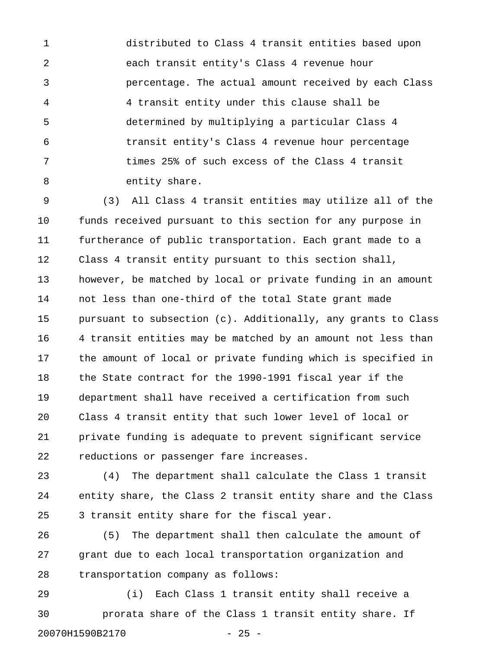1 distributed to Class 4 transit entities based upon 2 each transit entity's Class 4 revenue hour 3 percentage. The actual amount received by each Class 4 4 transit entity under this clause shall be 5 determined by multiplying a particular Class 4 6 transit entity's Class 4 revenue hour percentage 7 times 25% of such excess of the Class 4 transit 8 entity share.

9 (3) All Class 4 transit entities may utilize all of the 10 funds received pursuant to this section for any purpose in 11 furtherance of public transportation. Each grant made to a 12 Class 4 transit entity pursuant to this section shall, 13 however, be matched by local or private funding in an amount 14 not less than one-third of the total State grant made 15 pursuant to subsection (c). Additionally, any grants to Class 16 4 transit entities may be matched by an amount not less than 17 the amount of local or private funding which is specified in 18 the State contract for the 1990-1991 fiscal year if the 19 department shall have received a certification from such 20 Class 4 transit entity that such lower level of local or 21 private funding is adequate to prevent significant service 22 reductions or passenger fare increases.

23 (4) The department shall calculate the Class 1 transit 24 entity share, the Class 2 transit entity share and the Class 25 3 transit entity share for the fiscal year.

26 (5) The department shall then calculate the amount of 27 grant due to each local transportation organization and 28 transportation company as follows:

29 (i) Each Class 1 transit entity shall receive a 30 prorata share of the Class 1 transit entity share. If 20070H1590B2170 - 25 -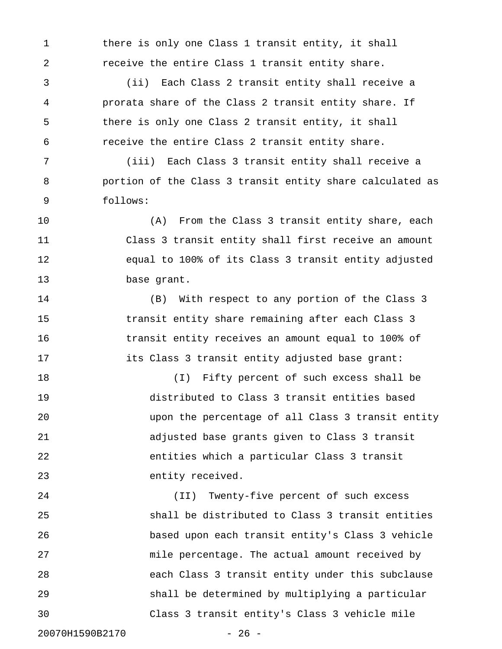1 there is only one Class 1 transit entity, it shall 2 receive the entire Class 1 transit entity share.

3 (ii) Each Class 2 transit entity shall receive a 4 prorata share of the Class 2 transit entity share. If 5 there is only one Class 2 transit entity, it shall 6 receive the entire Class 2 transit entity share.

7 (iii) Each Class 3 transit entity shall receive a 8 portion of the Class 3 transit entity share calculated as 9 follows:

10 (A) From the Class 3 transit entity share, each 11 Class 3 transit entity shall first receive an amount 12 equal to 100% of its Class 3 transit entity adjusted 13 base grant.

14 (B) With respect to any portion of the Class 3 15 transit entity share remaining after each Class 3 16 transit entity receives an amount equal to 100% of 17 its Class 3 transit entity adjusted base grant:

18 (I) Fifty percent of such excess shall be 19 distributed to Class 3 transit entities based 20 upon the percentage of all Class 3 transit entity 21 adjusted base grants given to Class 3 transit 22 entities which a particular Class 3 transit 23 entity received.

24 (II) Twenty-five percent of such excess 25 shall be distributed to Class 3 transit entities 26 based upon each transit entity's Class 3 vehicle 27 mile percentage. The actual amount received by 28 each Class 3 transit entity under this subclause 29 shall be determined by multiplying a particular 30 Class 3 transit entity's Class 3 vehicle mile

20070H1590B2170 - 26 -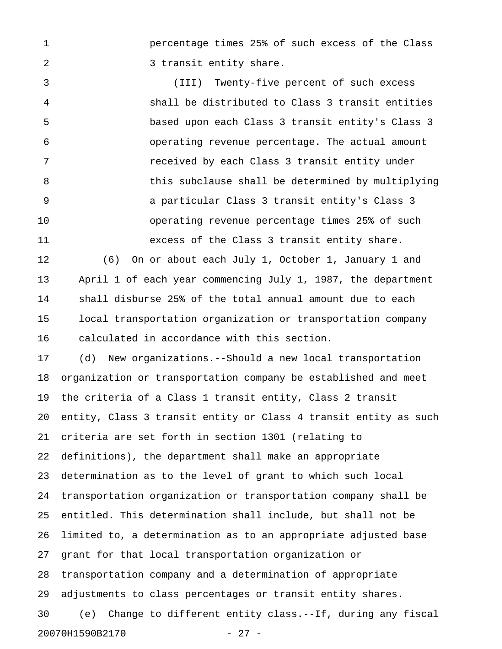1 percentage times 25% of such excess of the Class 2 3 transit entity share.

3 (III) Twenty-five percent of such excess 4 shall be distributed to Class 3 transit entities 5 based upon each Class 3 transit entity's Class 3 6 operating revenue percentage. The actual amount 7 received by each Class 3 transit entity under 8 this subclause shall be determined by multiplying 9 a particular Class 3 transit entity's Class 3 10 operating revenue percentage times 25% of such 11 excess of the Class 3 transit entity share.

12 (6) On or about each July 1, October 1, January 1 and 13 April 1 of each year commencing July 1, 1987, the department 14 shall disburse 25% of the total annual amount due to each 15 local transportation organization or transportation company 16 calculated in accordance with this section.

17 (d) New organizations.--Should a new local transportation 18 organization or transportation company be established and meet 19 the criteria of a Class 1 transit entity, Class 2 transit 20 entity, Class 3 transit entity or Class 4 transit entity as such 21 criteria are set forth in section 1301 (relating to 22 definitions), the department shall make an appropriate 23 determination as to the level of grant to which such local 24 transportation organization or transportation company shall be 25 entitled. This determination shall include, but shall not be 26 limited to, a determination as to an appropriate adjusted base 27 grant for that local transportation organization or 28 transportation company and a determination of appropriate 29 adjustments to class percentages or transit entity shares. 30 (e) Change to different entity class.--If, during any fiscal 20070H1590B2170 - 27 -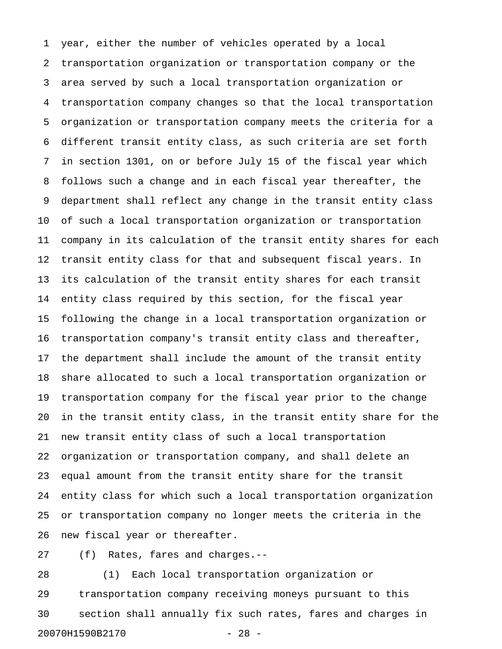1 year, either the number of vehicles operated by a local 2 transportation organization or transportation company or the 3 area served by such a local transportation organization or 4 transportation company changes so that the local transportation 5 organization or transportation company meets the criteria for a 6 different transit entity class, as such criteria are set forth 7 in section 1301, on or before July 15 of the fiscal year which 8 follows such a change and in each fiscal year thereafter, the 9 department shall reflect any change in the transit entity class 10 of such a local transportation organization or transportation 11 company in its calculation of the transit entity shares for each 12 transit entity class for that and subsequent fiscal years. In 13 its calculation of the transit entity shares for each transit 14 entity class required by this section, for the fiscal year 15 following the change in a local transportation organization or 16 transportation company's transit entity class and thereafter, 17 the department shall include the amount of the transit entity 18 share allocated to such a local transportation organization or 19 transportation company for the fiscal year prior to the change 20 in the transit entity class, in the transit entity share for the 21 new transit entity class of such a local transportation 22 organization or transportation company, and shall delete an 23 equal amount from the transit entity share for the transit 24 entity class for which such a local transportation organization 25 or transportation company no longer meets the criteria in the 26 new fiscal year or thereafter.

27 (f) Rates, fares and charges.--

28 (1) Each local transportation organization or 29 transportation company receiving moneys pursuant to this 30 section shall annually fix such rates, fares and charges in 20070H1590B2170 - 28 -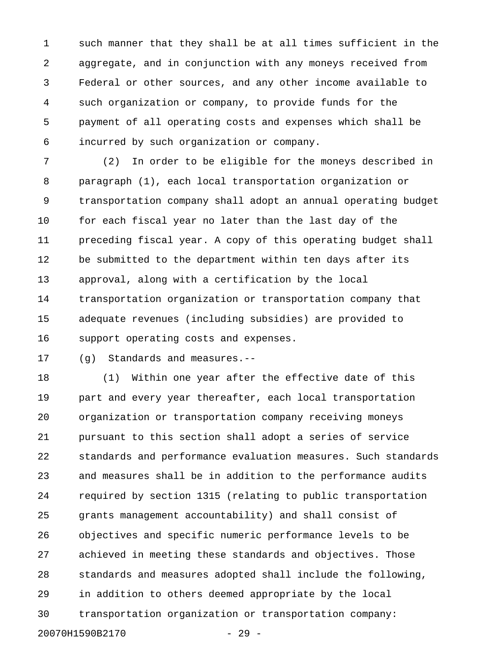1 such manner that they shall be at all times sufficient in the 2 aggregate, and in conjunction with any moneys received from 3 Federal or other sources, and any other income available to 4 such organization or company, to provide funds for the 5 payment of all operating costs and expenses which shall be 6 incurred by such organization or company.

7 (2) In order to be eligible for the moneys described in 8 paragraph (1), each local transportation organization or 9 transportation company shall adopt an annual operating budget 10 for each fiscal year no later than the last day of the 11 preceding fiscal year. A copy of this operating budget shall 12 be submitted to the department within ten days after its 13 approval, along with a certification by the local 14 transportation organization or transportation company that 15 adequate revenues (including subsidies) are provided to 16 support operating costs and expenses.

17 (g) Standards and measures.--

18 (1) Within one year after the effective date of this 19 part and every year thereafter, each local transportation 20 organization or transportation company receiving moneys 21 pursuant to this section shall adopt a series of service 22 standards and performance evaluation measures. Such standards 23 and measures shall be in addition to the performance audits 24 required by section 1315 (relating to public transportation 25 grants management accountability) and shall consist of 26 objectives and specific numeric performance levels to be 27 achieved in meeting these standards and objectives. Those 28 standards and measures adopted shall include the following, 29 in addition to others deemed appropriate by the local 30 transportation organization or transportation company: 20070H1590B2170 - 29 -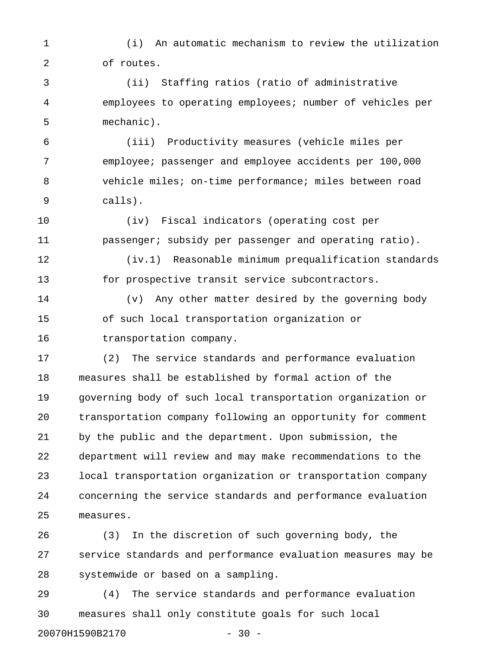1 (i) An automatic mechanism to review the utilization 2 of routes.

3 (ii) Staffing ratios (ratio of administrative 4 employees to operating employees; number of vehicles per 5 mechanic).

6 (iii) Productivity measures (vehicle miles per 7 employee; passenger and employee accidents per 100,000 8 vehicle miles; on-time performance; miles between road 9 calls).

10 (iv) Fiscal indicators (operating cost per 11 passenger; subsidy per passenger and operating ratio).

12 (iv.1) Reasonable minimum prequalification standards 13 for prospective transit service subcontractors.

14 (v) Any other matter desired by the governing body 15 of such local transportation organization or 16 transportation company.

17 (2) The service standards and performance evaluation 18 measures shall be established by formal action of the 19 governing body of such local transportation organization or 20 transportation company following an opportunity for comment 21 by the public and the department. Upon submission, the 22 department will review and may make recommendations to the 23 local transportation organization or transportation company 24 concerning the service standards and performance evaluation 25 measures.

26 (3) In the discretion of such governing body, the 27 service standards and performance evaluation measures may be 28 systemwide or based on a sampling.

29 (4) The service standards and performance evaluation 30 measures shall only constitute goals for such local 20070H1590B2170 - 30 -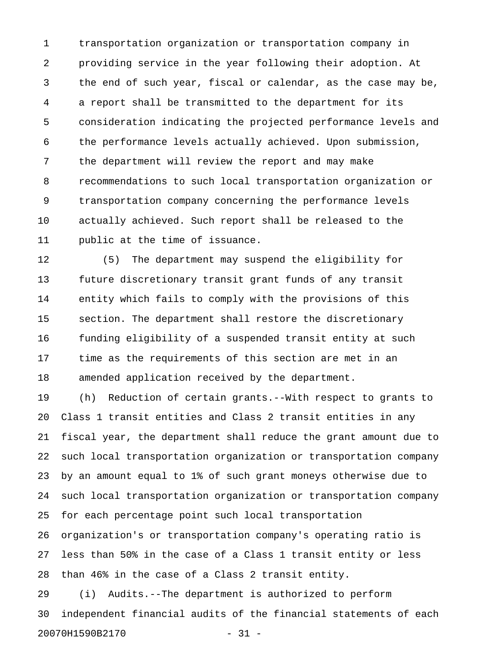1 transportation organization or transportation company in 2 providing service in the year following their adoption. At 3 the end of such year, fiscal or calendar, as the case may be, 4 a report shall be transmitted to the department for its 5 consideration indicating the projected performance levels and 6 the performance levels actually achieved. Upon submission, 7 the department will review the report and may make 8 recommendations to such local transportation organization or 9 transportation company concerning the performance levels 10 actually achieved. Such report shall be released to the 11 public at the time of issuance.

12 (5) The department may suspend the eligibility for 13 future discretionary transit grant funds of any transit 14 entity which fails to comply with the provisions of this 15 section. The department shall restore the discretionary 16 funding eligibility of a suspended transit entity at such 17 time as the requirements of this section are met in an 18 amended application received by the department.

19 (h) Reduction of certain grants.--With respect to grants to 20 Class 1 transit entities and Class 2 transit entities in any 21 fiscal year, the department shall reduce the grant amount due to 22 such local transportation organization or transportation company 23 by an amount equal to 1% of such grant moneys otherwise due to 24 such local transportation organization or transportation company 25 for each percentage point such local transportation 26 organization's or transportation company's operating ratio is 27 less than 50% in the case of a Class 1 transit entity or less 28 than 46% in the case of a Class 2 transit entity.

29 (i) Audits.--The department is authorized to perform 30 independent financial audits of the financial statements of each 20070H1590B2170 - 31 -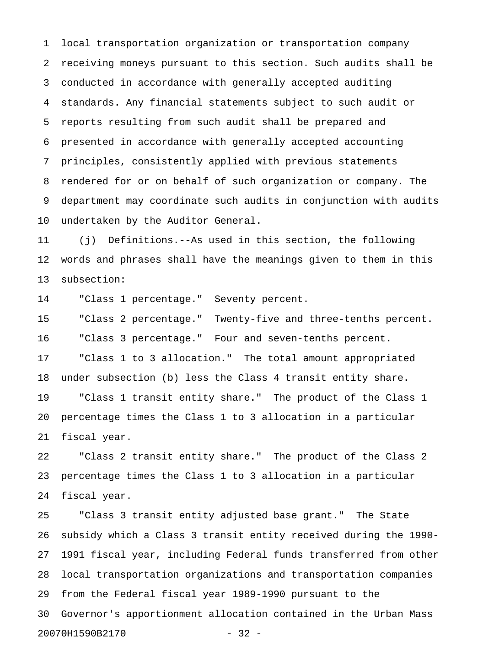1 local transportation organization or transportation company 2 receiving moneys pursuant to this section. Such audits shall be 3 conducted in accordance with generally accepted auditing 4 standards. Any financial statements subject to such audit or 5 reports resulting from such audit shall be prepared and 6 presented in accordance with generally accepted accounting 7 principles, consistently applied with previous statements 8 rendered for or on behalf of such organization or company. The 9 department may coordinate such audits in conjunction with audits 10 undertaken by the Auditor General.

11 (j) Definitions.--As used in this section, the following 12 words and phrases shall have the meanings given to them in this 13 subsection:

14 "Class 1 percentage." Seventy percent.

15 "Class 2 percentage." Twenty-five and three-tenths percent. 16 "Class 3 percentage." Four and seven-tenths percent. 17 "Class 1 to 3 allocation." The total amount appropriated 18 under subsection (b) less the Class 4 transit entity share. 19 "Class 1 transit entity share." The product of the Class 1 20 percentage times the Class 1 to 3 allocation in a particular 21 fiscal year.

22 "Class 2 transit entity share." The product of the Class 2 23 percentage times the Class 1 to 3 allocation in a particular 24 fiscal year.

25 "Class 3 transit entity adjusted base grant." The State 26 subsidy which a Class 3 transit entity received during the 1990- 27 1991 fiscal year, including Federal funds transferred from other 28 local transportation organizations and transportation companies 29 from the Federal fiscal year 1989-1990 pursuant to the 30 Governor's apportionment allocation contained in the Urban Mass 20070H1590B2170 - 32 -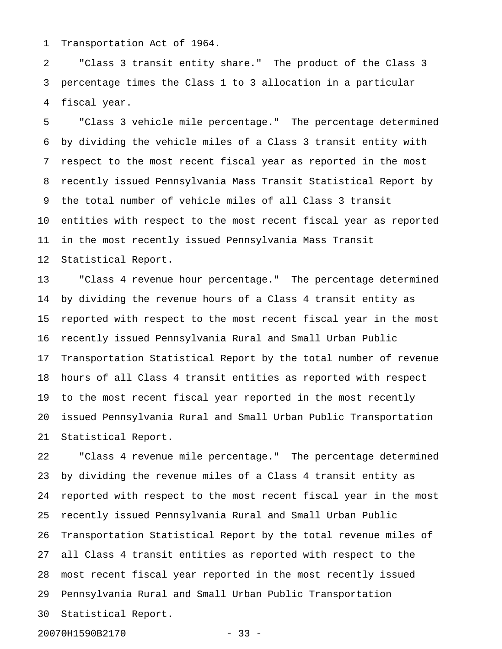1 Transportation Act of 1964.

2 "Class 3 transit entity share." The product of the Class 3 3 percentage times the Class 1 to 3 allocation in a particular 4 fiscal year.

5 "Class 3 vehicle mile percentage." The percentage determined 6 by dividing the vehicle miles of a Class 3 transit entity with 7 respect to the most recent fiscal year as reported in the most 8 recently issued Pennsylvania Mass Transit Statistical Report by 9 the total number of vehicle miles of all Class 3 transit 10 entities with respect to the most recent fiscal year as reported 11 in the most recently issued Pennsylvania Mass Transit 12 Statistical Report.

13 "Class 4 revenue hour percentage." The percentage determined 14 by dividing the revenue hours of a Class 4 transit entity as 15 reported with respect to the most recent fiscal year in the most 16 recently issued Pennsylvania Rural and Small Urban Public 17 Transportation Statistical Report by the total number of revenue 18 hours of all Class 4 transit entities as reported with respect 19 to the most recent fiscal year reported in the most recently 20 issued Pennsylvania Rural and Small Urban Public Transportation 21 Statistical Report.

22 "Class 4 revenue mile percentage." The percentage determined 23 by dividing the revenue miles of a Class 4 transit entity as 24 reported with respect to the most recent fiscal year in the most 25 recently issued Pennsylvania Rural and Small Urban Public 26 Transportation Statistical Report by the total revenue miles of 27 all Class 4 transit entities as reported with respect to the 28 most recent fiscal year reported in the most recently issued 29 Pennsylvania Rural and Small Urban Public Transportation 30 Statistical Report.

20070H1590B2170 - 33 -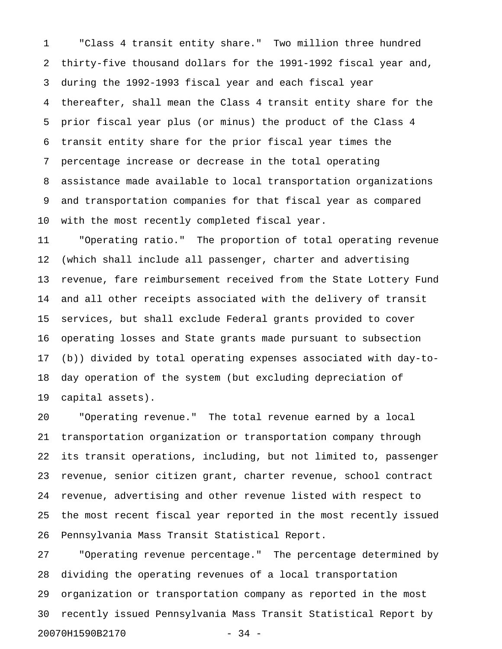1 "Class 4 transit entity share." Two million three hundred 2 thirty-five thousand dollars for the 1991-1992 fiscal year and, 3 during the 1992-1993 fiscal year and each fiscal year 4 thereafter, shall mean the Class 4 transit entity share for the 5 prior fiscal year plus (or minus) the product of the Class 4 6 transit entity share for the prior fiscal year times the 7 percentage increase or decrease in the total operating 8 assistance made available to local transportation organizations 9 and transportation companies for that fiscal year as compared 10 with the most recently completed fiscal year.

11 "Operating ratio." The proportion of total operating revenue 12 (which shall include all passenger, charter and advertising 13 revenue, fare reimbursement received from the State Lottery Fund 14 and all other receipts associated with the delivery of transit 15 services, but shall exclude Federal grants provided to cover 16 operating losses and State grants made pursuant to subsection 17 (b)) divided by total operating expenses associated with day-to-18 day operation of the system (but excluding depreciation of 19 capital assets).

20 "Operating revenue." The total revenue earned by a local 21 transportation organization or transportation company through 22 its transit operations, including, but not limited to, passenger 23 revenue, senior citizen grant, charter revenue, school contract 24 revenue, advertising and other revenue listed with respect to 25 the most recent fiscal year reported in the most recently issued 26 Pennsylvania Mass Transit Statistical Report.

27 "Operating revenue percentage." The percentage determined by 28 dividing the operating revenues of a local transportation 29 organization or transportation company as reported in the most 30 recently issued Pennsylvania Mass Transit Statistical Report by 20070H1590B2170 - 34 -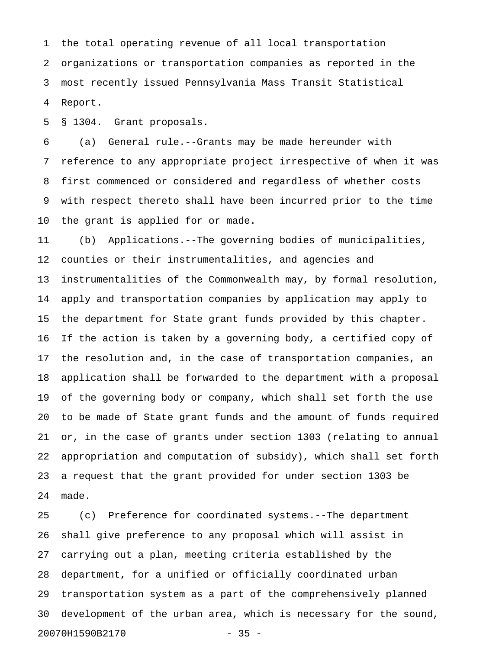1 the total operating revenue of all local transportation 2 organizations or transportation companies as reported in the 3 most recently issued Pennsylvania Mass Transit Statistical 4 Report.

5 § 1304. Grant proposals.

6 (a) General rule.--Grants may be made hereunder with 7 reference to any appropriate project irrespective of when it was 8 first commenced or considered and regardless of whether costs 9 with respect thereto shall have been incurred prior to the time 10 the grant is applied for or made.

11 (b) Applications.--The governing bodies of municipalities, 12 counties or their instrumentalities, and agencies and 13 instrumentalities of the Commonwealth may, by formal resolution, 14 apply and transportation companies by application may apply to 15 the department for State grant funds provided by this chapter. 16 If the action is taken by a governing body, a certified copy of 17 the resolution and, in the case of transportation companies, an 18 application shall be forwarded to the department with a proposal 19 of the governing body or company, which shall set forth the use 20 to be made of State grant funds and the amount of funds required 21 or, in the case of grants under section 1303 (relating to annual 22 appropriation and computation of subsidy), which shall set forth 23 a request that the grant provided for under section 1303 be 24 made.

25 (c) Preference for coordinated systems.--The department 26 shall give preference to any proposal which will assist in 27 carrying out a plan, meeting criteria established by the 28 department, for a unified or officially coordinated urban 29 transportation system as a part of the comprehensively planned 30 development of the urban area, which is necessary for the sound, 20070H1590B2170 - 35 -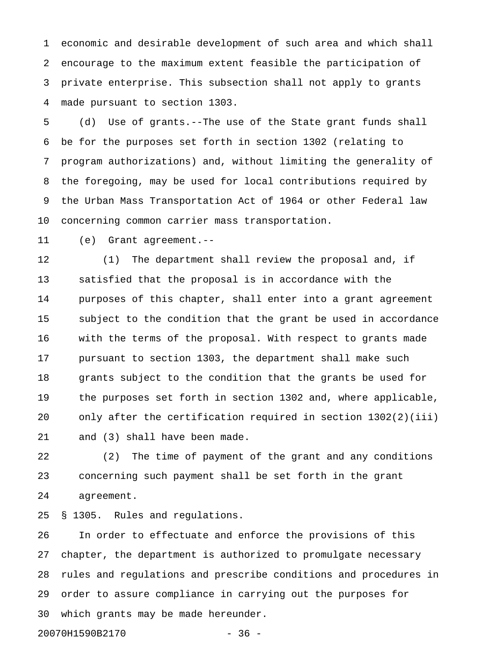1 economic and desirable development of such area and which shall 2 encourage to the maximum extent feasible the participation of 3 private enterprise. This subsection shall not apply to grants 4 made pursuant to section 1303.

5 (d) Use of grants.--The use of the State grant funds shall 6 be for the purposes set forth in section 1302 (relating to 7 program authorizations) and, without limiting the generality of 8 the foregoing, may be used for local contributions required by 9 the Urban Mass Transportation Act of 1964 or other Federal law 10 concerning common carrier mass transportation.

11 (e) Grant agreement.--

12 (1) The department shall review the proposal and, if 13 satisfied that the proposal is in accordance with the 14 purposes of this chapter, shall enter into a grant agreement 15 subject to the condition that the grant be used in accordance 16 with the terms of the proposal. With respect to grants made 17 pursuant to section 1303, the department shall make such 18 grants subject to the condition that the grants be used for 19 the purposes set forth in section 1302 and, where applicable, 20 only after the certification required in section 1302(2)(iii) 21 and (3) shall have been made.

22 (2) The time of payment of the grant and any conditions 23 concerning such payment shall be set forth in the grant 24 agreement.

25 § 1305. Rules and regulations.

26 In order to effectuate and enforce the provisions of this 27 chapter, the department is authorized to promulgate necessary 28 rules and regulations and prescribe conditions and procedures in 29 order to assure compliance in carrying out the purposes for 30 which grants may be made hereunder.

20070H1590B2170 - 36 -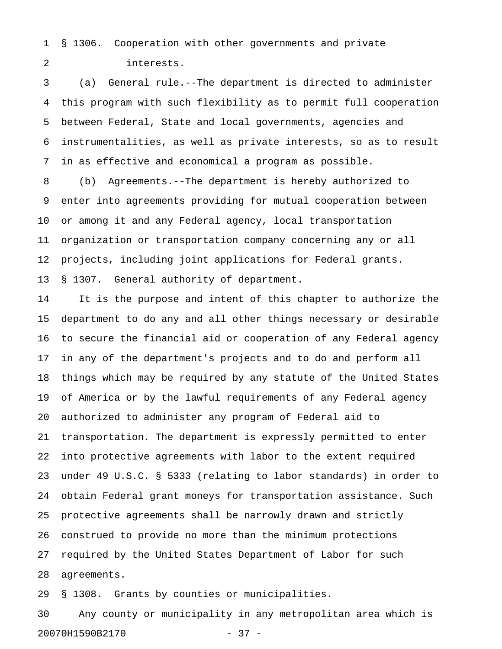1 § 1306. Cooperation with other governments and private 2 interests.

3 (a) General rule.--The department is directed to administer 4 this program with such flexibility as to permit full cooperation 5 between Federal, State and local governments, agencies and 6 instrumentalities, as well as private interests, so as to result 7 in as effective and economical a program as possible.

8 (b) Agreements.--The department is hereby authorized to 9 enter into agreements providing for mutual cooperation between 10 or among it and any Federal agency, local transportation 11 organization or transportation company concerning any or all 12 projects, including joint applications for Federal grants. 13 § 1307. General authority of department.

14 It is the purpose and intent of this chapter to authorize the 15 department to do any and all other things necessary or desirable 16 to secure the financial aid or cooperation of any Federal agency 17 in any of the department's projects and to do and perform all 18 things which may be required by any statute of the United States 19 of America or by the lawful requirements of any Federal agency 20 authorized to administer any program of Federal aid to 21 transportation. The department is expressly permitted to enter 22 into protective agreements with labor to the extent required 23 under 49 U.S.C. § 5333 (relating to labor standards) in order to 24 obtain Federal grant moneys for transportation assistance. Such 25 protective agreements shall be narrowly drawn and strictly 26 construed to provide no more than the minimum protections 27 required by the United States Department of Labor for such 28 agreements.

29 § 1308. Grants by counties or municipalities.

30 Any county or municipality in any metropolitan area which is 20070H1590B2170 - 37 -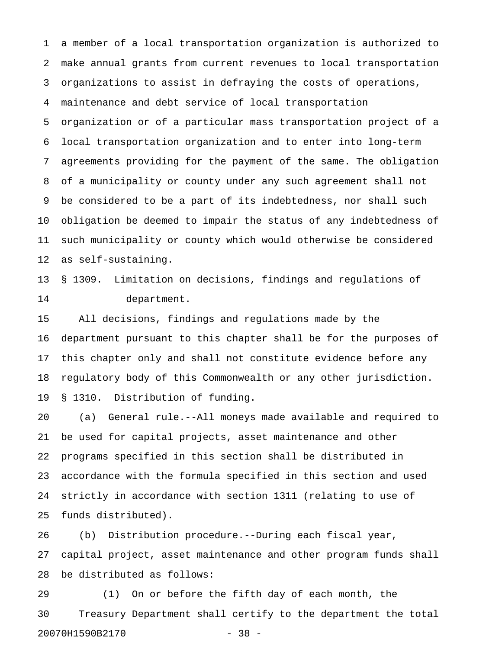1 a member of a local transportation organization is authorized to 2 make annual grants from current revenues to local transportation 3 organizations to assist in defraying the costs of operations, 4 maintenance and debt service of local transportation 5 organization or of a particular mass transportation project of a 6 local transportation organization and to enter into long-term 7 agreements providing for the payment of the same. The obligation 8 of a municipality or county under any such agreement shall not 9 be considered to be a part of its indebtedness, nor shall such 10 obligation be deemed to impair the status of any indebtedness of 11 such municipality or county which would otherwise be considered 12 as self-sustaining.

13 § 1309. Limitation on decisions, findings and regulations of 14 department.

15 All decisions, findings and regulations made by the 16 department pursuant to this chapter shall be for the purposes of 17 this chapter only and shall not constitute evidence before any 18 regulatory body of this Commonwealth or any other jurisdiction. 19 § 1310. Distribution of funding.

20 (a) General rule.--All moneys made available and required to 21 be used for capital projects, asset maintenance and other 22 programs specified in this section shall be distributed in 23 accordance with the formula specified in this section and used 24 strictly in accordance with section 1311 (relating to use of 25 funds distributed).

26 (b) Distribution procedure.--During each fiscal year, 27 capital project, asset maintenance and other program funds shall 28 be distributed as follows:

29 (1) On or before the fifth day of each month, the 30 Treasury Department shall certify to the department the total 20070H1590B2170 - 38 -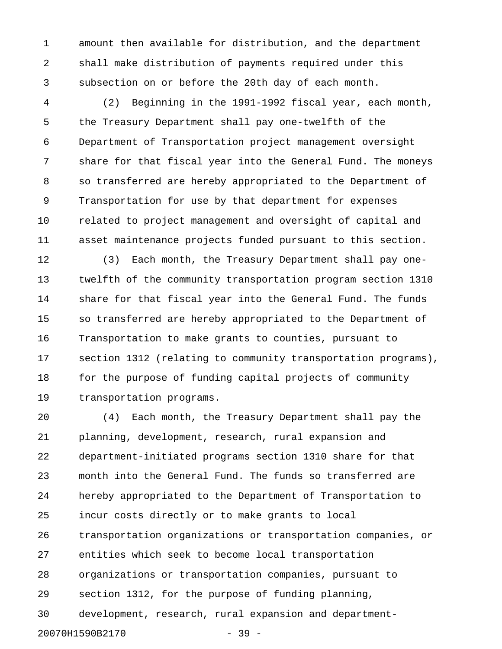1 amount then available for distribution, and the department 2 shall make distribution of payments required under this 3 subsection on or before the 20th day of each month.

4 (2) Beginning in the 1991-1992 fiscal year, each month, 5 the Treasury Department shall pay one-twelfth of the 6 Department of Transportation project management oversight 7 share for that fiscal year into the General Fund. The moneys 8 so transferred are hereby appropriated to the Department of 9 Transportation for use by that department for expenses 10 related to project management and oversight of capital and 11 asset maintenance projects funded pursuant to this section.

12 (3) Each month, the Treasury Department shall pay one-13 twelfth of the community transportation program section 1310 14 share for that fiscal year into the General Fund. The funds 15 so transferred are hereby appropriated to the Department of 16 Transportation to make grants to counties, pursuant to 17 section 1312 (relating to community transportation programs), 18 for the purpose of funding capital projects of community 19 transportation programs.

20 (4) Each month, the Treasury Department shall pay the 21 planning, development, research, rural expansion and 22 department-initiated programs section 1310 share for that 23 month into the General Fund. The funds so transferred are 24 hereby appropriated to the Department of Transportation to 25 incur costs directly or to make grants to local 26 transportation organizations or transportation companies, or 27 entities which seek to become local transportation 28 organizations or transportation companies, pursuant to 29 section 1312, for the purpose of funding planning, 30 development, research, rural expansion and department-20070H1590B2170 - 39 -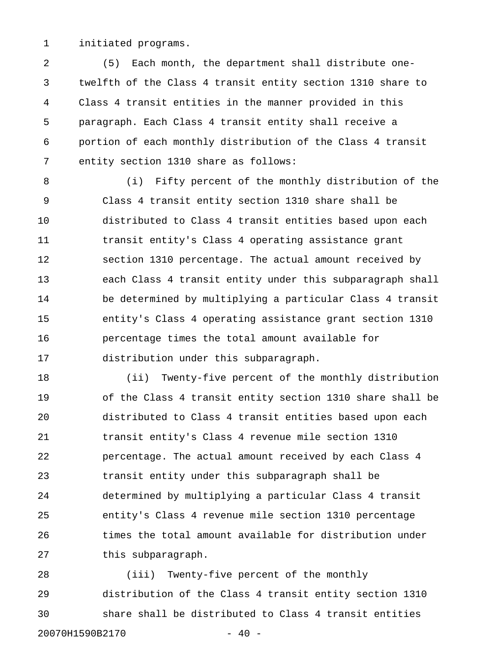1 initiated programs.

2 (5) Each month, the department shall distribute one-3 twelfth of the Class 4 transit entity section 1310 share to 4 Class 4 transit entities in the manner provided in this 5 paragraph. Each Class 4 transit entity shall receive a 6 portion of each monthly distribution of the Class 4 transit 7 entity section 1310 share as follows:

8 (i) Fifty percent of the monthly distribution of the 9 Class 4 transit entity section 1310 share shall be 10 distributed to Class 4 transit entities based upon each 11 transit entity's Class 4 operating assistance grant 12 section 1310 percentage. The actual amount received by 13 each Class 4 transit entity under this subparagraph shall 14 be determined by multiplying a particular Class 4 transit 15 entity's Class 4 operating assistance grant section 1310 16 percentage times the total amount available for 17 distribution under this subparagraph.

18 (ii) Twenty-five percent of the monthly distribution 19 of the Class 4 transit entity section 1310 share shall be 20 distributed to Class 4 transit entities based upon each 21 transit entity's Class 4 revenue mile section 1310 22 percentage. The actual amount received by each Class 4 23 transit entity under this subparagraph shall be 24 determined by multiplying a particular Class 4 transit 25 entity's Class 4 revenue mile section 1310 percentage 26 times the total amount available for distribution under 27 this subparagraph.

28 (iii) Twenty-five percent of the monthly 29 distribution of the Class 4 transit entity section 1310 30 share shall be distributed to Class 4 transit entities 20070H1590B2170 - 40 -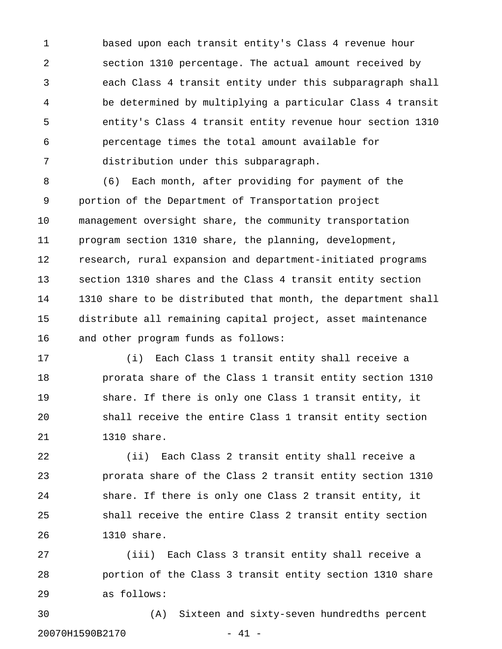1 based upon each transit entity's Class 4 revenue hour 2 section 1310 percentage. The actual amount received by 3 each Class 4 transit entity under this subparagraph shall 4 be determined by multiplying a particular Class 4 transit 5 entity's Class 4 transit entity revenue hour section 1310 6 percentage times the total amount available for 7 distribution under this subparagraph.

8 (6) Each month, after providing for payment of the 9 portion of the Department of Transportation project 10 management oversight share, the community transportation 11 program section 1310 share, the planning, development, 12 research, rural expansion and department-initiated programs 13 section 1310 shares and the Class 4 transit entity section 14 1310 share to be distributed that month, the department shall 15 distribute all remaining capital project, asset maintenance 16 and other program funds as follows:

17 (i) Each Class 1 transit entity shall receive a 18 prorata share of the Class 1 transit entity section 1310 19 share. If there is only one Class 1 transit entity, it 20 shall receive the entire Class 1 transit entity section 21 1310 share.

22 (ii) Each Class 2 transit entity shall receive a 23 prorata share of the Class 2 transit entity section 1310 24 share. If there is only one Class 2 transit entity, it 25 shall receive the entire Class 2 transit entity section 26 1310 share.

27 (iii) Each Class 3 transit entity shall receive a 28 portion of the Class 3 transit entity section 1310 share 29 as follows:

30 (A) Sixteen and sixty-seven hundredths percent 20070H1590B2170 - 41 -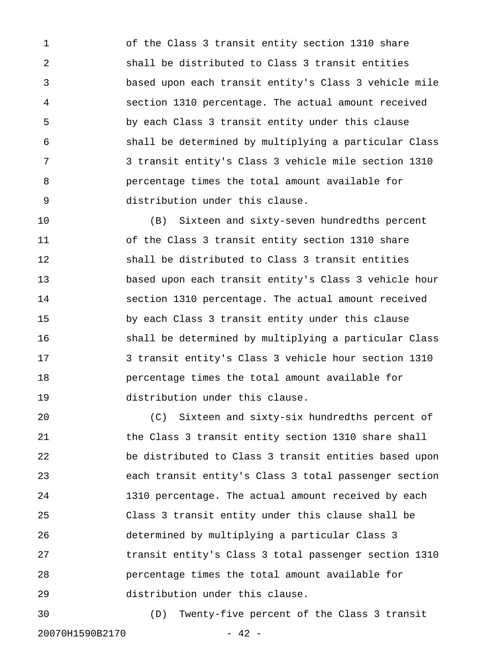1 of the Class 3 transit entity section 1310 share 2 shall be distributed to Class 3 transit entities 3 based upon each transit entity's Class 3 vehicle mile 4 section 1310 percentage. The actual amount received 5 by each Class 3 transit entity under this clause 6 shall be determined by multiplying a particular Class 7 3 transit entity's Class 3 vehicle mile section 1310 8 percentage times the total amount available for 9 distribution under this clause.

10 (B) Sixteen and sixty-seven hundredths percent 11 of the Class 3 transit entity section 1310 share 12 shall be distributed to Class 3 transit entities 13 based upon each transit entity's Class 3 vehicle hour 14 section 1310 percentage. The actual amount received 15 by each Class 3 transit entity under this clause 16 shall be determined by multiplying a particular Class 17 3 transit entity's Class 3 vehicle hour section 1310 18 percentage times the total amount available for 19 distribution under this clause.

20 (C) Sixteen and sixty-six hundredths percent of 21 the Class 3 transit entity section 1310 share shall 22 be distributed to Class 3 transit entities based upon 23 each transit entity's Class 3 total passenger section 24 1310 percentage. The actual amount received by each 25 Class 3 transit entity under this clause shall be 26 determined by multiplying a particular Class 3 27 transit entity's Class 3 total passenger section 1310 28 percentage times the total amount available for 29 distribution under this clause.

30 (D) Twenty-five percent of the Class 3 transit 20070H1590B2170 - 42 -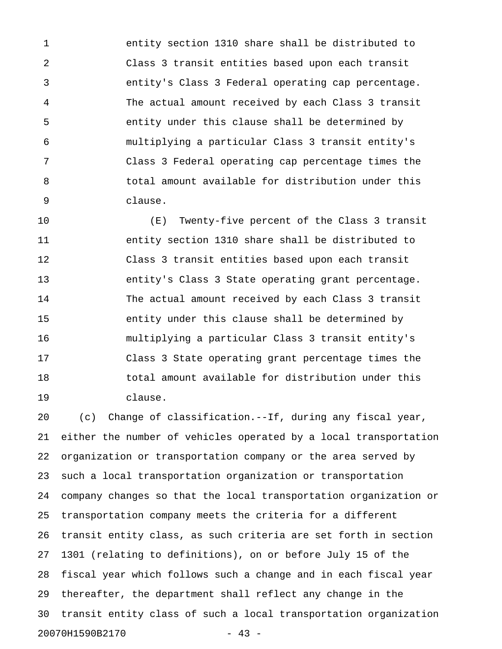1 entity section 1310 share shall be distributed to 2 Class 3 transit entities based upon each transit 3 entity's Class 3 Federal operating cap percentage. 4 The actual amount received by each Class 3 transit 5 entity under this clause shall be determined by 6 multiplying a particular Class 3 transit entity's 7 Class 3 Federal operating cap percentage times the 8 total amount available for distribution under this 9 clause.

10 (E) Twenty-five percent of the Class 3 transit 11 entity section 1310 share shall be distributed to 12 Class 3 transit entities based upon each transit 13 entity's Class 3 State operating grant percentage. 14 The actual amount received by each Class 3 transit 15 entity under this clause shall be determined by 16 multiplying a particular Class 3 transit entity's 17 Class 3 State operating grant percentage times the 18 total amount available for distribution under this 19 clause.

20 (c) Change of classification.--If, during any fiscal year, 21 either the number of vehicles operated by a local transportation 22 organization or transportation company or the area served by 23 such a local transportation organization or transportation 24 company changes so that the local transportation organization or 25 transportation company meets the criteria for a different 26 transit entity class, as such criteria are set forth in section 27 1301 (relating to definitions), on or before July 15 of the 28 fiscal year which follows such a change and in each fiscal year 29 thereafter, the department shall reflect any change in the 30 transit entity class of such a local transportation organization 20070H1590B2170 - 43 -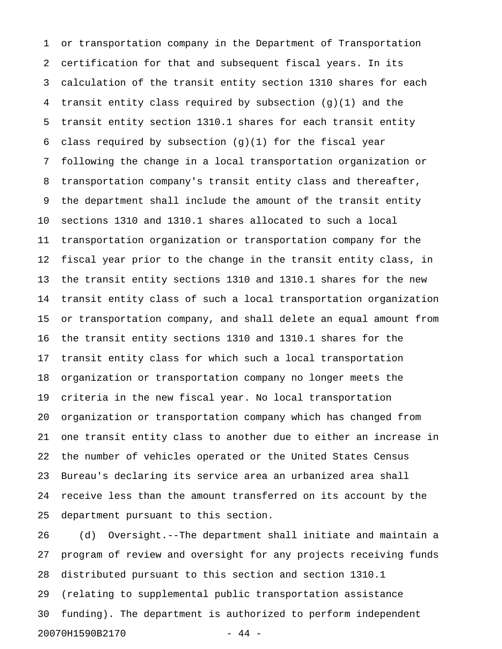1 or transportation company in the Department of Transportation 2 certification for that and subsequent fiscal years. In its 3 calculation of the transit entity section 1310 shares for each 4 transit entity class required by subsection (g)(1) and the 5 transit entity section 1310.1 shares for each transit entity 6 class required by subsection  $(g)(1)$  for the fiscal year 7 following the change in a local transportation organization or 8 transportation company's transit entity class and thereafter, 9 the department shall include the amount of the transit entity 10 sections 1310 and 1310.1 shares allocated to such a local 11 transportation organization or transportation company for the 12 fiscal year prior to the change in the transit entity class, in 13 the transit entity sections 1310 and 1310.1 shares for the new 14 transit entity class of such a local transportation organization 15 or transportation company, and shall delete an equal amount from 16 the transit entity sections 1310 and 1310.1 shares for the 17 transit entity class for which such a local transportation 18 organization or transportation company no longer meets the 19 criteria in the new fiscal year. No local transportation 20 organization or transportation company which has changed from 21 one transit entity class to another due to either an increase in 22 the number of vehicles operated or the United States Census 23 Bureau's declaring its service area an urbanized area shall 24 receive less than the amount transferred on its account by the 25 department pursuant to this section.

26 (d) Oversight.--The department shall initiate and maintain a 27 program of review and oversight for any projects receiving funds 28 distributed pursuant to this section and section 1310.1 29 (relating to supplemental public transportation assistance 30 funding). The department is authorized to perform independent 20070H1590B2170 - 44 -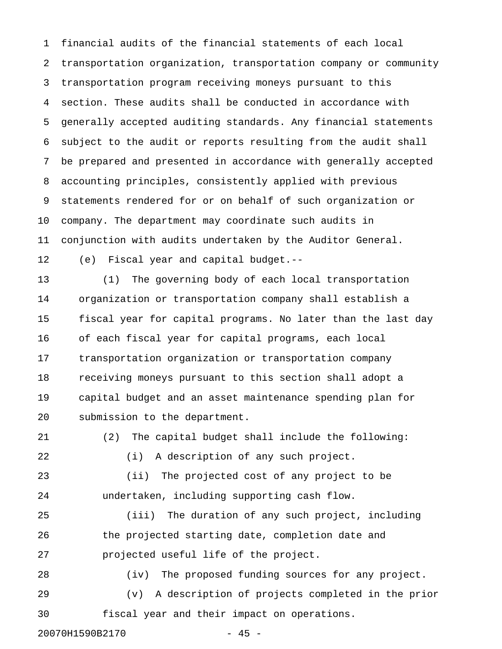1 financial audits of the financial statements of each local 2 transportation organization, transportation company or community 3 transportation program receiving moneys pursuant to this 4 section. These audits shall be conducted in accordance with 5 generally accepted auditing standards. Any financial statements 6 subject to the audit or reports resulting from the audit shall 7 be prepared and presented in accordance with generally accepted 8 accounting principles, consistently applied with previous 9 statements rendered for or on behalf of such organization or 10 company. The department may coordinate such audits in 11 conjunction with audits undertaken by the Auditor General.

12 (e) Fiscal year and capital budget.--

13 (1) The governing body of each local transportation 14 organization or transportation company shall establish a 15 fiscal year for capital programs. No later than the last day 16 of each fiscal year for capital programs, each local 17 transportation organization or transportation company 18 receiving moneys pursuant to this section shall adopt a 19 capital budget and an asset maintenance spending plan for 20 submission to the department.

21 (2) The capital budget shall include the following: 22 (i) A description of any such project. 23 (ii) The projected cost of any project to be

24 undertaken, including supporting cash flow.

25 (iii) The duration of any such project, including 26 the projected starting date, completion date and 27 projected useful life of the project.

28 (iv) The proposed funding sources for any project. 29 (v) A description of projects completed in the prior 30 fiscal year and their impact on operations.

20070H1590B2170 - 45 -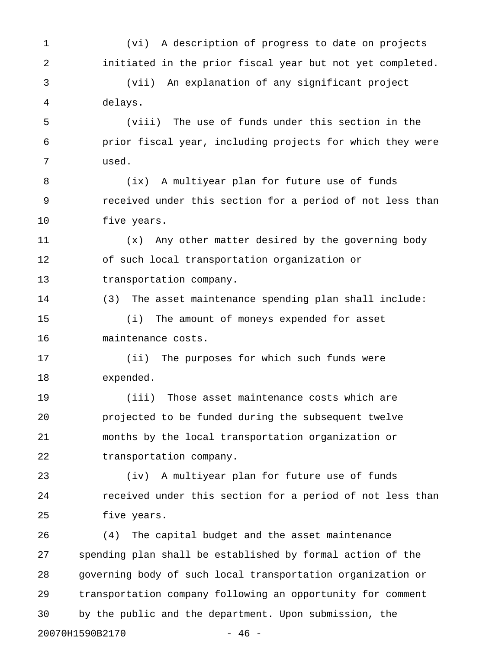1 (vi) A description of progress to date on projects 2 initiated in the prior fiscal year but not yet completed. 3 (vii) An explanation of any significant project 4 delays. 5 (viii) The use of funds under this section in the 6 prior fiscal year, including projects for which they were 7 used. 8 (ix) A multiyear plan for future use of funds 9 received under this section for a period of not less than 10 five years. 11 (x) Any other matter desired by the governing body 12 of such local transportation organization or 13 transportation company. 14 (3) The asset maintenance spending plan shall include: 15 (i) The amount of moneys expended for asset 16 maintenance costs. 17 (ii) The purposes for which such funds were 18 expended. 19 (iii) Those asset maintenance costs which are 20 projected to be funded during the subsequent twelve 21 months by the local transportation organization or 22 transportation company. 23 (iv) A multiyear plan for future use of funds 24 received under this section for a period of not less than 25 five years. 26 (4) The capital budget and the asset maintenance 27 spending plan shall be established by formal action of the 28 governing body of such local transportation organization or 29 transportation company following an opportunity for comment

30 by the public and the department. Upon submission, the

20070H1590B2170 - 46 -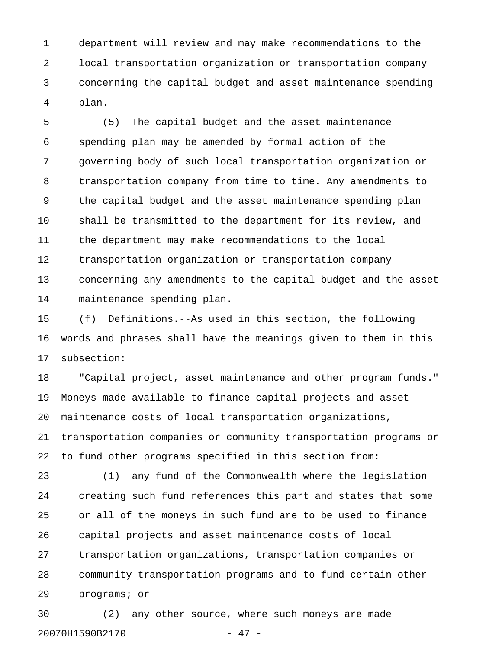1 department will review and may make recommendations to the 2 local transportation organization or transportation company 3 concerning the capital budget and asset maintenance spending 4 plan.

5 (5) The capital budget and the asset maintenance 6 spending plan may be amended by formal action of the 7 governing body of such local transportation organization or 8 transportation company from time to time. Any amendments to 9 the capital budget and the asset maintenance spending plan 10 shall be transmitted to the department for its review, and 11 the department may make recommendations to the local 12 transportation organization or transportation company 13 concerning any amendments to the capital budget and the asset 14 maintenance spending plan.

15 (f) Definitions.--As used in this section, the following 16 words and phrases shall have the meanings given to them in this 17 subsection:

18 "Capital project, asset maintenance and other program funds." 19 Moneys made available to finance capital projects and asset 20 maintenance costs of local transportation organizations, 21 transportation companies or community transportation programs or 22 to fund other programs specified in this section from:

23 (1) any fund of the Commonwealth where the legislation 24 creating such fund references this part and states that some 25 or all of the moneys in such fund are to be used to finance 26 capital projects and asset maintenance costs of local 27 transportation organizations, transportation companies or 28 community transportation programs and to fund certain other 29 programs; or

30 (2) any other source, where such moneys are made 20070H1590B2170 - 47 -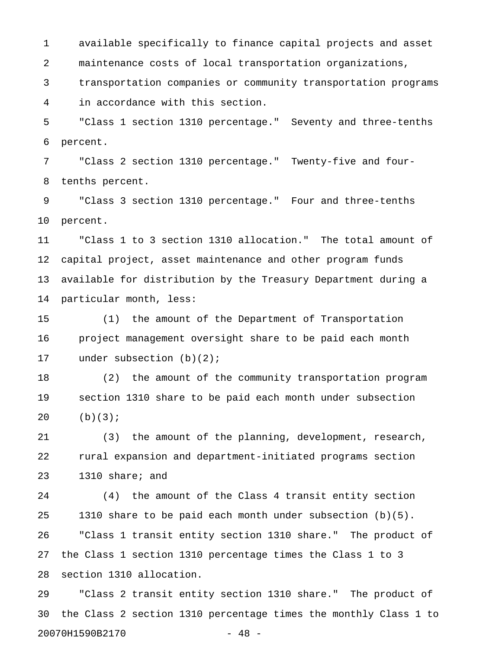1 available specifically to finance capital projects and asset 2 maintenance costs of local transportation organizations, 3 transportation companies or community transportation programs

4 in accordance with this section.

5 "Class 1 section 1310 percentage." Seventy and three-tenths 6 percent.

7 "Class 2 section 1310 percentage." Twenty-five and four-8 tenths percent.

9 "Class 3 section 1310 percentage." Four and three-tenths 10 percent.

11 "Class 1 to 3 section 1310 allocation." The total amount of 12 capital project, asset maintenance and other program funds 13 available for distribution by the Treasury Department during a 14 particular month, less:

15 (1) the amount of the Department of Transportation 16 project management oversight share to be paid each month 17 under subsection (b)(2);

18 (2) the amount of the community transportation program 19 section 1310 share to be paid each month under subsection 20 (b)(3);

21 (3) the amount of the planning, development, research, 22 rural expansion and department-initiated programs section 23 1310 share; and

24 (4) the amount of the Class 4 transit entity section 25 1310 share to be paid each month under subsection (b)(5). 26 "Class 1 transit entity section 1310 share." The product of 27 the Class 1 section 1310 percentage times the Class 1 to 3 28 section 1310 allocation.

29 "Class 2 transit entity section 1310 share." The product of 30 the Class 2 section 1310 percentage times the monthly Class 1 to 20070H1590B2170 - 48 -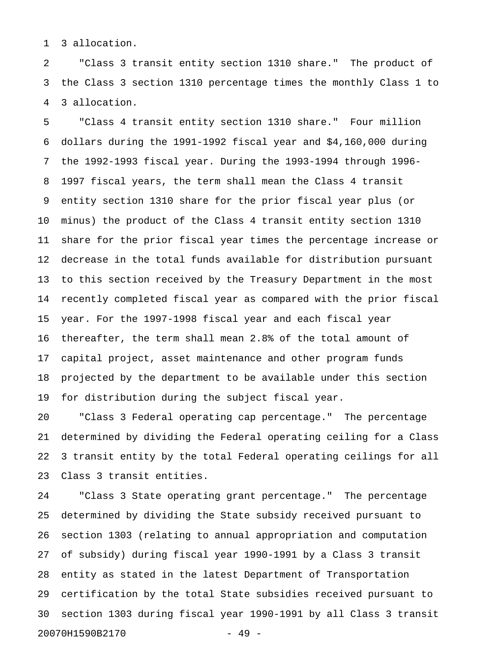1 3 allocation.

2 "Class 3 transit entity section 1310 share." The product of 3 the Class 3 section 1310 percentage times the monthly Class 1 to 4 3 allocation.

5 "Class 4 transit entity section 1310 share." Four million 6 dollars during the 1991-1992 fiscal year and \$4,160,000 during 7 the 1992-1993 fiscal year. During the 1993-1994 through 1996- 8 1997 fiscal years, the term shall mean the Class 4 transit 9 entity section 1310 share for the prior fiscal year plus (or 10 minus) the product of the Class 4 transit entity section 1310 11 share for the prior fiscal year times the percentage increase or 12 decrease in the total funds available for distribution pursuant 13 to this section received by the Treasury Department in the most 14 recently completed fiscal year as compared with the prior fiscal 15 year. For the 1997-1998 fiscal year and each fiscal year 16 thereafter, the term shall mean 2.8% of the total amount of 17 capital project, asset maintenance and other program funds 18 projected by the department to be available under this section 19 for distribution during the subject fiscal year.

20 "Class 3 Federal operating cap percentage." The percentage 21 determined by dividing the Federal operating ceiling for a Class 22 3 transit entity by the total Federal operating ceilings for all 23 Class 3 transit entities.

24 "Class 3 State operating grant percentage." The percentage 25 determined by dividing the State subsidy received pursuant to 26 section 1303 (relating to annual appropriation and computation 27 of subsidy) during fiscal year 1990-1991 by a Class 3 transit 28 entity as stated in the latest Department of Transportation 29 certification by the total State subsidies received pursuant to 30 section 1303 during fiscal year 1990-1991 by all Class 3 transit 20070H1590B2170 - 49 -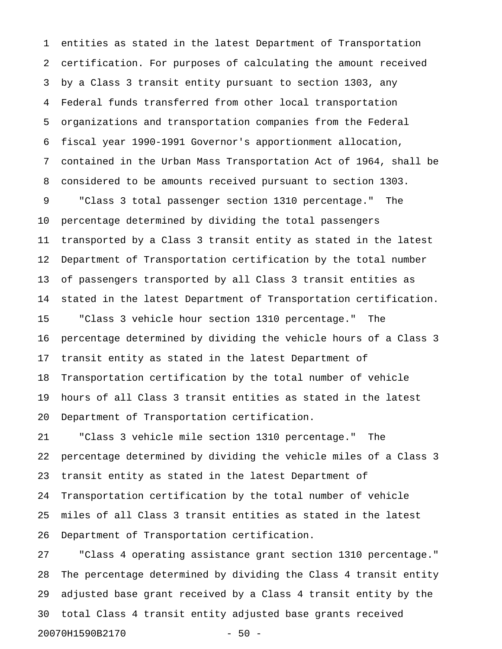1 entities as stated in the latest Department of Transportation 2 certification. For purposes of calculating the amount received 3 by a Class 3 transit entity pursuant to section 1303, any 4 Federal funds transferred from other local transportation 5 organizations and transportation companies from the Federal 6 fiscal year 1990-1991 Governor's apportionment allocation, 7 contained in the Urban Mass Transportation Act of 1964, shall be 8 considered to be amounts received pursuant to section 1303. 9 "Class 3 total passenger section 1310 percentage." The 10 percentage determined by dividing the total passengers 11 transported by a Class 3 transit entity as stated in the latest 12 Department of Transportation certification by the total number 13 of passengers transported by all Class 3 transit entities as 14 stated in the latest Department of Transportation certification. 15 "Class 3 vehicle hour section 1310 percentage." The 16 percentage determined by dividing the vehicle hours of a Class 3 17 transit entity as stated in the latest Department of 18 Transportation certification by the total number of vehicle 19 hours of all Class 3 transit entities as stated in the latest 20 Department of Transportation certification.

21 "Class 3 vehicle mile section 1310 percentage." The 22 percentage determined by dividing the vehicle miles of a Class 3 23 transit entity as stated in the latest Department of 24 Transportation certification by the total number of vehicle 25 miles of all Class 3 transit entities as stated in the latest 26 Department of Transportation certification.

27 "Class 4 operating assistance grant section 1310 percentage." 28 The percentage determined by dividing the Class 4 transit entity 29 adjusted base grant received by a Class 4 transit entity by the 30 total Class 4 transit entity adjusted base grants received 20070H1590B2170 - 50 -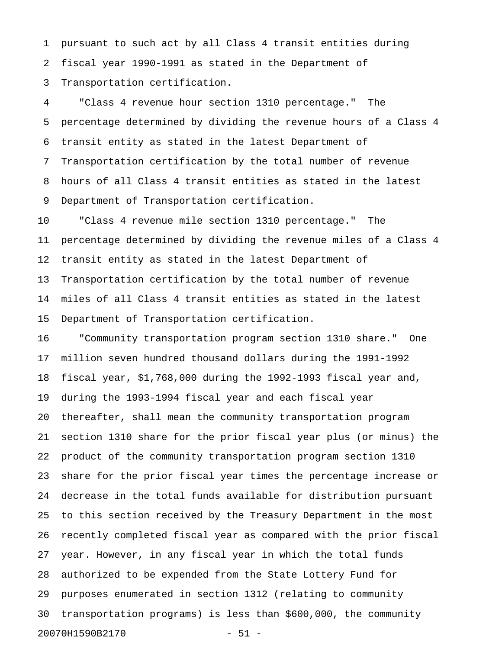1 pursuant to such act by all Class 4 transit entities during 2 fiscal year 1990-1991 as stated in the Department of 3 Transportation certification.

4 "Class 4 revenue hour section 1310 percentage." The 5 percentage determined by dividing the revenue hours of a Class 4 6 transit entity as stated in the latest Department of 7 Transportation certification by the total number of revenue 8 hours of all Class 4 transit entities as stated in the latest 9 Department of Transportation certification.

10 "Class 4 revenue mile section 1310 percentage." The 11 percentage determined by dividing the revenue miles of a Class 4 12 transit entity as stated in the latest Department of 13 Transportation certification by the total number of revenue 14 miles of all Class 4 transit entities as stated in the latest 15 Department of Transportation certification.

16 "Community transportation program section 1310 share." One 17 million seven hundred thousand dollars during the 1991-1992 18 fiscal year, \$1,768,000 during the 1992-1993 fiscal year and, 19 during the 1993-1994 fiscal year and each fiscal year 20 thereafter, shall mean the community transportation program 21 section 1310 share for the prior fiscal year plus (or minus) the 22 product of the community transportation program section 1310 23 share for the prior fiscal year times the percentage increase or 24 decrease in the total funds available for distribution pursuant 25 to this section received by the Treasury Department in the most 26 recently completed fiscal year as compared with the prior fiscal 27 year. However, in any fiscal year in which the total funds 28 authorized to be expended from the State Lottery Fund for 29 purposes enumerated in section 1312 (relating to community 30 transportation programs) is less than \$600,000, the community 20070H1590B2170 - 51 -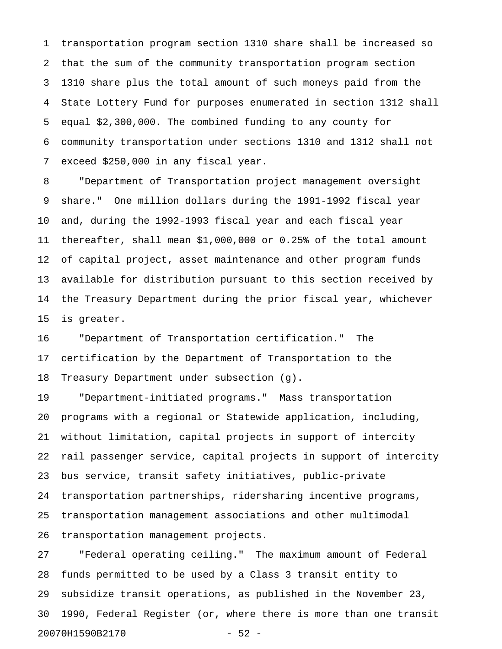1 transportation program section 1310 share shall be increased so 2 that the sum of the community transportation program section 3 1310 share plus the total amount of such moneys paid from the 4 State Lottery Fund for purposes enumerated in section 1312 shall 5 equal \$2,300,000. The combined funding to any county for 6 community transportation under sections 1310 and 1312 shall not 7 exceed \$250,000 in any fiscal year.

8 "Department of Transportation project management oversight 9 share." One million dollars during the 1991-1992 fiscal year 10 and, during the 1992-1993 fiscal year and each fiscal year 11 thereafter, shall mean \$1,000,000 or 0.25% of the total amount 12 of capital project, asset maintenance and other program funds 13 available for distribution pursuant to this section received by 14 the Treasury Department during the prior fiscal year, whichever 15 is greater.

16 "Department of Transportation certification." The 17 certification by the Department of Transportation to the 18 Treasury Department under subsection (g).

19 "Department-initiated programs." Mass transportation 20 programs with a regional or Statewide application, including, 21 without limitation, capital projects in support of intercity 22 rail passenger service, capital projects in support of intercity 23 bus service, transit safety initiatives, public-private 24 transportation partnerships, ridersharing incentive programs, 25 transportation management associations and other multimodal 26 transportation management projects.

27 "Federal operating ceiling." The maximum amount of Federal 28 funds permitted to be used by a Class 3 transit entity to 29 subsidize transit operations, as published in the November 23, 30 1990, Federal Register (or, where there is more than one transit 20070H1590B2170 - 52 -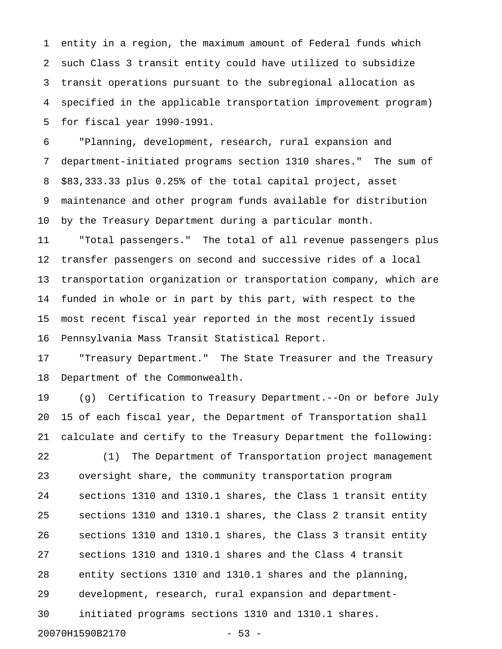1 entity in a region, the maximum amount of Federal funds which 2 such Class 3 transit entity could have utilized to subsidize 3 transit operations pursuant to the subregional allocation as 4 specified in the applicable transportation improvement program) 5 for fiscal year 1990-1991.

6 "Planning, development, research, rural expansion and 7 department-initiated programs section 1310 shares." The sum of 8 \$83,333.33 plus 0.25% of the total capital project, asset 9 maintenance and other program funds available for distribution 10 by the Treasury Department during a particular month.

11 "Total passengers." The total of all revenue passengers plus 12 transfer passengers on second and successive rides of a local 13 transportation organization or transportation company, which are 14 funded in whole or in part by this part, with respect to the 15 most recent fiscal year reported in the most recently issued 16 Pennsylvania Mass Transit Statistical Report.

17 "Treasury Department." The State Treasurer and the Treasury 18 Department of the Commonwealth.

19 (g) Certification to Treasury Department.--On or before July 20 15 of each fiscal year, the Department of Transportation shall 21 calculate and certify to the Treasury Department the following:

22 (1) The Department of Transportation project management 23 oversight share, the community transportation program 24 sections 1310 and 1310.1 shares, the Class 1 transit entity 25 sections 1310 and 1310.1 shares, the Class 2 transit entity 26 sections 1310 and 1310.1 shares, the Class 3 transit entity 27 sections 1310 and 1310.1 shares and the Class 4 transit 28 entity sections 1310 and 1310.1 shares and the planning, 29 development, research, rural expansion and department-30 initiated programs sections 1310 and 1310.1 shares. 20070H1590B2170 - 53 -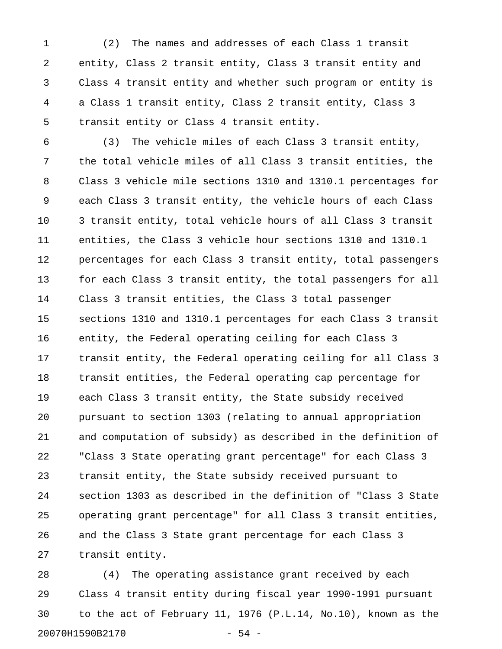1 (2) The names and addresses of each Class 1 transit 2 entity, Class 2 transit entity, Class 3 transit entity and 3 Class 4 transit entity and whether such program or entity is 4 a Class 1 transit entity, Class 2 transit entity, Class 3 5 transit entity or Class 4 transit entity.

6 (3) The vehicle miles of each Class 3 transit entity, 7 the total vehicle miles of all Class 3 transit entities, the 8 Class 3 vehicle mile sections 1310 and 1310.1 percentages for 9 each Class 3 transit entity, the vehicle hours of each Class 10 3 transit entity, total vehicle hours of all Class 3 transit 11 entities, the Class 3 vehicle hour sections 1310 and 1310.1 12 percentages for each Class 3 transit entity, total passengers 13 for each Class 3 transit entity, the total passengers for all 14 Class 3 transit entities, the Class 3 total passenger 15 sections 1310 and 1310.1 percentages for each Class 3 transit 16 entity, the Federal operating ceiling for each Class 3 17 transit entity, the Federal operating ceiling for all Class 3 18 transit entities, the Federal operating cap percentage for 19 each Class 3 transit entity, the State subsidy received 20 pursuant to section 1303 (relating to annual appropriation 21 and computation of subsidy) as described in the definition of 22 "Class 3 State operating grant percentage" for each Class 3 23 transit entity, the State subsidy received pursuant to 24 section 1303 as described in the definition of "Class 3 State 25 operating grant percentage" for all Class 3 transit entities, 26 and the Class 3 State grant percentage for each Class 3 27 transit entity.

28 (4) The operating assistance grant received by each 29 Class 4 transit entity during fiscal year 1990-1991 pursuant 30 to the act of February 11, 1976 (P.L.14, No.10), known as the 20070H1590B2170 - 54 -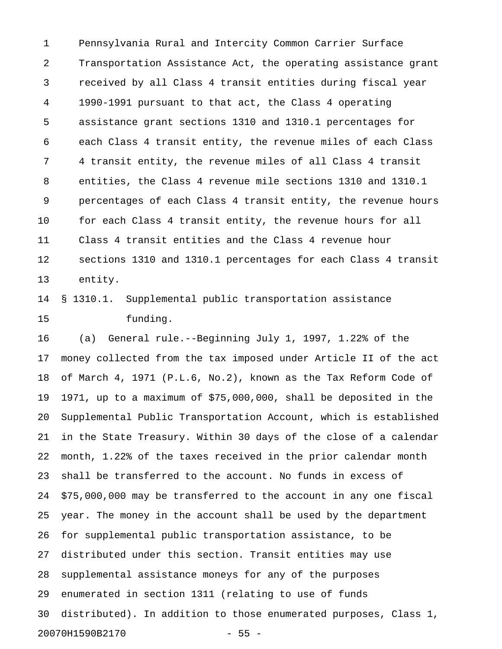1 Pennsylvania Rural and Intercity Common Carrier Surface 2 Transportation Assistance Act, the operating assistance grant 3 received by all Class 4 transit entities during fiscal year 4 1990-1991 pursuant to that act, the Class 4 operating 5 assistance grant sections 1310 and 1310.1 percentages for 6 each Class 4 transit entity, the revenue miles of each Class 7 4 transit entity, the revenue miles of all Class 4 transit 8 entities, the Class 4 revenue mile sections 1310 and 1310.1 9 percentages of each Class 4 transit entity, the revenue hours 10 for each Class 4 transit entity, the revenue hours for all 11 Class 4 transit entities and the Class 4 revenue hour 12 sections 1310 and 1310.1 percentages for each Class 4 transit 13 entity.

14 § 1310.1. Supplemental public transportation assistance 15 funding.

16 (a) General rule.--Beginning July 1, 1997, 1.22% of the 17 money collected from the tax imposed under Article II of the act 18 of March 4, 1971 (P.L.6, No.2), known as the Tax Reform Code of 19 1971, up to a maximum of \$75,000,000, shall be deposited in the 20 Supplemental Public Transportation Account, which is established 21 in the State Treasury. Within 30 days of the close of a calendar 22 month, 1.22% of the taxes received in the prior calendar month 23 shall be transferred to the account. No funds in excess of 24 \$75,000,000 may be transferred to the account in any one fiscal 25 year. The money in the account shall be used by the department 26 for supplemental public transportation assistance, to be 27 distributed under this section. Transit entities may use 28 supplemental assistance moneys for any of the purposes 29 enumerated in section 1311 (relating to use of funds 30 distributed). In addition to those enumerated purposes, Class 1, 20070H1590B2170 - 55 -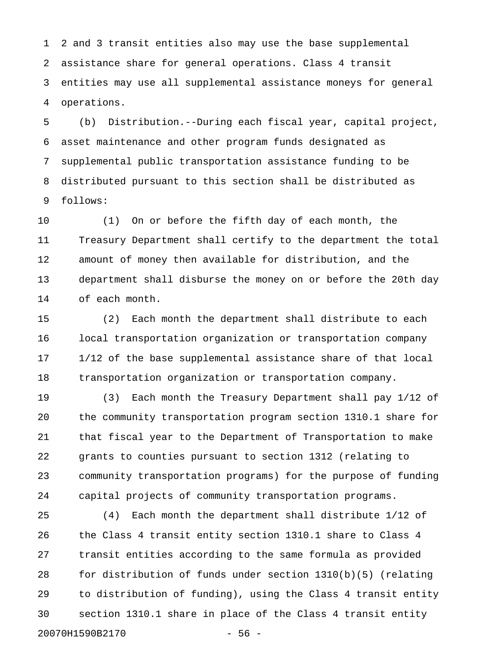1 2 and 3 transit entities also may use the base supplemental 2 assistance share for general operations. Class 4 transit 3 entities may use all supplemental assistance moneys for general 4 operations.

5 (b) Distribution.--During each fiscal year, capital project, 6 asset maintenance and other program funds designated as 7 supplemental public transportation assistance funding to be 8 distributed pursuant to this section shall be distributed as 9 follows:

10 (1) On or before the fifth day of each month, the 11 Treasury Department shall certify to the department the total 12 amount of money then available for distribution, and the 13 department shall disburse the money on or before the 20th day 14 of each month.

15 (2) Each month the department shall distribute to each 16 local transportation organization or transportation company 17 1/12 of the base supplemental assistance share of that local 18 transportation organization or transportation company.

19 (3) Each month the Treasury Department shall pay 1/12 of 20 the community transportation program section 1310.1 share for 21 that fiscal year to the Department of Transportation to make 22 grants to counties pursuant to section 1312 (relating to 23 community transportation programs) for the purpose of funding 24 capital projects of community transportation programs.

25 (4) Each month the department shall distribute 1/12 of 26 the Class 4 transit entity section 1310.1 share to Class 4 27 transit entities according to the same formula as provided 28 for distribution of funds under section 1310(b)(5) (relating 29 to distribution of funding), using the Class 4 transit entity 30 section 1310.1 share in place of the Class 4 transit entity 20070H1590B2170 - 56 -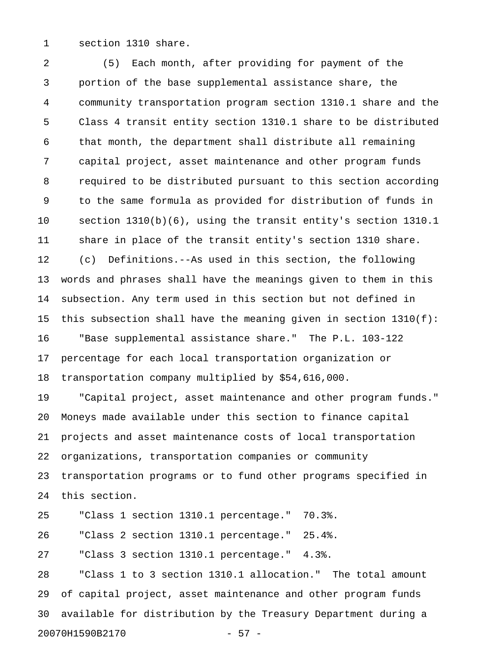1 section 1310 share.

2 (5) Each month, after providing for payment of the 3 portion of the base supplemental assistance share, the 4 community transportation program section 1310.1 share and the 5 Class 4 transit entity section 1310.1 share to be distributed 6 that month, the department shall distribute all remaining 7 capital project, asset maintenance and other program funds 8 required to be distributed pursuant to this section according 9 to the same formula as provided for distribution of funds in 10 section 1310(b)(6), using the transit entity's section 1310.1 11 share in place of the transit entity's section 1310 share. 12 (c) Definitions.--As used in this section, the following 13 words and phrases shall have the meanings given to them in this 14 subsection. Any term used in this section but not defined in 15 this subsection shall have the meaning given in section 1310(f): 16 "Base supplemental assistance share." The P.L. 103-122 17 percentage for each local transportation organization or 18 transportation company multiplied by \$54,616,000. 19 "Capital project, asset maintenance and other program funds." 20 Moneys made available under this section to finance capital 21 projects and asset maintenance costs of local transportation 22 organizations, transportation companies or community 23 transportation programs or to fund other programs specified in 24 this section. 25 "Class 1 section 1310.1 percentage." 70.3%. 26 "Class 2 section 1310.1 percentage." 25.4%. 27 "Class 3 section 1310.1 percentage." 4.3%. 28 "Class 1 to 3 section 1310.1 allocation." The total amount 29 of capital project, asset maintenance and other program funds 30 available for distribution by the Treasury Department during a

20070H1590B2170 - 57 -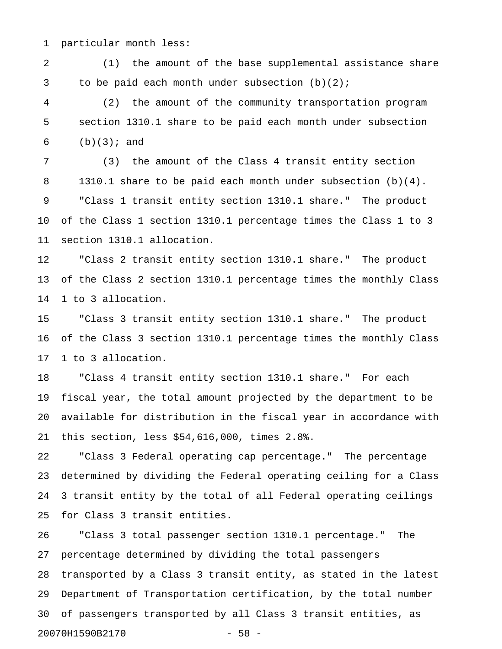1 particular month less:

2 (1) the amount of the base supplemental assistance share 3 to be paid each month under subsection (b)(2);

4 (2) the amount of the community transportation program 5 section 1310.1 share to be paid each month under subsection 6  $(b)(3);$  and

7 (3) the amount of the Class 4 transit entity section 8 1310.1 share to be paid each month under subsection (b)(4). 9 "Class 1 transit entity section 1310.1 share." The product 10 of the Class 1 section 1310.1 percentage times the Class 1 to 3 11 section 1310.1 allocation.

12 "Class 2 transit entity section 1310.1 share." The product 13 of the Class 2 section 1310.1 percentage times the monthly Class 14 1 to 3 allocation.

15 "Class 3 transit entity section 1310.1 share." The product 16 of the Class 3 section 1310.1 percentage times the monthly Class 17 1 to 3 allocation.

18 "Class 4 transit entity section 1310.1 share." For each 19 fiscal year, the total amount projected by the department to be 20 available for distribution in the fiscal year in accordance with 21 this section, less \$54,616,000, times 2.8%.

22 "Class 3 Federal operating cap percentage." The percentage 23 determined by dividing the Federal operating ceiling for a Class 24 3 transit entity by the total of all Federal operating ceilings 25 for Class 3 transit entities.

26 "Class 3 total passenger section 1310.1 percentage." The 27 percentage determined by dividing the total passengers 28 transported by a Class 3 transit entity, as stated in the latest 29 Department of Transportation certification, by the total number 30 of passengers transported by all Class 3 transit entities, as 20070H1590B2170 - 58 -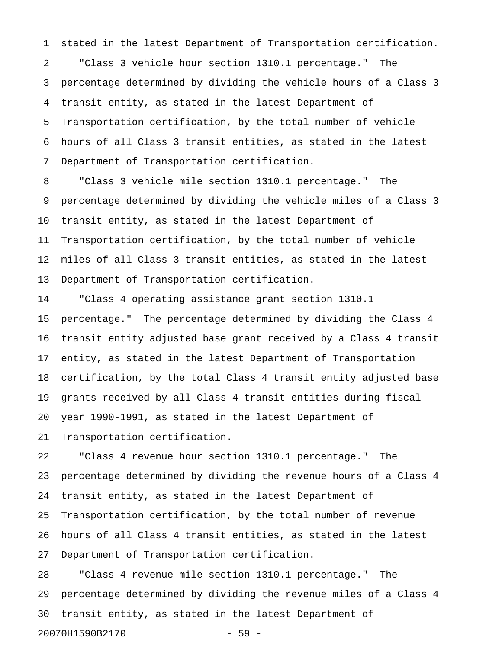1 stated in the latest Department of Transportation certification.

2 "Class 3 vehicle hour section 1310.1 percentage." The 3 percentage determined by dividing the vehicle hours of a Class 3 4 transit entity, as stated in the latest Department of 5 Transportation certification, by the total number of vehicle 6 hours of all Class 3 transit entities, as stated in the latest 7 Department of Transportation certification.

8 "Class 3 vehicle mile section 1310.1 percentage." The 9 percentage determined by dividing the vehicle miles of a Class 3 10 transit entity, as stated in the latest Department of 11 Transportation certification, by the total number of vehicle 12 miles of all Class 3 transit entities, as stated in the latest 13 Department of Transportation certification.

14 "Class 4 operating assistance grant section 1310.1 15 percentage." The percentage determined by dividing the Class 4 16 transit entity adjusted base grant received by a Class 4 transit 17 entity, as stated in the latest Department of Transportation 18 certification, by the total Class 4 transit entity adjusted base 19 grants received by all Class 4 transit entities during fiscal 20 year 1990-1991, as stated in the latest Department of 21 Transportation certification.

22 "Class 4 revenue hour section 1310.1 percentage." The 23 percentage determined by dividing the revenue hours of a Class 4 24 transit entity, as stated in the latest Department of 25 Transportation certification, by the total number of revenue 26 hours of all Class 4 transit entities, as stated in the latest 27 Department of Transportation certification.

28 "Class 4 revenue mile section 1310.1 percentage." The 29 percentage determined by dividing the revenue miles of a Class 4 30 transit entity, as stated in the latest Department of 20070H1590B2170 - 59 -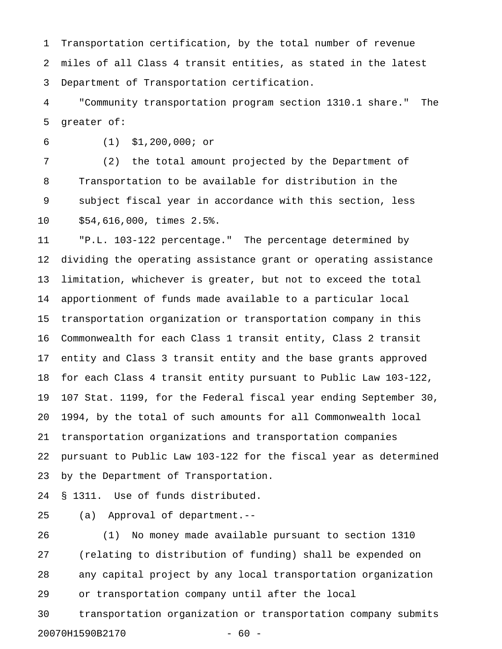1 Transportation certification, by the total number of revenue 2 miles of all Class 4 transit entities, as stated in the latest 3 Department of Transportation certification.

4 "Community transportation program section 1310.1 share." The 5 greater of:

6 (1) \$1,200,000; or

7 (2) the total amount projected by the Department of 8 Transportation to be available for distribution in the 9 subject fiscal year in accordance with this section, less 10 \$54,616,000, times 2.5%.

11 "P.L. 103-122 percentage." The percentage determined by 12 dividing the operating assistance grant or operating assistance 13 limitation, whichever is greater, but not to exceed the total 14 apportionment of funds made available to a particular local 15 transportation organization or transportation company in this 16 Commonwealth for each Class 1 transit entity, Class 2 transit 17 entity and Class 3 transit entity and the base grants approved 18 for each Class 4 transit entity pursuant to Public Law 103-122, 19 107 Stat. 1199, for the Federal fiscal year ending September 30, 20 1994, by the total of such amounts for all Commonwealth local 21 transportation organizations and transportation companies 22 pursuant to Public Law 103-122 for the fiscal year as determined 23 by the Department of Transportation.

24 § 1311. Use of funds distributed.

25 (a) Approval of department.--

26 (1) No money made available pursuant to section 1310 27 (relating to distribution of funding) shall be expended on 28 any capital project by any local transportation organization 29 or transportation company until after the local 30 transportation organization or transportation company submits

20070H1590B2170 - 60 -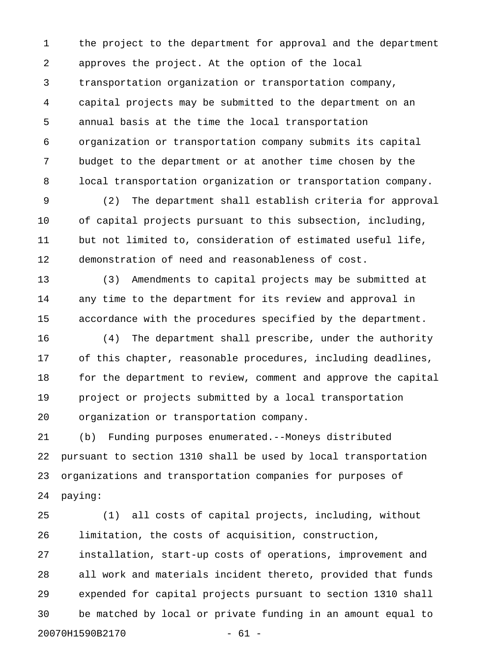1 the project to the department for approval and the department 2 approves the project. At the option of the local 3 transportation organization or transportation company, 4 capital projects may be submitted to the department on an 5 annual basis at the time the local transportation 6 organization or transportation company submits its capital 7 budget to the department or at another time chosen by the 8 local transportation organization or transportation company.

9 (2) The department shall establish criteria for approval 10 of capital projects pursuant to this subsection, including, 11 but not limited to, consideration of estimated useful life, 12 demonstration of need and reasonableness of cost.

13 (3) Amendments to capital projects may be submitted at 14 any time to the department for its review and approval in 15 accordance with the procedures specified by the department.

16 (4) The department shall prescribe, under the authority 17 of this chapter, reasonable procedures, including deadlines, 18 for the department to review, comment and approve the capital 19 project or projects submitted by a local transportation 20 organization or transportation company.

21 (b) Funding purposes enumerated.--Moneys distributed 22 pursuant to section 1310 shall be used by local transportation 23 organizations and transportation companies for purposes of 24 paying:

25 (1) all costs of capital projects, including, without 26 limitation, the costs of acquisition, construction, 27 installation, start-up costs of operations, improvement and 28 all work and materials incident thereto, provided that funds 29 expended for capital projects pursuant to section 1310 shall 30 be matched by local or private funding in an amount equal to 20070H1590B2170 - 61 -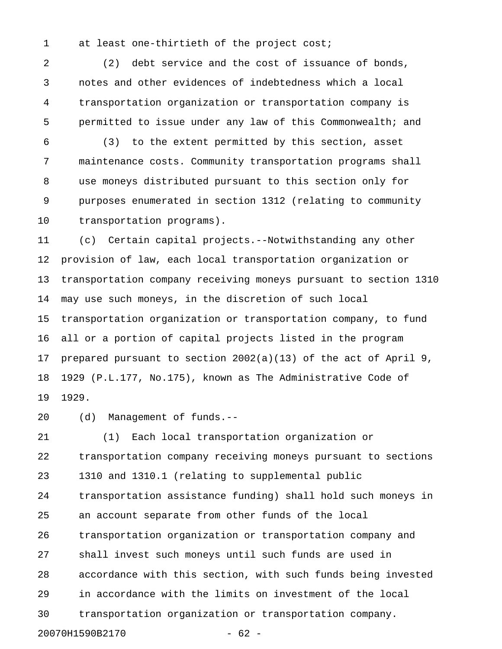1 at least one-thirtieth of the project cost;

2 (2) debt service and the cost of issuance of bonds, 3 notes and other evidences of indebtedness which a local 4 transportation organization or transportation company is 5 permitted to issue under any law of this Commonwealth; and

6 (3) to the extent permitted by this section, asset 7 maintenance costs. Community transportation programs shall 8 use moneys distributed pursuant to this section only for 9 purposes enumerated in section 1312 (relating to community 10 transportation programs).

11 (c) Certain capital projects.--Notwithstanding any other 12 provision of law, each local transportation organization or 13 transportation company receiving moneys pursuant to section 1310 14 may use such moneys, in the discretion of such local 15 transportation organization or transportation company, to fund 16 all or a portion of capital projects listed in the program 17 prepared pursuant to section 2002(a)(13) of the act of April 9, 18 1929 (P.L.177, No.175), known as The Administrative Code of 19 1929.

20 (d) Management of funds.--

21 (1) Each local transportation organization or 22 transportation company receiving moneys pursuant to sections 23 1310 and 1310.1 (relating to supplemental public 24 transportation assistance funding) shall hold such moneys in 25 an account separate from other funds of the local 26 transportation organization or transportation company and 27 shall invest such moneys until such funds are used in 28 accordance with this section, with such funds being invested 29 in accordance with the limits on investment of the local 30 transportation organization or transportation company. 20070H1590B2170 - 62 -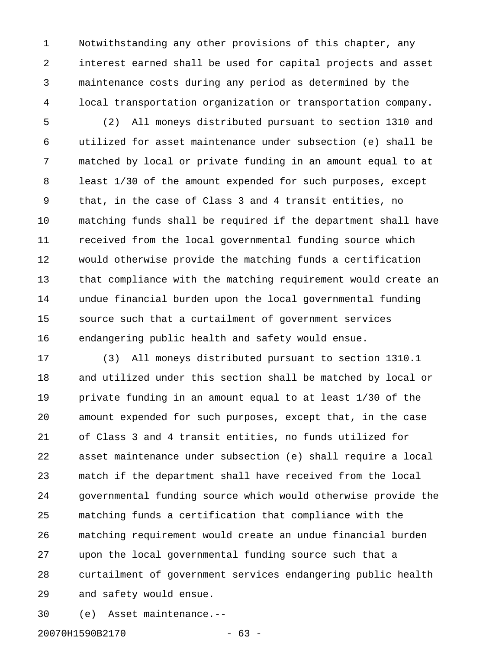1 Notwithstanding any other provisions of this chapter, any 2 interest earned shall be used for capital projects and asset 3 maintenance costs during any period as determined by the 4 local transportation organization or transportation company.

5 (2) All moneys distributed pursuant to section 1310 and 6 utilized for asset maintenance under subsection (e) shall be 7 matched by local or private funding in an amount equal to at 8 least 1/30 of the amount expended for such purposes, except 9 that, in the case of Class 3 and 4 transit entities, no 10 matching funds shall be required if the department shall have 11 received from the local governmental funding source which 12 would otherwise provide the matching funds a certification 13 that compliance with the matching requirement would create an 14 undue financial burden upon the local governmental funding 15 source such that a curtailment of government services 16 endangering public health and safety would ensue.

17 (3) All moneys distributed pursuant to section 1310.1 18 and utilized under this section shall be matched by local or 19 private funding in an amount equal to at least 1/30 of the 20 amount expended for such purposes, except that, in the case 21 of Class 3 and 4 transit entities, no funds utilized for 22 asset maintenance under subsection (e) shall require a local 23 match if the department shall have received from the local 24 governmental funding source which would otherwise provide the 25 matching funds a certification that compliance with the 26 matching requirement would create an undue financial burden 27 upon the local governmental funding source such that a 28 curtailment of government services endangering public health 29 and safety would ensue.

30 (e) Asset maintenance.--

20070H1590B2170 - 63 -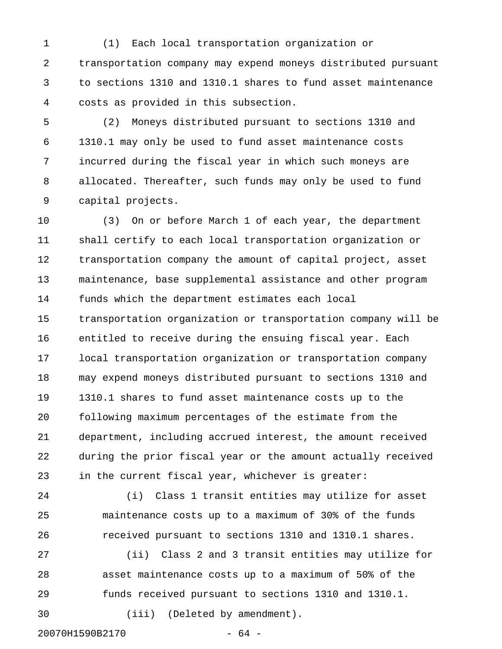1 (1) Each local transportation organization or 2 transportation company may expend moneys distributed pursuant 3 to sections 1310 and 1310.1 shares to fund asset maintenance 4 costs as provided in this subsection.

5 (2) Moneys distributed pursuant to sections 1310 and 6 1310.1 may only be used to fund asset maintenance costs 7 incurred during the fiscal year in which such moneys are 8 allocated. Thereafter, such funds may only be used to fund 9 capital projects.

10 (3) On or before March 1 of each year, the department 11 shall certify to each local transportation organization or 12 transportation company the amount of capital project, asset 13 maintenance, base supplemental assistance and other program 14 funds which the department estimates each local 15 transportation organization or transportation company will be 16 entitled to receive during the ensuing fiscal year. Each 17 local transportation organization or transportation company 18 may expend moneys distributed pursuant to sections 1310 and 19 1310.1 shares to fund asset maintenance costs up to the 20 following maximum percentages of the estimate from the 21 department, including accrued interest, the amount received 22 during the prior fiscal year or the amount actually received 23 in the current fiscal year, whichever is greater:

24 (i) Class 1 transit entities may utilize for asset 25 maintenance costs up to a maximum of 30% of the funds 26 received pursuant to sections 1310 and 1310.1 shares.

27 (ii) Class 2 and 3 transit entities may utilize for 28 asset maintenance costs up to a maximum of 50% of the 29 funds received pursuant to sections 1310 and 1310.1. 30 (iii) (Deleted by amendment).

20070H1590B2170 - 64 -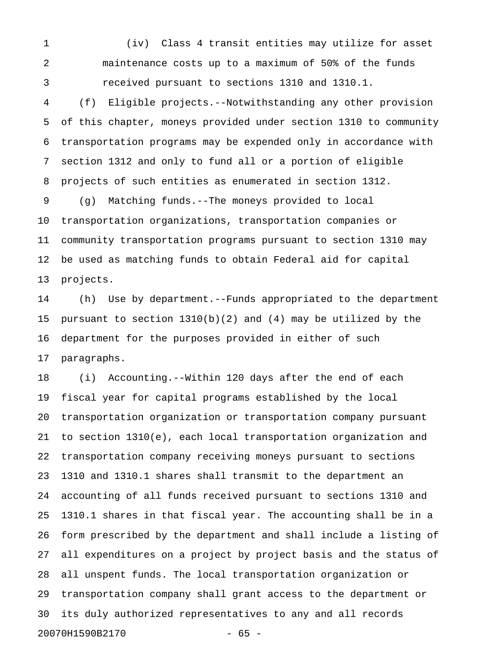1 (iv) Class 4 transit entities may utilize for asset 2 maintenance costs up to a maximum of 50% of the funds 3 received pursuant to sections 1310 and 1310.1.

4 (f) Eligible projects.--Notwithstanding any other provision 5 of this chapter, moneys provided under section 1310 to community 6 transportation programs may be expended only in accordance with 7 section 1312 and only to fund all or a portion of eligible 8 projects of such entities as enumerated in section 1312.

9 (g) Matching funds.--The moneys provided to local 10 transportation organizations, transportation companies or 11 community transportation programs pursuant to section 1310 may 12 be used as matching funds to obtain Federal aid for capital 13 projects.

14 (h) Use by department.--Funds appropriated to the department 15 pursuant to section 1310(b)(2) and (4) may be utilized by the 16 department for the purposes provided in either of such 17 paragraphs.

18 (i) Accounting.--Within 120 days after the end of each 19 fiscal year for capital programs established by the local 20 transportation organization or transportation company pursuant 21 to section 1310(e), each local transportation organization and 22 transportation company receiving moneys pursuant to sections 23 1310 and 1310.1 shares shall transmit to the department an 24 accounting of all funds received pursuant to sections 1310 and 25 1310.1 shares in that fiscal year. The accounting shall be in a 26 form prescribed by the department and shall include a listing of 27 all expenditures on a project by project basis and the status of 28 all unspent funds. The local transportation organization or 29 transportation company shall grant access to the department or 30 its duly authorized representatives to any and all records 20070H1590B2170 - 65 -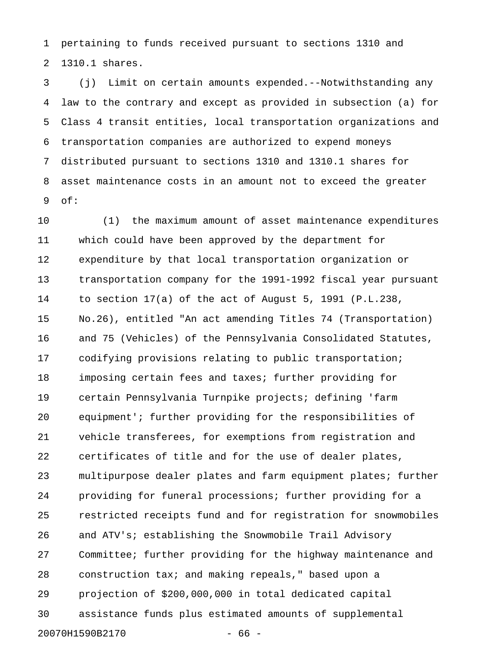1 pertaining to funds received pursuant to sections 1310 and 2 1310.1 shares.

3 (j) Limit on certain amounts expended.--Notwithstanding any 4 law to the contrary and except as provided in subsection (a) for 5 Class 4 transit entities, local transportation organizations and 6 transportation companies are authorized to expend moneys 7 distributed pursuant to sections 1310 and 1310.1 shares for 8 asset maintenance costs in an amount not to exceed the greater 9 of:

10 (1) the maximum amount of asset maintenance expenditures 11 which could have been approved by the department for 12 expenditure by that local transportation organization or 13 transportation company for the 1991-1992 fiscal year pursuant 14 to section 17(a) of the act of August 5, 1991 (P.L.238, 15 No.26), entitled "An act amending Titles 74 (Transportation) 16 and 75 (Vehicles) of the Pennsylvania Consolidated Statutes, 17 codifying provisions relating to public transportation; 18 imposing certain fees and taxes; further providing for 19 certain Pennsylvania Turnpike projects; defining 'farm 20 equipment'; further providing for the responsibilities of 21 vehicle transferees, for exemptions from registration and 22 certificates of title and for the use of dealer plates, 23 multipurpose dealer plates and farm equipment plates; further 24 providing for funeral processions; further providing for a 25 restricted receipts fund and for registration for snowmobiles 26 and ATV's; establishing the Snowmobile Trail Advisory 27 Committee; further providing for the highway maintenance and 28 construction tax; and making repeals," based upon a 29 projection of \$200,000,000 in total dedicated capital 30 assistance funds plus estimated amounts of supplemental 20070H1590B2170 - 66 -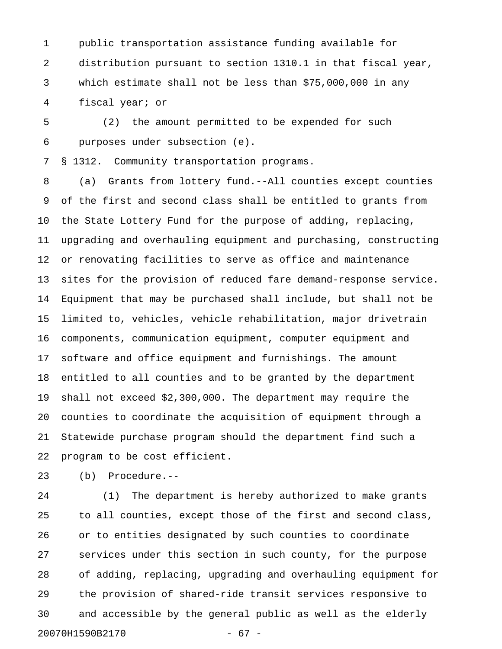1 public transportation assistance funding available for 2 distribution pursuant to section 1310.1 in that fiscal year, 3 which estimate shall not be less than \$75,000,000 in any 4 fiscal year; or

5 (2) the amount permitted to be expended for such 6 purposes under subsection (e).

7 § 1312. Community transportation programs.

8 (a) Grants from lottery fund.--All counties except counties 9 of the first and second class shall be entitled to grants from 10 the State Lottery Fund for the purpose of adding, replacing, 11 upgrading and overhauling equipment and purchasing, constructing 12 or renovating facilities to serve as office and maintenance 13 sites for the provision of reduced fare demand-response service. 14 Equipment that may be purchased shall include, but shall not be 15 limited to, vehicles, vehicle rehabilitation, major drivetrain 16 components, communication equipment, computer equipment and 17 software and office equipment and furnishings. The amount 18 entitled to all counties and to be granted by the department 19 shall not exceed \$2,300,000. The department may require the 20 counties to coordinate the acquisition of equipment through a 21 Statewide purchase program should the department find such a 22 program to be cost efficient.

23 (b) Procedure.--

24 (1) The department is hereby authorized to make grants 25 to all counties, except those of the first and second class, 26 or to entities designated by such counties to coordinate 27 services under this section in such county, for the purpose 28 of adding, replacing, upgrading and overhauling equipment for 29 the provision of shared-ride transit services responsive to 30 and accessible by the general public as well as the elderly 20070H1590B2170 - 67 -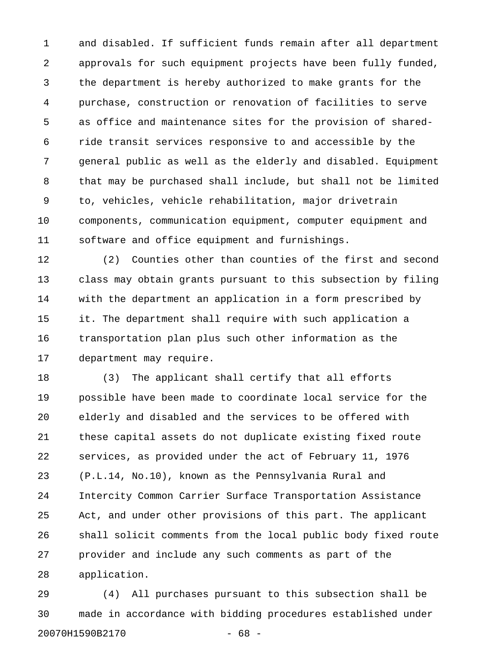1 and disabled. If sufficient funds remain after all department 2 approvals for such equipment projects have been fully funded, 3 the department is hereby authorized to make grants for the 4 purchase, construction or renovation of facilities to serve 5 as office and maintenance sites for the provision of shared-6 ride transit services responsive to and accessible by the 7 general public as well as the elderly and disabled. Equipment 8 that may be purchased shall include, but shall not be limited 9 to, vehicles, vehicle rehabilitation, major drivetrain 10 components, communication equipment, computer equipment and 11 software and office equipment and furnishings.

12 (2) Counties other than counties of the first and second 13 class may obtain grants pursuant to this subsection by filing 14 with the department an application in a form prescribed by 15 it. The department shall require with such application a 16 transportation plan plus such other information as the 17 department may require.

18 (3) The applicant shall certify that all efforts 19 possible have been made to coordinate local service for the 20 elderly and disabled and the services to be offered with 21 these capital assets do not duplicate existing fixed route 22 services, as provided under the act of February 11, 1976 23 (P.L.14, No.10), known as the Pennsylvania Rural and 24 Intercity Common Carrier Surface Transportation Assistance 25 Act, and under other provisions of this part. The applicant 26 shall solicit comments from the local public body fixed route 27 provider and include any such comments as part of the 28 application.

29 (4) All purchases pursuant to this subsection shall be 30 made in accordance with bidding procedures established under 20070H1590B2170 - 68 -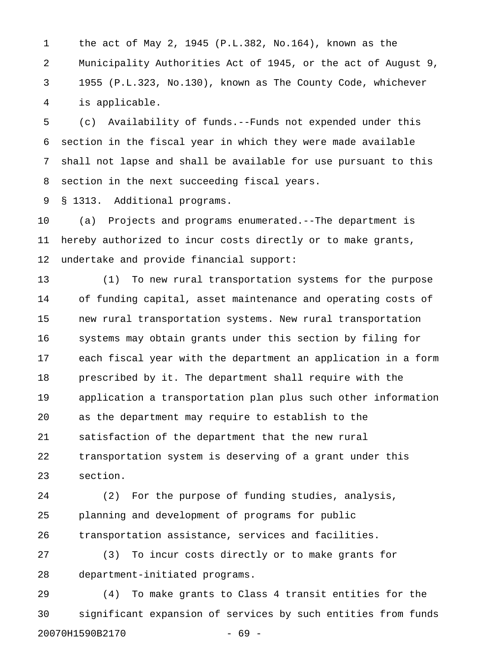1 the act of May 2, 1945 (P.L.382, No.164), known as the 2 Municipality Authorities Act of 1945, or the act of August 9, 3 1955 (P.L.323, No.130), known as The County Code, whichever 4 is applicable.

5 (c) Availability of funds.--Funds not expended under this 6 section in the fiscal year in which they were made available 7 shall not lapse and shall be available for use pursuant to this 8 section in the next succeeding fiscal years.

9 § 1313. Additional programs.

10 (a) Projects and programs enumerated.--The department is 11 hereby authorized to incur costs directly or to make grants, 12 undertake and provide financial support:

13 (1) To new rural transportation systems for the purpose 14 of funding capital, asset maintenance and operating costs of 15 new rural transportation systems. New rural transportation 16 systems may obtain grants under this section by filing for 17 each fiscal year with the department an application in a form 18 prescribed by it. The department shall require with the 19 application a transportation plan plus such other information 20 as the department may require to establish to the 21 satisfaction of the department that the new rural 22 transportation system is deserving of a grant under this 23 section.

24 (2) For the purpose of funding studies, analysis, 25 planning and development of programs for public 26 transportation assistance, services and facilities.

27 (3) To incur costs directly or to make grants for 28 department-initiated programs.

29 (4) To make grants to Class 4 transit entities for the 30 significant expansion of services by such entities from funds 20070H1590B2170 - 69 -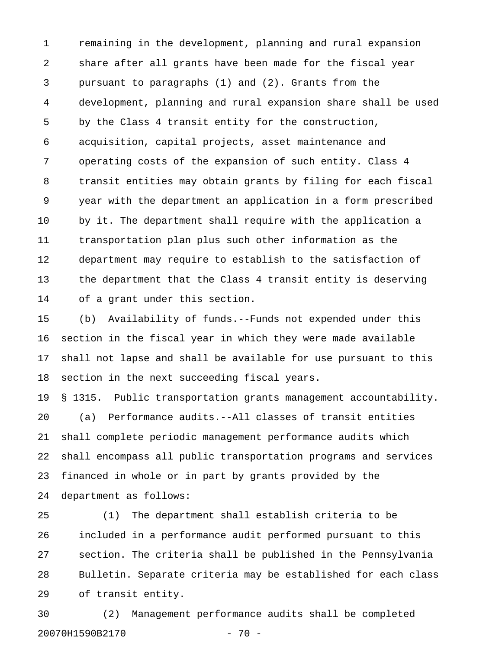1 remaining in the development, planning and rural expansion 2 share after all grants have been made for the fiscal year 3 pursuant to paragraphs (1) and (2). Grants from the 4 development, planning and rural expansion share shall be used 5 by the Class 4 transit entity for the construction, 6 acquisition, capital projects, asset maintenance and 7 operating costs of the expansion of such entity. Class 4 8 transit entities may obtain grants by filing for each fiscal 9 year with the department an application in a form prescribed 10 by it. The department shall require with the application a 11 transportation plan plus such other information as the 12 department may require to establish to the satisfaction of 13 the department that the Class 4 transit entity is deserving 14 of a grant under this section.

15 (b) Availability of funds.--Funds not expended under this 16 section in the fiscal year in which they were made available 17 shall not lapse and shall be available for use pursuant to this 18 section in the next succeeding fiscal years.

19 § 1315. Public transportation grants management accountability. 20 (a) Performance audits.--All classes of transit entities 21 shall complete periodic management performance audits which 22 shall encompass all public transportation programs and services 23 financed in whole or in part by grants provided by the 24 department as follows:

25 (1) The department shall establish criteria to be 26 included in a performance audit performed pursuant to this 27 section. The criteria shall be published in the Pennsylvania 28 Bulletin. Separate criteria may be established for each class 29 of transit entity.

30 (2) Management performance audits shall be completed 20070H1590B2170 - 70 -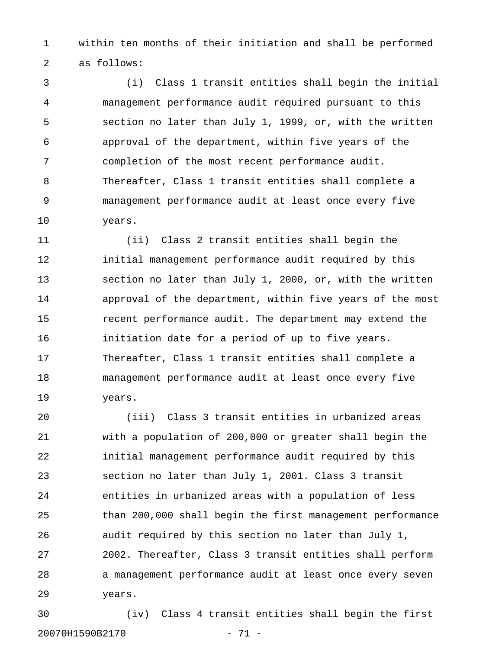1 within ten months of their initiation and shall be performed 2 as follows:

3 (i) Class 1 transit entities shall begin the initial 4 management performance audit required pursuant to this 5 section no later than July 1, 1999, or, with the written 6 approval of the department, within five years of the 7 completion of the most recent performance audit. 8 Thereafter, Class 1 transit entities shall complete a 9 management performance audit at least once every five 10 years.

11 (ii) Class 2 transit entities shall begin the 12 initial management performance audit required by this 13 section no later than July 1, 2000, or, with the written 14 approval of the department, within five years of the most 15 recent performance audit. The department may extend the 16 initiation date for a period of up to five years. 17 Thereafter, Class 1 transit entities shall complete a 18 management performance audit at least once every five 19 years.

20 (iii) Class 3 transit entities in urbanized areas 21 with a population of 200,000 or greater shall begin the 22 initial management performance audit required by this 23 section no later than July 1, 2001. Class 3 transit 24 entities in urbanized areas with a population of less 25 than 200,000 shall begin the first management performance 26 audit required by this section no later than July 1, 27 2002. Thereafter, Class 3 transit entities shall perform 28 a management performance audit at least once every seven 29 years.

30 (iv) Class 4 transit entities shall begin the first 20070H1590B2170 - 71 -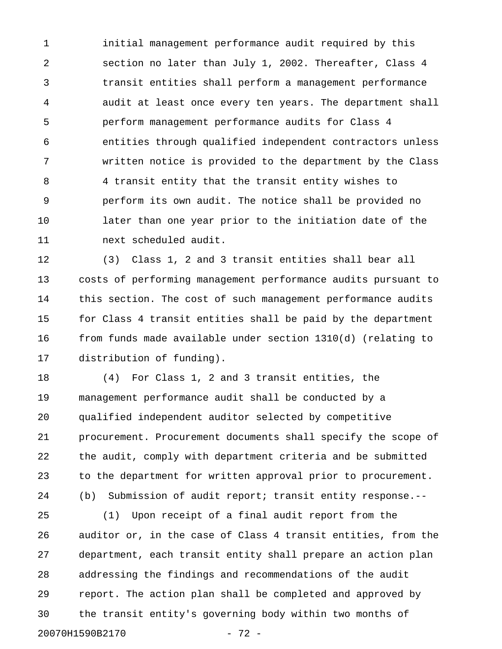1 initial management performance audit required by this 2 section no later than July 1, 2002. Thereafter, Class 4 3 transit entities shall perform a management performance 4 audit at least once every ten years. The department shall 5 perform management performance audits for Class 4 6 entities through qualified independent contractors unless 7 written notice is provided to the department by the Class 8 4 transit entity that the transit entity wishes to 9 perform its own audit. The notice shall be provided no 10 later than one year prior to the initiation date of the 11 next scheduled audit.

12 (3) Class 1, 2 and 3 transit entities shall bear all 13 costs of performing management performance audits pursuant to 14 this section. The cost of such management performance audits 15 for Class 4 transit entities shall be paid by the department 16 from funds made available under section 1310(d) (relating to 17 distribution of funding).

18 (4) For Class 1, 2 and 3 transit entities, the 19 management performance audit shall be conducted by a 20 qualified independent auditor selected by competitive 21 procurement. Procurement documents shall specify the scope of 22 the audit, comply with department criteria and be submitted 23 to the department for written approval prior to procurement. 24 (b) Submission of audit report; transit entity response.--

25 (1) Upon receipt of a final audit report from the 26 auditor or, in the case of Class 4 transit entities, from the 27 department, each transit entity shall prepare an action plan 28 addressing the findings and recommendations of the audit 29 report. The action plan shall be completed and approved by 30 the transit entity's governing body within two months of 20070H1590B2170 - 72 -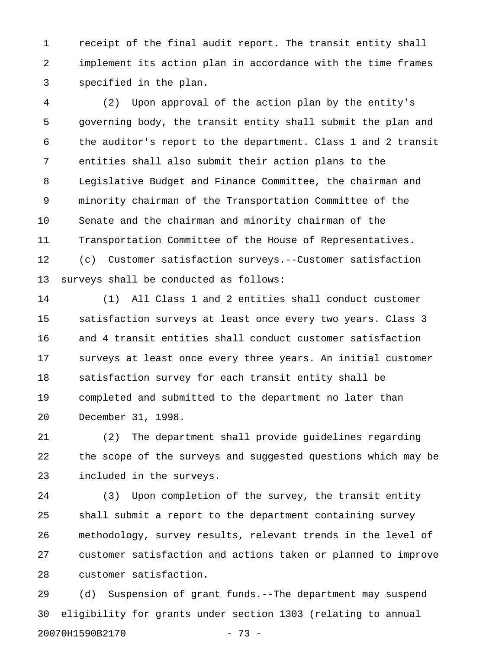1 receipt of the final audit report. The transit entity shall 2 implement its action plan in accordance with the time frames 3 specified in the plan.

4 (2) Upon approval of the action plan by the entity's 5 governing body, the transit entity shall submit the plan and 6 the auditor's report to the department. Class 1 and 2 transit 7 entities shall also submit their action plans to the 8 Legislative Budget and Finance Committee, the chairman and 9 minority chairman of the Transportation Committee of the 10 Senate and the chairman and minority chairman of the 11 Transportation Committee of the House of Representatives. 12 (c) Customer satisfaction surveys.--Customer satisfaction 13 surveys shall be conducted as follows:

14 (1) All Class 1 and 2 entities shall conduct customer 15 satisfaction surveys at least once every two years. Class 3 16 and 4 transit entities shall conduct customer satisfaction 17 surveys at least once every three years. An initial customer 18 satisfaction survey for each transit entity shall be 19 completed and submitted to the department no later than 20 December 31, 1998.

21 (2) The department shall provide guidelines regarding 22 the scope of the surveys and suggested questions which may be 23 included in the surveys.

24 (3) Upon completion of the survey, the transit entity 25 shall submit a report to the department containing survey 26 methodology, survey results, relevant trends in the level of 27 customer satisfaction and actions taken or planned to improve 28 customer satisfaction.

29 (d) Suspension of grant funds.--The department may suspend 30 eligibility for grants under section 1303 (relating to annual 20070H1590B2170 - 73 -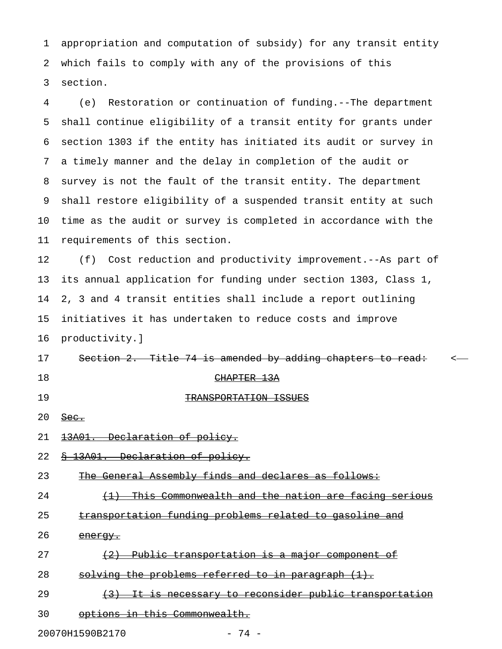1 appropriation and computation of subsidy) for any transit entity 2 which fails to comply with any of the provisions of this 3 section.

4 (e) Restoration or continuation of funding.--The department 5 shall continue eligibility of a transit entity for grants under 6 section 1303 if the entity has initiated its audit or survey in 7 a timely manner and the delay in completion of the audit or 8 survey is not the fault of the transit entity. The department 9 shall restore eligibility of a suspended transit entity at such 10 time as the audit or survey is completed in accordance with the 11 requirements of this section.

12 (f) Cost reduction and productivity improvement.--As part of 13 its annual application for funding under section 1303, Class 1, 14 2, 3 and 4 transit entities shall include a report outlining 15 initiatives it has undertaken to reduce costs and improve 16 productivity.]

17 Section 2. Title 74 is amended by adding chapters to read:  $\sim$ 

- 
- 19 TRANSPORTATION ISSUES

18 CHAPTER 13A

 $20$  Sec.

21 13A01. Declaration of policy.

22 § 13A01. Declaration of policy.

23 The General Assembly finds and declares as follows:

24 (1) This Commonwealth and the nation are facing serious

25 transportation funding problems related to gasoline and

26 energy.

- 27  $(2)$  Public transportation is a major component of
- 28 solving the problems referred to in paragraph  $(1)$ .
- 29 (3) It is necessary to reconsider public transportation
- 30 options in this Commonwealth.

20070H1590B2170 - 74 -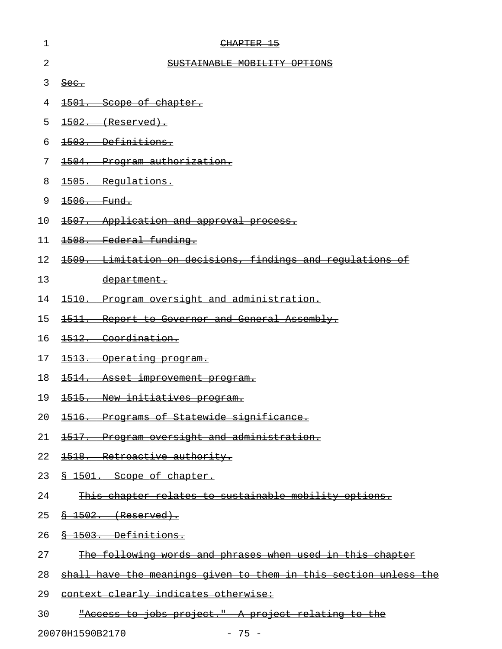| 1  | CHAPTER 15                                                              |
|----|-------------------------------------------------------------------------|
| 2  | SUSTAINABLE MOBILITY OPTIONS                                            |
| 3  | $\frac{\text{Sec.}}{\text{Sec.}}$                                       |
| 4  | 1501. Scope of chapter.                                                 |
| 5  | 1502. (Reserved).                                                       |
| 6  | 1503. Definitions.                                                      |
| 7  | 1504. Program authorization.                                            |
| 8  | 1505. Regulations.                                                      |
| 9  | 1506. Fund.                                                             |
| 10 | 1507. Application and approval process.                                 |
| 11 | 1508. Federal funding.                                                  |
| 12 | 1509. Limitation on decisions, findings and regulations of              |
| 13 | department.                                                             |
| 14 | 1510. Program oversight and administration.                             |
| 15 | 1511. Report to Governor and General Assembly.                          |
| 16 | 1512. Coordination.                                                     |
| 17 | 1513. Operating program.                                                |
| 18 | 1514. Asset improvement program.                                        |
| 19 | 1515. New initiatives program.                                          |
| 20 | 1516. Programs of Statewide significance.                               |
| 21 | 1517. Program oversight and administration.                             |
| 22 | 1518. Retroactive authority.                                            |
| 23 | \$ 1501. Scope of chapter.                                              |
| 24 | This chapter relates to sustainable mobility options.                   |
| 25 | $\frac{8+1502}{8}$ (Reserved).                                          |
| 26 | § 1503. Definitions.                                                    |
| 27 | The following words and phrases when used in this chapter               |
| 28 | <u>shall have the meanings given to them in this section unless the</u> |
| 29 | context clearly indicates otherwise:                                    |
| 30 | "Access to jobs project." A project relating to the                     |

20070H1590B2170 - 75 -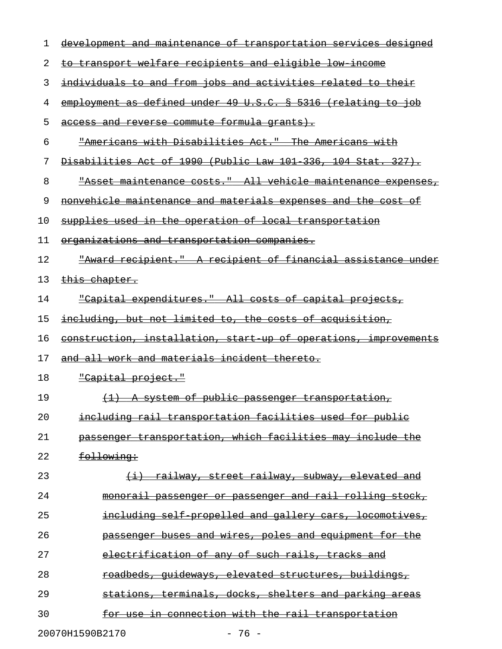| 1  | development and maintenance of transportation services designed          |
|----|--------------------------------------------------------------------------|
| 2  | to transport welfare recipients and eligible low income                  |
| 3  | individuals to and from jobs and activities related to their             |
| 4  | employment as defined under 49 U.S.C. § 5316 (relating to job            |
| 5  | access and reverse commute formula grants).                              |
| 6  | "Americans with Disabilities Act." The Americans with                    |
| 7  | Disabilities Act of 1990 (Public Law 101 336, 104 Stat. 327).            |
| 8  | "Asset maintenance costs." All vehicle maintenance expenses,             |
| 9  | nonvehicle maintenance and materials expenses and the cost of            |
| 10 | supplies used in the operation of local transportation                   |
| 11 | organizations and transportation companies.                              |
| 12 | "Award recipient." A recipient of financial assistance under             |
| 13 | this chapter.                                                            |
| 14 | "Capital expenditures." All costs of capital projects,                   |
| 15 | including, but not limited to, the costs of acquisition,                 |
| 16 | construction, installation, start up of operations, improvements         |
| 17 | and all work and materials incident thereto.                             |
| 18 | <u> "Capital project."</u>                                               |
| 19 | <u>A system of public passenger transportation,</u><br>$\leftrightarrow$ |
| 20 | including rail transportation facilities used for public                 |
| 21 | passenger transportation, which facilities may include the               |
| 22 | following:                                                               |
| 23 | (i) railway, street railway, subway, elevated and                        |
| 24 | monorail passenger or passenger and rail rolling stock,                  |
| 25 | including self propelled and gallery cars, locomotives,                  |
| 26 | passenger buses and wires, poles and equipment for the                   |
| 27 | electrification of any of such rails, tracks and                         |
| 28 | <u>roadbeds, quideways, elevated structures, buildings, </u>             |
| 29 | stations, terminals, docks, shelters and parking areas                   |
| 30 | for use in connection with the rail transportation                       |
|    | 20070H1590B2170<br>$-76 -$                                               |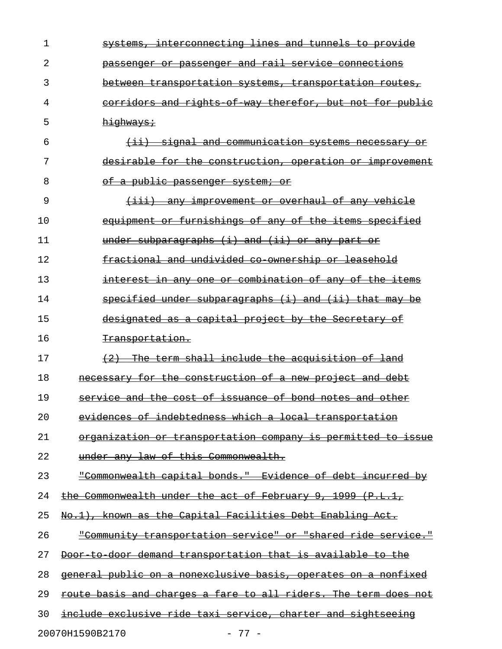| 1  | interconnecting lines and tunnels to provide<br><del>svstems,</del> |
|----|---------------------------------------------------------------------|
| 2  | passenger and rail service connections<br><del>passenger or</del>   |
| 3  | <del>between transportation systems, transportation routes,</del>   |
| 4  | corridors and rights of way therefor, but not for public            |
| 5  | highways:                                                           |
| 6  | (ii) signal and communication systems necessary                     |
| 7  | desirable for the construction, operation or improvement            |
| 8  | of a public passenger system; or                                    |
| 9  | (iii) any improvement or overhaul of any vehicle                    |
| 10 | equipment or furnishings of any of the items specified              |
| 11 | under subparagraphs (i) and (ii) or any part or                     |
| 12 | fractional and undivided co ownership or leasehold                  |
| 13 | interest in any one or combination of any of the items              |
| 14 | specified under subparagraphs (i) and (ii) that may be              |
| 15 | designated as a capital project by the Secretary of                 |
| 16 | <del>Transportation.</del>                                          |
| 17 | The term shall include the acquisition of land<br>$+2$              |
| 18 | necessary for the construction of a new project and debt            |
| 19 | service and the cost of issuance of bond notes and other            |
| 20 | evidences of indebtedness which a local transportation              |
| 21 | organization or transportation company is permitted to issue        |
| 22 | under any law of this Commonwealth.                                 |
| 23 | "Commonwealth capital bonds." Evidence of debt incurred by          |
| 24 | the Commonwealth under the act of February 9, 1999 (P.L.1,          |
| 25 | No.1), known as the Capital Facilities Debt Enabling Act.           |
| 26 | "Community transportation service" or "shared ride service."        |
| 27 | Door to door demand transportation that is available to the         |
| 28 | general public on a nonexclusive basis, operates on a nonfixed      |
| 29 | route basis and charges a fare to all riders. The term does not     |
| 30 | include exclusive ride taxi service, charter and sightseeing        |
|    | 20070H1590B2170<br>$-77-$                                           |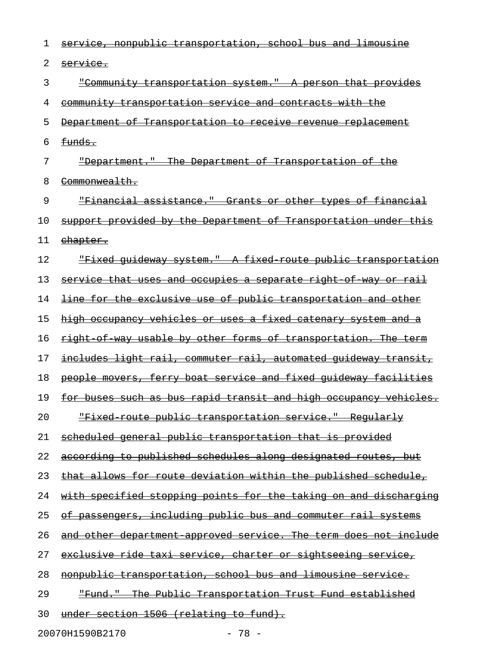| 1  | service, nonpublic transportation, school bus and limousine             |
|----|-------------------------------------------------------------------------|
| 2  | service.                                                                |
| 3  | "Community transportation system." A person that provides               |
| 4  | <u>community transportation service and contracts with the</u>          |
| 5  | Department of Transportation to receive revenue replacement             |
| 6  | funds.                                                                  |
| 7  | "Department." The Department of Transportation of the                   |
| 8  | <del>Commonwealth.</del>                                                |
| 9  | "Financial assistance." Grants or other types of financial              |
| 10 | <u>support provided by the Department of Transportation under this</u>  |
| 11 | chapter.                                                                |
| 12 | <u> "Fixed quideway system." A fixed route public transportation</u>    |
| 13 | <u>service that uses and occupies a separate right of way or rail</u>   |
| 14 | <u>line for the exclusive use of public transportation and other</u>    |
| 15 | high occupancy vehicles or uses a fixed catenary system and a           |
| 16 | right of way usable by other forms of transportation. The term          |
| 17 | includes light rail, commuter rail, automated guideway transit,         |
| 18 | people movers, ferry boat service and fixed quideway facilities         |
| 19 | <u>for buses such as bus rapid transit and high occupancy vehicles.</u> |
| 20 | <u> "Fixed route public transportation service." Reqularly</u>          |
| 21 | scheduled general public transportation that is provided                |
| 22 | according to published schedules along designated routes, but           |
| 23 | <u>that allows for route deviation within the published schedule,</u>   |
| 24 | <u>with specified stopping points for the taking on and discharging</u> |
| 25 | of passengers, including public bus and commuter rail systems           |
| 26 | <u>and other department approved service. The term does not include</u> |
| 27 | <u>exclusive ride taxi service, charter or sightseeing service, </u>    |
| 28 | nonpublic transportation, school bus and limousine service.             |
| 29 | <u> "Fund." The Public Transportation Trust Fund established</u>        |
| 30 | under section 1506 (relating to fund).                                  |

20070H1590B2170 - 78 -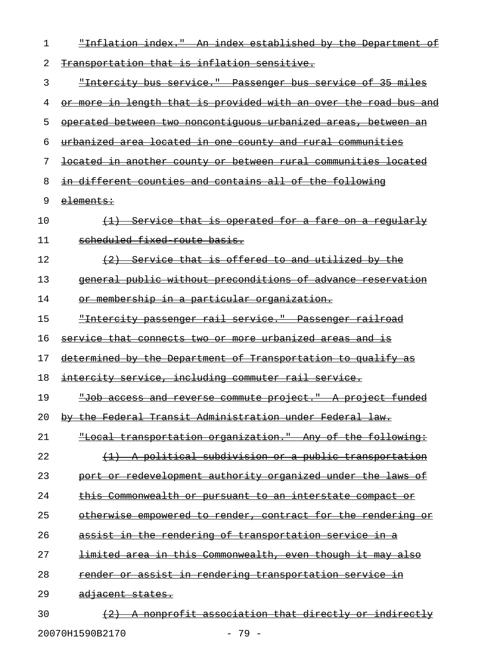| 1  | "Inflation index." An index established by the Department<br>⊖£         |
|----|-------------------------------------------------------------------------|
| 2  | Transportation that is inflation sensitive.                             |
| 3  | "Intercity bus service." Passenger bus service of 35 miles              |
| 4  | <u>or more in length that is provided with an over the road bus and</u> |
| 5  | operated between two noncontiquous urbanized areas, between an          |
| 6  | urbanized area located in one county and rural communities              |
| 7  | located in another county or between rural communities located          |
| 8  | in different counties and contains all of the following                 |
| 9  | elements:                                                               |
| 10 | (1) Service that is operated for a fare on a regularly                  |
| 11 | scheduled fixed route basis.                                            |
| 12 | Service that is offered to and utilized by the                          |
| 13 | general public without preconditions of advance reservation             |
| 14 | or membership in a particular organization.                             |
| 15 | "Intercity passenger rail service." Passenger railroad                  |
| 16 | service that connects two or more urbanized areas and is                |
| 17 | determined by the Department of Transportation to qualify as            |
| 18 | intercity service, including commuter rail service.                     |
| 19 | "Job access and reverse commute project." A project funded              |
| 20 | by the Federal Transit Administration under Federal law.                |
| 21 | "Local transportation organization." Any of the following:              |
| 22 | (1) A political subdivision or a public transportation                  |
| 23 | port or redevelopment authority organized under the laws of             |
| 24 | this Commonwealth or pursuant to an interstate compact or               |
| 25 | otherwise empowered to render, contract for the rendering or            |
| 26 | assist in the rendering of transportation service in a                  |
| 27 | <u>limited area in this Commonwealth, even though it may also</u>       |
| 28 | render or assist in rendering transportation service in                 |
| 29 | <del>adjacent states.</del>                                             |
| 30 | A nonprofit association that directly or indirectly                     |
|    |                                                                         |

20070H1590B2170 - 79 -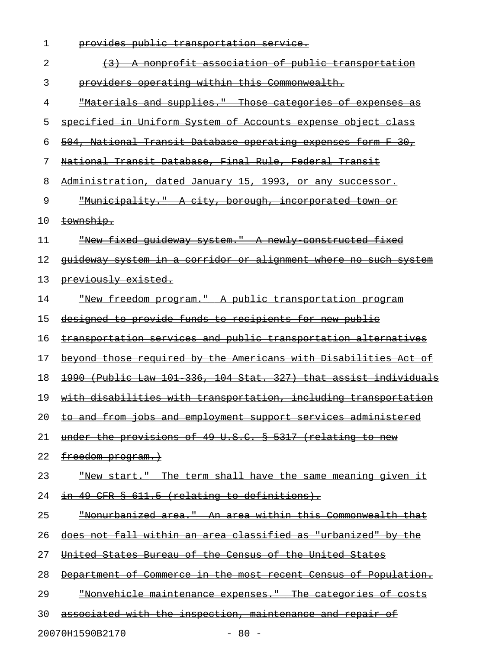| 1  | provides public transportation service.                                |
|----|------------------------------------------------------------------------|
| 2  | nonprofit association of public transportation                         |
| 3  | providers operating within this Commonwealth.                          |
| 4  | "Materials and supplies." Those categories of expenses as              |
| 5  | specified in Uniform System of Accounts expense object class           |
| 6  | 504, National Transit Database operating expenses form F 30,           |
| 7  | National Transit Database, Final Rule, Federal Transit                 |
| 8  | Administration, dated January 15, 1993, or any successor.              |
| 9  | <u> "Municipality." A city, borough, incorporated town or</u>          |
| 10 | township.                                                              |
| 11 | "New fixed quideway system." A newly constructed fixed                 |
| 12 | quideway system in a corridor or alignment where no such system        |
| 13 | previously existed.                                                    |
| 14 | <u> "New freedom program." A public transportation program</u>         |
| 15 | designed to provide funds to recipients for new public                 |
| 16 | transportation services and public transportation alternatives         |
| 17 | beyond those required by the Americans with Disabilities Act of        |
| 18 | 1990 (Public Law 101 336, 104 Stat. 327) that assist individuals       |
| 19 | with disabilities with transportation, including transportation        |
| 20 | <u>to and from jobs and employment support services administered</u>   |
| 21 | under the provisions of 49 U.S.C. § 5317 (relating to new              |
| 22 | freedom program.)                                                      |
| 23 | <u> "New start." The term shall have the same meaning given it</u>     |
| 24 | in 49 CFR § 611.5 (relating to definitions).                           |
| 25 | <u> "Nonurbanized area." An area within this Commonwealth that</u>     |
| 26 | does not fall within an area classified as "urbanized" by the          |
| 27 | <u>United States Bureau of the Census of the United States</u>         |
| 28 | <u>Department of Commerce in the most recent Census of Population.</u> |
| 29 | <u> "Nonvehicle maintenance expenses." The categories of costs</u>     |
| 30 | associated with the inspection, maintenance and repair of              |
|    | 20070H1590B2170<br>$-80 -$                                             |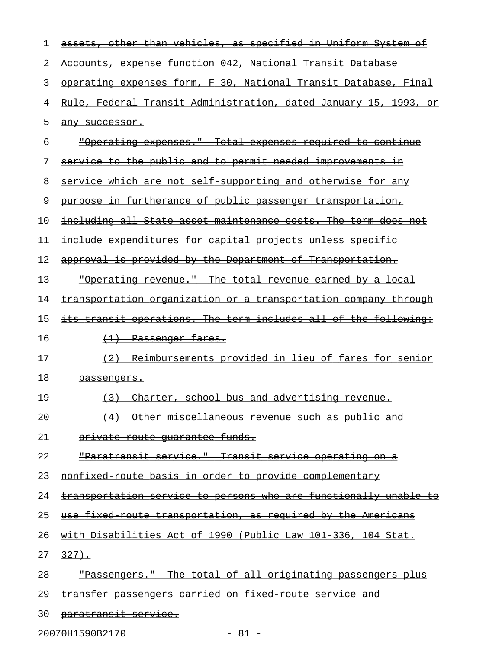| ı  | assets, other than vehicles, as specified in Uniform System of          |
|----|-------------------------------------------------------------------------|
| 2  | Accounts, expense function 042, National Transit Database               |
| 3  | operating expenses form, F 30, National Transit Database, Final         |
| 4  | <u>Rule, Federal Transit Administration, dated January 15, 1993, or</u> |
| 5  | any successor.                                                          |
| 6  | <u> "Operating expenses." Total expenses required to continue</u>       |
| 7  | service to the public and to permit needed improvements in              |
| 8  | service which are not self supporting and otherwise for any             |
| 9  | purpose in furtherance of public passenger transportation,              |
| 10 | including all State asset maintenance costs. The term does not          |
| 11 | include expenditures for capital projects unless specific               |
| 12 | approval is provided by the Department of Transportation.               |
| 13 | "Operating revenue." The total revenue earned by a local                |
| 14 | transportation organization or a transportation company through         |
| 15 | its transit operations. The term includes all of the following:         |
| 16 | <del>(1) Passenger fares.</del>                                         |
| 17 | (2) Reimbursements provided in lieu of fares for senior                 |
| 18 | <del>passenqers.</del>                                                  |
| 19 | Charter, school bus and advertising revenue.                            |
| 20 | Other miscellaneous revenue such as public and                          |
| 21 | private route quarantee funds.                                          |
| 22 | <u> "Paratransit service."  Transit service operating on a</u>          |
| 23 | nonfixed route basis in order to provide complementary                  |
| 24 | transportation service to persons who are functionally unable to        |
| 25 | <u>use fixed route transportation, as required by the Americans</u>     |
| 26 | with Disabilities Act of 1990 (Public Law 101 336, 104 Stat.            |
| 27 | 327.                                                                    |
| 28 | <u> "Passengers." The total of all originating passengers plus</u>      |
| 29 | transfer passengers carried on fixed route service and                  |
| 30 | <del>paratransit service.</del>                                         |

20070H1590B2170 - 81 -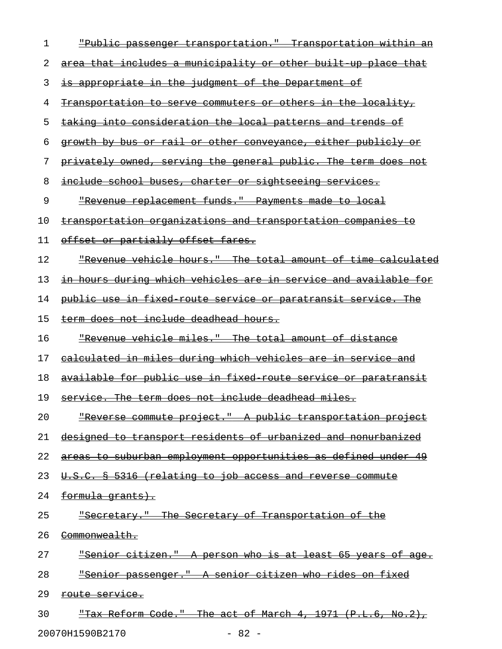| 1  | <u> "Public passenger transportation." Transportation within an</u> |
|----|---------------------------------------------------------------------|
| 2  | area that includes a municipality or other built up place that      |
| 3  | is appropriate in the judgment of the Department of                 |
| 4  | <u>Transportation to serve commuters or others in the locality,</u> |
| 5  | taking into consideration the local patterns and trends of          |
| 6  | growth by bus or rail or other conveyance, either publicly or       |
| 7  | privately owned, serving the general public. The term does not      |
| 8  | <u>include school buses, charter or sightseeing services.</u>       |
| 9  | "Revenue replacement funds." Payments made to local                 |
| 10 | <u>transportation organizations and transportation companies to</u> |
| 11 | offset or partially offset fares.                                   |
| 12 | "Revenue vehicle hours." The total amount of time calculated        |
| 13 | in hours during which vehicles are in service and available for     |
| 14 | public use in fixed route service or paratransit service. The       |
| 15 | term does not include deadhead hours.                               |
| 16 | "Revenue vehicle miles." The total amount of distance               |
| 17 | calculated in miles during which vehicles are in service and        |
| 18 | available for public use in fixed route service or paratransit      |
| 19 | service. The term does not include deadhead miles.                  |
| 20 | "Reverse commute project." A public transportation project          |
| 21 | designed to transport residents of urbanized and nonurbanized       |
| 22 | areas to suburban employment opportunities as defined under 49      |
| 23 | U.S.C. § 5316 (relating to job access and reverse commute           |
| 24 | formula grants).                                                    |
| 25 | "Secretary." The Secretary of Transportation of the                 |
| 26 | <del>Commonwealth.</del>                                            |
| 27 | <u> "Senior citizen." A person who is at least 65 years of age.</u> |
| 28 | "Senior passenger." A senior citizen who rides on fixed             |
| 29 | route service.                                                      |
| 30 | <u> "Tax Reform Code." The act of March 4, 1971 (P.L.6, No.2),</u>  |

20070H1590B2170 - 82 -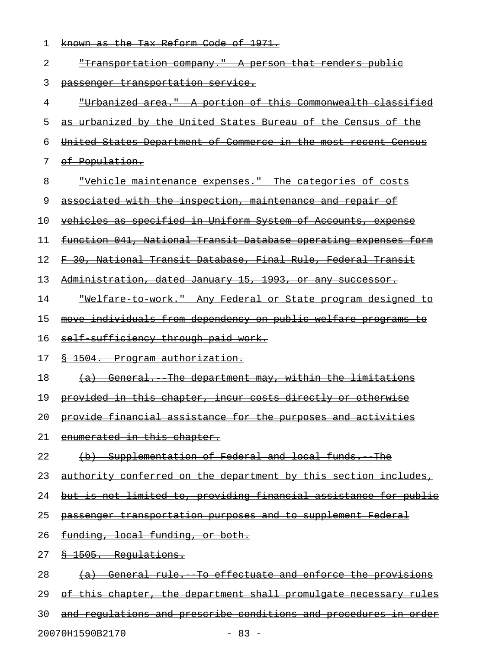| 1  | <u>known as the Tax Reform Code of 1971.</u>                           |
|----|------------------------------------------------------------------------|
| 2  | <u> "Transportation company." A person that renders public</u>         |
| 3  | passenger transportation service.                                      |
| 4  | <u> "Urbanized area." A portion of this Commonwealth classified</u>    |
| 5  | as urbanized by the United States Bureau of the Census of the          |
| 6  | United States Department of Commerce in the most recent Census         |
| 7  | of Population.                                                         |
| 8  | <u> "Vehicle maintenance expenses." The categories of costs</u>        |
| 9  | associated with the inspection, maintenance and repair of              |
| 10 | vehicles as specified in Uniform System of Accounts, expense           |
| 11 | function 041, National Transit Database operating expenses form        |
| 12 | F 30, National Transit Database, Final Rule, Federal Transit           |
| 13 | Administration, dated January 15, 1993, or any successor.              |
| 14 | <u>"Welfare to work." Any Federal or State program designed to</u>     |
| 15 | move individuals from dependency on public welfare programs to         |
| 16 | self sufficiency through paid work.                                    |
| 17 | <del>§ 1504. Program authorization.</del>                              |
| 18 | (a) General. The department may, within the limitations                |
| 19 | provided in this chapter, incur costs directly or otherwise            |
| 20 | provide financial assistance for the purposes and activities           |
| 21 | enumerated in this chapter.                                            |
| 22 | (b) Supplementation of Federal and local funds. The                    |
| 23 | <u>authority conferred on the department by this section includes,</u> |
| 24 | but is not limited to, providing financial assistance for public       |
| 25 | passenger transportation purposes and to supplement Federal            |
| 26 | funding, local funding, or both.                                       |
| 27 | <del>§ 1505. Requlations.</del>                                        |
| 28 | (a) General rule. To effectuate and enforce the provisions             |
| 29 | of this chapter, the department shall promulgate necessary rules       |
| 30 | and requlations and prescribe conditions and procedures in order       |
|    |                                                                        |

20070H1590B2170 - 83 -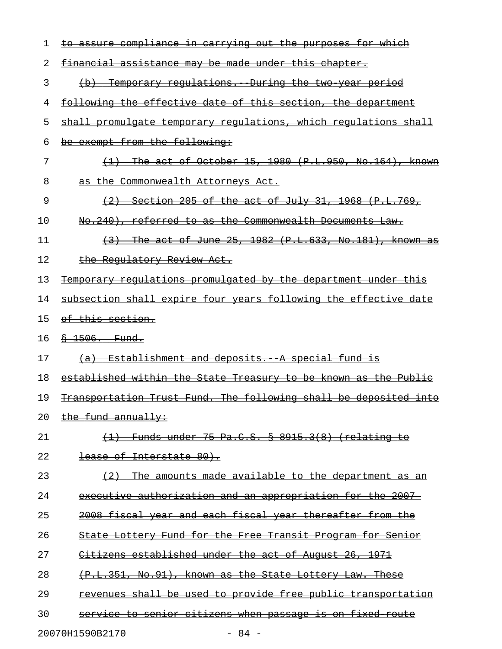| 1  | to assure compliance in carrying out the purposes for which       |
|----|-------------------------------------------------------------------|
| 2  | financial assistance may be made under this chapter.              |
| 3  | (b) Temporary regulations. During the two year period             |
| 4  | following the effective date of this section, the department      |
| 5  | shall promulgate temporary regulations, which regulations shall   |
| 6  | be exempt from the following:                                     |
| 7  | The act of October 15, 1980 (P.L.950, No.164), known              |
| 8  | as the Commonwealth Attorneys Act.                                |
| 9  | (2)<br><u>Section 205 of the act of July 31, 1968 (P.L.769,</u>   |
| 10 | No.240), referred to as the Commonwealth Documents Law.           |
| 11 | $(3)$ The act of June 25, 1982 $(P.L.633, No.181)$ , known as     |
| 12 | the Regulatory Review Act.                                        |
| 13 | Temporary regulations promulgated by the department under this    |
| 14 | subsection shall expire four years following the effective date   |
| 15 | <del>of this section.</del>                                       |
| 16 | $$-1506.$ Fund.                                                   |
| 17 | (a) Establishment and deposits. A special fund is                 |
| 18 | established within the State Treasury to be known as the Public   |
| 19 | Transportation Trust Fund. The following shall be deposited into  |
| 20 | the fund annually:                                                |
| 21 | $(1)$ Funds under 75 Pa.C.S. $\frac{8}{3}$ 8915.3(8) (relating to |
| 22 | lease of Interstate 80).                                          |
| 23 | $(2)$ The amounts made available to the department as an          |
| 24 | executive authorization and an appropriation for the 2007-        |
| 25 | 2008 fiscal year and each fiscal year thereafter from the         |
| 26 | State Lottery Fund for the Free Transit Program for Senior        |
| 27 | Citizens established under the act of August 26, 1971             |
| 28 | (P.L.351, No.91), known as the State Lottery Law. These           |
| 29 | revenues shall be used to provide free public transportation      |
| 30 | service to senior citizens when passage is on fixed route         |
|    | 20070H1590B2170<br>$-84 -$                                        |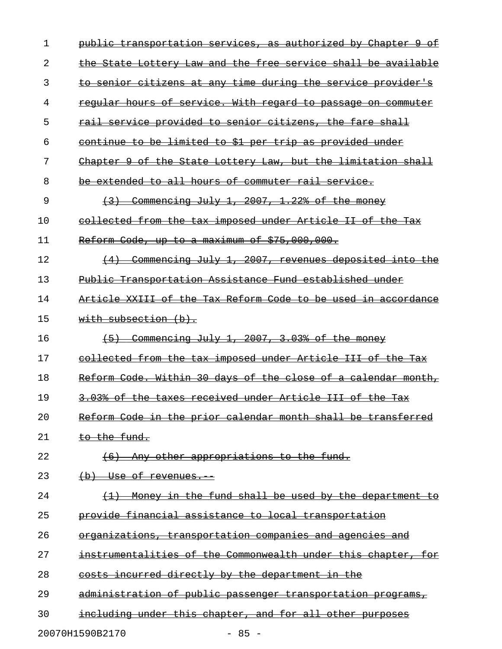| 1  | authorized by<br>Chapter<br>Θ£<br><del>public</del><br><del>transportation services,</del><br><del>-as</del> |
|----|--------------------------------------------------------------------------------------------------------------|
| 2  | State Lottery Law and the free service shall be available<br><del>the-</del>                                 |
| 3  | senior citizens at any time during the service provider's                                                    |
| 4  | hours of service. With regard to passage on commuter<br><del>regular</del>                                   |
| 5  | rail service provided to senior citizens, the fare shall                                                     |
| 6  | continue to be limited to \$1 per trip as provided under                                                     |
| 7  | of the State Lottery Law, but the limitation shall<br>-9-<br><del>Chapter</del>                              |
| 8  | extended to all hours of commuter rail service.<br>be                                                        |
| 9  | Commencing July 1, 2007, 1.22% of the money                                                                  |
| 10 | collected from the tax imposed under Article II of<br><u>the</u><br><del>Tax</del>                           |
| 11 | Reform Code, up to a maximum of \$75,000,000.                                                                |
| 12 | Commencing July 1, 2007, revenues deposited into the                                                         |
| 13 | Public Transportation Assistance Fund established under                                                      |
| 14 | XXIII of the Tax Reform Code to be used<br><del>in accordance</del><br>Article                               |
| 15 | with subsection (b).                                                                                         |
| 16 | Commencing July 1, 2007, 3.03% of the money<br>$+5+$                                                         |
| 17 | collected from the tax imposed under Article III of the<br><del>Tax</del>                                    |
| 18 | Reform Code. Within 30 days of the close of a calendar<br><del>month,</del>                                  |
| 19 | 3.03% of the taxes received under Article III of the Tax                                                     |
| 20 | Reform Code in the prior calendar month shall be transferred                                                 |
| 21 | to the fund.                                                                                                 |
| 22 | Any other appropriations to the fund.<br>(6)                                                                 |
| 23 | (b) Use of revenues.                                                                                         |
| 24 | Money in the fund shall be used by the department to<br>$\left(\frac{1}{2}\right)$                           |
| 25 | provide financial assistance to local transportation                                                         |
| 26 | organizations, transportation companies and agencies and                                                     |
| 27 | instrumentalities of the Commonwealth under this chapter, for                                                |
| 28 | costs incurred directly by the department in the                                                             |
| 29 | administration of public passenger transportation programs,                                                  |
| 30 | including under this chapter, and for all other purposes                                                     |
|    |                                                                                                              |

20070H1590B2170 - 85 -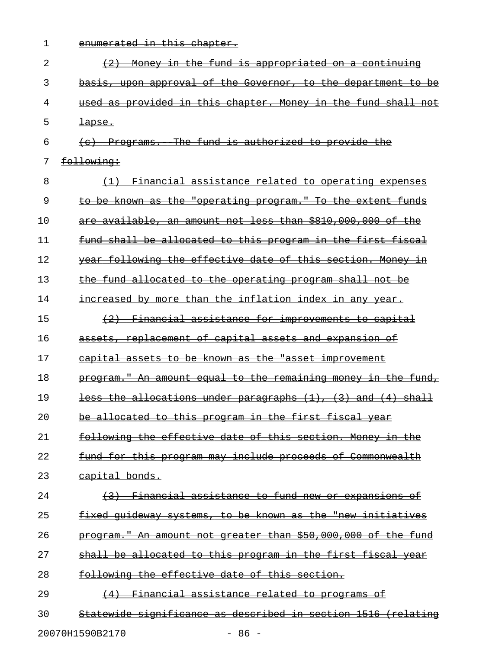| $\mathbf 1$ | enumerated in this chapter.                                   |
|-------------|---------------------------------------------------------------|
| 2           | $(2)$ Money in the fund is appropriated on a continuing       |
| 3           | basis, upon approval of the Governor, to the department to be |
| 4           | used as provided in this chapter. Money in the fund shall not |
| 5           | <del>lapse.</del>                                             |
| 6           | (c) Programs. The fund is authorized to provide the           |
| 7           | following:                                                    |
| 8           | (1) Financial assistance related to operating expenses        |
| 9           | to be known as the "operating program." To the extent funds   |
| 10          | are available, an amount not less than \$810,000,000 of the   |
| 11          | fund shall be allocated to this program in the first fiscal   |
| 12          | year following the effective date of this section. Money in   |
| 13          | the fund allocated to the operating program shall not be      |
| 14          | increased by more than the inflation index in any year.       |
| 15          | (2) Financial assistance for improvements to capital          |
| 16          | assets, replacement of capital assets and expansion of        |
| 17          | capital assets to be known as the "asset improvement          |
| 18          | program." An amount equal to the remaining money in the fund, |
| 19          | less the allocations under paragraphs (1), (3) and (4) shall  |
| 20          | be allocated to this program in the first fiscal year         |
| 21          | following the effective date of this section. Money in the    |
| 22          | fund for this program may include proceeds of Commonwealth    |
| 23          | capital bonds.                                                |
| 24          | (3) Financial assistance to fund new or expansions of         |
| 25          | fixed quideway systems, to be known as the "new initiatives   |
| 26          | program." An amount not greater than \$50,000,000 of the fund |
| 27          | shall be allocated to this program in the first fiscal year   |
| 28          | following the effective date of this section.                 |
| 29          | (4) Financial assistance related to programs of               |
| 30          | Statewide significance as described in section 1516 (relating |
|             |                                                               |

20070H1590B2170 - 86 -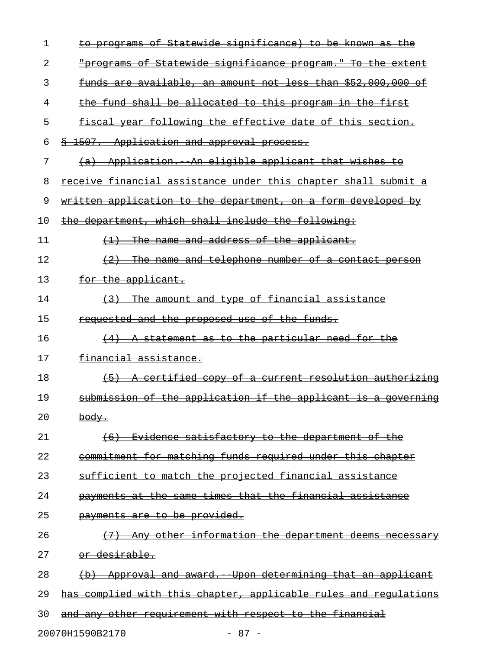| 1  | to programs of Statewide significance) to be known as the        |
|----|------------------------------------------------------------------|
| 2  | "programs of Statewide significance program." To the extent      |
| 3  | funds are available, an amount not less than \$52,000,000 of     |
| 4  | the fund shall be allocated to this program in the first         |
| 5  | fiscal year following the effective date of this section.        |
| 6  | § 1507. Application and approval process.                        |
| 7  | (a) Application. An eligible applicant that wishes to            |
| 8  | receive financial assistance under this chapter shall submit a   |
| 9  | written application to the department, on a form developed by    |
| 10 | the department, which shall include the following:               |
| 11 | $(1)$ The name and address of the applicant.                     |
| 12 | $(2)$ The name and telephone number of a contact person          |
| 13 | for the applicant.                                               |
| 14 | (3) The amount and type of financial assistance                  |
| 15 | <del>requested and the proposed use of the funds.</del>          |
| 16 | $(4)$ A statement as to the particular need for the              |
| 17 | <del>financial assistance.</del>                                 |
| 18 | (5) A certified copy of a current resolution authorizing         |
| 19 | submission of the application if the applicant is a governing    |
| 20 | body.                                                            |
| 21 | Evidence satisfactory to the department of the<br>(6)            |
| 22 | commitment for matching funds required under this chapter        |
| 23 | sufficient to match the projected financial assistance           |
| 24 | payments at the same times that the financial assistance         |
| 25 | <del>payments are to be provided.</del>                          |
| 26 | Any other information the department deems necessary             |
| 27 | <del>or desirable.</del>                                         |
| 28 | Approval and award. Upon determining that an applicant           |
| 29 | has complied with this chapter, applicable rules and requlations |
| 30 | and any other requirement with respect to the financial          |
|    |                                                                  |

20070H1590B2170 - 87 -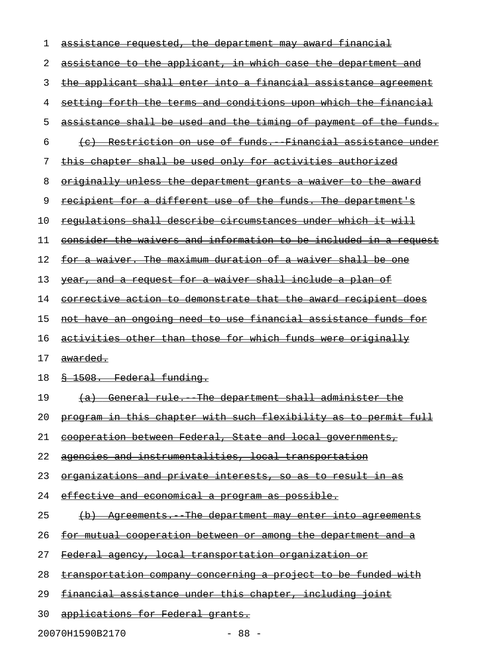| 1  | <u>assistance requested, the department may award financial</u>        |
|----|------------------------------------------------------------------------|
| 2  | assistance to the applicant, in which case the department and          |
| 3  | the applicant shall enter into a financial assistance agreement        |
| 4  | setting forth the terms and conditions upon which the financial        |
| 5  | assistance shall be used and the timing of payment of the funds.       |
| 6  | (c) Restriction on use of funds. Financial assistance under            |
| 7  | this chapter shall be used only for activities authorized              |
| 8  | originally unless the department grants a waiver to the award          |
| 9  | <u>recipient for a different use of the funds. The department's</u>    |
| 10 | requlations shall describe circumstances under which it will           |
| 11 | consider the waivers and information to be included in a request       |
| 12 | <u>for a waiver. The maximum duration of a waiver shall be one</u>     |
| 13 | year, and a request for a waiver shall include a plan of               |
| 14 | <u>corrective action to demonstrate that the award recipient does</u>  |
| 15 | <u>not have an ongoing need to use financial assistance funds for </u> |
| 16 | activities other than those for which funds were originally            |
| 17 | <del>awarded.</del>                                                    |
| 18 | § 1508. Federal funding.                                               |
| 19 | (a) General rule. The department shall administer the                  |
| 20 | program in this chapter with such flexibility as to permit full        |
| 21 | <u>cooperation between Federal, State and local governments,</u>       |
| 22 | agencies and instrumentalities, local transportation                   |
| 23 | <u>organizations and private interests, so as to result in as</u>      |
| 24 | <u>effective and economical a program as possible.</u>                 |
| 25 | <u>(b) Agreements. The department may enter into agreements</u>        |
| 26 | <u>for mutual cooperation between or among the department and a</u>    |
| 27 | <u> Federal agency, local transportation organization or</u>           |
| 28 | transportation company concerning a project to be funded with          |
| 29 | <u>financial assistance under this chapter, including joint</u>        |
|    |                                                                        |

20070H1590B2170 - 88 -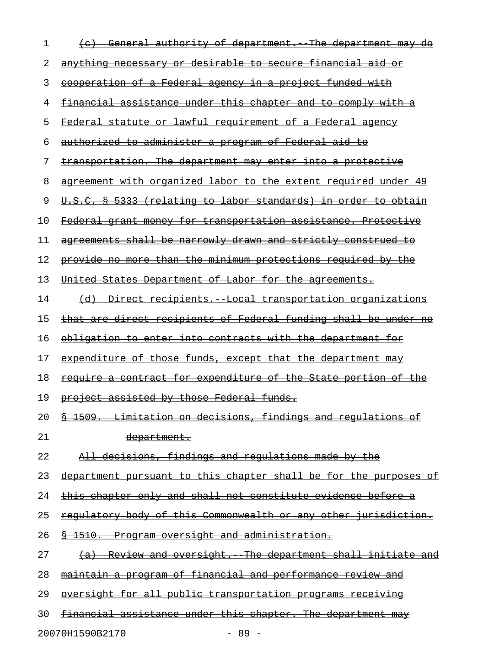| 1  | General authority of department. The department may                         |
|----|-----------------------------------------------------------------------------|
| 2  | anything necessary or desirable to secure financial aid or                  |
| 3  | cooperation of a Federal agency in a project funded with                    |
| 4  | financial assistance under this chapter and to comply with a                |
| 5  | Federal statute or lawful requirement of a Federal agency                   |
| 6  | <u>authorized to administer a program of Federal aid to</u>                 |
| 7  | transportation. The department may enter into a protective                  |
| 8  | agreement with organized labor to the extent required under                 |
| 9  | U.S.C. § 5333 (relating to labor standards) in order to obtain              |
| 10 | Federal grant money for transportation assistance. Protective               |
| 11 | agreements shall be narrowly drawn and strictly construed to                |
| 12 | provide no more than the minimum protections required by the                |
| 13 | United States Department of Labor for the agreements.                       |
| 14 | (d) Direct recipients. Local transportation organizations                   |
| 15 | that are direct recipients of Federal funding shall be under no             |
| 16 | obligation to enter into contracts with the department for                  |
| 17 | expenditure of those funds, except that the department may                  |
| 18 | require a contract for expenditure of the State portion of the              |
| 19 | project assisted by those Federal funds.                                    |
| 20 | Limitation on decisions, findings and regulations of<br>$\frac{8}{5}$ 1509. |
| 21 | <del>department.</del>                                                      |
| 22 | All decisions, findings and requlations made by the                         |
| 23 | department pursuant to this chapter shall be for the purposes of            |
| 24 | this chapter only and shall not constitute evidence before a                |
| 25 | regulatory body of this Commonwealth or any other jurisdiction.             |
| 26 | § 1510. Program oversight and administration.                               |
| 27 | (a) Review and oversight. The department shall initiate and                 |
| 28 | maintain a program of financial and performance review and                  |
| 29 | oversight for all public transportation programs receiving                  |
| 30 | financial assistance under this chapter. The department may                 |
|    |                                                                             |

20070H1590B2170 - 89 -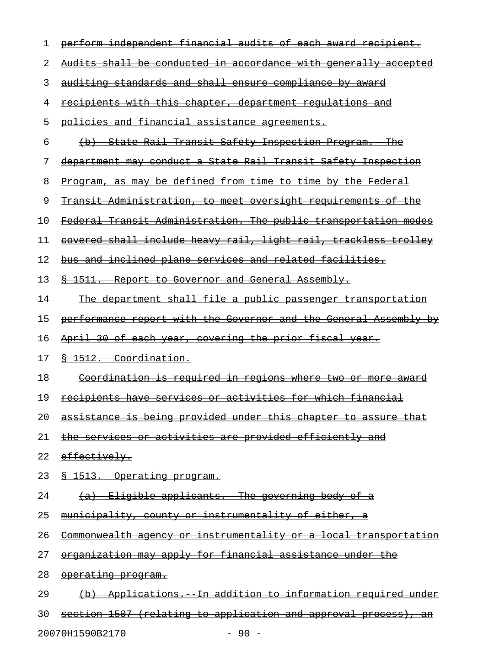| 1  | perform independent financial audits of each award recipient.                     |
|----|-----------------------------------------------------------------------------------|
| 2  | Audits shall be conducted in accordance with generally accepted                   |
| 3  | auditing standards and shall ensure compliance by award                           |
| 4  | <u>recipients with this chapter, department requlations and</u>                   |
| 5  | policies and financial assistance agreements.                                     |
| 6  | State Rail Transit Safety Inspection Program.<br><del>The</del><br>$\overline{a}$ |
| 7  | department may conduct a State Rail Transit Safety Inspection                     |
| 8  | Program, as may be defined from time to time by the Federal                       |
| 9  | <u>Transit Administration, to meet oversight requirements of the</u>              |
| 10 | Federal Transit Administration. The public transportation modes                   |
| 11 | covered shall include heavy rail, light rail, trackless trolley                   |
| 12 | bus and inclined plane services and related facilities.                           |
| 13 | \$ 1511. Report to Governor and General Assembly.                                 |
| 14 | The department shall file a public passenger transportation                       |
| 15 | performance report with the Governor and the General Assembly by                  |
| 16 | April 30 of each year, covering the prior fiscal year.                            |
| 17 | § 1512. Coordination.                                                             |
| 18 | <u>Coordination is required in regions where two or</u><br><del>more award</del>  |
| 19 | recipients have services or activities for which financial                        |
| 20 | assistance is being provided under this chapter to assure that                    |
| 21 | the services or activities are provided efficiently and                           |
| 22 | effectively.                                                                      |
| 23 | <u>&amp; 1513. Operating program.</u>                                             |
| 24 | (a) Eligible applicants. The governing body of a                                  |
| 25 | municipality, county or instrumentality of either, a                              |
| 26 | Commonwealth agency or instrumentality or a local transportation                  |
| 27 | organization may apply for financial assistance under the                         |
| 28 | operating program.                                                                |
| 29 | (b) Applications. In addition to information required under                       |
| 30 | section 1507 (relating to application and approval process), an                   |

20070H1590B2170 - 90 -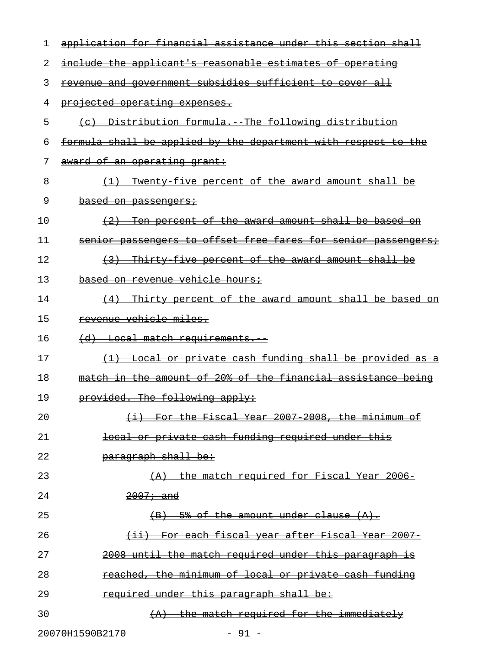| 1  | application for financial assistance under this section shall            |
|----|--------------------------------------------------------------------------|
| 2  | include the applicant's reasonable estimates of operating                |
| 3  | revenue and government subsidies sufficient to cover all                 |
| 4  | projected operating expenses.                                            |
| 5  | (c) Distribution formula. The following distribution                     |
| 6  | formula shall be applied by the department with respect to the           |
| 7  | award of an operating grant:                                             |
| 8  | (1) Twenty five percent of the award amount shall be                     |
| 9  | based on passengers;                                                     |
| 10 | <u>Ten percent of the award amount shall be based on</u><br>$+2$         |
| 11 | senior passengers to offset free fares for senior passengers;            |
| 12 | (3) Thirty five percent of the award amount shall be                     |
| 13 | based on revenue vehicle hours;                                          |
| 14 | Thirty percent of the award amount shall be based on<br>$\left(4\right)$ |
| 15 | revenue vehicle miles.                                                   |
| 16 | (d) Local match requirements.                                            |
| 17 | (1) Local or private cash funding shall be provided as a                 |
| 18 | match in the amount of 20% of the financial assistance being             |
| 19 | provided. The following apply:                                           |
| 20 | (i) For the Fiscal Year 2007 2008, the minimum of                        |
| 21 | local or private cash funding required under this                        |
| 22 | paragraph shall be:                                                      |
| 23 | $\{A\}$ the match required for Fiscal Year 2006-                         |
| 24 | $2007 - and$                                                             |
| 25 | $(B)$ 5% of the amount under clause $(A)$ .                              |
| 26 | (ii) For each fiscal year after Fiscal Year 2007                         |
| 27 | 2008 until the match required under this paragraph is                    |
| 28 | reached, the minimum of local or private cash funding                    |
| 29 | required under this paragraph shall be:                                  |
| 30 | $(A)$ the match required for the immediately                             |
|    | 20070H1590B2170<br>$-91 -$                                               |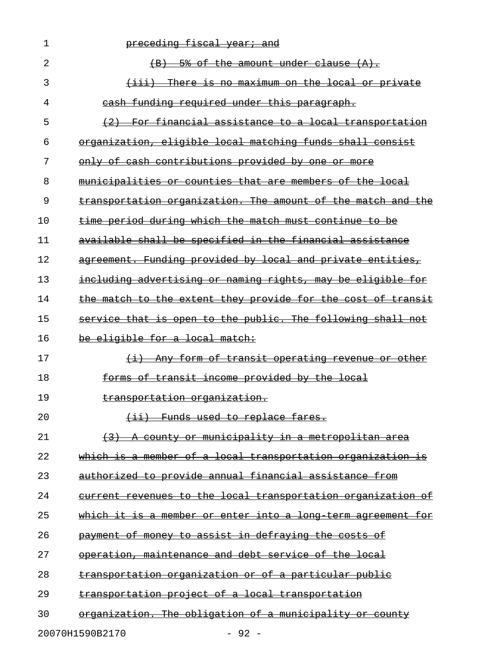| 1  | preceding fiscal year; and                                          |
|----|---------------------------------------------------------------------|
| 2  | 5% of the amount under clause (A).<br>$\left( \mathrm{B} \right)$   |
| 3  | There is no maximum on the local or private<br><del>(iii)</del>     |
| 4  | cash funding required under this paragraph.                         |
| 5  | For financial assistance to a local transportation                  |
| 6  | organization, eligible local matching funds shall consist           |
| 7  | only of cash contributions provided by one or more                  |
| 8  | municipalities or counties that are members of the local            |
| 9  | transportation organization. The amount of the match and the        |
| 10 | time period during which the match must continue to be              |
| 11 | available shall be specified in the financial assistance            |
| 12 | agreement. Funding provided by local and private entities,          |
| 13 | including advertising or naming rights, may be eligible for         |
| 14 | the match to the extent they provide for the cost of transit        |
| 15 | service that is open to the public. The following shall not         |
| 16 | be eligible for a local match:                                      |
| 17 | (i) Any form of transit operating revenue or other                  |
| 18 | forms of transit income provided by the local                       |
| 19 | <del>transportation organization.</del>                             |
| 20 | <del>Funds used to replace fares.</del><br>$\leftarrow$ ii)         |
| 21 | <u>A county or municipality in a metropolitan area</u>              |
| 22 | which is a member of a local transportation organization is         |
| 23 | authorized to provide annual financial assistance from              |
| 24 | <u>current revenues to the local transportation organization of</u> |
| 25 | which it is a member or enter into a long term agreement for        |
| 26 | <del>payment of money to assist in defraying the costs of</del>     |
| 27 | operation, maintenance and debt service of the local                |
| 28 | <u>transportation organization or of a particular public</u>        |
| 29 | transportation project of a local transportation                    |
| 30 | organization. The obligation of a municipality or county            |
|    | 20070H1590B2170<br>$-92 -$                                          |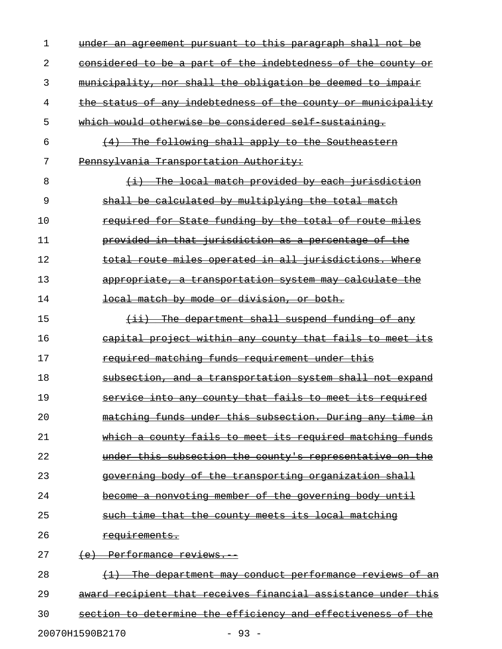| 1  | under an agreement pursuant to this paragraph shall not be                                    |
|----|-----------------------------------------------------------------------------------------------|
| 2  | considered to be a part of the indebtedness of the county or                                  |
| 3  | municipality, nor shall the obligation be deemed to impair                                    |
| 4  | the status of any indebtedness of the county or municipality                                  |
| 5  | which would otherwise be considered self sustaining.                                          |
| 6  | (4) The following shall apply to the Southeastern                                             |
| 7  | Pennsylvania Transportation Authority:                                                        |
| 8  | (i) The local match provided by each jurisdiction                                             |
| 9  | shall be calculated by multiplying the total match                                            |
| 10 | required for State funding by the total of route miles                                        |
| 11 | provided in that jurisdiction as a percentage of the                                          |
| 12 | total route miles operated in all jurisdictions. Where                                        |
| 13 | appropriate, a transportation system may calculate the                                        |
| 14 | <del>local match by mode or division, or both.</del>                                          |
| 15 | $(i)$ The department shall suspend funding of any                                             |
| 16 | eapital project within any county that fails to meet its                                      |
| 17 | required matching funds requirement under this                                                |
| 18 | subsection, and a transportation system shall not expand                                      |
| 19 | service into any county that fails to meet its required                                       |
| 20 | <u>matching funds under this subsection. During any time</u><br>Ξ'n                           |
| 21 | <del>fails to meet its required matching</del><br><del>funds</del><br><del>count.v</del>      |
| 22 | under this subsection the county's representative on the                                      |
| 23 | <u>the</u><br><del>governing bodv</del><br>ക≠–<br><del>transporting organization shall</del>  |
| 24 | <del>a nonvoting member of the governing body until</del>                                     |
| 25 | <del>that the county meets its local matching</del>                                           |
| 26 | <del>requirements.</del>                                                                      |
| 27 | Performance reviews.                                                                          |
| 28 | <del>department may conduct performance reviews of</del><br><del>The-</del><br><del>-an</del> |
| 29 | <u>award recipient that receives financial assistance under this</u>                          |
| 30 | determine the efficiency and effectiveness<br><u>of</u><br><del>section</del>                 |
|    |                                                                                               |

20070H1590B2170 - 93 -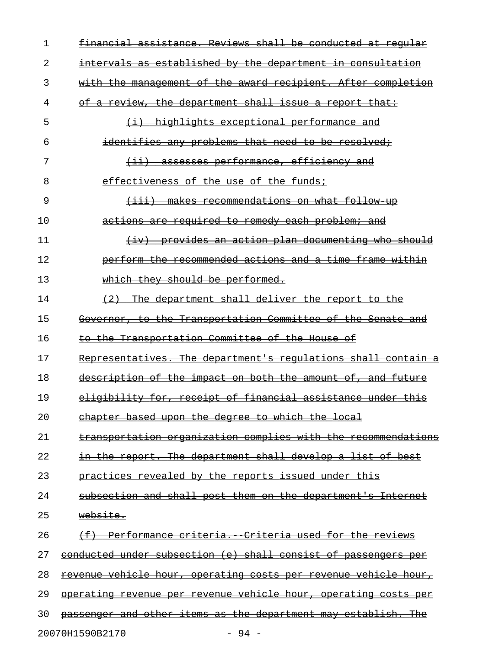| 1  | financial assistance. Reviews shall be conducted at reqular            |
|----|------------------------------------------------------------------------|
| 2  | intervals as established by the department in consultation             |
| 3  | with the management of the award recipient. After completion           |
| 4  | of a review, the department shall issue a report that:                 |
| 5  | $(i)$ highlights exceptional performance and                           |
| 6  | identifies any problems that need to be resolved;                      |
| 7  | <u>(ii) assesses performance, efficiency and</u>                       |
| 8  | effectiveness of the use of the funds;                                 |
| 9  | <del>(iii) makes recommendations on what follow up</del>               |
| 10 | actions are required to remedy each problem; and                       |
| 11 | (iv) provides an action plan documenting who should                    |
| 12 | perform the recommended actions and a time frame within                |
| 13 | which they should be performed.                                        |
| 14 | (2) The department shall deliver the report to the                     |
| 15 | Governor, to the Transportation Committee of the Senate and            |
| 16 | to the Transportation Committee of the House of                        |
| 17 | Representatives. The department's regulations shall contain a          |
| 18 | description of the impact on both the amount of, and future            |
| 19 | eligibility for, receipt of financial assistance under this            |
| 20 | chapter based upon the degree to which the local                       |
| 21 | transportation organization complies with the recommendations          |
| 22 | in the report. The department shall develop a list of best             |
| 23 | practices revealed by the reports issued under this                    |
| 24 | subsection and shall post them on the department's Internet            |
| 25 | website.                                                               |
| 26 | (f) Performance criteria. Criteria used for the reviews                |
| 27 | conducted under subsection (e) shall consist of passengers per         |
| 28 | <u>revenue vehicle hour, operating costs per revenue vehicle hour,</u> |
| 29 | operating revenue per revenue vehicle hour, operating costs per        |
| 30 | passenger and other items as the department may establish. The         |
|    | 20070H1590B2170<br>$-94 -$                                             |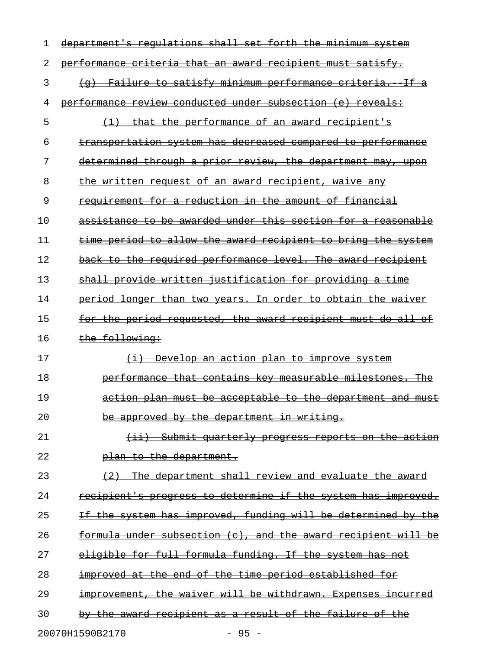| ı  | <del>shall</del><br><del>forth</del><br><del>requlations</del><br>set<br><del>the</del><br><del>minimum</del><br><del>department</del> |
|----|----------------------------------------------------------------------------------------------------------------------------------------|
| 2  | performance criteria that an award recipient must satisfy.                                                                             |
| 3  | Failure to satisfy minimum performance criteria.<br><del>-If a</del><br><del>(q)</del>                                                 |
| 4  | conducted under subsection (e)<br><del>performance</del><br><del>reveals:</del><br><del>review</del>                                   |
| 5  | the performance of an award recipient's<br><del>that -</del>                                                                           |
| 6  | transportation system has decreased compared to performance                                                                            |
| 7  | determined through a prior review, the department may,<br><del>upon</del>                                                              |
| 8  | written request of an award recipient, waive<br><del>the-</del><br><del>-any</del>                                                     |
| 9  | requirement for a reduction in the amount of financial                                                                                 |
| 10 | assistance to be awarded under this section for a reasonable                                                                           |
| 11 | period to allow the award recipient to bring<br><del>the</del><br><del>tıme-</del><br><del>svstem</del>                                |
| 12 | back to the required performance level. The award recipient                                                                            |
| 13 | shall provide written justification for providing<br><del>a tıme</del>                                                                 |
| 14 | period longer than two years. In order to obtain the<br><del>walver</del>                                                              |
| 15 | the period requested, the award recipient must<br>-do-<br>$\overline{aH}$<br><del>tor</del>                                            |
| 16 | the following:                                                                                                                         |
| 17 | Develop an action plan to improve system<br>$\overline{+i}$                                                                            |
| 18 | measurable milestones.<br>performance<br><del>that contains</del><br><del>-key</del>                                                   |
| 19 | action plan must be acceptable to the department and must                                                                              |
| 20 | be approved by the department in writing.                                                                                              |
| 21 | $\overline{(\pm\pm)}$<br><u>Submit quarterly progress reports on the action</u>                                                        |
| 22 | plan to the department.                                                                                                                |
| 23 | The department shall review and evaluate the award<br>$+2$                                                                             |
| 24 | recipient's progress to determine if the system has improved.                                                                          |
| 25 | If the system has improved, funding will be determined by the                                                                          |
| 26 | formula under subsection (c), and the award recipient will be                                                                          |
| 27 | eligible for full formula funding. If the system has not                                                                               |
| 28 | improved at the end of the time period established for                                                                                 |
| 29 | improvement, the waiver will be withdrawn. Expenses incurred                                                                           |
| 30 | by the award recipient as a result of the failure of the                                                                               |
|    | 20070H1590B2170<br>$-95 -$                                                                                                             |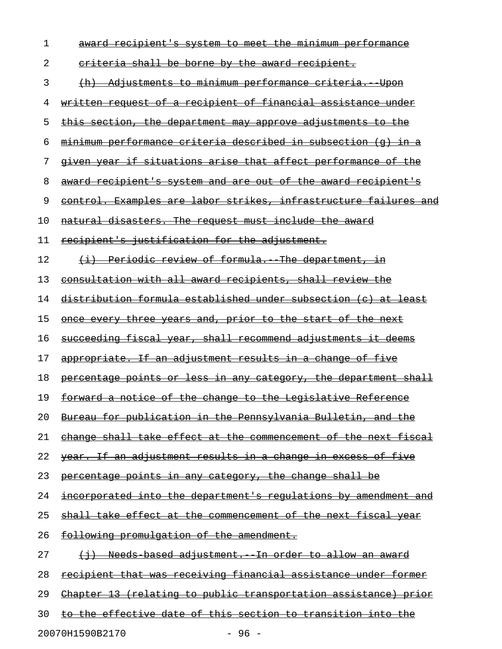| 1  | award recipient's system to meet the minimum performance               |
|----|------------------------------------------------------------------------|
| 2  | <u>eriteria shall be borne by the award recipient.</u>                 |
| 3  | Adjustments to minimum performance criteria.<br><del>Upon</del>        |
| 4  | written request of a recipient of financial assistance under           |
| 5  | this section, the department may approve adjustments to the            |
| 6  | minimum performance criteria described in subsection (q)               |
| 7  | given year if situations arise that affect performance of the          |
| 8  | award recipient's system and are out of the award recipient's          |
| 9  | control. Examples are labor strikes, infrastructure failures and       |
| 10 | natural disasters. The request must include the award                  |
| 11 | recipient's justification for the adjustment.                          |
| 12 | (i) Periodic review of formula. The department, in                     |
| 13 | consultation with all award recipients, shall review the               |
| 14 | distribution formula established under subsection (c) at least         |
| 15 | once every three years and, prior to the start of the next             |
| 16 | succeeding fiscal year, shall recommend adjustments it deems           |
| 17 | appropriate. If an adjustment results in a change of five              |
| 18 | percentage points or less in any category, the department shall        |
| 19 | forward a notice of the change to the Legislative Reference            |
| 20 | Bureau for publication in the Pennsylvania Bulletin, and the           |
| 21 | change shall take effect at the commencement of the next fiscal        |
| 22 | <u>year. If an adjustment results in a change in excess of five</u>    |
| 23 | percentage points in any category, the change shall be                 |
| 24 | <u>incorporated into the department's regulations by amendment and</u> |
| 25 | shall take effect at the commencement of the next fiscal year          |
| 26 | following promulgation of the amendment.                               |
| 27 | <u>(i) Needs based adjustment. In order to allow an award</u>          |
| 28 | recipient that was receiving financial assistance under former         |
| 29 | <u>Chapter 13 (relating to public transportation assistance) prior</u> |
| 30 | to the effective date of this section to transition into the           |
|    |                                                                        |

20070H1590B2170 - 96 -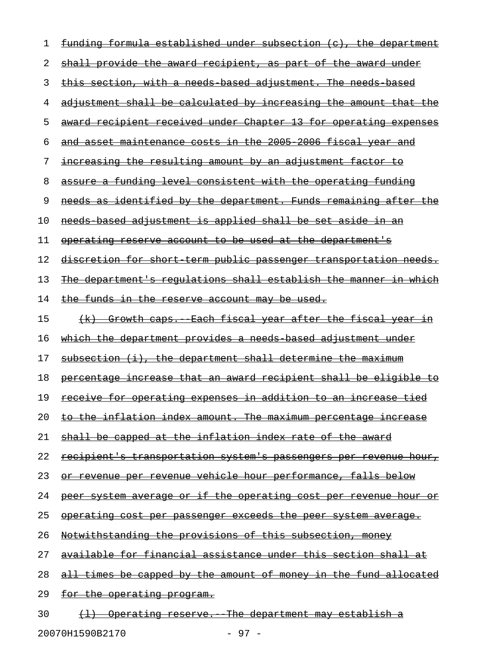| 1  | funding formula established under subsection (c), the department        |
|----|-------------------------------------------------------------------------|
| 2  | shall provide the award recipient, as part of the award under           |
| 3  | <u>this section, with a needs based adjustment. The needs based</u>     |
| 4  | adjustment shall be calculated by increasing the amount that the        |
| 5  | award recipient received under Chapter 13 for operating expenses        |
| 6  | and asset maintenance costs in the 2005 2006 fiscal year and            |
| 7  | <u>increasing the resulting amount by an adjustment factor to</u>       |
| 8  | assure a funding level consistent with the operating funding            |
| 9  | needs as identified by the department. Funds remaining after the        |
| 10 | needs based adjustment is applied shall be set aside in an              |
| 11 | operating reserve account to be used at the department's                |
| 12 | <u>discretion for short term public passenger transportation needs.</u> |
| 13 | <u>The department's regulations shall establish the manner in which</u> |
| 14 | the funds in the reserve account may be used.                           |
| 15 | (k) Growth caps. Each fiscal year after the fiscal year in              |
| 16 | <u>which the department provides a needs based adjustment under</u>     |
| 17 | subsection (i), the department shall determine the maximum              |
| 18 | <u>percentage increase that an award recipient shall be eligible to</u> |
| 19 | <u>receive for operating expenses in addition to an increase tied</u>   |
| 20 | <u>to the inflation index amount. The maximum percentage increase</u>   |
| 21 | shall be capped at the inflation index rate of the award                |
| 22 | <u>recipient's transportation system's passengers per revenue hour,</u> |
| 23 | or revenue per revenue vehicle hour performance, falls below            |
| 24 | peer system average or if the operating cost per revenue hour or        |
| 25 | operating cost per passenger exceeds the peer system average.           |
| 26 | Notwithstanding the provisions of this subsection, money                |
| 27 | available for financial assistance under this section shall at          |
| 28 | <u>all times be capped by the amount of money in the fund allocated</u> |
| 29 | <u>for the operating program.</u>                                       |
| 30 | (1) Operating reserve. The department may establish a                   |

20070H1590B2170 - 97 -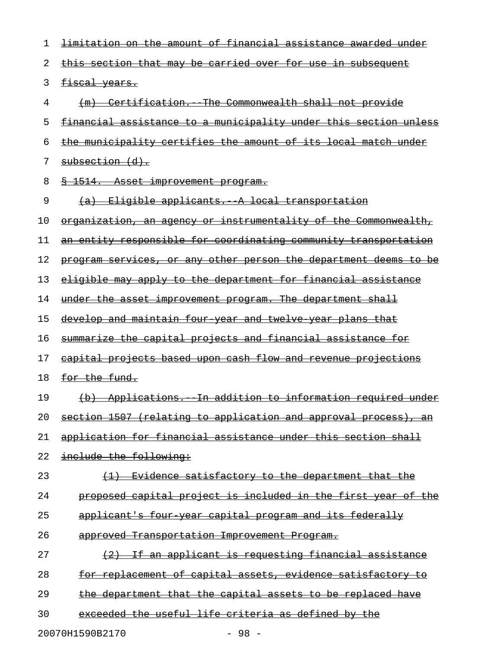| 1  | <u>limitation on the amount of financial assistance awarded under</u> |
|----|-----------------------------------------------------------------------|
| 2  | this section that may be carried over for use in subsequent           |
| 3  | fiscal years.                                                         |
| 4  | (m) Certification. The Commonwealth shall not provide                 |
| 5  | financial assistance to a municipality under this section unless      |
| 6  | the municipality certifies the amount of its local match under        |
| 7  | subsection (d).                                                       |
| 8  | 8 1514. Asset improvement program.                                    |
| 9  | (a) Eligible applicants. A local transportation                       |
| 10 | organization, an agency or instrumentality of the Commonwealth,       |
| 11 | an entity responsible for coordinating community transportation       |
| 12 | program services, or any other person the department deems to be      |
| 13 | eligible may apply to the department for financial assistance         |
| 14 | under the asset improvement program. The department shall             |
| 15 | <u>develop and maintain four year and twelve year plans that</u>      |
| 16 | summarize the capital projects and financial assistance for           |
| 17 | capital projects based upon cash flow and revenue projections         |
| 18 | for the fund.                                                         |
| 19 | (b) Applications. In addition to information required under           |
| 20 | section 1507 (relating to application and approval process), an       |
| 21 | application for financial assistance under this section shall         |
| 22 | include the following:                                                |
| 23 | (1) Evidence satisfactory to the department that the                  |
| 24 | proposed capital project is included in the first year of the         |
| 25 | applicant's four year capital program and its federally               |
| 26 | approved Transportation Improvement Program.                          |
| 27 | (2) If an applicant is requesting financial assistance                |
| 28 | for replacement of capital assets, evidence satisfactory to           |
| 29 | the department that the capital assets to be replaced have            |
| 30 | exceeded the useful life criteria as defined by the                   |
|    | 20070H1590B2170<br>- 98 -                                             |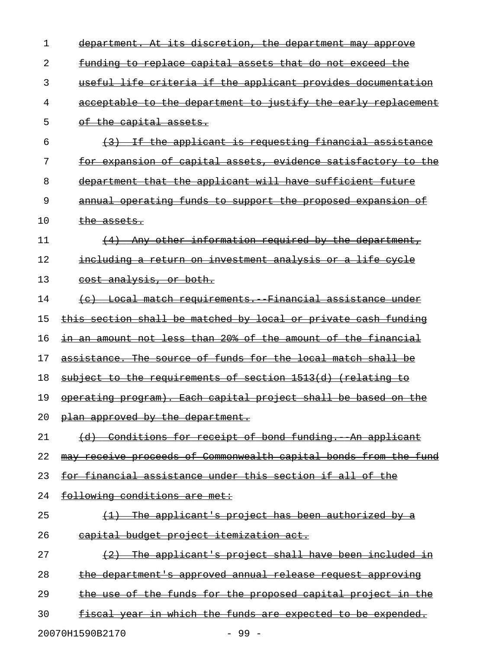| 1  | department. At its discretion, the department may approve            |
|----|----------------------------------------------------------------------|
| 2  | <u>funding to replace capital assets that do not exceed the</u>      |
| 3  | useful life criteria if the applicant provides documentation         |
| 4  | acceptable to the department to justify the early replacement        |
| 5  | of the capital assets.                                               |
| 6  | (3) If the applicant is requesting financial assistance              |
| 7  | <u>for expansion of capital assets, evidence satisfactory to the</u> |
| 8  | department that the applicant will have sufficient future            |
| 9  | annual operating funds to support the proposed expansion of          |
| 10 | the assets.                                                          |
| 11 | (4) Any other information required by the department,                |
| 12 | including a return on investment analysis or a life eycle            |
| 13 | cost analysis, or both.                                              |
| 14 | (c) Local match requirements. Financial assistance under             |
| 15 | this section shall be matched by local or private cash funding       |
| 16 | in an amount not less than 20% of the amount of the financial        |
| 17 | assistance. The source of funds for the local match shall be         |
| 18 | subject to the requirements of section 1513(d) (relating to          |
| 19 | operating program). Each capital project shall be based on the       |
| 20 | plan approved by the department.                                     |
| 21 | (d) Conditions for receipt of bond funding. An applicant             |
| 22 | may receive proceeds of Commonwealth capital bonds from the fund     |
| 23 | for financial assistance under this section if all of the            |
| 24 | following conditions are met:                                        |
| 25 | $(1)$ The applicant's project has been authorized by a               |
| 26 | capital budget project itemization act.                              |
| 27 | (2) The applicant's project shall have been included in              |
| 28 | the department's approved annual release request approving           |
| 29 | the use of the funds for the proposed capital project in the         |
| 30 | fiscal year in which the funds are expected to be expended.          |
|    | 20070H1590B2170<br>$-99 -$                                           |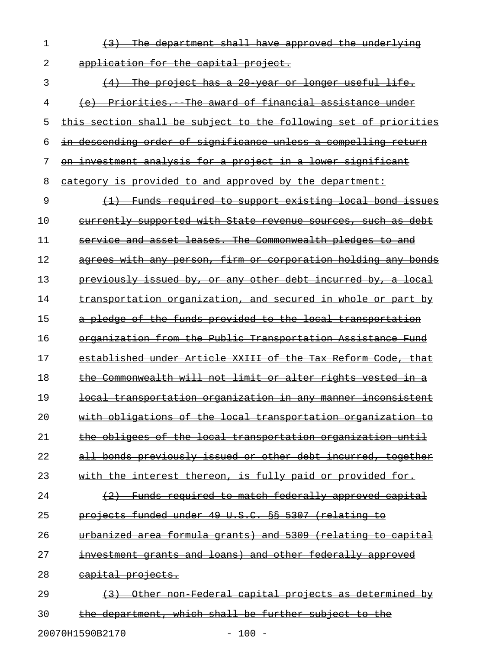$1$  (3) The department shall have approved the underlying 2 application for the capital project.

3 (4) The project has a 20 year or longer useful life. 4 (e) Priorities. The award of financial assistance under 5 this section shall be subject to the following set of priorities 6 in descending order of significance unless a compelling return 7 on investment analysis for a project in a lower significant 8 category is provided to and approved by the department: 9  $(1)$  Funds required to support existing local bond issues 10 currently supported with State revenue sources, such as debt 11 service and asset leases. The Commonwealth pledges to and 12 agrees with any person, firm or corporation holding any bonds 13 previously issued by, or any other debt incurred by, a local 14 transportation organization, and secured in whole or part by 15 a pledge of the funds provided to the local transportation 16 organization from the Public Transportation Assistance Fund 17 established under Article XXIII of the Tax Reform Code, that 18 the Commonwealth will not limit or alter rights vested in a 19 **local transportation organization in any manner inconsistent** 20 with obligations of the local transportation organization to 21 the obligees of the local transportation organization until 22 all bonds previously issued or other debt incurred, together 23 with the interest thereon, is fully paid or provided for. 24  $(2)$  Funds required to match federally approved capital 25 projects funded under 49 U.S.C. §§ 5307 (relating to 26 urbanized area formula grants) and 5309 (relating to capital

27 investment grants and loans) and other federally approved

28 capital projects.

29 (3) Other non-Federal capital projects as determined by 30 the department, which shall be further subject to the

20070H1590B2170 - 100 -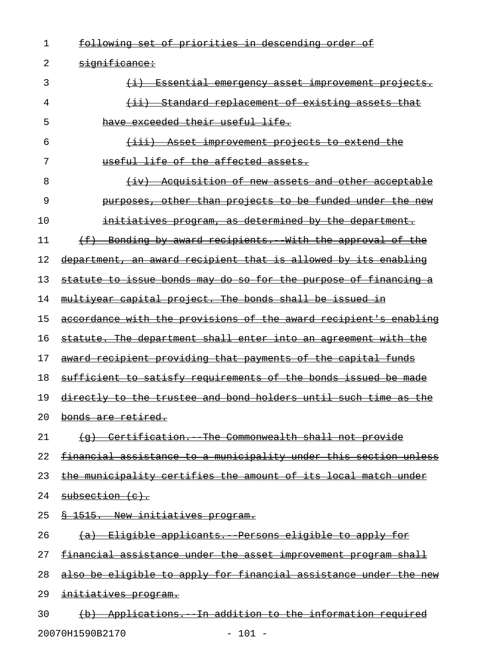| 1  | set of priorities in descending order of<br><del>following</del>               |
|----|--------------------------------------------------------------------------------|
| 2  | significance:                                                                  |
| 3  | Essential emergency asset improvement projects.                                |
| 4  | (ii) Standard replacement of existing assets that                              |
| 5  | have exceeded their useful life.                                               |
| 6  | <u>(iii) Asset improvement projects to extend the</u>                          |
| 7  | useful life of the affected assets.                                            |
| 8  | Acquisition of new assets and other acceptable<br>$\leftarrow$ iv $\leftarrow$ |
| 9  | purposes, other than projects to be funded under the new                       |
| 10 | initiatives program, as determined by the department.                          |
| 11 | (f) Bonding by award recipients. With the approval of the                      |
| 12 | department, an award recipient that is allowed by its enabling                 |
| 13 | statute to issue bonds may do so for the purpose of financing a                |
| 14 | multiyear capital project. The bonds shall be issued in                        |
| 15 | accordance with the provisions of the award recipient's enabling               |
| 16 | statute. The department shall enter into an agreement with the                 |
| 17 | award recipient providing that payments of the capital funds                   |
| 18 | sufficient to satisfy requirements of the bonds issued be made                 |
| 19 | directly to the trustee and bond holders until such time as the                |
| 20 | bonds are retired.                                                             |
| 21 | (g) Certification. The Commonwealth shall not provide                          |
| 22 | financial assistance to a municipality under this section unless               |
| 23 | the municipality certifies the amount of its local match under                 |
| 24 | subsection (c).                                                                |
| 25 | § 1515. New initiatives program.                                               |
| 26 | (a) Eligible applicants. Persons eligible to apply for                         |
| 27 | financial assistance under the asset improvement program shall                 |
| 28 | also be eligible to apply for financial assistance under the new               |
| 29 | initiatives program.                                                           |
| 30 | (b) Applications. In addition to the information required                      |

20070H1590B2170 - 101 -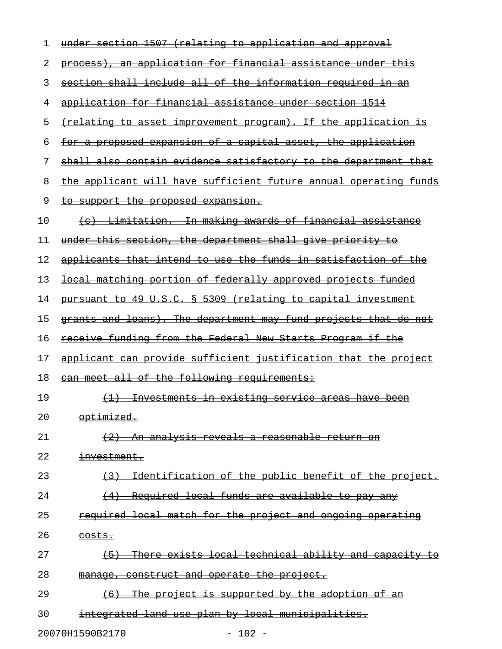| 1  | under section 1507 (relating to application and approval              |
|----|-----------------------------------------------------------------------|
| 2  | process), an application for financial assistance under this          |
| 3  | section shall include all of the information required in an           |
| 4  | application for financial assistance under section 1514               |
| 5  | <u>{relating to asset improvement program}. If the application is</u> |
| 6  | for a proposed expansion of a capital asset, the application          |
| 7  | shall also contain evidence satisfactory to the department that       |
| 8  | the applicant will have sufficient future annual operating funds      |
| 9  | <u>to support the proposed expansion.</u>                             |
| 10 | (c) Limitation. In making awards of financial assistance              |
| 11 | <u>under this section, the department shall give priority to</u>      |
| 12 | applicants that intend to use the funds in satisfaction of the        |
| 13 | local matching portion of federally approved projects funded          |
| 14 | pursuant to 49 U.S.C. § 5309 (relating to capital investment          |
| 15 | grants and loans). The department may fund projects that do not       |
| 16 | <u>receive funding from the Federal New Starts Program if the </u>    |
| 17 | applicant can provide sufficient justification that the project       |
| 18 | can meet all of the following requirements:                           |
| 19 | (1) Investments in existing service areas have been                   |
| 20 | optimized.                                                            |
| 21 | (2) An analysis reveals a reasonable return on                        |
| 22 | investment.                                                           |
| 23 | (3) Identification of the public benefit of the project.              |
| 24 | (4) Required local funds are available to pay any                     |
| 25 | required local match for the project and ongoing operating            |
| 26 | $costs.$                                                              |
| 27 | (5) There exists local technical ability and capacity to              |
| 28 | manage, construct and operate the project.                            |
| 29 | (6) The project is supported by the adoption of an                    |
| 30 | integrated land use plan by local municipalities.                     |

20070H1590B2170 - 102 -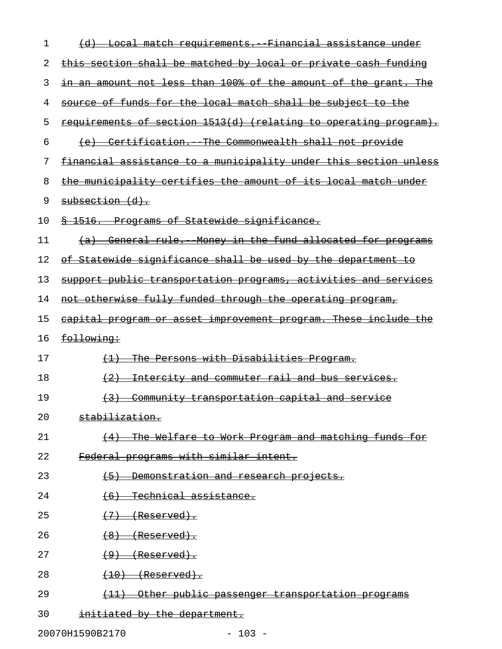| 1  | <u> (d) Local match requirements. Financial assistance under</u>        |
|----|-------------------------------------------------------------------------|
| 2  | this section shall be matched by local or private cash funding          |
| 3  | in an amount not less than 100% of the amount of the grant. The         |
| 4  | source of funds for the local match shall be subject to the             |
| 5  | requirements of section 1513(d) (relating to operating program).        |
| 6  | (e) Certification. The Commonwealth shall not provide                   |
| 7  | financial assistance to a municipality under this section unless        |
| 8  | the municipality certifies the amount of its local match under          |
| 9  | subsection (d).                                                         |
| 10 | \$ 1516. Programs of Statewide significance.                            |
| 11 | (a) General rule. Money in the fund allocated for programs              |
| 12 | of Statewide significance shall be used by the department to            |
| 13 | support public transportation programs, activities and services         |
| 14 | not otherwise fully funded through the operating program,               |
| 15 | eapital program or asset improvement program. These include the         |
|    |                                                                         |
| 16 | following:                                                              |
| 17 | The Persons with Disabilities Program.<br>$\left(\frac{1}{2}\right)$    |
| 18 | Intercity and commuter rail and bus services.<br>$\leftarrow 2$         |
| 19 | <u>Community transportation capital and service</u><br>$\left(3\right)$ |
| 20 | stabilization.                                                          |
| 21 | (4) The Welfare to Work Program and matching funds for                  |
| 22 | Federal programs with similar intent.                                   |
| 23 | Demonstration and research projects.<br>$\leftarrow$                    |
| 24 | $(6)$ Technical assistance.                                             |
| 25 | $(7)$ (Reserved).                                                       |
| 26 | $(8)$ (Reserved).                                                       |
| 27 | $(9)$ (Reserved).                                                       |
| 28 | $(10)$ (Reserved).                                                      |
| 29 | (11) Other public passenger transportation programs                     |

20070H1590B2170 - 103 -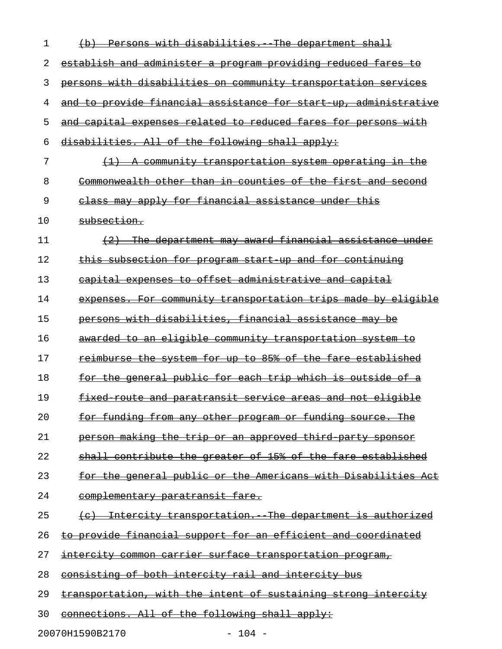| 1  | Persons with disabilities. The department shall                      |
|----|----------------------------------------------------------------------|
| 2  | establish and administer a program providing reduced fares to        |
| 3  | persons with disabilities on community transportation services       |
| 4  | and to provide financial assistance for start up, administrative     |
| 5  | and capital expenses related to reduced fares for persons with       |
| 6  | disabilities. All of the following shall apply:                      |
| 7  | <u>A community transportation system operating in the</u>            |
| 8  | Commonwealth other than in counties of the first and second          |
| 9  | class may apply for financial assistance under this                  |
| 10 | subsection.                                                          |
| 11 | The department may award financial assistance under                  |
| 12 | this subsection for program start up and for continuing              |
| 13 | capital expenses to offset administrative and capital                |
| 14 | expenses. For community transportation trips made by eligible        |
| 15 | persons with disabilities, financial assistance may be               |
| 16 | awarded to an eligible community transportation system to            |
| 17 | reimburse the system for up to 85% of the fare established           |
| 18 | for the general public for each trip which is outside of a           |
| 19 | fixed route and paratransit service areas and not eligible           |
| 20 | <u>for funding from any other program or funding source. The </u>    |
| 21 | <u>person making the trip or an approved third party sponsor</u>     |
| 22 | shall contribute the greater of 15% of the fare established          |
| 23 | <u>for the general public or the Americans with Disabilities Act</u> |
| 24 | complementary paratransit fare.                                      |
| 25 | (c) Intercity transportation. The department is authorized           |
| 26 | to provide financial support for an efficient and coordinated        |
| 27 | intercity common carrier surface transportation program,             |
| 28 | consisting of both intercity rail and intercity bus                  |
| 29 | transportation, with the intent of sustaining strong intercity       |
| 30 | connections. All of the following shall apply:                       |

20070H1590B2170 - 104 -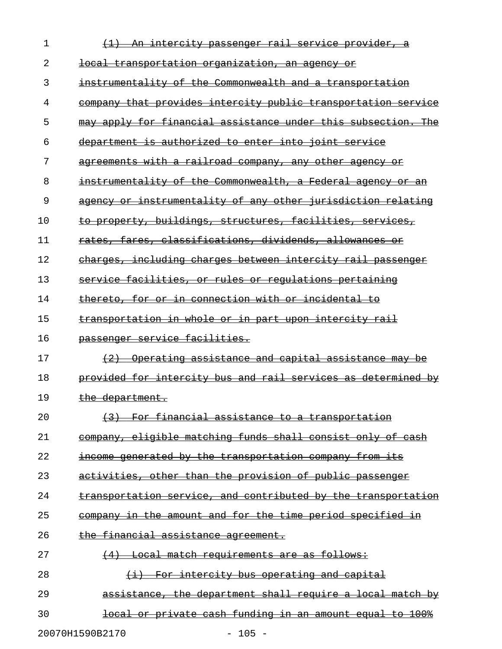| $\mathbf 1$ | An intercity passenger rail service provider, a               |
|-------------|---------------------------------------------------------------|
| 2           | <u>local transportation organization, an agency or</u>        |
| 3           | instrumentality of the Commonwealth and a transportation      |
| 4           | company that provides intercity public transportation service |
| 5           | may apply for financial assistance under this subsection. The |
| 6           | department is authorized to enter into joint service          |
| 7           | agreements with a railroad company, any other agency or       |
| 8           | instrumentality of the Commonwealth, a Federal agency or an   |
| 9           | agency or instrumentality of any other jurisdiction relating  |
| 10          | to property, buildings, structures, facilities, services,     |
| 11          | rates, fares, classifications, dividends, allowances or       |
| 12          | charges, including charges between intercity rail passenger   |
| 13          | service facilities, or rules or regulations pertaining        |
| 14          | thereto, for or in connection with or incidental to           |
| 15          | transportation in whole or in part upon intercity rail        |
| 16          | passenger service facilities.                                 |
| 17          | (2) Operating assistance and capital assistance may be        |
| 18          | provided for intercity bus and rail services as determined by |
| 19          | the department.                                               |
| 20          | (3) For financial assistance to a transportation              |
| 21          | company, eligible matching funds shall consist only of cash   |
| 22          | income generated by the transportation company from its       |
| 23          | activities, other than the provision of public passenger      |
| 24          | transportation service, and contributed by the transportation |
| 25          | company in the amount and for the time period specified in    |
| 26          | the financial assistance agreement.                           |
| 27          | (4) Local match requirements are as follows:                  |
| 28          | (i) For intercity bus operating and capital                   |
| 29          | assistance, the department shall require a local match by     |
| 30          | local or private cash funding in an amount equal to 100%      |
|             | $-105 -$<br>20070H1590B2170                                   |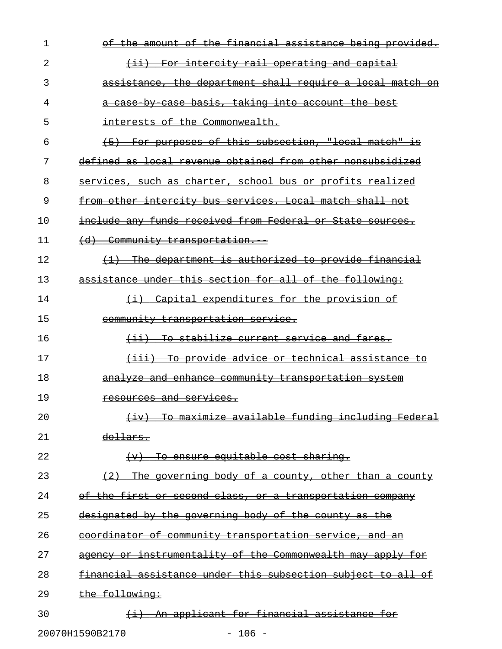| 1  | o£<br><del>-the financial</del><br><u>the</u><br>being provided.<br><del>assistance</del><br><del>amount</del>    |
|----|-------------------------------------------------------------------------------------------------------------------|
| 2  | For intercity rail operating and capital<br><del>(11)</del>                                                       |
| 3  | assistance, the department shall require a local match on                                                         |
| 4  | a case by case basis, taking into account the best                                                                |
| 5  | interests of the Commonwealth.                                                                                    |
| 6  | (5) For purposes of this subsection, "local match" is                                                             |
| 7  | defined as local revenue obtained from other nonsubsidized                                                        |
| 8  | services, such as charter, school bus or profits realized                                                         |
| 9  | from other intercity bus services. Local match shall not                                                          |
| 10 | include any funds received from Federal or State<br><del>sources.</del>                                           |
| 11 | <del>(d)</del><br>Community transportation.                                                                       |
| 12 | The department is authorized to provide financial                                                                 |
| 13 | assistance under this section for all of the following:                                                           |
| 14 | Capital expenditures for the provision of<br>$\leftrightarrow$                                                    |
| 15 | community transportation service.                                                                                 |
| 16 | (ii) To stabilize current service and fares.                                                                      |
| 17 | (iii) To provide advice or technical assistance to                                                                |
| 18 | analyze and enhance community transportation system                                                               |
| 19 | resources and services.                                                                                           |
| 20 | To maximize available funding including Federal<br>$\left( \cdot ;\mathrm{v}\right)$                              |
| 21 | <del>dollars.</del>                                                                                               |
| 22 | <del>To ensure equitable cost sharing.</del><br>(v)                                                               |
| 23 | <del>-The</del><br><del>qoverning body of a county.</del><br><del>other than a county</del>                       |
| 24 | <del>of the first</del><br><del>second class.</del><br><del>or a transportation company</del><br>$\theta$ r $\pm$ |
| 25 | designated by the governing body of the county as the                                                             |
| 26 | <u>coordinator of community transportation service, and an</u>                                                    |
| 27 | instrumentality of the Commonwealth may apply for<br>$\theta$ r $\theta$<br><del>agency</del>                     |
| 28 | financial assistance under this subsection subject to all of                                                      |
| 29 | the following:                                                                                                    |
| 30 | An applicant for financial assistance for<br>$\leftrightarrow$                                                    |
|    | 20070H1590B2170<br>$-106 -$                                                                                       |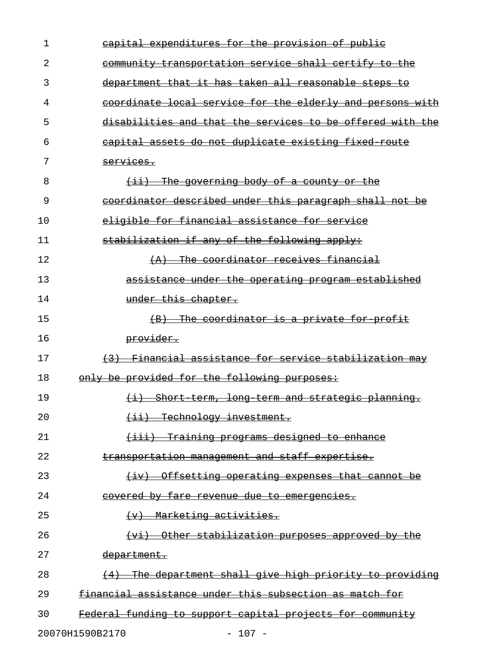| 1  | capital expenditures for the provision of public             |
|----|--------------------------------------------------------------|
| 2  | <u>community transportation service shall certify to the</u> |
| 3  | department that it has taken all reasonable steps to         |
| 4  | coordinate local service for the elderly and persons with    |
| 5  | disabilities and that the services to be offered with the    |
| 6  | capital assets do not duplicate existing fixed route         |
| 7  | services.                                                    |
| 8  | $(i)$ The governing body of a county or the                  |
| 9  | coordinator described under this paragraph shall not be      |
| 10 | eligible for financial assistance for service                |
| 11 | stabilization if any of the following apply:                 |
| 12 | $(A)$ The coordinator receives financial                     |
| 13 | assistance under the operating program established           |
| 14 | under this chapter.                                          |
| 15 | (B) The coordinator is a private for profit                  |
| 16 | provider.                                                    |
| 17 | (3) Financial assistance for service stabilization may       |
| 18 | only be provided for the following purposes:                 |
| 19 | (i) Short term, long term and strategic planning.            |
| 20 | (ii) Technology investment.                                  |
| 21 | (iii) Training programs designed to enhance                  |
| 22 | transportation management and staff expertise.               |
| 23 | (iv) Offsetting operating expenses that cannot be            |
| 24 | covered by fare revenue due to emergencies.                  |
| 25 | $(v)$ Marketing activities.                                  |
| 26 | (vi) Other stabilization purposes approved by the            |
| 27 | <del>department.</del>                                       |
| 28 | The department shall give high priority to providing         |
| 29 | financial assistance under this subsection as match for      |
| 30 | Federal funding to support capital projects for community    |
|    | 20070H1590B2170<br>$-107 -$                                  |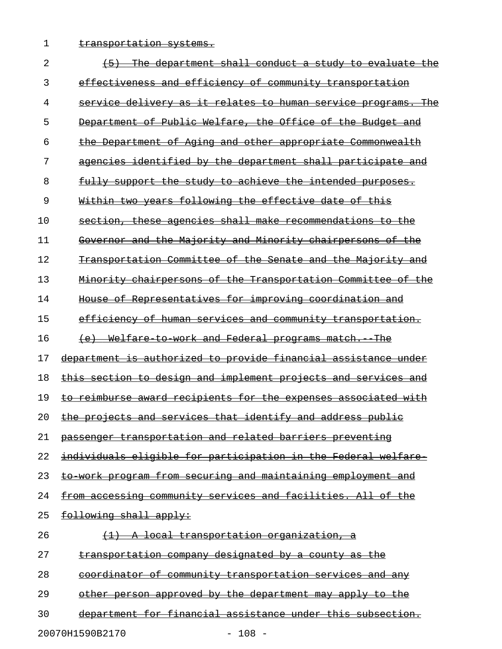1 transportation systems.

| 2  | The department shall conduct a study<br>evaluate<br><del>the</del><br>ŧθ                  |
|----|-------------------------------------------------------------------------------------------|
| 3  | effectiveness and efficiency of community transportation                                  |
| 4  | service delivery as it relates to human service<br><del>The</del><br><del>programs.</del> |
| 5  | Department of Public Welfare, the Office of the Budget<br><del>and</del>                  |
| 6  | the Department of Aging and other appropriate Commonwealth                                |
| 7  | agencies identified by the department shall participate and                               |
| 8  | fully support the study to achieve the intended purposes.                                 |
| 9  | Within two years following the effective date of this                                     |
| 10 | section, these agencies shall make recommendations to the                                 |
| 11 | Governor and the Majority and Minority chairpersons<br><u>_of</u><br><del>t.he</del>      |
| 12 | Transportation Committee of the Senate and the Majority and                               |
| 13 | <u> Minority chairpersons of the Transportation Committee of the</u>                      |
| 14 | House of Representatives for improving coordination and                                   |
| 15 | efficiency of human services and community transportation.                                |
| 16 | Welfare to work and Federal programs match.<br><del>The</del><br><del>(e)</del>           |
| 17 | department is authorized to provide financial assistance under                            |
| 18 | this section to design and implement projects and services and                            |
| 19 | to reimburse award recipients for the expenses associated with                            |
| 20 | the projects and services that identify and address public                                |
| 21 | passenger transportation and related barriers preventing                                  |
| 22 | individuals eligible for participation in the Federal welfare                             |
| 23 | to work program from securing and maintaining employment and                              |
| 24 | from accessing community services and facilities. All of the                              |
| 25 | following shall apply:                                                                    |
| 26 | <u>(1) A local transportation organization, a</u>                                         |
| 27 | <u>transportation company designated by a county as the</u>                               |
| 28 | coordinator of community transportation services and any                                  |
| 29 | other person approved by the department may apply to the                                  |
| 30 | department for financial assistance under this subsection.                                |
|    |                                                                                           |

20070H1590B2170 - 108 -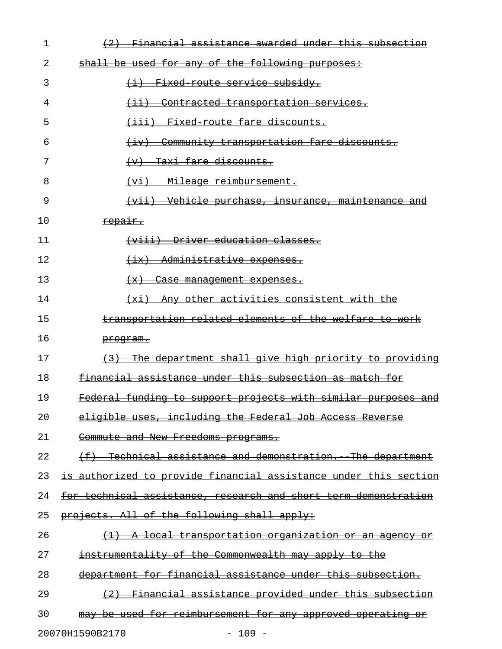| 1  | Financial assistance awarded under this subsection               |
|----|------------------------------------------------------------------|
| 2  | shall be used for any of the following purposes:                 |
| 3  | (i) Fixed route service subsidy.                                 |
| 4  | <del>(ii) Contracted transportation services.</del>              |
| 5  | (iii) Fixed route fare discounts.                                |
| 6  | Community transportation fare discounts.<br>$\leftarrow$ iv) –   |
| 7  | (v) Taxi fare discounts.                                         |
| 8  | Mileage reimbursement.<br>$\leftarrow$                           |
| 9  | (vii) Vehicle purchase, insurance, maintenance and               |
| 10 | repair.                                                          |
| 11 | (viii) Driver education classes.                                 |
| 12 | (ix) Administrative expenses.                                    |
| 13 | (x) Case management expenses.                                    |
| 14 | $(x_i)$ Any other activities consistent with the                 |
| 15 | transportation related elements of the welfare to work           |
| 16 | <del>program.</del>                                              |
| 17 | (3) The department shall give high priority to providing         |
| 18 | financial assistance under this subsection as match for          |
| 19 | Federal funding to support projects with similar purposes and    |
| 20 | eligible uses, including the Federal Job Access Reverse          |
| 21 | Commute and New Freedoms programs.                               |
| 22 | (f) Technical assistance and demonstration. The department       |
| 23 | is authorized to provide financial assistance under this section |
| 24 | for technical assistance, research and short term demonstration  |
| 25 | projects. All of the following shall apply:                      |
| 26 | <u>(1) A local transportation organization or an agency or</u>   |
| 27 | instrumentality of the Commonwealth may apply to the             |
| 28 | department for financial assistance under this subsection.       |
| 29 | (2) Financial assistance provided under this subsection          |
| 30 | may be used for reimbursement for any approved operating or      |
|    | 20070H1590B2170<br>$-109 -$                                      |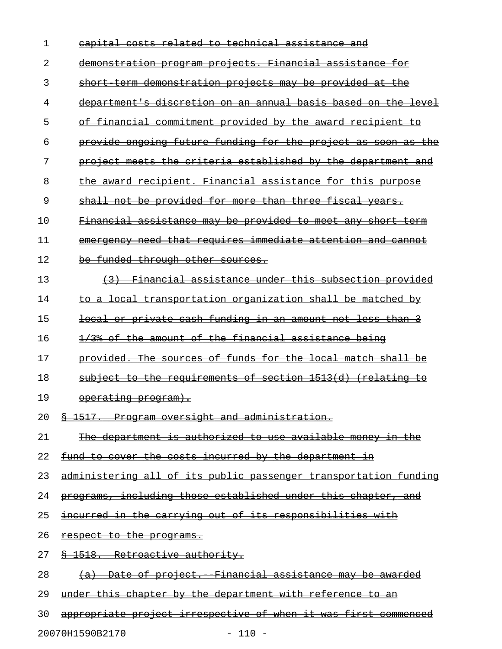| 1  | capital costs related to technical assistance and                 |
|----|-------------------------------------------------------------------|
| 2  | demonstration program projects. Financial assistance for          |
| 3  | short term demonstration projects may be provided at the          |
| 4  | department's discretion on an annual basis based on the level     |
| 5  | of financial commitment provided by the award recipient to        |
| 6  | provide ongoing future funding for the project as soon as the     |
| 7  | project meets the criteria established by the department and      |
| 8  | the award recipient. Financial assistance for this purpose        |
| 9  | shall not be provided for more than three fiscal years.           |
| 10 | Financial assistance may be provided to meet any short term       |
| 11 | emergency need that requires immediate attention and cannot       |
| 12 | be funded through other sources.                                  |
| 13 | (3) Financial assistance under this subsection provided           |
| 14 | to a local transportation organization shall be matched by        |
| 15 | <u>local or private cash funding in an amount not less than 3</u> |
| 16 | 1/3% of the amount of the financial assistance being              |
| 17 | provided. The sources of funds for the local match shall be       |
| 18 | subject to the requirements of section 1513(d) (relating to       |
| 19 | operating program).                                               |
| 20 | <u> § 1517. Program oversight and administration.</u>             |
| 21 | The department is authorized to use available money in the        |
| 22 | fund to cover the costs incurred by the department in             |
| 23 | administering all of its public passenger transportation funding  |
| 24 | programs, including those established under this chapter, and     |
| 25 | incurred in the carrying out of its responsibilities with         |
| 26 | respect to the programs.                                          |
| 27 | § 1518. Retroactive authority.                                    |
| 28 | (a) Date of project. Financial assistance may be awarded          |
| 29 | under this chapter by the department with reference to an         |
| 30 | appropriate project irrespective of when it was first commenced   |

20070H1590B2170 - 110 -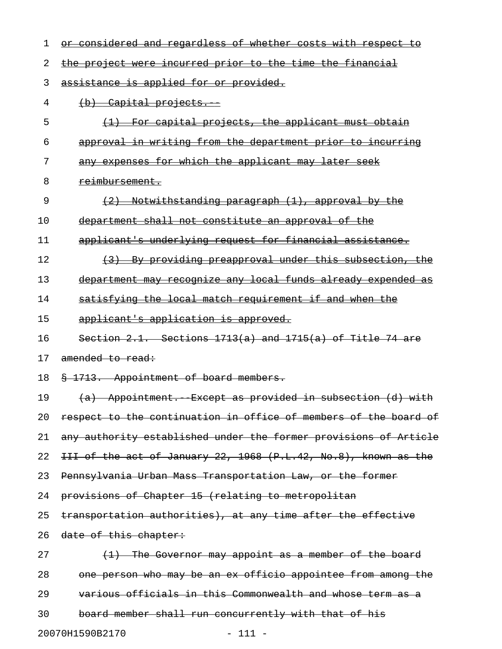| 1  | or considered and regardless of whether costs with respect to    |
|----|------------------------------------------------------------------|
| 2  | the project were incurred prior to the time the financial        |
| 3  | assistance is applied for or provided.                           |
| 4  | $(b)$ Capital projects.                                          |
| 5  | (1) For capital projects, the applicant must obtain              |
| 6  | approval in writing from the department prior to incurring       |
| 7  | any expenses for which the applicant may later seek              |
| 8  | <del>reimbursement.</del>                                        |
| 9  | (2) Notwithstanding paragraph (1), approval by the               |
| 10 | department shall not constitute an approval of the               |
| 11 | applicant's underlying request for financial assistance.         |
| 12 | (3) By providing preapproval under this subsection, the          |
| 13 | department may recognize any local funds already expended as     |
| 14 | satisfying the local match requirement if and when the           |
| 15 | applicant's application is approved.                             |
| 16 | Section 2.1. Sections $1713(a)$ and $1715(a)$ of Title 74 are    |
| 17 | amended to read:                                                 |
| 18 | § 1713. Appointment of board members.                            |
| 19 | (a) Appointment. Except as provided in subsection (d) with       |
| 20 | respect to the continuation in office of members of the board of |
| 21 | any authority established under the former provisions of Article |
| 22 | III of the act of January 22, 1968 (P.L.42, No.8), known as the  |
| 23 | Pennsylvania Urban Mass Transportation Law, or the former        |
| 24 | provisions of Chapter 15 (relating to metropolitan               |
| 25 | transportation authorities), at any time after the effective     |
| 26 | date of this chapter:                                            |
| 27 | (1) The Governor may appoint as a member of the board            |
| 28 | one person who may be an ex officio appointee from among the     |
| 29 | various officials in this Commonwealth and whose term as a       |
| 30 | board member shall run concurrently with that of his             |

20070H1590B2170 - 111 -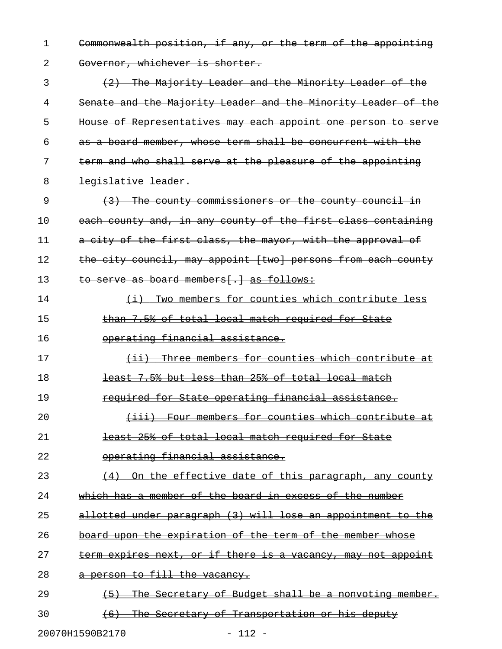1 Commonwealth position, if any, or the term of the appointing 2 Governor, whichever is shorter.

3 (2) The Majority Leader and the Minority Leader of the 4 Senate and the Majority Leader and the Minority Leader of the 5 House of Representatives may each appoint one person to serve 6 as a board member, whose term shall be concurrent with the 7 term and who shall serve at the pleasure of the appointing 8 legislative leader.

9 (3) The county commissioners or the county council in 10 each county and, in any county of the first class containing 11 a city of the first class, the mayor, with the approval of 12 the city council, may appoint [two] persons from each county 13 to serve as board members[.] as follows:

14 (i) Two members for counties which contribute less 15 than 7.5% of total local match required for State

16 operating financial assistance.

17 (ii) Three members for counties which contribute at \_\_\_\_\_\_\_\_\_\_\_\_\_\_\_\_\_\_\_\_\_\_\_\_\_\_\_\_\_\_\_\_\_\_\_\_\_\_\_\_\_\_\_\_\_\_\_\_\_\_\_\_

18 **least 7.5% but less than 25% of total local match** 

19 **required for State operating financial assistance.** 

20 (iii) Four members for counties which contribute at 21 **Least 25% of total local match required for State** 

22 operating financial assistance.

23 (4) On the effective date of this paragraph, any county 24 which has a member of the board in excess of the number

25 allotted under paragraph (3) will lose an appointment to the

26 board upon the expiration of the term of the member whose

27 term expires next, or if there is a vacancy, may not appoint

28 a person to fill the vacancy.

29 (5) The Secretary of Budget shall be a nonvoting member. 30 (6) The Secretary of Transportation or his deputy

20070H1590B2170 - 112 -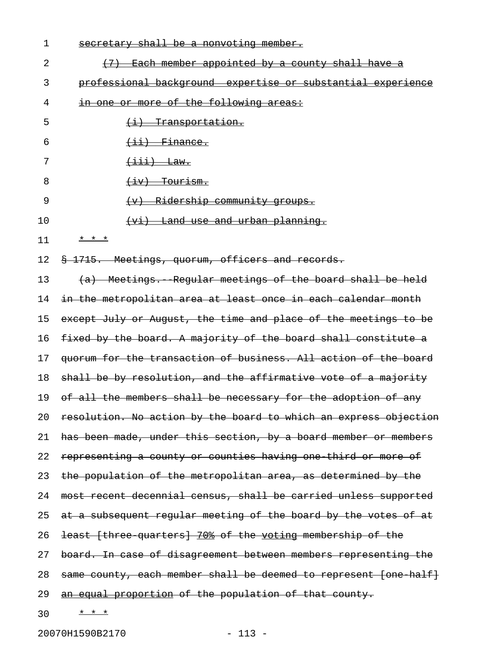| 1  | secretary shall be a nonvoting member.                             |
|----|--------------------------------------------------------------------|
| 2  | (7) Each member appointed by a county shall have a                 |
| 3  | <u>professional background expertise or substantial experience</u> |
| 4  | in one or more of the following areas:                             |
| 5  | <u>(i) Transportation.</u>                                         |
| 6  | $\overline{$ ii) Finance.                                          |
| 7  | $\overline{\texttt{(iii)}}$ Law.                                   |
| 8  | <u>(iv) Tourism.</u>                                               |
| 9  | (v) Ridership community groups.                                    |
| 10 | <u>(vi) Land use and urban planning.</u>                           |
| 11 | * * *                                                              |
| 12 | § 1715. Meetings, quorum, officers and records.                    |
| 13 | (a) Meetings. Regular meetings of the board shall be held          |
| 14 | in the metropolitan area at least once in each calendar month      |
| 15 | except July or August, the time and place of the meetings to be    |
| 16 | fixed by the board. A majority of the board shall constitute a     |
| 17 | quorum for the transaction of business. All action of the board    |
| 18 | shall be by resolution, and the affirmative vote of a majority     |
| 19 | of all the members shall be necessary for the adoption of any      |
| 20 | resolution. No action by the board to which an express objection   |
| 21 | has been made, under this section, by a board member or members    |
| 22 | representing a county or counties having one third or more of      |
| 23 | the population of the metropolitan area, as determined by the      |
| 24 | most recent decennial census, shall be carried unless supported    |
| 25 | at a subsequent regular meeting of the board by the votes of at    |
| 26 | least (three quarters) 70% of the voting membership of the         |
| 27 | board. In case of disagreement between members representing the    |
| 28 | same county, each member shall be deemed to represent [one half]   |
| 29 | an equal proportion of the population of that county.              |
| 30 | * * *                                                              |

20070H1590B2170 - 113 -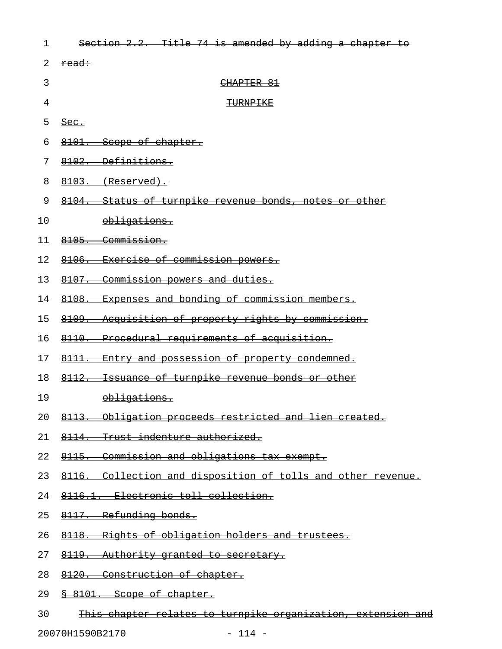| 1  | Section 2.2. Title 74 is amended by adding a chapter to      |
|----|--------------------------------------------------------------|
| 2  | read:                                                        |
| 3  | CHAPTER 81                                                   |
| 4  | <b>TURNPIKE</b>                                              |
| 5  | $\frac{\text{Sec.}}{\text{Sec.}}$                            |
| 6  | 8101. Scope of chapter.                                      |
| 7  | 8102. Definitions.                                           |
| 8  | $8103.$ (Reserved).                                          |
| 9  | 8104. Status of turnpike revenue bonds, notes or other       |
| 10 | obligations.                                                 |
| 11 | 8105. Commission.                                            |
| 12 | 8106. Exercise of commission powers.                         |
| 13 | 8107. Commission powers and duties.                          |
| 14 | 8108. Expenses and bonding of commission members.            |
| 15 | 8109. Acquisition of property rights by commission.          |
| 16 | 8110. Procedural requirements of acquisition.                |
| 17 | 8111. Entry and possession of property condemned.            |
| 18 | 8112. Issuance of turnpike revenue bonds or other            |
| 19 | obligations.                                                 |
| 20 | 8113. Obligation proceeds restricted and lien created.       |
| 21 | 8114. Trust indenture authorized.                            |
| 22 | 8115. Commission and obligations tax exempt.                 |
| 23 | 8116. Collection and disposition of tolls and other revenue. |
| 24 | 8116.1. Electronic toll collection.                          |
| 25 | 8117. Refunding bonds.                                       |
| 26 | 8118. Rights of obligation holders and trustees.             |
| 27 | 8119. Authority granted to secretary.                        |
| 28 | 8120. Construction of chapter.                               |
|    |                                                              |

- 29 <u>§ 8101. Scope of chapter.</u>
- 30 This chapter relates to turnpike organization, extension and

20070H1590B2170 - 114 -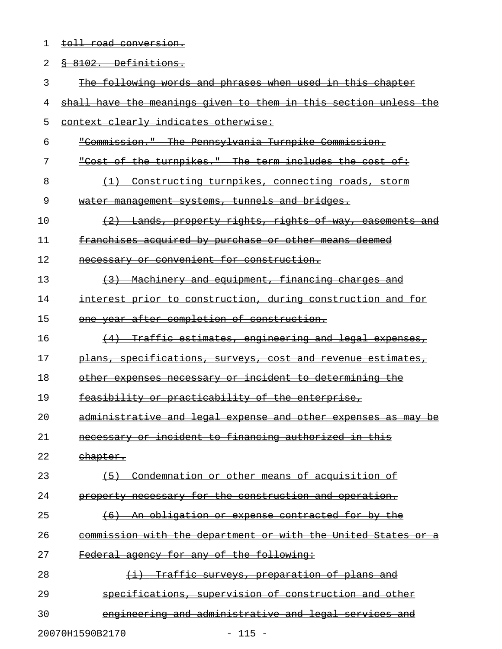1 toll road conversion.

| 2  | 8 8102. Definitions.                                                |
|----|---------------------------------------------------------------------|
| 3  | The following words and phrases when used in this chapter           |
| 4  | shall have the meanings given to them in this section unless the    |
| 5  | context clearly indicates otherwise:                                |
| 6  | "Commission." The Pennsylvania Turnpike Commission.                 |
| 7  | "Cost of the turnpikes." The term includes the cost of:             |
| 8  | (1) Constructing turnpikes, connecting roads, storm                 |
| 9  | water management systems, tunnels and bridges.                      |
| 10 | (2) Lands, property rights, rights of way, casements and            |
| 11 | franchises acquired by purchase or other means deemed               |
| 12 | necessary or convenient for construction.                           |
| 13 | (3) Machinery and equipment, financing charges and                  |
| 14 | interest prior to construction, during construction and for         |
| 15 | one year after completion of construction.                          |
| 16 | (4) Traffic estimates, engineering and legal expenses,              |
| 17 | plans, specifications, surveys, cost and revenue estimates,         |
| 18 | other expenses necessary or incident to determining the             |
| 19 | feasibility or practicability of the enterprise,                    |
| 20 | administrative and legal expense and other expenses as may be       |
| 21 | necessary or incident to financing authorized in this               |
| 22 | <del>chapter.</del>                                                 |
| 23 | Condemnation or other means of acquisition of<br>$\left( -5\right)$ |
| 24 | property necessary for the construction and operation.              |
| 25 | <u>An obligation or expense contracted for by the</u><br>$+6$       |
| 26 | commission with the department or with the United States or a       |
| 27 | Federal agency for any of the following:                            |
| 28 | Traffic surveys, preparation of plans and<br>$\leftrightarrow$      |
| 29 | specifications, supervision of construction and other               |
| 30 | engineering and administrative and legal services and               |
|    |                                                                     |

20070H1590B2170 - 115 -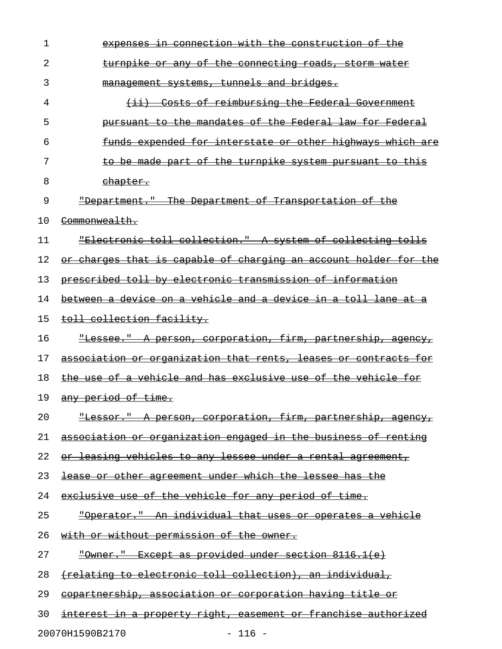| 1  | <del>ction with the</del><br><del>construction of the</del>                                                 |
|----|-------------------------------------------------------------------------------------------------------------|
| 2  | $\Theta$ £<br><u>the</u><br>connecting roads, storm water<br><del>turnpik</del> e<br>−O£<br><del>-any</del> |
| 3  | systems, tunnels and bridges.<br><del>manaqement</del>                                                      |
| 4  | Costs of reimbursing the Federal Government<br>$\leftrightarrow$                                            |
| 5  | the mandates of the Federal law for Federal<br><del>pursuant</del><br><del>to-</del>                        |
| 6  | funds expended for interstate or other highways which are                                                   |
| 7  | be made part of the turnpike system pursuant to<br><del>this</del>                                          |
| 8  | chapter.                                                                                                    |
| 9  | "Department." The Department of Transportation of the                                                       |
| 10 | Commonwealth.                                                                                               |
| 11 | "Electronic toll collection." A system of collecting tolls                                                  |
| 12 | charges that is capable of charging an account holder for the<br>⊖r—                                        |
| 13 | prescribed toll by electronic transmission of information                                                   |
| 14 | between a device on a vehicle and a device in a toll lane at                                                |
| 15 | toll collection facility.                                                                                   |
| 16 | "Lessee." A person, corporation, firm, partnership, agency,                                                 |
| 17 | association or organization that rents, leases or contracts for                                             |
| 18 | the use of a vehicle and has exclusive use of the vehicle for                                               |
| 19 | any period of time.                                                                                         |
| 20 | "Lessor." A person, corporation, firm, partnership, agency,                                                 |
| 21 | association or organization engaged in the business of renting                                              |
| 22 | or leasing vehicles to any lessee under a rental agreement,                                                 |
| 23 | lease or other agreement under which the lessee has the                                                     |
| 24 | exclusive use of the vehicle for any period of time.                                                        |
| 25 | <u> "Operator." An individual that uses or operates a vehicle</u>                                           |
| 26 | with or without permission of the owner.                                                                    |
| 27 | "Owner." Except as provided under section 8116.1(e)                                                         |
| 28 | (relating to electronic toll collection), an individual,                                                    |
| 29 | copartnership, association or corporation having title or                                                   |
| 30 | interest in a property right, easement or franchise authorized                                              |
|    | 20070H1590B2170<br>$-116 -$                                                                                 |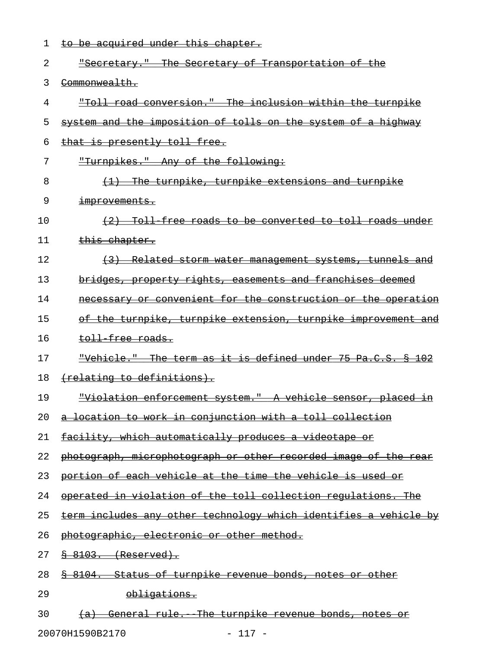| 1  | to be acquired under this chapter.                                   |
|----|----------------------------------------------------------------------|
| 2  | "Secretary." The Secretary of Transportation of the                  |
| 3  | Commonwealth.                                                        |
| 4  | "Toll road conversion." The inclusion within the turnpike            |
| 5  | system and the imposition of tolls on the system of a highway        |
| 6  | that is presently toll free.                                         |
| 7  | "Turnpikes." Any of the following:                                   |
| 8  | (1) The turnpike, turnpike extensions and turnpike                   |
| 9  | improvements.                                                        |
| 10 | (2) Toll free roads to be converted to toll roads under              |
| 11 | this chapter.                                                        |
| 12 | (3) Related storm water management systems, tunnels and              |
| 13 | bridges, property rights, easements and franchises deemed            |
| 14 | necessary or convenient for the construction or the operation        |
| 15 | of the turnpike, turnpike extension, turnpike improvement and        |
| 16 | <del>toll free roads.</del>                                          |
| 17 | "Vehicle." The term as it is defined under 75 Pa.C.S. § 102          |
| 18 | (relating to definitions).                                           |
| 19 | "Violation enforcement system." A vehicle sensor, placed in          |
| 20 | location to work in conjunction with a toll collection               |
| 21 | facility, which automatically produces a videotape or                |
| 22 | photograph, microphotograph or other recorded image of the rear      |
| 23 | portion of each vehicle at the time the vehicle is used or           |
| 24 | operated in violation of the toll collection requiations. The        |
| 25 | term includes any other technology which identifies a vehicle by     |
| 26 | photographic, electronic or other method.                            |
| 27 | 8103. (Reserved).                                                    |
| 28 | Status of turnpike revenue bonds, notes or other<br><del>8104.</del> |
| 29 | obligations.                                                         |
| 30 | General rule. The turnpike revenue bonds, notes or<br><del>(a)</del> |

20070H1590B2170 - 117 -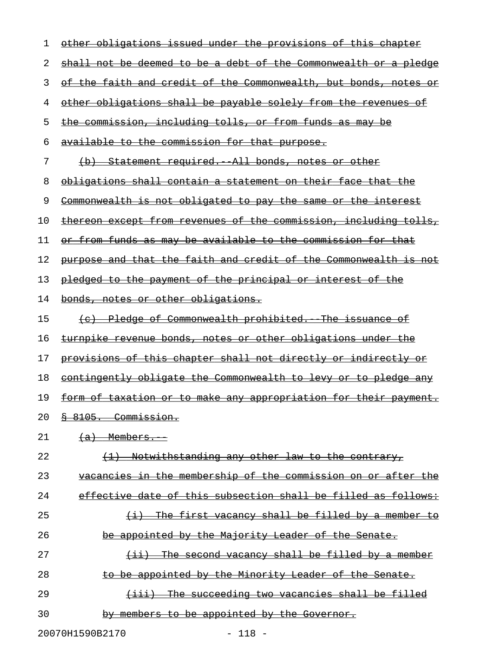| 1  | other obligations issued under the provisions of this chapter           |
|----|-------------------------------------------------------------------------|
| 2  | <u>shall not be deemed to be a debt of the Commonwealth or a pledge</u> |
| 3  | <u>of the faith and credit of the Commonwealth, but bonds, notes or</u> |
| 4  | other obligations shall be payable solely from the revenues of          |
| 5  | the commission, including tolls, or from funds as may be                |
| 6  | available to the commission for that purpose.                           |
| 7  | (b) Statement required. All bonds, notes or other                       |
| 8  | <u>obligations shall contain a statement on their face that the </u>    |
| 9  | <u>Commonwealth is not obligated to pay the same or the interest</u>    |
| 10 | <u>thereon except from revenues of the commission, including tolls,</u> |
| 11 | or from funds as may be available to the commission for that            |
| 12 | purpose and that the faith and credit of the Commonwealth is not        |
| 13 | pledged to the payment of the principal or interest of the              |
| 14 | bonds, notes or other obligations.                                      |
| 15 | (c) Pledge of Commonwealth prohibited. The issuance of                  |
| 16 | <u>turnpike revenue bonds, notes or other obligations under the </u>    |
| 17 | provisions of this chapter shall not directly or indirectly or          |
| 18 | <u>contingently obligate the Commonwealth to levy or to pledge any</u>  |
| 19 | <u>form of taxation or to make any appropriation for their payment.</u> |
| 20 | 8 8105. Commission.                                                     |
| 21 | $(a)$ Members.                                                          |
| 22 | (1) Notwithstanding any other law to the contrary,                      |
| 23 | vacancies in the membership of the commission on or after the           |
| 24 | effective date of this subsection shall be filled as follows:           |
| 25 | (i) The first vacancy shall be filled by a member to                    |
| 26 | be appointed by the Majority Leader of the Senate.                      |
| 27 | $(i)$ The second vacancy shall be filled by a member                    |
| 28 | to be appointed by the Minority Leader of the Senate.                   |
| 29 | (iii) The succeeding two vacancies shall be filled                      |
| 30 | by members to be appointed by the Governor.                             |
|    |                                                                         |

20070H1590B2170 - 118 -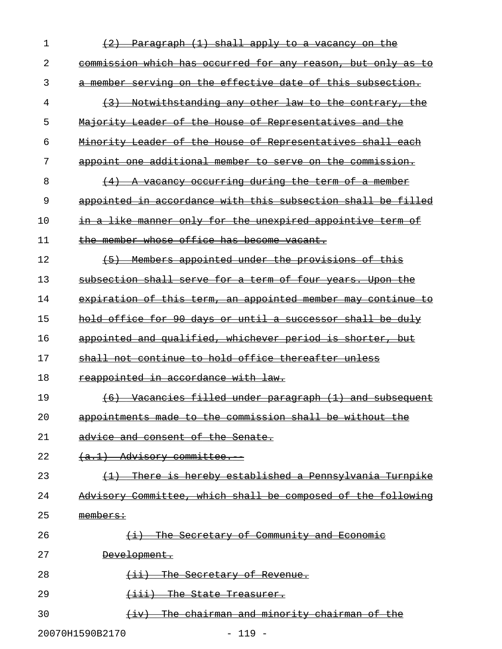| 1              | Paragraph (1) shall apply to a vacancy on the                |
|----------------|--------------------------------------------------------------|
| 2              | commission which has occurred for any reason, but only as to |
| 3              | a member serving on the effective date of this subsection.   |
| 4              | (3)<br>Notwithstanding any other law to the contrary, the    |
| 5              | Majority Leader of the House of Representatives and the      |
| 6              | Minority Leader of the House of Representatives shall each   |
| 7              | appoint one additional member to serve on the commission.    |
| 8              | (4) A vacancy occurring during the term of a member          |
| 9              | appointed in accordance with this subsection shall be filled |
| 1 <sub>0</sub> | in a like manner only for the unexpired appointive term of   |
| 11             | the member whose office has become vacant.                   |
| 12             | (5) Members appointed under the provisions of this           |
| 13             | subsection shall serve for a term of four years. Upon the    |
| 14             | expiration of this term, an appointed member may continue to |
| 15             | hold office for 90 days or until a successor shall be duly   |
| 16             | appointed and qualified, whichever period is shorter, but    |
| 17             | shall not continue to hold office thereafter unless          |
| 18             | reappointed in accordance with law.                          |
| 19             | Vacancies filled under paragraph (1) and subsequent<br>$+6$  |
| 20             | appointments made to the commission shall be without the     |
| 21             | advice and consent of the Senate.                            |
| 22             | $(a,1)$ Advisory committee.                                  |
| 23             | There is hereby established a Pennsylvania Turnpike          |
| 24             | Advisory Committee, which shall be composed of the following |
| 25             | members:                                                     |
| 26             | (i) The Secretary of Community and Economic                  |
| 27             | <del>Development.</del>                                      |
| 28             | The Secretary of Revenue.                                    |
| 29             | The State Treasurer.<br><del>(111)</del>                     |
| 30             | <u>chairman and minority chairman</u><br>ക£                  |
|                |                                                              |

20070H1590B2170 - 119 -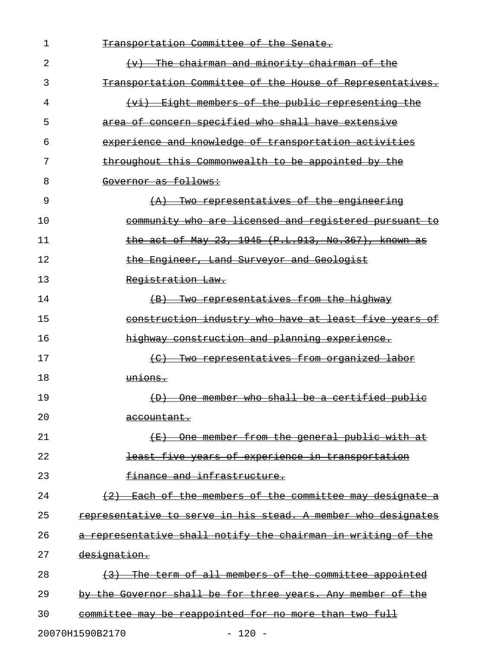| 1  | Transportation Committee of the Senate.                       |
|----|---------------------------------------------------------------|
| 2  | $(v)$ The chairman and minority chairman of the               |
| 3  | Transportation Committee of the House of Representatives.     |
| 4  | (vi) Eight members of the public representing the             |
| 5  | area of concern specified who shall have extensive            |
| 6  | experience and knowledge of transportation activities         |
| 7  | throughout this Commonwealth to be appointed by the           |
| 8  | Governor as follows:                                          |
| 9  | $(A)$ Two representatives of the engineering                  |
| 10 | community who are licensed and registered pursuant to         |
| 11 | the act of May 23, 1945 (P.L.913, No.367), known as           |
| 12 | the Engineer, Land Surveyor and Geologist                     |
| 13 | Registration Law.                                             |
| 14 | <del>(B) Two representatives from the highway</del>           |
| 15 | construction industry who have at least five years of         |
| 16 | highway construction and planning experience.                 |
| 17 | <del>(C) Two representatives from organized labor</del>       |
| 18 | unions.                                                       |
| 19 | (D) One member who shall be a certified public                |
| 20 | <del>accountant.</del>                                        |
| 21 | (E) One member from the general public with at                |
| 22 | least five years of experience in transportation              |
| 23 | finance and infrastructure.                                   |
| 24 | $(2)$ Each of the members of the committee may designate a    |
| 25 | representative to serve in his stead. A member who designates |
| 26 | a representative shall notify the chairman in writing of the  |
| 27 | designation.                                                  |
| 28 | (3) The term of all members of the committee appointed        |
| 29 | by the Governor shall be for three years. Any member of the   |
| 30 | committee may be reappointed for no more than two full        |
|    | 20070H1590B2170<br>$-120 -$                                   |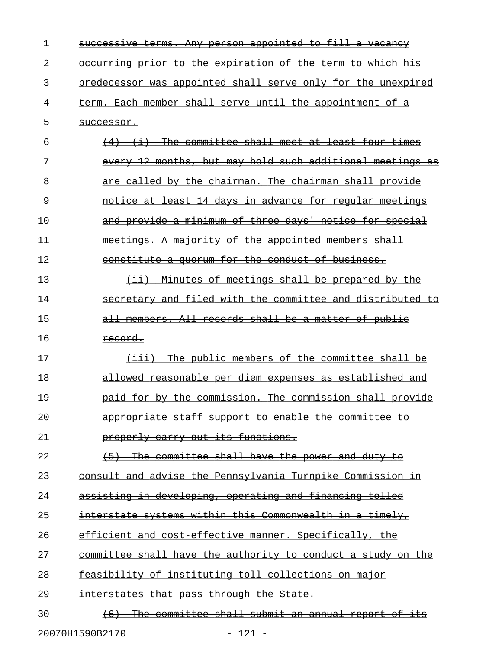| 1  | successive terms. Any person appointed to fill a vacancy                              |
|----|---------------------------------------------------------------------------------------|
| 2  | occurring prior to the expiration of the term to which his                            |
| 3  | predecessor was appointed shall serve only for the unexpired                          |
| 4  | term. Each member shall serve until the appointment of a                              |
| 5  | <del>successor.</del>                                                                 |
| 6  | The committee shall meet at least four times<br>$\leftrightarrow$                     |
| 7  | every 12 months, but may hold such additional meetings                                |
| 8  | are called by the chairman. The chairman shall provide                                |
| 9  | notice at least 14 days in advance for regular meetings                               |
| 10 | and provide a minimum of three days' notice for special                               |
| 11 | meetings. A majority of the appointed members shall                                   |
| 12 | constitute a quorum for the conduct of business.                                      |
| 13 | <u>-Minutes of meetings shall be prepared by the</u><br>$\leftarrow$ ii) $\leftarrow$ |
| 14 | secretary and filed with the committee and distributed<br>÷ө                          |
| 15 | all members. All records shall be a matter of public                                  |
| 16 | <del>record.</del>                                                                    |
| 17 | The public members of the committee shall be<br>$\overline{\phantom{a}\cdots}$        |
| 18 | allowed reasonable per diem expenses as established and                               |
| 19 | paid for by the commission. The commission shall provide                              |
| 20 | appropriate staff support to enable the committee to                                  |
| 21 | properly carry out its functions.                                                     |
| 22 | The committee shall have the power and duty to<br>$+5$                                |
| 23 | consult and advise the Pennsylvania Turnpike Commission in                            |
| 24 | assisting in developing, operating and financing tolled                               |
| 25 | interstate systems within this Commonwealth in a timely,                              |
| 26 | efficient and cost effective manner. Specifically, the                                |
| 27 | committee shall have the authority to conduct a study on the                          |
| 28 | feasibility of instituting toll collections on major                                  |
| 29 | interstates that pass through the State.                                              |
| 30 | The committee shall submit an annual report of its                                    |
|    |                                                                                       |

20070H1590B2170 - 121 -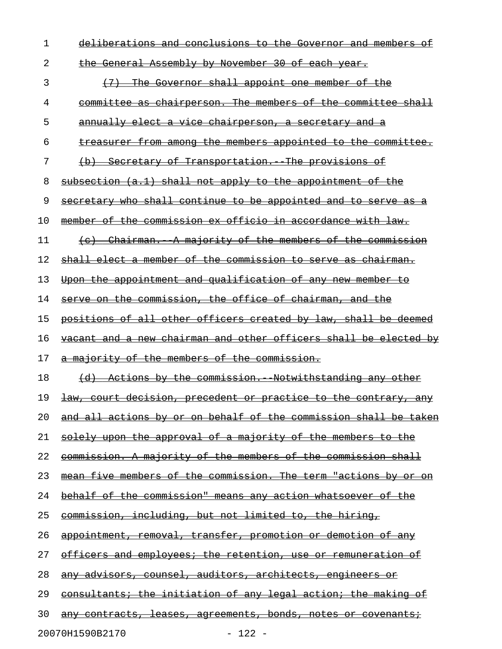| 1  | deliberations and conclusions to the Governor and members of         |
|----|----------------------------------------------------------------------|
| 2  | the General Assembly by November 30 of each year.                    |
| 3  | (7) The Governor shall appoint one member of the                     |
| 4  | committee as chairperson. The members of the committee shall         |
| 5  | annually elect a vice chairperson, a secretary and a                 |
| 6  | <u>treasurer from among the members appointed to the committee.</u>  |
| 7  | (b) Secretary of Transportation. The provisions of                   |
| 8  | subsection (a.1) shall not apply to the appointment of the           |
| 9  | secretary who shall continue to be appointed and to serve as a       |
| 10 | member of the commission ex officio in accordance with law.          |
| 11 | (c) Chairman. A majority of the members of the commission            |
| 12 | shall elect a member of the commission to serve as chairman.         |
| 13 | Upon the appointment and qualification of any new member to          |
| 14 | serve on the commission, the office of chairman, and the             |
| 15 | positions of all other officers created by law, shall be deemed      |
| 16 | vacant and a new chairman and other officers shall be elected by     |
| 17 | a majority of the members of the commission.                         |
| 18 | (d) Actions by the commission. Notwithstanding any other             |
| 19 | law, court decision, precedent or practice to the contrary, any      |
| 20 | and all actions by or on behalf of the commission shall be taken     |
| 21 | solely upon the approval of a majority of the members to the         |
| 22 | <u>commission. A majority of the members of the commission shall</u> |
| 23 | mean five members of the commission. The term "actions by or on      |
| 24 | <u>behalf of the commission" means any action whatsoever of the</u>  |
| 25 | commission, including, but not limited to, the hiring,               |
| 26 | appointment, removal, transfer, promotion or demotion of any         |
| 27 | <u>officers and employees; the retention, use or remuneration of</u> |
| 28 | <u>any advisors, counsel, auditors, architects, engineers or</u>     |
| 29 | consultants; the initiation of any legal action; the making of       |
| 30 | any contracts, leases, agreements, bonds, notes or covenants;        |
|    |                                                                      |

20070H1590B2170 - 122 -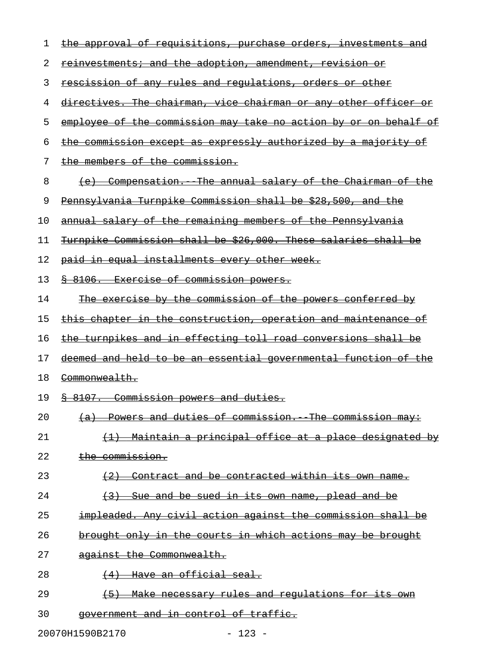| 1  | the approval of requisitions, purchase orders, investments and        |
|----|-----------------------------------------------------------------------|
| 2  | <u>reinvestments; and the adoption, amendment, revision or</u>        |
| 3  | rescission of any rules and requlations, orders or other              |
| 4  | directives. The chairman, vice chairman or any other officer or       |
| 5  | employee of the commission may take no action by or on behalf of      |
| 6  | the commission except as expressly authorized by a majority of        |
| 7  | the members of the commission.                                        |
| 8  | (e) Compensation. The annual salary of the Chairman of the            |
| 9  | Pennsylvania Turnpike Commission shall be \$28,500, and the           |
| 10 | annual salary of the remaining members of the Pennsylvania            |
| 11 | Turnpike Commission shall be \$26,000. These salaries shall be        |
| 12 | paid in equal installments every other week.                          |
| 13 | 8 8106. Exercise of commission powers.                                |
| 14 | The exercise by the commission of the powers conferred by             |
| 15 | <u>this chapter in the construction, operation and maintenance of</u> |
| 16 | the turnpikes and in effecting toll road conversions shall be         |
| 17 | deemed and held to be an essential governmental function of the       |
| 18 | Commonwealth.                                                         |
| 19 | § 8107. Commission powers and duties.                                 |
| 20 | (a) Powers and duties of commission. The commission may:              |
| 21 | (1) Maintain a principal office at a place designated by              |
| 22 | the commission.                                                       |
| 23 | (2) Contract and be contracted within its own name.                   |
| 24 | (3) Sue and be sued in its own name, plead and be                     |
| 25 | impleaded. Any civil action against the commission shall be           |
| 26 | brought only in the courts in which actions may be brought            |
| 27 | against the Commonwealth.                                             |
| 28 | (4) Have an official seal.                                            |
| 29 | (5) Make necessary rules and regulations for its own                  |
| 30 | government and in control of traffic.                                 |
|    |                                                                       |

20070H1590B2170 - 123 -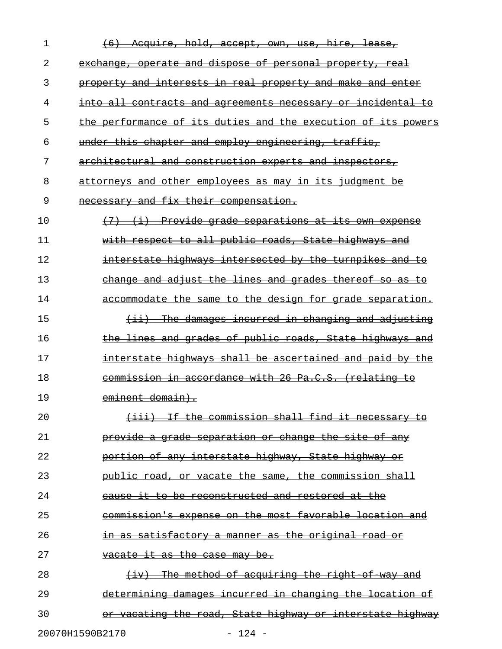| 1  | auire, <u>hold, accept, own,</u><br><del>hire.</del><br><del>lease,</del><br><del>use.</del> |
|----|----------------------------------------------------------------------------------------------|
| 2  | exchange, operate and dispose of personal property, real                                     |
| 3  | property and interests in real property and make and enter                                   |
| 4  | into all contracts and agreements necessary<br><del>incidental</del><br>−O£<br>ŧΘ            |
| 5  | the performance of its duties and the execution of its powers                                |
| 6  | under this chapter and employ engineering, traffic,                                          |
| 7  | architectural and construction experts and inspectors,                                       |
| 8  | attorneys and other employees as may in its judgment be                                      |
| 9  | necessary and fix their compensation.                                                        |
| 10 | Provide grade separations at its own expense<br>(7)<br>$\leftrightarrow$                     |
| 11 | with respect to all public roads, State highways and                                         |
| 12 | interstate highways intersected by the turnpikes and<br>€o                                   |
| 13 | change and adjust the lines and grades thereof so as                                         |
| 14 | accommodate the same to the design for grade separation.                                     |
| 15 | The damages incurred in changing and adjusting<br><del>(11)</del>                            |
| 16 | the lines and grades of public roads, State highways and                                     |
| 17 | interstate highways shall be ascertained and paid by the                                     |
| 18 | commission in accordance with 26 Pa.C.S. (relating to                                        |
| 19 | eminent domain).                                                                             |
| 20 | If the commission shall find it necessary<br><del>(iii)</del>                                |
| 21 | provide a grade separation or change the site of any                                         |
| 22 | portion of any interstate highway, State highway or                                          |
| 23 | public road, or vacate the same, the commission shall                                        |
| 24 | be reconstructed and restored at the<br>∔≑<br><del>to</del><br><del>cause</del>              |
| 25 | commission's expense on the most favorable location and                                      |
| 26 | in as satisfactory a manner as the original road or                                          |
| 27 | vacate it as the case may be.                                                                |
| 28 | The method of acquiring the right of way and<br>(iv)                                         |
| 29 | determining damages incurred in changing the location of                                     |
| 30 | <u>vacating the road, State highway or interstate highway</u>                                |
|    | 20070H1590B2170<br>$-124 -$                                                                  |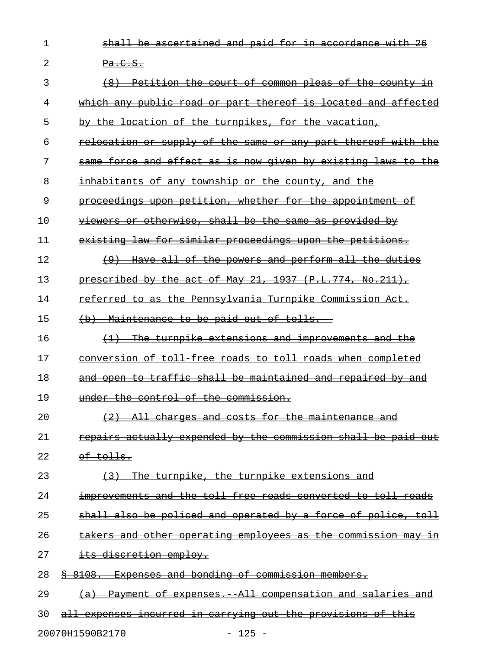1 shall be ascertained and paid for in accordance with 26 2  $Pa.C.S.$ 

| 3  | (8) Petition the court of common pleas of the county in                 |
|----|-------------------------------------------------------------------------|
| 4  | which any public road or part thereof is located and affected           |
| 5  | by the location of the turnpikes, for the vacation,                     |
| 6  | relocation or supply of the same or any part thereof with the           |
| 7  | same force and effect as is now given by existing laws to the           |
| 8  | inhabitants of any township or the county, and the                      |
| 9  | proceedings upon petition, whether for the appointment of               |
| 10 | viewers or otherwise, shall be the same as provided by                  |
| 11 | existing law for similar proceedings upon the petitions.                |
| 12 | (9) Have all of the powers and perform all the duties                   |
| 13 | prescribed by the act of May $21, 1937$ (P.L.774, No.211),              |
| 14 | <u>referred to as the Pennsylvania Turnpike Commission Act.</u>         |
| 15 | <del>(b) Maintenance to be paid out of tolls. --</del>                  |
| 16 | (1) The turnpike extensions and improvements and the                    |
| 17 | conversion of toll free roads to toll roads when completed              |
| 18 | and open to traffic shall be maintained and repaired by and             |
| 19 | under the control of the commission.                                    |
| 20 | (2) All charges and costs for the maintenance and                       |
| 21 | repairs actually expended by the commission shall be paid out           |
| 22 | of tolls.                                                               |
| 23 | The turnpike, the turnpike extensions and                               |
| 24 | improvements and the toll free roads converted to toll roads            |
| 25 | shall also be policed and operated by a force of police, toll           |
| 26 | takers and other operating employees as the commission may<br>in        |
| 27 | its discretion employ.                                                  |
| 28 | \$ 8108. Expenses and bonding of commission members.                    |
| 29 | -All compensation and salaries and<br><del>Payment of expenses. -</del> |
| 30 | all expenses incurred in carrying out the provisions of this            |
|    | 20070H1590B2170<br>$125 -$                                              |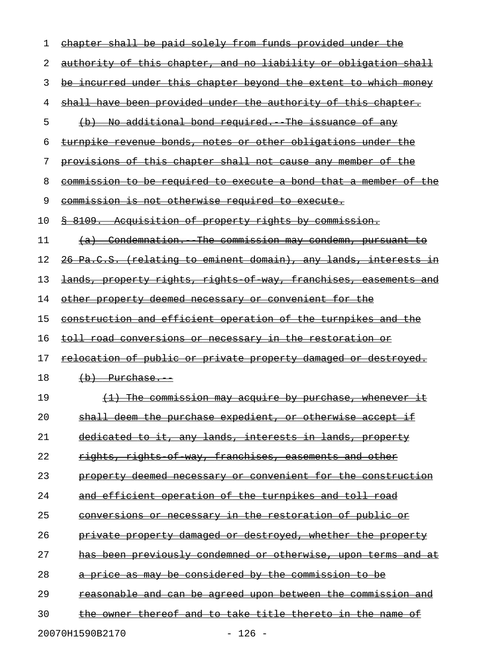| 1  | chapter shall be paid solely from funds provided under the               |
|----|--------------------------------------------------------------------------|
| 2  | <u>authority of this chapter, and no liability or obligation shall</u>   |
| 3  | <u>be incurred under this chapter beyond the extent to which money</u>   |
| 4  | shall have been provided under the authority of this chapter.            |
| 5  | (b) No additional bond required. The issuance of any                     |
| 6  | turnpike revenue bonds, notes or other obligations under the             |
| 7  | provisions of this chapter shall not cause any member of the             |
| 8  | <u>commission to be required to execute a bond that a member of the</u>  |
| 9  | commission is not otherwise required to execute.                         |
| 10 | <u>§ 8109. Acquisition of property rights by commission.</u>             |
| 11 | (a) Condemnation. The commission may condemn, pursuant to                |
| 12 | <u> 26 Pa.C.S. (relating to eminent domain), any lands, interests in</u> |
| 13 | <u>lands, property rights, rights of way, franchises, easements and </u> |
| 14 | <u>other property deemed necessary or convenient for the</u>             |
| 15 | <u>construction and efficient operation of the turnpikes and the</u>     |
| 16 | <u>toll road conversions or necessary in the restoration or </u>         |
| 17 | <u>relocation of public or private property damaged or destroyed.</u>    |
| 18 | $(b)$ Purchase.                                                          |
| 19 | (1) The commission may acquire by purchase, whenever it                  |
| 20 | shall deem the purchase expedient, or otherwise accept if                |
| 21 | dedicated to it, any lands, interests in lands, property                 |
| 22 | rights, rights of way, franchises, easements and other                   |
| 23 | property deemed necessary or convenient for the construction             |
| 24 | and efficient operation of the turnpikes and toll road                   |
| 25 | conversions or necessary in the restoration of public or                 |
| 26 | private property damaged or destroyed, whether the property              |
| 27 | has been previously condemned or otherwise, upon terms and at            |
| 28 | a price as may be considered by the commission to be                     |
| 29 | reasonable and can be agreed upon between the commission and             |
| 30 | the owner thereof and to take title thereto in the name of               |
|    |                                                                          |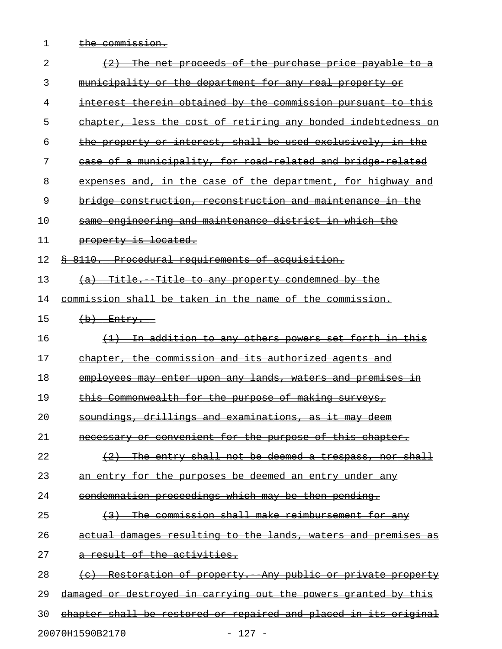- 
- 1 the commission.

| 2  | The net proceeds of the purchase price payable to a                         |
|----|-----------------------------------------------------------------------------|
| 3  | municipality or the department for any real property or                     |
| 4  | <del>interest therein obtained by the commission pursuant to this</del>     |
| 5  | chapter, less the cost of retiring any bonded indebtedness                  |
| 6  | the property or interest, shall be used exclusively, in the                 |
| 7  | case of a municipality, for road related and bridge related                 |
| 8  | expenses and, in the case of the department, for highway<br><del>-and</del> |
| 9  | bridge construction, reconstruction and maintenance in the                  |
| 10 | same engineering and maintenance district in which the                      |
| 11 | property is located.                                                        |
| 12 | Procedural requirements of acquisition.<br>8110.                            |
| 13 | Title. Title to any property condemned by the<br>$\left( a\right)$          |
| 14 | <u>commission shall be taken in the name of the commission.</u>             |
| 15 | $(b)$ Entry.                                                                |
| 16 | <u>In addition to any others powers set forth in this </u>                  |
| 17 | chapter, the commission and its authorized agents and                       |
| 18 | employees may enter upon any lands, waters and premises                     |
| 19 | Commonwealth for the purpose of making surveys,                             |
| 20 | drillings and examinations, as it may<br>soundings,<br>همهم                 |
| 21 | necessary or convenient for the purpose of this chapter.                    |
| 22 | $(2)$ The entry shall not be deemed a trespass, nor shall                   |
| 23 | an entry for the purposes be deemed an entry under any                      |
| 24 | <u>condemnation proceedings which may be then pending.</u>                  |
| 25 | (3) The commission shall make reimbursement for any                         |
| 26 | actual damages resulting to the lands, waters and premises as               |
| 27 | a result of the activities.                                                 |
| 28 | (c) Restoration of property. Any public or private property                 |
| 29 | damaged or destroyed in carrying out the powers granted by this             |
| 30 | chapter shall be restored or repaired and placed in its original            |
|    | 20070H1590B2170<br>$-127 -$                                                 |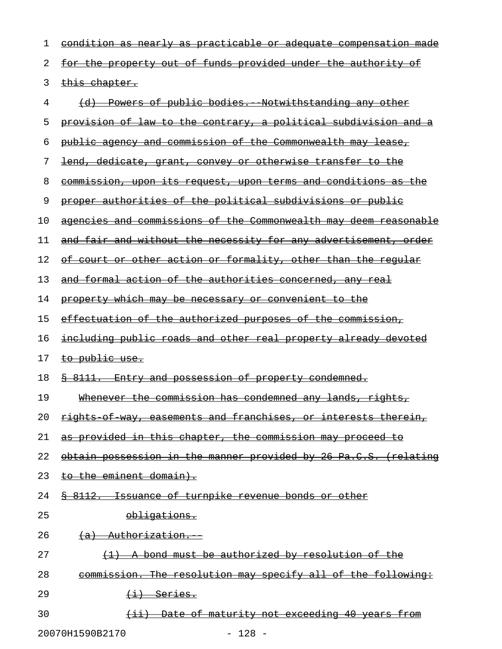| 1  | condition as nearly as practicable or adequate compensation made                                                                                                                                                                                                                                                                                    |
|----|-----------------------------------------------------------------------------------------------------------------------------------------------------------------------------------------------------------------------------------------------------------------------------------------------------------------------------------------------------|
| 2  | for the property out of funds provided under the authority of                                                                                                                                                                                                                                                                                       |
| 3  | this chapter.                                                                                                                                                                                                                                                                                                                                       |
| 4  | Powers of public bodies. Notwithstanding any other                                                                                                                                                                                                                                                                                                  |
| 5  | provision of law to the contrary, a political subdivision and a                                                                                                                                                                                                                                                                                     |
| 6  | public agency and commission of the Commonwealth may lease,                                                                                                                                                                                                                                                                                         |
| 7  | lend, dedicate, grant, convey or otherwise transfer to the                                                                                                                                                                                                                                                                                          |
| 8  | commission, upon its request, upon terms and conditions as the                                                                                                                                                                                                                                                                                      |
| 9  | proper authorities of the political subdivisions or public                                                                                                                                                                                                                                                                                          |
| 10 | agencies and commissions of the Commonwealth may deem reasonable                                                                                                                                                                                                                                                                                    |
| 11 | and fair and without the necessity for any advertisement, order                                                                                                                                                                                                                                                                                     |
| 12 | of court or other action or formality, other than the regular                                                                                                                                                                                                                                                                                       |
| 13 | and formal action of the authorities concerned, any real                                                                                                                                                                                                                                                                                            |
| 14 | property which may be necessary or convenient to the                                                                                                                                                                                                                                                                                                |
| 15 | effectuation of the authorized purposes of the commission,                                                                                                                                                                                                                                                                                          |
| 16 | including public roads and other real property already devoted                                                                                                                                                                                                                                                                                      |
| 17 | to public use.                                                                                                                                                                                                                                                                                                                                      |
| 18 | <u> § 8111. Entry and possession of property condemned.</u>                                                                                                                                                                                                                                                                                         |
| 19 | Whenever the commission has condemned any lands, rights,                                                                                                                                                                                                                                                                                            |
| 20 | rights of way, easements and franchises, or interests therein,                                                                                                                                                                                                                                                                                      |
| 21 | as provided in this chapter, the commission may proceed to                                                                                                                                                                                                                                                                                          |
| 22 | obtain possession in the manner provided by 26 Pa.C.S. (relating                                                                                                                                                                                                                                                                                    |
| 23 | to the eminent domain).                                                                                                                                                                                                                                                                                                                             |
| 24 | \$ 8112. Issuance of turnpike revenue bonds or other                                                                                                                                                                                                                                                                                                |
| 25 | obligations.                                                                                                                                                                                                                                                                                                                                        |
| 26 | (a) Authorization.                                                                                                                                                                                                                                                                                                                                  |
| 27 | (1) A bond must be authorized by resolution of the                                                                                                                                                                                                                                                                                                  |
| 28 | commission. The resolution may specify all of the following:                                                                                                                                                                                                                                                                                        |
| 29 | $\overline{t}$ + $\overline{t}$ + $\overline{t}$ + $\overline{t}$ + $\overline{t}$ + $\overline{t}$ + $\overline{t}$ + $\overline{t}$ + $\overline{t}$ + $\overline{t}$ + $\overline{t}$ + $\overline{t}$ + $\overline{t}$ + $\overline{t}$ + $\overline{t}$ + $\overline{t}$ + $\overline{t}$ + $\overline{t}$ + $\overline{t}$ + $\overline{t}$ + |
| 30 | <u>(ii) Date of maturity not exceeding 40 years from </u>                                                                                                                                                                                                                                                                                           |

20070H1590B2170 - 128 -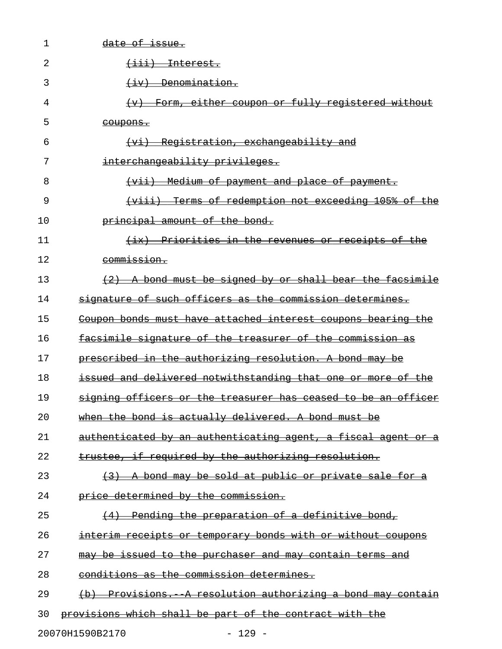| 1  | date of issue.                                                                        |
|----|---------------------------------------------------------------------------------------|
| 2  | <del>(iii) Interest.</del>                                                            |
| 3  | $\leftarrow \text{benn}$                                                              |
| 4  | Form, either coupon or fully registered without<br>$\leftarrow$                       |
| 5  | <del>coupons.</del>                                                                   |
| 6  | Registration, exchangeability and<br><del>(vi)</del>                                  |
| 7  | interchangeability privileges.                                                        |
| 8  | (vii) Medium of payment and place of payment.                                         |
| 9  | (viii) Terms of redemption not exceeding 105% of the                                  |
| 10 | principal amount of the bond.                                                         |
| 11 | <u>Priorities in the revenues or receipts of the </u><br>$\leftarrow$ ix $\leftarrow$ |
| 12 | commission.                                                                           |
| 13 | $(2)$ A bond must be signed by or shall bear the facsimile                            |
| 14 | signature of such officers as the commission determines.                              |
| 15 | Coupon bonds must have attached interest coupons bearing the                          |
| 16 | facsimile signature of the treasurer of the commission as                             |
| 17 | prescribed in the authorizing resolution. A bond may be                               |
| 18 | issued and delivered notwithstanding that one or more of the                          |
| 19 | signing officers or the treasurer has ceased to be an officer                         |
| 20 | when the bond is actually delivered. A bond must be                                   |
| 21 | authenticated by an authenticating agent, a fiscal agent or a                         |
| 22 | trustee, if required by the authorizing resolution.                                   |
| 23 | (3) A bond may be sold at public or private sale for a                                |
| 24 | price determined by the commission.                                                   |
| 25 | (4) Pending the preparation of a definitive bond,                                     |
| 26 | interim receipts or temporary bonds with or without coupons                           |
| 27 | may be issued to the purchaser and may contain terms and                              |
| 28 | conditions as the commission determines.                                              |
| 29 | (b) Provisions. A resolution authorizing a bond may contain                           |
| 30 | provisions which shall be part of the contract with the                               |
|    | 20070H1590B2170<br>$-129 -$                                                           |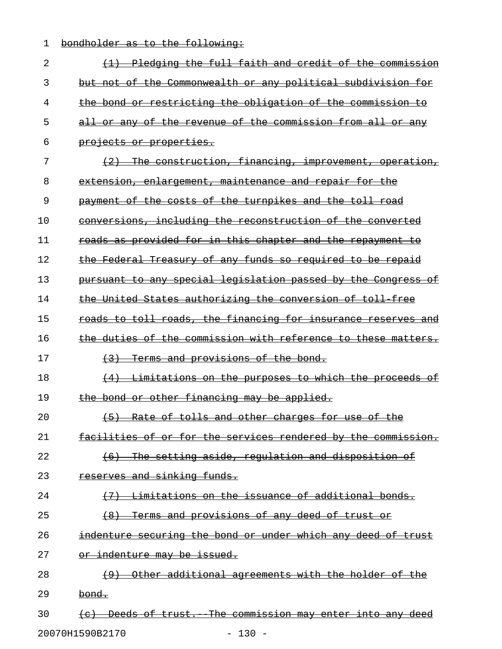1 bondholder as to the following:

| 2  | <del>full</del><br><del>faith and</del><br><del>credit</del><br>-o±<br><del>Pledging</del><br><del>the</del><br><del>the</del><br><del>commission</del> |
|----|---------------------------------------------------------------------------------------------------------------------------------------------------------|
| 3  | Commonwealth or any political subdivision for<br>but not<br>-o f<br>the                                                                                 |
| 4  | the bond or restricting the obligation of the commission                                                                                                |
| 5  | revenue of the commission from all<br><del>all</del><br>−o£<br><del>the</del><br>Θr<br><del>-anv</del><br>Θr<br><del>an∨</del>                          |
| 6  | <del>projects or properties.</del>                                                                                                                      |
| 7  | construction, financing, improvement,<br><del>The-</del><br><del>operation,</del>                                                                       |
| 8  | extension, enlargement, maintenance and repair for                                                                                                      |
| 9  | the costs of the turnpikes and the toll<br>ө£<br><del>road</del><br><del>pavment</del>                                                                  |
| 10 | conversions, including the reconstruction of the converted                                                                                              |
| 11 | as provided for in this chapter and the repayment<br><del>roads</del>                                                                                   |
| 12 | the Federal Treasury of any funds so required to be repaid                                                                                              |
| 13 | pursuant to any special legislation passed by the Congress<br>⊖£                                                                                        |
| 14 | the United States authorizing the conversion of toll free                                                                                               |
| 15 | roads to toll roads, the financing for insurance reserves and                                                                                           |
| 16 | the duties of the commission with reference to these<br><del>matters.</del>                                                                             |
| 17 | Terms and provisions of the bond.                                                                                                                       |
| 18 | Limitations on the purposes to which the<br><del>proceeds</del><br>−o£                                                                                  |
| 19 | the bond or other financing may be applied.                                                                                                             |
| 20 | Rate of tolls and other charges for use<br><del>of the</del>                                                                                            |
| 21 | facilities of or for the services rendered by the commission.                                                                                           |
| 22 | (6) The setting aside, regulation and disposition of                                                                                                    |
| 23 | reserves and sinking funds.                                                                                                                             |
| 24 | Limitations on the issuance of additional bonds.<br>(7)                                                                                                 |
| 25 | (8) Terms and provisions of any deed of trust or                                                                                                        |
| 26 | indenture securing the bond or under which any deed of trust                                                                                            |
| 27 | or indenture may be issued.                                                                                                                             |
| 28 | Other additional agreements with the holder of the                                                                                                      |
| 29 | bond.                                                                                                                                                   |
| 30 | (c) Deeds of trust. The commission may enter into any deed                                                                                              |
|    | 20070H1590B2170<br>$-130 -$                                                                                                                             |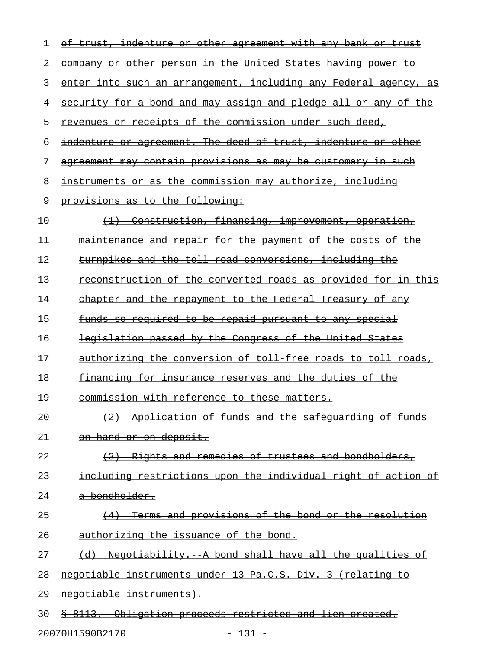| 1  | of trust, indenture or other agreement with any bank or trust    |
|----|------------------------------------------------------------------|
| 2  | company or other person in the United States having power to     |
| 3  | enter into such an arrangement, including any Federal agency, as |
| 4  | security for a bond and may assign and pledge all or any of the  |
| 5  | revenues or receipts of the commission under such deed,          |
| 6  | indenture or agreement. The deed of trust, indenture or other    |
| 7  | agreement may contain provisions as may be customary in such     |
| 8  | instruments or as the commission may authorize, including        |
| 9  | provisions as to the following:                                  |
| 10 | (1) Construction, financing, improvement, operation,             |
| 11 | maintenance and repair for the payment of the costs of the       |
| 12 | turnpikes and the toll road conversions, including the           |
| 13 | reconstruction of the converted roads as provided for in this    |
| 14 | chapter and the repayment to the Federal Treasury of any         |
| 15 | funds so required to be repaid pursuant to any special           |
| 16 | legislation passed by the Congress of the United States          |
| 17 | authorizing the conversion of toll free roads to toll roads,     |
| 18 | <u>financing for insurance reserves and the duties of the </u>   |
| 19 | commission with reference to these matters.                      |
| 20 | (2) Application of funds and the safequarding of funds           |
| 21 | on hand or on deposit.                                           |
| 22 | (3) Rights and remedies of trustees and bondholders,             |
| 23 | including restrictions upon the individual right of action of    |
| 24 | <del>a bondholder.</del>                                         |
| 25 | (4) Terms and provisions of the bond or the resolution           |
| 26 | authorizing the issuance of the bond.                            |
| 27 | (d) Negotiability. A bond shall have all the qualities of        |
| 28 | negotiable instruments under 13 Pa.C.S. Div. 3 (relating to      |
| 29 | negotiable instruments).                                         |
| 30 | \$ 8113. Obligation proceeds restricted and lien created.        |

20070H1590B2170 - 131 -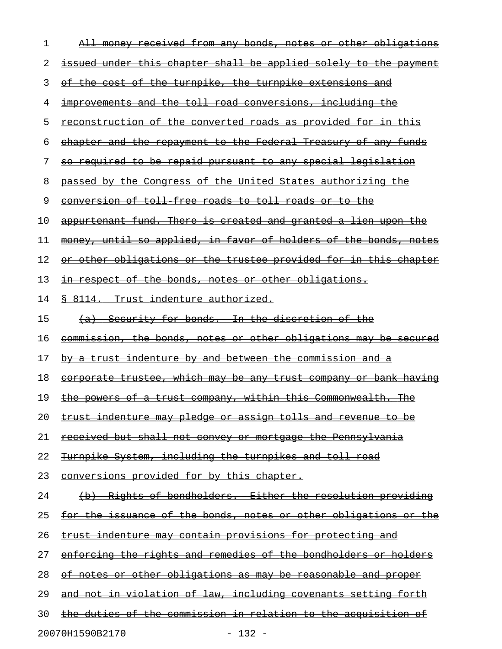| 1  | All money received from any bonds, notes or other obligations            |
|----|--------------------------------------------------------------------------|
| 2  | issued under this chapter shall be applied solely to the payment         |
| 3  | of the cost of the turnpike, the turnpike extensions and                 |
| 4  | improvements and the toll road conversions, including the                |
| 5  | <u>reconstruction of the converted roads as provided for in this</u>     |
| 6  | chapter and the repayment to the Federal Treasury of any funds           |
| 7  | <u>so required to be repaid pursuant to any special legislation</u>      |
| 8  | passed by the Congress of the United States authorizing the              |
| 9  | conversion of toll free roads to toll roads or to the                    |
| 10 | appurtenant fund. There is created and granted a lien upon the           |
| 11 | money, until so applied, in favor of holders of the bonds, notes         |
| 12 | or other obligations or the trustee provided for in this chapter         |
| 13 | <u>respect of the bonds, notes or other obligations.</u><br>$+n$         |
| 14 | <u> § 8114.  Trust indenture authorized.</u>                             |
| 15 | (a) Security for bonds. In the discretion of the                         |
| 16 | commission, the bonds, notes or other obligations may be secured         |
| 17 | by a trust indenture by and between the commission and a                 |
| 18 | corporate trustee, which may be any trust company or bank having         |
| 19 | the powers of a trust company, within this Commonwealth. The             |
| 20 | <u>trust indenture may pledge or assign tolls and revenue to be</u>      |
| 21 | <u>received but shall not convey or mortgage the Pennsylvania</u>        |
| 22 | Turnpike System, including the turnpikes and toll road                   |
| 23 | conversions provided for by this chapter.                                |
| 24 | (b) Rights of bondholders. Either the resolution providing               |
| 25 | <u>for the issuance of the bonds, notes or other obligations or the </u> |
| 26 | trust indenture may contain provisions for protecting and                |
| 27 | enforcing the rights and remedies of the bondholders or holders          |
| 28 | of notes or other obligations as may be reasonable and proper            |
| 29 | and not in violation of law, including covenants setting forth           |
| 30 | the duties of the commission in relation to the acquisition of           |
|    |                                                                          |

20070H1590B2170 - 132 -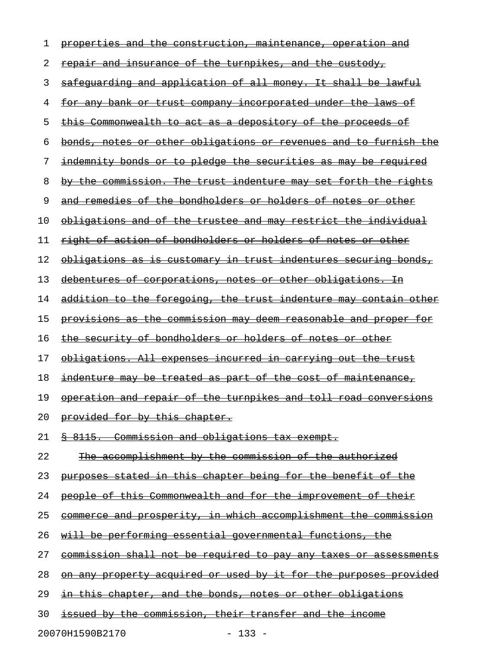| 1  | properties and the construction, maintenance, operation and             |
|----|-------------------------------------------------------------------------|
| 2  | repair and insurance of the turnpikes, and the custody,                 |
| 3  | safeguarding and application of all money. It shall be lawful           |
| 4  | <u>for any bank or trust company incorporated under the laws of</u>     |
| 5  | <u>this Commonwealth to act as a depository of the proceeds of</u>      |
| 6  | bonds, notes or other obligations or revenues and to furnish the        |
| 7  | indemnity bonds or to pledge the securities as may be required          |
| 8  | by the commission. The trust indenture may set forth the rights         |
| 9  | and remedies of the bondholders or holders of notes or other            |
| 10 | obligations and of the trustee and may restrict the individual          |
| 11 | <u>right of action of bondholders or holders of notes or other</u>      |
| 12 | obligations as is customary in trust indentures securing bonds,         |
| 13 | debentures of corporations, notes or other obligations. In              |
| 14 | addition to the foregoing, the trust indenture may contain other        |
| 15 | <u>provisions as the commission may deem reasonable and proper for</u>  |
| 16 | the security of bondholders or holders of notes or other                |
| 17 | obligations. All expenses incurred in carrying out the trust            |
| 18 | indenture may be treated as part of the cost of maintenance,            |
| 19 | operation and repair of the turnpikes and toll road conversions         |
| 20 | provided for by this chapter.                                           |
| 21 | § 8115. Commission and obligations tax exempt.                          |
| 22 | The accomplishment by the commission of the authorized                  |
| 23 | purposes stated in this chapter being for the benefit of the            |
| 24 | people of this Commonwealth and for the improvement of their            |
| 25 | commerce and prosperity, in which accomplishment the commission         |
| 26 | will be performing essential governmental functions, the                |
| 27 | commission shall not be required to pay any taxes or assessments        |
| 28 | <u>on any property acquired or used by it for the purposes provided</u> |
| 29 | <u>in this chapter, and the bonds, notes or other obligations</u>       |
| 30 | issued by the commission, their transfer and the income                 |
|    |                                                                         |

20070H1590B2170 - 133 -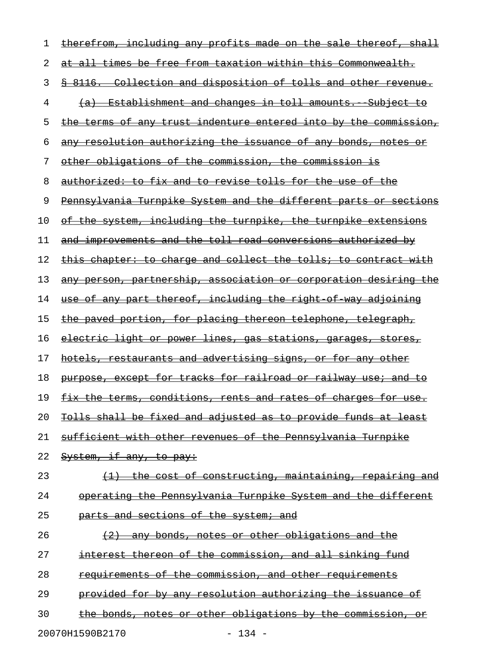| ı  | <u>therefrom, including any profits made on the sale thereof, shall</u>     |
|----|-----------------------------------------------------------------------------|
| 2  | at all times be free from taxation within this Commonwealth.                |
| 3  | \$ 8116. Collection and disposition of tolls and other revenue.             |
| 4  | (a) Establishment and changes in toll amounts. Subject to                   |
| 5  | <u>the terms of any trust indenture entered into by the commission,</u>     |
| 6  | any resolution authorizing the issuance of any bonds, notes or              |
| 7  | other obligations of the commission, the commission is                      |
| 8  | authorized: to fix and to revise tolls for the use of the                   |
| 9  | Pennsylvania Turnpike System and the different parts or sections            |
| 10 | of the system, including the turnpike, the turnpike extensions              |
| 11 | <u>and improvements and the toll road conversions authorized by</u>         |
| 12 | this chapter: to charge and collect the tolls; to contract with             |
| 13 | any person, partnership, association or corporation desiring the            |
| 14 | <u>use of any part thereof, including the right of way adjoining</u>        |
| 15 | the paved portion, for placing thereon telephone, telegraph,                |
| 16 | electric light or power lines, gas stations, garages, stores,               |
| 17 | <u>hotels, restaurants and advertising signs, or for any other</u>          |
| 18 | purpose, except for tracks for railroad or railway use; and to              |
| 19 | <u>fix the terms, conditions, rents and rates of charges for use.</u>       |
| 20 | Tolls shall be fixed and adjusted as to provide funds at least              |
| 21 | <u>sufficient with other revenues of the Pennsylvania Turnpike</u>          |
| 22 | System, if any, to pay:                                                     |
| 23 | <u>the cost of constructing, maintaining, repairing and</u>                 |
| 24 | operating the Pennsylvania Turnpike System and the different                |
| 25 | parts and sections of the system; and                                       |
| 26 | any bonds, notes or other obligations and the<br>$\left(\frac{2}{2}\right)$ |
| 27 | <u>interest thereon of the commission, and all sinking fund</u>             |
| 28 | requirements of the commission, and other requirements                      |
| 29 | <u>provided for by any resolution authorizing the issuance of </u>          |
| 30 | the bonds, notes or other obligations by the commission, or                 |

20070H1590B2170 - 134 -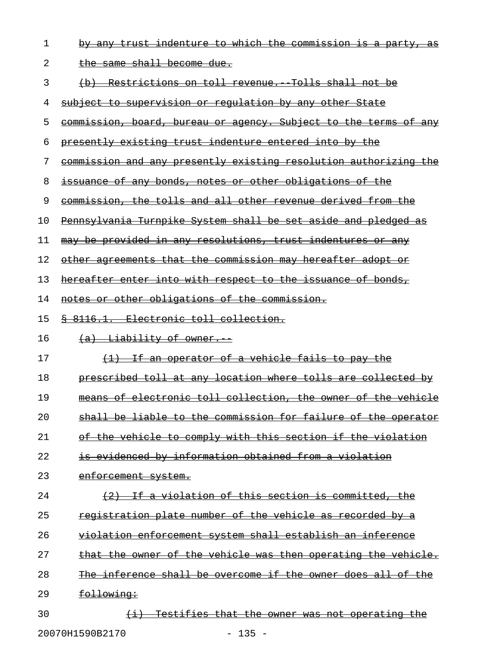| 1  | by any trust indenture to which the commission is a party, as           |
|----|-------------------------------------------------------------------------|
| 2  | <u>the same shall become due.</u>                                       |
| 3  | (b) Restrictions on toll revenue. Tolls shall not be                    |
| 4  | <u>subject to supervision or regulation by any other State</u>          |
| 5  | <u>commission, board, bureau or agency. Subject to the terms of any</u> |
| 6  | presently existing trust indenture entered into by the                  |
| 7  | commission and any presently existing resolution authorizing the        |
| 8  | issuance of any bonds, notes or other obligations of the                |
| 9  | commission, the tolls and all other revenue derived from the            |
| 10 | Pennsylvania Turnpike System shall be set aside and pledged as          |
| 11 | may be provided in any resolutions, trust indentures or any             |
| 12 | <u>other agreements that the commission may hereafter adopt or</u>      |
| 13 | hereafter enter into with respect to the issuance of bonds,             |
| 14 | notes or other obligations of the commission.                           |
| 15 | 8 8116.1. Electronic toll collection.                                   |
| 16 | (a) Liability of owner.                                                 |
| 17 | $\{1\}$ If an operator of a vehicle fails to pay the                    |
| 18 | prescribed toll at any location where tolls are collected by            |
| 19 | means of electronic toll collection, the owner of the vehicle           |
| 20 | shall be liable to the commission for failure of the operator           |
| 21 | of the vehicle to comply with this section if the violation             |
| 22 | is evidenced by information obtained from a violation                   |
| 23 | enforcement system.                                                     |
| 24 | (2) If a violation of this section is committed, the                    |
| 25 | registration plate number of the vehicle as recorded by a               |
| 26 | violation enforcement system shall establish an inference               |
| 27 | that the owner of the vehicle was then operating the vehicle.           |
| 28 | The inference shall be overcome if the owner does all of the            |
| 29 | following:                                                              |
| 30 | Testifies that the owner was not operating the                          |

20070H1590B2170 - 135 -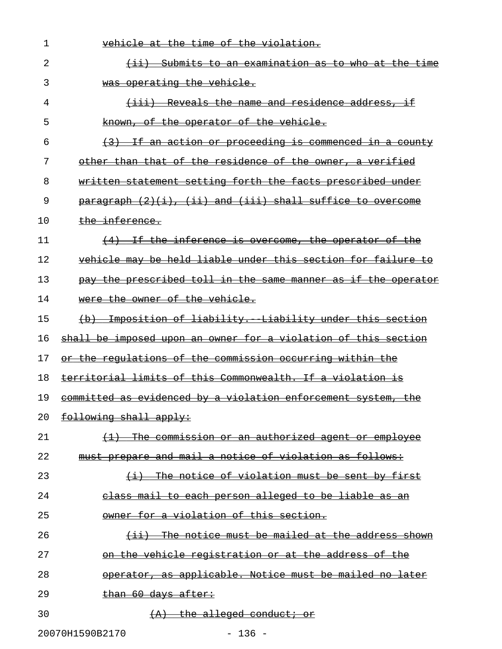| 1  | vehicle at the time of the violation.                                           |
|----|---------------------------------------------------------------------------------|
| 2  | <u>-Submits to an examination as to who at the time</u><br>$\leftrightarrow$    |
| 3  | was operating the vehicle.                                                      |
| 4  | Reveals the name and residence address, if<br><del>(iii) -</del>                |
| 5  | known, of the operator of the vehicle.                                          |
| 6  | If an action or proceeding is commenced in a county<br>$\left(3\right)$         |
| 7  | other than that of the residence of the owner, a verified                       |
| 8  | written statement setting forth the facts prescribed under                      |
| 9  | $\frac{1}{2}$ paragraph $(2)(i)$ , $(ii)$ and $(iii)$ shall suffice to overcome |
| 10 | the inference.                                                                  |
| 11 | $(4)$ If the inference is overcome, the operator of the                         |
| 12 | vehicle may be held liable under this section for failure<br><del>to</del>      |
| 13 | the prescribed toll in the same manner as if the operator<br>pay                |
| 14 | were the owner of the vehicle.                                                  |
| 15 | Imposition of liability. Liability under this section<br>$\leftrightarrow$      |
| 16 | shall be imposed upon an owner for a violation of this section                  |
| 17 | or the regulations of the commission occurring within the                       |
| 18 | territorial limits of this Commonwealth. If a violation is                      |
| 19 | committed as evidenced by a violation enforcement system, the                   |
| 20 | following shall apply:                                                          |
| 21 | The commission or an authorized agent or employee<br>$\leftrightarrow$          |
| 22 | must prepare and mail a notice of violation as follows:                         |
| 23 | (i) The notice of violation must be sent by first                               |
| 24 | class mail to each person alleged to be liable as an                            |
| 25 | owner for a violation of this section.                                          |
| 26 | (ii) The notice must be mailed at the address shown                             |
| 27 | on the vehicle registration or at the address of the                            |
| 28 | operator, as applicable. Notice must be mailed no later                         |
| 29 | than 60 days after:                                                             |
| 30 | $(A)$ the alleged conduct; or                                                   |
|    | 20070H1590B2170<br>$-136 -$                                                     |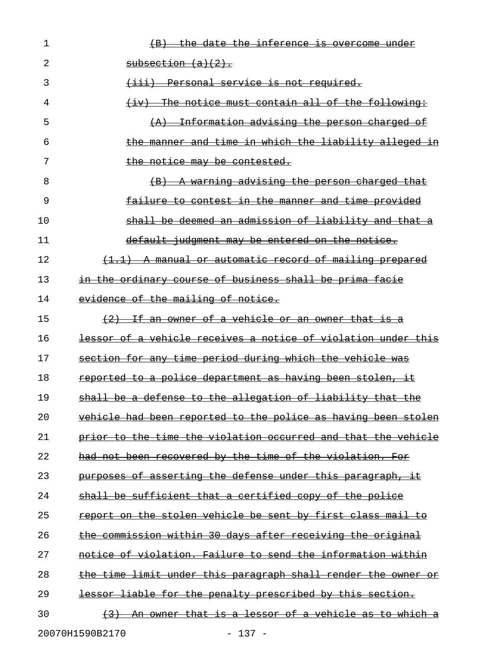| 1  | the date the inference is overcome under                                    |
|----|-----------------------------------------------------------------------------|
| 2  | subsection (a)(2).                                                          |
| 3  | (iii) Personal service is not required.                                     |
| 4  | The notice must contain all of the following:<br>$\leftrightarrow$          |
| 5  | Information advising the person charged of<br>$\left( A \right)$            |
| 6  | the manner and time in which the liability alleged in                       |
| 7  | the notice may be contested.                                                |
| 8  | - A warning advising the person charged that<br>$\left( \mathrm{B} \right)$ |
| 9  | failure to contest in the manner and time provided                          |
| 10 | shall be deemed an admission of liability and that a                        |
| 11 | default judgment may be entered on the notice.                              |
| 12 | (1.1) A manual or automatic record of mailing prepared                      |
| 13 | in the ordinary course of business shall be prima facie                     |
| 14 | evidence of the mailing of notice.                                          |
| 15 | (2) If an owner of a vehicle or an owner that is a                          |
| 16 | lessor of a vehicle receives a notice of violation under this               |
| 17 | section for any time period during which the vehicle was                    |
| 18 | reported to a police department as having been stolen, it                   |
| 19 | shall be a defense to the allegation of liability that the                  |
| 20 | vehicle had been reported to the police as having been stolen               |
| 21 | prior to the time the violation occurred and that the vehicle               |
| 22 | had not been recovered by the time of the violation. For                    |
| 23 | purposes of asserting the defense under this paragraph, it                  |
| 24 | shall be sufficient that a certified copy of the police                     |
| 25 | report on the stolen vehicle be sent by first class mail to                 |
| 26 | the commission within 30 days after receiving the original                  |
| 27 | notice of violation. Failure to send the information within                 |
| 28 | the time limit under this paragraph shall render the owner or               |
| 29 | lessor liable for the penalty prescribed by this section.                   |
| 30 | <u>An owner that is a lessor of a vehicle as to which a</u><br>(3)          |
|    | 20070H1590B2170<br>$-137 -$                                                 |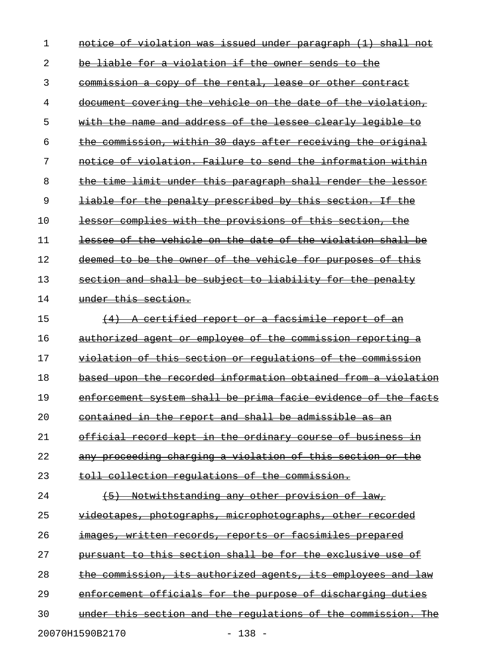| 1  | notice of violation was issued under paragraph (1) shall not        |
|----|---------------------------------------------------------------------|
| 2  | <u>be liable for a violation if the owner sends to the </u>         |
| 3  | commission a copy of the rental, lease or other contract            |
| 4  | <u>document covering the vehicle on the date of the violation, </u> |
| 5  | with the name and address of the lessee clearly legible to          |
| 6  | the commission, within 30 days after receiving the original         |
| 7  | notice of violation. Failure to send the information within         |
| 8  | <u>the time limit under this paragraph shall render the lessor</u>  |
| 9  | liable for the penalty prescribed by this section. If the           |
| 10 | lessor complies with the provisions of this section, the            |
| 11 | lessee of the vehicle on the date of the violation shall be         |
| 12 | deemed to be the owner of the vehicle for purposes of this          |
| 13 | section and shall be subject to liability for the penalty           |
| 14 | under this section.                                                 |
| 15 | A certified report or a facsimile report of an                      |
| 16 | authorized agent or employee of the commission reporting a          |
| 17 | violation of this section or regulations of the commission          |
| 18 | based upon the recorded information obtained from a violation       |
| 19 | enforcement system shall be prima facie evidence of the facts       |
| 20 | <u>contained in the report and shall be admissible as an</u>        |
| 21 | official record kept in the ordinary course of business in          |
| 22 | any proceeding charging a violation of this section or the          |
| 23 | toll collection requlations of the commission.                      |
| 24 | (5) Notwithstanding any other provision of law,                     |
| 25 | videotapes, photographs, microphotographs, other recorded           |
| 26 | images, written records, reports or facsimiles prepared             |
| 27 | pursuant to this section shall be for the exclusive use of          |
| 28 | the commission, its authorized agents, its employees and law        |
| 29 | enforcement officials for the purpose of discharging duties         |
| 30 | under this section and the regulations of the commission. The       |
|    | 20070H1590B2170<br>$-138 -$                                         |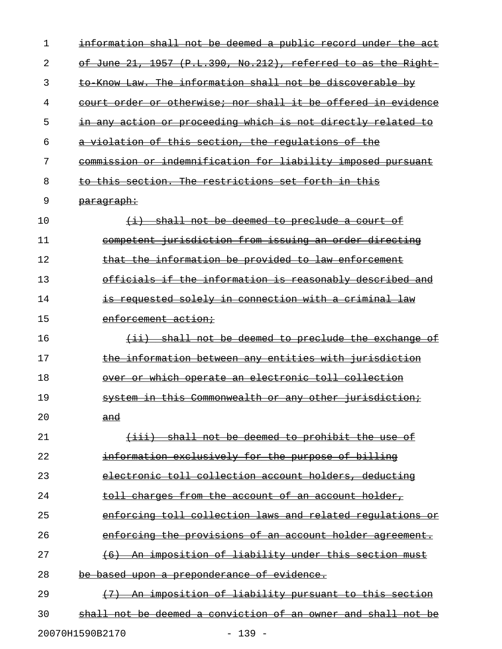| 1  | information shall not be deemed a public record under the act      |
|----|--------------------------------------------------------------------|
| 2  | of June 21, 1957 (P.L.390, No.212), referred to as the Right       |
| 3  | to Know Law. The information shall not be discoverable by          |
| 4  | court order or otherwise; nor shall it be offered in evidence      |
| 5  | in any action or proceeding which is not directly related to       |
| 6  | a violation of this section, the regulations of the                |
| 7  | commission or indemnification for liability imposed pursuant       |
| 8  | to this section. The restrictions set forth in this                |
| 9  | <del>paragraph:</del>                                              |
| 10 | (i) shall not be deemed to preclude a court of                     |
| 11 | competent jurisdiction from issuing an order directing             |
| 12 | that the information be provided to law enforcement                |
| 13 | officials if the information is reasonably described and           |
| 14 | <del>is requested solely in connection with a criminal law</del>   |
| 15 | enforcement action:                                                |
| 16 | shall not be deemed to preclude the exchange of<br>$\overline{+i}$ |
| 17 | the information between any entities with jurisdiction             |
| 18 | over or which operate an electronic toll collection                |
| 19 | system in this Commonwealth or any other jurisdiction;             |
| 20 | and                                                                |
| 21 | (iii) shall not be deemed to prohibit the use of                   |
| 22 | information exclusively for the purpose of billing                 |
| 23 | electronic toll collection account holders, deducting              |
| 24 | toll charges from the account of an account holder,                |
| 25 | enforcing toll collection laws and related regulations or          |
| 26 | enforcing the provisions of an account holder agreement.           |
| 27 | (6) An imposition of liability under this section must             |
| 28 | <del>be based upon a preponderance of evidence.</del>              |
| 29 | (7) An imposition of liability pursuant to this section            |
| 30 | shall not be deemed a conviction of an owner and shall not be      |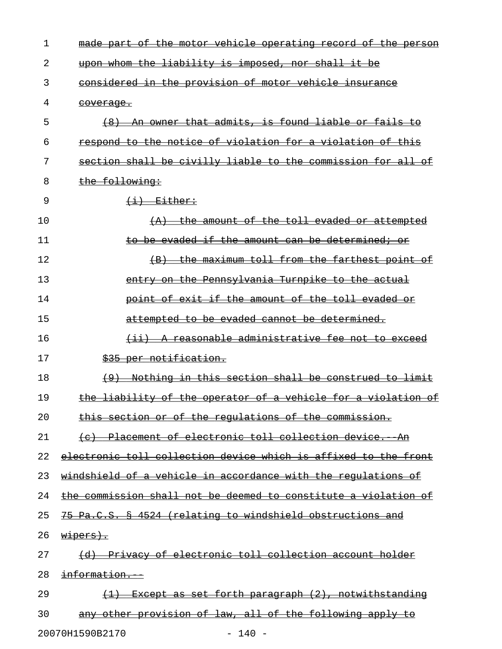| 1  | made part of the motor vehicle operating record of the person   |
|----|-----------------------------------------------------------------|
| 2  | upon whom the liability is imposed, nor shall it be             |
| 3  | considered in the provision of motor vehicle insurance          |
| 4  | <del>coverage.</del>                                            |
| 5  | (8) An owner that admits, is found liable or fails to           |
| 6  | respond to the notice of violation for a violation of this      |
| 7  | section shall be civilly liable to the commission for all of    |
| 8  | the following:                                                  |
| 9  | $\leftarrow$ +i) Either:                                        |
| 10 | $(A)$ the amount of the toll evaded or attempted                |
| 11 | to be evaded if the amount can be determined; or                |
| 12 | (B) the maximum toll from the farthest point of                 |
| 13 | entry on the Pennsylvania Turnpike to the actual                |
| 14 | point of exit if the amount of the toll evaded or               |
| 15 | attempted to be evaded cannot be determined.                    |
| 16 | (ii) A reasonable administrative fee not to exceed              |
| 17 | \$35 per notification.                                          |
| 18 | (9) Nothing in this section shall be construed to limit         |
| 19 | the liability of the operator of a vehicle for a violation of   |
| 20 | this section or of the regulations of the commission.           |
| 21 | (c) Placement of electronic toll collection device. An          |
| 22 | electronic toll collection device which is affixed to the front |
| 23 | windshield of a vehicle in accordance with the regulations of   |
| 24 | the commission shall not be deemed to constitute a violation of |
| 25 | 75 Pa.C.S. § 4524 (relating to windshield obstructions and      |
| 26 | $w \text{+} \text{per} \text{s}$ .                              |
| 27 | (d) Privacy of electronic toll collection account holder        |
| 28 | information.                                                    |
| 29 | (1) Except as set forth paragraph (2), notwithstanding          |
| 30 | any other provision of law, all of the following apply to       |
|    |                                                                 |

20070H1590B2170 - 140 -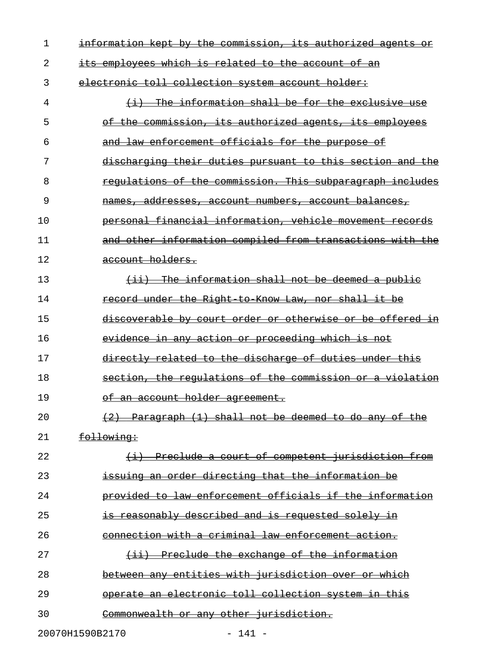| 1  | information kept by the commission, its authorized agents or  |
|----|---------------------------------------------------------------|
| 2  | its employees which is related to the account of an           |
| 3  | electronic toll collection system account holder:             |
| 4  | $(i)$ The information shall be for the exclusive use          |
| 5  | of the commission, its authorized agents, its employees       |
| 6  | and law enforcement officials for the purpose of              |
| 7  | discharging their duties pursuant to this section and the     |
| 8  | requlations of the commission. This subparagraph includes     |
| 9  | <u>names, addresses, account numbers, account balances,</u>   |
| 10 | personal financial information, vehicle movement records      |
| 11 | and other information compiled from transactions with the     |
| 12 | account holders.                                              |
| 13 | $(i)$ The information shall not be deemed a public            |
| 14 | record under the Right to Know Law, nor shall it be           |
| 15 | discoverable by court order or otherwise or be offered in     |
| 16 | <u>evidence in any action or proceeding which is not</u>      |
| 17 | directly related to the discharge of duties under this        |
| 18 | section, the regulations of the commission or a violation     |
| 19 | of an account holder agreement.                               |
| 20 | $(2)$ Paragraph $(1)$ shall not be deemed to do any of the    |
| 21 | following:                                                    |
| 22 | (i) Preclude a court of competent jurisdiction from           |
| 23 | <del>issuing an order directing that the information be</del> |
| 24 | provided to law enforcement officials if the information      |
| 25 | <del>is reasonably described and is requested solely in</del> |
| 26 | connection with a criminal law enforcement action.            |
| 27 | (ii) Preclude the exchange of the information                 |
| 28 | between any entities with jurisdiction over or which          |
| 29 | operate an electronic toll collection system in this          |
| 30 | Commonwealth or any other jurisdiction.                       |

20070H1590B2170 - 141 -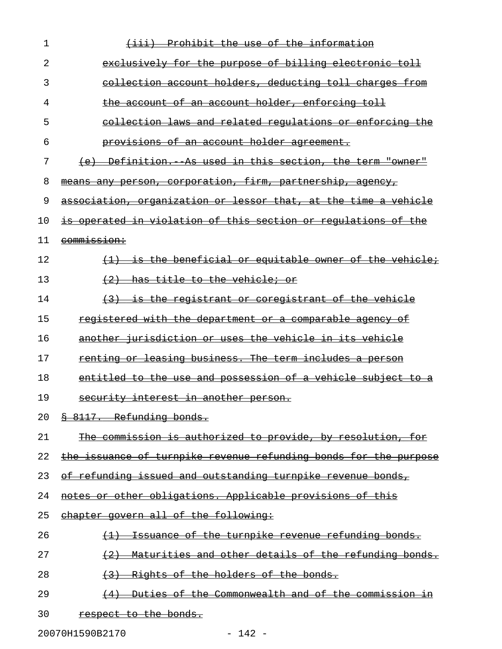| 1  | Prohibit the use of the information<br>$\leftrightarrow$                      |
|----|-------------------------------------------------------------------------------|
| 2  | exclusively for the purpose of billing electronic toll                        |
| 3  | collection account holders, deducting toll charges from                       |
| 4  | the account of an account holder, enforcing toll                              |
| 5  | collection laws and related requlations or enforcing the                      |
| 6  | <u>provisions of an account holder agreement.</u>                             |
| 7  | (e) Definition. As used in this section, the term "owner"                     |
| 8  | means any person, corporation, firm, partnership, agency,                     |
| 9  | association, organization or lessor that, at the time a vehicle               |
| 10 | is operated in violation of this section or regulations of the                |
| 11 | <del>commission:</del>                                                        |
| 12 | (1) is the beneficial or equitable owner of the vehicle;                      |
| 13 | <del>has title to the vehicle; or</del><br>$+2$                               |
| 14 | (3) is the registrant or coregistrant of the vehicle                          |
| 15 | registered with the department or a comparable agency of                      |
| 16 | another jurisdiction or uses the vehicle in its vehicle                       |
| 17 | renting or leasing business. The term includes a person                       |
| 18 | entitled to the use and possession of a vehicle subject to                    |
| 19 | security interest in another person.                                          |
| 20 | § 8117. Refunding bonds.                                                      |
| 21 | The commission is authorized to provide, by resolution, for                   |
| 22 | the issuance of turnpike revenue refunding bonds for the purpose              |
| 23 | of refunding issued and outstanding turnpike revenue bonds,                   |
| 24 | notes or other obligations. Applicable provisions of this                     |
| 25 | chapter govern all of the following:                                          |
| 26 | <u>Issuance of the turnpike revenue refunding bonds.</u><br>$\leftrightarrow$ |
| 27 | $(2)$ Maturities and other details of the refunding bonds.                    |
| 28 | Rights of the holders of the bonds.<br>(3)                                    |
| 29 | <u>Duties of the Commonwealth and of the commission in</u><br>(4)             |
| 30 | respect to the bonds.                                                         |

20070H1590B2170 - 142 -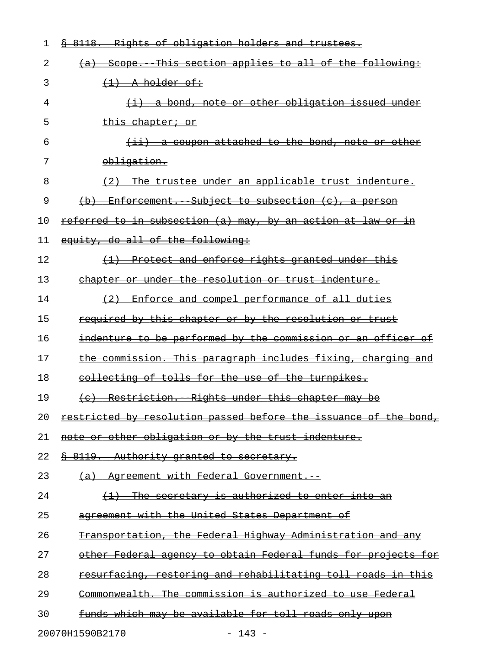| 1  | Rights of obligation holders and trustees.<br><del>-8118.</del>      |
|----|----------------------------------------------------------------------|
| 2  | (a) Scope. This section applies to all of the following:             |
| 3  | $\left\{ \frac{1}{1}, \frac{1}{2}, \frac{1}{2}\right\}$ a holder of: |
| 4  | $(i)$ a bond, note or other obligation issued under                  |
| 5  | <del>this chapter; or</del>                                          |
| 6  | $(i)$ a coupon attached to the bond, note or other                   |
| 7  | obligation.                                                          |
| 8  | (2) The trustee under an applicable trust indenture.                 |
| 9  | (b) Enforcement. Subject to subsection (c), a person                 |
| 10 | <u>referred to in subsection (a) may, by an action at law or in</u>  |
| 11 | equity, do all of the following:                                     |
| 12 | (1) Protect and enforce rights granted under this                    |
| 13 | chapter or under the resolution or trust indenture.                  |
| 14 | (2) Enforce and compel performance of all duties                     |
| 15 | required by this chapter or by the resolution or trust               |
| 16 | indenture to be performed by the commission or an officer of         |
| 17 | the commission. This paragraph includes fixing, charging and         |
| 18 | collecting of tolls for the use of the turnpikes.                    |
| 19 | (c) Restriction. Rights under this chapter may be                    |
| 20 | restricted by resolution passed before the issuance of the bond,     |
| 21 | note or other obligation or by the trust indenture.                  |
| 22 | 8 8119. Authority granted to secretary.                              |
| 23 | (a) Agreement with Federal Government.                               |
| 24 | (1) The secretary is authorized to enter into an                     |
| 25 | agreement with the United States Department of                       |
| 26 | Transportation, the Federal Highway Administration and any           |
| 27 | other Federal agency to obtain Federal funds for projects for        |
| 28 | resurfacing, restoring and rehabilitating toll roads in this         |
| 29 | Commonwealth. The commission is authorized to use Federal            |
| 30 | <u>funds which may be available for toll roads only upon</u>         |
|    |                                                                      |

20070H1590B2170 - 143 -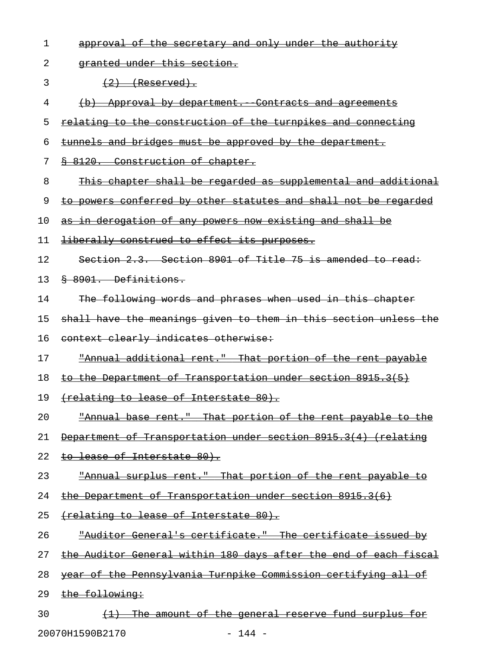| 1  | approval of the secretary and only under the authority           |
|----|------------------------------------------------------------------|
| 2  | granted under this section.                                      |
| 3  | $(2)$ (Reserved).                                                |
| 4  | (b) Approval by department. Contracts and agreements             |
| 5  | relating to the construction of the turnpikes and connecting     |
| 6  | tunnels and bridges must be approved by the department.          |
| 7  | § 8120. Construction of chapter.                                 |
| 8  | This chapter shall be regarded as supplemental and additional    |
| 9  | to powers conferred by other statutes and shall not be regarded  |
| 10 | as in derogation of any powers now existing and shall be         |
| 11 | liberally construed to effect its purposes.                      |
| 12 | Section 2.3. Section 8901 of Title 75 is amended to read:        |
| 13 | § 8901. Definitions.                                             |
| 14 | The following words and phrases when used in this chapter        |
| 15 | shall have the meanings given to them in this section unless the |
| 16 | context clearly indicates otherwise:                             |
| 17 | "Annual additional rent." That portion of the rent payable       |
| 18 | to the Department of Transportation under section 8915.3(5)      |
| 19 | (relating to lease of Interstate 80).                            |
| 20 | "Annual base rent." That portion of the rent payable to the      |
| 21 | Department of Transportation under section 8915.3(4) (relating   |
| 22 | <u>to lease of Interstate 80).</u>                               |
| 23 | "Annual surplus rent." That portion of the rent payable to       |
| 24 | the Department of Transportation under section 8915.3(6)         |
| 25 | (relating to lease of Interstate 80).                            |
| 26 | "Auditor General's certificate." The certificate issued by       |
| 27 | the Auditor General within 180 days after the end of each fiscal |
| 28 | year of the Pennsylvania Turnpike Commission certifying all of   |
| 29 | the following:                                                   |
| 30 | (1) The amount of the general reserve fund surplus for           |

20070H1590B2170 - 144 -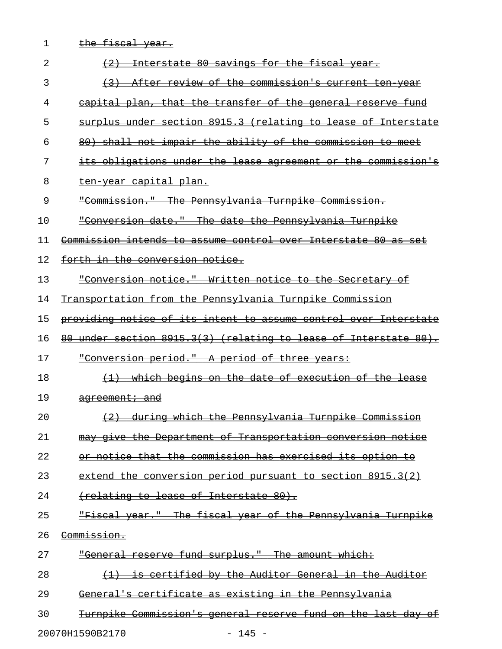| 1  | the fiscal year.                                                 |
|----|------------------------------------------------------------------|
| 2  | Interstate 80 savings for the fiscal year.                       |
| 3  | After review of the commission's current ten year                |
| 4  | capital plan, that the transfer of the general reserve fund      |
| 5  | surplus under section 8915.3 (relating to lease of Interstate    |
| 6  | 80) shall not impair the ability of the commission to meet       |
| 7  | its obligations under the lease agreement or the commission's    |
| 8  | ten year capital plan.                                           |
| 9  | "Commission." The Pennsylvania Turnpike Commission.              |
| 10 | "Conversion date." The date the Pennsylvania Turnpike            |
| 11 | Commission intends to assume control over Interstate 80 as set   |
| 12 | forth in the conversion notice.                                  |
| 13 | "Conversion notice." Written notice to the Secretary of          |
| 14 | Transportation from the Pennsylvania Turnpike Commission         |
| 15 | providing notice of its intent to assume control over Interstate |
| 16 | 80 under section 8915.3(3) (relating to lease of Interstate 80). |
| 17 | "Conversion period." A period of three years:                    |
| 18 | which begins on the date of execution of the lease               |
| 19 | agreement; and                                                   |
| 20 | during which the Pennsylvania Turnpike Commission                |
| 21 | may give the Department of Transportation conversion notice      |
| 22 | or notice that the commission has exercised its option to        |
| 23 | extend the conversion period pursuant to section 8915.3(2)       |
| 24 | (relating to lease of Interstate 80).                            |
| 25 | "Fiscal year." The fiscal year of the Pennsylvania Turnpike      |
| 26 | Commission.                                                      |
| 27 | "General reserve fund surplus." The amount which:                |
| 28 | is certified by the Auditor General in the Auditor               |
| 29 | General's certificate as existing in the Pennsylvania            |
| 30 | Turnpike Commission's general reserve fund on the last day of    |

20070H1590B2170 - 145 -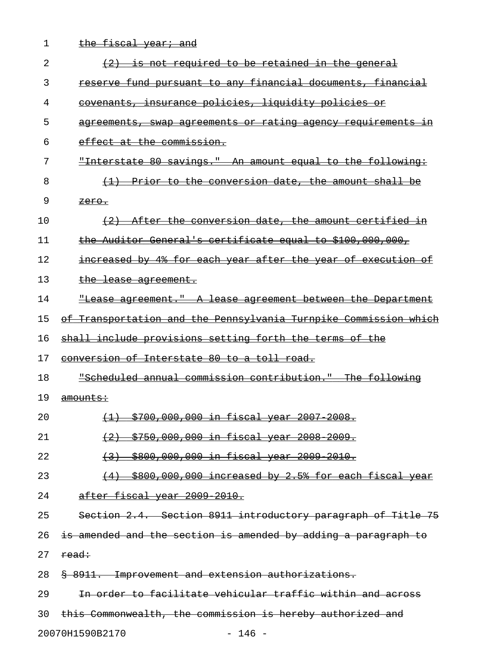| 1<br><u>the fiscal year; and</u>                                        |  |
|-------------------------------------------------------------------------|--|
| 2<br>$(2)$ is not required to be retained in the general                |  |
| 3<br>reserve fund pursuant to any financial documents, financial        |  |
| <u>covenants, insurance policies, liquidity policies or</u><br>4        |  |
| 5<br>agreements, swap agreements or rating agency requirements in       |  |
| 6<br>effect at the commission.                                          |  |
| 7<br><u> "Interstate 80 savings." An amount equal to the following:</u> |  |
| 8<br>(1) Prior to the conversion date, the amount shall be              |  |
| 9<br><del>zero.</del>                                                   |  |
| (2) After the conversion date, the amount certified in<br>10            |  |
| the Auditor General's certificate equal to \$100,000,000,<br>11         |  |
| 12<br>increased by 4% for each year after the year of execution of      |  |
| 13<br>the lease agreement.                                              |  |
| 14<br>"Lease agreement." A lease agreement between the Department       |  |
| of Transportation and the Pennsylvania Turnpike Commission which<br>15  |  |
| shall include provisions setting forth the terms of the<br>16           |  |
| 17<br>conversion of Interstate 80 to a toll road.                       |  |
| "Scheduled annual commission contribution." The following<br>18         |  |
| 19<br><del>amounts:</del>                                               |  |
| 20<br>(1) \$700,000,000 in fiscal year 2007 2008.                       |  |
| 21<br><u>(2) \$750,000,000 in fiscal year 2008 2009.</u>                |  |
| 22<br><del>(3) \$800,000,000 in fiscal year 2009 2010.</del>            |  |
| 23<br>$(4)$ \$800,000,000 increased by 2.5% for each fiscal year        |  |
| after fiscal year 2009 2010.<br>24                                      |  |
| Section 2.4. Section 8911 introductory paragraph of Title 75<br>25      |  |
| is amended and the section is amended by adding a paragraph to<br>26    |  |
| 27<br>read:                                                             |  |
| § 8911. Improvement and extension authorizations.<br>28                 |  |
| In order to facilitate vehicular traffic within and across<br>29        |  |
| this Commonwealth, the commission is hereby authorized and<br>30        |  |
| 20070H1590B2170<br>$-146 -$                                             |  |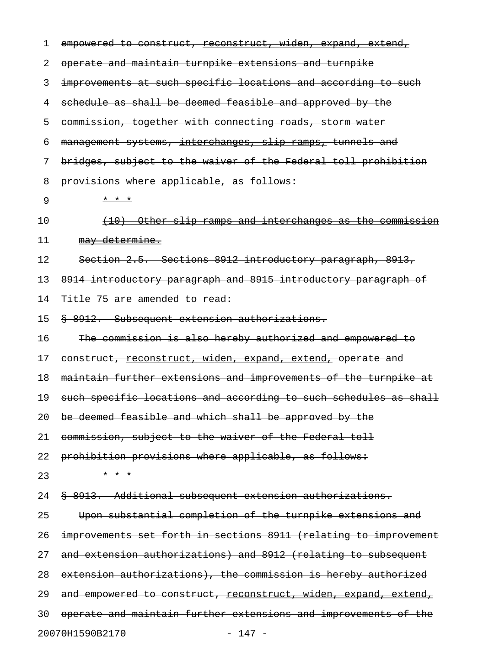| 1  | empowered to construct, reconstruct, widen, expand, extend,        |
|----|--------------------------------------------------------------------|
| 2  | operate and maintain turnpike extensions and turnpike              |
| 3  | improvements at such specific locations and according to such      |
| 4  | schedule as shall be deemed feasible and approved by the           |
| 5  | commission, together with connecting roads, storm water            |
| 6  | management systems, interchanges, slip ramps, tunnels and          |
| 7  | bridges, subject to the waiver of the Federal toll prohibition     |
| 8  | provisions where applicable, as follows:                           |
| 9  | * * *                                                              |
| 10 | <u>Other slip ramps and interchanges as the commission</u><br>(10) |
| 11 | may determine.                                                     |
| 12 | Section 2.5. Sections 8912 introductory paragraph, 8913,           |
| 13 | 8914 introductory paragraph and 8915 introductory paragraph of     |
| 14 | Title 75 are amended to read:                                      |
| 15 | § 8912. Subsequent extension authorizations.                       |
| 16 | The commission is also hereby authorized and empowered to          |
| 17 | construct, reconstruct, widen, expand, extend, operate and         |
| 18 | maintain further extensions and improvements of the turnpike at    |
| 19 | such specific locations and according to such schedules as shall   |
| 20 | be deemed feasible and which shall be approved by the              |
| 21 | commission, subject to the waiver of the Federal toll              |
| 22 | prohibition provisions where applicable, as follows:               |
| 23 | * * *                                                              |
| 24 | \$ 8913. Additional subsequent extension authorizations.           |
| 25 | Upon substantial completion of the turnpike extensions and         |
| 26 | improvements set forth in sections 8911 (relating to improvement   |
| 27 | and extension authorizations) and 8912 (relating to subsequent     |
| 28 | extension authorizations), the commission is hereby authorized     |
| 29 | and empowered to construct, reconstruct, widen, expand, extend,    |
| 30 | operate and maintain further extensions and improvements of the    |
|    | 20070H1590B2170<br>$-147 -$                                        |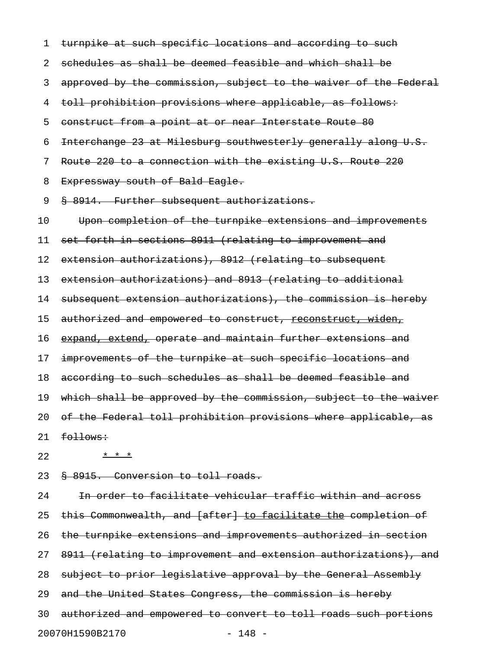1 turnpike at such specific locations and according to such 2 schedules as shall be deemed feasible and which shall be 3 approved by the commission, subject to the waiver of the Federal 4 toll prohibition provisions where applicable, as follows: 5 construct from a point at or near Interstate Route 80 6 Interchange 23 at Milesburg southwesterly generally along U.S. 7 Route 220 to a connection with the existing U.S. Route 220 8 Expressway south of Bald Eagle. 9 § 8914. Further subsequent authorizations. 10 Upon completion of the turnpike extensions and improvements 11 set forth in sections 8911 (relating to improvement and 12 extension authorizations), 8912 (relating to subsequent 13 extension authorizations) and 8913 (relating to additional 14 subsequent extension authorizations), the commission is hereby 15 authorized and empowered to construct, reconstruct, widen, 16 expand, extend, operate and maintain further extensions and 17 improvements of the turnpike at such specific locations and 18 according to such schedules as shall be deemed feasible and 19 which shall be approved by the commission, subject to the waiver 20 of the Federal toll prohibition provisions where applicable, as  $21$  follows:

22  $\frac{x}{1} + \frac{x}{2}$ 

23 § 8915. Conversion to toll roads.

24 In order to facilitate vehicular traffic within and across 25 this Commonwealth, and [after] to facilitate the completion of 26 the turnpike extensions and improvements authorized in section 27 8911 (relating to improvement and extension authorizations), and 28 subject to prior legislative approval by the General Assembly 29 and the United States Congress, the commission is hereby 30 authorized and empowered to convert to toll roads such portions 20070H1590B2170 - 148 -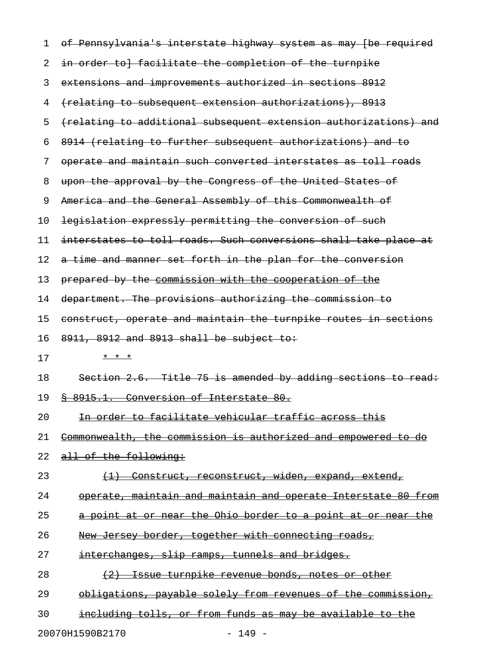| 1  | of Pennsylvania's interstate highway system as may (be required  |
|----|------------------------------------------------------------------|
| 2  | in order to] facilitate the completion of the turnpike           |
| 3  | extensions and improvements authorized in sections 8912          |
| 4  | (relating to subsequent extension authorizations), 8913          |
| 5  | (relating to additional subsequent extension authorizations) and |
| 6  | 8914 (relating to further subsequent authorizations) and to      |
| 7  | operate and maintain such converted interstates as toll roads    |
| 8  | upon the approval by the Congress of the United States of        |
| 9  | America and the General Assembly of this Commonwealth of         |
| 10 | legislation expressly permitting the conversion of such          |
| 11 | interstates to toll roads. Such conversions shall take place at  |
| 12 | a time and manner set forth in the plan for the conversion       |
| 13 | prepared by the commission with the cooperation of the           |
| 14 | department. The provisions authorizing the commission to         |
| 15 | construct, operate and maintain the turnpike routes in sections  |
| 16 | 8911, 8912 and 8913 shall be subject to:                         |
| 17 | * * *                                                            |
| 18 | Section 2.6. Title 75 is amended by adding sections to read:     |
| 19 | 8 8915.1. Conversion of Interstate 80.                           |
| 20 | In order to facilitate vehicular traffic across this             |
| 21 | Commonwealth, the commission is authorized and empowered to do   |
| 22 | all of the following:                                            |
| 23 | Construct, reconstruct, widen, expand, extend,                   |
| 24 | operate, maintain and maintain and operate Interstate 80 from    |
| 25 | a point at or near the Ohio border to a point at or near the     |
| 26 | New Jersey border, together with connecting roads,               |
| 27 | interchanges, slip ramps, tunnels and bridges.                   |
| 28 | Issue turnpike revenue bonds, notes or other                     |
| 29 | obligations, payable solely from revenues of the commission,     |
| 30 | including tolls, or from funds as may be available to the        |
|    |                                                                  |

20070H1590B2170 - 149 -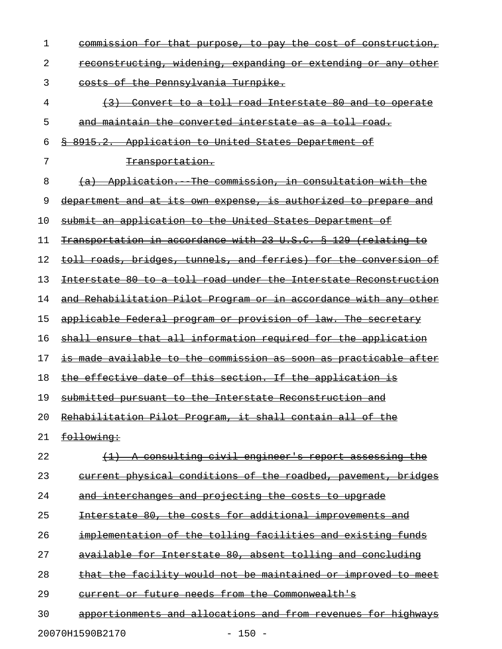| $\mathbf 1$ | <u>commission for that purpose, to pay the cost of construction,</u>    |
|-------------|-------------------------------------------------------------------------|
| 2           | <u>reconstructing, widening, expanding or extending or any other</u>    |
| 3           | costs of the Pennsylvania Turnpike.                                     |
| 4           | (3) Convert to a toll road Interstate 80 and to operate                 |
| 5           | and maintain the converted interstate as a toll road.                   |
| 6           | \$ 8915.2. Application to United States Department of                   |
| 7           | <del>Transportation.</del>                                              |
| 8           | (a) Application. The commission, in consultation with the               |
| 9           | department and at its own expense, is authorized to prepare and         |
| 10          | submit an application to the United States Department of                |
| 11          | Transportation in accordance with 23 U.S.C. § 129 (relating to          |
| 12          | toll roads, bridges, tunnels, and ferries) for the conversion of        |
| 13          | <u>Interstate 80 to a toll road under the Interstate Reconstruction</u> |
| 14          | <u>and Rehabilitation Pilot Program or in accordance with any other</u> |
| 15          | <u>applicable Federal program or provision of law. The secretary</u>    |
| 16          | shall ensure that all information required for the application          |
| 17          | is made available to the commission as soon as practicable after        |
| 18          | <u>the effective date of this section. If the application is </u>       |
| 19          | submitted pursuant to the Interstate Reconstruction and                 |
| 20          | Rehabilitation Pilot Program, it shall contain all of the               |
| 21          | following:                                                              |
| 22          | <u>consulting civil engineer's report assessing the</u>                 |
| 23          | eurrent physical conditions of the roadbed, pavement, bridges           |
| 24          | and interchanges and projecting the costs to upgrade                    |
| 25          | Interstate 80, the costs for additional improvements and                |
| 26          | implementation of the tolling facilities and existing funds             |
| 27          | available for Interstate 80, absent tolling and concluding              |
| 28          | that the facility would not be maintained or improved to meet           |
| 29          | eurrent or future needs from the Commonwealth's                         |
| 30          | apportionments and allocations and from revenues for highways           |
|             | 20070H1590B2170<br>$-150 -$                                             |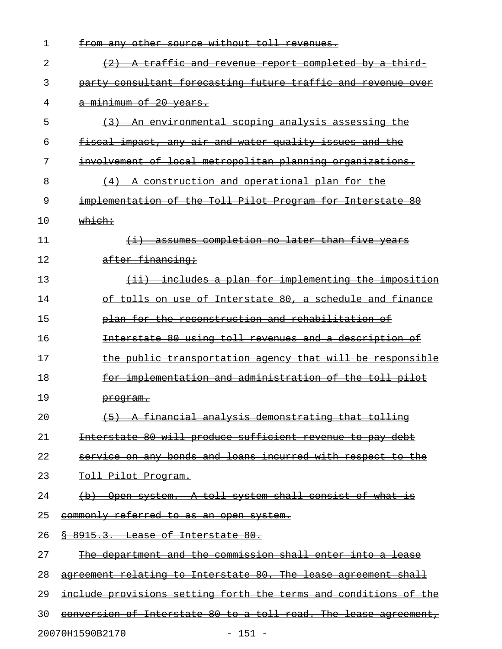| 1  | from any other source without toll revenues.                     |
|----|------------------------------------------------------------------|
| 2  | (2) A traffic and revenue report completed by a third            |
| 3  | party consultant forecasting future traffic and revenue over     |
| 4  | a minimum of 20 years.                                           |
| 5  | (3) An environmental scoping analysis assessing the              |
| 6  | fiscal impact, any air and water quality issues and the          |
| 7  | involvement of local metropolitan planning organizations.        |
| 8  | (4) A construction and operational plan for the                  |
| 9  | implementation of the Toll Pilot Program for Interstate 80       |
| 10 | which:                                                           |
| 11 | (i) assumes completion no later than five years                  |
| 12 | after financing;                                                 |
| 13 | (ii) includes a plan for implementing the imposition             |
| 14 | of tolls on use of Interstate 80, a schedule and finance         |
| 15 | plan for the reconstruction and rehabilitation of                |
| 16 | Interstate 80 using toll revenues and a description of           |
| 17 | the public transportation agency that will be responsible        |
| 18 | for implementation and administration of the toll pilot          |
| 19 | <del>program.</del>                                              |
| 20 | (5) A financial analysis demonstrating that tolling              |
| 21 | Interstate 80 will produce sufficient revenue to pay debt        |
| 22 | service on any bonds and loans incurred with respect to the      |
| 23 | <del>Toll Pilot Program.</del>                                   |
| 24 | (b) Open system. A toll system shall consist of what is          |
| 25 | commonly referred to as an open system.                          |
| 26 | <del>§ 8915.3. Lease of Interstate 80.</del>                     |
| 27 | The department and the commission shall enter into a lease       |
| 28 | agreement relating to Interstate 80. The lease agreement shall   |
| 29 | include provisions setting forth the terms and conditions of the |
| 30 | conversion of Interstate 80 to a toll road. The lease agreement, |
|    | 20070H1590B2170<br>$-151 -$                                      |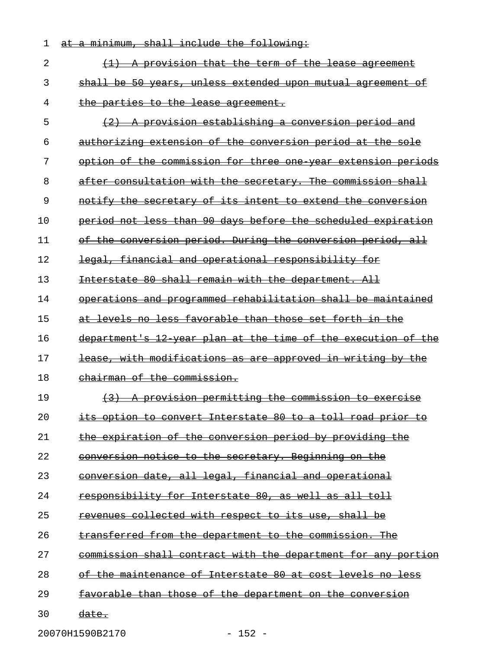| 1  | at a minimum, shall include the following:                    |
|----|---------------------------------------------------------------|
| 2  | $(1)$ A provision that the term of the lease agreement        |
| 3  | shall be 50 years, unless extended upon mutual agreement of   |
| 4  | the parties to the lease agreement.                           |
| 5  | (2) A provision establishing a conversion period and          |
| 6  | authorizing extension of the conversion period at the sole    |
| 7  | option of the commission for three one year extension periods |
| 8  | after consultation with the secretary. The commission shall   |
| 9  | notify the secretary of its intent to extend the conversion   |
| 10 | period not less than 90 days before the scheduled expiration  |
| 11 | of the conversion period. During the conversion period, all   |
| 12 | legal, financial and operational responsibility for           |
| 13 | Interstate 80 shall remain with the department. All           |
| 14 | operations and programmed rehabilitation shall be maintained  |
| 15 | at levels no less favorable than those set forth in the       |
| 16 | department's 12 year plan at the time of the execution of the |
| 17 | lease, with modifications as are approved in writing by the   |
| 18 | chairman of the commission.                                   |
| 19 | (3) A provision permitting the commission to exercise         |
| 20 | its option to convert Interstate 80 to a toll road prior to   |
| 21 | the expiration of the conversion period by providing the      |
| 22 | conversion notice to the secretary. Beginning on the          |
| 23 | conversion date, all legal, financial and operational         |
| 24 | responsibility for Interstate 80, as well as all toll         |
| 25 | revenues collected with respect to its use, shall be          |
| 26 | transferred from the department to the commission. The        |
| 27 | commission shall contract with the department for any portion |
| 28 | of the maintenance of Interstate 80 at cost levels no less    |
| 29 | favorable than those of the department on the conversion      |
| 30 | <del>date.</del>                                              |
|    |                                                               |

20070H1590B2170 - 152 -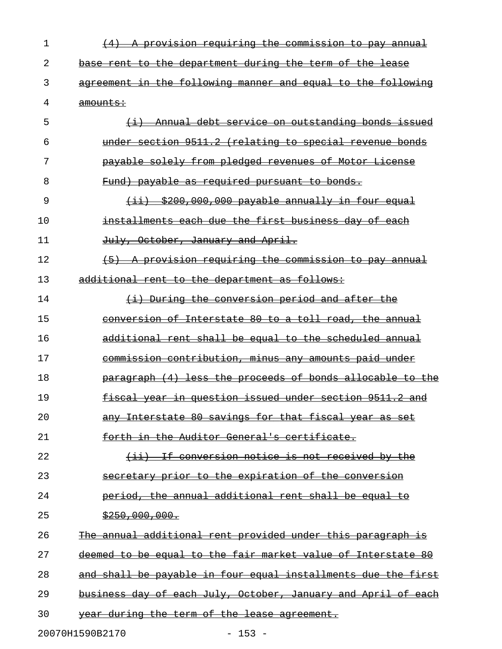| 1  | A provision requiring the commission to pay annual                |
|----|-------------------------------------------------------------------|
| 2  | base rent to the department during the term of the lease          |
| 3  | agreement in the following manner and equal to the following      |
| 4  | amounts:                                                          |
| 5  | Annual debt service on outstanding bonds issued<br>$\overline{+}$ |
| 6  | under section 9511.2 (relating to special revenue bonds           |
| 7  | payable solely from pledged revenues of Motor License             |
| 8  | Fund) payable as required pursuant to bonds.                      |
| 9  | $(i)$ $(i)$ $(200, 000, 000)$ payable annually in four equal      |
| 10 | installments each due the first business day of each              |
| 11 | July, October, January and April.                                 |
| 12 | A provision requiring the commission to pay annual                |
| 13 | additional rent to the department as follows:                     |
| 14 | (i) During the conversion period and after the                    |
| 15 | conversion of Interstate 80 to a toll road, the annual            |
| 16 | additional rent shall be equal to the scheduled annual            |
| 17 | commission contribution, minus any amounts paid under             |
| 18 | paragraph (4) less the proceeds of bonds allocable to the         |
| 19 | fiscal year in question issued under section 9511.2 and           |
| 20 | any Interstate 80 savings for that fiscal year as set             |
| 21 | forth in the Auditor General's certificate.                       |
| 22 | (ii) If conversion notice is not received by the                  |
| 23 | secretary prior to the expiration of the conversion               |
| 24 | period, the annual additional rent shall be equal to              |
| 25 | \$250,000,000.                                                    |
| 26 | The annual additional rent provided under this paragraph is       |
| 27 | deemed to be equal to the fair market value of Interstate 80      |
| 28 | and shall be payable in four equal installments due the first     |
| 29 | business day of each July, October, January and April of each     |
| 30 | year during the term of the lease agreement.                      |
|    | 20070H1590B2170<br>$153 -$                                        |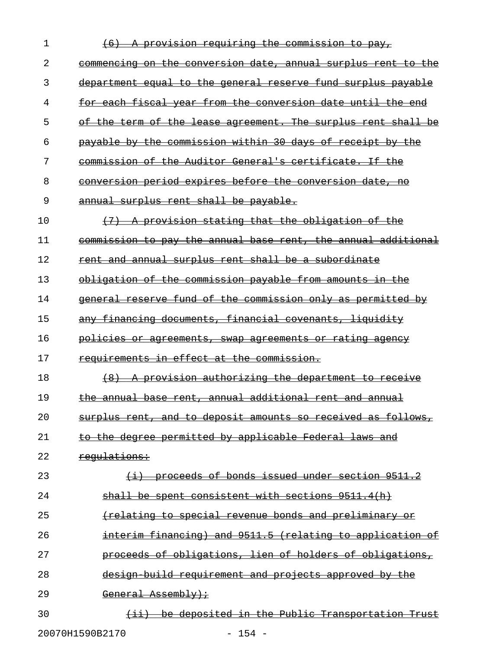| 1  | provision requiring the commission to pay,                                         |
|----|------------------------------------------------------------------------------------|
| 2  | commencing on the conversion date, annual surplus rent to the                      |
| 3  | to the general reserve fund surplus payable<br>department equal                    |
| 4  | each fiscal year from the conversion date until<br><del>the</del>                  |
| 5  | <del>the term of</del><br>the lease agreement. The surplus rent shall<br>Θŧ<br>-be |
| 6  | payable by the commission within 30 days of receipt<br><del>by the</del>           |
| 7  | commission of the Auditor General's certificate. If the                            |
| 8  | conversion period expires before the conversion date,<br>-no                       |
| 9  | annual surplus rent shall be payable.                                              |
| 10 | provision stating that the obligation of the                                       |
| 11 | commission to pay the annual base rent, the annual additional                      |
| 12 | rent and annual surplus rent shall be a subordinate                                |
| 13 | obligation of the commission payable from amounts in the                           |
| 14 | reserve fund of the commission only as permitted by<br><del>qeneral</del>          |
| 15 | financing documents, financial covenants, liguidity                                |
| 16 | <u>policies or agreements, swap agreements or rating agency</u>                    |
| 17 | requirements in effect at the commission.                                          |
| 18 | A provision authorizing the department to receive                                  |
| 19 | the annual base rent, annual additional rent and annual                            |
| 20 | surplus rent, and to deposit amounts so received as follows,                       |
| 21 | to the degree permitted by applicable Federal laws and                             |
| 22 | requlations:                                                                       |
| 23 | (i) proceeds of bonds issued under section 9511.2                                  |
| 24 | shall be spent consistent with sections 9511.4(h)                                  |
| 25 | (relating to special revenue bonds and preliminary or                              |
| 26 | interim financing) and 9511.5 (relating to application of                          |
| 27 | proceeds of obligations, lien of holders of obligations,                           |
| 28 | design build requirement and projects approved by the                              |
| 29 | General Assembly);                                                                 |
| 30 | (ii) be deposited in the Public Transportation Trust                               |
|    | 20070H1590B2170<br>$-154 -$                                                        |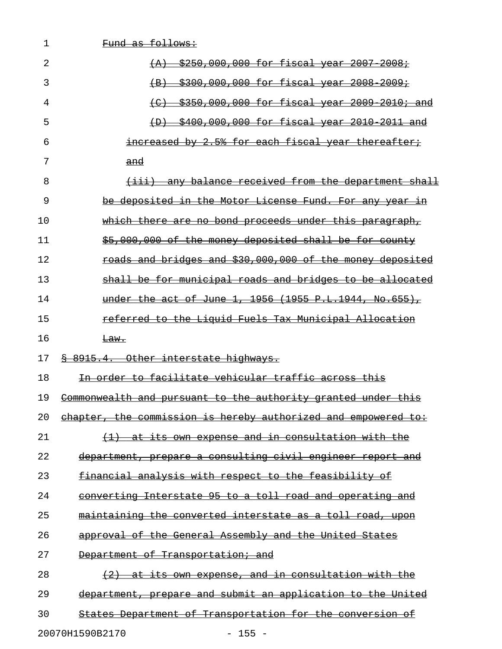| 1  | Fund as follows:                                                                                    |
|----|-----------------------------------------------------------------------------------------------------|
| 2  | \$250,000,000 for fiscal year 2007 2008;<br>$+A$                                                    |
| 3  | \$300,000,000 for fiscal year 2008 2009;<br>$\left( \mathrm{B} \right)$                             |
| 4  | \$350,000,000 for fiscal year 2009 2010; and<br>$\left( \begin{matrix} 1 \\ 1 \end{matrix} \right)$ |
| 5  | \$400,000,000 for fiscal year 2010 2011 and<br>$\leftrightarrow$                                    |
| 6  | increased by 2.5% for each fiscal year thereafter;                                                  |
| 7  | $\frac{and}{ }$                                                                                     |
| 8  | (iii) any balance received from the department shall                                                |
| 9  | be deposited in the Motor License Fund. For any year<br>±n                                          |
| 10 | which there are no bond proceeds under this paragraph,                                              |
| 11 | \$5,000,000 of the money deposited shall be for county                                              |
| 12 | roads and bridges and \$30,000,000 of the money deposited                                           |
| 13 | shall be for municipal roads and bridges to be allocated                                            |
| 14 | under the act of June 1, 1956 (1955 P.L.1944, No.655),                                              |
| 15 | referred to the Liguid Fuels Tax Municipal Allocation                                               |
| 16 | <del>Law.</del>                                                                                     |
| 17 | <del>§ 8915.4. Other interstate highways.</del>                                                     |
| 18 | In order to facilitate vehicular traffic across this                                                |
| 19 | Commonwealth and pursuant to the authority granted under this                                       |
| 20 | chapter, the commission is hereby authorized and empowered to:                                      |
| 21 | (1) at its own expense and in consultation with the                                                 |
| 22 | department, prepare a consulting civil engineer report and                                          |
| 23 | financial analysis with respect to the feasibility of                                               |
| 24 | converting Interstate 95 to a toll road and operating and                                           |
| 25 | maintaining the converted interstate as a toll road, upon                                           |
| 26 | approval of the General Assembly and the United States                                              |
| 27 | Department of Transportation; and                                                                   |
| 28 | $(2)$ at its own expense, and in consultation with the                                              |
| 29 | department, prepare and submit an application to the United                                         |
| 30 | States Department of Transportation for the conversion of                                           |
|    | 20070H1590B2170<br>$-155 -$                                                                         |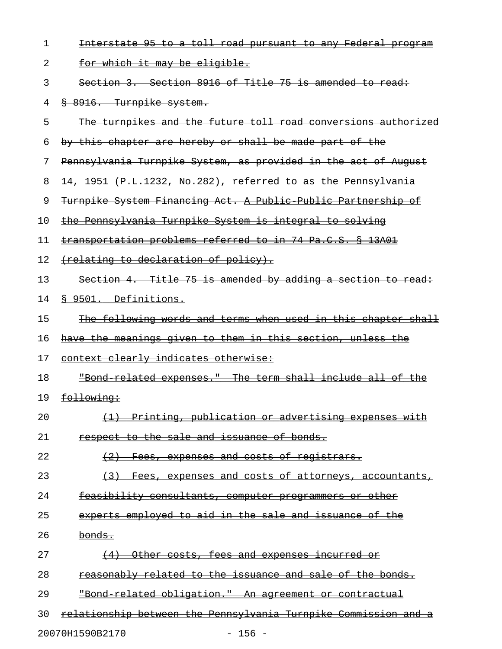| 1  | Interstate 95 to a toll road pursuant to any Federal program    |
|----|-----------------------------------------------------------------|
| 2  | <u>for which it may be eligible.</u>                            |
| 3  | Section 3. Section 8916 of Title 75 is amended to read:         |
| 4  | 8 8916. Turnpike system.                                        |
| 5  | The turnpikes and the future toll road conversions authorized   |
| 6  | by this chapter are hereby or shall be made part of the         |
| 7  | Pennsylvania Turnpike System, as provided in the act of August  |
| 8  | 14, 1951 (P.L.1232, No.282), referred to as the Pennsylvania    |
| 9  | Turnpike System Financing Act. A Public Public Partnership of   |
| 10 | the Pennsylvania Turnpike System is integral to solving         |
| 11 | transportation problems referred to in 74 Pa.C.S. § 13A01       |
| 12 | (relating to declaration of policy).                            |
| 13 | Section 4. Title 75 is amended by adding a section to read:     |
| 14 | 8 9501. Definitions.                                            |
| 15 | The following words and terms when used in this chapter shall   |
| 16 | have the meanings given to them in this section, unless the     |
| 17 | context clearly indicates otherwise:                            |
| 18 | "Bond related expenses." The term shall include all of the      |
| 19 | following:                                                      |
| 20 | Printing, publication or advertising expenses with              |
| 21 | respect to the sale and issuance of bonds.                      |
| 22 | $\left( -2 \right)$<br>Fees, expenses and costs of registrars.  |
| 23 | Fees, expenses and costs of attorneys, accountants,             |
| 24 | <u>feasibility consultants, computer programmers or other</u>   |
| 25 | experts employed to aid in the sale and issuance of the         |
| 26 | bonds.                                                          |
| 27 | Other costs, fees and expenses incurred or<br>$\left(4\right)$  |
| 28 | reasonably related to the issuance and sale of the bonds.       |
| 29 | "Bond related obligation." An agreement or contractual          |
| 30 | relationship between the Pennsylvania Turnpike Commission and a |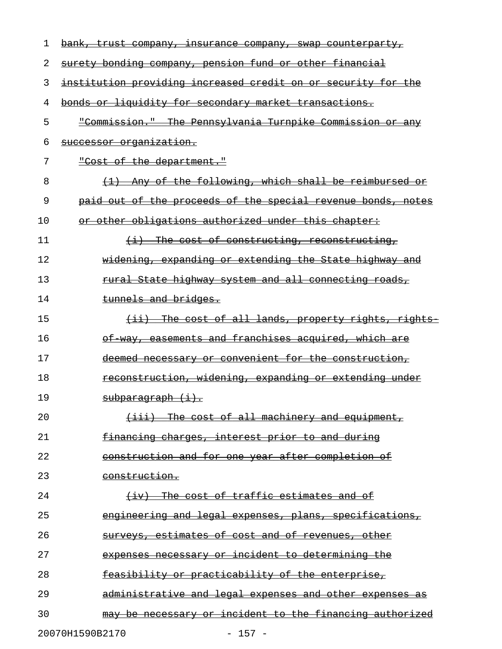| 1  | bank, trust company, insurance company, swap counterparty,    |
|----|---------------------------------------------------------------|
| 2  | surety bonding company, pension fund or other financial       |
| 3  | institution providing increased credit on or security for the |
| 4  | bonds or liquidity for secondary market transactions.         |
| 5  | "Commission." The Pennsylvania Turnpike Commission or any     |
| 6  | successor organization.                                       |
| 7  | "Cost of the department."                                     |
| 8  | (1) Any of the following, which shall be reimbursed or        |
| 9  | paid out of the proceeds of the special revenue bonds, notes  |
| 10 | or other obligations authorized under this chapter:           |
| 11 | $(i)$ The cost of constructing, reconstructing,               |
| 12 | widening, expanding or extending the State highway and        |
| 13 | rural State highway system and all connecting roads,          |
| 14 | tunnels and bridges.                                          |
| 15 | (ii) The cost of all lands, property rights, rights           |
| 16 | of way, easements and franchises acquired, which are          |
| 17 | deemed necessary or convenient for the construction,          |
| 18 | reconstruction, widening, expanding or extending under        |
| 19 | subparagraph (i).                                             |
| 20 | $\{$ iii) The cost of all machinery and equipment,            |
| 21 | financing charges, interest prior to and during               |
| 22 | <u>construction and for one year after completion of</u>      |
| 23 | construction.                                                 |
| 24 | (iv) The cost of traffic estimates and of                     |
| 25 | engineering and legal expenses, plans, specifications,        |
| 26 | <u>surveys, estimates of cost and of revenues, other</u>      |
| 27 | expenses necessary or incident to determining the             |
| 28 | feasibility or practicability of the enterprise,              |
| 29 | administrative and legal expenses and other expenses as       |
| 30 | may be necessary or incident to the financing authorized      |
|    | 20070H1590B2170<br>$-157 -$                                   |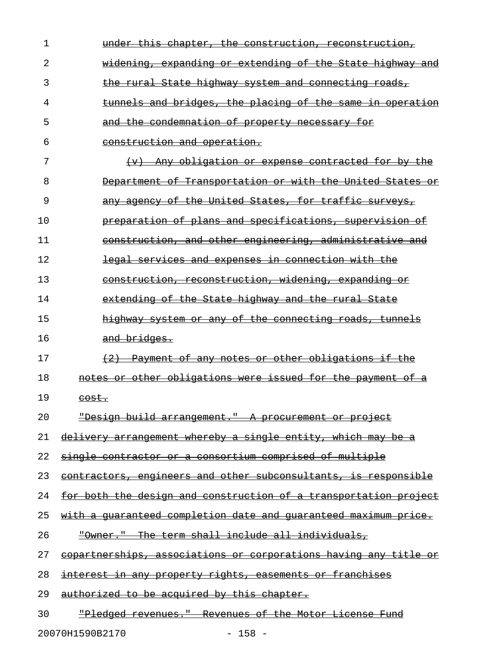| $\mathbf 1$ | under this chapter, the construction, reconstruction,            |
|-------------|------------------------------------------------------------------|
| 2           | <u>widening, expanding or extending of the State highway and</u> |
| 3           | <u>the rural State highway system and connecting roads,</u>      |
| 4           | tunnels and bridges, the placing of the same in operation        |
| 5           | and the condemnation of property necessary for                   |
| 6           | construction and operation.                                      |
| 7           | (v) Any obligation or expense contracted for by the              |
| 8           | Department of Transportation or with the United States or        |
| 9           | any agency of the United States, for traffic surveys,            |
| 10          | preparation of plans and specifications, supervision of          |
| 11          | construction, and other engineering, administrative and          |
| 12          | legal services and expenses in connection with the               |
| 13          | construction, reconstruction, widening, expanding or             |
| 14          | extending of the State highway and the rural State               |
| 15          | highway system or any of the connecting roads, tunnels           |
| 16          | and bridges.                                                     |
| 17          | (2) Payment of any notes or other obligations if the             |
| 18          | notes or other obligations were issued for the payment of a      |
|             |                                                                  |
| 19          | <del>cost.</del>                                                 |
| 20          | "Design build arrangement." A procurement or project             |
| 21          | delivery arrangement whereby a single entity, which may be a     |
| 22          | single contractor or a consortium comprised of multiple          |
| 23          | contractors, engineers and other subconsultants, is responsible  |
| 24          | for both the design and construction of a transportation project |
| 25          | with a quaranteed completion date and quaranteed maximum price.  |
| 26          | "Owner." The term shall include all individuals,                 |
| 27          | copartnerships, associations or corporations having any title or |
| 28          | <u>interest in any property rights, easements or franchises</u>  |
| 29          | authorized to be acquired by this chapter.                       |

20070H1590B2170 - 158 -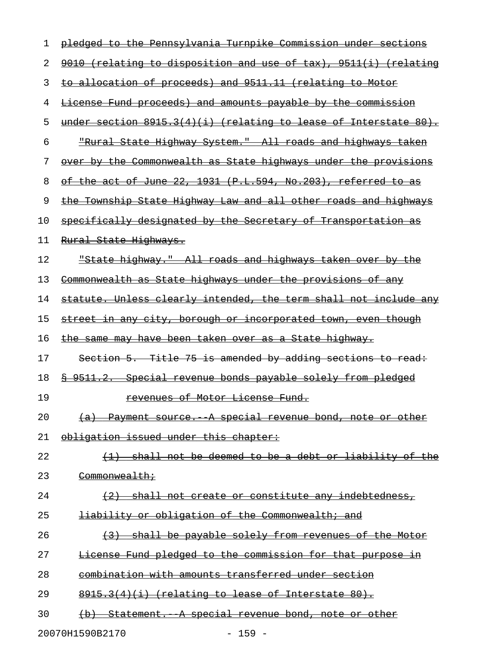| ı  | pledged to the Pennsylvania Turnpike Commission under sections        |
|----|-----------------------------------------------------------------------|
| 2  | 9010 (relating to disposition and use of tax), 9511(i) (relating      |
| 3  | to allocation of proceeds) and 9511.11 (relating to Motor             |
| 4  | License Fund proceeds) and amounts payable by the commission          |
| 5  | under section $8915.3(4)(i)$ (relating to lease of Interstate $80$ ). |
| 6  | "Rural State Highway System." All roads and highways taken            |
| 7  | over by the Commonwealth as State highways under the provisions       |
| 8  | of the act of June 22, 1931 (P.L.594, No.203), referred to as         |
| 9  | the Township State Highway Law and all other roads and highways       |
| 10 | specifically designated by the Secretary of Transportation as         |
| 11 | Rural State Highways.                                                 |
| 12 | <u> "State highway." All roads and highways taken over by the</u>     |
| 13 | Commonwealth as State highways under the provisions of any            |
| 14 | statute. Unless clearly intended, the term shall not include any      |
| 15 | street in any city, borough or incorporated town, even though         |
| 16 | <u>the same may have been taken over as a State highway.</u>          |
| 17 | Section 5. Title 75 is amended by adding sections to read:            |
| 18 | \$ 9511.2. Special revenue bonds payable solely from pledged          |
| 19 | <u>revenues of Motor License Fund.</u>                                |
| 20 | A special revenue bond, note or other<br><del>Payment source.</del>   |
| 21 | obligation issued under this chapter:                                 |
| 22 | shall not be deemed to be a debt or liability of the                  |
| 23 | <del>Commonwealth;</del>                                              |
| 24 | <u>shall not create or constitute any indebtedness,</u>               |
| 25 | liability or obligation of the Commonwealth; and                      |
| 26 | shall be payable solely from revenues of the Motor                    |
| 27 | License Fund pledged to the commission for that purpose in            |
| 28 | combination with amounts transferred under section                    |
| 29 | $8915.3(4)(i)$ (relating to lease of Interstate 80).                  |
| 30 | Statement. A special revenue bond, note or other<br>$\overline{+}$    |
|    | 20070H1590B2170<br>$-159 -$                                           |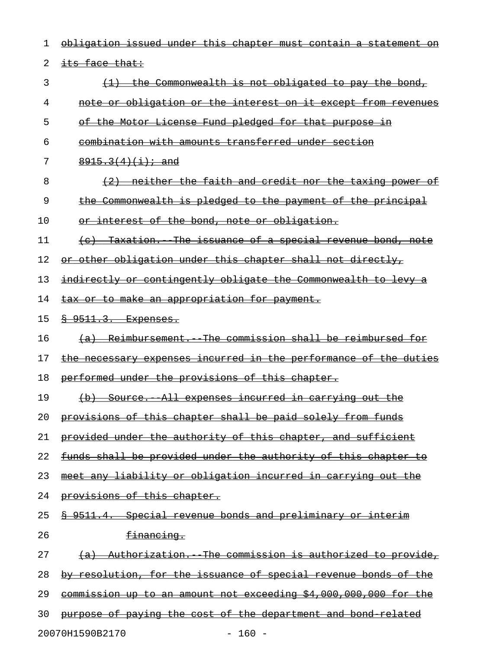| 1  | issued under this chapter must contain a<br><del>obligation</del><br><del>statement</del> |
|----|-------------------------------------------------------------------------------------------|
| 2  | its face that:                                                                            |
| 3  | the Commonwealth is not obligated to pay the bond,                                        |
| 4  | obligation or the interest on it except from revenues<br><del>note or</del>               |
| 5  | the Motor License Fund pledged for that purpose<br>$\Theta$                               |
| 6  | <u>combination with amounts transferred under section</u>                                 |
| 7  | $8915.3(4)(i)$ ; and                                                                      |
| 8  | neither the faith and credit nor the taxing<br>power                                      |
| 9  | Commonwealth is pledged to the payment of the principal                                   |
| 10 | interest of the bond, note or obligation.<br>Θř                                           |
| 11 | Taxation. The issuance of a special revenue bond, note                                    |
| 12 | or other obligation under this chapter shall not directly,                                |
| 13 | indirectly or contingently obligate the Commonwealth to levy                              |
| 14 | to make an appropriation for payment.<br><del>tax or</del>                                |
| 15 | <u>§ 9511.3. Expenses.</u>                                                                |
| 16 | Reimbursement. The commission shall be reimbursed for<br><del>(a)</del>                   |
| 17 | incurred in the performance of the duties<br><del>the necessary expenses</del>            |
| 18 | performed under the provisions of this chapter.                                           |
| 19 | (b) Source. All expenses incurred in carrying out the                                     |
| 20 | provisions of this chapter shall be paid solely from funds                                |
| 21 | provided under the authority of this chapter, and sufficient                              |
| 22 | funds shall be provided under the authority of this chapter to                            |
| 23 | meet any liability or obligation incurred in carrying out the                             |
| 24 | provisions of this chapter.                                                               |
| 25 | \$ 9511.4. Special revenue bonds and preliminary or interim                               |
| 26 | financing.                                                                                |
| 27 | (a) Authorization. The commission is authorized to provide,                               |
| 28 | by resolution, for the issuance of special revenue bonds of the                           |
| 29 | commission up to an amount not exceeding \$4,000,000,000 for the                          |
| 30 | purpose of paying the cost of the department and bond related                             |
|    | 20070H1590B2170<br>$160 -$                                                                |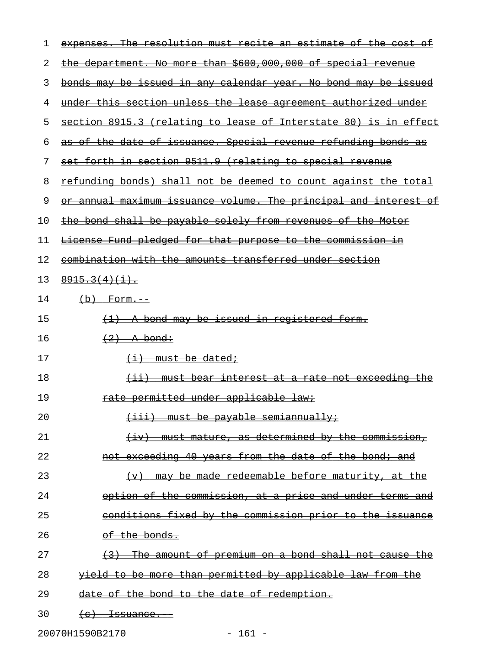| ı  | expenses. The resolution must recite an estimate of the cost of        |
|----|------------------------------------------------------------------------|
| 2  | the department. No more than \$600,000,000 of special revenue          |
| 3  | <u>bonds may be issued in any calendar year. No bond may be issued</u> |
| 4  | under this section unless the lease agreement authorized under         |
| 5  | section 8915.3 (relating to lease of Interstate 80) is in effect       |
| 6  | as of the date of issuance. Special revenue refunding bonds as         |
| 7  | set forth in section 9511.9 (relating to special revenue               |
| 8  | refunding bonds) shall not be deemed to count against the total        |
| 9  | or annual maximum issuance volume. The principal and interest of       |
| 10 | the bond shall be payable solely from revenues of the Motor            |
| 11 | License Fund pledged for that purpose to the commission in             |
| 12 | combination with the amounts transferred under section                 |
| 13 | $8915.3(4)(1)$ .                                                       |
| 14 | $(b)$ Form.                                                            |
| 15 | <u>(1) A bond may be issued in registered form.</u>                    |
| 16 | $\left(2\right)$ - A bond:                                             |
| 17 | <del>(i) must be dated;</del>                                          |
| 18 | (ii) must bear interest at a rate not exceeding the                    |
| 19 | <u>rate permitted under applicable law:</u>                            |
| 20 | $(iii)$ must be payable semiannually:                                  |
| 21 | (iv) must mature, as determined by the commission,                     |
| 22 | not exceeding 40 years from the date of the bond; and                  |
| 23 | $(v)$ may be made redeemable before maturity, at the                   |
| 24 | option of the commission, at a price and under terms and               |
| 25 | conditions fixed by the commission prior to the issuance               |
| 26 | of the bonds.                                                          |
| 27 | (3) The amount of premium on a bond shall not cause the                |
| 28 | yield to be more than permitted by applicable law from the             |
| 29 | date of the bond to the date of redemption.                            |
| 30 | $(e)$ Issuance.                                                        |

20070H1590B2170 - 161 -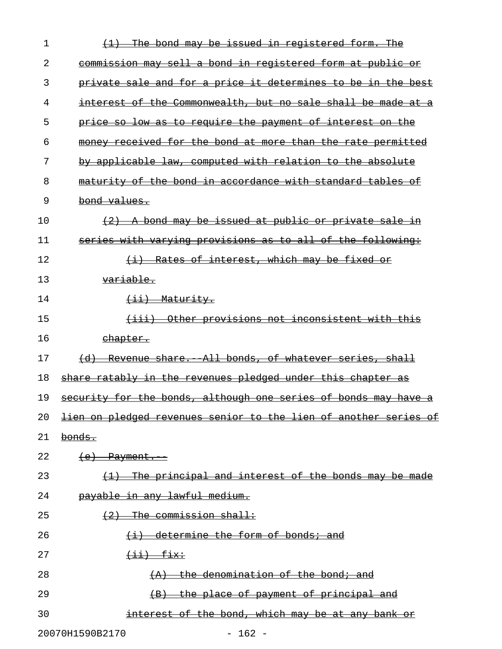| 1  | The bond may be issued in registered form. The                          |
|----|-------------------------------------------------------------------------|
| 2  | commission may sell a bond in registered form at public or              |
| 3  | private sale and for a price it determines to be in the best            |
| 4  | interest of the Commonwealth, but no sale shall be made at              |
| 5  | price so low as to require the payment of interest on the               |
| 6  | money received for the bond at more than the rate permitted             |
| 7  | by applicable law, computed with relation to the absolute               |
| 8  | maturity of the bond in accordance with standard tables of              |
| 9  | bond values.                                                            |
| 10 | A bond may be issued at public or private sale                          |
| 11 | series with varying provisions as to all of the following:              |
| 12 | Rates of interest, which may be fixed or<br>$\overline{+1}$             |
| 13 | <del>variable.</del>                                                    |
| 14 | (ii) Maturity.                                                          |
| 15 | Other provisions not inconsistent with this<br><del>(iii)</del>         |
| 16 | <u>ehapter.</u>                                                         |
| 17 | Revenue share. All bonds, of whatever series, shall<br>$\overline{a}$   |
| 18 | share ratably in the revenues pledged under this chapter as             |
| 19 | security for the bonds, although one series of bonds may have a         |
| 20 | <u>lien on pledged revenues senior to the lien of another series of</u> |
| 21 | <del>bonds.</del>                                                       |
| 22 | $(e)$ Payment.                                                          |
| 23 | (1) The principal and interest of the bonds may be made                 |
| 24 | payable in any lawful medium.                                           |
| 25 | $(2)$ The commission shall:                                             |
| 26 | $(i)$ determine the form of bonds; and                                  |
| 27 | $\overbrace{++}$ $\overbrace{++}$                                       |
| 28 | $(A)$ the denomination of the bond; and                                 |
| 29 | (B) the place of payment of principal and                               |
| 30 | interest of the bond, which may be at any bank or                       |
|    |                                                                         |

20070H1590B2170 - 162 -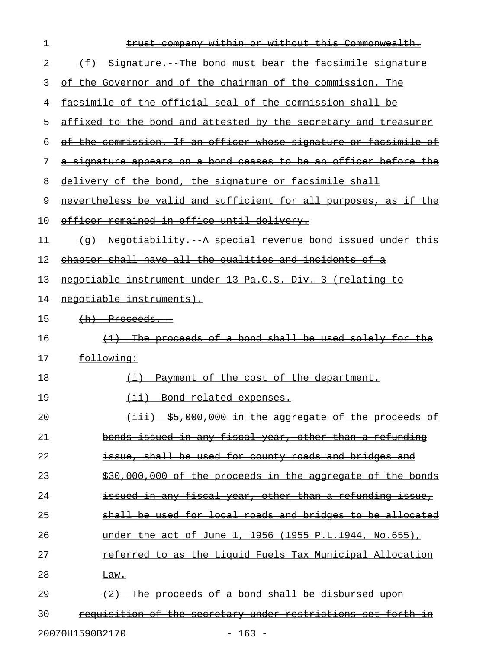| 1  | trust company within or without this Commonwealth.                     |
|----|------------------------------------------------------------------------|
| 2  |                                                                        |
| 3  | of the Governor and of the chairman of the commission. The             |
| 4  | facsimile of the official seal of the commission shall be              |
| 5  | <u>affixed to the bond and attested by the secretary and treasurer</u> |
| 6  | of the commission. If an officer whose signature or facsimile of       |
| 7  | a signature appears on a bond ceases to be an officer before the       |
| 8  | delivery of the bond, the signature or facsimile shall                 |
| 9  | nevertheless be valid and sufficient for all purposes, as if the       |
| 10 | officer remained in office until delivery.                             |
| 11 | (g) Negotiability. A special revenue bond issued under this            |
| 12 | chapter shall have all the qualities and incidents of a                |
| 13 | negotiable instrument under 13 Pa.C.S. Div. 3 (relating to             |
| 14 | negotiable instruments).                                               |
| 15 | $(h)$ Proceeds.                                                        |
| 16 | (1) The proceeds of a bond shall be used solely for the                |
| 17 | following:                                                             |
| 18 | $(i)$ Payment of the cost of the department.                           |
| 19 | <u>(ii) Bond related expenses.</u>                                     |
| 20 | (iii) \$5,000,000 in the aggregate of the proceeds of                  |
| 21 | bonds issued in any fiscal year, other than a refunding                |
| 22 | issue, shall be used for county roads and bridges and                  |
| 23 | \$30,000,000 of the proceeds in the aggregate of the bonds             |
| 24 | issued in any fiscal year, other than a refunding issue,               |
| 25 | shall be used for local roads and bridges to be allocated              |
| 26 | under the act of June 1, 1956 (1955 P.L.1944, No.655),                 |
| 27 | referred to as the Liquid Fuels Tax Municipal Allocation               |
| 28 | $\frac{Law.}{ }$                                                       |
| 29 | $(2)$ The proceeds of a bond shall be disbursed upon                   |
| 30 | requisition of the secretary under restrictions set forth in           |

20070H1590B2170 - 163 -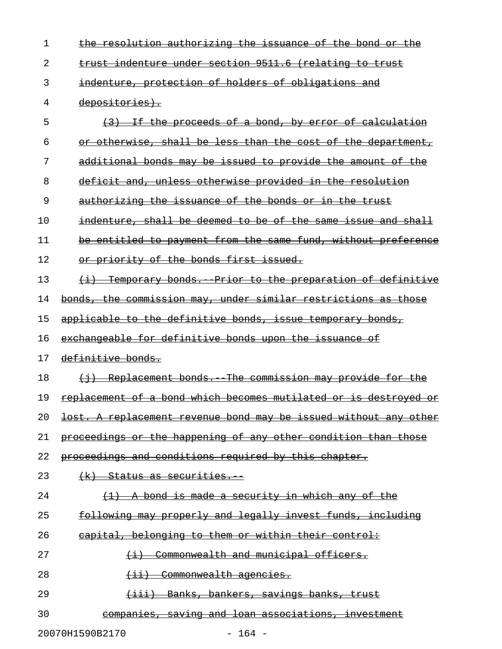| 1  | the resolution authorizing the issuance of the bond or the       |
|----|------------------------------------------------------------------|
| 2  | trust indenture under section 9511.6 (relating to trust          |
| 3  | indenture, protection of holders of obligations and              |
| 4  | depositories).                                                   |
| 5  | (3) If the proceeds of a bond, by error of calculation           |
| 6  | or otherwise, shall be less than the cost of the department,     |
| 7  | additional bonds may be issued to provide the amount of the      |
| 8  | <u>deficit and, unless otherwise provided in the resolution</u>  |
| 9  | authorizing the issuance of the bonds or in the trust            |
| 10 | indenture, shall be deemed to be of the same issue and shall     |
| 11 | be entitled to payment from the same fund, without preference    |
| 12 | or priority of the bonds first issued.                           |
| 13 | (i) Temporary bonds. Prior to the preparation of definitive      |
| 14 | bonds, the commission may, under similar restrictions as those   |
| 15 | applicable to the definitive bonds, issue temporary bonds,       |
| 16 | exchangeable for definitive bonds upon the issuance of           |
| 17 | definitive bonds.                                                |
|    |                                                                  |
| 18 | (i) Replacement bonds. The commission may provide for the        |
| 19 | replacement of a bond which becomes mutilated or is destroyed or |
| 20 | lost. A replacement revenue bond may be issued without any other |
| 21 | proceedings or the happening of any other condition than those   |
| 22 | <del>proceedings and conditions required by this chapter.</del>  |
| 23 | <del>(k). Status as securities.</del>                            |
| 24 | <u>bond is made a security in which any of the </u>              |
| 25 | following may properly and legally invest funds, including       |
| 26 | capital, belonging to them or within their control:              |
| 27 | Commonwealth and municipal officers.                             |
| 28 | Commonwealth agencies.                                           |
| 29 | <del>Banks, bankers, savings banks, trust</del>                  |

20070H1590B2170 - 164 -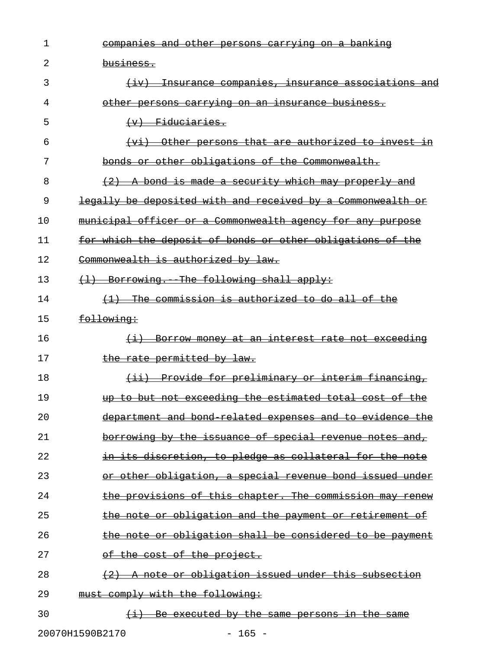| 1  | companies and other persons carrying on a banking                   |
|----|---------------------------------------------------------------------|
| 2  | <del>business.</del>                                                |
| 3  | <del>Insurance companies, insurance associations and</del>          |
| 4  | <u>other persons carrying on an insurance business.</u>             |
| 5  | $(v)$ Fiduciaries.                                                  |
| 6  | Other persons that are authorized to invest<br>$+$ vi $+$           |
| 7  | bonds or other obligations of the Commonwealth.                     |
| 8  | A bond is made a security which may properly and                    |
| 9  | legally be deposited with and received by a Commonwealth<br>−O£     |
| 10 | municipal officer or a Commonwealth agency for any purpose          |
| 11 | for which the deposit of bonds or other obligations of the          |
| 12 | Commonwealth is authorized by law.                                  |
| 13 | Borrowing. The following shall apply:                               |
| 14 | The commission is authorized to do all of the                       |
| 15 | following:                                                          |
| 16 | Borrow money at an interest rate not exceeding<br>$\leftrightarrow$ |
| 17 | the rate permitted by law.                                          |
| 18 | - Provide for preliminary or interim financing,<br>$\overline{+i+}$ |
| 19 | up to but not exceeding the estimated total cost of the             |
| 20 | department and bond related expenses and to evidence the            |
| 21 | borrowing by the issuance of special revenue notes and,             |
| 22 | in its discretion, to pledge as collateral for the note             |
| 23 | or other obligation, a special revenue bond issued under            |
| 24 | the provisions of this chapter. The commission may renew            |
| 25 | the note or obligation and the payment or retirement of             |
| 26 | the note or obligation shall be considered to be payment            |
| 27 | of the cost of the project.                                         |
| 28 | $(2)$ A note or obligation issued under this subsection             |
| 29 | must comply with the following:                                     |
| 30 | (i) Be executed by the same persons in the same                     |
|    | 20070H1590B2170<br>$-165 -$                                         |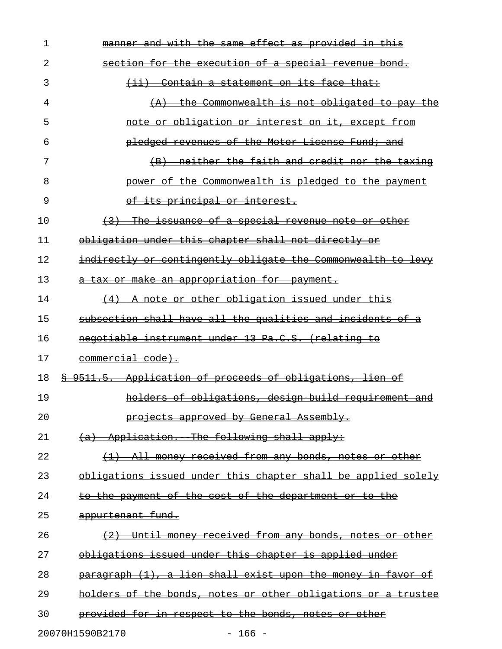| $\mathbf 1$ | manner and with the same effect as provided in this           |
|-------------|---------------------------------------------------------------|
| 2           | section for the execution of a special revenue bond.          |
| 3           | (ii) Contain a statement on its face that:                    |
| 4           | $(A)$ the Commonwealth is not obligated to pay the            |
| 5           | note or obligation or interest on it, except from             |
| 6           | <del>pledged revenues of the Motor License Fund; and</del>    |
| 7           | (B) neither the faith and credit nor the taxing               |
| 8           | power of the Commonwealth is pledged to the payment           |
| 9           | of its principal or interest.                                 |
| 10          | (3) The issuance of a special revenue note or other           |
| 11          | obligation under this chapter shall not directly or           |
| 12          | indirectly or contingently obligate the Commonwealth to levy  |
| 13          | a tax or make an appropriation for payment.                   |
| 14          | $(4)$ A note or other obligation issued under this            |
| 15          | subsection shall have all the qualities and incidents of a    |
| 16          | negotiable instrument under 13 Pa.C.S. (relating to           |
| 17          | commercial code).                                             |
| 18          | \$ 9511.5. Application of proceeds of obligations, lien of    |
| 19          | holders of obligations, design build requirement and          |
| 20          | projects approved by General Assembly.                        |
| 21          | (a) Application. The following shall apply:                   |
| 22          | (1) All money received from any bonds, notes or other         |
| 23          | obligations issued under this chapter shall be applied solely |
| 24          | to the payment of the cost of the department or to the        |
| 25          | appurtenant fund.                                             |
| 26          | (2) Until money received from any bonds, notes or other       |
| 27          | obligations issued under this chapter is applied under        |
| 28          | paragraph (1), a lien shall exist upon the money in favor of  |
| 29          | holders of the bonds, notes or other obligations or a trustee |
| 30          | provided for in respect to the bonds, notes or other          |
|             | 20070H1590B2170<br>$-166 -$                                   |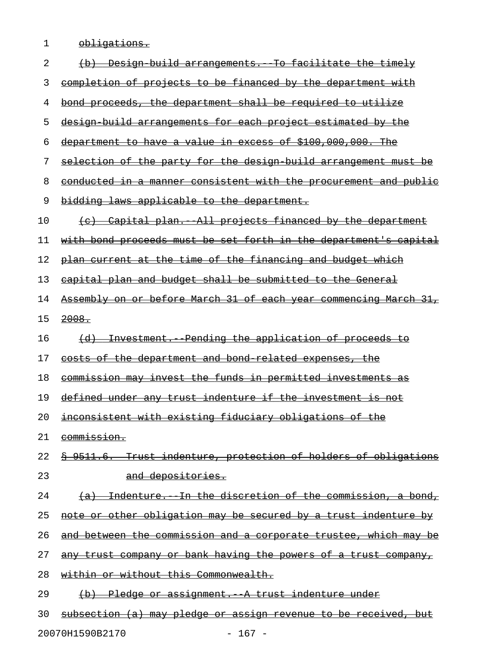1 **obligations.** 

| 2  | (b) Design build arrangements. To facilitate the timely                |
|----|------------------------------------------------------------------------|
| 3  | completion of projects to be financed by the department with           |
| 4  | bond proceeds, the department shall be required to utilize             |
| 5  | design build arrangements for each project estimated by the            |
| 6  | department to have a value in excess of \$100,000,000. The             |
| 7  | selection of the party for the design build arrangement must be        |
| 8  | conducted in a manner consistent with the procurement and public       |
| 9  | bidding laws applicable to the department.                             |
| 10 | (c) Capital plan. All projects financed by the department              |
| 11 | with bond proceeds must be set forth in the department's capital       |
| 12 | plan current at the time of the financing and budget which             |
| 13 | capital plan and budget shall be submitted to the General              |
| 14 | Assembly on or before March 31 of each year commencing March 31,       |
| 15 | 2008.                                                                  |
| 16 | (d) Investment. Pending the application of proceeds to                 |
| 17 | <u>costs of the department and bond related expenses, the</u>          |
| 18 | commission may invest the funds in permitted investments as            |
| 19 | defined under any trust indenture if the investment is not             |
| 20 | inconsistent with existing fiduciary obligations of the                |
| 21 | commission.                                                            |
| 22 | <u>§ 9511.6. Trust indenture, protection of holders of obligations</u> |
| 23 | and depositories.                                                      |
| 24 | (a) Indenture. In the discretion of the commission, a bond,            |
| 25 | note or other obligation may be secured by a trust indenture by        |
| 26 | and between the commission and a corporate trustee, which may be       |
| 27 | any trust company or bank having the powers of a trust company,        |
| 28 | within or without this Commonwealth.                                   |
| 29 | (b) Pledge or assignment. A trust indenture under                      |
| 30 | subsection (a) may pledge or assign revenue to be received, but        |

20070H1590B2170 - 167 -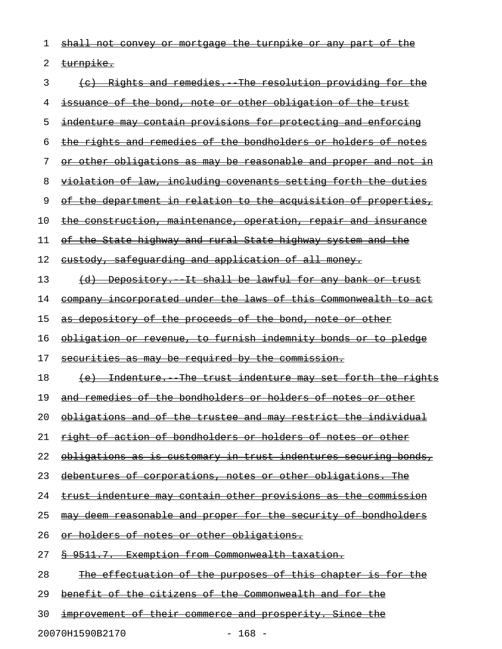| 1  | shall not convey or mortgage the turnpike or any part of the          |
|----|-----------------------------------------------------------------------|
| 2  | turnpike.                                                             |
| 3  | (c) Rights and remedies. The resolution providing for the             |
| 4  | issuance of the bond, note or other obligation of the trust           |
| 5  | indenture may contain provisions for protecting and enforcing         |
| 6  | the rights and remedies of the bondholders or holders of notes        |
| 7  | or other obligations as may be reasonable and proper and not in       |
| 8  | <u>violation of law, including covenants setting forth the duties</u> |
| 9  | of the department in relation to the acquisition of properties,       |
| 10 | the construction, maintenance, operation, repair and insurance        |
| 11 | of the State highway and rural State highway system and the           |
| 12 | <u>custody, safequarding and application of all money.</u>            |
| 13 | (d) Depository. It shall be lawful for any bank or trust              |
| 14 | company incorporated under the laws of this Commonwealth to act       |
| 15 | as depository of the proceeds of the bond, note or other              |
| 16 | obligation or revenue, to furnish indemnity bonds or to pledge        |
| 17 | securities as may be required by the commission.                      |
| 18 | (e) Indenture. The trust indenture may set forth the rights           |
| 19 | and remedies of the bondholders or holders of notes or other          |
| 20 | obligations and of the trustee and may restrict the individual        |
| 21 | right of action of bondholders or holders of notes or other           |
| 22 | obligations as is customary in trust indentures securing bonds,       |
| 23 | debentures of corporations, notes or other obligations. The           |
| 24 | <u>trust indenture may contain other provisions as the commission</u> |
| 25 | may deem reasonable and proper for the security of bondholders        |
| 26 | <u>or holders of notes or other obligations.</u>                      |
| 27 | § 9511.7. Exemption from Commonwealth taxation.                       |
| 28 | <u>The effectuation of the purposes of this chapter is for the</u>    |
| 29 | benefit of the citizens of the Commonwealth and for the               |
| 30 | <u>improvement of their commerce and prosperity. Since the</u>        |

20070H1590B2170 - 168 -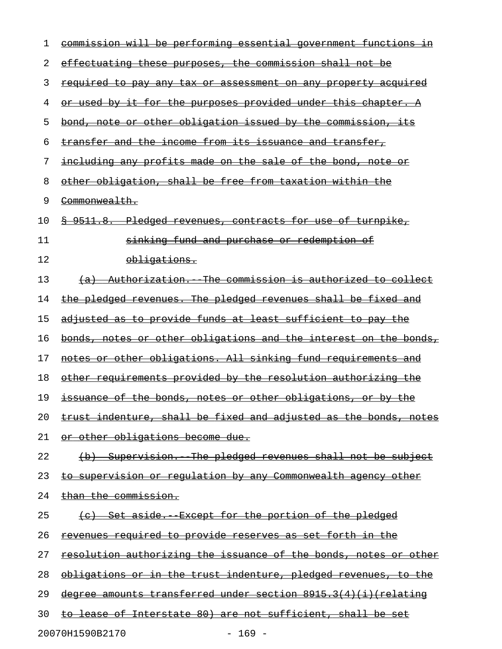| 1  | commission will be performing essential government functions in       |
|----|-----------------------------------------------------------------------|
| 2  | effectuating these purposes, the commission shall not be              |
| 3  | <u>required to pay any tax or assessment on any property acquired</u> |
| 4  | <u>or used by it for the purposes provided under this chapter. A</u>  |
| 5  | <u>bond, note or other obligation issued by the commission, its</u>   |
| 6  | transfer and the income from its issuance and transfer,               |
| 7  | including any profits made on the sale of the bond, note or           |
| 8  | other obligation, shall be free from taxation within the              |
| 9  | <del>Commonwealth.</del>                                              |
| 10 | \$ 9511.8. Pledged revenues, contracts for use of turnpike,           |
| 11 | sinking fund and purchase or redemption of                            |
| 12 | <del>obligations.</del>                                               |
| 13 | (a) Authorization. The commission is authorized to collect            |
| 14 | the pledged revenues. The pledged revenues shall be fixed and         |
| 15 | adjusted as to provide funds at least sufficient to pay the           |
| 16 | bonds, notes or other obligations and the interest on the bonds,      |
| 17 | notes or other obligations. All sinking fund requirements and         |
| 18 | other requirements provided by the resolution authorizing the         |
| 19 | issuance of the bonds, notes or other obligations, or by the          |
| 20 | trust indenture, shall be fixed and adjusted as the bonds, notes      |
| 21 | or other obligations become due.                                      |
| 22 | (b) Supervision. The pledged revenues shall not be subject            |
| 23 | <u>to supervision or regulation by any Commonwealth agency other</u>  |
| 24 | than the commission.                                                  |
| 25 | <u>(c) Set aside. Except for the portion of the pledged</u>           |
| 26 | <u>revenues required to provide reserves as set forth in the </u>     |
| 27 | resolution authorizing the issuance of the bonds, notes or other      |
| 28 | obligations or in the trust indenture, pledged revenues, to the       |
| 29 | degree amounts transferred under section 8915.3(4)(i) (relating       |
| 30 | to lease of Interstate 80) are not sufficient, shall be set           |
|    | 20070H1590B2170<br>$-169 -$                                           |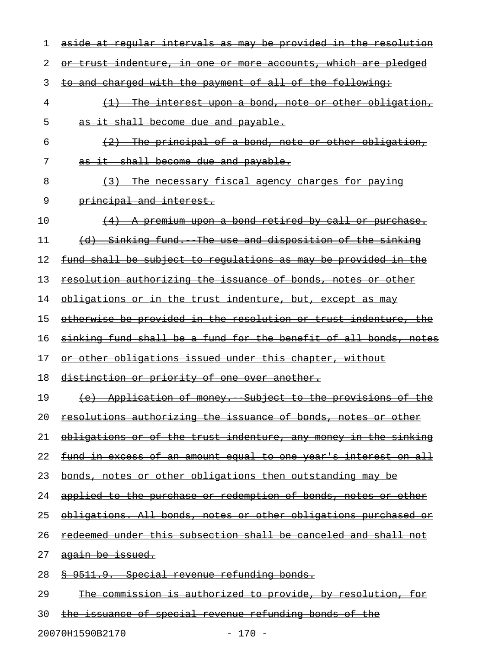| 1  | aside at regular intervals as may be provided in the resolution        |
|----|------------------------------------------------------------------------|
| 2  | or trust indenture, in one or more accounts, which are pledged         |
| 3  | to and charged with the payment of all of the following:               |
| 4  | $\{1\}$ The interest upon a bond, note or other obligation,            |
| 5  | as it shall become due and payable.                                    |
| 6  | (2) The principal of a bond, note or other obligation,                 |
| 7  | as it shall become due and payable.                                    |
| 8  | (3) The necessary fiscal agency charges for paying                     |
| 9  | principal and interest.                                                |
| 10 | $(4)$ A premium upon a bond retired by call or purchase.               |
| 11 | (d) Sinking fund. The use and disposition of the sinking               |
| 12 | fund shall be subject to regulations as may be provided in the         |
| 13 | resolution authorizing the issuance of bonds, notes or other           |
| 14 | obligations or in the trust indenture, but, except as may              |
| 15 | otherwise be provided in the resolution or trust indenture, the        |
| 16 | sinking fund shall be a fund for the benefit of all bonds, notes       |
| 17 | or other obligations issued under this chapter, without                |
| 18 | distinction or priority of one over another.                           |
| 19 | (e) Application of money. Subject to the provisions of the             |
| 20 | resolutions authorizing the issuance of bonds, notes or other          |
| 21 | obligations or of the trust indenture, any money in the sinking        |
| 22 | <u>fund in excess of an amount equal to one year's interest on all</u> |
| 23 | bonds, notes or other obligations then outstanding may be              |
| 24 | applied to the purchase or redemption of bonds, notes or other         |
| 25 | obligations. All bonds, notes or other obligations purchased or        |
| 26 | <u>redeemed under this subsection shall be canceled and shall not</u>  |
| 27 | again be issued.                                                       |
| 28 | <u> § 9511.9. Special revenue refunding bonds.</u>                     |
| 29 | The commission is authorized to provide, by resolution, for            |
|    |                                                                        |

20070H1590B2170 - 170 -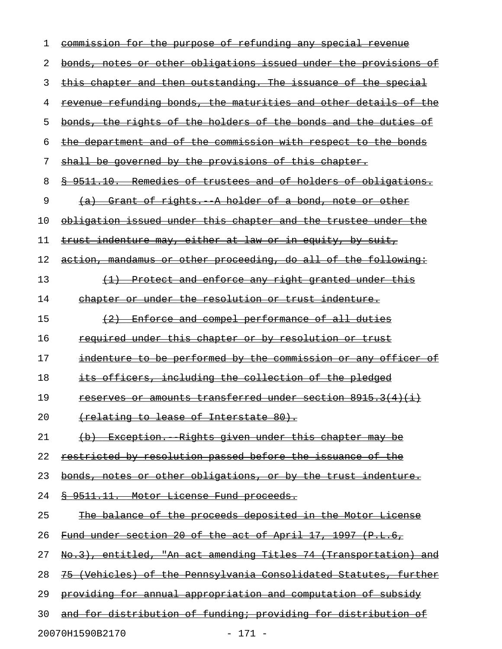| 1  | commission for the purpose of refunding any special revenue       |
|----|-------------------------------------------------------------------|
| 2  | bonds, notes or other obligations issued under the provisions of  |
| 3  | this chapter and then outstanding. The issuance of the special    |
| 4  | revenue refunding bonds, the maturities and other details of the  |
| 5  | bonds, the rights of the holders of the bonds and the duties of   |
| 6  | the department and of the commission with respect to the bonds    |
| 7  | shall be governed by the provisions of this chapter.              |
| 8  | \$ 9511.10. Remedies of trustees and of holders of obligations.   |
| 9  | (a) Grant of rights. A holder of a bond, note or other            |
| 10 | obligation issued under this chapter and the trustee under the    |
| 11 | trust indenture may, either at law or in equity, by suit,         |
| 12 | action, mandamus or other proceeding, do all of the following:    |
| 13 | (1) Protect and enforce any right granted under this              |
| 14 | chapter or under the resolution or trust indenture.               |
| 15 | (2) Enforce and compel performance of all duties                  |
| 16 | <del>required under this chapter or by resolution or trust</del>  |
| 17 | indenture to be performed by the commission or any officer of     |
| 18 | its officers, including the collection of the pledged             |
| 19 | <u>reserves or amounts transferred under section 8915.3(4)(i)</u> |
| 20 | (relating to lease of Interstate 80).                             |
| 21 | (b) Exception. Rights given under this chapter may be             |
| 22 | restricted by resolution passed before the issuance of the        |
| 23 | bonds, notes or other obligations, or by the trust indenture.     |
| 24 | 8 9511.11. Motor License Fund proceeds.                           |
| 25 | The balance of the proceeds deposited in the Motor License        |
| 26 | Fund under section 20 of the act of April 17, 1997 (P.L.6,        |
| 27 | No.3), entitled, "An act amending Titles 74 (Transportation) and  |
| 28 | 75 (Vehicles) of the Pennsylvania Consolidated Statutes, further  |
| 29 | providing for annual appropriation and computation of subsidy     |
| 30 | and for distribution of funding; providing for distribution of    |
|    |                                                                   |

20070H1590B2170 - 171 -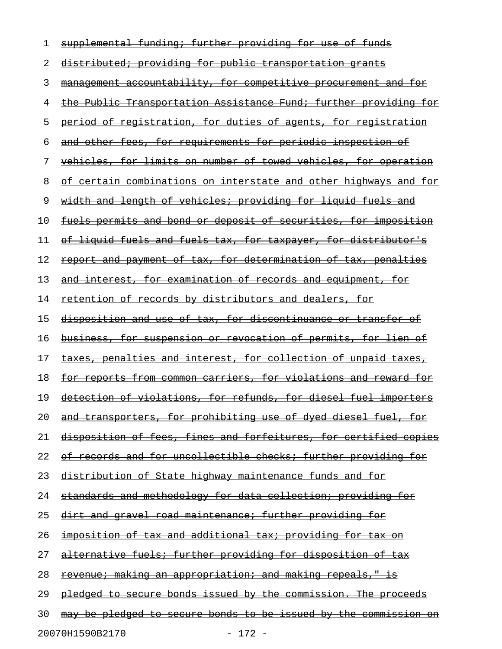| 1  | supplemental funding; further providing for use of funds                |
|----|-------------------------------------------------------------------------|
| 2  | distributed; providing for public transportation grants                 |
| 3  | management accountability, for competitive procurement and for          |
| 4  | the Public Transportation Assistance Fund; further providing for        |
| 5  | period of registration, for duties of agents, for registration          |
| 6  | and other fees, for requirements for periodic inspection of             |
| 7  | vehicles, for limits on number of towed vehicles, for operation         |
| 8  | of certain combinations on interstate and other highways and for        |
| 9  | width and length of vehicles; providing for liguid fuels and            |
| 10 | fuels permits and bond or deposit of securities, for imposition         |
| 11 | of liquid fuels and fuels tax, for taxpayer, for distributor's          |
| 12 | report and payment of tax, for determination of tax, penalties          |
| 13 | and interest, for examination of records and equipment, for             |
| 14 | retention of records by distributors and dealers, for                   |
| 15 | disposition and use of tax, for discontinuance or transfer of           |
| 16 | business, for suspension or revocation of permits, for lien of          |
| 17 | taxes, penalties and interest, for collection of unpaid taxes,          |
| 18 | <u>for reports from common carriers, for violations and reward for</u>  |
| 19 | detection of violations, for refunds, for diesel fuel importers         |
| 20 | <u>and transporters, for prohibiting use of dyed diesel fuel, for</u>   |
| 21 | disposition of fees, fines and forfeitures, for certified copies        |
| 22 | of records and for uncollectible checks; further providing for          |
| 23 | distribution of State highway maintenance funds and for                 |
| 24 | standards and methodology for data collection; providing for            |
| 25 | <u>dirt and gravel road maintenance; further providing for</u>          |
| 26 | imposition of tax and additional tax; providing for tax on              |
| 27 | alternative fuels; further providing for disposition of tax             |
| 28 | <u>revenue; making an appropriation; and making repeals," is</u>        |
| 29 | pledged to secure bonds issued by the commission. The proceeds          |
| 30 | <u>may be pledged to secure bonds to be issued by the commission on</u> |
|    | 20070H1590B2170<br>$-172 -$                                             |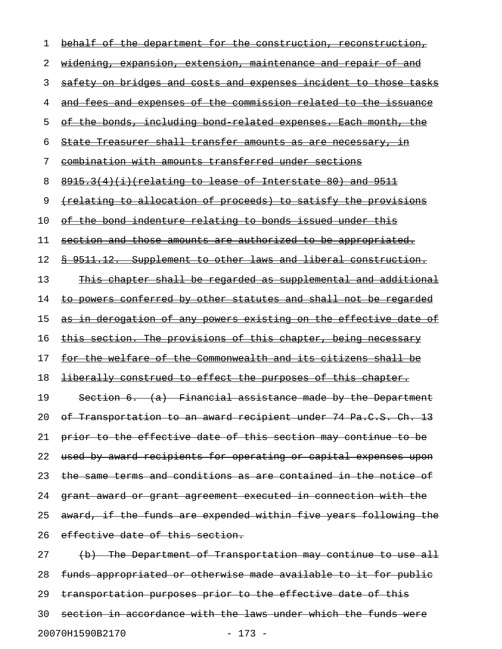1 behalf of the department for the construction, reconstruction, 2 widening, expansion, extension, maintenance and repair of and 3 safety on bridges and costs and expenses incident to those tasks 4 and fees and expenses of the commission related to the issuance 5 of the bonds, including bond related expenses. Each month, the 6 State Treasurer shall transfer amounts as are necessary, in 7 combination with amounts transferred under sections 8 8915.3(4)(i)(relating to lease of Interstate 80) and 9511 9 (relating to allocation of proceeds) to satisfy the provisions 10 of the bond indenture relating to bonds issued under this 11 section and those amounts are authorized to be appropriated. 12 § 9511.12. Supplement to other laws and liberal construction. 13 This chapter shall be regarded as supplemental and additional 14 to powers conferred by other statutes and shall not be regarded 15 as in derogation of any powers existing on the effective date of 16 this section. The provisions of this chapter, being necessary 17 for the welfare of the Commonwealth and its citizens shall be 18 <del>liberally construed to effect the purposes of this chapter.</del> 19 Section 6. (a) Financial assistance made by the Department 20 of Transportation to an award recipient under 74 Pa.C.S. Ch. 13 21 prior to the effective date of this section may continue to be 22 used by award recipients for operating or capital expenses upon 23 the same terms and conditions as are contained in the notice of 24 grant award or grant agreement executed in connection with the 25 award, if the funds are expended within five years following the 26 effective date of this section. 27 (b) The Department of Transportation may continue to use all 28 funds appropriated or otherwise made available to it for public 29 transportation purposes prior to the effective date of this 30 section in accordance with the laws under which the funds were

20070H1590B2170 - 173 -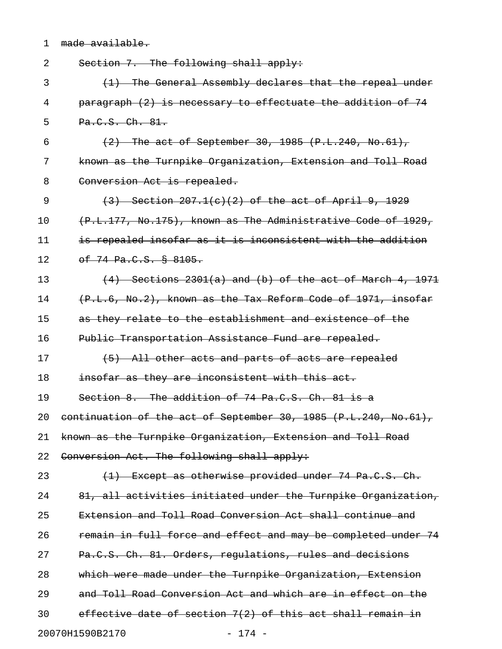|  | $modo \sim minilohlo$ |
|--|-----------------------|
|  |                       |
|  | mauc avaiiauic.       |
|  |                       |

| 2  | Section 7. The following shall apply:                           |
|----|-----------------------------------------------------------------|
| 3  | (1) The General Assembly declares that the repeal under         |
| 4  | paragraph (2) is necessary to effectuate the addition of 74     |
| 5  | Pa.C.S. Ch. 81.                                                 |
| 6  | $(2)$ The act of September 30, 1985 (P.L.240, No.61),           |
| 7  | known as the Turnpike Organization, Extension and Toll Road     |
| 8  | Conversion Act is repealed.                                     |
| 9  | $(3)$ Section 207.1(c)(2) of the act of April 9, 1929           |
| 10 | (P.L.177, No.175), known as The Administrative Code of 1929,    |
| 11 | is repealed insofar as it is inconsistent with the addition     |
| 12 | $-6f$ 74 Pa.C.S. $\frac{1}{2}$ 8105.                            |
| 13 | $(4)$ Sections 2301(a) and (b) of the act of March 4, 1971      |
| 14 | (P.L.6, No.2), known as the Tax Reform Code of 1971, insofar    |
| 15 | as they relate to the establishment and existence of the        |
| 16 | Public Transportation Assistance Fund are repealed.             |
| 17 | (5) All other acts and parts of acts are repealed               |
| 18 | insofar as they are inconsistent with this act.                 |
| 19 | Section 8. The addition of 74 Pa.C.S. Ch. 81 is a               |
| 20 | continuation of the act of September 30, 1985 (P.L.240, No.61), |
| 21 | known as the Turnpike Organization, Extension and Toll Road     |
| 22 | Conversion Act. The following shall apply:                      |
| 23 | (1) Except as otherwise provided under 74 Pa.C.S. Ch.           |
| 24 | 81, all activities initiated under the Turnpike Organization,   |
| 25 | Extension and Toll Road Conversion Act shall continue and       |
| 26 | remain in full force and effect and may be completed under 74   |
| 27 | Pa.C.S. Ch. 81. Orders, regulations, rules and decisions        |
| 28 | which were made under the Turnpike Organization, Extension      |
| 29 | and Toll Road Conversion Act and which are in effect on the     |
| 30 | effective date of section 7(2) of this act shall remain in      |
|    | 20070H1590B2170<br>$-174 -$                                     |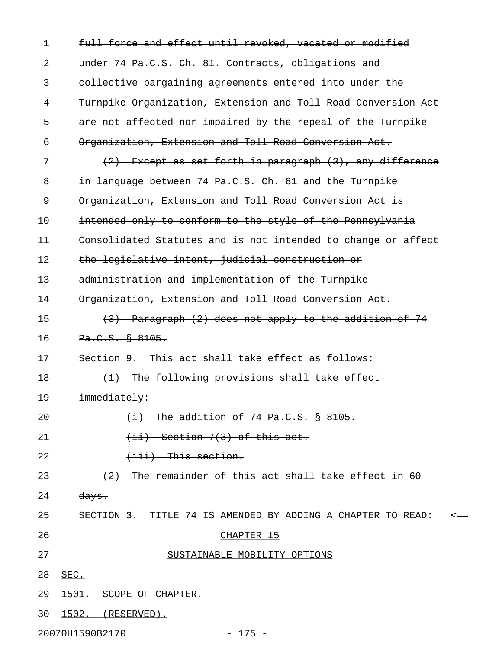| 1  | full force and effect until revoked, vacated or modified       |
|----|----------------------------------------------------------------|
| 2  | under 74 Pa.C.S. Ch. 81. Contracts, obligations and            |
| 3  | collective bargaining agreements entered into under the        |
| 4  | Turnpike Organization, Extension and Toll Road Conversion Act  |
| 5  | are not affected nor impaired by the repeal of the Turnpike    |
| 6  | Organization, Extension and Toll Road Conversion Act.          |
| 7  | $(2)$ Except as set forth in paragraph $(3)$ , any difference  |
| 8  | in language between 74 Pa.C.S. Ch. 81 and the Turnpike         |
| 9  | Organization, Extension and Toll Road Conversion Act is        |
| 10 | intended only to conform to the style of the Pennsylvania      |
| 11 | Consolidated Statutes and is not intended to change or affect  |
| 12 | the legislative intent, judicial construction or               |
| 13 | administration and implementation of the Turnpike              |
| 14 | Organization, Extension and Toll Road Conversion Act.          |
| 15 | (3) Paragraph (2) does not apply to the addition of 74         |
| 16 | Pa.C.S. § 8105.                                                |
| 17 | Section 9. This act shall take effect as follows:              |
| 18 | (1) The following provisions shall take effect                 |
| 19 | immediately:                                                   |
| 20 | $(i)$ The addition of 74 Pa.C.S. $§$ 8105.                     |
| 21 | $(iii)$ Section 7(3) of this act.                              |
| 22 | $(iii)$ This section.                                          |
| 23 | (2) The remainder of this act shall take effect in 60          |
| 24 | <del>days.</del>                                               |
| 25 | SECTION 3. TITLE 74 IS AMENDED BY ADDING A CHAPTER TO READ: <- |
| 26 | CHAPTER 15                                                     |
| 27 | SUSTAINABLE MOBILITY OPTIONS                                   |
| 28 | SEC.                                                           |
| 29 | 1501. SCOPE OF CHAPTER.                                        |
| 30 | 1502. (RESERVED).                                              |

20070H1590B2170 - 175 -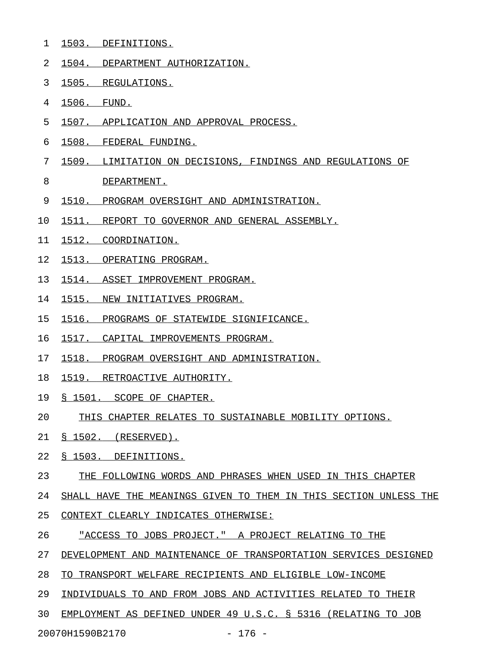- 1 1503. DEFINITIONS.
- 2 1504. DEPARTMENT AUTHORIZATION.
- 3 1505. REGULATIONS.
- 4 1506. FUND.
- 5 1507. APPLICATION AND APPROVAL PROCESS.
- 6 1508. FEDERAL FUNDING.
- 7 1509. LIMITATION ON DECISIONS, FINDINGS AND REGULATIONS OF
- 8 DEPARTMENT.
- 9 1510. PROGRAM OVERSIGHT AND ADMINISTRATION.
- 10 1511. REPORT TO GOVERNOR AND GENERAL ASSEMBLY.
- 11 1512. COORDINATION.
- 12 1513. OPERATING PROGRAM.
- 13 1514. ASSET IMPROVEMENT PROGRAM.
- 14 1515. NEW INITIATIVES PROGRAM.
- 15 1516. PROGRAMS OF STATEWIDE SIGNIFICANCE.
- 16 1517. CAPITAL IMPROVEMENTS PROGRAM.
- 17 1518. PROGRAM OVERSIGHT AND ADMINISTRATION.
- 18 1519. RETROACTIVE AUTHORITY.
- 19 § 1501. SCOPE OF CHAPTER.
- 20 THIS CHAPTER RELATES TO SUSTAINABLE MOBILITY OPTIONS.
- 21 § 1502. (RESERVED).
- 22 § 1503. DEFINITIONS.
- 23 THE FOLLOWING WORDS AND PHRASES WHEN USED IN THIS CHAPTER
- 24 SHALL HAVE THE MEANINGS GIVEN TO THEM IN THIS SECTION UNLESS THE
- 25 CONTEXT CLEARLY INDICATES OTHERWISE:
- 26 TACCESS TO JOBS PROJECT. " A PROJECT RELATING TO THE
- 27 DEVELOPMENT AND MAINTENANCE OF TRANSPORTATION SERVICES DESIGNED
- 28 TO TRANSPORT WELFARE RECIPIENTS AND ELIGIBLE LOW-INCOME
- 29 INDIVIDUALS TO AND FROM JOBS AND ACTIVITIES RELATED TO THEIR
- 30 EMPLOYMENT AS DEFINED UNDER 49 U.S.C. § 5316 (RELATING TO JOB

20070H1590B2170 - 176 -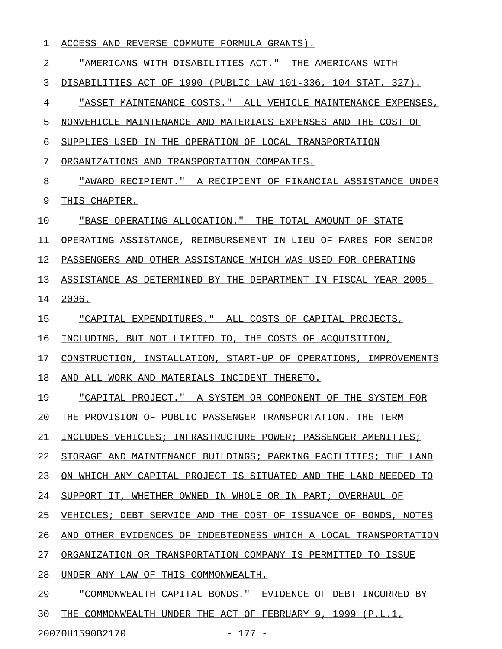1 ACCESS AND REVERSE COMMUTE FORMULA GRANTS).

2 "AMERICANS WITH DISABILITIES ACT." THE AMERICANS WITH 3 DISABILITIES ACT OF 1990 (PUBLIC LAW 101-336, 104 STAT. 327). 4 "ASSET MAINTENANCE COSTS." ALL VEHICLE MAINTENANCE EXPENSES, 5 NONVEHICLE MAINTENANCE AND MATERIALS EXPENSES AND THE COST OF 6 SUPPLIES USED IN THE OPERATION OF LOCAL TRANSPORTATION 7 ORGANIZATIONS AND TRANSPORTATION COMPANIES. 8 "AWARD RECIPIENT." A RECIPIENT OF FINANCIAL ASSISTANCE UNDER 9 THIS CHAPTER. 10 "BASE OPERATING ALLOCATION." THE TOTAL AMOUNT OF STATE \_\_\_\_\_\_\_\_\_\_\_\_\_\_\_\_\_\_\_\_\_\_\_\_\_\_\_\_\_\_\_\_\_\_\_\_\_\_\_\_\_\_\_\_\_\_\_\_\_\_\_\_\_\_\_ 11 OPERATING ASSISTANCE, REIMBURSEMENT IN LIEU OF FARES FOR SENIOR 12 PASSENGERS AND OTHER ASSISTANCE WHICH WAS USED FOR OPERATING 13 ASSISTANCE AS DETERMINED BY THE DEPARTMENT IN FISCAL YEAR 2005-14 2006. 15 "CAPITAL EXPENDITURES." ALL COSTS OF CAPITAL PROJECTS, 16 INCLUDING, BUT NOT LIMITED TO, THE COSTS OF ACQUISITION, 17 CONSTRUCTION, INSTALLATION, START-UP OF OPERATIONS, IMPROVEMENTS 18 AND ALL WORK AND MATERIALS INCIDENT THERETO. 19 • "CAPITAL PROJECT." A SYSTEM OR COMPONENT OF THE SYSTEM FOR 20 THE PROVISION OF PUBLIC PASSENGER TRANSPORTATION. THE TERM 21 INCLUDES VEHICLES; INFRASTRUCTURE POWER; PASSENGER AMENITIES; 22 STORAGE AND MAINTENANCE BUILDINGS; PARKING FACILITIES; THE LAND 23 ON WHICH ANY CAPITAL PROJECT IS SITUATED AND THE LAND NEEDED TO 24 SUPPORT IT, WHETHER OWNED IN WHOLE OR IN PART; OVERHAUL OF 25 VEHICLES; DEBT SERVICE AND THE COST OF ISSUANCE OF BONDS, NOTES 26 AND OTHER EVIDENCES OF INDEBTEDNESS WHICH A LOCAL TRANSPORTATION 27 ORGANIZATION OR TRANSPORTATION COMPANY IS PERMITTED TO ISSUE 28 UNDER ANY LAW OF THIS COMMONWEALTH. 29 "COMMONWEALTH CAPITAL BONDS." EVIDENCE OF DEBT INCURRED BY 30 THE COMMONWEALTH UNDER THE ACT OF FEBRUARY 9, 1999 (P.L.1,

20070H1590B2170 - 177 -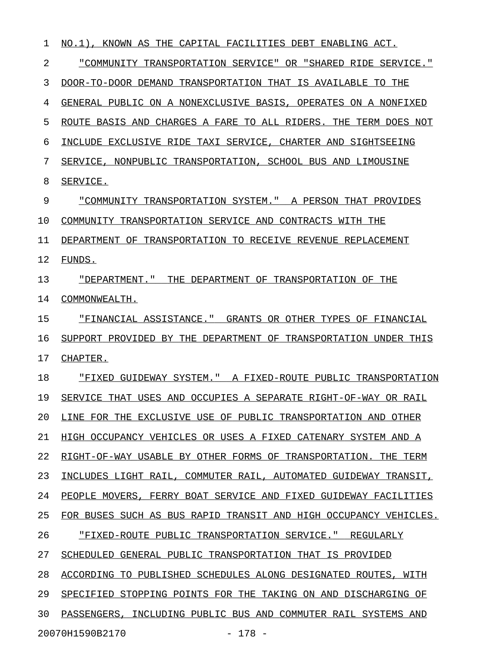1 NO.1), KNOWN AS THE CAPITAL FACILITIES DEBT ENABLING ACT. 2 "COMMUNITY TRANSPORTATION SERVICE" OR "SHARED RIDE SERVICE." \_\_\_\_\_\_\_\_\_\_\_\_\_\_\_\_\_\_\_\_\_\_\_\_\_\_\_\_\_\_\_\_\_\_\_\_\_\_\_\_\_\_\_\_\_\_\_\_\_\_\_\_\_\_\_\_\_\_\_\_ 3 DOOR-TO-DOOR DEMAND TRANSPORTATION THAT IS AVAILABLE TO THE 4 GENERAL PUBLIC ON A NONEXCLUSIVE BASIS, OPERATES ON A NONFIXED 5 ROUTE BASIS AND CHARGES A FARE TO ALL RIDERS. THE TERM DOES NOT 6 INCLUDE EXCLUSIVE RIDE TAXI SERVICE, CHARTER AND SIGHTSEEING 7 SERVICE, NONPUBLIC TRANSPORTATION, SCHOOL BUS AND LIMOUSINE 8 SERVICE. 9 "COMMUNITY TRANSPORTATION SYSTEM." A PERSON THAT PROVIDES 10 COMMUNITY TRANSPORTATION SERVICE AND CONTRACTS WITH THE 11 DEPARTMENT OF TRANSPORTATION TO RECEIVE REVENUE REPLACEMENT 12 FUNDS. 13 "DEPARTMENT." THE DEPARTMENT OF TRANSPORTATION OF THE \_\_\_\_\_\_\_\_\_\_\_\_\_\_\_\_\_\_\_\_\_\_\_\_\_\_\_\_\_\_\_\_\_\_\_\_\_\_\_\_\_\_\_\_\_\_\_\_\_\_\_\_\_\_ 14 COMMONWEALTH. 15 • FINANCIAL ASSISTANCE." GRANTS OR OTHER TYPES OF FINANCIAL 16 SUPPORT PROVIDED BY THE DEPARTMENT OF TRANSPORTATION UNDER THIS 17 CHAPTER. 18 • FIXED GUIDEWAY SYSTEM. A FIXED-ROUTE PUBLIC TRANSPORTATION 19 SERVICE THAT USES AND OCCUPIES A SEPARATE RIGHT-OF-WAY OR RAIL 20 LINE FOR THE EXCLUSIVE USE OF PUBLIC TRANSPORTATION AND OTHER 21 HIGH OCCUPANCY VEHICLES OR USES A FIXED CATENARY SYSTEM AND A 22 RIGHT-OF-WAY USABLE BY OTHER FORMS OF TRANSPORTATION. THE TERM 23 INCLUDES LIGHT RAIL, COMMUTER RAIL, AUTOMATED GUIDEWAY TRANSIT, 24 PEOPLE MOVERS, FERRY BOAT SERVICE AND FIXED GUIDEWAY FACILITIES 25 FOR BUSES SUCH AS BUS RAPID TRANSIT AND HIGH OCCUPANCY VEHICLES. 26 THIXED-ROUTE PUBLIC TRANSPORTATION SERVICE. TREGULARLY 27 SCHEDULED GENERAL PUBLIC TRANSPORTATION THAT IS PROVIDED 28 ACCORDING TO PUBLISHED SCHEDULES ALONG DESIGNATED ROUTES, WITH 29 SPECIFIED STOPPING POINTS FOR THE TAKING ON AND DISCHARGING OF 30 PASSENGERS, INCLUDING PUBLIC BUS AND COMMUTER RAIL SYSTEMS AND 20070H1590B2170 - 178 -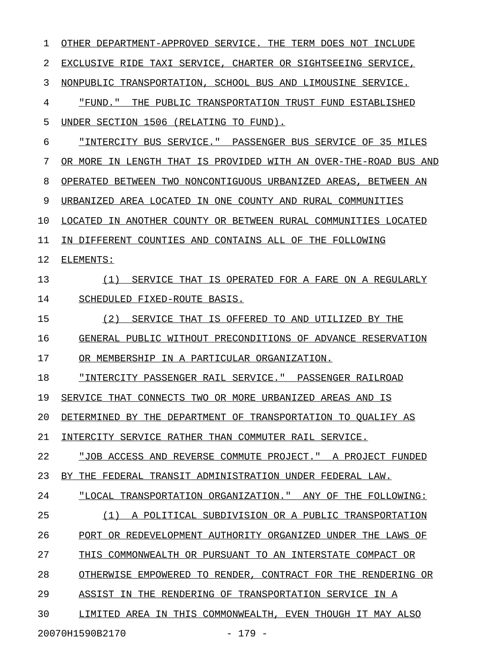| 1                           | OTHER DEPARTMENT-APPROVED SERVICE. THE TERM DOES NOT INCLUDE     |  |
|-----------------------------|------------------------------------------------------------------|--|
| 2                           | EXCLUSIVE RIDE TAXI SERVICE, CHARTER OR SIGHTSEEING SERVICE,     |  |
| 3                           | NONPUBLIC TRANSPORTATION, SCHOOL BUS AND LIMOUSINE SERVICE.      |  |
| 4                           | "FUND." THE PUBLIC TRANSPORTATION TRUST FUND ESTABLISHED         |  |
| 5                           | UNDER SECTION 1506 (RELATING TO FUND).                           |  |
| 6                           | "INTERCITY BUS SERVICE." PASSENGER BUS SERVICE OF 35 MILES       |  |
| 7                           | OR MORE IN LENGTH THAT IS PROVIDED WITH AN OVER-THE-ROAD BUS AND |  |
| 8                           | OPERATED BETWEEN TWO NONCONTIGUOUS URBANIZED AREAS, BETWEEN AN   |  |
| 9                           | URBANIZED AREA LOCATED IN ONE COUNTY AND RURAL COMMUNITIES       |  |
| 10                          | LOCATED IN ANOTHER COUNTY OR BETWEEN RURAL COMMUNITIES LOCATED   |  |
| 11                          | IN DIFFERENT COUNTIES AND CONTAINS ALL OF THE FOLLOWING          |  |
| 12                          | ELEMENTS:                                                        |  |
| 13                          | SERVICE THAT IS OPERATED FOR A FARE ON A REGULARLY<br>(1)        |  |
| 14                          | SCHEDULED FIXED-ROUTE BASIS.                                     |  |
| 15                          | (2)<br>SERVICE THAT IS OFFERED TO AND UTILIZED BY THE            |  |
| 16                          | GENERAL PUBLIC WITHOUT PRECONDITIONS OF ADVANCE RESERVATION      |  |
| 17                          | OR MEMBERSHIP IN A PARTICULAR ORGANIZATION.                      |  |
| 18                          | "INTERCITY PASSENGER RAIL SERVICE." PASSENGER RAILROAD           |  |
| 19                          | SERVICE THAT CONNECTS TWO OR MORE URBANIZED AREAS AND IS         |  |
| 20                          | DETERMINED BY THE DEPARTMENT OF TRANSPORTATION TO OUALIFY AS     |  |
| 21                          | INTERCITY SERVICE RATHER THAN COMMUTER RAIL SERVICE.             |  |
| 22                          | "JOB ACCESS AND REVERSE COMMUTE PROJECT." A PROJECT FUNDED       |  |
| 23                          | BY THE FEDERAL TRANSIT ADMINISTRATION UNDER FEDERAL LAW.         |  |
| 24                          | "LOCAL TRANSPORTATION ORGANIZATION." ANY OF THE FOLLOWING:       |  |
| 25                          | A POLITICAL SUBDIVISION OR A PUBLIC TRANSPORTATION<br>(1)        |  |
| 26                          | PORT OR REDEVELOPMENT AUTHORITY ORGANIZED UNDER THE LAWS OF      |  |
| 27                          | THIS COMMONWEALTH OR PURSUANT TO AN INTERSTATE COMPACT OR        |  |
| 28                          | OTHERWISE EMPOWERED TO RENDER,<br>CONTRACT FOR THE RENDERING OR  |  |
| 29                          | THE RENDERING OF TRANSPORTATION SERVICE IN A<br>ASSIST IN        |  |
| 30                          | LIMITED AREA IN THIS COMMONWEALTH, EVEN THOUGH IT MAY ALSO       |  |
| 20070H1590B2170<br>$-179 -$ |                                                                  |  |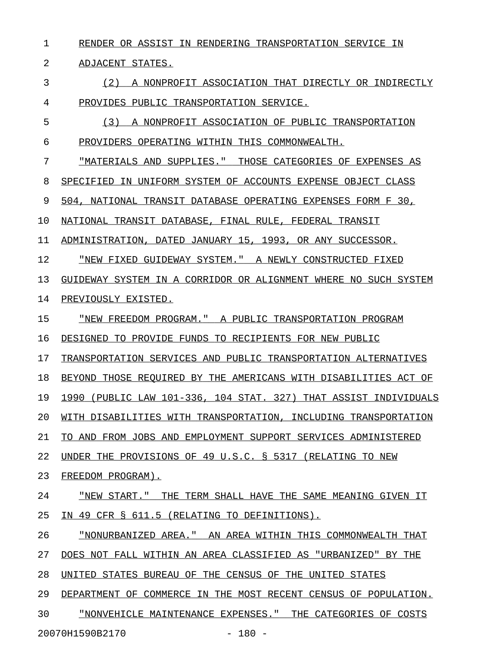1 RENDER OR ASSIST IN RENDERING TRANSPORTATION SERVICE IN

2 ADJACENT STATES.

3 (2) A NONPROFIT ASSOCIATION THAT DIRECTLY OR INDIRECTLY 4 PROVIDES PUBLIC TRANSPORTATION SERVICE.

5 (3) A NONPROFIT ASSOCIATION OF PUBLIC TRANSPORTATION 6 PROVIDERS OPERATING WITHIN THIS COMMONWEALTH.

7 "MATERIALS AND SUPPLIES." THOSE CATEGORIES OF EXPENSES AS

8 SPECIFIED IN UNIFORM SYSTEM OF ACCOUNTS EXPENSE OBJECT CLASS

9 504, NATIONAL TRANSIT DATABASE OPERATING EXPENSES FORM F 30,

10 NATIONAL TRANSIT DATABASE, FINAL RULE, FEDERAL TRANSIT

11 ADMINISTRATION, DATED JANUARY 15, 1993, OR ANY SUCCESSOR.

12 "NEW FIXED GUIDEWAY SYSTEM." A NEWLY CONSTRUCTED FIXED \_\_\_\_\_\_\_\_\_\_\_\_\_\_\_\_\_\_\_\_\_\_\_\_\_\_\_\_\_\_\_\_\_\_\_\_\_\_\_\_\_\_\_\_\_\_\_\_\_\_\_\_\_\_\_

13 GUIDEWAY SYSTEM IN A CORRIDOR OR ALIGNMENT WHERE NO SUCH SYSTEM

14 PREVIOUSLY EXISTED.

15 "NEW FREEDOM PROGRAM." A PUBLIC TRANSPORTATION PROGRAM \_\_\_\_\_\_\_\_\_\_\_\_\_\_\_\_\_\_\_\_\_\_\_\_\_\_\_\_\_\_\_\_\_\_\_\_\_\_\_\_\_\_\_\_\_\_\_\_\_\_\_\_\_\_\_

16 DESIGNED TO PROVIDE FUNDS TO RECIPIENTS FOR NEW PUBLIC

17 TRANSPORTATION SERVICES AND PUBLIC TRANSPORTATION ALTERNATIVES

18 BEYOND THOSE REQUIRED BY THE AMERICANS WITH DISABILITIES ACT OF

19 1990 (PUBLIC LAW 101-336, 104 STAT. 327) THAT ASSIST INDIVIDUALS

20 WITH DISABILITIES WITH TRANSPORTATION, INCLUDING TRANSPORTATION

21 TO AND FROM JOBS AND EMPLOYMENT SUPPORT SERVICES ADMINISTERED

22 UNDER THE PROVISIONS OF 49 U.S.C. § 5317 (RELATING TO NEW

23 FREEDOM PROGRAM).

24 "NEW START." THE TERM SHALL HAVE THE SAME MEANING GIVEN IT

25 IN 49 CFR § 611.5 (RELATING TO DEFINITIONS).

26 "NONURBANIZED AREA." AN AREA WITHIN THIS COMMONWEALTH THAT

27 DOES NOT FALL WITHIN AN AREA CLASSIFIED AS "URBANIZED" BY THE

28 UNITED STATES BUREAU OF THE CENSUS OF THE UNITED STATES

29 DEPARTMENT OF COMMERCE IN THE MOST RECENT CENSUS OF POPULATION.

30 "NONVEHICLE MAINTENANCE EXPENSES." THE CATEGORIES OF COSTS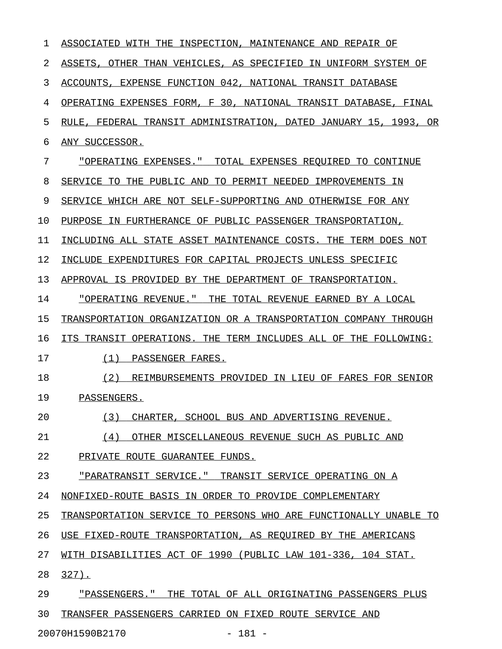| 1  | ASSOCIATED<br>INSPECTION,<br>MAINTENANCE AND<br>REPAIR OF<br>WITH<br>THE   |
|----|----------------------------------------------------------------------------|
| 2  | ASSETS<br>OTHER THAN VEHICLES, AS SPECIFIED<br>IN UNIFORM SYSTEM OF        |
| 3  | EXPENSE FUNCTION 042, NATIONAL TRANSIT DATABASE<br>ACCOUNTS,               |
| 4  | OPERATING EXPENSES FORM, F 30, NATIONAL TRANSIT DATABASE,<br>FINAL         |
| 5  | 1993,<br>FEDERAL TRANSIT ADMINISTRATION, DATED JANUARY 15,<br>RULE.<br>OR  |
| 6  | ANY SUCCESSOR.                                                             |
| 7  | "OPERATING EXPENSES."<br>TOTAL EXPENSES REOUIRED<br>TO CONTINUE            |
| 8  | SERVICE<br>THE<br>PUBLIC AND<br>TO PERMIT NEEDED<br>TO.<br>IMPROVEMENTS IN |
| 9  | SERVICE<br>WHICH ARE NOT SELF-SUPPORTING AND<br>OTHERWISE FOR ANY          |
| 10 | IN FURTHERANCE OF PUBLIC PASSENGER TRANSPORTATION,<br>PURPOSE              |
| 11 | INCLUDING ALL STATE ASSET MAINTENANCE COSTS.<br>THE<br>TERM DOES NOT       |
| 12 | INCLUDE EXPENDITURES FOR CAPITAL PROJECTS UNLESS SPECIFIC                  |
| 13 | APPROVAL IS PROVIDED BY THE DEPARTMENT OF<br>TRANSPORTATION.               |
| 14 | "OPERATING REVENUE."<br>THE<br>TOTAL REVENUE EARNED BY A LOCAL             |
| 15 | TRANSPORTATION ORGANIZATION OR A TRANSPORTATION COMPANY THROUGH            |
| 16 | TRANSIT<br>OPERATIONS. THE TERM INCLUDES ALL OF THE FOLLOWING:<br>ITS      |
| 17 | (1)<br>PASSENGER FARES.                                                    |
| 18 | (2)<br>REIMBURSEMENTS PROVIDED IN LIEU OF FARES FOR SENIOR                 |
| 19 | PASSENGERS.                                                                |
| 20 | (3)<br>CHARTER, SCHOOL BUS AND ADVERTISING REVENUE.                        |
| 21 | (4)<br>OTHER MISCELLANEOUS REVENUE SUCH AS PUBLIC AND                      |
| 22 | PRIVATE ROUTE GUARANTEE FUNDS.                                             |
| 23 | "PARATRANSIT SERVICE." TRANSIT SERVICE OPERATING ON A                      |
| 24 | NONFIXED-ROUTE BASIS IN ORDER TO PROVIDE COMPLEMENTARY                     |
| 25 | TRANSPORTATION SERVICE TO PERSONS WHO ARE FUNCTIONALLY UNABLE TO           |
| 26 | USE FIXED-ROUTE TRANSPORTATION, AS REQUIRED BY THE AMERICANS               |
| 27 | WITH DISABILITIES ACT OF 1990 (PUBLIC LAW 101-336, 104 STAT.               |
| 28 | $327$ .                                                                    |
| 29 | "PASSENGERS." THE TOTAL OF ALL ORIGINATING PASSENGERS PLUS                 |
| 30 | TRANSFER PASSENGERS CARRIED ON FIXED ROUTE SERVICE AND                     |
|    | $-181 -$<br>20070H1590B2170                                                |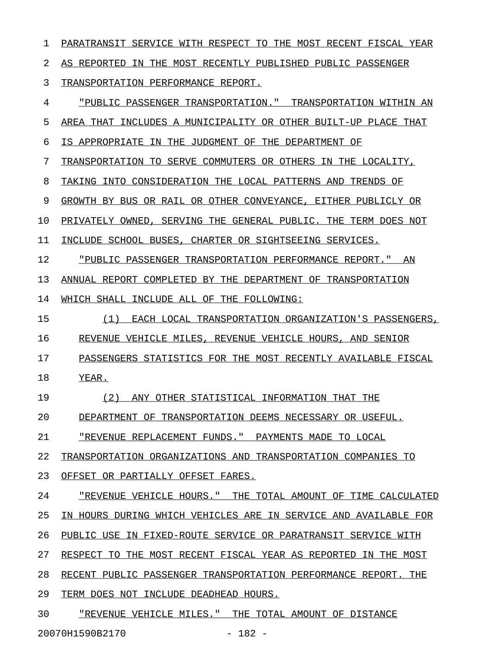1 PARATRANSIT SERVICE WITH RESPECT TO THE MOST RECENT FISCAL YEAR 2 AS REPORTED IN THE MOST RECENTLY PUBLISHED PUBLIC PASSENGER 3 TRANSPORTATION PERFORMANCE REPORT. 4 "PUBLIC PASSENGER TRANSPORTATION." TRANSPORTATION WITHIN AN 5 AREA THAT INCLUDES A MUNICIPALITY OR OTHER BUILT-UP PLACE THAT 6 IS APPROPRIATE IN THE JUDGMENT OF THE DEPARTMENT OF 7 TRANSPORTATION TO SERVE COMMUTERS OR OTHERS IN THE LOCALITY, 8 TAKING INTO CONSIDERATION THE LOCAL PATTERNS AND TRENDS OF 9 GROWTH BY BUS OR RAIL OR OTHER CONVEYANCE, EITHER PUBLICLY OR 10 PRIVATELY OWNED, SERVING THE GENERAL PUBLIC. THE TERM DOES NOT 11 INCLUDE SCHOOL BUSES, CHARTER OR SIGHTSEEING SERVICES. 12 "PUBLIC PASSENGER TRANSPORTATION PERFORMANCE REPORT." AN 13 ANNUAL REPORT COMPLETED BY THE DEPARTMENT OF TRANSPORTATION 14 WHICH SHALL INCLUDE ALL OF THE FOLLOWING: 15  $(1)$  EACH LOCAL TRANSPORTATION ORGANIZATION'S PASSENGERS, 16 REVENUE VEHICLE MILES, REVENUE VEHICLE HOURS, AND SENIOR 17 PASSENGERS STATISTICS FOR THE MOST RECENTLY AVAILABLE FISCAL 18 YEAR. 19 (2) ANY OTHER STATISTICAL INFORMATION THAT THE 20 DEPARTMENT OF TRANSPORTATION DEEMS NECESSARY OR USEFUL. 21 <u>"REVENUE REPLACEMENT FUNDS." PAYMENTS MADE TO LOCAL</u> 22 TRANSPORTATION ORGANIZATIONS AND TRANSPORTATION COMPANIES TO 23 OFFSET OR PARTIALLY OFFSET FARES. 24 "REVENUE VEHICLE HOURS." THE TOTAL AMOUNT OF TIME CALCULATED 25 IN HOURS DURING WHICH VEHICLES ARE IN SERVICE AND AVAILABLE FOR 26 PUBLIC USE IN FIXED-ROUTE SERVICE OR PARATRANSIT SERVICE WITH 27 RESPECT TO THE MOST RECENT FISCAL YEAR AS REPORTED IN THE MOST 28 RECENT PUBLIC PASSENGER TRANSPORTATION PERFORMANCE REPORT. THE 29 TERM DOES NOT INCLUDE DEADHEAD HOURS. 30 "REVENUE VEHICLE MILES." THE TOTAL AMOUNT OF DISTANCE

20070H1590B2170 - 182 -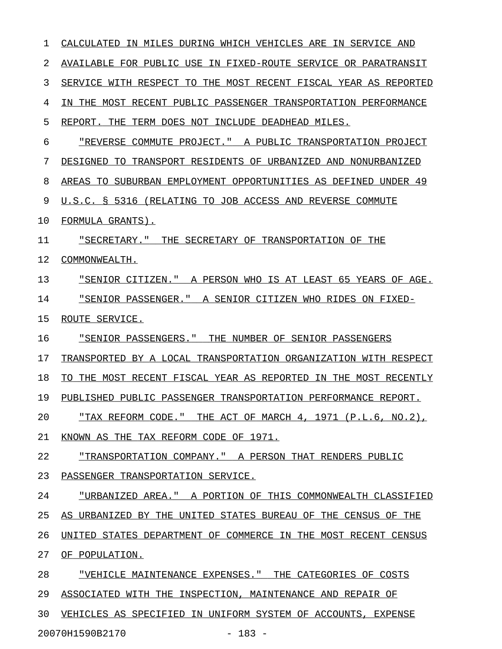| 1  | IN MILES DURING WHICH VEHICLES ARE IN SERVICE AND<br>CALCULATED     |
|----|---------------------------------------------------------------------|
| 2  | AVAILABLE FOR PUBLIC USE IN FIXED-ROUTE SERVICE OR PARATRANSIT      |
| 3  | SERVICE WITH RESPECT TO THE MOST RECENT FISCAL YEAR AS REPORTED     |
| 4  | THE MOST RECENT PUBLIC PASSENGER TRANSPORTATION PERFORMANCE<br>TN.  |
| 5  | REPORT.<br>THE<br>TERM DOES NOT INCLUDE DEADHEAD MILES.             |
| 6  | "REVERSE COMMUTE PROJECT." A PUBLIC TRANSPORTATION PROJECT          |
| 7  | TRANSPORT RESIDENTS OF URBANIZED AND NONURBANIZED<br>DESIGNED<br>TО |
| 8  | SUBURBAN EMPLOYMENT OPPORTUNITIES AS DEFINED UNDER 49<br>AREAS TO   |
| 9  | U.S.C. § 5316 (RELATING TO JOB ACCESS AND REVERSE COMMUTE           |
| 10 | FORMULA GRANTS).                                                    |
| 11 | "SECRETARY."<br>THE SECRETARY OF TRANSPORTATION OF THE              |
| 12 | COMMONWEALTH.                                                       |
| 13 | "SENIOR CITIZEN."<br>A PERSON WHO IS AT LEAST 65 YEARS OF AGE.      |
| 14 | "SENIOR PASSENGER." A SENIOR CITIZEN WHO RIDES ON FIXED-            |
| 15 | ROUTE SERVICE.                                                      |
| 16 | "SENIOR PASSENGERS."<br>THE NUMBER OF SENIOR PASSENGERS             |
| 17 | TRANSPORTED BY A LOCAL TRANSPORTATION ORGANIZATION WITH RESPECT     |
| 18 | THE MOST RECENT FISCAL YEAR AS REPORTED IN THE MOST RECENTLY<br>TО  |
| 19 | PUBLISHED PUBLIC PASSENGER TRANSPORTATION PERFORMANCE REPORT.       |
| 20 | <u>"TAX REFORM CODE." THE ACT OF MARCH 4, 1971 (P.L.6, NO.2),</u>   |
| 21 | KNOWN AS THE TAX REFORM CODE OF 1971.                               |
| 22 | "TRANSPORTATION COMPANY." A PERSON THAT RENDERS PUBLIC              |
| 23 | PASSENGER TRANSPORTATION SERVICE.                                   |
| 24 | "URBANIZED AREA." A PORTION OF THIS COMMONWEALTH CLASSIFIED         |
| 25 | AS URBANIZED BY THE UNITED STATES BUREAU OF THE CENSUS OF THE       |
| 26 | UNITED STATES DEPARTMENT OF COMMERCE IN THE MOST RECENT CENSUS      |
| 27 | OF POPULATION.                                                      |
| 28 | <u>"VEHICLE MAINTENANCE EXPENSES." THE CATEGORIES OF COSTS</u>      |
| 29 | ASSOCIATED WITH THE INSPECTION, MAINTENANCE AND REPAIR OF           |
| 30 | VEHICLES AS SPECIFIED IN UNIFORM SYSTEM OF ACCOUNTS, EXPENSE        |
|    |                                                                     |

20070H1590B2170 - 183 -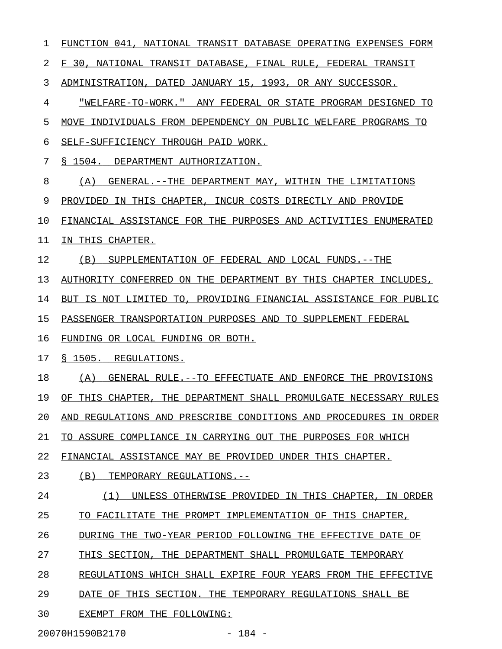1 FUNCTION 041, NATIONAL TRANSIT DATABASE OPERATING EXPENSES FORM 2 F 30, NATIONAL TRANSIT DATABASE, FINAL RULE, FEDERAL TRANSIT 3 ADMINISTRATION, DATED JANUARY 15, 1993, OR ANY SUCCESSOR. 4 "WELFARE-TO-WORK." ANY FEDERAL OR STATE PROGRAM DESIGNED TO 5 MOVE INDIVIDUALS FROM DEPENDENCY ON PUBLIC WELFARE PROGRAMS TO 6 SELF-SUFFICIENCY THROUGH PAID WORK. 7 § 1504. DEPARTMENT AUTHORIZATION. 8 (A) GENERAL.--THE DEPARTMENT MAY, WITHIN THE LIMITATIONS 9 PROVIDED IN THIS CHAPTER, INCUR COSTS DIRECTLY AND PROVIDE 10 FINANCIAL ASSISTANCE FOR THE PURPOSES AND ACTIVITIES ENUMERATED 11 IN THIS CHAPTER. 12 (B) SUPPLEMENTATION OF FEDERAL AND LOCAL FUNDS.--THE 13 AUTHORITY CONFERRED ON THE DEPARTMENT BY THIS CHAPTER INCLUDES, 14 BUT IS NOT LIMITED TO, PROVIDING FINANCIAL ASSISTANCE FOR PUBLIC 15 PASSENGER TRANSPORTATION PURPOSES AND TO SUPPLEMENT FEDERAL 16 FUNDING OR LOCAL FUNDING OR BOTH. 17 § 1505. REGULATIONS. 18 (A) GENERAL RULE.--TO EFFECTUATE AND ENFORCE THE PROVISIONS 19 OF THIS CHAPTER, THE DEPARTMENT SHALL PROMULGATE NECESSARY RULES 20 AND REGULATIONS AND PRESCRIBE CONDITIONS AND PROCEDURES IN ORDER 21 TO ASSURE COMPLIANCE IN CARRYING OUT THE PURPOSES FOR WHICH 22 FINANCIAL ASSISTANCE MAY BE PROVIDED UNDER THIS CHAPTER. 23 (B) TEMPORARY REGULATIONS.--24 (1) UNLESS OTHERWISE PROVIDED IN THIS CHAPTER, IN ORDER 25 TO FACILITATE THE PROMPT IMPLEMENTATION OF THIS CHAPTER, 26 DURING THE TWO-YEAR PERIOD FOLLOWING THE EFFECTIVE DATE OF 27 THIS SECTION, THE DEPARTMENT SHALL PROMULGATE TEMPORARY 28 REGULATIONS WHICH SHALL EXPIRE FOUR YEARS FROM THE EFFECTIVE 29 DATE OF THIS SECTION. THE TEMPORARY REGULATIONS SHALL BE 30 EXEMPT FROM THE FOLLOWING:

20070H1590B2170 - 184 -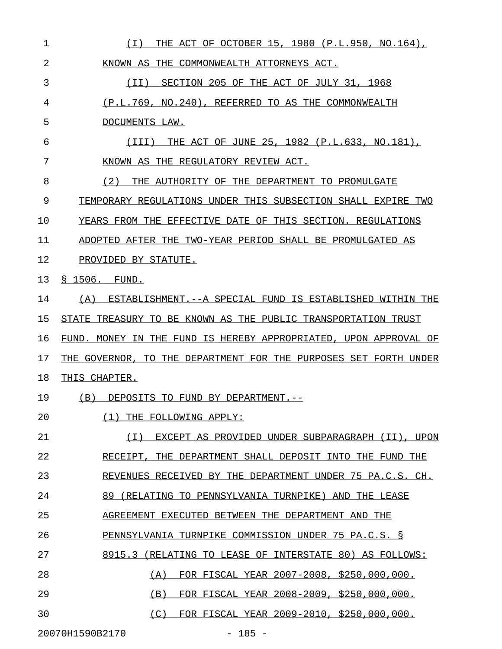| 1  | THE ACT OF OCTOBER 15, 1980 (P.L.950, NO.164),<br>( I )          |
|----|------------------------------------------------------------------|
| 2  | KNOWN AS THE COMMONWEALTH ATTORNEYS ACT.                         |
| 3  | ( I I )<br>SECTION 205 OF THE ACT OF JULY 31, 1968               |
| 4  | (P.L.769, NO.240), REFERRED TO AS THE COMMONWEALTH               |
| 5  | DOCUMENTS LAW.                                                   |
| 6  | THE ACT OF JUNE 25, 1982 (P.L.633, NO.181),<br>(III)             |
| 7  | KNOWN AS THE REGULATORY REVIEW ACT.                              |
| 8  | (2)<br>THE AUTHORITY OF THE DEPARTMENT TO PROMULGATE             |
| 9  | TEMPORARY REGULATIONS UNDER THIS SUBSECTION SHALL EXPIRE TWO     |
| 10 | YEARS FROM THE EFFECTIVE DATE OF THIS SECTION. REGULATIONS       |
| 11 | ADOPTED AFTER THE TWO-YEAR PERIOD SHALL BE PROMULGATED AS        |
| 12 | PROVIDED BY STATUTE.                                             |
| 13 | § 1506. FUND.                                                    |
| 14 | (A) ESTABLISHMENT.--A SPECIAL FUND IS ESTABLISHED WITHIN THE     |
| 15 | STATE TREASURY TO BE KNOWN AS THE PUBLIC TRANSPORTATION TRUST    |
| 16 | FUND. MONEY IN THE FUND IS HEREBY APPROPRIATED, UPON APPROVAL OF |
| 17 | THE GOVERNOR, TO THE DEPARTMENT FOR THE PURPOSES SET FORTH UNDER |
| 18 | <u>THIS CHAPTER.</u>                                             |
| 19 | (B) DEPOSITS TO FUND BY DEPARTMENT.--                            |
| 20 | (1)<br>THE FOLLOWING APPLY:                                      |
| 21 | EXCEPT AS PROVIDED UNDER SUBPARAGRAPH (II), UPON<br>( I )        |
| 22 | RECEIPT, THE DEPARTMENT SHALL DEPOSIT INTO THE FUND THE          |
| 23 | REVENUES RECEIVED BY THE DEPARTMENT UNDER 75 PA.C.S. CH.         |
| 24 | 89 (RELATING TO PENNSYLVANIA TURNPIKE) AND THE LEASE             |
| 25 | AGREEMENT EXECUTED BETWEEN THE DEPARTMENT AND THE                |
| 26 | PENNSYLVANIA TURNPIKE COMMISSION UNDER 75 PA.C.S. §              |
| 27 | 8915.3 (RELATING TO LEASE OF INTERSTATE 80) AS FOLLOWS:          |
| 28 | FOR FISCAL YEAR 2007-2008, \$250,000,000.<br>(A)                 |
| 29 | FOR FISCAL YEAR 2008-2009, \$250,000,000.<br>(B)                 |
| 30 | FOR FISCAL YEAR 2009-2010, \$250,000,000.<br>(C)                 |
|    | 20070H1590B2170<br>$-185 -$                                      |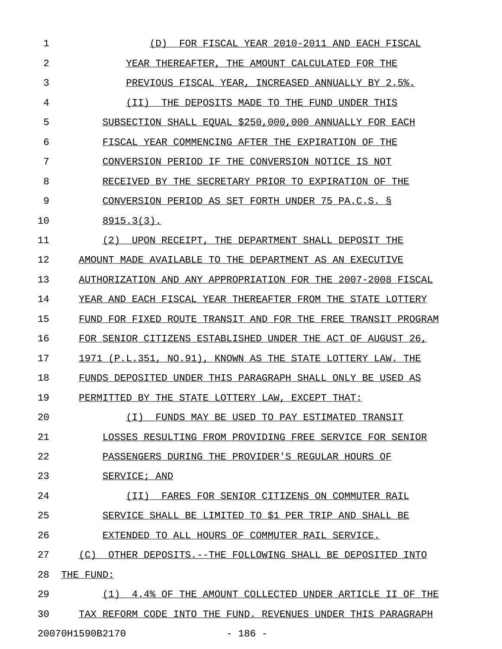| 1  | FOR FISCAL YEAR 2010-2011 AND EACH FISCAL<br>(D)               |
|----|----------------------------------------------------------------|
| 2  | YEAR THEREAFTER, THE AMOUNT CALCULATED FOR THE                 |
| 3  | PREVIOUS FISCAL YEAR, INCREASED ANNUALLY BY 2.5%.              |
| 4  | THE DEPOSITS MADE TO THE FUND UNDER THIS<br>(II)               |
| 5  | SUBSECTION SHALL EQUAL \$250,000,000 ANNUALLY FOR EACH         |
| 6  | FISCAL YEAR COMMENCING AFTER THE EXPIRATION OF THE             |
| 7  | CONVERSION PERIOD IF THE CONVERSION NOTICE IS NOT              |
| 8  | RECEIVED BY THE SECRETARY PRIOR TO EXPIRATION OF THE           |
| 9  | CONVERSION PERIOD AS SET FORTH UNDER 75 PA.C.S. §              |
| 10 | $8915.3(3)$ .                                                  |
| 11 | (2)<br>UPON RECEIPT, THE DEPARTMENT SHALL DEPOSIT THE          |
| 12 | AMOUNT MADE AVAILABLE TO THE DEPARTMENT AS AN EXECUTIVE        |
| 13 | AUTHORIZATION AND ANY APPROPRIATION FOR THE 2007-2008 FISCAL   |
| 14 | YEAR AND EACH FISCAL YEAR THEREAFTER FROM THE STATE LOTTERY    |
| 15 | FUND FOR FIXED ROUTE TRANSIT AND FOR THE FREE TRANSIT PROGRAM  |
| 16 | FOR SENIOR CITIZENS ESTABLISHED UNDER THE ACT OF AUGUST 26,    |
| 17 | 1971 (P.L.351, NO.91), KNOWN AS THE STATE LOTTERY LAW. THE     |
| 18 | FUNDS DEPOSITED UNDER THIS PARAGRAPH SHALL ONLY BE USED AS     |
| 19 | PERMITTED BY THE STATE LOTTERY LAW, EXCEPT THAT:               |
| 20 | $(\top)$<br>FUNDS MAY BE USED TO PAY ESTIMATED TRANSIT         |
| 21 | LOSSES RESULTING FROM PROVIDING FREE SERVICE FOR SENIOR        |
| 22 | PASSENGERS DURING THE PROVIDER'S REGULAR HOURS OF              |
| 23 | SERVICE; AND                                                   |
| 24 | FARES FOR SENIOR CITIZENS ON COMMUTER RAIL<br>( I I )          |
| 25 | SERVICE SHALL BE LIMITED TO \$1 PER TRIP AND SHALL BE          |
| 26 | EXTENDED TO ALL HOURS OF COMMUTER RAIL SERVICE.                |
| 27 | (C)<br>OTHER DEPOSITS. --THE FOLLOWING SHALL BE DEPOSITED INTO |
| 28 | THE FUND:                                                      |
| 29 | (1)<br>4.4% OF THE AMOUNT COLLECTED UNDER ARTICLE II OF THE    |
| 30 | TAX REFORM CODE INTO THE FUND. REVENUES UNDER THIS PARAGRAPH   |
|    |                                                                |

20070H1590B2170 - 186 -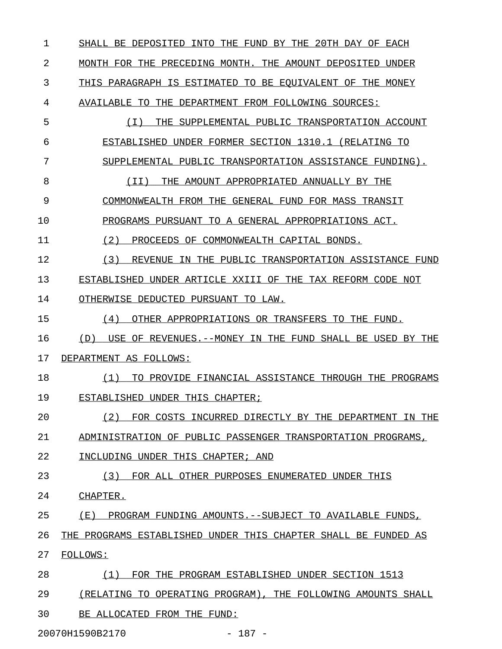1 SHALL BE DEPOSITED INTO THE FUND BY THE 20TH DAY OF EACH 2 MONTH FOR THE PRECEDING MONTH. THE AMOUNT DEPOSITED UNDER 3 THIS PARAGRAPH IS ESTIMATED TO BE EQUIVALENT OF THE MONEY 4 AVAILABLE TO THE DEPARTMENT FROM FOLLOWING SOURCES: 5 (I) THE SUPPLEMENTAL PUBLIC TRANSPORTATION ACCOUNT \_\_\_\_\_\_\_\_\_\_\_\_\_\_\_\_\_\_\_\_\_\_\_\_\_\_\_\_\_\_\_\_\_\_\_\_\_\_\_\_\_\_\_\_\_\_\_\_\_\_\_ 6 ESTABLISHED UNDER FORMER SECTION 1310.1 (RELATING TO 7 SUPPLEMENTAL PUBLIC TRANSPORTATION ASSISTANCE FUNDING). 8 (II) THE AMOUNT APPROPRIATED ANNUALLY BY THE 9 COMMONWEALTH FROM THE GENERAL FUND FOR MASS TRANSIT 10 PROGRAMS PURSUANT TO A GENERAL APPROPRIATIONS ACT. 11 (2) PROCEEDS OF COMMONWEALTH CAPITAL BONDS. 12 (3) REVENUE IN THE PUBLIC TRANSPORTATION ASSISTANCE FUND \_\_\_\_\_\_\_\_\_\_\_\_\_\_\_\_\_\_\_\_\_\_\_\_\_\_\_\_\_\_\_\_\_\_\_\_\_\_\_\_\_\_\_\_\_\_\_\_\_\_\_\_\_\_\_\_\_ 13 ESTABLISHED UNDER ARTICLE XXIII OF THE TAX REFORM CODE NOT 14 OTHERWISE DEDUCTED PURSUANT TO LAW. 15 (4) OTHER APPROPRIATIONS OR TRANSFERS TO THE FUND. 16 (D) USE OF REVENUES.--MONEY IN THE FUND SHALL BE USED BY THE 17 DEPARTMENT AS FOLLOWS: 18 (1) TO PROVIDE FINANCIAL ASSISTANCE THROUGH THE PROGRAMS \_\_\_\_\_\_\_\_\_\_\_\_\_\_\_\_\_\_\_\_\_\_\_\_\_\_\_\_\_\_\_\_\_\_\_\_\_\_\_\_\_\_\_\_\_\_\_\_\_\_\_\_\_\_\_\_\_ 19 ESTABLISHED UNDER THIS CHAPTER; 20 (2) FOR COSTS INCURRED DIRECTLY BY THE DEPARTMENT IN THE \_\_\_\_\_\_\_\_\_\_\_\_\_\_\_\_\_\_\_\_\_\_\_\_\_\_\_\_\_\_\_\_\_\_\_\_\_\_\_\_\_\_\_\_\_\_\_\_\_\_\_\_\_\_\_\_\_ 21 ADMINISTRATION OF PUBLIC PASSENGER TRANSPORTATION PROGRAMS, 22 INCLUDING UNDER THIS CHAPTER; AND 23 (3) FOR ALL OTHER PURPOSES ENUMERATED UNDER THIS 24 CHAPTER. 25 (E) PROGRAM FUNDING AMOUNTS.--SUBJECT TO AVAILABLE FUNDS, 26 THE PROGRAMS ESTABLISHED UNDER THIS CHAPTER SHALL BE FUNDED AS 27 FOLLOWS: 28 (1) FOR THE PROGRAM ESTABLISHED UNDER SECTION 1513 29 (RELATING TO OPERATING PROGRAM), THE FOLLOWING AMOUNTS SHALL 30 BE ALLOCATED FROM THE FUND:

20070H1590B2170 - 187 -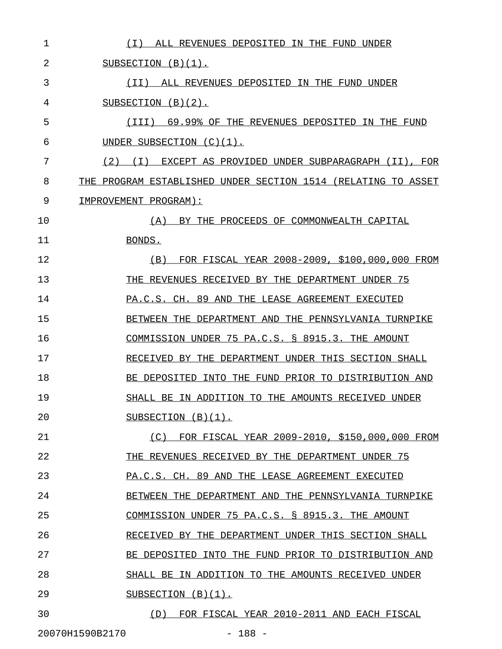| 1  | (I) ALL REVENUES DEPOSITED IN THE FUND UNDER                  |
|----|---------------------------------------------------------------|
| 2  | SUBSECTION $(B)(1)$ .                                         |
| 3  | (II) ALL REVENUES DEPOSITED IN THE FUND UNDER                 |
| 4  | SUBSECTION $(B)(2)$ .                                         |
| 5  | 69.99% OF THE REVENUES DEPOSITED IN THE FUND<br>(III)         |
| 6  | UNDER SUBSECTION $(C)(1)$ .                                   |
| 7  | (2) (I) EXCEPT AS PROVIDED UNDER SUBPARAGRAPH (II), FOR       |
| 8  | THE PROGRAM ESTABLISHED UNDER SECTION 1514 (RELATING TO ASSET |
| 9  | IMPROVEMENT PROGRAM):                                         |
| 10 | BY THE PROCEEDS OF COMMONWEALTH CAPITAL<br>(A)                |
| 11 | BONDS.                                                        |
| 12 | (B) FOR FISCAL YEAR 2008-2009, \$100,000,000 FROM             |
| 13 | THE REVENUES RECEIVED BY THE DEPARTMENT UNDER 75              |
| 14 | PA.C.S. CH. 89 AND THE LEASE AGREEMENT EXECUTED               |
| 15 | BETWEEN THE DEPARTMENT AND THE PENNSYLVANIA TURNPIKE          |
| 16 | COMMISSION UNDER 75 PA.C.S. § 8915.3. THE AMOUNT              |
| 17 | RECEIVED BY THE DEPARTMENT UNDER THIS SECTION SHALL           |
| 18 | BE DEPOSITED<br>INTO THE FUND PRIOR TO DISTRIBUTION AND       |
| 19 | SHALL BE IN ADDITION TO THE AMOUNTS RECEIVED UNDER            |
| 20 | SUBSECTION $(B)(1)$ .                                         |
| 21 | FOR FISCAL YEAR 2009-2010, \$150,000,000 FROM<br>(C)          |
| 22 | THE REVENUES RECEIVED BY THE DEPARTMENT UNDER 75              |
| 23 | PA.C.S. CH. 89 AND THE LEASE AGREEMENT EXECUTED               |
| 24 | BETWEEN THE DEPARTMENT AND THE PENNSYLVANIA TURNPIKE          |
| 25 | COMMISSION UNDER 75 PA.C.S. § 8915.3. THE AMOUNT              |
| 26 | RECEIVED BY THE DEPARTMENT UNDER THIS SECTION SHALL           |
| 27 | INTO THE FUND PRIOR TO DISTRIBUTION AND<br>BE DEPOSITED       |
| 28 | SHALL BE IN ADDITION TO<br>THE AMOUNTS RECEIVED UNDER         |
| 29 | SUBSECTION $(B)(1)$ .                                         |
| 30 | FOR FISCAL YEAR 2010-2011 AND EACH FISCAL<br>(D)              |

20070H1590B2170 - 188 -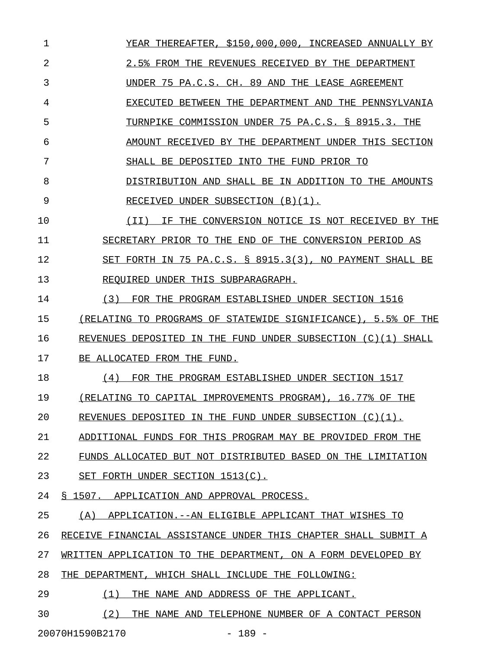1 YEAR THEREAFTER, \$150,000,000, INCREASED ANNUALLY BY 2 2.5% FROM THE REVENUES RECEIVED BY THE DEPARTMENT 3 UNDER 75 PA.C.S. CH. 89 AND THE LEASE AGREEMENT 4 EXECUTED BETWEEN THE DEPARTMENT AND THE PENNSYLVANIA 5 TURNPIKE COMMISSION UNDER 75 PA.C.S. § 8915.3. THE 6 AMOUNT RECEIVED BY THE DEPARTMENT UNDER THIS SECTION 7 SHALL BE DEPOSITED INTO THE FUND PRIOR TO 8 DISTRIBUTION AND SHALL BE IN ADDITION TO THE AMOUNTS 9 RECEIVED UNDER SUBSECTION (B)(1). 10  $(II)$  IF THE CONVERSION NOTICE IS NOT RECEIVED BY THE 11 SECRETARY PRIOR TO THE END OF THE CONVERSION PERIOD AS 12 SET FORTH IN 75 PA.C.S. § 8915.3(3), NO PAYMENT SHALL BE 13 REQUIRED UNDER THIS SUBPARAGRAPH. 14 (3) FOR THE PROGRAM ESTABLISHED UNDER SECTION 1516 15 (RELATING TO PROGRAMS OF STATEWIDE SIGNIFICANCE), 5.5% OF THE 16 REVENUES DEPOSITED IN THE FUND UNDER SUBSECTION (C)(1) SHALL 17 BE ALLOCATED FROM THE FUND. 18 (4) FOR THE PROGRAM ESTABLISHED UNDER SECTION 1517 19 (RELATING TO CAPITAL IMPROVEMENTS PROGRAM), 16.77% OF THE 20 REVENUES DEPOSITED IN THE FUND UNDER SUBSECTION  $(C)(1)$ . 21 ADDITIONAL FUNDS FOR THIS PROGRAM MAY BE PROVIDED FROM THE 22 FUNDS ALLOCATED BUT NOT DISTRIBUTED BASED ON THE LIMITATION 23 SET FORTH UNDER SECTION 1513(C). 24 § 1507. APPLICATION AND APPROVAL PROCESS. 25 (A) APPLICATION.--AN ELIGIBLE APPLICANT THAT WISHES TO 26 RECEIVE FINANCIAL ASSISTANCE UNDER THIS CHAPTER SHALL SUBMIT A 27 WRITTEN APPLICATION TO THE DEPARTMENT, ON A FORM DEVELOPED BY 28 THE DEPARTMENT, WHICH SHALL INCLUDE THE FOLLOWING: 29 (1) THE NAME AND ADDRESS OF THE APPLICANT. 30 (2) THE NAME AND TELEPHONE NUMBER OF A CONTACT PERSON

20070H1590B2170 - 189 -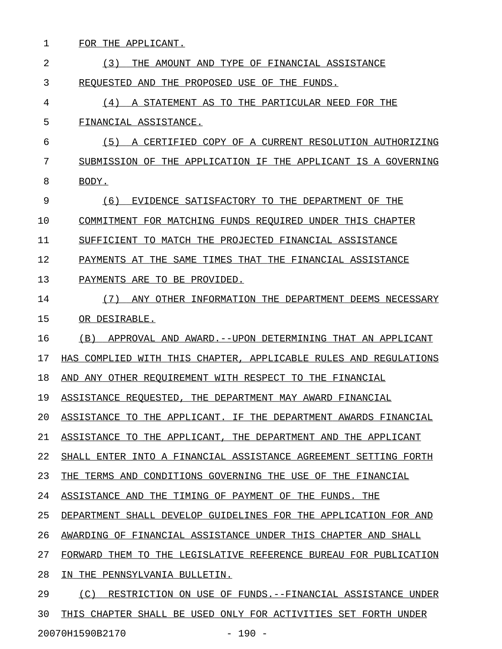| 1  | FOR THE APPLICANT.                                                                |
|----|-----------------------------------------------------------------------------------|
| 2  | (3)<br>THE AMOUNT AND TYPE OF FINANCIAL ASSISTANCE                                |
| 3  | REOUESTED AND THE PROPOSED USE OF THE FUNDS.                                      |
| 4  | (4)<br>A STATEMENT AS TO THE PARTICULAR NEED FOR THE                              |
| 5  | FINANCIAL ASSISTANCE.                                                             |
| 6  | (5)<br>A CERTIFIED COPY OF A CURRENT RESOLUTION AUTHORIZING                       |
| 7  | SUBMISSION OF THE APPLICATION IF THE APPLICANT IS A GOVERNING                     |
| 8  | BODY.                                                                             |
| 9  | (6)<br>EVIDENCE SATISFACTORY TO THE DEPARTMENT OF THE                             |
| 10 | COMMITMENT FOR MATCHING FUNDS REQUIRED UNDER THIS CHAPTER                         |
| 11 | SUFFICIENT TO MATCH THE PROJECTED FINANCIAL ASSISTANCE                            |
| 12 | PAYMENTS AT THE SAME TIMES THAT THE FINANCIAL ASSISTANCE                          |
| 13 | PAYMENTS ARE TO BE PROVIDED.                                                      |
| 14 | (7)<br>ANY OTHER INFORMATION THE DEPARTMENT DEEMS NECESSARY                       |
| 15 | OR DESIRABLE.                                                                     |
| 16 | (B)<br>APPROVAL AND AWARD. -- UPON DETERMINING THAT AN APPLICANT                  |
| 17 | HAS COMPLIED WITH THIS CHAPTER, APPLICABLE RULES AND REGULATIONS                  |
| 18 | AND ANY OTHER REQUIREMENT WITH RESPECT TO THE FINANCIAL                           |
| 19 | ASSISTANCE REQUESTED, THE DEPARTMENT MAY AWARD FINANCIAL                          |
| 20 | ASSISTANCE<br>TO.<br>THE APPLICANT.<br>TF.<br>THE.<br>DEPARTMENT AWARDS FINANCIAL |
| 21 | THE DEPARTMENT AND<br>ASSISTANCE TO<br>THE APPLICANT,<br>THE APPLICANT            |
| 22 | SHALL ENTER INTO A FINANCIAL ASSISTANCE AGREEMENT SETTING FORTH                   |
| 23 | THE TERMS AND CONDITIONS GOVERNING THE USE OF THE<br>FINANCIAL                    |
| 24 | ASSISTANCE AND THE<br>TIMING OF PAYMENT OF THE<br>FUNDS.<br>THE                   |
| 25 | DEPARTMENT SHALL DEVELOP GUIDELINES FOR THE APPLICATION FOR AND                   |
| 26 | AWARDING OF FINANCIAL ASSISTANCE UNDER THIS CHAPTER AND<br>SHALL                  |
| 27 | FORWARD<br>THEM<br>TO.<br>THE<br>LEGISLATIVE REFERENCE BUREAU FOR PUBLICATION     |
| 28 | THE<br>PENNSYLVANIA BULLETIN.<br>IN.                                              |
| 29 | (C)<br>RESTRICTION ON USE OF FUNDS.--FINANCIAL ASSISTANCE UNDER                   |
| 30 | THIS CHAPTER SHALL BE USED ONLY FOR ACTIVITIES SET FORTH UNDER                    |

20070H1590B2170 - 190 -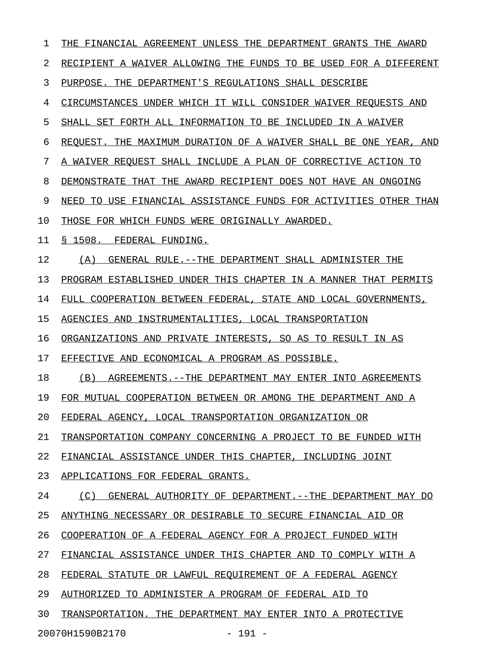| 1  | THE FINANCIAL AGREEMENT UNLESS THE DEPARTMENT GRANTS THE AWARD   |
|----|------------------------------------------------------------------|
| 2  | RECIPIENT A WAIVER ALLOWING THE FUNDS TO BE USED FOR A DIFFERENT |
| 3  | PURPOSE. THE DEPARTMENT'S REGULATIONS SHALL DESCRIBE             |
| 4  | CIRCUMSTANCES UNDER WHICH IT WILL CONSIDER WAIVER REQUESTS AND   |
| 5  | SHALL SET FORTH ALL INFORMATION TO BE INCLUDED IN A WAIVER       |
| 6  | REQUEST. THE MAXIMUM DURATION OF A WAIVER SHALL BE ONE YEAR, AND |
| 7  | A WAIVER REOUEST SHALL INCLUDE A PLAN OF CORRECTIVE ACTION TO    |
| 8  | DEMONSTRATE THAT THE AWARD RECIPIENT DOES NOT HAVE AN ONGOING    |
| 9  | NEED TO USE FINANCIAL ASSISTANCE FUNDS FOR ACTIVITIES OTHER THAN |
| 10 | THOSE FOR WHICH FUNDS WERE ORIGINALLY AWARDED.                   |
| 11 | S 1508.<br>FEDERAL FUNDING.                                      |
| 12 | GENERAL RULE.--THE DEPARTMENT SHALL ADMINISTER THE<br>(A)        |
| 13 | PROGRAM ESTABLISHED UNDER THIS CHAPTER IN A MANNER THAT PERMITS  |
| 14 | FULL COOPERATION BETWEEN FEDERAL, STATE AND LOCAL GOVERNMENTS,   |
| 15 | AGENCIES AND INSTRUMENTALITIES, LOCAL TRANSPORTATION             |
| 16 | ORGANIZATIONS AND PRIVATE INTERESTS, SO AS TO RESULT IN AS       |
| 17 | EFFECTIVE AND ECONOMICAL A PROGRAM AS POSSIBLE.                  |
| 18 | (B)<br>AGREEMENTS.--THE DEPARTMENT MAY ENTER INTO AGREEMENTS     |
| 19 | FOR MUTUAL COOPERATION BETWEEN OR AMONG THE DEPARTMENT AND A     |
| 20 | FEDERAL AGENCY, LOCAL TRANSPORTATION ORGANIZATION OR             |
| 21 | TRANSPORTATION COMPANY CONCERNING A PROJECT TO BE FUNDED WITH    |
| 22 | FINANCIAL ASSISTANCE UNDER THIS CHAPTER, INCLUDING JOINT         |
| 23 | APPLICATIONS FOR FEDERAL GRANTS.                                 |
| 24 | GENERAL AUTHORITY OF DEPARTMENT. --THE DEPARTMENT MAY DO<br>(C)  |
| 25 | ANYTHING NECESSARY OR DESIRABLE TO SECURE FINANCIAL AID OR       |
| 26 | COOPERATION OF A FEDERAL AGENCY FOR A PROJECT FUNDED WITH        |
| 27 | FINANCIAL ASSISTANCE UNDER THIS CHAPTER AND TO COMPLY WITH A     |
| 28 | FEDERAL STATUTE OR LAWFUL REQUIREMENT OF A FEDERAL AGENCY        |
| 29 | AUTHORIZED TO ADMINISTER A PROGRAM OF FEDERAL AID TO             |
| 30 | TRANSPORTATION. THE DEPARTMENT MAY ENTER INTO A PROTECTIVE       |
|    | 20070H1590B2170<br>$-191 -$                                      |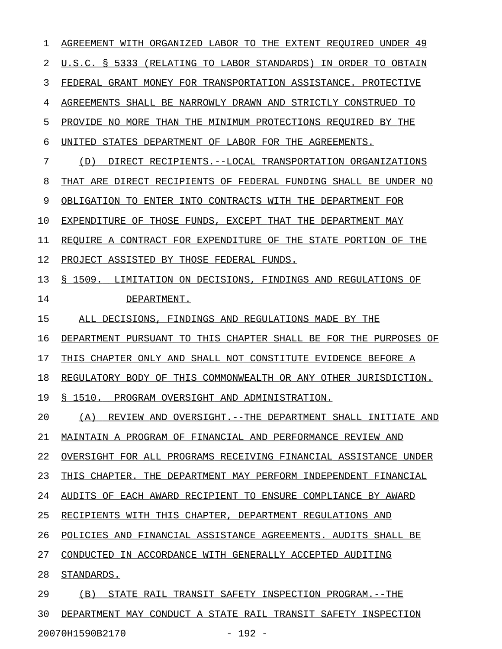1 AGREEMENT WITH ORGANIZED LABOR TO THE EXTENT REQUIRED UNDER 49 2 U.S.C. § 5333 (RELATING TO LABOR STANDARDS) IN ORDER TO OBTAIN 3 FEDERAL GRANT MONEY FOR TRANSPORTATION ASSISTANCE. PROTECTIVE 4 AGREEMENTS SHALL BE NARROWLY DRAWN AND STRICTLY CONSTRUED TO 5 PROVIDE NO MORE THAN THE MINIMUM PROTECTIONS REQUIRED BY THE 6 UNITED STATES DEPARTMENT OF LABOR FOR THE AGREEMENTS. 7 (D) DIRECT RECIPIENTS.--LOCAL TRANSPORTATION ORGANIZATIONS 8 THAT ARE DIRECT RECIPIENTS OF FEDERAL FUNDING SHALL BE UNDER NO 9 OBLIGATION TO ENTER INTO CONTRACTS WITH THE DEPARTMENT FOR 10 EXPENDITURE OF THOSE FUNDS, EXCEPT THAT THE DEPARTMENT MAY 11 REQUIRE A CONTRACT FOR EXPENDITURE OF THE STATE PORTION OF THE 12 PROJECT ASSISTED BY THOSE FEDERAL FUNDS. 13 § 1509. LIMITATION ON DECISIONS, FINDINGS AND REGULATIONS OF 14 DEPARTMENT. 15 ALL DECISIONS, FINDINGS AND REGULATIONS MADE BY THE 16 DEPARTMENT PURSUANT TO THIS CHAPTER SHALL BE FOR THE PURPOSES OF 17 THIS CHAPTER ONLY AND SHALL NOT CONSTITUTE EVIDENCE BEFORE A 18 REGULATORY BODY OF THIS COMMONWEALTH OR ANY OTHER JURISDICTION. 19 § 1510. PROGRAM OVERSIGHT AND ADMINISTRATION. 20 (A) REVIEW AND OVERSIGHT.--THE DEPARTMENT SHALL INITIATE AND 21 MAINTAIN A PROGRAM OF FINANCIAL AND PERFORMANCE REVIEW AND 22 OVERSIGHT FOR ALL PROGRAMS RECEIVING FINANCIAL ASSISTANCE UNDER 23 THIS CHAPTER. THE DEPARTMENT MAY PERFORM INDEPENDENT FINANCIAL 24 AUDITS OF EACH AWARD RECIPIENT TO ENSURE COMPLIANCE BY AWARD 25 RECIPIENTS WITH THIS CHAPTER, DEPARTMENT REGULATIONS AND 26 POLICIES AND FINANCIAL ASSISTANCE AGREEMENTS. AUDITS SHALL BE 27 CONDUCTED IN ACCORDANCE WITH GENERALLY ACCEPTED AUDITING 28 STANDARDS. 29 (B) STATE RAIL TRANSIT SAFETY INSPECTION PROGRAM.--THE 30 DEPARTMENT MAY CONDUCT A STATE RAIL TRANSIT SAFETY INSPECTION

20070H1590B2170 - 192 -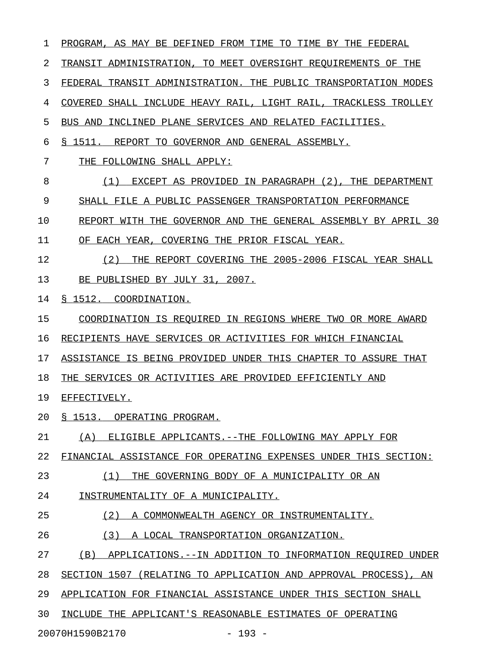1 PROGRAM, AS MAY BE DEFINED FROM TIME TO TIME BY THE FEDERAL 2 TRANSIT ADMINISTRATION, TO MEET OVERSIGHT REQUIREMENTS OF THE 3 FEDERAL TRANSIT ADMINISTRATION. THE PUBLIC TRANSPORTATION MODES 4 COVERED SHALL INCLUDE HEAVY RAIL, LIGHT RAIL, TRACKLESS TROLLEY 5 BUS AND INCLINED PLANE SERVICES AND RELATED FACILITIES. 6 § 1511. REPORT TO GOVERNOR AND GENERAL ASSEMBLY. 7 THE FOLLOWING SHALL APPLY: 8 (1) EXCEPT AS PROVIDED IN PARAGRAPH (2), THE DEPARTMENT 9 SHALL FILE A PUBLIC PASSENGER TRANSPORTATION PERFORMANCE 10 REPORT WITH THE GOVERNOR AND THE GENERAL ASSEMBLY BY APRIL 30 11 OF EACH YEAR, COVERING THE PRIOR FISCAL YEAR. 12 (2) THE REPORT COVERING THE 2005-2006 FISCAL YEAR SHALL \_\_\_\_\_\_\_\_\_\_\_\_\_\_\_\_\_\_\_\_\_\_\_\_\_\_\_\_\_\_\_\_\_\_\_\_\_\_\_\_\_\_\_\_\_\_\_\_\_\_\_\_\_\_\_\_ 13 BE PUBLISHED BY JULY 31, 2007. 14 § 1512. COORDINATION. 15 COORDINATION IS REQUIRED IN REGIONS WHERE TWO OR MORE AWARD 16 RECIPIENTS HAVE SERVICES OR ACTIVITIES FOR WHICH FINANCIAL 17 ASSISTANCE IS BEING PROVIDED UNDER THIS CHAPTER TO ASSURE THAT 18 THE SERVICES OR ACTIVITIES ARE PROVIDED EFFICIENTLY AND 19 EFFECTIVELY. 20 § 1513. OPERATING PROGRAM. 21 (A) ELIGIBLE APPLICANTS.--THE FOLLOWING MAY APPLY FOR 22 FINANCIAL ASSISTANCE FOR OPERATING EXPENSES UNDER THIS SECTION: 23 (1) THE GOVERNING BODY OF A MUNICIPALITY OR AN \_\_\_\_\_\_\_\_\_\_\_\_\_\_\_\_\_\_\_\_\_\_\_\_\_\_\_\_\_\_\_\_\_\_\_\_\_\_\_\_\_\_\_\_\_\_\_ 24 INSTRUMENTALITY OF A MUNICIPALITY. 25 (2) A COMMONWEALTH AGENCY OR INSTRUMENTALITY. 26 (3) A LOCAL TRANSPORTATION ORGANIZATION. 27 (B) APPLICATIONS.--IN ADDITION TO INFORMATION REQUIRED UNDER 28 SECTION 1507 (RELATING TO APPLICATION AND APPROVAL PROCESS), AN 29 APPLICATION FOR FINANCIAL ASSISTANCE UNDER THIS SECTION SHALL 30 INCLUDE THE APPLICANT'S REASONABLE ESTIMATES OF OPERATING 20070H1590B2170 - 193 -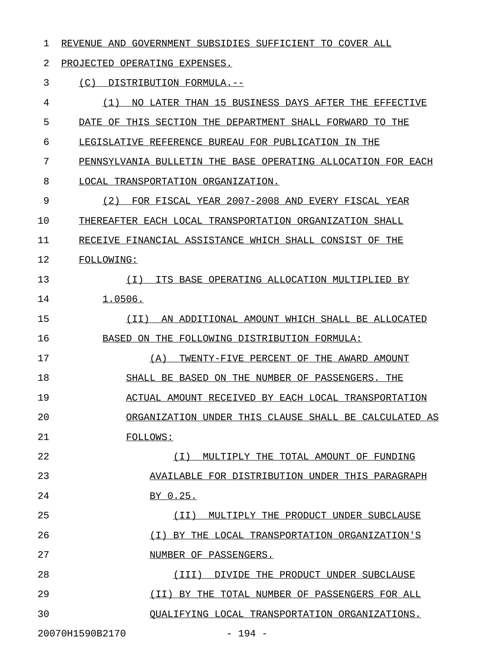### 1 REVENUE AND GOVERNMENT SUBSIDIES SUFFICIENT TO COVER ALL

2 PROJECTED OPERATING EXPENSES.

3 (C) DISTRIBUTION FORMULA.--

4 (1) NO LATER THAN 15 BUSINESS DAYS AFTER THE EFFECTIVE \_\_\_\_\_\_\_\_\_\_\_\_\_\_\_\_\_\_\_\_\_\_\_\_\_\_\_\_\_\_\_\_\_\_\_\_\_\_\_\_\_\_\_\_\_\_\_\_\_\_\_\_\_\_\_ 5 DATE OF THIS SECTION THE DEPARTMENT SHALL FORWARD TO THE 6 LEGISLATIVE REFERENCE BUREAU FOR PUBLICATION IN THE 7 PENNSYLVANIA BULLETIN THE BASE OPERATING ALLOCATION FOR EACH 8 LOCAL TRANSPORTATION ORGANIZATION. 9 (2) FOR FISCAL YEAR 2007-2008 AND EVERY FISCAL YEAR 10 THEREAFTER EACH LOCAL TRANSPORTATION ORGANIZATION SHALL 11 RECEIVE FINANCIAL ASSISTANCE WHICH SHALL CONSIST OF THE 12 FOLLOWING: 13 (I) ITS BASE OPERATING ALLOCATION MULTIPLIED BY \_\_\_\_\_\_\_\_\_\_\_\_\_\_\_\_\_\_\_\_\_\_\_\_\_\_\_\_\_\_\_\_\_\_\_\_\_\_\_\_\_\_\_\_\_\_\_\_ 1.0506. 15 (II) AN ADDITIONAL AMOUNT WHICH SHALL BE ALLOCATED \_\_\_\_\_\_\_\_\_\_\_\_\_\_\_\_\_\_\_\_\_\_\_\_\_\_\_\_\_\_\_\_\_\_\_\_\_\_\_\_\_\_\_\_\_\_\_\_\_\_\_ 16 BASED ON THE FOLLOWING DISTRIBUTION FORMULA: 17 (A) TWENTY-FIVE PERCENT OF THE AWARD AMOUNT 18 SHALL BE BASED ON THE NUMBER OF PASSENGERS. THE 19 ACTUAL AMOUNT RECEIVED BY EACH LOCAL TRANSPORTATION \_\_\_\_\_\_\_\_\_\_\_\_\_\_\_\_\_\_\_\_\_\_\_\_\_\_\_\_\_\_\_\_\_\_\_\_\_\_\_\_\_\_\_\_\_\_\_\_\_\_\_ 20 ORGANIZATION UNDER THIS CLAUSE SHALL BE CALCULATED AS \_\_\_\_\_\_\_\_\_\_\_\_\_\_\_\_\_\_\_\_\_\_\_\_\_\_\_\_\_\_\_\_\_\_\_\_\_\_\_\_\_\_\_\_\_\_\_\_\_\_\_\_\_ 21 FOLLOWS: 22 (I) MULTIPLY THE TOTAL AMOUNT OF FUNDING \_\_\_\_\_\_\_\_\_\_\_\_\_\_\_\_\_\_\_\_\_\_\_\_\_\_\_\_\_\_\_\_\_\_\_\_\_\_\_\_\_ 23 AVAILABLE FOR DISTRIBUTION UNDER THIS PARAGRAPH 24 BY 0.25. 25 (II) MULTIPLY THE PRODUCT UNDER SUBCLAUSE 26 (I) BY THE LOCAL TRANSPORTATION ORGANIZATION'S \_\_\_\_\_\_\_\_\_\_\_\_\_\_\_\_\_\_\_\_\_\_\_\_\_\_\_\_\_\_\_\_\_\_\_\_\_\_\_\_\_\_\_\_\_\_ 27 NUMBER OF PASSENGERS. 28 (III) DIVIDE THE PRODUCT UNDER SUBCLAUSE 29 (II) BY THE TOTAL NUMBER OF PASSENGERS FOR ALL \_\_\_\_\_\_\_\_\_\_\_\_\_\_\_\_\_\_\_\_\_\_\_\_\_\_\_\_\_\_\_\_\_\_\_\_\_\_\_\_\_\_\_\_\_\_ 30 QUALIFYING LOCAL TRANSPORTATION ORGANIZATIONS. \_\_\_\_\_\_\_\_\_\_\_\_\_\_\_\_\_\_\_\_\_\_\_\_\_\_\_\_\_\_\_\_\_\_\_\_\_\_\_\_\_\_\_\_\_\_ 20070H1590B2170 - 194 -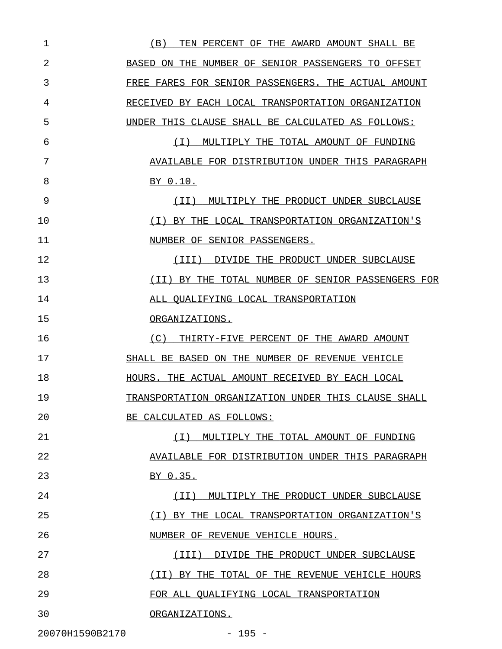| 1               | (B)<br>TEN PERCENT OF THE AWARD AMOUNT SHALL BE     |
|-----------------|-----------------------------------------------------|
| 2               | BASED ON THE NUMBER OF SENIOR PASSENGERS TO OFFSET  |
| 3               | FREE FARES FOR SENIOR PASSENGERS. THE ACTUAL AMOUNT |
| 4               | RECEIVED BY EACH LOCAL TRANSPORTATION ORGANIZATION  |
| 5               | UNDER THIS CLAUSE SHALL BE CALCULATED AS FOLLOWS:   |
| 6               | MULTIPLY THE TOTAL AMOUNT OF FUNDING<br>( I )       |
| 7               | AVAILABLE FOR DISTRIBUTION UNDER THIS PARAGRAPH     |
| 8               | BY 0.10.                                            |
| 9               | MULTIPLY THE PRODUCT UNDER SUBCLAUSE<br>( I I )     |
| 10              | (I) BY THE LOCAL TRANSPORTATION ORGANIZATION'S      |
| 11              | NUMBER OF SENIOR PASSENGERS.                        |
| 12              | (III)<br>DIVIDE THE PRODUCT UNDER SUBCLAUSE         |
| 13              | (II) BY THE TOTAL NUMBER OF SENIOR PASSENGERS FOR   |
| 14              | ALL QUALIFYING LOCAL TRANSPORTATION                 |
| 15              | ORGANIZATIONS.                                      |
| 16              | (C)<br>THIRTY-FIVE PERCENT OF THE AWARD AMOUNT      |
| 17              | SHALL BE BASED ON THE NUMBER OF REVENUE VEHICLE     |
| 18              | HOURS. THE ACTUAL AMOUNT RECEIVED BY EACH LOCAL     |
| 19              | TRANSPORTATION ORGANIZATION UNDER THIS CLAUSE SHALL |
| 20              | BE CALCULATED AS FOLLOWS:                           |
| 21              | ( I )<br>MULTIPLY THE TOTAL AMOUNT OF FUNDING       |
| 22              | AVAILABLE FOR DISTRIBUTION UNDER THIS PARAGRAPH     |
| 23              | BY 0.35.                                            |
| 24              | (TI)<br>MULTIPLY THE PRODUCT UNDER SUBCLAUSE        |
| 25              | ( I )<br>BY THE LOCAL TRANSPORTATION ORGANIZATION'S |
| 26              | NUMBER OF REVENUE VEHICLE HOURS.                    |
| 27              | DIVIDE THE PRODUCT UNDER SUBCLAUSE<br>(III)         |
| 28              | (TI)<br>BY THE TOTAL OF THE REVENUE VEHICLE HOURS   |
| 29              | FOR ALL OUALIFYING LOCAL TRANSPORTATION             |
| 30              | ORGANIZATIONS.                                      |
| 20070H1590B2170 | $-195 -$                                            |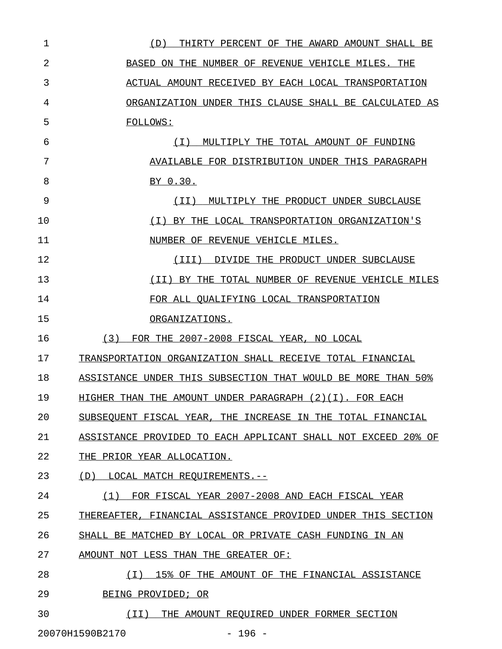| $\mathbf 1$ | THIRTY PERCENT OF THE AWARD AMOUNT SHALL BE<br>(D)            |
|-------------|---------------------------------------------------------------|
| 2           | BASED ON THE NUMBER OF REVENUE VEHICLE MILES. THE             |
| 3           | ACTUAL AMOUNT RECEIVED BY EACH LOCAL TRANSPORTATION           |
| 4           | ORGANIZATION UNDER THIS CLAUSE SHALL BE CALCULATED AS         |
| 5           | FOLLOWS:                                                      |
| 6           | MULTIPLY THE TOTAL AMOUNT OF FUNDING<br>( I )                 |
| 7           | AVAILABLE FOR DISTRIBUTION UNDER THIS PARAGRAPH               |
| 8           | BY 0.30.                                                      |
| 9           | MULTIPLY THE PRODUCT UNDER SUBCLAUSE<br>( I I )               |
| 10          | BY THE LOCAL TRANSPORTATION ORGANIZATION'S<br>( I )           |
| 11          | NUMBER OF REVENUE VEHICLE MILES.                              |
| 12          | DIVIDE THE PRODUCT UNDER SUBCLAUSE<br>(III)                   |
| 13          | (II) BY THE TOTAL NUMBER OF REVENUE VEHICLE MILES             |
| 14          | FOR ALL QUALIFYING LOCAL TRANSPORTATION                       |
| 15          | ORGANIZATIONS.                                                |
| 16          | FOR THE 2007-2008 FISCAL YEAR, NO LOCAL<br>(3)                |
| 17          | TRANSPORTATION ORGANIZATION SHALL RECEIVE TOTAL FINANCIAL     |
| 18          | ASSISTANCE UNDER THIS SUBSECTION THAT WOULD BE MORE THAN 50%  |
| 19          | HIGHER THAN THE AMOUNT UNDER PARAGRAPH $(2)(1)$ . FOR EACH    |
| 20          | SUBSEQUENT FISCAL YEAR, THE INCREASE IN THE TOTAL FINANCIAL   |
| 21          | ASSISTANCE PROVIDED TO EACH APPLICANT SHALL NOT EXCEED 20% OF |
| 22          | THE PRIOR YEAR ALLOCATION.                                    |
| 23          | (D)<br>LOCAL MATCH REOUIREMENTS.--                            |
| 24          | FOR FISCAL YEAR 2007-2008 AND EACH FISCAL YEAR<br>(1)         |
| 25          | THEREAFTER, FINANCIAL ASSISTANCE PROVIDED UNDER THIS SECTION  |
| 26          | SHALL BE MATCHED BY LOCAL OR PRIVATE CASH FUNDING IN AN       |
| 27          | AMOUNT NOT LESS THAN THE GREATER OF:                          |
| 28          | ( I )<br>15% OF THE AMOUNT OF THE FINANCIAL ASSISTANCE        |
| 29          | BEING PROVIDED; OR                                            |
| 30          | ( I I )<br>THE AMOUNT REQUIRED UNDER FORMER SECTION           |

20070H1590B2170 - 196 -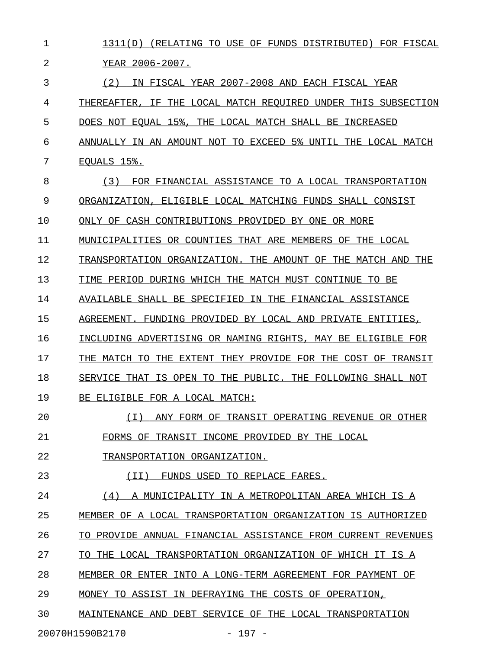| 1  | 1311(D) (RELATING TO USE OF FUNDS DISTRIBUTED) FOR FISCAL     |
|----|---------------------------------------------------------------|
| 2  | YEAR 2006-2007.                                               |
| 3  | IN FISCAL YEAR 2007-2008 AND EACH FISCAL YEAR<br>(2)          |
| 4  | THEREAFTER, IF THE LOCAL MATCH REQUIRED UNDER THIS SUBSECTION |
| 5  | DOES NOT EQUAL 15%, THE LOCAL MATCH SHALL BE INCREASED        |
| 6  | ANNUALLY IN AN AMOUNT NOT TO EXCEED 5% UNTIL THE LOCAL MATCH  |
| 7  | EOUALS 15%.                                                   |
| 8  | FOR FINANCIAL ASSISTANCE TO A LOCAL TRANSPORTATION<br>(3)     |
| 9  | ORGANIZATION, ELIGIBLE LOCAL MATCHING FUNDS SHALL CONSIST     |
| 10 | ONLY OF CASH CONTRIBUTIONS PROVIDED BY ONE OR MORE            |
| 11 | MUNICIPALITIES OR COUNTIES THAT ARE MEMBERS OF THE LOCAL      |
| 12 | TRANSPORTATION ORGANIZATION. THE AMOUNT OF THE MATCH AND THE  |
| 13 | TIME PERIOD DURING WHICH THE MATCH MUST CONTINUE TO BE        |
| 14 | AVAILABLE SHALL BE SPECIFIED IN THE FINANCIAL ASSISTANCE      |
| 15 | AGREEMENT. FUNDING PROVIDED BY LOCAL AND PRIVATE ENTITIES,    |
| 16 | INCLUDING ADVERTISING OR NAMING RIGHTS, MAY BE ELIGIBLE FOR   |
| 17 | THE MATCH TO THE EXTENT THEY PROVIDE FOR THE COST OF TRANSIT  |
| 18 | SERVICE THAT IS OPEN TO THE PUBLIC. THE FOLLOWING SHALL NOT   |
| 19 | BE ELIGIBLE FOR A LOCAL MATCH:                                |
| 20 | (T)<br>ANY FORM OF TRANSIT OPERATING REVENUE OR OTHER         |
| 21 | FORMS OF TRANSIT INCOME PROVIDED BY THE LOCAL                 |
| 22 | TRANSPORTATION ORGANIZATION.                                  |
| 23 | FUNDS USED TO REPLACE FARES.<br>( I I )                       |
| 24 | (4)<br>A MUNICIPALITY IN A METROPOLITAN AREA WHICH IS A       |
| 25 | MEMBER OF A LOCAL TRANSPORTATION ORGANIZATION IS AUTHORIZED   |
| 26 | TO PROVIDE ANNUAL FINANCIAL ASSISTANCE FROM CURRENT REVENUES  |
| 27 | THE LOCAL TRANSPORTATION ORGANIZATION OF WHICH IT IS A<br>TO- |
| 28 | MEMBER OR ENTER INTO A LONG-TERM AGREEMENT FOR PAYMENT<br>OF  |
| 29 | MONEY TO ASSIST IN DEFRAYING THE COSTS OF OPERATION,          |
| 30 | MAINTENANCE AND DEBT SERVICE OF THE LOCAL TRANSPORTATION      |
|    | 20070H1590B2170<br>$-197 -$                                   |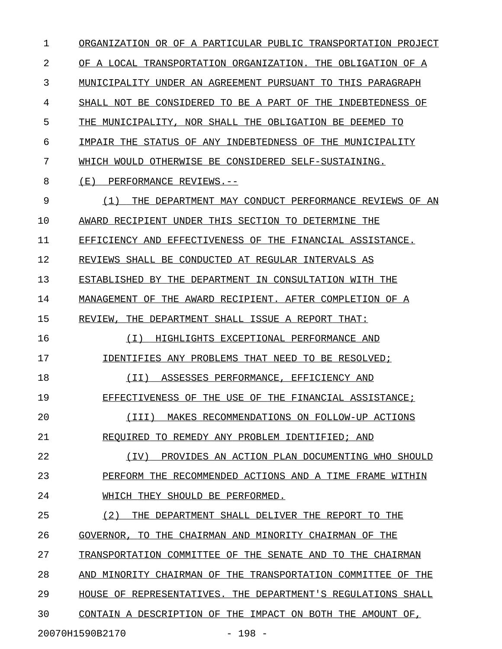1 ORGANIZATION OR OF A PARTICULAR PUBLIC TRANSPORTATION PROJECT 2 OF A LOCAL TRANSPORTATION ORGANIZATION. THE OBLIGATION OF A 3 MUNICIPALITY UNDER AN AGREEMENT PURSUANT TO THIS PARAGRAPH 4 SHALL NOT BE CONSIDERED TO BE A PART OF THE INDEBTEDNESS OF 5 THE MUNICIPALITY, NOR SHALL THE OBLIGATION BE DEEMED TO 6 IMPAIR THE STATUS OF ANY INDEBTEDNESS OF THE MUNICIPALITY 7 WHICH WOULD OTHERWISE BE CONSIDERED SELF-SUSTAINING. 8 (E) PERFORMANCE REVIEWS.--9 (1) THE DEPARTMENT MAY CONDUCT PERFORMANCE REVIEWS OF AN \_\_\_\_\_\_\_\_\_\_\_\_\_\_\_\_\_\_\_\_\_\_\_\_\_\_\_\_\_\_\_\_\_\_\_\_\_\_\_\_\_\_\_\_\_\_\_\_\_\_\_\_\_\_\_\_\_ 10 AWARD RECIPIENT UNDER THIS SECTION TO DETERMINE THE 11 EFFICIENCY AND EFFECTIVENESS OF THE FINANCIAL ASSISTANCE. 12 REVIEWS SHALL BE CONDUCTED AT REGULAR INTERVALS AS 13 ESTABLISHED BY THE DEPARTMENT IN CONSULTATION WITH THE 14 MANAGEMENT OF THE AWARD RECIPIENT. AFTER COMPLETION OF A 15 REVIEW, THE DEPARTMENT SHALL ISSUE A REPORT THAT: 16 (I) HIGHLIGHTS EXCEPTIONAL PERFORMANCE AND \_\_\_\_\_\_\_\_\_\_\_\_\_\_\_\_\_\_\_\_\_\_\_\_\_\_\_\_\_\_\_\_\_\_\_\_\_\_\_\_\_\_\_ 17 IDENTIFIES ANY PROBLEMS THAT NEED TO BE RESOLVED; 18 (II) ASSESSES PERFORMANCE, EFFICIENCY AND \_\_\_\_\_\_\_\_\_\_\_\_\_\_\_\_\_\_\_\_\_\_\_\_\_\_\_\_\_\_\_\_\_\_\_\_\_\_\_\_\_\_ 19 EFFECTIVENESS OF THE USE OF THE FINANCIAL ASSISTANCE; 20 (III) MAKES RECOMMENDATIONS ON FOLLOW-UP ACTIONS \_\_\_\_\_\_\_\_\_\_\_\_\_\_\_\_\_\_\_\_\_\_\_\_\_\_\_\_\_\_\_\_\_\_\_\_\_\_\_\_\_\_\_\_\_\_\_\_\_ 21 REQUIRED TO REMEDY ANY PROBLEM IDENTIFIED; AND 22 (IV) PROVIDES AN ACTION PLAN DOCUMENTING WHO SHOULD 23 PERFORM THE RECOMMENDED ACTIONS AND A TIME FRAME WITHIN 24 WHICH THEY SHOULD BE PERFORMED. 25 (2) THE DEPARTMENT SHALL DELIVER THE REPORT TO THE 26 GOVERNOR, TO THE CHAIRMAN AND MINORITY CHAIRMAN OF THE 27 TRANSPORTATION COMMITTEE OF THE SENATE AND TO THE CHAIRMAN 28 AND MINORITY CHAIRMAN OF THE TRANSPORTATION COMMITTEE OF THE 29 HOUSE OF REPRESENTATIVES. THE DEPARTMENT'S REGULATIONS SHALL 30 CONTAIN A DESCRIPTION OF THE IMPACT ON BOTH THE AMOUNT OF, 20070H1590B2170 - 198 -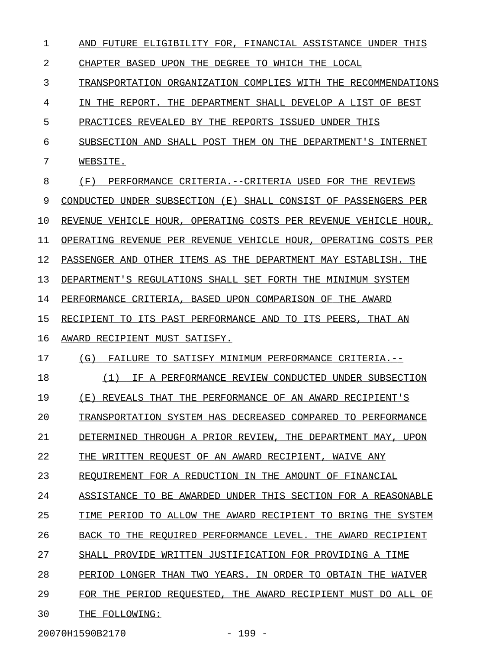| 1  | AND FUTURE ELIGIBILITY FOR, FINANCIAL ASSISTANCE UNDER THIS       |
|----|-------------------------------------------------------------------|
| 2  | CHAPTER BASED UPON THE DEGREE TO WHICH THE LOCAL                  |
| 3  | TRANSPORTATION ORGANIZATION COMPLIES WITH THE RECOMMENDATIONS     |
| 4  | IN THE REPORT. THE DEPARTMENT SHALL DEVELOP A LIST OF BEST        |
| 5  | PRACTICES REVEALED BY THE REPORTS ISSUED UNDER THIS               |
| 6  | SUBSECTION AND SHALL POST THEM ON THE DEPARTMENT'S INTERNET       |
| 7  | WEBSITE.                                                          |
| 8  | (F)<br>PERFORMANCE CRITERIA.--CRITERIA USED FOR THE REVIEWS       |
| 9  | CONDUCTED UNDER SUBSECTION (E) SHALL CONSIST OF PASSENGERS PER    |
| 10 | REVENUE VEHICLE HOUR, OPERATING COSTS PER REVENUE VEHICLE HOUR,   |
| 11 | OPERATING REVENUE PER REVENUE VEHICLE HOUR, OPERATING COSTS PER   |
| 12 | PASSENGER AND OTHER ITEMS AS THE DEPARTMENT MAY ESTABLISH. THE    |
| 13 | DEPARTMENT'S REGULATIONS SHALL SET FORTH THE MINIMUM SYSTEM       |
| 14 | PERFORMANCE CRITERIA, BASED UPON COMPARISON OF THE AWARD          |
| 15 | RECIPIENT TO ITS PAST PERFORMANCE AND TO ITS PEERS, THAT AN       |
| 16 | AWARD RECIPIENT MUST SATISFY.                                     |
| 17 | (G)<br>FAILURE TO SATISFY MINIMUM PERFORMANCE CRITERIA.--         |
| 18 | IF A PERFORMANCE REVIEW CONDUCTED UNDER SUBSECTION<br>(1)         |
| 19 | (E) REVEALS THAT THE PERFORMANCE OF AN AWARD RECIPIENT'S          |
| 20 | TRANSPORTATION SYSTEM HAS DECREASED COMPARED TO PERFORMANCE       |
| 21 | THROUGH A PRIOR REVIEW,<br>THE DEPARTMENT MAY, UPON<br>DETERMINED |
| 22 | THE WRITTEN REOUEST OF AN AWARD RECIPIENT. WAIVE ANY              |
| 23 | REOUIREMENT FOR A REDUCTION IN THE AMOUNT OF FINANCIAL            |
| 24 | ASSISTANCE TO BE AWARDED UNDER THIS SECTION FOR A REASONABLE      |
| 25 | TIME PERIOD TO ALLOW THE AWARD RECIPIENT TO BRING THE SYSTEM      |
| 26 | BACK TO THE REOUIRED PERFORMANCE LEVEL.<br>THE AWARD RECIPIENT    |
| 27 | SHALL PROVIDE WRITTEN JUSTIFICATION FOR PROVIDING A TIME          |
| 28 | PERIOD LONGER THAN TWO YEARS. IN ORDER TO OBTAIN THE WAIVER       |
| 29 | FOR THE PERIOD REOUESTED, THE AWARD RECIPIENT MUST DO ALL OF      |
| 30 | THE FOLLOWING:                                                    |
|    |                                                                   |

20070H1590B2170 - 199 -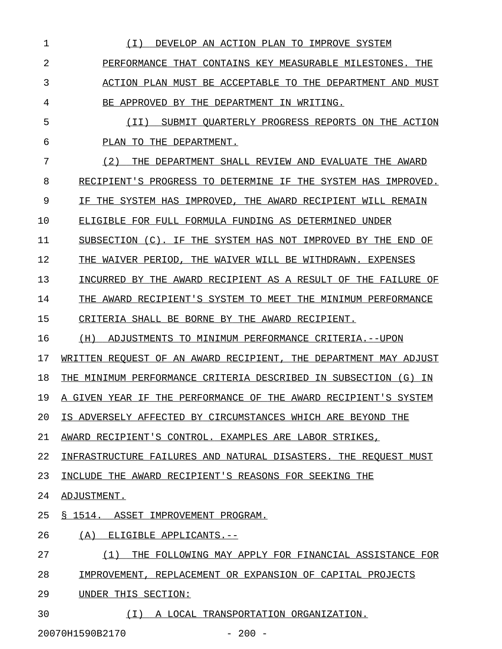| 1              | IMPROVE SYSTEM<br>( I )<br>DEVELOP AN ACTION PLAN TO                        |
|----------------|-----------------------------------------------------------------------------|
| $\overline{a}$ | THE<br>PERFORMANCE<br>THAT<br>CONTAINS KEY MEASURABLE MILESTONES.           |
| 3              | ACTION PLAN MUST BE ACCEPTABLE TO<br>THE<br>MUST<br>DEPARTMENT<br>AND       |
| 4              | APPROVED BY THE<br>DEPARTMENT<br>IN.<br>WRITING.<br>BE.                     |
| 5              | SUBMIT QUARTERLY PROGRESS REPORTS ON THE ACTION<br>( I I )                  |
| 6              | THE DEPARTMENT.<br>PLAN TO                                                  |
| 7              | (2)<br>THE<br>DEPARTMENT SHALL REVIEW AND<br>EVALUATE<br>THE<br>AWARD       |
| 8              | RECIPIENT'S PROGRESS TO DETERMINE<br>ΙF<br>THE<br>SYSTEM HAS<br>IMPROVED.   |
| 9              | THE SYSTEM HAS IMPROVED,<br>THE AWARD RECIPIENT<br>WILL REMAIN<br>ΙF        |
| 10             | ELIGIBLE FOR FULL FORMULA FUNDING AS DETERMINED<br>UNDER                    |
| 11             | SUBSECTION (C).<br>SYSTEM HAS NOT<br>ΙF<br>THE<br>IMPROVED BY THE<br>END OF |
| 12             | THE<br>WAIVER PERIOD.<br>THE<br>WAIVER WILL BE<br>WITHDRAWN.<br>EXPENSES    |
| 13             | INCURRED<br>BY THE AWARD RECIPIENT AS A RESULT OF<br>THE<br>FAILURE OF      |
| 14             | AWARD RECIPIENT'S SYSTEM TO MEET<br>THE<br>THE MINIMUM PERFORMANCE          |
| 15             | CRITERIA SHALL BE BORNE BY THE AWARD RECIPIENT.                             |
| 16             | (H)<br>ADJUSTMENTS<br>TO.<br>MINIMUM PERFORMANCE CRITERIA.--UPON            |
| 17             | WRITTEN REOUEST OF AN AWARD RECIPIENT.<br>THE DEPARTMENT MAY ADJUST         |
| 18             | MINIMUM PERFORMANCE CRITERIA DESCRIBED IN SUBSECTION<br>(G)<br>ΙN<br>THE    |
| 19             | THE PERFORMANCE OF THE AWARD RECIPIENT'S SYSTEM<br>A GIVEN YEAR IF          |
| 20             | IS ADVERSELY AFFECTED BY CIRCUMSTANCES WHICH ARE BEYOND THE                 |
| 21             | AWARD RECIPIENT'S CONTROL. EXAMPLES ARE LABOR STRIKES,                      |
| 22             | INFRASTRUCTURE FAILURES AND NATURAL DISASTERS. THE REQUEST MUST             |
| 23             | INCLUDE THE AWARD RECIPIENT'S REASONS FOR SEEKING THE                       |
| 24             | ADJUSTMENT.                                                                 |
| 25             | S 1514. ASSET IMPROVEMENT PROGRAM.                                          |
| 26             | (A) ELIGIBLE APPLICANTS.--                                                  |
| 27             | (1)<br>THE FOLLOWING MAY APPLY FOR FINANCIAL ASSISTANCE FOR                 |
| 28             | IMPROVEMENT, REPLACEMENT OR EXPANSION OF CAPITAL PROJECTS                   |
| 29             | UNDER THIS SECTION:                                                         |
| 30             | (I) A LOCAL TRANSPORTATION ORGANIZATION.                                    |
|                |                                                                             |

20070H1590B2170 - 200 -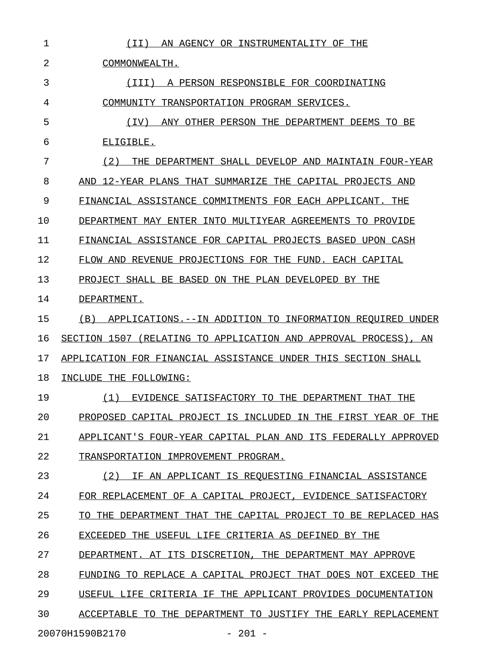| 1  | AN AGENCY OR INSTRUMENTALITY OF THE<br>( I I )                    |
|----|-------------------------------------------------------------------|
| 2  | COMMONWEALTH.                                                     |
| 3  | A PERSON RESPONSIBLE FOR COORDINATING<br>(III)                    |
| 4  | COMMUNITY TRANSPORTATION PROGRAM SERVICES.                        |
| 5  | ANY OTHER PERSON THE DEPARTMENT DEEMS TO BE<br>(IV)               |
| 6  | ELIGIBLE.                                                         |
| 7  | THE DEPARTMENT SHALL DEVELOP AND MAINTAIN FOUR-YEAR<br>(2)        |
| 8  | AND 12-YEAR PLANS THAT SUMMARIZE THE CAPITAL PROJECTS AND         |
| 9  | FINANCIAL ASSISTANCE COMMITMENTS FOR EACH APPLICANT. THE          |
| 10 | DEPARTMENT MAY ENTER INTO MULTIYEAR AGREEMENTS TO PROVIDE         |
| 11 | FINANCIAL ASSISTANCE FOR CAPITAL PROJECTS BASED UPON CASH         |
| 12 | FLOW AND REVENUE PROJECTIONS FOR THE FUND. EACH CAPITAL           |
| 13 | PROJECT SHALL BE BASED ON THE PLAN DEVELOPED BY THE               |
| 14 | DEPARTMENT.                                                       |
| 15 | APPLICATIONS.--IN ADDITION TO INFORMATION REOUIRED UNDER<br>(B)   |
| 16 | SECTION 1507 (RELATING TO APPLICATION AND APPROVAL PROCESS), AN   |
| 17 | APPLICATION FOR FINANCIAL ASSISTANCE UNDER THIS SECTION SHALL     |
| 18 | INCLUDE THE FOLLOWING:                                            |
| 19 | EVIDENCE SATISFACTORY TO THE DEPARTMENT THAT THE<br>(1)           |
| 20 | PROPOSED CAPITAL PROJECT IS INCLUDED IN THE FIRST YEAR OF THE     |
| 21 | APPLICANT'S FOUR-YEAR CAPITAL PLAN AND ITS FEDERALLY APPROVED     |
| 22 | TRANSPORTATION IMPROVEMENT PROGRAM.                               |
| 23 | IF AN APPLICANT IS REOUESTING FINANCIAL ASSISTANCE<br>(2)         |
| 24 | FOR REPLACEMENT OF A CAPITAL PROJECT, EVIDENCE SATISFACTORY       |
| 25 | THE DEPARTMENT THAT THE CAPITAL PROJECT TO BE REPLACED HAS<br>TO. |
| 26 | EXCEEDED THE USEFUL LIFE CRITERIA AS DEFINED BY THE               |
| 27 | DEPARTMENT. AT ITS DISCRETION, THE DEPARTMENT MAY APPROVE         |
| 28 | FUNDING TO REPLACE A CAPITAL PROJECT THAT DOES NOT EXCEED THE     |
| 29 | USEFUL LIFE CRITERIA IF THE APPLICANT PROVIDES DOCUMENTATION      |
|    |                                                                   |
| 30 | ACCEPTABLE TO THE DEPARTMENT TO JUSTIFY THE EARLY REPLACEMENT     |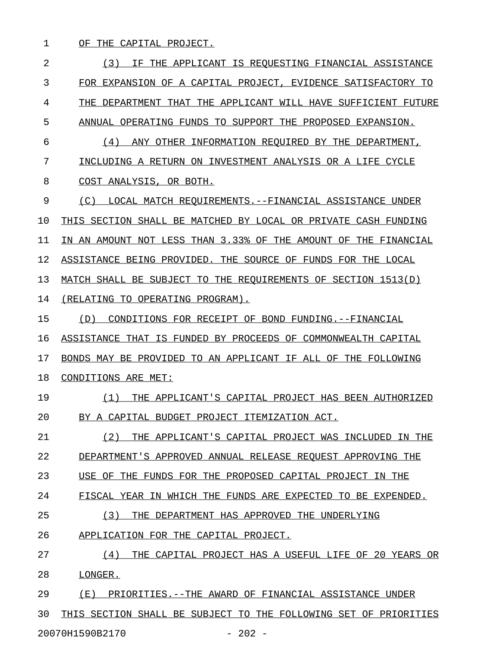1 OF THE CAPITAL PROJECT.

2 13) IF THE APPLICANT IS REQUESTING FINANCIAL ASSISTANCE 3 FOR EXPANSION OF A CAPITAL PROJECT, EVIDENCE SATISFACTORY TO 4 THE DEPARTMENT THAT THE APPLICANT WILL HAVE SUFFICIENT FUTURE 5 ANNUAL OPERATING FUNDS TO SUPPORT THE PROPOSED EXPANSION. 6 (4) ANY OTHER INFORMATION REQUIRED BY THE DEPARTMENT, 7 INCLUDING A RETURN ON INVESTMENT ANALYSIS OR A LIFE CYCLE 8 COST ANALYSIS, OR BOTH. 9 (C) LOCAL MATCH REQUIREMENTS.--FINANCIAL ASSISTANCE UNDER 10 THIS SECTION SHALL BE MATCHED BY LOCAL OR PRIVATE CASH FUNDING 11 IN AN AMOUNT NOT LESS THAN 3.33% OF THE AMOUNT OF THE FINANCIAL 12 ASSISTANCE BEING PROVIDED. THE SOURCE OF FUNDS FOR THE LOCAL 13 MATCH SHALL BE SUBJECT TO THE REQUIREMENTS OF SECTION 1513(D) 14 (RELATING TO OPERATING PROGRAM). 15 (D) CONDITIONS FOR RECEIPT OF BOND FUNDING.--FINANCIAL 16 ASSISTANCE THAT IS FUNDED BY PROCEEDS OF COMMONWEALTH CAPITAL 17 BONDS MAY BE PROVIDED TO AN APPLICANT IF ALL OF THE FOLLOWING 18 CONDITIONS ARE MET: 19 (1) THE APPLICANT'S CAPITAL PROJECT HAS BEEN AUTHORIZED 20 BY A CAPITAL BUDGET PROJECT ITEMIZATION ACT. 21 (2) THE APPLICANT'S CAPITAL PROJECT WAS INCLUDED IN THE 22 DEPARTMENT'S APPROVED ANNUAL RELEASE REQUEST APPROVING THE 23 USE OF THE FUNDS FOR THE PROPOSED CAPITAL PROJECT IN THE 24 FISCAL YEAR IN WHICH THE FUNDS ARE EXPECTED TO BE EXPENDED. 25 (3) THE DEPARTMENT HAS APPROVED THE UNDERLYING 26 APPLICATION FOR THE CAPITAL PROJECT. 27 (4) THE CAPITAL PROJECT HAS A USEFUL LIFE OF 20 YEARS OR 28 LONGER. 29 (E) PRIORITIES.--THE AWARD OF FINANCIAL ASSISTANCE UNDER 30 THIS SECTION SHALL BE SUBJECT TO THE FOLLOWING SET OF PRIORITIES 20070H1590B2170 - 202 -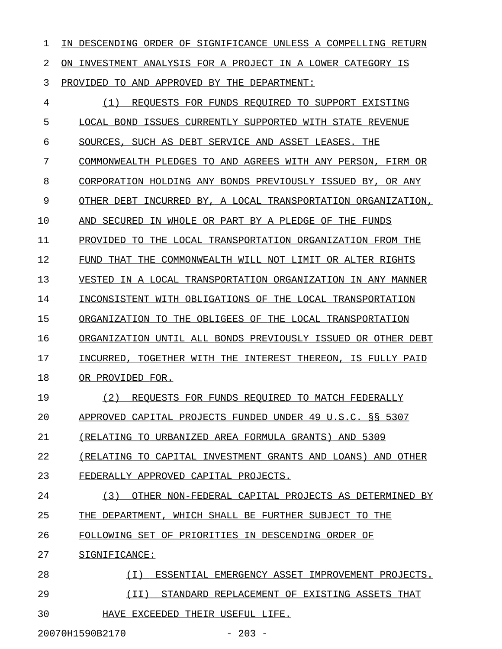1 IN DESCENDING ORDER OF SIGNIFICANCE UNLESS A COMPELLING RETURN 2 ON INVESTMENT ANALYSIS FOR A PROJECT IN A LOWER CATEGORY IS 3 PROVIDED TO AND APPROVED BY THE DEPARTMENT: 4 (1) REQUESTS FOR FUNDS REQUIRED TO SUPPORT EXISTING 5 LOCAL BOND ISSUES CURRENTLY SUPPORTED WITH STATE REVENUE

6 SOURCES, SUCH AS DEBT SERVICE AND ASSET LEASES. THE

7 COMMONWEALTH PLEDGES TO AND AGREES WITH ANY PERSON, FIRM OR

8 CORPORATION HOLDING ANY BONDS PREVIOUSLY ISSUED BY, OR ANY

9 OTHER DEBT INCURRED BY, A LOCAL TRANSPORTATION ORGANIZATION,

10 AND SECURED IN WHOLE OR PART BY A PLEDGE OF THE FUNDS

11 PROVIDED TO THE LOCAL TRANSPORTATION ORGANIZATION FROM THE

12 FUND THAT THE COMMONWEALTH WILL NOT LIMIT OR ALTER RIGHTS

13 VESTED IN A LOCAL TRANSPORTATION ORGANIZATION IN ANY MANNER

14 INCONSISTENT WITH OBLIGATIONS OF THE LOCAL TRANSPORTATION

15 ORGANIZATION TO THE OBLIGEES OF THE LOCAL TRANSPORTATION

16 ORGANIZATION UNTIL ALL BONDS PREVIOUSLY ISSUED OR OTHER DEBT

17 INCURRED, TOGETHER WITH THE INTEREST THEREON, IS FULLY PAID

18 OR PROVIDED FOR.

19 (2) REQUESTS FOR FUNDS REQUIRED TO MATCH FEDERALLY

20 APPROVED CAPITAL PROJECTS FUNDED UNDER 49 U.S.C. §§ 5307

21 (RELATING TO URBANIZED AREA FORMULA GRANTS) AND 5309

22 (RELATING TO CAPITAL INVESTMENT GRANTS AND LOANS) AND OTHER

23 FEDERALLY APPROVED CAPITAL PROJECTS.

24 (3) OTHER NON-FEDERAL CAPITAL PROJECTS AS DETERMINED BY 25 THE DEPARTMENT, WHICH SHALL BE FURTHER SUBJECT TO THE

26 FOLLOWING SET OF PRIORITIES IN DESCENDING ORDER OF

27 SIGNIFICANCE:

28 (I) ESSENTIAL EMERGENCY ASSET IMPROVEMENT PROJECTS. \_\_\_\_\_\_\_\_\_\_\_\_\_\_\_\_\_\_\_\_\_\_\_\_\_\_\_\_\_\_\_\_\_\_\_\_\_\_\_\_\_\_\_\_\_\_\_\_\_\_\_\_ 29 (II) STANDARD REPLACEMENT OF EXISTING ASSETS THAT \_\_\_\_\_\_\_\_\_\_\_\_\_\_\_\_\_\_\_\_\_\_\_\_\_\_\_\_\_\_\_\_\_\_\_\_\_\_\_\_\_\_\_\_\_\_\_\_\_\_ 30 HAVE EXCEEDED THEIR USEFUL LIFE.

20070H1590B2170 - 203 -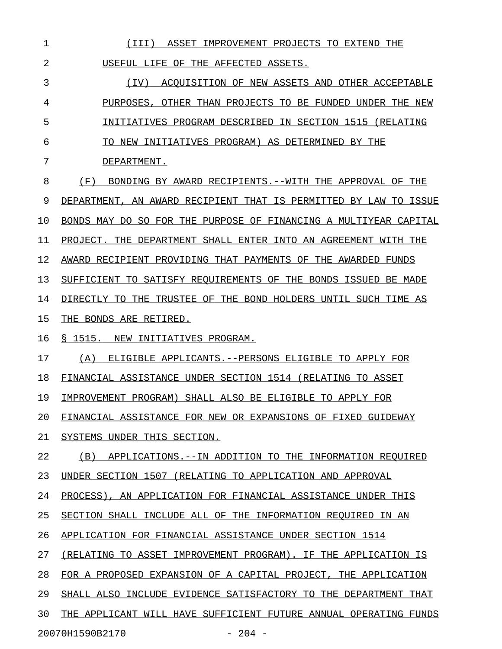| 1  | ASSET IMPROVEMENT PROJECTS TO EXTEND THE<br>(III)                |
|----|------------------------------------------------------------------|
| 2  | USEFUL LIFE OF THE AFFECTED ASSETS.                              |
| 3  | ACOUISITION OF NEW ASSETS AND OTHER ACCEPTABLE<br>(IV)           |
| 4  | PURPOSES, OTHER THAN PROJECTS TO BE FUNDED UNDER THE NEW         |
| 5  | INITIATIVES PROGRAM DESCRIBED IN SECTION 1515 (RELATING          |
| 6  | TO NEW INITIATIVES PROGRAM) AS DETERMINED BY THE                 |
| 7  | DEPARTMENT.                                                      |
| 8  | (F)<br>BONDING BY AWARD RECIPIENTS. -- WITH THE APPROVAL OF THE  |
| 9  | DEPARTMENT, AN AWARD RECIPIENT THAT IS PERMITTED BY LAW TO ISSUE |
| 10 | BONDS MAY DO SO FOR THE PURPOSE OF FINANCING A MULTIYEAR CAPITAL |
| 11 | PROJECT. THE DEPARTMENT SHALL ENTER INTO AN AGREEMENT WITH THE   |
| 12 | AWARD RECIPIENT PROVIDING THAT PAYMENTS OF THE AWARDED FUNDS     |
| 13 | SUFFICIENT TO SATISFY REQUIREMENTS OF THE BONDS ISSUED BE MADE   |
| 14 | DIRECTLY TO THE TRUSTEE OF THE BOND HOLDERS UNTIL SUCH TIME AS   |
| 15 | THE BONDS ARE RETIRED.                                           |
| 16 | S 1515. NEW INITIATIVES PROGRAM.                                 |
| 17 | ELIGIBLE APPLICANTS.--PERSONS ELIGIBLE TO APPLY FOR<br>(A)       |
| 18 | FINANCIAL ASSISTANCE UNDER SECTION 1514 (RELATING TO ASSET       |
| 19 | IMPROVEMENT PROGRAM) SHALL ALSO BE ELIGIBLE TO APPLY FOR         |
| 20 | FINANCIAL ASSISTANCE FOR NEW OR EXPANSIONS OF FIXED GUIDEWAY     |
| 21 | SYSTEMS UNDER THIS SECTION.                                      |
| 22 | (B)<br>APPLICATIONS.--IN ADDITION TO THE INFORMATION REOUIRED    |
| 23 | UNDER SECTION 1507 (RELATING TO APPLICATION AND APPROVAL         |
| 24 | PROCESS), AN APPLICATION FOR FINANCIAL ASSISTANCE UNDER THIS     |
| 25 | SECTION SHALL INCLUDE ALL OF THE INFORMATION REOUIRED IN AN      |
| 26 | APPLICATION FOR FINANCIAL ASSISTANCE UNDER SECTION 1514          |
| 27 | (RELATING TO ASSET IMPROVEMENT PROGRAM). IF THE APPLICATION IS   |
| 28 | FOR A PROPOSED EXPANSION OF A CAPITAL PROJECT, THE APPLICATION   |
| 29 | SHALL ALSO INCLUDE EVIDENCE SATISFACTORY TO THE DEPARTMENT THAT  |
| 30 | THE APPLICANT WILL HAVE SUFFICIENT FUTURE ANNUAL OPERATING FUNDS |

20070H1590B2170 - 204 -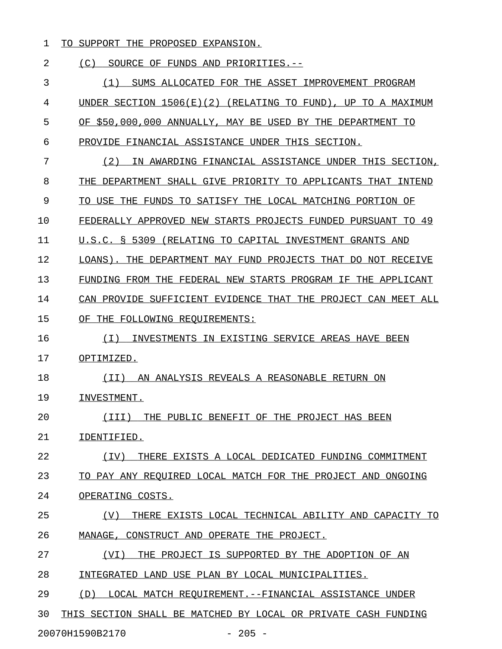1 TO SUPPORT THE PROPOSED EXPANSION.

# 2 (C) SOURCE OF FUNDS AND PRIORITIES.--

3 (1) SUMS ALLOCATED FOR THE ASSET IMPROVEMENT PROGRAM 4 UNDER SECTION 1506(E)(2) (RELATING TO FUND), UP TO A MAXIMUM 5 OF \$50,000,000 ANNUALLY, MAY BE USED BY THE DEPARTMENT TO 6 PROVIDE FINANCIAL ASSISTANCE UNDER THIS SECTION. 7 (2) IN AWARDING FINANCIAL ASSISTANCE UNDER THIS SECTION, 8 THE DEPARTMENT SHALL GIVE PRIORITY TO APPLICANTS THAT INTEND 9 TO USE THE FUNDS TO SATISFY THE LOCAL MATCHING PORTION OF 10 FEDERALLY APPROVED NEW STARTS PROJECTS FUNDED PURSUANT TO 49 11 U.S.C. § 5309 (RELATING TO CAPITAL INVESTMENT GRANTS AND 12 LOANS). THE DEPARTMENT MAY FUND PROJECTS THAT DO NOT RECEIVE 13 FUNDING FROM THE FEDERAL NEW STARTS PROGRAM IF THE APPLICANT 14 CAN PROVIDE SUFFICIENT EVIDENCE THAT THE PROJECT CAN MEET ALL 15 OF THE FOLLOWING REQUIREMENTS: 16 (I) INVESTMENTS IN EXISTING SERVICE AREAS HAVE BEEN \_\_\_\_\_\_\_\_\_\_\_\_\_\_\_\_\_\_\_\_\_\_\_\_\_\_\_\_\_\_\_\_\_\_\_\_\_\_\_\_\_\_\_\_\_\_\_\_\_\_\_\_ 17 OPTIMIZED. 18 (II) AN ANALYSIS REVEALS A REASONABLE RETURN ON \_\_\_\_\_\_\_\_\_\_\_\_\_\_\_\_\_\_\_\_\_\_\_\_\_\_\_\_\_\_\_\_\_\_\_\_\_\_\_\_\_\_\_\_\_\_\_\_ 19 INVESTMENT. 20 (III) THE PUBLIC BENEFIT OF THE PROJECT HAS BEEN \_\_\_\_\_\_\_\_\_\_\_\_\_\_\_\_\_\_\_\_\_\_\_\_\_\_\_\_\_\_\_\_\_\_\_\_\_\_\_\_\_\_\_\_\_\_\_\_\_ 21 IDENTIFIED. 22 (IV) THERE EXISTS A LOCAL DEDICATED FUNDING COMMITMENT \_\_\_\_\_\_\_\_\_\_\_\_\_\_\_\_\_\_\_\_\_\_\_\_\_\_\_\_\_\_\_\_\_\_\_\_\_\_\_\_\_\_\_\_\_\_\_\_\_\_\_\_\_\_\_ 23 TO PAY ANY REQUIRED LOCAL MATCH FOR THE PROJECT AND ONGOING 24 OPERATING COSTS. 25 (V) THERE EXISTS LOCAL TECHNICAL ABILITY AND CAPACITY TO \_\_\_\_\_\_\_\_\_\_\_\_\_\_\_\_\_\_\_\_\_\_\_\_\_\_\_\_\_\_\_\_\_\_\_\_\_\_\_\_\_\_\_\_\_\_\_\_\_\_\_\_\_\_\_\_\_ 26 MANAGE, CONSTRUCT AND OPERATE THE PROJECT. 27 (VI) THE PROJECT IS SUPPORTED BY THE ADOPTION OF AN 28 INTEGRATED LAND USE PLAN BY LOCAL MUNICIPALITIES. 29 (D) LOCAL MATCH REQUIREMENT.--FINANCIAL ASSISTANCE UNDER 30 THIS SECTION SHALL BE MATCHED BY LOCAL OR PRIVATE CASH FUNDING

20070H1590B2170 - 205 -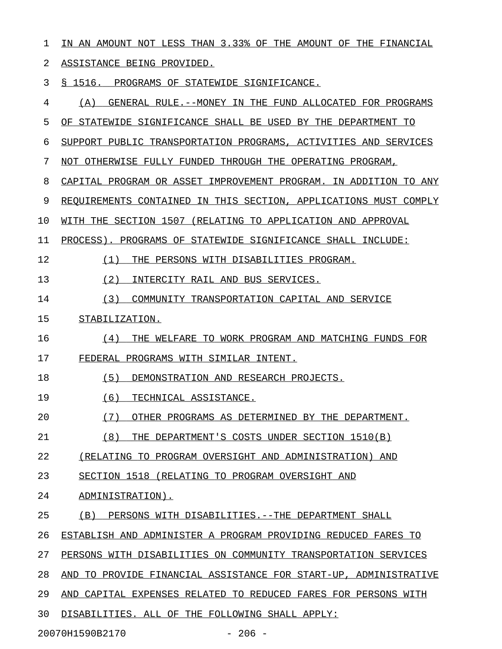| $\mathbf{1}$ | IN AN AMOUNT NOT LESS THAN 3.33% OF THE AMOUNT OF THE FINANCIAL     |
|--------------|---------------------------------------------------------------------|
| 2            | ASSISTANCE BEING PROVIDED.                                          |
| 3            | § 1516. PROGRAMS OF STATEWIDE SIGNIFICANCE.                         |
| 4            | GENERAL RULE. -- MONEY IN THE FUND ALLOCATED FOR PROGRAMS<br>(A)    |
| 5            | OF STATEWIDE SIGNIFICANCE SHALL BE USED BY THE DEPARTMENT TO        |
| 6            | SUPPORT PUBLIC TRANSPORTATION PROGRAMS, ACTIVITIES AND SERVICES     |
| 7            | NOT OTHERWISE FULLY FUNDED THROUGH THE OPERATING PROGRAM,           |
| 8            | CAPITAL PROGRAM OR ASSET IMPROVEMENT PROGRAM. IN ADDITION TO ANY    |
| 9            | REQUIREMENTS CONTAINED IN THIS SECTION, APPLICATIONS MUST COMPLY    |
| 10           | WITH THE SECTION 1507 (RELATING TO APPLICATION AND APPROVAL         |
| 11           | PROCESS). PROGRAMS OF STATEWIDE SIGNIFICANCE SHALL INCLUDE:         |
| 12           | (1)<br>THE PERSONS WITH DISABILITIES PROGRAM.                       |
| 13           | (2)<br>INTERCITY RAIL AND BUS SERVICES.                             |
| 14           | (3)<br>COMMUNITY TRANSPORTATION CAPITAL AND SERVICE                 |
| 15           | STABILIZATION.                                                      |
| 16           | (4)<br>THE WELFARE TO WORK PROGRAM AND MATCHING FUNDS FOR           |
| 17           | FEDERAL PROGRAMS WITH SIMILAR INTENT.                               |
| 18           | (5)<br>DEMONSTRATION AND RESEARCH PROJECTS.                         |
| 19           | TECHNICAL ASSISTANCE.<br>(6)                                        |
| 20           | (7)<br>OTHER PROGRAMS AS DETERMINED BY THE DEPARTMENT.              |
| 21           | (8)<br>THE DEPARTMENT'S COSTS UNDER SECTION 1510(B)                 |
| 22           | (RELATING TO PROGRAM OVERSIGHT AND ADMINISTRATION) AND              |
| 23           | SECTION 1518 (RELATING TO PROGRAM OVERSIGHT AND                     |
| 24           | ADMINISTRATION).                                                    |
| 25           | (B)<br>PERSONS WITH DISABILITIES.--THE DEPARTMENT SHALL             |
| 26           | ESTABLISH AND ADMINISTER A PROGRAM PROVIDING REDUCED FARES TO       |
| 27           | PERSONS WITH DISABILITIES ON COMMUNITY TRANSPORTATION SERVICES      |
| 28           | TO PROVIDE FINANCIAL ASSISTANCE FOR START-UP, ADMINISTRATIVE<br>AND |
| 29           | AND CAPITAL EXPENSES RELATED TO REDUCED FARES FOR PERSONS WITH      |
| 30           | DISABILITIES. ALL OF THE FOLLOWING SHALL APPLY:                     |
|              | 20070H1590B2170<br>$-206 -$                                         |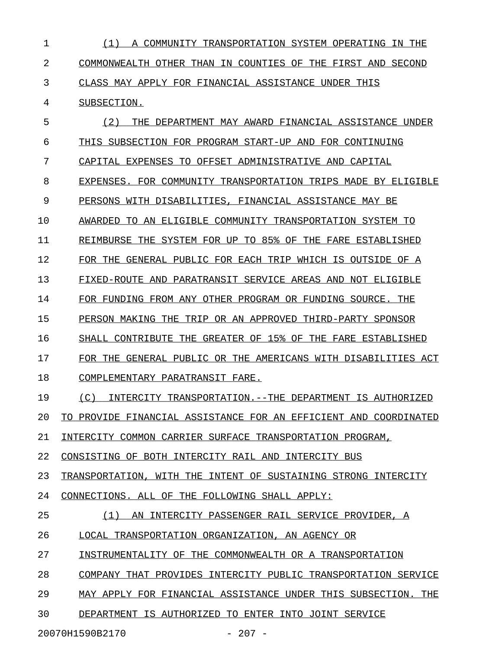| 1  | (1)<br>A COMMUNITY<br>TRANSPORTATION SYSTEM OPERATING IN THE        |
|----|---------------------------------------------------------------------|
| 2  | COMMONWEALTH OTHER THAN IN COUNTIES OF THE FIRST AND SECOND         |
| 3  | CLASS MAY APPLY FOR FINANCIAL ASSISTANCE UNDER THIS                 |
| 4  | SUBSECTION.                                                         |
| 5  | (2)<br>THE DEPARTMENT MAY AWARD FINANCIAL ASSISTANCE UNDER          |
| 6  | THIS SUBSECTION FOR PROGRAM START-UP AND FOR CONTINUING             |
| 7  | CAPITAL EXPENSES TO OFFSET ADMINISTRATIVE AND CAPITAL               |
| 8  | EXPENSES. FOR COMMUNITY TRANSPORTATION TRIPS MADE BY ELIGIBLE       |
| 9  | PERSONS WITH DISABILITIES, FINANCIAL ASSISTANCE MAY BE              |
| 10 | AWARDED TO AN ELIGIBLE COMMUNITY TRANSPORTATION SYSTEM TO           |
| 11 | REIMBURSE THE SYSTEM FOR UP TO 85% OF THE FARE ESTABLISHED          |
| 12 | FOR THE GENERAL PUBLIC FOR EACH TRIP WHICH IS OUTSIDE OF A          |
| 13 | FIXED-ROUTE AND PARATRANSIT SERVICE AREAS AND NOT ELIGIBLE          |
| 14 | FOR FUNDING FROM ANY OTHER PROGRAM OR FUNDING SOURCE. THE           |
| 15 | PERSON MAKING THE TRIP OR AN APPROVED THIRD-PARTY SPONSOR           |
| 16 | THE GREATER OF 15% OF THE FARE ESTABLISHED<br>SHALL CONTRIBUTE      |
| 17 | FOR THE GENERAL PUBLIC OR THE AMERICANS WITH DISABILITIES ACT       |
| 18 | COMPLEMENTARY PARATRANSIT FARE.                                     |
| 19 | (C)<br>INTERCITY TRANSPORTATION. --THE DEPARTMENT IS AUTHORIZED     |
| 20 | PROVIDE FINANCIAL ASSISTANCE FOR AN EFFICIENT AND COORDINATED<br>TΩ |
| 21 | INTERCITY COMMON CARRIER SURFACE TRANSPORTATION PROGRAM,            |
| 22 | CONSISTING OF BOTH INTERCITY RAIL AND INTERCITY BUS                 |
| 23 | TRANSPORTATION, WITH THE<br>INTENT OF SUSTAINING STRONG INTERCITY   |
| 24 | CONNECTIONS. ALL OF THE FOLLOWING SHALL APPLY:                      |
| 25 | (1)<br>INTERCITY PASSENGER RAIL SERVICE PROVIDER, A<br>AN           |
| 26 | LOCAL TRANSPORTATION ORGANIZATION, AN AGENCY OR                     |
| 27 | INSTRUMENTALITY OF THE COMMONWEALTH OR A TRANSPORTATION             |
| 28 | COMPANY THAT PROVIDES INTERCITY PUBLIC TRANSPORTATION SERVICE       |
| 29 | MAY APPLY FOR FINANCIAL ASSISTANCE UNDER THIS SUBSECTION. THE       |
| 30 | DEPARTMENT IS AUTHORIZED TO<br>ENTER INTO JOINT SERVICE             |
|    | $-207 -$<br>20070H1590B2170                                         |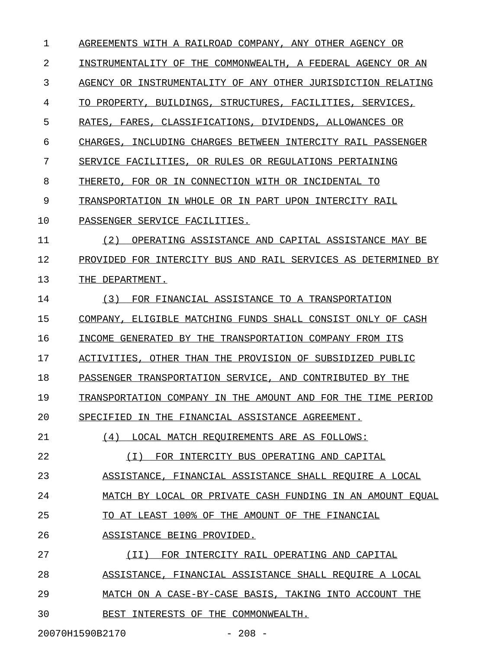| 1  | AGREEMENTS WITH A RAILROAD COMPANY, ANY OTHER AGENCY OR          |
|----|------------------------------------------------------------------|
| 2  | INSTRUMENTALITY OF THE COMMONWEALTH, A FEDERAL AGENCY OR AN      |
| 3  | AGENCY OR INSTRUMENTALITY OF ANY OTHER JURISDICTION RELATING     |
| 4  | TO PROPERTY, BUILDINGS, STRUCTURES, FACILITIES, SERVICES,        |
| 5  | CLASSIFICATIONS, DIVIDENDS, ALLOWANCES OR<br>RATES, FARES,       |
| 6  | INCLUDING CHARGES BETWEEN INTERCITY RAIL PASSENGER<br>CHARGES.   |
| 7  | SERVICE FACILITIES, OR RULES OR REGULATIONS PERTAINING           |
| 8  | THERETO, FOR OR IN CONNECTION WITH OR INCIDENTAL TO              |
| 9  | TRANSPORTATION IN WHOLE OR IN PART UPON INTERCITY RAIL           |
| 10 | PASSENGER SERVICE FACILITIES.                                    |
| 11 | (2)<br>OPERATING ASSISTANCE AND CAPITAL ASSISTANCE MAY BE        |
| 12 | PROVIDED FOR INTERCITY BUS AND RAIL SERVICES AS DETERMINED<br>ВY |
| 13 | THE DEPARTMENT.                                                  |
| 14 | (3)<br>FOR FINANCIAL ASSISTANCE TO A TRANSPORTATION              |
| 15 | COMPANY, ELIGIBLE MATCHING FUNDS SHALL CONSIST ONLY OF CASH      |
| 16 | INCOME GENERATED BY THE TRANSPORTATION COMPANY FROM ITS          |
| 17 | ACTIVITIES,<br>OTHER THAN THE PROVISION OF SUBSIDIZED PUBLIC     |
| 18 | PASSENGER TRANSPORTATION SERVICE, AND CONTRIBUTED BY THE         |
| 19 | TRANSPORTATION COMPANY IN THE AMOUNT AND FOR THE<br>TIME PERIOD  |
| 20 | SPECIFIED IN THE FINANCIAL ASSISTANCE AGREEMENT.                 |
| 21 | (4)<br>LOCAL MATCH REOUIREMENTS ARE AS FOLLOWS:                  |
| 22 | FOR INTERCITY BUS OPERATING AND CAPITAL<br>$(\top)$              |
| 23 | ASSISTANCE, FINANCIAL ASSISTANCE SHALL REQUIRE A LOCAL           |
| 24 | MATCH BY LOCAL OR PRIVATE CASH FUNDING IN AN AMOUNT EQUAL        |
| 25 | TO AT LEAST 100% OF THE AMOUNT OF THE FINANCIAL                  |
| 26 | ASSISTANCE BEING PROVIDED.                                       |
| 27 | (II) FOR INTERCITY RAIL OPERATING AND CAPITAL                    |
| 28 | ASSISTANCE, FINANCIAL ASSISTANCE SHALL REQUIRE A LOCAL           |
| 29 | MATCH ON A CASE-BY-CASE BASIS, TAKING INTO ACCOUNT THE           |
| 30 | BEST INTERESTS OF THE COMMONWEALTH.                              |

20070H1590B2170 - 208 -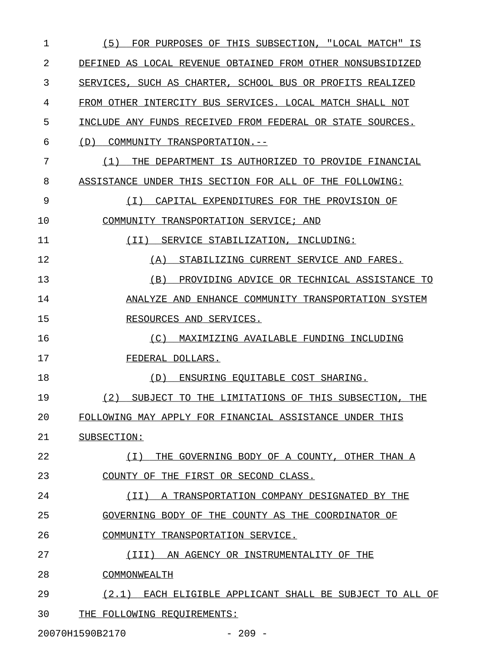| 1  | (5)<br>FOR PURPOSES OF THIS SUBSECTION, "LOCAL MATCH" IS    |
|----|-------------------------------------------------------------|
| 2  | DEFINED AS LOCAL REVENUE OBTAINED FROM OTHER NONSUBSIDIZED  |
| 3  | SERVICES, SUCH AS CHARTER, SCHOOL BUS OR PROFITS REALIZED   |
| 4  | FROM OTHER INTERCITY BUS SERVICES. LOCAL MATCH SHALL NOT    |
| 5  | INCLUDE ANY FUNDS RECEIVED FROM FEDERAL OR STATE SOURCES.   |
| 6  | (D)<br>COMMUNITY TRANSPORTATION.--                          |
| 7  | THE DEPARTMENT IS AUTHORIZED TO PROVIDE FINANCIAL<br>(1)    |
| 8  | ASSISTANCE UNDER THIS SECTION FOR ALL OF THE FOLLOWING:     |
| 9  | (I) CAPITAL EXPENDITURES FOR THE PROVISION OF               |
| 10 | COMMUNITY TRANSPORTATION SERVICE; AND                       |
| 11 | (II) SERVICE STABILIZATION, INCLUDING:                      |
| 12 | STABILIZING CURRENT SERVICE AND FARES.<br>(A)               |
| 13 | PROVIDING ADVICE OR TECHNICAL ASSISTANCE TO<br>(B)          |
| 14 | ANALYZE AND ENHANCE COMMUNITY TRANSPORTATION SYSTEM         |
| 15 | RESOURCES AND SERVICES.                                     |
| 16 | (C)<br>MAXIMIZING AVAILABLE FUNDING INCLUDING               |
| 17 | FEDERAL DOLLARS.                                            |
| 18 | ENSURING EOUITABLE COST SHARING.<br>(D)                     |
| 19 | (2)<br>SUBJECT TO THE LIMITATIONS OF THIS SUBSECTION, THE   |
| 20 | FOLLOWING MAY APPLY FOR FINANCIAL ASSISTANCE UNDER THIS     |
| 21 | SUBSECTION:                                                 |
| 22 | THE GOVERNING BODY OF A COUNTY, OTHER THAN A<br>(T)         |
| 23 | COUNTY OF THE FIRST OR SECOND CLASS.                        |
| 24 | (TI)<br>A TRANSPORTATION COMPANY DESIGNATED BY THE          |
| 25 | GOVERNING BODY OF THE COUNTY AS THE COORDINATOR OF          |
| 26 | COMMUNITY TRANSPORTATION SERVICE.                           |
| 27 | (III) AN AGENCY OR INSTRUMENTALITY OF THE                   |
| 28 | COMMONWEALTH                                                |
| 29 | (2.1)<br>EACH ELIGIBLE APPLICANT SHALL BE SUBJECT TO ALL OF |
| 30 | THE FOLLOWING REQUIREMENTS:                                 |

20070H1590B2170 - 209 -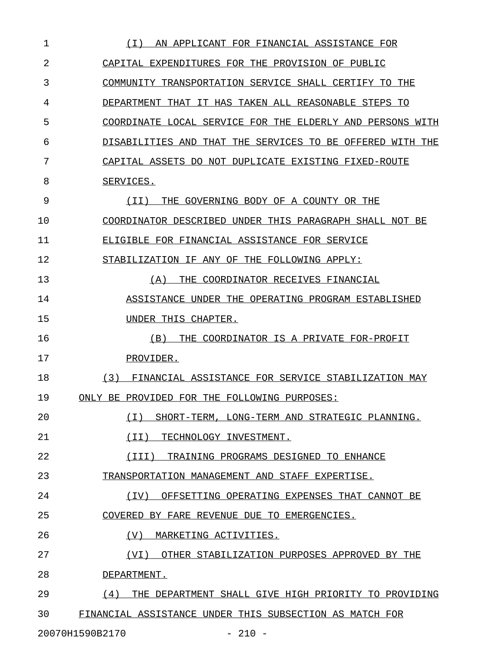| 1  | ( I )<br>AN APPLICANT FOR FINANCIAL ASSISTANCE FOR          |
|----|-------------------------------------------------------------|
| 2  | CAPITAL EXPENDITURES FOR THE PROVISION OF PUBLIC            |
| 3  | COMMUNITY TRANSPORTATION SERVICE SHALL CERTIFY TO THE       |
| 4  | DEPARTMENT THAT IT HAS TAKEN ALL REASONABLE STEPS TO        |
| 5  | COORDINATE LOCAL SERVICE FOR THE ELDERLY AND PERSONS WITH   |
| 6  | DISABILITIES AND THAT THE SERVICES TO BE OFFERED WITH THE   |
| 7  | CAPITAL ASSETS DO NOT DUPLICATE EXISTING FIXED-ROUTE        |
| 8  | <u>SERVICES.</u>                                            |
| 9  | THE GOVERNING BODY OF A COUNTY OR THE<br>(TT)               |
| 10 | COORDINATOR DESCRIBED UNDER THIS PARAGRAPH SHALL NOT BE     |
| 11 | ELIGIBLE FOR FINANCIAL ASSISTANCE FOR SERVICE               |
| 12 | STABILIZATION IF ANY OF THE FOLLOWING APPLY:                |
| 13 | (A)<br>THE COORDINATOR RECEIVES FINANCIAL                   |
| 14 | ASSISTANCE UNDER THE OPERATING PROGRAM ESTABLISHED          |
| 15 | UNDER THIS CHAPTER.                                         |
| 16 | THE COORDINATOR IS A PRIVATE FOR-PROFIT<br>(B)              |
| 17 | <u>PROVIDER.</u>                                            |
| 18 | (3)<br>FINANCIAL ASSISTANCE FOR SERVICE STABILIZATION MAY   |
| 19 | ONLY BE PROVIDED FOR THE FOLLOWING PURPOSES:                |
| 20 | ( I )<br>SHORT-TERM, LONG-TERM AND STRATEGIC PLANNING.      |
| 21 | $(\I{I})$<br>TECHNOLOGY INVESTMENT.                         |
| 22 | (III)<br>TRAINING PROGRAMS DESIGNED TO ENHANCE              |
| 23 | TRANSPORTATION MANAGEMENT AND STAFF EXPERTISE.              |
| 24 | (IV)<br>OFFSETTING OPERATING EXPENSES THAT CANNOT BE        |
| 25 | COVERED BY FARE REVENUE DUE TO EMERGENCIES.                 |
| 26 | (V)<br>MARKETING ACTIVITIES.                                |
| 27 | (VI)<br>OTHER STABILIZATION PURPOSES APPROVED BY THE        |
| 28 | DEPARTMENT.                                                 |
| 29 | (4)<br>THE DEPARTMENT SHALL GIVE HIGH PRIORITY TO PROVIDING |
| 30 | FINANCIAL ASSISTANCE UNDER THIS SUBSECTION AS MATCH FOR     |
|    | $-210 -$<br>20070H1590B2170                                 |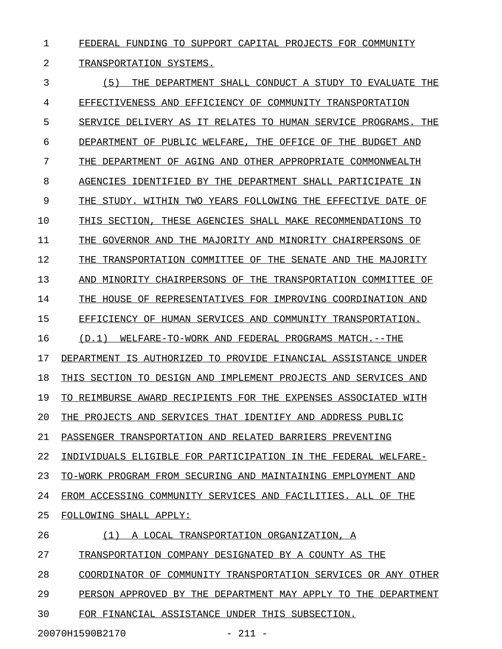1 FEDERAL FUNDING TO SUPPORT CAPITAL PROJECTS FOR COMMUNITY

# 2 TRANSPORTATION SYSTEMS.

3 (5) THE DEPARTMENT SHALL CONDUCT A STUDY TO EVALUATE THE \_\_\_\_\_\_\_\_\_\_\_\_\_\_\_\_\_\_\_\_\_\_\_\_\_\_\_\_\_\_\_\_\_\_\_\_\_\_\_\_\_\_\_\_\_\_\_\_\_\_\_\_\_\_\_\_\_ 4 EFFECTIVENESS AND EFFICIENCY OF COMMUNITY TRANSPORTATION 5 SERVICE DELIVERY AS IT RELATES TO HUMAN SERVICE PROGRAMS. THE 6 DEPARTMENT OF PUBLIC WELFARE, THE OFFICE OF THE BUDGET AND 7 THE DEPARTMENT OF AGING AND OTHER APPROPRIATE COMMONWEALTH 8 AGENCIES IDENTIFIED BY THE DEPARTMENT SHALL PARTICIPATE IN 9 THE STUDY. WITHIN TWO YEARS FOLLOWING THE EFFECTIVE DATE OF 10 THIS SECTION, THESE AGENCIES SHALL MAKE RECOMMENDATIONS TO 11 THE GOVERNOR AND THE MAJORITY AND MINORITY CHAIRPERSONS OF 12 THE TRANSPORTATION COMMITTEE OF THE SENATE AND THE MAJORITY 13 AND MINORITY CHAIRPERSONS OF THE TRANSPORTATION COMMITTEE OF 14 THE HOUSE OF REPRESENTATIVES FOR IMPROVING COORDINATION AND 15 EFFICIENCY OF HUMAN SERVICES AND COMMUNITY TRANSPORTATION. 16 (D.1) WELFARE-TO-WORK AND FEDERAL PROGRAMS MATCH.--THE 17 DEPARTMENT IS AUTHORIZED TO PROVIDE FINANCIAL ASSISTANCE UNDER 18 THIS SECTION TO DESIGN AND IMPLEMENT PROJECTS AND SERVICES AND 19 TO REIMBURSE AWARD RECIPIENTS FOR THE EXPENSES ASSOCIATED WITH 20 THE PROJECTS AND SERVICES THAT IDENTIFY AND ADDRESS PUBLIC 21 PASSENGER TRANSPORTATION AND RELATED BARRIERS PREVENTING 22 INDIVIDUALS ELIGIBLE FOR PARTICIPATION IN THE FEDERAL WELFARE-23 TO-WORK PROGRAM FROM SECURING AND MAINTAINING EMPLOYMENT AND 24 FROM ACCESSING COMMUNITY SERVICES AND FACILITIES. ALL OF THE 25 FOLLOWING SHALL APPLY: 26 (1) A LOCAL TRANSPORTATION ORGANIZATION, A 27 TRANSPORTATION COMPANY DESIGNATED BY A COUNTY AS THE 28 COORDINATOR OF COMMUNITY TRANSPORTATION SERVICES OR ANY OTHER 29 PERSON APPROVED BY THE DEPARTMENT MAY APPLY TO THE DEPARTMENT 30 FOR FINANCIAL ASSISTANCE UNDER THIS SUBSECTION.

20070H1590B2170 - 211 -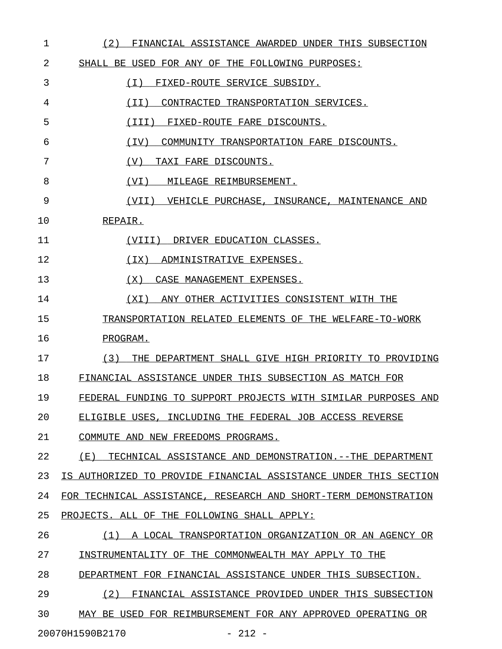| 1  | (2)<br>FINANCIAL ASSISTANCE AWARDED UNDER THIS SUBSECTION         |
|----|-------------------------------------------------------------------|
| 2  | SHALL BE USED FOR ANY OF THE FOLLOWING PURPOSES:                  |
| 3  | ( I )<br>FIXED-ROUTE SERVICE SUBSIDY.                             |
| 4  | ( I I )<br>CONTRACTED TRANSPORTATION SERVICES.                    |
| 5  | (III)<br>FIXED-ROUTE FARE DISCOUNTS.                              |
| 6  | (TV)<br>COMMUNITY TRANSPORTATION FARE DISCOUNTS.                  |
| 7  | (V)<br>TAXI FARE DISCOUNTS.                                       |
| 8  | (VI)<br>MILEAGE REIMBURSEMENT.                                    |
| 9  | (VII) VEHICLE PURCHASE, INSURANCE, MAINTENANCE AND                |
| 10 | REPAIR.                                                           |
| 11 | (VIII)<br>DRIVER EDUCATION CLASSES.                               |
| 12 | ( IX )<br>ADMINISTRATIVE EXPENSES.                                |
| 13 | ( X )<br>CASE MANAGEMENT EXPENSES.                                |
| 14 | ANY OTHER ACTIVITIES CONSISTENT WITH THE<br>( X I )               |
| 15 | TRANSPORTATION RELATED ELEMENTS OF THE WELFARE-TO-WORK            |
| 16 | PROGRAM.                                                          |
| 17 | (3)<br>THE DEPARTMENT SHALL GIVE HIGH PRIORITY TO PROVIDING       |
| 18 | FINANCIAL ASSISTANCE UNDER THIS SUBSECTION AS MATCH FOR           |
| 19 | FEDERAL FUNDING TO SUPPORT PROJECTS WITH SIMILAR PURPOSES AND     |
| 20 | ELIGIBLE USES, INCLUDING THE FEDERAL JOB ACCESS REVERSE           |
| 21 | COMMUTE AND NEW FREEDOMS PROGRAMS.                                |
| 22 | TECHNICAL ASSISTANCE AND DEMONSTRATION. --THE DEPARTMENT<br>( E ) |
| 23 | IS AUTHORIZED TO PROVIDE FINANCIAL ASSISTANCE UNDER THIS SECTION  |
| 24 | FOR TECHNICAL ASSISTANCE, RESEARCH AND SHORT-TERM DEMONSTRATION   |
| 25 | PROJECTS. ALL OF THE FOLLOWING SHALL APPLY:                       |
| 26 | (1) A LOCAL TRANSPORTATION ORGANIZATION OR AN AGENCY OR           |
| 27 | INSTRUMENTALITY OF THE COMMONWEALTH MAY APPLY TO THE              |
| 28 | DEPARTMENT FOR FINANCIAL ASSISTANCE UNDER THIS SUBSECTION.        |
| 29 | (2) FINANCIAL ASSISTANCE PROVIDED UNDER THIS SUBSECTION           |
| 30 | MAY BE USED FOR REIMBURSEMENT FOR ANY APPROVED OPERATING OR       |

20070H1590B2170 - 212 -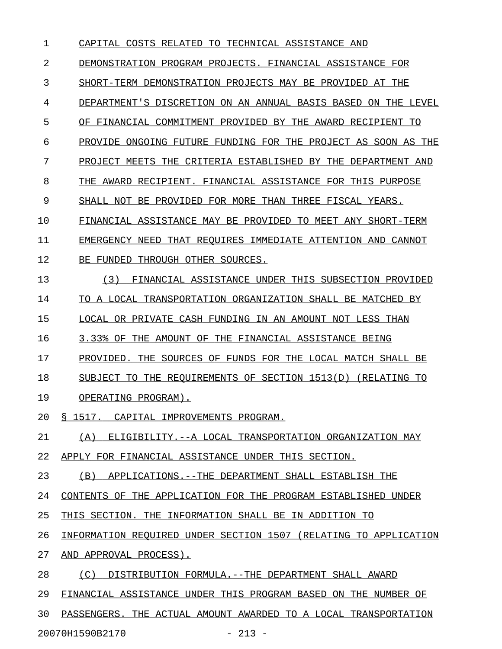| 1  | TO TECHNICAL ASSISTANCE AND<br>CAPITAL COSTS RELATED             |
|----|------------------------------------------------------------------|
| 2  | DEMONSTRATION PROGRAM PROJECTS. FINANCIAL ASSISTANCE FOR         |
| 3  | SHORT-TERM DEMONSTRATION PROJECTS MAY BE PROVIDED AT THE         |
| 4  | DEPARTMENT'S DISCRETION ON AN ANNUAL BASIS BASED ON THE LEVEL    |
| 5  | OF FINANCIAL COMMITMENT PROVIDED BY THE AWARD RECIPIENT TO       |
| 6  | PROVIDE ONGOING FUTURE FUNDING FOR THE PROJECT AS SOON AS THE    |
| 7  | PROJECT MEETS THE CRITERIA ESTABLISHED BY THE DEPARTMENT AND     |
| 8  | THE AWARD RECIPIENT. FINANCIAL ASSISTANCE FOR THIS PURPOSE       |
| 9  | SHALL NOT BE PROVIDED FOR MORE THAN THREE FISCAL YEARS.          |
| 10 | FINANCIAL ASSISTANCE MAY BE PROVIDED TO MEET ANY SHORT-TERM      |
| 11 | EMERGENCY NEED THAT REOUIRES IMMEDIATE ATTENTION AND CANNOT      |
| 12 | BE FUNDED THROUGH OTHER SOURCES.                                 |
| 13 | (3)<br>FINANCIAL ASSISTANCE UNDER THIS SUBSECTION PROVIDED       |
| 14 | TO A LOCAL TRANSPORTATION ORGANIZATION SHALL BE MATCHED BY       |
| 15 | LOCAL OR PRIVATE CASH FUNDING IN AN AMOUNT NOT LESS THAN         |
| 16 | 3.33% OF THE AMOUNT OF THE FINANCIAL ASSISTANCE BEING            |
| 17 | PROVIDED. THE SOURCES OF FUNDS FOR THE LOCAL MATCH SHALL BE      |
| 18 | SUBJECT TO THE REQUIREMENTS OF SECTION 1513(D) (RELATING TO      |
| 19 | OPERATING PROGRAM).                                              |
| 20 | § 1517. CAPITAL IMPROVEMENTS PROGRAM.                            |
| 21 | (A) ELIGIBILITY.--A LOCAL TRANSPORTATION ORGANIZATION MAY        |
| 22 | APPLY FOR FINANCIAL ASSISTANCE UNDER THIS SECTION.               |
| 23 | (B) APPLICATIONS.--THE DEPARTMENT SHALL ESTABLISH THE            |
| 24 | CONTENTS OF THE APPLICATION FOR THE PROGRAM ESTABLISHED UNDER    |
| 25 | THIS SECTION. THE INFORMATION SHALL BE IN ADDITION TO            |
| 26 | INFORMATION REQUIRED UNDER SECTION 1507 (RELATING TO APPLICATION |
| 27 | AND APPROVAL PROCESS).                                           |
| 28 | (C) DISTRIBUTION FORMULA. -- THE DEPARTMENT SHALL AWARD          |
| 29 | FINANCIAL ASSISTANCE UNDER THIS PROGRAM BASED ON THE NUMBER OF   |
| 30 | PASSENGERS. THE ACTUAL AMOUNT AWARDED TO A LOCAL TRANSPORTATION  |

20070H1590B2170 - 213 -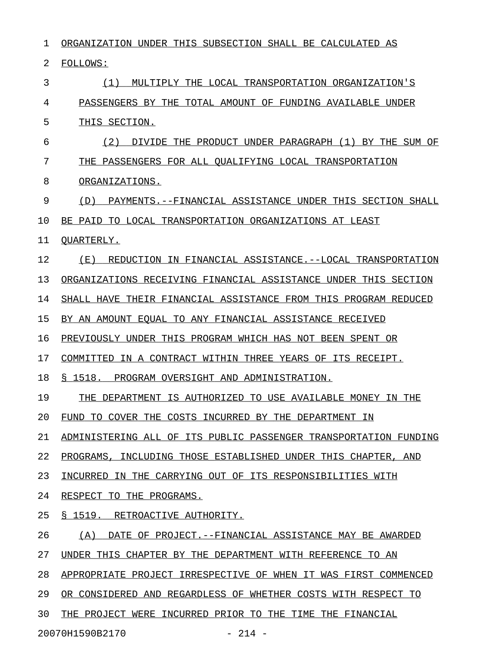1 ORGANIZATION UNDER THIS SUBSECTION SHALL BE CALCULATED AS 2 FOLLOWS: 3 (1) MULTIPLY THE LOCAL TRANSPORTATION ORGANIZATION'S 4 PASSENGERS BY THE TOTAL AMOUNT OF FUNDING AVAILABLE UNDER 5 THIS SECTION. 6  $(2)$  DIVIDE THE PRODUCT UNDER PARAGRAPH  $(1)$  BY THE SUM OF 7 THE PASSENGERS FOR ALL QUALIFYING LOCAL TRANSPORTATION 8 ORGANIZATIONS. 9 (D) PAYMENTS.--FINANCIAL ASSISTANCE UNDER THIS SECTION SHALL 10 BE PAID TO LOCAL TRANSPORTATION ORGANIZATIONS AT LEAST 11 OUARTERLY. 12 (E) REDUCTION IN FINANCIAL ASSISTANCE.--LOCAL TRANSPORTATION 13 ORGANIZATIONS RECEIVING FINANCIAL ASSISTANCE UNDER THIS SECTION 14 SHALL HAVE THEIR FINANCIAL ASSISTANCE FROM THIS PROGRAM REDUCED 15 BY AN AMOUNT EQUAL TO ANY FINANCIAL ASSISTANCE RECEIVED 16 PREVIOUSLY UNDER THIS PROGRAM WHICH HAS NOT BEEN SPENT OR 17 COMMITTED IN A CONTRACT WITHIN THREE YEARS OF ITS RECEIPT. 18 § 1518. PROGRAM OVERSIGHT AND ADMINISTRATION. 19 THE DEPARTMENT IS AUTHORIZED TO USE AVAILABLE MONEY IN THE 20 FUND TO COVER THE COSTS INCURRED BY THE DEPARTMENT IN 21 ADMINISTERING ALL OF ITS PUBLIC PASSENGER TRANSPORTATION FUNDING 22 PROGRAMS, INCLUDING THOSE ESTABLISHED UNDER THIS CHAPTER, AND 23 INCURRED IN THE CARRYING OUT OF ITS RESPONSIBILITIES WITH 24 RESPECT TO THE PROGRAMS. 25 § 1519. RETROACTIVE AUTHORITY. 26 (A) DATE OF PROJECT.--FINANCIAL ASSISTANCE MAY BE AWARDED 27 UNDER THIS CHAPTER BY THE DEPARTMENT WITH REFERENCE TO AN 28 APPROPRIATE PROJECT IRRESPECTIVE OF WHEN IT WAS FIRST COMMENCED 29 OR CONSIDERED AND REGARDLESS OF WHETHER COSTS WITH RESPECT TO 30 THE PROJECT WERE INCURRED PRIOR TO THE TIME THE FINANCIAL

20070H1590B2170 - 214 -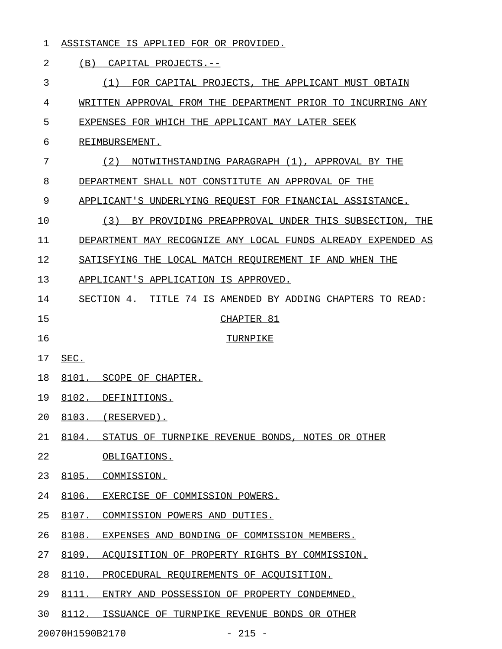### 1 ASSISTANCE IS APPLIED FOR OR PROVIDED.

#### 2 (B) CAPITAL PROJECTS.--

3 6 (1) FOR CAPITAL PROJECTS, THE APPLICANT MUST OBTAIN 4 WRITTEN APPROVAL FROM THE DEPARTMENT PRIOR TO INCURRING ANY 5 EXPENSES FOR WHICH THE APPLICANT MAY LATER SEEK 6 REIMBURSEMENT. 7 (2) NOTWITHSTANDING PARAGRAPH (1), APPROVAL BY THE 8 DEPARTMENT SHALL NOT CONSTITUTE AN APPROVAL OF THE 9 APPLICANT'S UNDERLYING REQUEST FOR FINANCIAL ASSISTANCE. 10 (3) BY PROVIDING PREAPPROVAL UNDER THIS SUBSECTION, THE \_\_\_\_\_\_\_\_\_\_\_\_\_\_\_\_\_\_\_\_\_\_\_\_\_\_\_\_\_\_\_\_\_\_\_\_\_\_\_\_\_\_\_\_\_\_\_\_\_\_\_\_\_\_\_\_ 11 DEPARTMENT MAY RECOGNIZE ANY LOCAL FUNDS ALREADY EXPENDED AS 12 SATISFYING THE LOCAL MATCH REQUIREMENT IF AND WHEN THE 13 APPLICANT'S APPLICATION IS APPROVED. 14 SECTION 4. TITLE 74 IS AMENDED BY ADDING CHAPTERS TO READ: 15 CHAPTER 81 16 TURNPIKE 17 **SEC.** 18 8101. SCOPE OF CHAPTER. 19 8102. DEFINITIONS. 20 8103. (RESERVED). 21 8104. STATUS OF TURNPIKE REVENUE BONDS, NOTES OR OTHER 22 OBLIGATIONS. 23 8105. COMMISSION. 24 8106. EXERCISE OF COMMISSION POWERS. 25 8107. COMMISSION POWERS AND DUTIES. 26 8108. EXPENSES AND BONDING OF COMMISSION MEMBERS. 27 8109. ACOUISITION OF PROPERTY RIGHTS BY COMMISSION. 28 8110. PROCEDURAL REQUIREMENTS OF ACQUISITION. 29 8111. ENTRY AND POSSESSION OF PROPERTY CONDEMNED.

30 8112. ISSUANCE OF TURNPIKE REVENUE BONDS OR OTHER

20070H1590B2170 - 215 -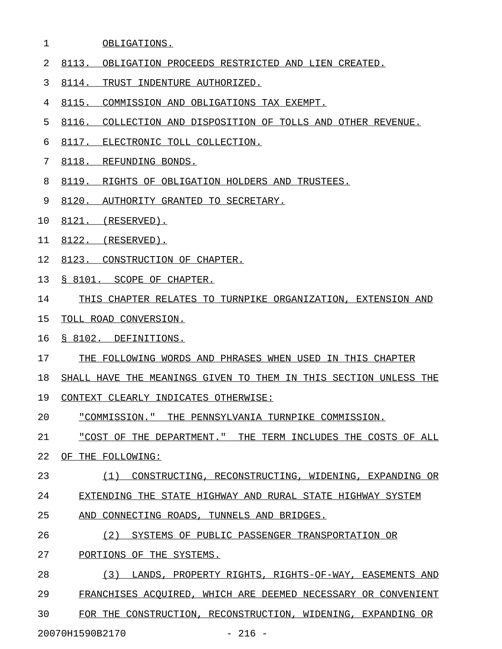### 1 OBLIGATIONS.

- 2 8113. OBLIGATION PROCEEDS RESTRICTED AND LIEN CREATED.
- 3 8114. TRUST INDENTURE AUTHORIZED.
- 4 8115. COMMISSION AND OBLIGATIONS TAX EXEMPT.
- 5 8116. COLLECTION AND DISPOSITION OF TOLLS AND OTHER REVENUE.
- 6 8117. ELECTRONIC TOLL COLLECTION.
- 7 8118. REFUNDING BONDS.
- 8 8119. RIGHTS OF OBLIGATION HOLDERS AND TRUSTEES.
- 9 8120. AUTHORITY GRANTED TO SECRETARY.
- 10 8121. (RESERVED).
- 11 8122. (RESERVED).
- 12 8123. CONSTRUCTION OF CHAPTER.
- 13 § 8101. SCOPE OF CHAPTER.
- 14 THIS CHAPTER RELATES TO TURNPIKE ORGANIZATION, EXTENSION AND
- 15 TOLL ROAD CONVERSION.
- 16 § 8102. DEFINITIONS.
- 17 THE FOLLOWING WORDS AND PHRASES WHEN USED IN THIS CHAPTER
- 18 SHALL HAVE THE MEANINGS GIVEN TO THEM IN THIS SECTION UNLESS THE
- 19 CONTEXT CLEARLY INDICATES OTHERWISE:
- 20 "COMMISSION." THE PENNSYLVANIA TURNPIKE COMMISSION.
- 21 "COST OF THE DEPARTMENT." THE TERM INCLUDES THE COSTS OF ALL \_\_\_\_\_\_\_\_\_\_\_\_\_\_\_\_\_\_\_\_\_\_\_\_\_\_\_\_\_\_\_\_\_\_\_\_\_\_\_\_\_\_\_\_\_\_\_\_\_\_\_\_\_\_\_\_\_\_\_\_\_
- 22 OF THE FOLLOWING:
- 23 (1) CONSTRUCTING, RECONSTRUCTING, WIDENING, EXPANDING OR
- 24 EXTENDING THE STATE HIGHWAY AND RURAL STATE HIGHWAY SYSTEM
- 25 AND CONNECTING ROADS, TUNNELS AND BRIDGES.
- 26 (2) SYSTEMS OF PUBLIC PASSENGER TRANSPORTATION OR
- 27 PORTIONS OF THE SYSTEMS.
- 28 (3) LANDS, PROPERTY RIGHTS, RIGHTS-OF-WAY, EASEMENTS AND 29 FRANCHISES ACQUIRED, WHICH ARE DEEMED NECESSARY OR CONVENIENT 30 FOR THE CONSTRUCTION, RECONSTRUCTION, WIDENING, EXPANDING OR

20070H1590B2170 - 216 -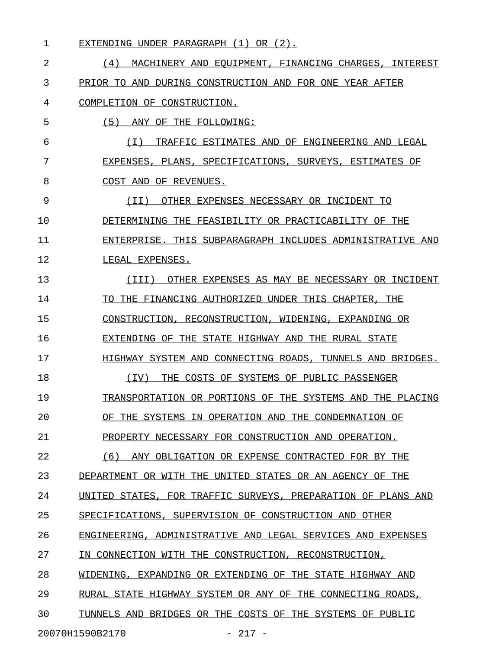| 1  | EXTENDING UNDER PARAGRAPH (1) OR (2).                        |
|----|--------------------------------------------------------------|
| 2  | (4)<br>MACHINERY AND EOUIPMENT, FINANCING CHARGES, INTEREST  |
| 3  | PRIOR TO AND DURING CONSTRUCTION AND FOR ONE YEAR AFTER      |
| 4  | COMPLETION OF CONSTRUCTION.                                  |
| 5  | (5)<br>ANY OF THE FOLLOWING:                                 |
| 6  | ( I )<br>TRAFFIC ESTIMATES AND OF ENGINEERING AND LEGAL      |
| 7  | EXPENSES, PLANS, SPECIFICATIONS, SURVEYS, ESTIMATES OF       |
| 8  | COST AND OF REVENUES.                                        |
| 9  | ( I I )<br>OTHER EXPENSES NECESSARY OR INCIDENT TO           |
| 10 | DETERMINING THE FEASIBILITY OR PRACTICABILITY OF THE         |
| 11 | ENTERPRISE. THIS SUBPARAGRAPH INCLUDES ADMINISTRATIVE AND    |
| 12 | LEGAL EXPENSES.                                              |
| 13 | (III) OTHER EXPENSES AS MAY BE NECESSARY OR INCIDENT         |
| 14 | TO THE FINANCING AUTHORIZED UNDER THIS CHAPTER, THE          |
| 15 | CONSTRUCTION, RECONSTRUCTION, WIDENING, EXPANDING OR         |
| 16 | EXTENDING OF THE STATE HIGHWAY AND THE RURAL STATE           |
| 17 | HIGHWAY SYSTEM AND CONNECTING ROADS, TUNNELS AND BRIDGES.    |
| 18 | THE COSTS OF SYSTEMS OF PUBLIC PASSENGER<br>(IV)             |
| 19 | TRANSPORTATION OR PORTIONS OF THE SYSTEMS AND THE PLACING    |
| 20 | OF THE SYSTEMS IN OPERATION AND THE CONDEMNATION OF          |
| 21 | PROPERTY NECESSARY FOR CONSTRUCTION AND OPERATION.           |
| 22 | (6) ANY OBLIGATION OR EXPENSE CONTRACTED FOR BY THE          |
| 23 | DEPARTMENT OR WITH THE UNITED STATES OR AN AGENCY OF THE     |
| 24 | UNITED STATES, FOR TRAFFIC SURVEYS, PREPARATION OF PLANS AND |
| 25 | SPECIFICATIONS, SUPERVISION OF CONSTRUCTION AND OTHER        |
| 26 | ENGINEERING, ADMINISTRATIVE AND LEGAL SERVICES AND EXPENSES  |
| 27 | IN CONNECTION WITH THE CONSTRUCTION, RECONSTRUCTION,         |
| 28 | WIDENING, EXPANDING OR EXTENDING OF THE STATE HIGHWAY AND    |
| 29 | RURAL STATE HIGHWAY SYSTEM OR ANY OF THE CONNECTING ROADS,   |
| 30 | TUNNELS AND BRIDGES OR THE COSTS OF THE SYSTEMS OF PUBLIC    |
|    | 20070H1590B2170<br>$-217 -$                                  |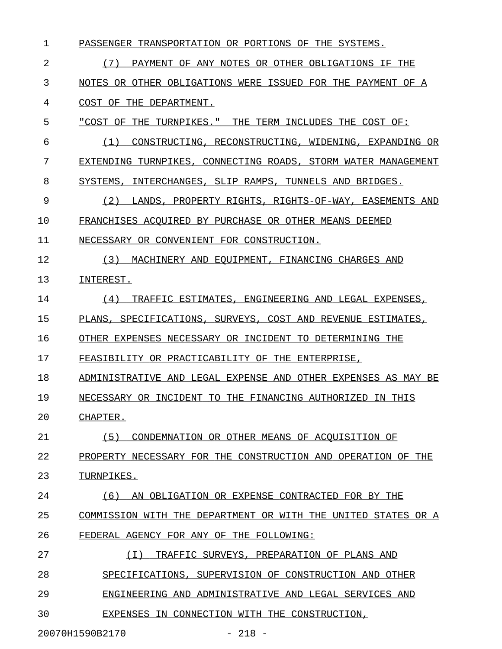| 1  | PASSENGER TRANSPORTATION OR PORTIONS OF THE SYSTEMS.          |
|----|---------------------------------------------------------------|
| 2  | (7)<br>PAYMENT OF ANY NOTES OR OTHER OBLIGATIONS IF THE       |
| 3  | NOTES OR OTHER OBLIGATIONS WERE ISSUED FOR THE PAYMENT OF A   |
| 4  | COST OF THE DEPARTMENT.                                       |
| 5  | "COST OF THE TURNPIKES." THE TERM INCLUDES THE COST OF:       |
| 6  | CONSTRUCTING, RECONSTRUCTING, WIDENING, EXPANDING OR<br>(1)   |
| 7  | EXTENDING TURNPIKES, CONNECTING ROADS, STORM WATER MANAGEMENT |
| 8  | SYSTEMS, INTERCHANGES, SLIP RAMPS, TUNNELS AND BRIDGES.       |
| 9  | (2)<br>LANDS, PROPERTY RIGHTS, RIGHTS-OF-WAY, EASEMENTS AND   |
| 10 | FRANCHISES ACOUIRED BY PURCHASE OR OTHER MEANS DEEMED         |
| 11 | NECESSARY OR CONVENIENT FOR CONSTRUCTION.                     |
| 12 | (3)<br>MACHINERY AND EOUIPMENT, FINANCING CHARGES AND         |
| 13 | INTEREST.                                                     |
| 14 | (4)<br>TRAFFIC ESTIMATES, ENGINEERING AND LEGAL EXPENSES,     |
| 15 | PLANS, SPECIFICATIONS, SURVEYS, COST AND REVENUE ESTIMATES,   |
| 16 | OTHER EXPENSES NECESSARY OR INCIDENT TO DETERMINING THE       |
| 17 | FEASIBILITY OR PRACTICABILITY OF THE ENTERPRISE,              |
| 18 | ADMINISTRATIVE AND LEGAL EXPENSE AND OTHER EXPENSES AS MAY BE |
| 19 | NECESSARY OR INCIDENT TO THE FINANCING AUTHORIZED IN THIS     |
| 20 | CHAPTER.                                                      |
| 21 | (5)<br>CONDEMNATION OR OTHER MEANS OF ACOUISITION OF          |
| 22 | PROPERTY NECESSARY FOR THE CONSTRUCTION AND OPERATION OF THE  |
| 23 | TURNPIKES.                                                    |
| 24 | (6)<br>AN OBLIGATION OR EXPENSE CONTRACTED FOR BY THE         |
| 25 | COMMISSION WITH THE DEPARTMENT OR WITH THE UNITED STATES OR A |
| 26 | FEDERAL AGENCY FOR ANY OF THE FOLLOWING:                      |
| 27 | (T)<br>TRAFFIC SURVEYS, PREPARATION OF PLANS AND              |
| 28 | SUPERVISION OF CONSTRUCTION AND OTHER<br>SPECIFICATIONS.      |
| 29 | ENGINEERING AND ADMINISTRATIVE AND LEGAL SERVICES AND         |
| 30 | EXPENSES IN CONNECTION WITH THE CONSTRUCTION,                 |

20070H1590B2170 - 218 -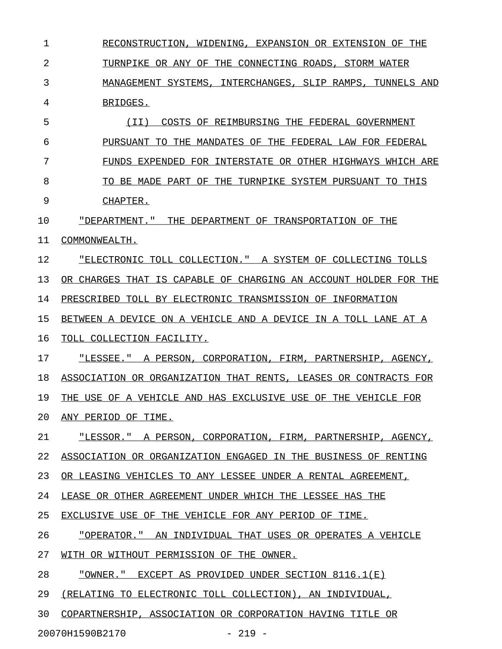1 RECONSTRUCTION, WIDENING, EXPANSION OR EXTENSION OF THE 2 TURNPIKE OR ANY OF THE CONNECTING ROADS, STORM WATER 3 MANAGEMENT SYSTEMS, INTERCHANGES, SLIP RAMPS, TUNNELS AND 4 BRIDGES. 5 (II) COSTS OF REIMBURSING THE FEDERAL GOVERNMENT \_\_\_\_\_\_\_\_\_\_\_\_\_\_\_\_\_\_\_\_\_\_\_\_\_\_\_\_\_\_\_\_\_\_\_\_\_\_\_\_\_\_\_\_\_\_\_\_\_ 6 PURSUANT TO THE MANDATES OF THE FEDERAL LAW FOR FEDERAL 7 FUNDS EXPENDED FOR INTERSTATE OR OTHER HIGHWAYS WHICH ARE 8 TO BE MADE PART OF THE TURNPIKE SYSTEM PURSUANT TO THIS 9 CHAPTER. 10 "DEPARTMENT." THE DEPARTMENT OF TRANSPORTATION OF THE \_\_\_\_\_\_\_\_\_\_\_\_\_\_\_\_\_\_\_\_\_\_\_\_\_\_\_\_\_\_\_\_\_\_\_\_\_\_\_\_\_\_\_\_\_\_\_\_\_\_\_\_\_\_ 11 COMMONWEALTH. 12 "ELECTRONIC TOLL COLLECTION." A SYSTEM OF COLLECTING TOLLS \_\_\_\_\_\_\_\_\_\_\_\_\_\_\_\_\_\_\_\_\_\_\_\_\_\_\_\_\_\_\_\_\_\_\_\_\_\_\_\_\_\_\_\_\_\_\_\_\_\_\_\_\_\_\_\_\_\_\_ 13 OR CHARGES THAT IS CAPABLE OF CHARGING AN ACCOUNT HOLDER FOR THE 14 PRESCRIBED TOLL BY ELECTRONIC TRANSMISSION OF INFORMATION 15 BETWEEN A DEVICE ON A VEHICLE AND A DEVICE IN A TOLL LANE AT A 16 TOLL COLLECTION FACILITY. 17 "LESSEE." A PERSON, CORPORATION, FIRM, PARTNERSHIP, AGENCY, 18 ASSOCIATION OR ORGANIZATION THAT RENTS, LEASES OR CONTRACTS FOR 19 THE USE OF A VEHICLE AND HAS EXCLUSIVE USE OF THE VEHICLE FOR 20 ANY PERIOD OF TIME. 21 THESSOR." A PERSON, CORPORATION, FIRM, PARTNERSHIP, AGENCY, 22 ASSOCIATION OR ORGANIZATION ENGAGED IN THE BUSINESS OF RENTING 23 OR LEASING VEHICLES TO ANY LESSEE UNDER A RENTAL AGREEMENT, 24 LEASE OR OTHER AGREEMENT UNDER WHICH THE LESSEE HAS THE 25 EXCLUSIVE USE OF THE VEHICLE FOR ANY PERIOD OF TIME. 26 <u>"OPERATOR." AN INDIVIDUAL THAT USES OR OPERATES A VEHICLE</u> 27 WITH OR WITHOUT PERMISSION OF THE OWNER. 28 "OWNER." EXCEPT AS PROVIDED UNDER SECTION 8116.1(E) 29 (RELATING TO ELECTRONIC TOLL COLLECTION), AN INDIVIDUAL, 30 COPARTNERSHIP, ASSOCIATION OR CORPORATION HAVING TITLE OR

20070H1590B2170 - 219 -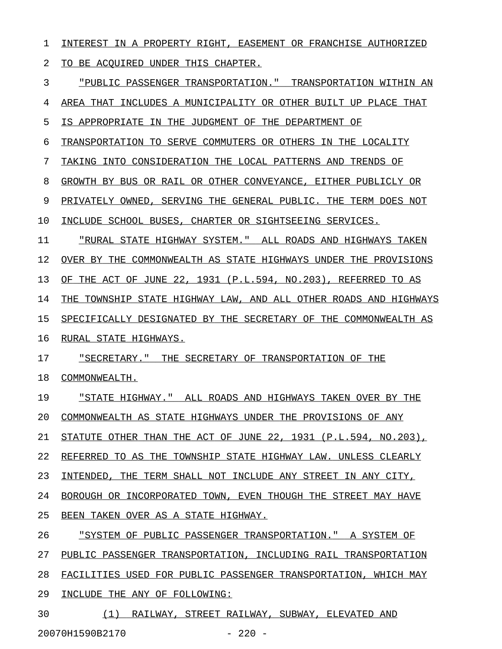1 INTEREST IN A PROPERTY RIGHT, EASEMENT OR FRANCHISE AUTHORIZED 2 TO BE ACQUIRED UNDER THIS CHAPTER.

3 "PUBLIC PASSENGER TRANSPORTATION." TRANSPORTATION WITHIN AN \_\_\_\_\_\_\_\_\_\_\_\_\_\_\_\_\_\_\_\_\_\_\_\_\_\_\_\_\_\_\_\_\_\_\_\_\_\_\_\_\_\_\_\_\_\_\_\_\_\_\_\_\_\_\_\_\_\_\_\_ 4 AREA THAT INCLUDES A MUNICIPALITY OR OTHER BUILT UP PLACE THAT 5 IS APPROPRIATE IN THE JUDGMENT OF THE DEPARTMENT OF 6 TRANSPORTATION TO SERVE COMMUTERS OR OTHERS IN THE LOCALITY 7 TAKING INTO CONSIDERATION THE LOCAL PATTERNS AND TRENDS OF 8 GROWTH BY BUS OR RAIL OR OTHER CONVEYANCE, EITHER PUBLICLY OR 9 PRIVATELY OWNED, SERVING THE GENERAL PUBLIC. THE TERM DOES NOT 10 INCLUDE SCHOOL BUSES, CHARTER OR SIGHTSEEING SERVICES. 11 "RURAL STATE HIGHWAY SYSTEM." ALL ROADS AND HIGHWAYS TAKEN 12 OVER BY THE COMMONWEALTH AS STATE HIGHWAYS UNDER THE PROVISIONS 13 OF THE ACT OF JUNE 22, 1931 (P.L.594, NO.203), REFERRED TO AS 14 THE TOWNSHIP STATE HIGHWAY LAW, AND ALL OTHER ROADS AND HIGHWAYS 15 SPECIFICALLY DESIGNATED BY THE SECRETARY OF THE COMMONWEALTH AS 16 RURAL STATE HIGHWAYS. 17 "SECRETARY." THE SECRETARY OF TRANSPORTATION OF THE 18 COMMONWEALTH. 19 • STATE HIGHWAY." ALL ROADS AND HIGHWAYS TAKEN OVER BY THE 20 COMMONWEALTH AS STATE HIGHWAYS UNDER THE PROVISIONS OF ANY 21 STATUTE OTHER THAN THE ACT OF JUNE 22, 1931 (P.L.594, NO.203), 22 REFERRED TO AS THE TOWNSHIP STATE HIGHWAY LAW. UNLESS CLEARLY 23 INTENDED, THE TERM SHALL NOT INCLUDE ANY STREET IN ANY CITY, 24 BOROUGH OR INCORPORATED TOWN, EVEN THOUGH THE STREET MAY HAVE 25 BEEN TAKEN OVER AS A STATE HIGHWAY. 26 "SYSTEM OF PUBLIC PASSENGER TRANSPORTATION." A SYSTEM OF 27 PUBLIC PASSENGER TRANSPORTATION, INCLUDING RAIL TRANSPORTATION 28 FACILITIES USED FOR PUBLIC PASSENGER TRANSPORTATION, WHICH MAY

29 INCLUDE THE ANY OF FOLLOWING:

30 (1) RAILWAY, STREET RAILWAY, SUBWAY, ELEVATED AND 20070H1590B2170 - 220 -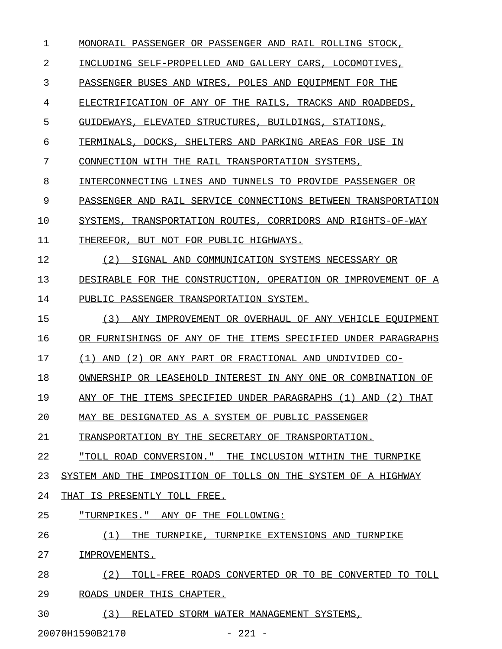2 INCLUDING SELF-PROPELLED AND GALLERY CARS, LOCOMOTIVES, 3 PASSENGER BUSES AND WIRES, POLES AND EQUIPMENT FOR THE 4 ELECTRIFICATION OF ANY OF THE RAILS, TRACKS AND ROADBEDS, 5 GUIDEWAYS, ELEVATED STRUCTURES, BUILDINGS, STATIONS, 6 TERMINALS, DOCKS, SHELTERS AND PARKING AREAS FOR USE IN 7 CONNECTION WITH THE RAIL TRANSPORTATION SYSTEMS, 8 INTERCONNECTING LINES AND TUNNELS TO PROVIDE PASSENGER OR 9 PASSENGER AND RAIL SERVICE CONNECTIONS BETWEEN TRANSPORTATION 10 SYSTEMS, TRANSPORTATION ROUTES, CORRIDORS AND RIGHTS-OF-WAY 11 THEREFOR, BUT NOT FOR PUBLIC HIGHWAYS. 12 (2) SIGNAL AND COMMUNICATION SYSTEMS NECESSARY OR 13 DESIRABLE FOR THE CONSTRUCTION, OPERATION OR IMPROVEMENT OF A 14 PUBLIC PASSENGER TRANSPORTATION SYSTEM. 15 (3) ANY IMPROVEMENT OR OVERHAUL OF ANY VEHICLE EQUIPMENT 16 OR FURNISHINGS OF ANY OF THE ITEMS SPECIFIED UNDER PARAGRAPHS 17 (1) AND (2) OR ANY PART OR FRACTIONAL AND UNDIVIDED CO-18 OWNERSHIP OR LEASEHOLD INTEREST IN ANY ONE OR COMBINATION OF 19 ANY OF THE ITEMS SPECIFIED UNDER PARAGRAPHS (1) AND (2) THAT 20 MAY BE DESIGNATED AS A SYSTEM OF PUBLIC PASSENGER 21 TRANSPORTATION BY THE SECRETARY OF TRANSPORTATION. 22 "TOLL ROAD CONVERSION." THE INCLUSION WITHIN THE TURNPIKE 23 SYSTEM AND THE IMPOSITION OF TOLLS ON THE SYSTEM OF A HIGHWAY 24 THAT IS PRESENTLY TOLL FREE. 25 "TURNPIKES." ANY OF THE FOLLOWING: 26 (1) THE TURNPIKE, TURNPIKE EXTENSIONS AND TURNPIKE 27 IMPROVEMENTS. 28 (2) TOLL-FREE ROADS CONVERTED OR TO BE CONVERTED TO TOLL 29 ROADS UNDER THIS CHAPTER. 30 (3) RELATED STORM WATER MANAGEMENT SYSTEMS, 20070H1590B2170 - 221 -

1 MONORAIL PASSENGER OR PASSENGER AND RAIL ROLLING STOCK,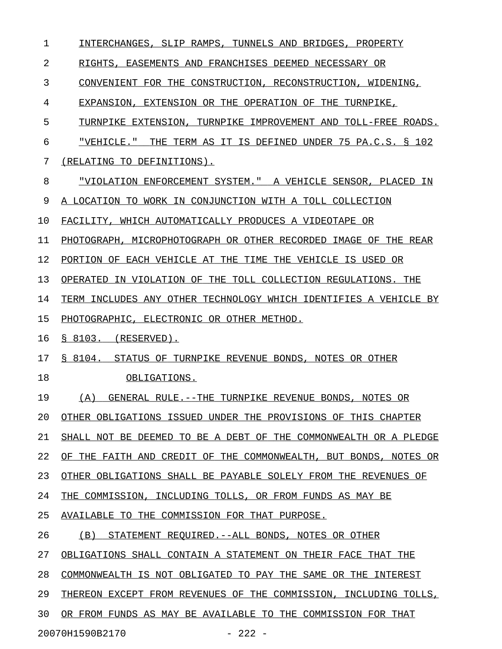| 1  | INTERCHANGES, SLIP RAMPS, TUNNELS AND BRIDGES, PROPERTY          |
|----|------------------------------------------------------------------|
| 2  | RIGHTS, EASEMENTS AND FRANCHISES DEEMED NECESSARY OR             |
| 3  | CONVENIENT FOR THE CONSTRUCTION, RECONSTRUCTION, WIDENING,       |
| 4  | EXPANSION, EXTENSION OR THE OPERATION OF THE TURNPIKE,           |
| 5  | TURNPIKE EXTENSION, TURNPIKE IMPROVEMENT AND TOLL-FREE ROADS.    |
| 6  | "VEHICLE." THE TERM AS IT IS DEFINED UNDER 75 PA.C.S. § 102      |
| 7  | (RELATING TO DEFINITIONS).                                       |
| 8  | "VIOLATION ENFORCEMENT SYSTEM." A VEHICLE SENSOR, PLACED IN      |
| 9  | A LOCATION TO WORK IN CONJUNCTION WITH A TOLL COLLECTION         |
| 10 | FACILITY, WHICH AUTOMATICALLY PRODUCES A VIDEOTAPE OR            |
| 11 | PHOTOGRAPH, MICROPHOTOGRAPH OR OTHER RECORDED IMAGE OF THE REAR  |
| 12 | PORTION OF EACH VEHICLE AT THE TIME THE VEHICLE IS USED OR       |
| 13 | OPERATED IN VIOLATION OF THE TOLL COLLECTION REGULATIONS. THE    |
| 14 | TERM INCLUDES ANY OTHER TECHNOLOGY WHICH IDENTIFIES A VEHICLE BY |
| 15 | PHOTOGRAPHIC, ELECTRONIC OR OTHER METHOD.                        |
| 16 | $$8103.$ (RESERVED).                                             |
| 17 | § 8104. STATUS OF TURNPIKE REVENUE BONDS, NOTES OR OTHER         |
| 18 | OBLIGATIONS.                                                     |
| 19 | (A) GENERAL RULE.--THE TURNPIKE REVENUE BONDS, NOTES OR          |
| 20 | OTHER OBLIGATIONS ISSUED UNDER THE PROVISIONS OF THIS CHAPTER    |
| 21 | SHALL NOT BE DEEMED TO BE A DEBT OF THE COMMONWEALTH OR A PLEDGE |
| 22 | OF THE FAITH AND CREDIT OF THE COMMONWEALTH, BUT BONDS, NOTES OR |
| 23 | OTHER OBLIGATIONS SHALL BE PAYABLE SOLELY FROM THE REVENUES OF   |
| 24 | THE COMMISSION, INCLUDING TOLLS, OR FROM FUNDS AS MAY BE         |
| 25 | AVAILABLE TO THE COMMISSION FOR THAT PURPOSE.                    |
| 26 | (B) STATEMENT REQUIRED.--ALL BONDS, NOTES OR OTHER               |
| 27 | OBLIGATIONS SHALL CONTAIN A STATEMENT ON THEIR FACE THAT THE     |
| 28 | COMMONWEALTH IS NOT OBLIGATED TO PAY THE SAME OR THE INTEREST    |
| 29 | THEREON EXCEPT FROM REVENUES OF THE COMMISSION, INCLUDING TOLLS, |
| 30 | OR FROM FUNDS AS MAY BE AVAILABLE TO THE COMMISSION FOR THAT     |
|    | 20070H1590B2170<br>$-222 -$                                      |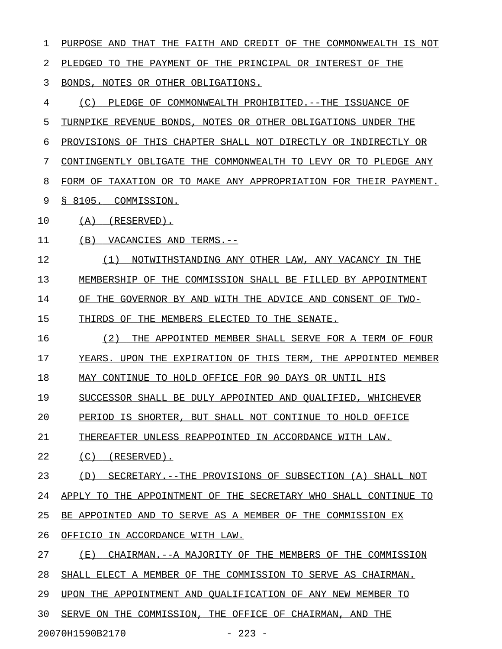1 PURPOSE AND THAT THE FAITH AND CREDIT OF THE COMMONWEALTH IS NOT 2 PLEDGED TO THE PAYMENT OF THE PRINCIPAL OR INTEREST OF THE 3 BONDS, NOTES OR OTHER OBLIGATIONS. 4 (C) PLEDGE OF COMMONWEALTH PROHIBITED.--THE ISSUANCE OF 5 TURNPIKE REVENUE BONDS, NOTES OR OTHER OBLIGATIONS UNDER THE 6 PROVISIONS OF THIS CHAPTER SHALL NOT DIRECTLY OR INDIRECTLY OR 7 CONTINGENTLY OBLIGATE THE COMMONWEALTH TO LEVY OR TO PLEDGE ANY 8 FORM OF TAXATION OR TO MAKE ANY APPROPRIATION FOR THEIR PAYMENT. 9 & 8105. COMMISSION. 10 (A) (RESERVED). 11 (B) VACANCIES AND TERMS.--12 (1) NOTWITHSTANDING ANY OTHER LAW, ANY VACANCY IN THE 13 MEMBERSHIP OF THE COMMISSION SHALL BE FILLED BY APPOINTMENT 14 OF THE GOVERNOR BY AND WITH THE ADVICE AND CONSENT OF TWO-15 THIRDS OF THE MEMBERS ELECTED TO THE SENATE. 16 (2) THE APPOINTED MEMBER SHALL SERVE FOR A TERM OF FOUR 17 YEARS. UPON THE EXPIRATION OF THIS TERM, THE APPOINTED MEMBER 18 MAY CONTINUE TO HOLD OFFICE FOR 90 DAYS OR UNTIL HIS 19 SUCCESSOR SHALL BE DULY APPOINTED AND QUALIFIED, WHICHEVER 20 PERIOD IS SHORTER, BUT SHALL NOT CONTINUE TO HOLD OFFICE 21 THEREAFTER UNLESS REAPPOINTED IN ACCORDANCE WITH LAW. 22 (C) (RESERVED). 23 (D) SECRETARY.--THE PROVISIONS OF SUBSECTION (A) SHALL NOT 24 APPLY TO THE APPOINTMENT OF THE SECRETARY WHO SHALL CONTINUE TO 25 BE APPOINTED AND TO SERVE AS A MEMBER OF THE COMMISSION EX 26 OFFICIO IN ACCORDANCE WITH LAW. 27 (E) CHAIRMAN.--A MAJORITY OF THE MEMBERS OF THE COMMISSION 28 SHALL ELECT A MEMBER OF THE COMMISSION TO SERVE AS CHAIRMAN. 29 UPON THE APPOINTMENT AND QUALIFICATION OF ANY NEW MEMBER TO 30 SERVE ON THE COMMISSION, THE OFFICE OF CHAIRMAN, AND THE 20070H1590B2170 - 223 -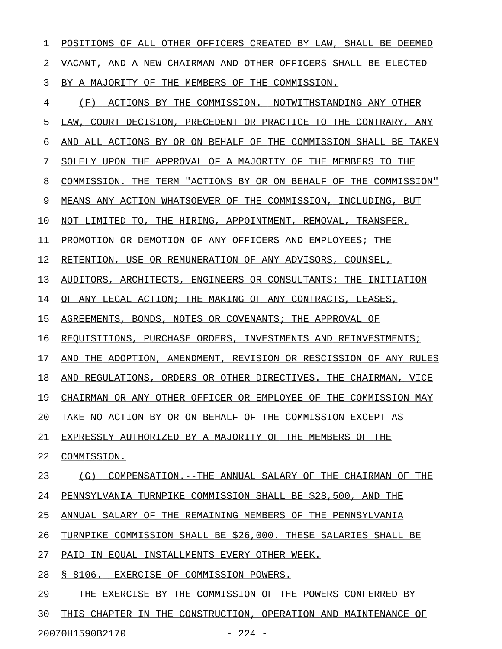1 POSITIONS OF ALL OTHER OFFICERS CREATED BY LAW, SHALL BE DEEMED 2 VACANT, AND A NEW CHAIRMAN AND OTHER OFFICERS SHALL BE ELECTED 3 BY A MAJORITY OF THE MEMBERS OF THE COMMISSION. 4 (F) ACTIONS BY THE COMMISSION.--NOTWITHSTANDING ANY OTHER 5 LAW, COURT DECISION, PRECEDENT OR PRACTICE TO THE CONTRARY, ANY 6 AND ALL ACTIONS BY OR ON BEHALF OF THE COMMISSION SHALL BE TAKEN 7 SOLELY UPON THE APPROVAL OF A MAJORITY OF THE MEMBERS TO THE 8 COMMISSION. THE TERM "ACTIONS BY OR ON BEHALF OF THE COMMISSION" 9 MEANS ANY ACTION WHATSOEVER OF THE COMMISSION, INCLUDING, BUT 10 NOT LIMITED TO, THE HIRING, APPOINTMENT, REMOVAL, TRANSFER, 11 PROMOTION OR DEMOTION OF ANY OFFICERS AND EMPLOYEES; THE 12 RETENTION, USE OR REMUNERATION OF ANY ADVISORS, COUNSEL, 13 AUDITORS, ARCHITECTS, ENGINEERS OR CONSULTANTS; THE INITIATION 14 OF ANY LEGAL ACTION; THE MAKING OF ANY CONTRACTS, LEASES, 15 AGREEMENTS, BONDS, NOTES OR COVENANTS; THE APPROVAL OF 16 REQUISITIONS, PURCHASE ORDERS, INVESTMENTS AND REINVESTMENTS; 17 AND THE ADOPTION, AMENDMENT, REVISION OR RESCISSION OF ANY RULES 18 AND REGULATIONS, ORDERS OR OTHER DIRECTIVES. THE CHAIRMAN, VICE 19 CHAIRMAN OR ANY OTHER OFFICER OR EMPLOYEE OF THE COMMISSION MAY 20 TAKE NO ACTION BY OR ON BEHALF OF THE COMMISSION EXCEPT AS 21 EXPRESSLY AUTHORIZED BY A MAJORITY OF THE MEMBERS OF THE 22 COMMISSION. 23 (G) COMPENSATION.--THE ANNUAL SALARY OF THE CHAIRMAN OF THE 24 PENNSYLVANIA TURNPIKE COMMISSION SHALL BE \$28,500, AND THE 25 ANNUAL SALARY OF THE REMAINING MEMBERS OF THE PENNSYLVANIA 26 TURNPIKE COMMISSION SHALL BE \$26,000. THESE SALARIES SHALL BE 27 PAID IN EQUAL INSTALLMENTS EVERY OTHER WEEK. 28 § 8106. EXERCISE OF COMMISSION POWERS. 29 THE EXERCISE BY THE COMMISSION OF THE POWERS CONFERRED BY 30 THIS CHAPTER IN THE CONSTRUCTION, OPERATION AND MAINTENANCE OF

20070H1590B2170 - 224 -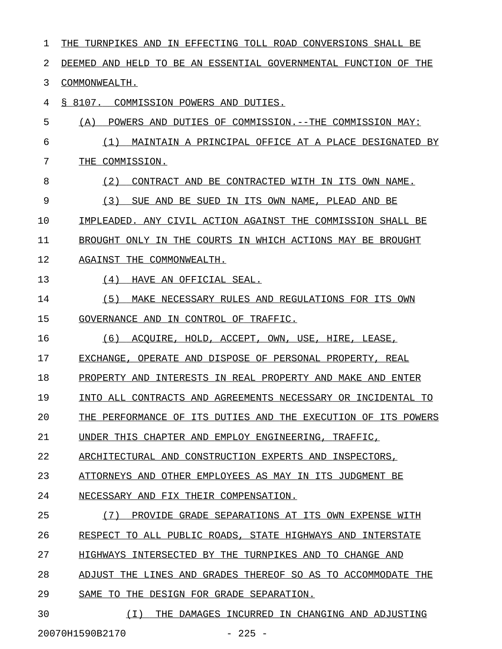| 1  | THE TURNPIKES AND<br>IN EFFECTING TOLL ROAD CONVERSIONS SHALL BE      |
|----|-----------------------------------------------------------------------|
| 2  | TO BE AN ESSENTIAL GOVERNMENTAL FUNCTION<br>DEEMED AND HELD<br>OF THE |
| 3  | COMMONWEALTH.                                                         |
| 4  | § 8107.<br>COMMISSION POWERS AND DUTIES.                              |
| 5  | (A)<br>POWERS AND DUTIES OF COMMISSION.--THE COMMISSION MAY:          |
| 6  | MAINTAIN A PRINCIPAL OFFICE AT A PLACE DESIGNATED<br>( 1 )<br>ВY      |
| 7  | COMMISSION.<br>THE                                                    |
| 8  | (2)<br>ITS OWN NAME.<br>CONTRACT AND BE CONTRACTED WITH IN            |
| 9  | (3)<br>IN ITS OWN NAME, PLEAD AND BE<br>SUE AND BE SUED               |
| 10 | IMPLEADED. ANY CIVIL ACTION AGAINST THE COMMISSION SHALL BE           |
| 11 | BROUGHT ONLY IN THE COURTS IN WHICH ACTIONS MAY BE BROUGHT            |
| 12 | AGAINST THE COMMONWEALTH.                                             |
| 13 | (4)<br>HAVE AN OFFICIAL SEAL.                                         |
| 14 | (5)<br>MAKE NECESSARY RULES AND REGULATIONS FOR ITS OWN               |
| 15 | GOVERNANCE AND IN CONTROL OF TRAFFIC.                                 |
| 16 | (6)<br>ACOUIRE, HOLD, ACCEPT, OWN, USE, HIRE, LEASE,                  |
| 17 | EXCHANGE, OPERATE AND DISPOSE OF PERSONAL PROPERTY, REAL              |
| 18 | INTERESTS IN REAL PROPERTY AND<br>PROPERTY AND<br>MAKE AND<br>ENTER   |
| 19 | INTO ALL CONTRACTS AND AGREEMENTS NECESSARY OR INCIDENTAL TO          |
| 20 | THE PERFORMANCE OF ITS DUTIES AND THE EXECUTION OF ITS POWERS         |
| 21 | UNDER THIS CHAPTER AND EMPLOY ENGINEERING, TRAFFIC,                   |
| 22 | ARCHITECTURAL AND CONSTRUCTION EXPERTS AND INSPECTORS,                |
| 23 | ATTORNEYS AND OTHER EMPLOYEES AS MAY IN ITS JUDGMENT BE               |
| 24 | NECESSARY AND FIX THEIR COMPENSATION.                                 |
| 25 | (7)<br>PROVIDE GRADE SEPARATIONS AT ITS OWN EXPENSE WITH              |
| 26 | RESPECT TO ALL PUBLIC ROADS, STATE HIGHWAYS AND INTERSTATE            |
| 27 | HIGHWAYS INTERSECTED BY THE TURNPIKES AND TO CHANGE AND               |
| 28 | ADJUST THE LINES AND GRADES THEREOF SO AS TO ACCOMMODATE THE          |
| 29 | SAME TO THE DESIGN FOR GRADE SEPARATION.                              |
| 30 | ( I )<br>THE DAMAGES INCURRED IN CHANGING AND ADJUSTING               |

20070H1590B2170 - 225 -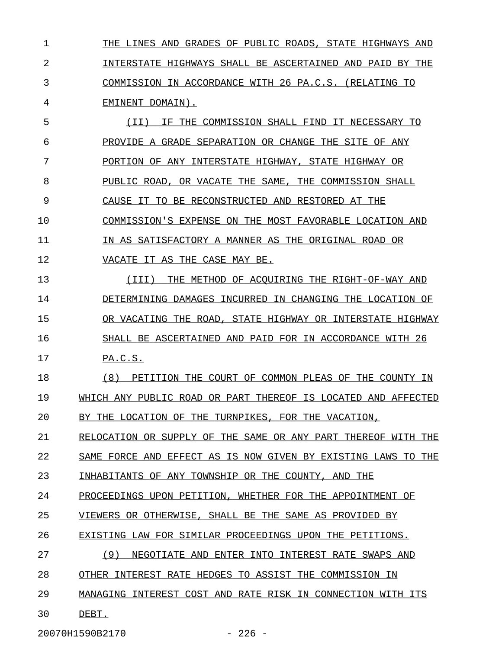1 THE LINES AND GRADES OF PUBLIC ROADS, STATE HIGHWAYS AND 2 INTERSTATE HIGHWAYS SHALL BE ASCERTAINED AND PAID BY THE 3 COMMISSION IN ACCORDANCE WITH 26 PA.C.S. (RELATING TO 4 EMINENT DOMAIN).

5  $(II)$  IF THE COMMISSION SHALL FIND IT NECESSARY TO 6 PROVIDE A GRADE SEPARATION OR CHANGE THE SITE OF ANY 7 PORTION OF ANY INTERSTATE HIGHWAY, STATE HIGHWAY OR 8 PUBLIC ROAD, OR VACATE THE SAME, THE COMMISSION SHALL 9 CAUSE IT TO BE RECONSTRUCTED AND RESTORED AT THE 10 COMMISSION'S EXPENSE ON THE MOST FAVORABLE LOCATION AND 11 IN AS SATISFACTORY A MANNER AS THE ORIGINAL ROAD OR 12 **VACATE IT AS THE CASE MAY BE.** 

13 (III) THE METHOD OF ACQUIRING THE RIGHT-OF-WAY AND \_\_\_\_\_\_\_\_\_\_\_\_\_\_\_\_\_\_\_\_\_\_\_\_\_\_\_\_\_\_\_\_\_\_\_\_\_\_\_\_\_\_\_\_\_\_\_\_\_\_\_ 14 DETERMINING DAMAGES INCURRED IN CHANGING THE LOCATION OF 15 OR VACATING THE ROAD, STATE HIGHWAY OR INTERSTATE HIGHWAY 16 SHALL BE ASCERTAINED AND PAID FOR IN ACCORDANCE WITH 26 17 PA.C.S.

18 (8) PETITION THE COURT OF COMMON PLEAS OF THE COUNTY IN 19 WHICH ANY PUBLIC ROAD OR PART THEREOF IS LOCATED AND AFFECTED 20 BY THE LOCATION OF THE TURNPIKES, FOR THE VACATION,

21 RELOCATION OR SUPPLY OF THE SAME OR ANY PART THEREOF WITH THE

22 SAME FORCE AND EFFECT AS IS NOW GIVEN BY EXISTING LAWS TO THE

23 INHABITANTS OF ANY TOWNSHIP OR THE COUNTY, AND THE

24 PROCEEDINGS UPON PETITION, WHETHER FOR THE APPOINTMENT OF

25 VIEWERS OR OTHERWISE, SHALL BE THE SAME AS PROVIDED BY

26 EXISTING LAW FOR SIMILAR PROCEEDINGS UPON THE PETITIONS.

27 (9) NEGOTIATE AND ENTER INTO INTEREST RATE SWAPS AND

28 OTHER INTEREST RATE HEDGES TO ASSIST THE COMMISSION IN

29 MANAGING INTEREST COST AND RATE RISK IN CONNECTION WITH ITS

30 DEBT. \_\_\_\_\_

20070H1590B2170 - 226 -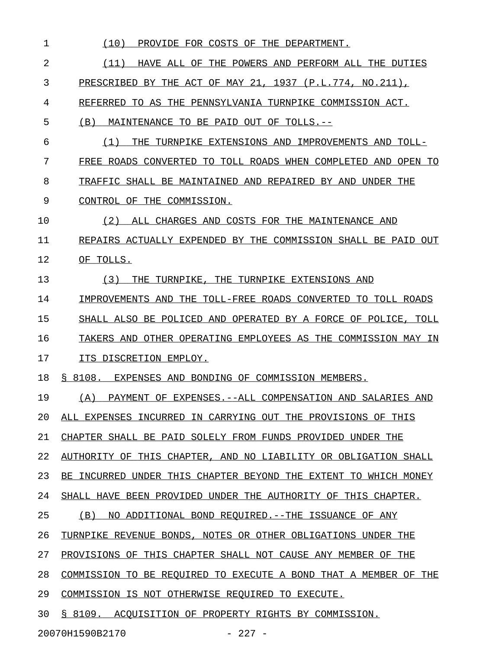| 1  | (10)<br>PROVIDE FOR COSTS OF THE DEPARTMENT.                     |
|----|------------------------------------------------------------------|
| 2  | (11)<br>HAVE ALL OF THE POWERS AND PERFORM ALL THE DUTIES        |
| 3  | PRESCRIBED BY THE ACT OF MAY 21, 1937 (P.L.774, NO.211),         |
| 4  | REFERRED TO AS THE PENNSYLVANIA TURNPIKE COMMISSION ACT.         |
| 5  | (B)<br>MAINTENANCE TO BE PAID OUT OF TOLLS.--                    |
| 6  | (1)<br>THE TURNPIKE EXTENSIONS AND IMPROVEMENTS AND TOLL-        |
| 7  | FREE ROADS CONVERTED TO TOLL ROADS WHEN COMPLETED AND OPEN TO    |
| 8  | TRAFFIC SHALL BE MAINTAINED AND REPAIRED BY AND UNDER THE        |
| 9  | CONTROL OF THE COMMISSION.                                       |
| 10 | (2)<br>ALL CHARGES AND COSTS FOR THE MAINTENANCE AND             |
| 11 | REPAIRS ACTUALLY EXPENDED BY THE COMMISSION SHALL BE PAID OUT    |
| 12 | OF TOLLS.                                                        |
| 13 | THE TURNPIKE, THE TURNPIKE EXTENSIONS AND<br>(3)                 |
| 14 | IMPROVEMENTS AND THE TOLL-FREE ROADS CONVERTED TO TOLL ROADS     |
| 15 | SHALL ALSO BE POLICED AND OPERATED BY A FORCE OF POLICE, TOLL    |
| 16 | TAKERS AND OTHER OPERATING EMPLOYEES AS THE COMMISSION MAY IN    |
| 17 | ITS DISCRETION EMPLOY.                                           |
| 18 | § 8108. EXPENSES AND BONDING OF COMMISSION MEMBERS.              |
| 19 | (A) PAYMENT OF EXPENSES.--ALL COMPENSATION AND SALARIES AND      |
| 20 | ALL EXPENSES INCURRED IN CARRYING OUT THE PROVISIONS OF THIS     |
| 21 | CHAPTER SHALL BE PAID SOLELY FROM FUNDS PROVIDED UNDER THE       |
| 22 | AUTHORITY OF THIS CHAPTER, AND NO LIABILITY OR OBLIGATION SHALL  |
| 23 | BE INCURRED UNDER THIS CHAPTER BEYOND THE EXTENT TO WHICH MONEY  |
| 24 | SHALL HAVE BEEN PROVIDED UNDER THE AUTHORITY OF THIS CHAPTER.    |
| 25 | (B)<br>NO ADDITIONAL BOND REQUIRED. -- THE ISSUANCE OF ANY       |
| 26 | TURNPIKE REVENUE BONDS, NOTES OR OTHER OBLIGATIONS UNDER THE     |
| 27 | PROVISIONS OF THIS CHAPTER SHALL NOT CAUSE ANY MEMBER OF THE     |
| 28 | COMMISSION TO BE REQUIRED TO EXECUTE A BOND THAT A MEMBER OF THE |
| 29 | COMMISSION IS NOT OTHERWISE REQUIRED TO EXECUTE.                 |
| 30 | § 8109. ACOUISITION OF PROPERTY RIGHTS BY COMMISSION.            |
|    | 20070H1590B2170<br>$-227 -$                                      |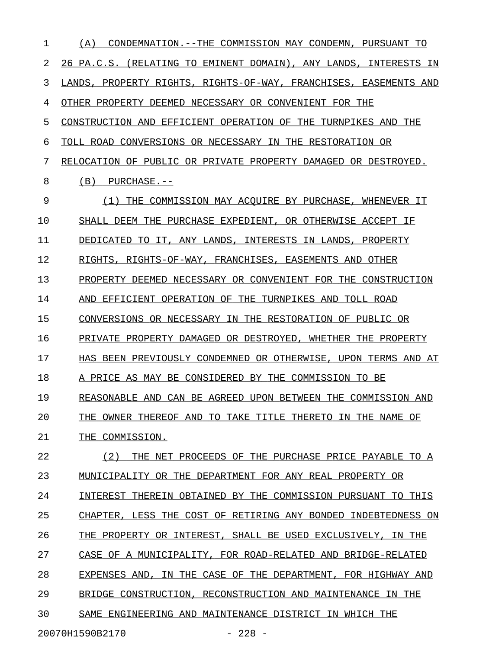1 (A) CONDEMNATION.--THE COMMISSION MAY CONDEMN, PURSUANT TO 2 26 PA.C.S. (RELATING TO EMINENT DOMAIN), ANY LANDS, INTERESTS IN 3 LANDS, PROPERTY RIGHTS, RIGHTS-OF-WAY, FRANCHISES, EASEMENTS AND 4 OTHER PROPERTY DEEMED NECESSARY OR CONVENIENT FOR THE 5 CONSTRUCTION AND EFFICIENT OPERATION OF THE TURNPIKES AND THE 6 TOLL ROAD CONVERSIONS OR NECESSARY IN THE RESTORATION OR 7 RELOCATION OF PUBLIC OR PRIVATE PROPERTY DAMAGED OR DESTROYED.  $8$  (B) PURCHASE.--9 (1) THE COMMISSION MAY ACQUIRE BY PURCHASE, WHENEVER IT \_\_\_\_\_\_\_\_\_\_\_\_\_\_\_\_\_\_\_\_\_\_\_\_\_\_\_\_\_\_\_\_\_\_\_\_\_\_\_\_\_\_\_\_\_\_\_\_\_\_\_\_\_\_\_ 10 SHALL DEEM THE PURCHASE EXPEDIENT, OR OTHERWISE ACCEPT IF 11 DEDICATED TO IT, ANY LANDS, INTERESTS IN LANDS, PROPERTY 12 RIGHTS, RIGHTS-OF-WAY, FRANCHISES, EASEMENTS AND OTHER 13 PROPERTY DEEMED NECESSARY OR CONVENIENT FOR THE CONSTRUCTION 14 AND EFFICIENT OPERATION OF THE TURNPIKES AND TOLL ROAD 15 CONVERSIONS OR NECESSARY IN THE RESTORATION OF PUBLIC OR 16 PRIVATE PROPERTY DAMAGED OR DESTROYED, WHETHER THE PROPERTY 17 HAS BEEN PREVIOUSLY CONDEMNED OR OTHERWISE, UPON TERMS AND AT 18 A PRICE AS MAY BE CONSIDERED BY THE COMMISSION TO BE 19 REASONABLE AND CAN BE AGREED UPON BETWEEN THE COMMISSION AND 20 THE OWNER THEREOF AND TO TAKE TITLE THERETO IN THE NAME OF 21 THE COMMISSION. 22 (2) THE NET PROCEEDS OF THE PURCHASE PRICE PAYABLE TO A 23 MUNICIPALITY OR THE DEPARTMENT FOR ANY REAL PROPERTY OR 24 INTEREST THEREIN OBTAINED BY THE COMMISSION PURSUANT TO THIS 25 CHAPTER, LESS THE COST OF RETIRING ANY BONDED INDEBTEDNESS ON 26 THE PROPERTY OR INTEREST, SHALL BE USED EXCLUSIVELY, IN THE 27 CASE OF A MUNICIPALITY, FOR ROAD-RELATED AND BRIDGE-RELATED 28 EXPENSES AND, IN THE CASE OF THE DEPARTMENT, FOR HIGHWAY AND 29 BRIDGE CONSTRUCTION, RECONSTRUCTION AND MAINTENANCE IN THE 30 SAME ENGINEERING AND MAINTENANCE DISTRICT IN WHICH THE 20070H1590B2170 - 228 -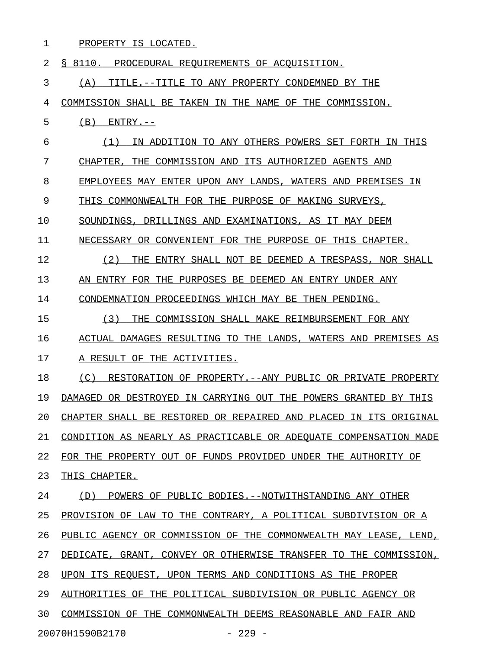| 1  | PROPERTY IS LOCATED.                                             |
|----|------------------------------------------------------------------|
| 2  | S 8110.<br>PROCEDURAL REOUIREMENTS OF ACOUISITION.               |
| 3  | TITLE.--TITLE TO ANY PROPERTY CONDEMNED BY THE<br>(A)            |
| 4  | COMMISSION SHALL BE TAKEN IN THE NAME OF THE COMMISSION.         |
| 5  | (B)<br>$ENTRY. --$                                               |
| 6  | (1)<br>IN ADDITION TO ANY OTHERS POWERS SET FORTH IN THIS        |
| 7  | CHAPTER.<br>THE COMMISSION AND ITS AUTHORIZED AGENTS AND         |
| 8  | EMPLOYEES MAY ENTER UPON ANY LANDS, WATERS AND PREMISES IN       |
| 9  | THIS COMMONWEALTH FOR THE PURPOSE OF MAKING SURVEYS,             |
| 10 | SOUNDINGS, DRILLINGS AND EXAMINATIONS, AS IT MAY DEEM            |
| 11 | NECESSARY OR CONVENIENT FOR THE PURPOSE OF THIS CHAPTER.         |
| 12 | (2)<br>THE<br>ENTRY SHALL NOT BE DEEMED A TRESPASS, NOR SHALL    |
| 13 | AN ENTRY FOR THE PURPOSES BE DEEMED AN ENTRY UNDER ANY           |
| 14 | CONDEMNATION PROCEEDINGS WHICH MAY BE THEN PENDING.              |
| 15 | (3)<br>THE COMMISSION SHALL MAKE REIMBURSEMENT FOR ANY           |
| 16 | ACTUAL DAMAGES RESULTING TO THE LANDS, WATERS AND PREMISES AS    |
| 17 | A RESULT OF THE ACTIVITIES.                                      |
| 18 | (C)<br>RESTORATION OF PROPERTY.--ANY PUBLIC OR PRIVATE PROPERTY  |
| 19 | DAMAGED OR DESTROYED IN CARRYING OUT THE POWERS GRANTED BY THIS  |
| 20 | CHAPTER SHALL BE RESTORED OR REPAIRED AND PLACED IN ITS ORIGINAL |
| 21 | CONDITION AS NEARLY AS PRACTICABLE OR ADEQUATE COMPENSATION MADE |
| 22 | FOR THE PROPERTY OUT OF FUNDS PROVIDED UNDER THE AUTHORITY OF    |
| 23 | THIS CHAPTER.                                                    |
| 24 | (D) POWERS OF PUBLIC BODIES. -- NOTWITHSTANDING ANY OTHER        |
| 25 | PROVISION OF LAW TO THE CONTRARY, A POLITICAL SUBDIVISION OR A   |
| 26 | PUBLIC AGENCY OR COMMISSION OF THE COMMONWEALTH MAY LEASE, LEND, |
| 27 | DEDICATE, GRANT, CONVEY OR OTHERWISE TRANSFER TO THE COMMISSION, |
| 28 | UPON ITS REQUEST, UPON TERMS AND CONDITIONS AS THE PROPER        |
| 29 | AUTHORITIES OF THE POLITICAL SUBDIVISION OR PUBLIC AGENCY OR     |
| 30 | COMMISSION OF THE COMMONWEALTH DEEMS REASONABLE AND FAIR AND     |
|    |                                                                  |

20070H1590B2170 - 229 -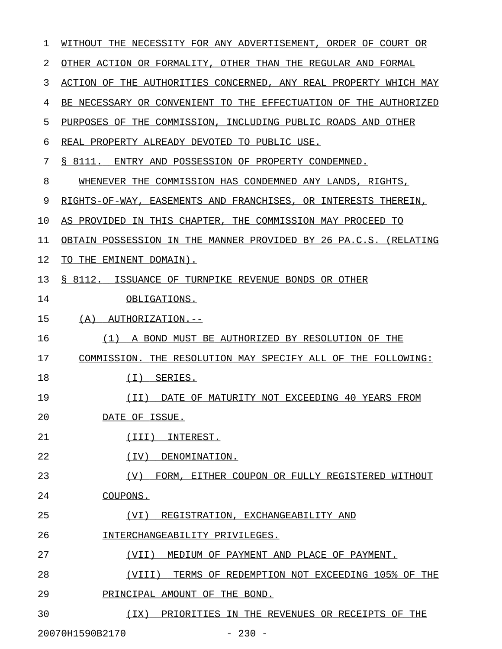| 1  | WITHOUT THE NECESSITY FOR ANY ADVERTISEMENT,<br>ORDER OF COURT OR   |
|----|---------------------------------------------------------------------|
| 2  | OTHER ACTION OR FORMALITY, OTHER THAN THE REGULAR AND FORMAL        |
| 3  | ACTION OF THE AUTHORITIES CONCERNED, ANY REAL PROPERTY WHICH MAY    |
| 4  | BE NECESSARY OR CONVENIENT TO THE EFFECTUATION OF THE AUTHORIZED    |
| 5  | PURPOSES OF THE COMMISSION, INCLUDING PUBLIC ROADS AND OTHER        |
| 6  | REAL PROPERTY ALREADY DEVOTED TO PUBLIC USE.                        |
| 7  | S 8111.<br>ENTRY AND POSSESSION OF PROPERTY CONDEMNED.              |
| 8  | WHENEVER THE COMMISSION HAS CONDEMNED ANY LANDS, RIGHTS,            |
| 9  | RIGHTS-OF-WAY, EASEMENTS AND FRANCHISES, OR INTERESTS THEREIN,      |
| 10 | AS PROVIDED IN THIS CHAPTER, THE COMMISSION MAY PROCEED TO          |
| 11 | OBTAIN POSSESSION IN THE MANNER PROVIDED BY 26 PA.C.S.<br>(RELATING |
| 12 | TO THE EMINENT DOMAIN).                                             |
| 13 | S 8112.<br>ISSUANCE OF TURNPIKE REVENUE BONDS OR OTHER              |
| 14 | OBLIGATIONS.                                                        |
| 15 | (A)<br>AUTHORIZATION.--                                             |
| 16 | A BOND MUST BE AUTHORIZED BY RESOLUTION OF THE<br>(1)               |
| 17 | COMMISSION. THE RESOLUTION MAY SPECIFY ALL OF THE FOLLOWING:        |
| 18 | (T)<br>SERIES.                                                      |
| 19 | (TI)<br>DATE OF MATURITY NOT EXCEEDING 40 YEARS FROM                |
| 20 | DATE OF ISSUE.                                                      |
| 21 | INTEREST.<br>(III)                                                  |
| 22 | (IV)<br>DENOMINATION.                                               |
| 23 | (V)<br>FORM, EITHER COUPON OR FULLY REGISTERED WITHOUT              |
| 24 | COUPONS.                                                            |
| 25 | REGISTRATION, EXCHANGEABILITY AND<br>(VI)                           |
| 26 | INTERCHANGEABILITY PRIVILEGES.                                      |
| 27 | (VII)<br>MEDIUM OF PAYMENT AND PLACE OF PAYMENT.                    |
| 28 | TERMS OF REDEMPTION NOT EXCEEDING 105% OF THE<br>(VIII)             |
| 29 | PRINCIPAL AMOUNT OF THE BOND.                                       |
| 30 | PRIORITIES IN THE REVENUES OR RECEIPTS OF THE<br>(IX)               |
|    | 20070H1590B2170<br>$-230 -$                                         |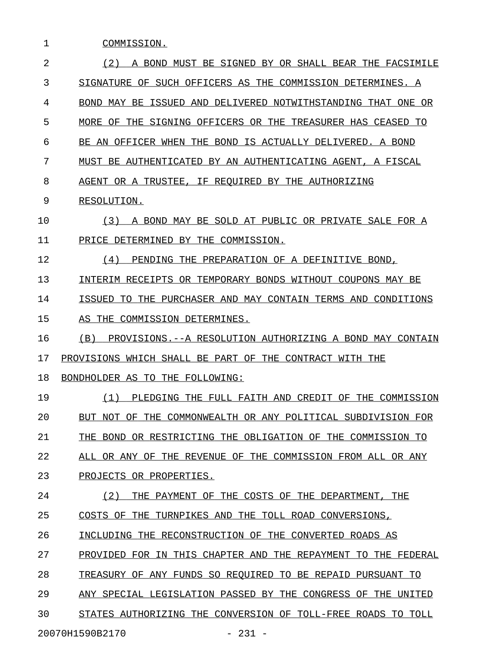| 1  | COMMISSION.                                                       |
|----|-------------------------------------------------------------------|
| 2  | (2)<br>A BOND MUST BE SIGNED BY OR SHALL BEAR THE FACSIMILE       |
| 3  | SIGNATURE OF SUCH OFFICERS AS THE COMMISSION DETERMINES. A        |
| 4  | BOND MAY BE ISSUED AND DELIVERED NOTWITHSTANDING THAT ONE OR      |
| 5  | MORE OF THE SIGNING OFFICERS OR THE TREASURER HAS CEASED TO       |
| 6  | BE AN OFFICER WHEN THE BOND IS ACTUALLY DELIVERED. A BOND         |
| 7  | MUST BE AUTHENTICATED BY AN AUTHENTICATING AGENT, A FISCAL        |
| 8  | AGENT OR A TRUSTEE, IF REOUIRED BY THE AUTHORIZING                |
| 9  | RESOLUTION.                                                       |
| 10 | (3)<br>A BOND MAY BE SOLD AT PUBLIC OR PRIVATE SALE FOR A         |
| 11 | PRICE DETERMINED BY THE COMMISSION.                               |
| 12 | (4)<br>PENDING THE PREPARATION OF A DEFINITIVE BOND,              |
| 13 | INTERIM RECEIPTS OR TEMPORARY BONDS WITHOUT COUPONS MAY BE        |
| 14 | ISSUED TO THE PURCHASER AND MAY CONTAIN TERMS AND CONDITIONS      |
| 15 | AS THE COMMISSION DETERMINES.                                     |
| 16 | (B)<br>PROVISIONS. -- A RESOLUTION AUTHORIZING A BOND MAY CONTAIN |
| 17 | PROVISIONS WHICH SHALL BE PART OF THE CONTRACT WITH THE           |
| 18 | BONDHOLDER AS TO THE FOLLOWING:                                   |
| 19 | PLEDGING THE FULL FAITH AND CREDIT OF THE COMMISSION<br>(1)       |
| 20 | BUT NOT OF THE COMMONWEALTH OR ANY POLITICAL SUBDIVISION FOR      |
| 21 | THE BOND OR RESTRICTING THE OBLIGATION OF THE COMMISSION TO       |
| 22 | ALL OR ANY OF THE REVENUE OF THE COMMISSION FROM ALL OR ANY       |
| 23 | PROJECTS OR PROPERTIES.                                           |
| 24 | (2)<br>THE PAYMENT OF THE COSTS OF THE DEPARTMENT, THE            |
| 25 | COSTS OF THE TURNPIKES AND THE TOLL ROAD CONVERSIONS,             |
| 26 | INCLUDING THE RECONSTRUCTION OF THE CONVERTED ROADS AS            |
| 27 | PROVIDED FOR IN THIS CHAPTER AND THE REPAYMENT TO THE FEDERAL     |
| 28 | TREASURY OF ANY FUNDS SO REQUIRED TO BE REPAID PURSUANT TO        |
| 29 | ANY SPECIAL LEGISLATION PASSED BY THE CONGRESS OF THE UNITED      |
| 30 | STATES AUTHORIZING THE CONVERSION OF TOLL-FREE ROADS TO TOLL      |
|    |                                                                   |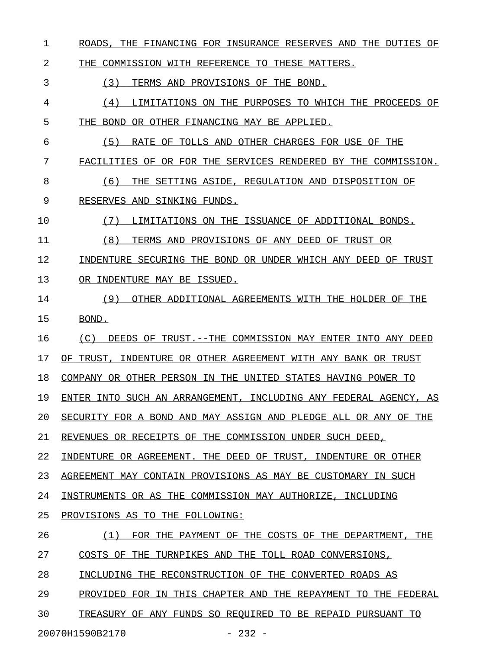1 ROADS, THE FINANCING FOR INSURANCE RESERVES AND THE DUTIES OF

2 THE COMMISSION WITH REFERENCE TO THESE MATTERS.

3 (3) TERMS AND PROVISIONS OF THE BOND.

4 (4) LIMITATIONS ON THE PURPOSES TO WHICH THE PROCEEDS OF \_\_\_\_\_\_\_\_\_\_\_\_\_\_\_\_\_\_\_\_\_\_\_\_\_\_\_\_\_\_\_\_\_\_\_\_\_\_\_\_\_\_\_\_\_\_\_\_\_\_\_\_\_\_\_\_\_ 5 THE BOND OR OTHER FINANCING MAY BE APPLIED.

6 (5) RATE OF TOLLS AND OTHER CHARGES FOR USE OF THE 7 FACILITIES OF OR FOR THE SERVICES RENDERED BY THE COMMISSION.

8 (6) THE SETTING ASIDE, REGULATION AND DISPOSITION OF

9 RESERVES AND SINKING FUNDS.

10 (7) LIMITATIONS ON THE ISSUANCE OF ADDITIONAL BONDS.

11 (8) TERMS AND PROVISIONS OF ANY DEED OF TRUST OR

12 INDENTURE SECURING THE BOND OR UNDER WHICH ANY DEED OF TRUST 13 OR INDENTURE MAY BE ISSUED.

14 (9) OTHER ADDITIONAL AGREEMENTS WITH THE HOLDER OF THE 15 BOND.

16 (C) DEEDS OF TRUST. --THE COMMISSION MAY ENTER INTO ANY DEED

17 OF TRUST, INDENTURE OR OTHER AGREEMENT WITH ANY BANK OR TRUST

18 COMPANY OR OTHER PERSON IN THE UNITED STATES HAVING POWER TO

19 ENTER INTO SUCH AN ARRANGEMENT, INCLUDING ANY FEDERAL AGENCY, AS

20 SECURITY FOR A BOND AND MAY ASSIGN AND PLEDGE ALL OR ANY OF THE

21 REVENUES OR RECEIPTS OF THE COMMISSION UNDER SUCH DEED,

22 INDENTURE OR AGREEMENT. THE DEED OF TRUST, INDENTURE OR OTHER

23 AGREEMENT MAY CONTAIN PROVISIONS AS MAY BE CUSTOMARY IN SUCH

24 INSTRUMENTS OR AS THE COMMISSION MAY AUTHORIZE, INCLUDING

25 PROVISIONS AS TO THE FOLLOWING:

26  $(1)$  FOR THE PAYMENT OF THE COSTS OF THE DEPARTMENT, THE 27 COSTS OF THE TURNPIKES AND THE TOLL ROAD CONVERSIONS,

28 INCLUDING THE RECONSTRUCTION OF THE CONVERTED ROADS AS

29 PROVIDED FOR IN THIS CHAPTER AND THE REPAYMENT TO THE FEDERAL

30 TREASURY OF ANY FUNDS SO REOUIRED TO BE REPAID PURSUANT TO

20070H1590B2170 - 232 -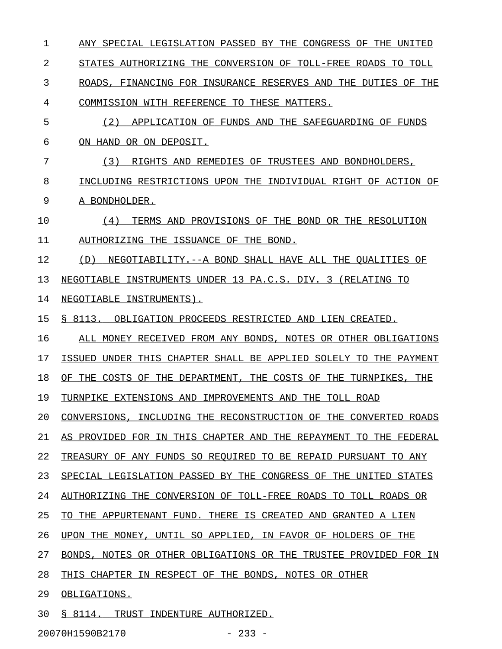1 ANY SPECIAL LEGISLATION PASSED BY THE CONGRESS OF THE UNITED 2 STATES AUTHORIZING THE CONVERSION OF TOLL-FREE ROADS TO TOLL 3 ROADS, FINANCING FOR INSURANCE RESERVES AND THE DUTIES OF THE 4 COMMISSION WITH REFERENCE TO THESE MATTERS. 5 (2) APPLICATION OF FUNDS AND THE SAFEGUARDING OF FUNDS 6 ON HAND OR ON DEPOSIT. 7 (3) RIGHTS AND REMEDIES OF TRUSTEES AND BONDHOLDERS, 8 INCLUDING RESTRICTIONS UPON THE INDIVIDUAL RIGHT OF ACTION OF 9 A BONDHOLDER. 10  $(4)$  TERMS AND PROVISIONS OF THE BOND OR THE RESOLUTION 11 AUTHORIZING THE ISSUANCE OF THE BOND. 12 (D) NEGOTIABILITY.--A BOND SHALL HAVE ALL THE QUALITIES OF 13 NEGOTIABLE INSTRUMENTS UNDER 13 PA.C.S. DIV. 3 (RELATING TO 14 NEGOTIABLE INSTRUMENTS). 15 § 8113. OBLIGATION PROCEEDS RESTRICTED AND LIEN CREATED. 16 ALL MONEY RECEIVED FROM ANY BONDS, NOTES OR OTHER OBLIGATIONS 17 ISSUED UNDER THIS CHAPTER SHALL BE APPLIED SOLELY TO THE PAYMENT 18 OF THE COSTS OF THE DEPARTMENT, THE COSTS OF THE TURNPIKES, THE 19 TURNPIKE EXTENSIONS AND IMPROVEMENTS AND THE TOLL ROAD 20 CONVERSIONS, INCLUDING THE RECONSTRUCTION OF THE CONVERTED ROADS 21 AS PROVIDED FOR IN THIS CHAPTER AND THE REPAYMENT TO THE FEDERAL 22 TREASURY OF ANY FUNDS SO REQUIRED TO BE REPAID PURSUANT TO ANY 23 SPECIAL LEGISLATION PASSED BY THE CONGRESS OF THE UNITED STATES 24 AUTHORIZING THE CONVERSION OF TOLL-FREE ROADS TO TOLL ROADS OR 25 TO THE APPURTENANT FUND. THERE IS CREATED AND GRANTED A LIEN 26 UPON THE MONEY, UNTIL SO APPLIED, IN FAVOR OF HOLDERS OF THE 27 BONDS, NOTES OR OTHER OBLIGATIONS OR THE TRUSTEE PROVIDED FOR IN 28 THIS CHAPTER IN RESPECT OF THE BONDS, NOTES OR OTHER 29 OBLIGATIONS. 30 § 8114. TRUST INDENTURE AUTHORIZED.

20070H1590B2170 - 233 -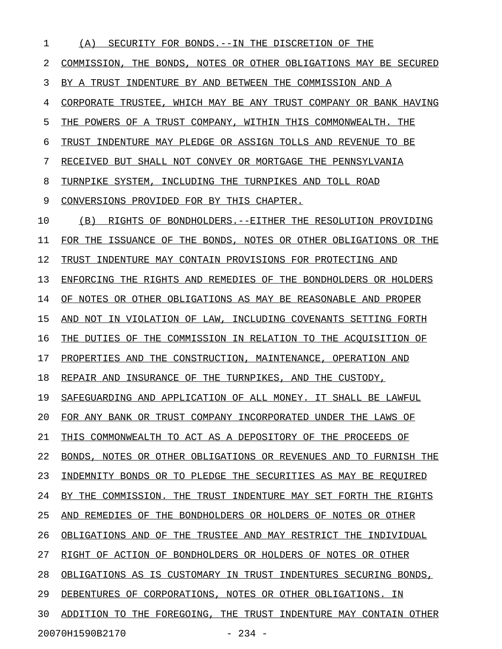| 1  | (A)<br>SECURITY FOR BONDS.--IN THE DISCRETION OF<br>THE             |
|----|---------------------------------------------------------------------|
| 2  | THE BONDS, NOTES OR OTHER OBLIGATIONS MAY BE SECURED<br>COMMISSION, |
| 3  | INDENTURE BY AND BETWEEN THE COMMISSION AND A<br>TRUST<br>BY A      |
| 4  | CORPORATE TRUSTEE, WHICH MAY BE ANY TRUST COMPANY OR BANK HAVING    |
| 5  | THE POWERS OF A TRUST COMPANY, WITHIN THIS COMMONWEALTH.<br>THE     |
| 6  | INDENTURE MAY PLEDGE OR ASSIGN TOLLS AND REVENUE TO BE<br>TRUST     |
| 7  | RECEIVED BUT SHALL NOT CONVEY OR MORTGAGE THE PENNSYLVANIA          |
| 8  | TURNPIKE SYSTEM, INCLUDING THE TURNPIKES AND TOLL ROAD              |
| 9  | CONVERSIONS PROVIDED FOR BY THIS CHAPTER.                           |
| 10 | (B)<br>RIGHTS OF BONDHOLDERS.--EITHER THE RESOLUTION PROVIDING      |
| 11 | ISSUANCE OF THE BONDS, NOTES OR OTHER OBLIGATIONS OR THE<br>FOR THE |
| 12 | INDENTURE MAY CONTAIN PROVISIONS FOR PROTECTING AND<br>TRUST        |
| 13 | ENFORCING THE RIGHTS AND REMEDIES OF THE BONDHOLDERS OR HOLDERS     |
| 14 | NOTES OR OTHER OBLIGATIONS AS MAY BE REASONABLE AND PROPER<br>OF.   |
| 15 | NOT IN VIOLATION OF LAW, INCLUDING COVENANTS SETTING FORTH<br>AND   |
| 16 | DUTIES OF THE COMMISSION IN RELATION TO THE ACOUISITION OF<br>THE   |
| 17 | THE CONSTRUCTION, MAINTENANCE, OPERATION AND<br>PROPERTIES AND      |
| 18 | INSURANCE OF THE TURNPIKES, AND<br>THE CUSTODY,<br>REPAIR AND       |
| 19 | SAFEGUARDING AND APPLICATION OF ALL MONEY. IT SHALL BE LAWFUL       |
| 20 | FOR ANY BANK OR TRUST COMPANY INCORPORATED UNDER THE LAWS OF        |
| 21 | THIS COMMONWEALTH TO ACT AS A DEPOSITORY OF THE PROCEEDS OF         |
| 22 | BONDS, NOTES OR OTHER OBLIGATIONS OR REVENUES AND TO FURNISH THE    |
| 23 | INDEMNITY BONDS OR TO PLEDGE THE SECURITIES AS MAY BE REQUIRED      |
| 24 | BY THE COMMISSION. THE TRUST INDENTURE MAY SET FORTH THE RIGHTS     |
| 25 | AND REMEDIES OF THE BONDHOLDERS OR HOLDERS OF NOTES OR OTHER        |
| 26 | OBLIGATIONS AND OF THE TRUSTEE AND MAY RESTRICT THE INDIVIDUAL      |
| 27 | RIGHT OF ACTION OF BONDHOLDERS OR HOLDERS OF NOTES OR OTHER         |
| 28 | OBLIGATIONS AS IS CUSTOMARY IN TRUST INDENTURES SECURING BONDS,     |
| 29 | DEBENTURES OF CORPORATIONS, NOTES OR OTHER OBLIGATIONS. IN          |
| 30 | ADDITION TO THE FOREGOING, THE TRUST INDENTURE MAY CONTAIN OTHER    |
|    | 20070H1590B2170<br>$-234 -$                                         |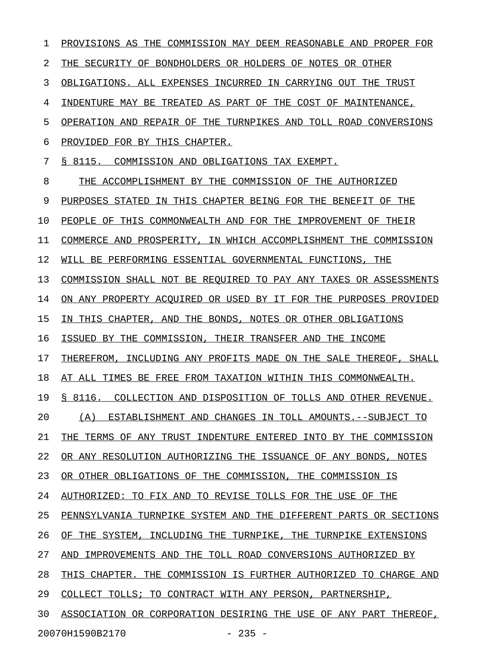1 PROVISIONS AS THE COMMISSION MAY DEEM REASONABLE AND PROPER FOR 2 THE SECURITY OF BONDHOLDERS OR HOLDERS OF NOTES OR OTHER 3 OBLIGATIONS. ALL EXPENSES INCURRED IN CARRYING OUT THE TRUST 4 INDENTURE MAY BE TREATED AS PART OF THE COST OF MAINTENANCE, 5 OPERATION AND REPAIR OF THE TURNPIKES AND TOLL ROAD CONVERSIONS 6 PROVIDED FOR BY THIS CHAPTER. 7 § 8115. COMMISSION AND OBLIGATIONS TAX EXEMPT. 8 THE ACCOMPLISHMENT BY THE COMMISSION OF THE AUTHORIZED 9 PURPOSES STATED IN THIS CHAPTER BEING FOR THE BENEFIT OF THE 10 PEOPLE OF THIS COMMONWEALTH AND FOR THE IMPROVEMENT OF THEIR 11 COMMERCE AND PROSPERITY, IN WHICH ACCOMPLISHMENT THE COMMISSION 12 WILL BE PERFORMING ESSENTIAL GOVERNMENTAL FUNCTIONS, THE 13 COMMISSION SHALL NOT BE REQUIRED TO PAY ANY TAXES OR ASSESSMENTS 14 ON ANY PROPERTY ACOUIRED OR USED BY IT FOR THE PURPOSES PROVIDED 15 IN THIS CHAPTER, AND THE BONDS, NOTES OR OTHER OBLIGATIONS 16 ISSUED BY THE COMMISSION, THEIR TRANSFER AND THE INCOME 17 THEREFROM, INCLUDING ANY PROFITS MADE ON THE SALE THEREOF, SHALL 18 AT ALL TIMES BE FREE FROM TAXATION WITHIN THIS COMMONWEALTH. 19 § 8116. COLLECTION AND DISPOSITION OF TOLLS AND OTHER REVENUE. 20 (A) ESTABLISHMENT AND CHANGES IN TOLL AMOUNTS.--SUBJECT TO 21 THE TERMS OF ANY TRUST INDENTURE ENTERED INTO BY THE COMMISSION 22 OR ANY RESOLUTION AUTHORIZING THE ISSUANCE OF ANY BONDS, NOTES 23 OR OTHER OBLIGATIONS OF THE COMMISSION, THE COMMISSION IS 24 AUTHORIZED: TO FIX AND TO REVISE TOLLS FOR THE USE OF THE 25 PENNSYLVANIA TURNPIKE SYSTEM AND THE DIFFERENT PARTS OR SECTIONS 26 OF THE SYSTEM, INCLUDING THE TURNPIKE, THE TURNPIKE EXTENSIONS 27 AND IMPROVEMENTS AND THE TOLL ROAD CONVERSIONS AUTHORIZED BY 28 THIS CHAPTER. THE COMMISSION IS FURTHER AUTHORIZED TO CHARGE AND 29 COLLECT TOLLS; TO CONTRACT WITH ANY PERSON, PARTNERSHIP, 30 ASSOCIATION OR CORPORATION DESIRING THE USE OF ANY PART THEREOF, 20070H1590B2170 - 235 -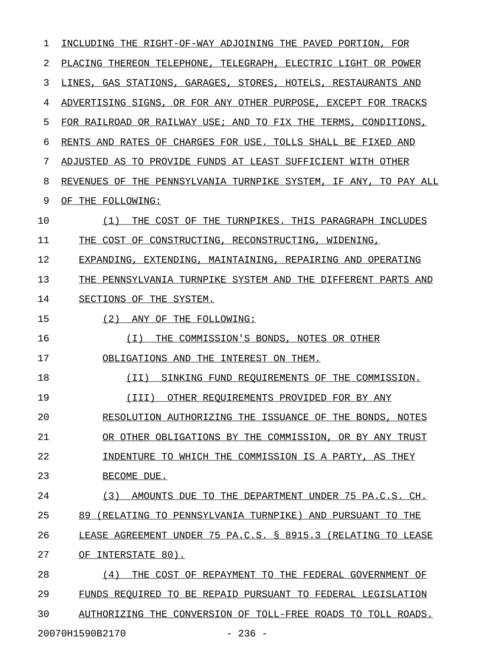| 1  | INCLUDING THE RIGHT-OF-WAY ADJOINING THE PAVED PORTION, FOR         |
|----|---------------------------------------------------------------------|
| 2  | PLACING THEREON TELEPHONE, TELEGRAPH, ELECTRIC LIGHT OR POWER       |
| 3  | LINES, GAS STATIONS, GARAGES, STORES, HOTELS, RESTAURANTS AND       |
| 4  | ADVERTISING SIGNS, OR FOR ANY OTHER PURPOSE, EXCEPT FOR TRACKS      |
| 5  | FOR RAILROAD OR RAILWAY USE; AND TO FIX THE TERMS,<br>CONDITIONS,   |
| 6  | RENTS AND RATES OF CHARGES FOR USE. TOLLS SHALL BE FIXED AND        |
| 7  | ADJUSTED AS TO PROVIDE FUNDS AT LEAST SUFFICIENT WITH OTHER         |
| 8  | REVENUES OF THE PENNSYLVANIA TURNPIKE SYSTEM, IF ANY,<br>TO PAY ALL |
| 9  | OF THE FOLLOWING:                                                   |
| 10 | (1)<br>THE COST OF THE TURNPIKES. THIS PARAGRAPH INCLUDES           |
| 11 | COST OF CONSTRUCTING, RECONSTRUCTING, WIDENING,<br>THE              |
| 12 | EXPANDING, EXTENDING, MAINTAINING, REPAIRING AND OPERATING          |
| 13 | THE PENNSYLVANIA TURNPIKE SYSTEM AND THE DIFFERENT PARTS AND        |
| 14 | SECTIONS OF THE SYSTEM.                                             |
| 15 | (2)<br>ANY OF THE FOLLOWING:                                        |
| 16 | THE COMMISSION'S BONDS, NOTES OR OTHER<br>(T)                       |
| 17 | OBLIGATIONS AND THE INTEREST ON THEM.                               |
| 18 | (II)<br>SINKING FUND REOUIREMENTS OF THE COMMISSION.                |
| 19 | (III)<br>OTHER REQUIREMENTS PROVIDED FOR BY ANY                     |
| 20 | RESOLUTION AUTHORIZING THE ISSUANCE OF THE BONDS, NOTES             |
| 21 | OR OTHER OBLIGATIONS BY THE COMMISSION, OR BY ANY TRUST             |
| 22 | INDENTURE TO WHICH THE COMMISSION IS A PARTY, AS THEY               |
| 23 | BECOME DUE.                                                         |
| 24 | (3)<br>AMOUNTS DUE TO THE DEPARTMENT UNDER 75 PA.C.S. CH.           |
| 25 | 89 (RELATING TO PENNSYLVANIA TURNPIKE) AND PURSUANT TO THE          |
| 26 | LEASE AGREEMENT UNDER 75 PA.C.S. § 8915.3 (RELATING TO LEASE        |
| 27 | OF INTERSTATE 80).                                                  |
| 28 | THE COST OF REPAYMENT TO THE FEDERAL GOVERNMENT OF<br>(4)           |
| 29 | FUNDS REQUIRED TO BE REPAID PURSUANT TO FEDERAL LEGISLATION         |
| 30 | AUTHORIZING THE CONVERSION OF TOLL-FREE ROADS TO TOLL ROADS.        |
|    | 20070H1590B2170<br>$-236 -$                                         |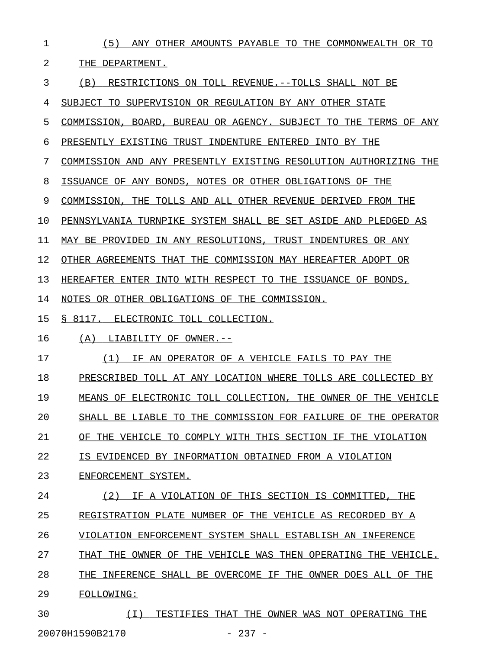| 1  | (5) ANY OTHER AMOUNTS PAYABLE TO THE COMMONWEALTH OR TO                 |
|----|-------------------------------------------------------------------------|
| 2  | THE DEPARTMENT.                                                         |
| 3  | (B)<br>RESTRICTIONS ON TOLL REVENUE.--TOLLS SHALL NOT BE                |
| 4  | SUBJECT TO SUPERVISION OR REGULATION BY ANY OTHER STATE                 |
| 5  | COMMISSION, BOARD, BUREAU OR AGENCY. SUBJECT TO THE TERMS OF ANY        |
| 6  | PRESENTLY EXISTING TRUST INDENTURE ENTERED INTO BY THE                  |
| 7  | COMMISSION AND ANY PRESENTLY EXISTING RESOLUTION AUTHORIZING THE        |
| 8  | ISSUANCE OF ANY BONDS, NOTES OR OTHER OBLIGATIONS OF THE                |
| 9  | COMMISSION, THE TOLLS AND ALL OTHER REVENUE DERIVED FROM THE            |
| 10 | PENNSYLVANIA TURNPIKE SYSTEM SHALL BE SET ASIDE AND PLEDGED AS          |
| 11 | MAY BE PROVIDED IN ANY RESOLUTIONS, TRUST INDENTURES OR ANY             |
| 12 | OTHER AGREEMENTS THAT THE COMMISSION MAY HEREAFTER ADOPT OR             |
| 13 | HEREAFTER ENTER INTO WITH RESPECT TO THE ISSUANCE OF BONDS,             |
| 14 | NOTES OR OTHER OBLIGATIONS OF THE COMMISSION.                           |
| 15 | § 8117. ELECTRONIC TOLL COLLECTION.                                     |
| 16 | (A)<br>LIABILITY OF OWNER.--                                            |
| 17 | IF AN OPERATOR OF A VEHICLE FAILS TO PAY THE<br>(1)                     |
| 18 | PRESCRIBED TOLL AT ANY LOCATION WHERE TOLLS ARE COLLECTED BY            |
| 19 | MEANS OF ELECTRONIC TOLL COLLECTION, THE OWNER OF THE VEHICLE           |
| 20 | SHALL BE LIABLE TO<br>THE COMMISSION FOR FAILURE OF<br>THE.<br>OPERATOR |
| 21 | THE VEHICLE TO COMPLY WITH THIS SECTION IF<br>OF<br>THE VIOLATION       |
| 22 | T.S<br>EVIDENCED BY INFORMATION OBTAINED FROM A VIOLATION               |
| 23 | ENFORCEMENT SYSTEM.                                                     |
| 24 | (2)<br>A VIOLATION OF THIS SECTION IS COMMITTED<br>ΤF<br>THE            |
| 25 | REGISTRATION PLATE NUMBER OF THE VEHICLE AS RECORDED BY A               |
| 26 | VIOLATION ENFORCEMENT SYSTEM SHALL ESTABLISH AN INFERENCE               |
| 27 | OWNER OF THE VEHICLE WAS THEN OPERATING THE VEHICLE.<br>THAT THE        |
| 28 | INFERENCE SHALL BE OVERCOME IF THE OWNER DOES ALL OF THE<br>THE         |
| 29 | FOLLOWING:                                                              |
|    |                                                                         |

20070H1590B2170 - 237 -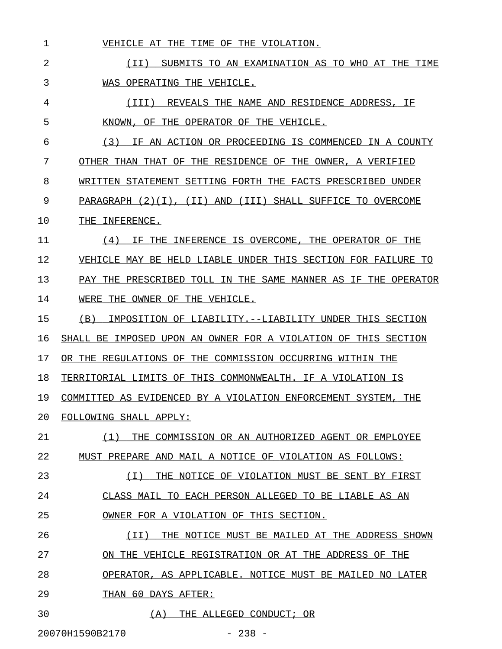| 1  | VEHICLE AT THE TIME OF THE VIOLATION.                             |
|----|-------------------------------------------------------------------|
| 2  | SUBMITS TO AN EXAMINATION AS TO WHO AT THE TIME<br>(TI)           |
| 3  | WAS OPERATING THE VEHICLE.                                        |
| 4  | (III) REVEALS THE NAME AND RESIDENCE ADDRESS, IF                  |
| 5  | KNOWN, OF THE OPERATOR OF THE VEHICLE.                            |
| 6  | (3) IF AN ACTION OR PROCEEDING IS COMMENCED IN A COUNTY           |
| 7  | OTHER THAN THAT OF THE RESIDENCE OF THE OWNER, A VERIFIED         |
| 8  | WRITTEN STATEMENT SETTING FORTH THE FACTS PRESCRIBED UNDER        |
| 9  | PARAGRAPH $(2)(1)$ , $(11)$ AND $(111)$ SHALL SUFFICE TO OVERCOME |
| 10 | THE INFERENCE.                                                    |
| 11 | IF THE INFERENCE IS OVERCOME, THE OPERATOR OF THE<br>(4)          |
| 12 | VEHICLE MAY BE HELD LIABLE UNDER THIS SECTION FOR FAILURE TO      |
| 13 | PAY THE PRESCRIBED TOLL IN THE SAME MANNER AS IF THE OPERATOR     |
| 14 | WERE THE OWNER OF THE VEHICLE.                                    |
| 15 | IMPOSITION OF LIABILITY. --LIABILITY UNDER THIS SECTION<br>(B)    |
| 16 | SHALL BE IMPOSED UPON AN OWNER FOR A VIOLATION OF THIS SECTION    |
| 17 | OR THE REGULATIONS OF THE COMMISSION OCCURRING WITHIN THE         |
| 18 | TERRITORIAL LIMITS OF THIS COMMONWEALTH. IF A VIOLATION IS        |
| 19 | COMMITTED AS EVIDENCED BY A VIOLATION ENFORCEMENT SYSTEM, THE     |
| 20 | FOLLOWING SHALL APPLY:                                            |
| 21 | (1)<br>THE COMMISSION OR AN AUTHORIZED AGENT OR EMPLOYEE          |
| 22 | MUST PREPARE AND MAIL A NOTICE OF VIOLATION AS FOLLOWS:           |
| 23 | THE NOTICE OF VIOLATION MUST BE SENT BY FIRST<br>( I )            |
| 24 | CLASS MAIL TO EACH PERSON ALLEGED TO BE LIABLE AS AN              |
| 25 | OWNER FOR A VIOLATION OF THIS SECTION.                            |
| 26 | THE NOTICE MUST BE MAILED AT THE ADDRESS SHOWN<br>( I I )         |
| 27 | ON THE VEHICLE REGISTRATION OR AT THE ADDRESS OF THE              |
| 28 | OPERATOR, AS APPLICABLE. NOTICE MUST BE MAILED NO LATER           |
| 29 | THAN 60 DAYS AFTER:                                               |
| 30 | (A)<br>THE ALLEGED CONDUCT; OR                                    |

20070H1590B2170 - 238 -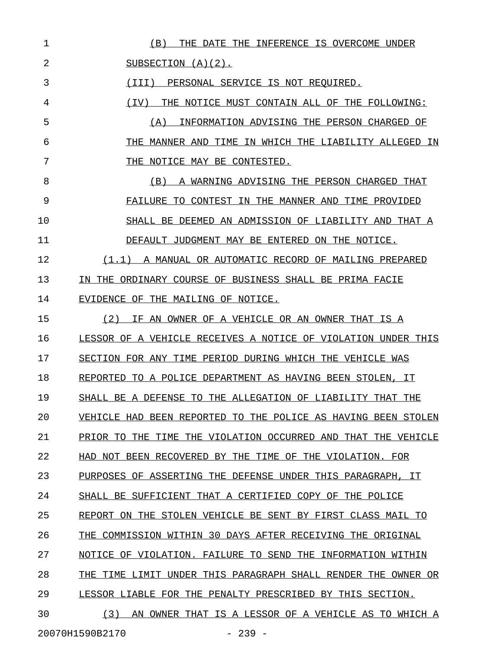| 1  | (B)<br>THE DATE THE INFERENCE IS OVERCOME UNDER                                       |
|----|---------------------------------------------------------------------------------------|
| 2  | SUBSECTION $(A)(2)$ .                                                                 |
| 3  | PERSONAL SERVICE IS NOT REQUIRED.<br>(TTT)                                            |
| 4  | (TV)<br>THE NOTICE MUST CONTAIN ALL OF THE FOLLOWING:                                 |
| 5  | INFORMATION ADVISING THE PERSON CHARGED OF<br>(A)                                     |
| 6  | MANNER AND TIME IN WHICH THE LIABILITY ALLEGED IN<br>THE                              |
| 7  | NOTICE MAY BE CONTESTED.<br>THE                                                       |
| 8  | (B)<br>A WARNING ADVISING THE PERSON CHARGED THAT                                     |
| 9  | FAILURE TO CONTEST IN THE MANNER AND TIME PROVIDED                                    |
| 10 | SHALL BE DEEMED AN ADMISSION OF LIABILITY AND THAT A                                  |
| 11 | DEFAULT JUDGMENT MAY BE ENTERED ON THE NOTICE.                                        |
| 12 | $(1.1)$ A MANUAL OR AUTOMATIC RECORD OF MAILING PREPARED                              |
| 13 | IN THE ORDINARY COURSE OF BUSINESS SHALL BE PRIMA FACIE                               |
| 14 | EVIDENCE OF THE MAILING OF NOTICE.                                                    |
| 15 | (2)<br>IF AN OWNER OF A VEHICLE OR AN OWNER THAT IS A                                 |
| 16 | LESSOR OF A VEHICLE RECEIVES A NOTICE OF VIOLATION UNDER THIS                         |
| 17 | SECTION FOR ANY TIME PERIOD DURING WHICH THE VEHICLE WAS                              |
| 18 | REPORTED TO A POLICE DEPARTMENT AS HAVING BEEN STOLEN, IT                             |
| 19 | SHALL BE A DEFENSE TO THE ALLEGATION OF LIABILITY THAT THE                            |
| 20 | BEEN REPORTED TO<br>THE POLICE AS HAVING BEEN STOLEN<br>VEHICLE HAD                   |
| 21 | THE VIOLATION<br>OCCURRED<br>THAT THE VEHICLE<br>PRIOR TO<br>THE<br>TTME.<br>AND      |
| 22 | HAD NOT BEEN RECOVERED<br>BY THE<br>TIME OF THE VIOLATION. FOR                        |
| 23 | OF ASSERTING THE DEFENSE<br>INDER THIS PARAGRAPH.<br>PURPOSES<br>TТ                   |
| 24 | THAT A CERTIFIED<br>COPY OF<br>SHALL BE<br>SUFFICIENT<br>THE POLICE                   |
| 25 | THE STOLEN VEHICLE BE SENT BY FIRST CLASS MAIL TO<br>REPORT<br>ON.                    |
| 26 | 30 DAYS AFTER RECEIVING THE<br>THE<br>WITHIN<br>COMMISSION<br>ORIGINAL                |
| 27 | FAILURE<br>SEND<br>NOTICE<br>OF VIOLATION.<br>TO.<br>THE<br>INFORMATION<br>WITHIN     |
| 28 | THIS PARAGRAPH SHALL RENDER THE<br>THE<br>TTME.<br><b>UNDER</b><br>OWNER OR<br>T.TMTT |
| 29 | LESSOR LIABLE FOR THE<br>PENALTY PRESCRIBED<br>BY THIS SECTION.                       |
| 30 | (3)<br>THAT IS A LESSOR OF A VEHICLE AS TO WHICH A<br>AN<br>OWNER                     |
|    | $-239 -$<br>20070H1590B2170                                                           |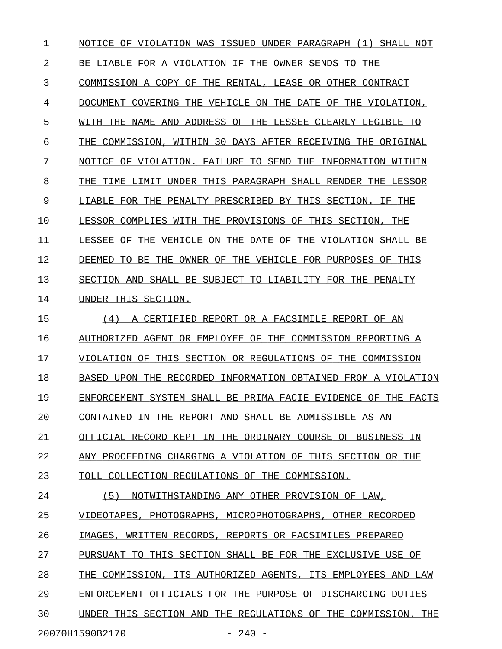1 NOTICE OF VIOLATION WAS ISSUED UNDER PARAGRAPH (1) SHALL NOT 2 BE LIABLE FOR A VIOLATION IF THE OWNER SENDS TO THE 3 COMMISSION A COPY OF THE RENTAL, LEASE OR OTHER CONTRACT 4 DOCUMENT COVERING THE VEHICLE ON THE DATE OF THE VIOLATION, 5 WITH THE NAME AND ADDRESS OF THE LESSEE CLEARLY LEGIBLE TO 6 THE COMMISSION, WITHIN 30 DAYS AFTER RECEIVING THE ORIGINAL 7 NOTICE OF VIOLATION. FAILURE TO SEND THE INFORMATION WITHIN 8 THE TIME LIMIT UNDER THIS PARAGRAPH SHALL RENDER THE LESSOR 9 LIABLE FOR THE PENALTY PRESCRIBED BY THIS SECTION. IF THE 10 LESSOR COMPLIES WITH THE PROVISIONS OF THIS SECTION, THE 11 LESSEE OF THE VEHICLE ON THE DATE OF THE VIOLATION SHALL BE 12 DEEMED TO BE THE OWNER OF THE VEHICLE FOR PURPOSES OF THIS 13 SECTION AND SHALL BE SUBJECT TO LIABILITY FOR THE PENALTY 14 UNDER THIS SECTION. 15 (4) A CERTIFIED REPORT OR A FACSIMILE REPORT OF AN 16 AUTHORIZED AGENT OR EMPLOYEE OF THE COMMISSION REPORTING A 17 VIOLATION OF THIS SECTION OR REGULATIONS OF THE COMMISSION 18 BASED UPON THE RECORDED INFORMATION OBTAINED FROM A VIOLATION 19 ENFORCEMENT SYSTEM SHALL BE PRIMA FACIE EVIDENCE OF THE FACTS 20 CONTAINED IN THE REPORT AND SHALL BE ADMISSIBLE AS AN 21 OFFICIAL RECORD KEPT IN THE ORDINARY COURSE OF BUSINESS IN 22 ANY PROCEEDING CHARGING A VIOLATION OF THIS SECTION OR THE 23 TOLL COLLECTION REGULATIONS OF THE COMMISSION. 24 (5) NOTWITHSTANDING ANY OTHER PROVISION OF LAW, 25 VIDEOTAPES, PHOTOGRAPHS, MICROPHOTOGRAPHS, OTHER RECORDED 26 IMAGES, WRITTEN RECORDS, REPORTS OR FACSIMILES PREPARED 27 PURSUANT TO THIS SECTION SHALL BE FOR THE EXCLUSIVE USE OF 28 THE COMMISSION, ITS AUTHORIZED AGENTS, ITS EMPLOYEES AND LAW 29 ENFORCEMENT OFFICIALS FOR THE PURPOSE OF DISCHARGING DUTIES 30 UNDER THIS SECTION AND THE REGULATIONS OF THE COMMISSION. THE

20070H1590B2170 - 240 -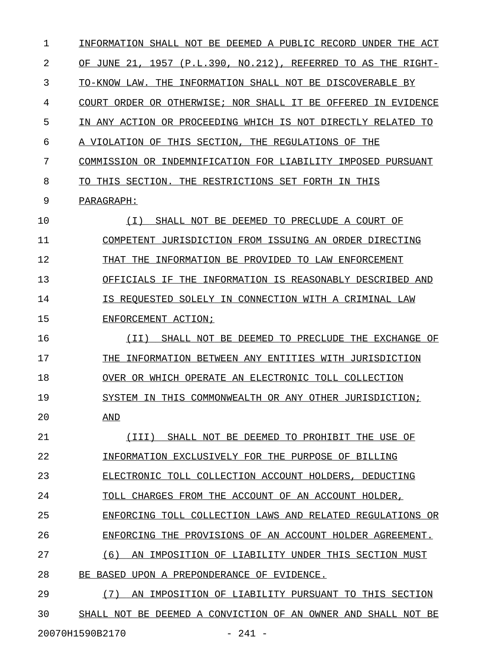| 1  | INFORMATION SHALL NOT BE DEEMED A PUBLIC RECORD UNDER THE ACT |
|----|---------------------------------------------------------------|
| 2  | OF JUNE 21, 1957 (P.L.390, NO.212), REFERRED TO AS THE RIGHT- |
| 3  | TO-KNOW LAW. THE INFORMATION SHALL NOT BE DISCOVERABLE BY     |
| 4  | COURT ORDER OR OTHERWISE; NOR SHALL IT BE OFFERED IN EVIDENCE |
| 5  | IN ANY ACTION OR PROCEEDING WHICH IS NOT DIRECTLY RELATED TO  |
| 6  | A VIOLATION OF THIS SECTION, THE REGULATIONS OF THE           |
| 7  | COMMISSION OR INDEMNIFICATION FOR LIABILITY IMPOSED PURSUANT  |
| 8  | TO THIS SECTION. THE RESTRICTIONS SET FORTH IN THIS           |
| 9  | PARAGRAPH:                                                    |
| 10 | ( I )<br>SHALL NOT BE DEEMED TO PRECLUDE A COURT OF           |
| 11 | COMPETENT JURISDICTION FROM ISSUING AN ORDER DIRECTING        |
| 12 | INFORMATION BE PROVIDED TO LAW ENFORCEMENT<br>THAT THE        |
| 13 | OFFICIALS IF THE INFORMATION IS REASONABLY DESCRIBED AND      |
| 14 | IS REOUESTED SOLELY IN CONNECTION WITH A CRIMINAL LAW         |
| 15 | ENFORCEMENT ACTION;                                           |
| 16 | SHALL NOT BE DEEMED TO PRECLUDE THE EXCHANGE OF<br>(II)       |
| 17 | THE<br>INFORMATION BETWEEN ANY ENTITIES WITH JURISDICTION     |
| 18 | OVER OR WHICH OPERATE AN ELECTRONIC TOLL COLLECTION           |
| 19 | SYSTEM IN THIS COMMONWEALTH OR ANY OTHER JURISDICTION;        |
| 20 | AND                                                           |
| 21 | (III) SHALL NOT BE DEEMED TO PROHIBIT THE USE OF              |
| 22 | INFORMATION EXCLUSIVELY FOR THE PURPOSE OF BILLING            |
| 23 | ELECTRONIC TOLL COLLECTION ACCOUNT HOLDERS, DEDUCTING         |
| 24 | TOLL CHARGES FROM THE ACCOUNT OF AN ACCOUNT HOLDER,           |
| 25 | ENFORCING TOLL COLLECTION LAWS AND RELATED REGULATIONS OR     |
| 26 | ENFORCING THE PROVISIONS OF AN ACCOUNT HOLDER AGREEMENT.      |
| 27 | (6)<br>AN IMPOSITION OF LIABILITY UNDER THIS SECTION MUST     |
| 28 | BE BASED UPON A PREPONDERANCE OF EVIDENCE.                    |
| 29 | (7)<br>AN IMPOSITION OF LIABILITY PURSUANT TO THIS SECTION    |
| 30 | SHALL NOT BE DEEMED A CONVICTION OF AN OWNER AND SHALL NOT BE |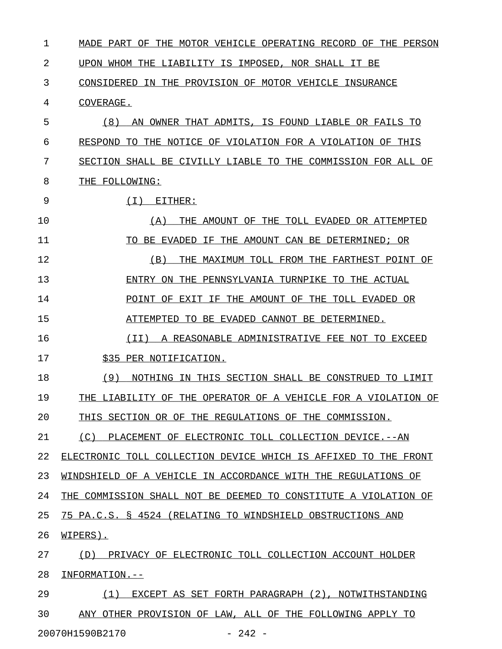1 MADE PART OF THE MOTOR VEHICLE OPERATING RECORD OF THE PERSON 2 UPON WHOM THE LIABILITY IS IMPOSED, NOR SHALL IT BE 3 CONSIDERED IN THE PROVISION OF MOTOR VEHICLE INSURANCE 4 COVERAGE. 5 (8) AN OWNER THAT ADMITS, IS FOUND LIABLE OR FAILS TO 6 RESPOND TO THE NOTICE OF VIOLATION FOR A VIOLATION OF THIS 7 SECTION SHALL BE CIVILLY LIABLE TO THE COMMISSION FOR ALL OF 8 THE FOLLOWING: 9 (I) EITHER: \_\_\_\_\_\_\_\_\_\_\_\_ 10 (A) THE AMOUNT OF THE TOLL EVADED OR ATTEMPTED \_\_\_\_\_\_\_\_\_\_\_\_\_\_\_\_\_\_\_\_\_\_\_\_\_\_\_\_\_\_\_\_\_\_\_\_\_\_\_\_\_\_\_\_\_\_\_ 11 TO BE EVADED IF THE AMOUNT CAN BE DETERMINED; OR 12 (B) THE MAXIMUM TOLL FROM THE FARTHEST POINT OF 13 ENTRY ON THE PENNSYLVANIA TURNPIKE TO THE ACTUAL 14 POINT OF EXIT IF THE AMOUNT OF THE TOLL EVADED OR 15 ATTEMPTED TO BE EVADED CANNOT BE DETERMINED. 16  $(II)$  A REASONABLE ADMINISTRATIVE FEE NOT TO EXCEED 17 \$35 PER NOTIFICATION. 18 (9) NOTHING IN THIS SECTION SHALL BE CONSTRUED TO LIMIT 19 THE LIABILITY OF THE OPERATOR OF A VEHICLE FOR A VIOLATION OF 20 THIS SECTION OR OF THE REGULATIONS OF THE COMMISSION. 21 (C) PLACEMENT OF ELECTRONIC TOLL COLLECTION DEVICE. -- AN 22 ELECTRONIC TOLL COLLECTION DEVICE WHICH IS AFFIXED TO THE FRONT 23 WINDSHIELD OF A VEHICLE IN ACCORDANCE WITH THE REGULATIONS OF 24 THE COMMISSION SHALL NOT BE DEEMED TO CONSTITUTE A VIOLATION OF 25 75 PA.C.S. § 4524 (RELATING TO WINDSHIELD OBSTRUCTIONS AND 26 **WIPERS**). 27 (D) PRIVACY OF ELECTRONIC TOLL COLLECTION ACCOUNT HOLDER 28 INFORMATION.--29 (1) EXCEPT AS SET FORTH PARAGRAPH (2), NOTWITHSTANDING \_\_\_\_\_\_\_\_\_\_\_\_\_\_\_\_\_\_\_\_\_\_\_\_\_\_\_\_\_\_\_\_\_\_\_\_\_\_\_\_\_\_\_\_\_\_\_\_\_\_\_\_\_\_\_ 30 ANY OTHER PROVISION OF LAW, ALL OF THE FOLLOWING APPLY TO

20070H1590B2170 - 242 -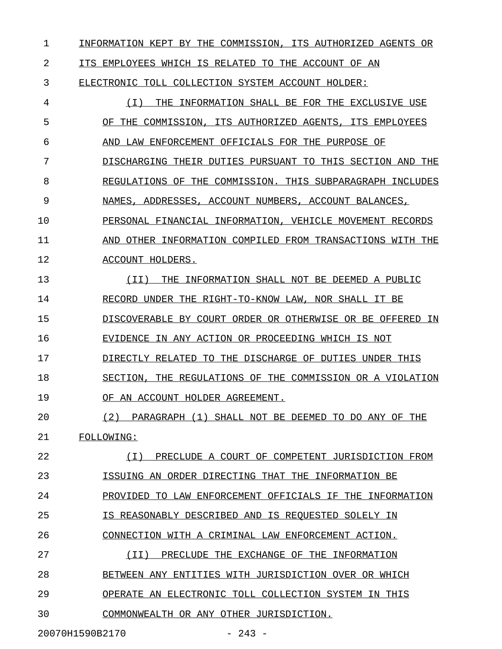1 INFORMATION KEPT BY THE COMMISSION, ITS AUTHORIZED AGENTS OR

2 ITS EMPLOYEES WHICH IS RELATED TO THE ACCOUNT OF AN

3 ELECTRONIC TOLL COLLECTION SYSTEM ACCOUNT HOLDER:

4 (I) THE INFORMATION SHALL BE FOR THE EXCLUSIVE USE \_\_\_\_\_\_\_\_\_\_\_\_\_\_\_\_\_\_\_\_\_\_\_\_\_\_\_\_\_\_\_\_\_\_\_\_\_\_\_\_\_\_\_\_\_\_\_\_\_\_\_ 5 OF THE COMMISSION, ITS AUTHORIZED AGENTS, ITS EMPLOYEES 6 AND LAW ENFORCEMENT OFFICIALS FOR THE PURPOSE OF 7 DISCHARGING THEIR DUTIES PURSUANT TO THIS SECTION AND THE 8 REGULATIONS OF THE COMMISSION. THIS SUBPARAGRAPH INCLUDES 9 NAMES, ADDRESSES, ACCOUNT NUMBERS, ACCOUNT BALANCES, 10 PERSONAL FINANCIAL INFORMATION, VEHICLE MOVEMENT RECORDS 11 AND OTHER INFORMATION COMPILED FROM TRANSACTIONS WITH THE 12 ACCOUNT HOLDERS. 13 (II) THE INFORMATION SHALL NOT BE DEEMED A PUBLIC 14 RECORD UNDER THE RIGHT-TO-KNOW LAW, NOR SHALL IT BE 15 DISCOVERABLE BY COURT ORDER OR OTHERWISE OR BE OFFERED IN 16 EVIDENCE IN ANY ACTION OR PROCEEDING WHICH IS NOT 17 DIRECTLY RELATED TO THE DISCHARGE OF DUTIES UNDER THIS 18 SECTION, THE REGULATIONS OF THE COMMISSION OR A VIOLATION 19 OF AN ACCOUNT HOLDER AGREEMENT. 20 (2) PARAGRAPH (1) SHALL NOT BE DEEMED TO DO ANY OF THE 21 FOLLOWING: \_\_\_\_\_\_\_\_\_\_ 22 (I) PRECLUDE A COURT OF COMPETENT JURISDICTION FROM \_\_\_\_\_\_\_\_\_\_\_\_\_\_\_\_\_\_\_\_\_\_\_\_\_\_\_\_\_\_\_\_\_\_\_\_\_\_\_\_\_\_\_\_\_\_\_\_\_\_\_\_ 23 **ISSUING AN ORDER DIRECTING THAT THE INFORMATION BE** 24 PROVIDED TO LAW ENFORCEMENT OFFICIALS IF THE INFORMATION 25 IS REASONABLY DESCRIBED AND IS REQUESTED SOLELY IN 26 CONNECTION WITH A CRIMINAL LAW ENFORCEMENT ACTION. 27 (II) PRECLUDE THE EXCHANGE OF THE INFORMATION \_\_\_\_\_\_\_\_\_\_\_\_\_\_\_\_\_\_\_\_\_\_\_\_\_\_\_\_\_\_\_\_\_\_\_\_\_\_\_\_\_\_\_\_\_\_ 28 BETWEEN ANY ENTITIES WITH JURISDICTION OVER OR WHICH 29 OPERATE AN ELECTRONIC TOLL COLLECTION SYSTEM IN THIS 30 COMMONWEALTH OR ANY OTHER JURISDICTION.

20070H1590B2170 - 243 -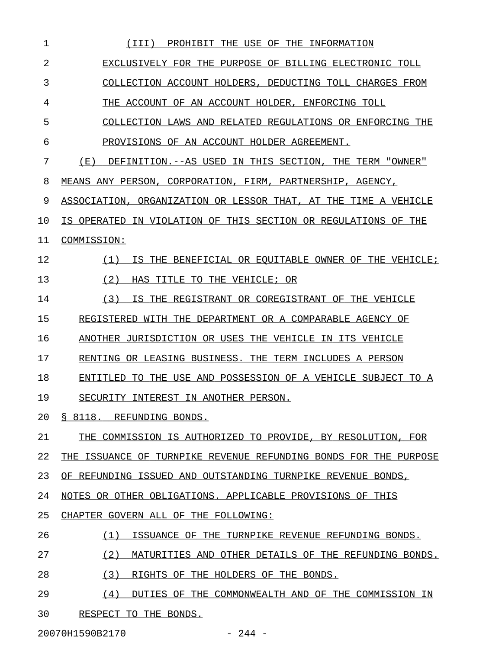| 1  | PROHIBIT THE USE OF THE INFORMATION<br>(III)                     |
|----|------------------------------------------------------------------|
| 2  | EXCLUSIVELY FOR THE PURPOSE OF BILLING ELECTRONIC TOLL           |
| 3  | COLLECTION ACCOUNT HOLDERS, DEDUCTING TOLL CHARGES FROM          |
| 4  | THE ACCOUNT OF AN ACCOUNT HOLDER, ENFORCING TOLL                 |
| 5  | COLLECTION LAWS AND RELATED REGULATIONS OR ENFORCING THE         |
| 6  | PROVISIONS OF AN ACCOUNT HOLDER AGREEMENT.                       |
| 7  | (E)<br>DEFINITION.--AS USED IN THIS SECTION, THE TERM "OWNER"    |
| 8  | MEANS ANY PERSON, CORPORATION, FIRM, PARTNERSHIP, AGENCY,        |
| 9  | ASSOCIATION, ORGANIZATION OR LESSOR THAT, AT THE TIME A VEHICLE  |
| 10 | IS OPERATED IN VIOLATION OF THIS SECTION OR REGULATIONS OF THE   |
| 11 | COMMISSION:                                                      |
| 12 | IS THE BENEFICIAL OR EOUITABLE OWNER OF THE VEHICLE;<br>(1)      |
| 13 | (2)<br>HAS TITLE TO THE VEHICLE; OR                              |
| 14 | (3)<br>IS THE REGISTRANT OR COREGISTRANT OF THE VEHICLE          |
| 15 | REGISTERED WITH THE DEPARTMENT OR A COMPARABLE AGENCY OF         |
| 16 | ANOTHER JURISDICTION OR USES THE VEHICLE IN ITS VEHICLE          |
| 17 | RENTING OR LEASING BUSINESS. THE TERM INCLUDES A PERSON          |
| 18 | ENTITLED TO THE USE AND POSSESSION OF A VEHICLE SUBJECT TO A     |
| 19 | SECURITY INTEREST IN ANOTHER PERSON.                             |
| 20 | § 8118. REFUNDING BONDS.                                         |
| 21 | THE COMMISSION IS AUTHORIZED TO PROVIDE, BY RESOLUTION, FOR      |
| 22 | THE ISSUANCE OF TURNPIKE REVENUE REFUNDING BONDS FOR THE PURPOSE |
| 23 | OF REFUNDING ISSUED AND OUTSTANDING TURNPIKE REVENUE BONDS,      |
| 24 | NOTES OR OTHER OBLIGATIONS. APPLICABLE PROVISIONS OF THIS        |
| 25 | CHAPTER GOVERN ALL OF THE FOLLOWING:                             |
| 26 | (1)<br>ISSUANCE OF THE TURNPIKE REVENUE REFUNDING BONDS.         |
| 27 | (2)<br>MATURITIES AND OTHER DETAILS OF THE REFUNDING BONDS.      |
| 28 | (3)<br>RIGHTS OF THE HOLDERS OF THE BONDS.                       |
| 29 | (4)<br>DUTIES OF THE COMMONWEALTH AND OF THE COMMISSION IN       |
| 30 | RESPECT TO THE BONDS.                                            |

20070H1590B2170 - 244 -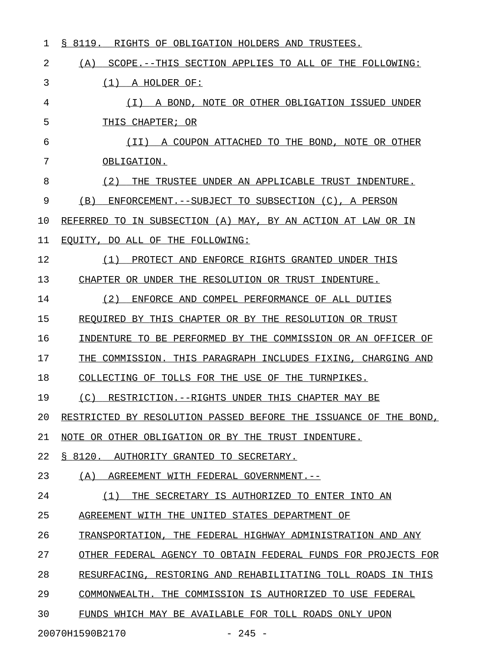| 1  | 8119.<br>RIGHTS OF OBLIGATION HOLDERS AND TRUSTEES.<br>S.        |
|----|------------------------------------------------------------------|
| 2  | (A)<br>SCOPE.--THIS SECTION APPLIES TO ALL OF THE FOLLOWING:     |
| 3  | (1)<br>A HOLDER OF:                                              |
| 4  | ( I )<br>A BOND, NOTE OR OTHER OBLIGATION ISSUED UNDER           |
| 5  | THIS CHAPTER; OR                                                 |
| 6  | (TI)<br>A COUPON ATTACHED TO THE BOND, NOTE OR OTHER             |
| 7  | OBLIGATION.                                                      |
| 8  | (2)<br>THE TRUSTEE UNDER AN APPLICABLE TRUST INDENTURE.          |
| 9  | (B)<br>ENFORCEMENT.--SUBJECT TO SUBSECTION (C), A PERSON         |
| 10 | REFERRED TO IN SUBSECTION (A) MAY, BY AN ACTION AT LAW OR IN     |
| 11 | EQUITY, DO ALL OF THE FOLLOWING:                                 |
| 12 | (1)<br>PROTECT AND ENFORCE RIGHTS GRANTED UNDER THIS             |
| 13 | CHAPTER OR UNDER THE RESOLUTION OR TRUST INDENTURE.              |
| 14 | (2)<br>ENFORCE AND COMPEL PERFORMANCE OF ALL DUTIES              |
| 15 | REOUIRED BY THIS CHAPTER OR BY THE RESOLUTION OR TRUST           |
| 16 | INDENTURE TO BE PERFORMED BY THE COMMISSION OR AN OFFICER OF     |
| 17 | THE COMMISSION. THIS PARAGRAPH INCLUDES FIXING, CHARGING AND     |
| 18 | COLLECTING OF TOLLS FOR THE USE OF THE TURNPIKES.                |
| 19 | (C)<br>RESTRICTION.--RIGHTS UNDER THIS CHAPTER MAY BE            |
| 20 | RESTRICTED BY RESOLUTION PASSED BEFORE THE ISSUANCE OF THE BOND, |
| 21 | NOTE OR OTHER OBLIGATION OR BY THE TRUST INDENTURE.              |
| 22 | § 8120. AUTHORITY GRANTED TO SECRETARY.                          |
| 23 | (A) AGREEMENT WITH FEDERAL GOVERNMENT.--                         |
| 24 | (1) THE SECRETARY IS AUTHORIZED TO ENTER INTO AN                 |
| 25 | AGREEMENT WITH THE UNITED STATES DEPARTMENT OF                   |
| 26 | TRANSPORTATION, THE FEDERAL HIGHWAY ADMINISTRATION AND ANY       |
| 27 | OTHER FEDERAL AGENCY TO OBTAIN FEDERAL FUNDS FOR PROJECTS FOR    |
| 28 | RESURFACING, RESTORING AND REHABILITATING TOLL ROADS IN THIS     |
| 29 | COMMONWEALTH. THE COMMISSION IS AUTHORIZED TO USE FEDERAL        |
| 30 | FUNDS WHICH MAY BE AVAILABLE FOR TOLL ROADS ONLY UPON            |
|    |                                                                  |

20070H1590B2170 - 245 -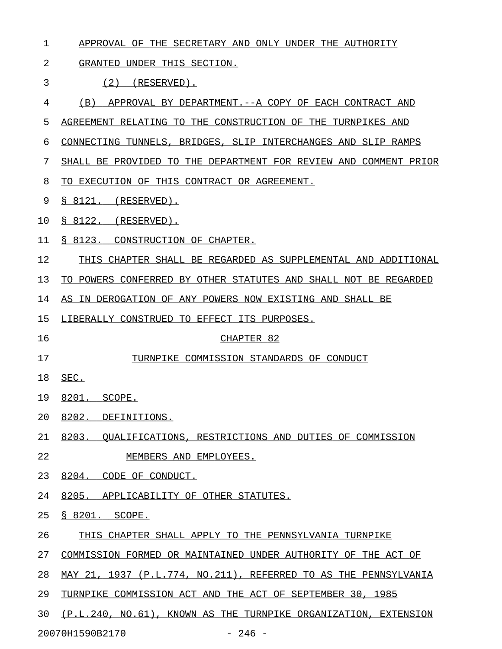- 1 APPROVAL OF THE SECRETARY AND ONLY UNDER THE AUTHORITY
- 2 GRANTED UNDER THIS SECTION.
- 3 (2) (RESERVED).
- 4 (B) APPROVAL BY DEPARTMENT. -- A COPY OF EACH CONTRACT AND
- 5 AGREEMENT RELATING TO THE CONSTRUCTION OF THE TURNPIKES AND
- 6 CONNECTING TUNNELS, BRIDGES, SLIP INTERCHANGES AND SLIP RAMPS
- 7 SHALL BE PROVIDED TO THE DEPARTMENT FOR REVIEW AND COMMENT PRIOR
- 8 TO EXECUTION OF THIS CONTRACT OR AGREEMENT.
- 9 § 8121. (RESERVED).
- 10 <u>§ 8122. (RESERVED).</u>
- 11 § 8123. CONSTRUCTION OF CHAPTER.
- 12 THIS CHAPTER SHALL BE REGARDED AS SUPPLEMENTAL AND ADDITIONAL
- 13 TO POWERS CONFERRED BY OTHER STATUTES AND SHALL NOT BE REGARDED
- 14 AS IN DEROGATION OF ANY POWERS NOW EXISTING AND SHALL BE
- 15 LIBERALLY CONSTRUED TO EFFECT ITS PURPOSES.
- 

## 16 CHAPTER 82

- 17 TURNPIKE COMMISSION STANDARDS OF CONDUCT
- 18 SEC. \_\_\_\_
- 19 8201. SCOPE.
- 20 8202. DEFINITIONS.
- 21 8203. QUALIFICATIONS, RESTRICTIONS AND DUTIES OF COMMISSION
- 22 MEMBERS AND EMPLOYEES.
- 23 8204. CODE OF CONDUCT.
- 24 8205. APPLICABILITY OF OTHER STATUTES.
- 25 § 8201. SCOPE.
- 26 THIS CHAPTER SHALL APPLY TO THE PENNSYLVANIA TURNPIKE
- 27 COMMISSION FORMED OR MAINTAINED UNDER AUTHORITY OF THE ACT OF
- 28 MAY 21, 1937 (P.L.774, NO.211), REFERRED TO AS THE PENNSYLVANIA
- 29 TURNPIKE COMMISSION ACT AND THE ACT OF SEPTEMBER 30, 1985
- 30 (P.L.240, NO.61), KNOWN AS THE TURNPIKE ORGANIZATION, EXTENSION

20070H1590B2170 - 246 -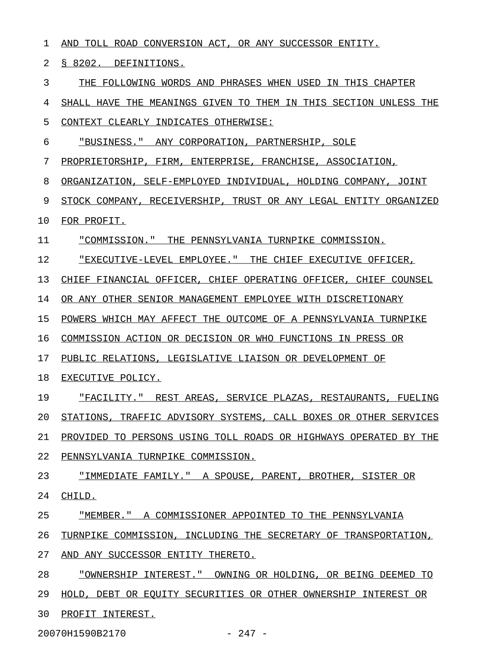| 1  | AND TOLL ROAD CONVERSION ACT, OR ANY SUCCESSOR ENTITY.           |
|----|------------------------------------------------------------------|
| 2  | § 8202. DEFINITIONS.                                             |
| 3  | THE FOLLOWING WORDS AND PHRASES WHEN USED IN THIS CHAPTER        |
| 4  | SHALL HAVE THE MEANINGS GIVEN TO THEM IN THIS SECTION UNLESS THE |
| 5  | CONTEXT CLEARLY INDICATES OTHERWISE:                             |
| 6  | "BUSINESS." ANY CORPORATION, PARTNERSHIP, SOLE                   |
| 7  | PROPRIETORSHIP, FIRM, ENTERPRISE, FRANCHISE, ASSOCIATION,        |
| 8  | ORGANIZATION, SELF-EMPLOYED INDIVIDUAL, HOLDING COMPANY, JOINT   |
| 9  | STOCK COMPANY, RECEIVERSHIP, TRUST OR ANY LEGAL ENTITY ORGANIZED |
| 10 | FOR PROFIT.                                                      |
| 11 | "COMMISSION." THE PENNSYLVANIA TURNPIKE COMMISSION.              |
| 12 | "EXECUTIVE-LEVEL EMPLOYEE." THE CHIEF EXECUTIVE OFFICER,         |
| 13 | CHIEF FINANCIAL OFFICER, CHIEF OPERATING OFFICER, CHIEF COUNSEL  |
| 14 | OR ANY OTHER SENIOR MANAGEMENT EMPLOYEE WITH DISCRETIONARY       |
| 15 | POWERS WHICH MAY AFFECT THE OUTCOME OF A PENNSYLVANIA TURNPIKE   |
| 16 | COMMISSION ACTION OR DECISION OR WHO FUNCTIONS IN PRESS OR       |
| 17 | PUBLIC RELATIONS, LEGISLATIVE LIAISON OR DEVELOPMENT OF          |
| 18 | EXECUTIVE POLICY.                                                |
| 19 | "FACILITY." REST AREAS, SERVICE PLAZAS, RESTAURANTS, FUELING     |
| 20 | STATIONS, TRAFFIC ADVISORY SYSTEMS, CALL BOXES OR OTHER SERVICES |
| 21 | PROVIDED TO PERSONS USING TOLL ROADS OR HIGHWAYS OPERATED BY THE |
| 22 | PENNSYLVANIA TURNPIKE COMMISSION.                                |
| 23 | "IMMEDIATE FAMILY." A SPOUSE, PARENT, BROTHER, SISTER OR         |
| 24 | CHILD.                                                           |
| 25 | "MEMBER." A COMMISSIONER APPOINTED TO THE PENNSYLVANIA           |
| 26 | TURNPIKE COMMISSION, INCLUDING THE SECRETARY OF TRANSPORTATION,  |
| 27 | AND ANY SUCCESSOR ENTITY THERETO.                                |
| 28 | "OWNERSHIP INTEREST." OWNING OR HOLDING, OR BEING DEEMED TO      |
| 29 | HOLD, DEBT OR EQUITY SECURITIES OR OTHER OWNERSHIP INTEREST OR   |
| 30 | PROFIT INTEREST.                                                 |
|    |                                                                  |

20070H1590B2170 - 247 -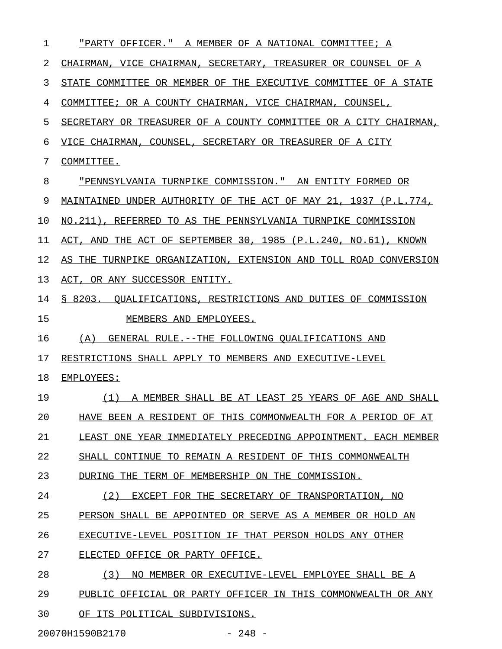| 1  | "PARTY OFFICER."<br>A MEMBER OF A NATIONAL COMMITTEE; A             |
|----|---------------------------------------------------------------------|
| 2  | CHAIRMAN, VICE CHAIRMAN, SECRETARY, TREASURER OR COUNSEL OF A       |
| 3  | STATE COMMITTEE OR MEMBER OF THE EXECUTIVE COMMITTEE OF A STATE     |
| 4  | COMMITTEE; OR A COUNTY CHAIRMAN, VICE CHAIRMAN,<br>COUNSEL,         |
| 5  | SECRETARY OR TREASURER OF A COUNTY COMMITTEE OR A CITY CHAIRMAN,    |
| 6  | VICE CHAIRMAN, COUNSEL, SECRETARY OR TREASURER OF A CITY            |
| 7  | COMMITTEE.                                                          |
| 8  | "PENNSYLVANIA TURNPIKE COMMISSION." AN ENTITY FORMED OR             |
| 9  | MAINTAINED UNDER AUTHORITY OF THE ACT OF MAY 21, 1937 (P.L.774,     |
| 10 | NO.211),<br>REFERRED TO AS THE PENNSYLVANIA TURNPIKE COMMISSION     |
| 11 | THE ACT OF SEPTEMBER 30, 1985 (P.L.240, NO.61), KNOWN<br>ACT. AND   |
| 12 | TURNPIKE ORGANIZATION, EXTENSION AND TOLL ROAD CONVERSION<br>AS THE |
| 13 | ACT, OR ANY SUCCESSOR ENTITY.                                       |
| 14 | \$8203.<br>OUALIFICATIONS, RESTRICTIONS AND DUTIES OF COMMISSION    |
| 15 | MEMBERS AND EMPLOYEES.                                              |
| 16 | (A)<br>GENERAL RULE.--THE FOLLOWING OUALIFICATIONS AND              |
| 17 | RESTRICTIONS SHALL APPLY TO MEMBERS AND EXECUTIVE-LEVEL             |
| 18 | EMPLOYEES:                                                          |
| 19 | A MEMBER SHALL BE AT LEAST 25 YEARS OF AGE AND SHALL<br>(1)         |
| 20 | HAVE BEEN A RESIDENT OF THIS COMMONWEALTH FOR A PERIOD OF AT        |
| 21 | LEAST ONE YEAR IMMEDIATELY PRECEDING APPOINTMENT. EACH MEMBER       |
| 22 | SHALL CONTINUE TO REMAIN A RESIDENT OF THIS COMMONWEALTH            |
| 23 | DURING THE TERM OF MEMBERSHIP ON THE COMMISSION.                    |
| 24 | (2)<br>EXCEPT FOR THE SECRETARY OF TRANSPORTATION, NO               |
| 25 | PERSON SHALL BE APPOINTED OR SERVE AS A MEMBER OR HOLD AN           |
| 26 | EXECUTIVE-LEVEL POSITION IF THAT PERSON HOLDS ANY OTHER             |
| 27 | ELECTED OFFICE OR PARTY OFFICE.                                     |
| 28 | (3)<br>NO MEMBER OR EXECUTIVE-LEVEL EMPLOYEE SHALL BE A             |
| 29 | PUBLIC OFFICIAL OR PARTY OFFICER IN THIS COMMONWEALTH OR ANY        |
| 30 | OF ITS POLITICAL SUBDIVISIONS.                                      |

20070H1590B2170 - 248 -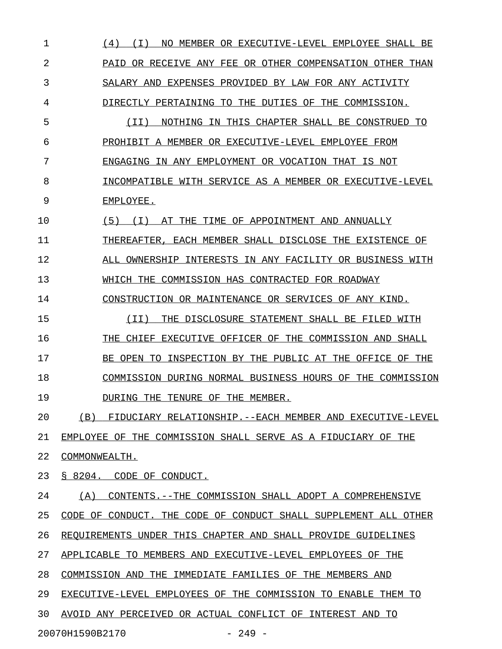1 (4) (I) NO MEMBER OR EXECUTIVE-LEVEL EMPLOYEE SHALL BE \_\_\_\_\_\_\_\_\_\_\_\_\_\_\_\_\_\_\_\_\_\_\_\_\_\_\_\_\_\_\_\_\_\_\_\_\_\_\_\_\_\_\_\_\_\_\_\_\_\_\_\_\_\_\_\_ 2 PAID OR RECEIVE ANY FEE OR OTHER COMPENSATION OTHER THAN 3 SALARY AND EXPENSES PROVIDED BY LAW FOR ANY ACTIVITY 4 DIRECTLY PERTAINING TO THE DUTIES OF THE COMMISSION. 5 (II) NOTHING IN THIS CHAPTER SHALL BE CONSTRUED TO 6 PROHIBIT A MEMBER OR EXECUTIVE-LEVEL EMPLOYEE FROM 7 ENGAGING IN ANY EMPLOYMENT OR VOCATION THAT IS NOT 8 INCOMPATIBLE WITH SERVICE AS A MEMBER OR EXECUTIVE-LEVEL 9 EMPLOYEE. 10  $(5)$  (I) AT THE TIME OF APPOINTMENT AND ANNUALLY 11 THEREAFTER, EACH MEMBER SHALL DISCLOSE THE EXISTENCE OF 12 ALL OWNERSHIP INTERESTS IN ANY FACILITY OR BUSINESS WITH 13 WHICH THE COMMISSION HAS CONTRACTED FOR ROADWAY 14 CONSTRUCTION OR MAINTENANCE OR SERVICES OF ANY KIND. 15 (II) THE DISCLOSURE STATEMENT SHALL BE FILED WITH \_\_\_\_\_\_\_\_\_\_\_\_\_\_\_\_\_\_\_\_\_\_\_\_\_\_\_\_\_\_\_\_\_\_\_\_\_\_\_\_\_\_\_\_\_\_\_\_\_\_ 16 THE CHIEF EXECUTIVE OFFICER OF THE COMMISSION AND SHALL 17 BE OPEN TO INSPECTION BY THE PUBLIC AT THE OFFICE OF THE 18 COMMISSION DURING NORMAL BUSINESS HOURS OF THE COMMISSION 19 DURING THE TENURE OF THE MEMBER. 20 (B) FIDUCIARY RELATIONSHIP.--EACH MEMBER AND EXECUTIVE-LEVEL 21 EMPLOYEE OF THE COMMISSION SHALL SERVE AS A FIDUCIARY OF THE 22 COMMONWEALTH. 23 § 8204. CODE OF CONDUCT. 24 (A) CONTENTS. --THE COMMISSION SHALL ADOPT A COMPREHENSIVE 25 CODE OF CONDUCT. THE CODE OF CONDUCT SHALL SUPPLEMENT ALL OTHER 26 REQUIREMENTS UNDER THIS CHAPTER AND SHALL PROVIDE GUIDELINES 27 APPLICABLE TO MEMBERS AND EXECUTIVE-LEVEL EMPLOYEES OF THE 28 COMMISSION AND THE IMMEDIATE FAMILIES OF THE MEMBERS AND 29 EXECUTIVE-LEVEL EMPLOYEES OF THE COMMISSION TO ENABLE THEM TO 30 AVOID ANY PERCEIVED OR ACTUAL CONFLICT OF INTEREST AND TO 20070H1590B2170 - 249 -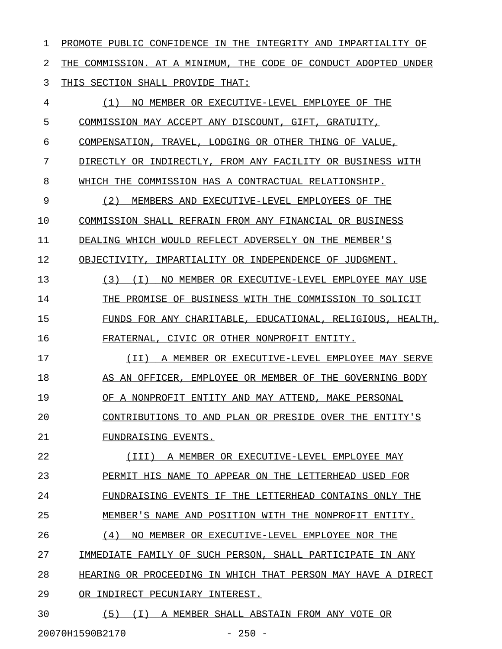1 PROMOTE PUBLIC CONFIDENCE IN THE INTEGRITY AND IMPARTIALITY OF 2 THE COMMISSION. AT A MINIMUM, THE CODE OF CONDUCT ADOPTED UNDER 3 THIS SECTION SHALL PROVIDE THAT: 4  $(1)$  NO MEMBER OR EXECUTIVE-LEVEL EMPLOYEE OF THE 5 COMMISSION MAY ACCEPT ANY DISCOUNT, GIFT, GRATUITY, 6 COMPENSATION, TRAVEL, LODGING OR OTHER THING OF VALUE, 7 DIRECTLY OR INDIRECTLY, FROM ANY FACILITY OR BUSINESS WITH 8 WHICH THE COMMISSION HAS A CONTRACTUAL RELATIONSHIP. 9 (2) MEMBERS AND EXECUTIVE-LEVEL EMPLOYEES OF THE \_\_\_\_\_\_\_\_\_\_\_\_\_\_\_\_\_\_\_\_\_\_\_\_\_\_\_\_\_\_\_\_\_\_\_\_\_\_\_\_\_\_\_\_\_\_\_\_\_ 10 COMMISSION SHALL REFRAIN FROM ANY FINANCIAL OR BUSINESS 11 DEALING WHICH WOULD REFLECT ADVERSELY ON THE MEMBER'S 12 OBJECTIVITY, IMPARTIALITY OR INDEPENDENCE OF JUDGMENT. 13 (3) (I) NO MEMBER OR EXECUTIVE-LEVEL EMPLOYEE MAY USE 14 THE PROMISE OF BUSINESS WITH THE COMMISSION TO SOLICIT 15 FUNDS FOR ANY CHARITABLE, EDUCATIONAL, RELIGIOUS, HEALTH, 16 FRATERNAL, CIVIC OR OTHER NONPROFIT ENTITY. 17 (II) A MEMBER OR EXECUTIVE-LEVEL EMPLOYEE MAY SERVE \_\_\_\_\_\_\_\_\_\_\_\_\_\_\_\_\_\_\_\_\_\_\_\_\_\_\_\_\_\_\_\_\_\_\_\_\_\_\_\_\_\_\_\_\_\_\_\_\_\_\_\_ 18 AS AN OFFICER, EMPLOYEE OR MEMBER OF THE GOVERNING BODY 19 OF A NONPROFIT ENTITY AND MAY ATTEND, MAKE PERSONAL 20 CONTRIBUTIONS TO AND PLAN OR PRESIDE OVER THE ENTITY'S 21 FUNDRAISING EVENTS. 22 (III) A MEMBER OR EXECUTIVE-LEVEL EMPLOYEE MAY \_\_\_\_\_\_\_\_\_\_\_\_\_\_\_\_\_\_\_\_\_\_\_\_\_\_\_\_\_\_\_\_\_\_\_\_\_\_\_\_\_\_\_\_\_\_\_ 23 PERMIT HIS NAME TO APPEAR ON THE LETTERHEAD USED FOR 24 FUNDRAISING EVENTS IF THE LETTERHEAD CONTAINS ONLY THE 25 MEMBER'S NAME AND POSITION WITH THE NONPROFIT ENTITY. 26  $(4)$  NO MEMBER OR EXECUTIVE-LEVEL EMPLOYEE NOR THE 27 IMMEDIATE FAMILY OF SUCH PERSON, SHALL PARTICIPATE IN ANY 28 HEARING OR PROCEEDING IN WHICH THAT PERSON MAY HAVE A DIRECT 29 OR INDIRECT PECUNIARY INTEREST. 30 (5) (I) A MEMBER SHALL ABSTAIN FROM ANY VOTE OR \_\_\_\_\_\_\_\_\_\_\_\_\_\_\_\_\_\_\_\_\_\_\_\_\_\_\_\_\_\_\_\_\_\_\_\_\_\_\_\_\_\_\_\_\_\_\_\_\_

20070H1590B2170 - 250 -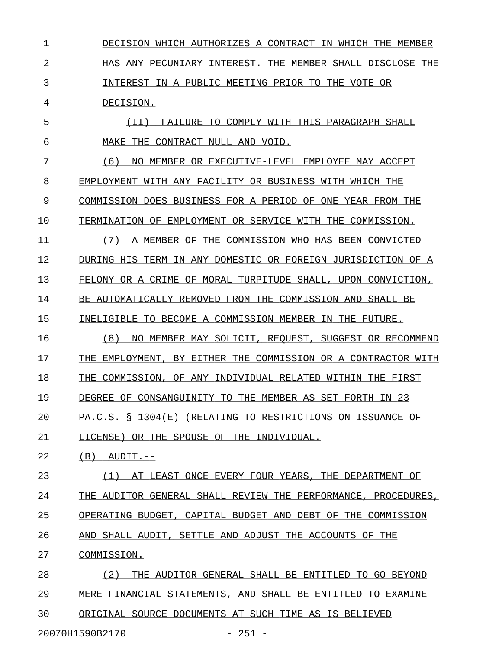1 DECISION WHICH AUTHORIZES A CONTRACT IN WHICH THE MEMBER 2 **HAS ANY PECUNIARY INTEREST. THE MEMBER SHALL DISCLOSE THE** 3 INTEREST IN A PUBLIC MEETING PRIOR TO THE VOTE OR 4 DECISION.

5 (II) FAILURE TO COMPLY WITH THIS PARAGRAPH SHALL \_\_\_\_\_\_\_\_\_\_\_\_\_\_\_\_\_\_\_\_\_\_\_\_\_\_\_\_\_\_\_\_\_\_\_\_\_\_\_\_\_\_\_\_\_\_\_\_\_ 6 MAKE THE CONTRACT NULL AND VOID.

7 (6) NO MEMBER OR EXECUTIVE-LEVEL EMPLOYEE MAY ACCEPT \_\_\_\_\_\_\_\_\_\_\_\_\_\_\_\_\_\_\_\_\_\_\_\_\_\_\_\_\_\_\_\_\_\_\_\_\_\_\_\_\_\_\_\_\_\_\_\_\_\_\_\_\_ 8 EMPLOYMENT WITH ANY FACILITY OR BUSINESS WITH WHICH THE 9 COMMISSION DOES BUSINESS FOR A PERIOD OF ONE YEAR FROM THE 10 TERMINATION OF EMPLOYMENT OR SERVICE WITH THE COMMISSION.

11 (7) A MEMBER OF THE COMMISSION WHO HAS BEEN CONVICTED 12 DURING HIS TERM IN ANY DOMESTIC OR FOREIGN JURISDICTION OF A 13 FELONY OR A CRIME OF MORAL TURPITUDE SHALL, UPON CONVICTION, 14 BE AUTOMATICALLY REMOVED FROM THE COMMISSION AND SHALL BE 15 INELIGIBLE TO BECOME A COMMISSION MEMBER IN THE FUTURE.

16 (8) NO MEMBER MAY SOLICIT, REQUEST, SUGGEST OR RECOMMEND 17 THE EMPLOYMENT, BY EITHER THE COMMISSION OR A CONTRACTOR WITH 18 THE COMMISSION, OF ANY INDIVIDUAL RELATED WITHIN THE FIRST 19 DEGREE OF CONSANGUINITY TO THE MEMBER AS SET FORTH IN 23 20 PA.C.S. § 1304(E) (RELATING TO RESTRICTIONS ON ISSUANCE OF

21 LICENSE) OR THE SPOUSE OF THE INDIVIDUAL.

 $22$  (B)  $AUDIT. --$ 

23 (1) AT LEAST ONCE EVERY FOUR YEARS, THE DEPARTMENT OF 24 THE AUDITOR GENERAL SHALL REVIEW THE PERFORMANCE, PROCEDURES, 25 OPERATING BUDGET, CAPITAL BUDGET AND DEBT OF THE COMMISSION 26 AND SHALL AUDIT, SETTLE AND ADJUST THE ACCOUNTS OF THE

27 COMMISSION.

20070H1590B2170 - 251 -

28 (2) THE AUDITOR GENERAL SHALL BE ENTITLED TO GO BEYOND 29 MERE FINANCIAL STATEMENTS, AND SHALL BE ENTITLED TO EXAMINE 30 ORIGINAL SOURCE DOCUMENTS AT SUCH TIME AS IS BELIEVED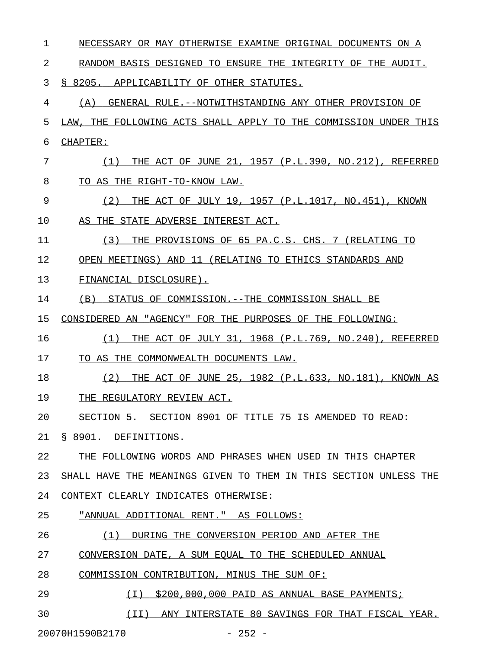| 1  | NECESSARY OR MAY OTHERWISE EXAMINE ORIGINAL DOCUMENTS ON A       |
|----|------------------------------------------------------------------|
| 2  | RANDOM BASIS DESIGNED TO ENSURE THE INTEGRITY OF THE AUDIT.      |
| 3  | \$ 8205.<br>APPLICABILITY OF OTHER STATUTES.                     |
| 4  | GENERAL RULE. -- NOTWITHSTANDING ANY OTHER PROVISION OF<br>(A)   |
| 5  | LAW, THE FOLLOWING ACTS SHALL APPLY TO THE COMMISSION UNDER THIS |
| 6  | CHAPTER:                                                         |
| 7  | THE ACT OF JUNE 21, 1957 (P.L.390, NO.212),<br>REFERRED<br>(1)   |
| 8  | TO AS THE RIGHT-TO-KNOW LAW.                                     |
| 9  | THE ACT OF JULY 19, 1957 (P.L.1017, NO.451),<br>(2)<br>KNOWN     |
| 10 | AS THE STATE ADVERSE INTEREST ACT.                               |
| 11 | (3)<br>THE PROVISIONS OF 65 PA.C.S. CHS. 7 (RELATING TO          |
| 12 | OPEN MEETINGS) AND 11 (RELATING TO ETHICS STANDARDS AND          |
| 13 | FINANCIAL DISCLOSURE).                                           |
| 14 | STATUS OF COMMISSION.--THE COMMISSION SHALL BE<br>(B)            |
| 15 | CONSIDERED AN "AGENCY" FOR THE PURPOSES OF THE FOLLOWING:        |
| 16 | THE ACT OF JULY 31, 1968 (P.L.769, NO.240),<br>REFERRED<br>(1)   |
| 17 | TO AS THE COMMONWEALTH DOCUMENTS LAW.                            |
| 18 | THE ACT OF JUNE 25, 1982 (P.L.633, NO.181), KNOWN AS<br>(2)      |
| 19 | THE REGULATORY REVIEW ACT.                                       |
| 20 | SECTION 5. SECTION 8901 OF TITLE 75 IS AMENDED TO READ:          |
| 21 | § 8901. DEFINITIONS.                                             |
| 22 | THE FOLLOWING WORDS AND PHRASES WHEN USED IN THIS CHAPTER        |
| 23 | SHALL HAVE THE MEANINGS GIVEN TO THEM IN THIS SECTION UNLESS THE |
| 24 | CONTEXT CLEARLY INDICATES OTHERWISE:                             |
| 25 | "ANNUAL ADDITIONAL RENT." AS FOLLOWS:                            |
| 26 | (1) DURING THE CONVERSION PERIOD AND AFTER THE                   |
| 27 | CONVERSION DATE, A SUM EQUAL TO THE SCHEDULED ANNUAL             |
| 28 | COMMISSION CONTRIBUTION, MINUS THE SUM OF:                       |
| 29 | $(I)$ \$200,000,000 PAID AS ANNUAL BASE PAYMENTS;                |

30 (II) ANY INTERSTATE 80 SAVINGS FOR THAT FISCAL YEAR.

20070H1590B2170 - 252 -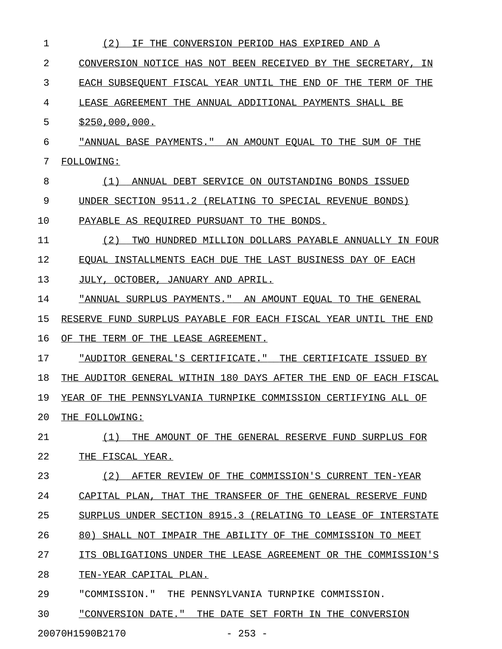| 1  | (2)<br>THE CONVERSION PERIOD HAS EXPIRED AND A<br>IF.            |
|----|------------------------------------------------------------------|
| 2  | CONVERSION NOTICE HAS NOT BEEN RECEIVED BY THE SECRETARY, IN     |
| 3  | EACH SUBSEOUENT FISCAL YEAR UNTIL THE END OF THE TERM OF THE     |
| 4  | LEASE AGREEMENT THE ANNUAL ADDITIONAL PAYMENTS SHALL BE          |
| 5  | \$250,000,000.                                                   |
| 6  | "ANNUAL BASE PAYMENTS." AN AMOUNT EQUAL TO THE SUM OF THE        |
| 7  | FOLLOWING:                                                       |
| 8  | ANNUAL DEBT SERVICE ON OUTSTANDING BONDS ISSUED<br>(1)           |
| 9  | UNDER SECTION 9511.2 (RELATING TO SPECIAL REVENUE BONDS)         |
| 10 | PAYABLE AS REOUIRED PURSUANT TO THE BONDS.                       |
| 11 | (2)<br>TWO HUNDRED MILLION DOLLARS PAYABLE ANNUALLY IN FOUR      |
| 12 | EQUAL INSTALLMENTS EACH DUE THE LAST BUSINESS DAY OF EACH        |
| 13 | JULY, OCTOBER, JANUARY AND APRIL.                                |
| 14 | "ANNUAL SURPLUS PAYMENTS." AN AMOUNT EQUAL TO THE GENERAL        |
| 15 | RESERVE FUND SURPLUS PAYABLE FOR EACH FISCAL YEAR UNTIL THE END  |
| 16 | OF THE TERM OF THE LEASE AGREEMENT.                              |
| 17 | "AUDITOR GENERAL'S CERTIFICATE." THE CERTIFICATE ISSUED BY       |
| 18 | THE AUDITOR GENERAL WITHIN 180 DAYS AFTER THE END OF EACH FISCAL |
| 19 | YEAR OF THE PENNSYLVANIA TURNPIKE COMMISSION CERTIFYING ALL OF   |
| 20 | THE FOLLOWING:                                                   |
| 21 | (1)<br>THE AMOUNT OF THE GENERAL RESERVE FUND SURPLUS FOR        |
| 22 | THE FISCAL YEAR.                                                 |
| 23 | (2)<br>AFTER REVIEW OF THE COMMISSION'S CURRENT TEN-YEAR         |
| 24 | CAPITAL PLAN, THAT THE TRANSFER OF THE GENERAL RESERVE FUND      |
| 25 | SURPLUS UNDER SECTION 8915.3 (RELATING TO LEASE OF INTERSTATE    |
| 26 | 80) SHALL NOT IMPAIR THE ABILITY OF THE COMMISSION TO MEET       |
| 27 | ITS OBLIGATIONS UNDER THE LEASE AGREEMENT OR THE COMMISSION'S    |
| 28 | TEN-YEAR CAPITAL PLAN.                                           |
| 29 | "COMMISSION." THE PENNSYLVANIA TURNPIKE COMMISSION.              |
| 30 | "CONVERSION DATE." THE DATE SET FORTH IN THE CONVERSION          |
|    |                                                                  |

20070H1590B2170 - 253 -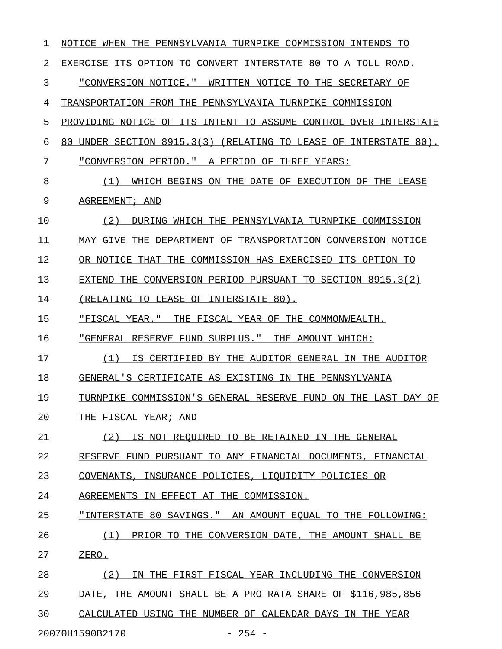| 1  | NOTICE WHEN THE PENNSYLVANIA TURNPIKE COMMISSION INTENDS TO         |
|----|---------------------------------------------------------------------|
| 2  | EXERCISE ITS OPTION TO CONVERT INTERSTATE 80 TO A TOLL ROAD.        |
| 3  | "CONVERSION NOTICE." WRITTEN NOTICE TO THE SECRETARY OF             |
| 4  | TRANSPORTATION FROM THE PENNSYLVANIA TURNPIKE COMMISSION            |
| 5  | PROVIDING NOTICE OF ITS INTENT TO ASSUME CONTROL OVER INTERSTATE    |
| 6  | UNDER SECTION 8915.3(3) (RELATING TO LEASE OF INTERSTATE 80).<br>80 |
| 7  | "CONVERSION PERIOD." A PERIOD OF THREE YEARS:                       |
| 8  | (1)<br>WHICH BEGINS ON THE DATE OF EXECUTION OF THE LEASE           |
| 9  | AGREEMENT; AND                                                      |
| 10 | (2)<br>DURING WHICH THE PENNSYLVANIA TURNPIKE COMMISSION            |
| 11 | MAY GIVE THE DEPARTMENT OF TRANSPORTATION CONVERSION NOTICE         |
| 12 | OR NOTICE THAT THE COMMISSION HAS EXERCISED ITS OPTION TO           |
| 13 | THE CONVERSION PERIOD PURSUANT TO SECTION 8915.3(2)<br>EXTEND       |
| 14 | (RELATING TO LEASE OF INTERSTATE 80).                               |
| 15 | "FISCAL YEAR."<br>THE FISCAL YEAR OF THE COMMONWEALTH.              |
| 16 | "GENERAL RESERVE FUND SURPLUS." THE AMOUNT WHICH:                   |
| 17 | (1)<br>IS CERTIFIED BY THE AUDITOR GENERAL IN THE AUDITOR           |
| 18 | GENERAL'S CERTIFICATE AS EXISTING IN THE PENNSYLVANIA               |
| 19 | TURNPIKE COMMISSION'S GENERAL RESERVE FUND ON THE LAST DAY OF       |
| 20 | THE FISCAL YEAR; AND                                                |
| 21 | IS NOT REQUIRED TO BE RETAINED IN THE GENERAL<br>(2)                |
| 22 | RESERVE FUND PURSUANT TO ANY FINANCIAL DOCUMENTS, FINANCIAL         |
| 23 | COVENANTS, INSURANCE POLICIES, LIQUIDITY POLICIES OR                |
| 24 | AGREEMENTS IN EFFECT AT THE COMMISSION.                             |
| 25 | "INTERSTATE 80 SAVINGS." AN AMOUNT EQUAL TO THE FOLLOWING:          |
| 26 | PRIOR TO THE CONVERSION DATE, THE AMOUNT SHALL BE<br>(1)            |
| 27 | ZERO.                                                               |
| 28 | IN THE FIRST FISCAL YEAR INCLUDING THE CONVERSION<br>(2)            |
| 29 | DATE, THE AMOUNT SHALL BE A PRO RATA SHARE OF \$116,985,856         |
| 30 | CALCULATED USING THE NUMBER OF CALENDAR DAYS IN THE YEAR            |
|    | 20070H1590B2170<br>$-254 -$                                         |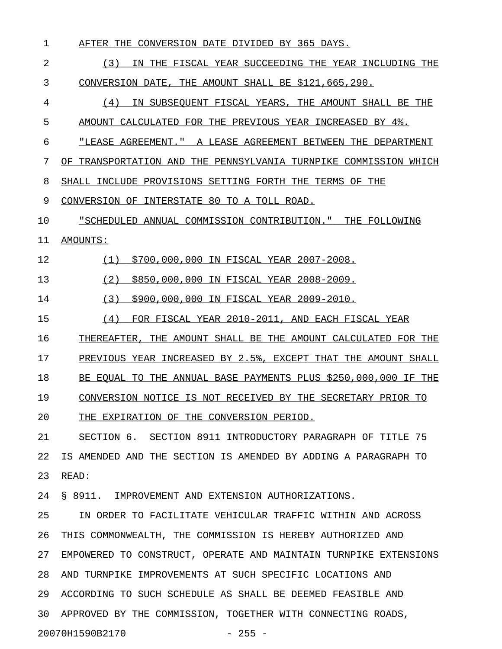1 AFTER THE CONVERSION DATE DIVIDED BY 365 DAYS.

2 (3) IN THE FISCAL YEAR SUCCEEDING THE YEAR INCLUDING THE 3 CONVERSION DATE, THE AMOUNT SHALL BE \$121,665,290.

4  $(4)$  IN SUBSEQUENT FISCAL YEARS, THE AMOUNT SHALL BE THE 5 AMOUNT CALCULATED FOR THE PREVIOUS YEAR INCREASED BY 4%.

6 "LEASE AGREEMENT. " A LEASE AGREEMENT BETWEEN THE DEPARTMENT

7 OF TRANSPORTATION AND THE PENNSYLVANIA TURNPIKE COMMISSION WHICH

8 SHALL INCLUDE PROVISIONS SETTING FORTH THE TERMS OF THE

9 CONVERSION OF INTERSTATE 80 TO A TOLL ROAD.

10 "SCHEDULED ANNUAL COMMISSION CONTRIBUTION." THE FOLLOWING

11 AMOUNTS: \_\_\_\_\_\_\_\_

12 (1) \$700,000,000 IN FISCAL YEAR 2007-2008.

13 (2) \$850,000,000 IN FISCAL YEAR 2008-2009.

14 (3) \$900,000,000 IN FISCAL YEAR 2009-2010.

15 (4) FOR FISCAL YEAR 2010-2011, AND EACH FISCAL YEAR

16 THEREAFTER, THE AMOUNT SHALL BE THE AMOUNT CALCULATED FOR THE

17 PREVIOUS YEAR INCREASED BY 2.5%, EXCEPT THAT THE AMOUNT SHALL

18 BE EQUAL TO THE ANNUAL BASE PAYMENTS PLUS \$250,000,000 IF THE

19 CONVERSION NOTICE IS NOT RECEIVED BY THE SECRETARY PRIOR TO

20 THE EXPIRATION OF THE CONVERSION PERIOD.

21 SECTION 6. SECTION 8911 INTRODUCTORY PARAGRAPH OF TITLE 75 22 IS AMENDED AND THE SECTION IS AMENDED BY ADDING A PARAGRAPH TO 23 READ:

24 § 8911. IMPROVEMENT AND EXTENSION AUTHORIZATIONS.

25 IN ORDER TO FACILITATE VEHICULAR TRAFFIC WITHIN AND ACROSS 26 THIS COMMONWEALTH, THE COMMISSION IS HEREBY AUTHORIZED AND 27 EMPOWERED TO CONSTRUCT, OPERATE AND MAINTAIN TURNPIKE EXTENSIONS 28 AND TURNPIKE IMPROVEMENTS AT SUCH SPECIFIC LOCATIONS AND 29 ACCORDING TO SUCH SCHEDULE AS SHALL BE DEEMED FEASIBLE AND 30 APPROVED BY THE COMMISSION, TOGETHER WITH CONNECTING ROADS, 20070H1590B2170 - 255 -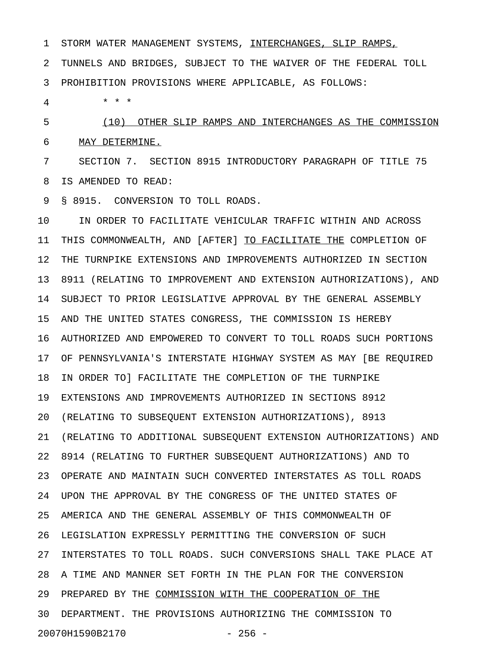1 STORM WATER MANAGEMENT SYSTEMS, INTERCHANGES, SLIP RAMPS, 2 TUNNELS AND BRIDGES, SUBJECT TO THE WAIVER OF THE FEDERAL TOLL 3 PROHIBITION PROVISIONS WHERE APPLICABLE, AS FOLLOWS:

4 \* \* \*

5 (10) OTHER SLIP RAMPS AND INTERCHANGES AS THE COMMISSION \_\_\_\_\_\_\_\_\_\_\_\_\_\_\_\_\_\_\_\_\_\_\_\_\_\_\_\_\_\_\_\_\_\_\_\_\_\_\_\_\_\_\_\_\_\_\_\_\_\_\_\_\_\_\_\_\_ 6 MAY DETERMINE.

7 SECTION 7. SECTION 8915 INTRODUCTORY PARAGRAPH OF TITLE 75 8 IS AMENDED TO READ:

9 § 8915. CONVERSION TO TOLL ROADS.

10 IN ORDER TO FACILITATE VEHICULAR TRAFFIC WITHIN AND ACROSS 11 THIS COMMONWEALTH, AND [AFTER] TO FACILITATE THE COMPLETION OF 12 THE TURNPIKE EXTENSIONS AND IMPROVEMENTS AUTHORIZED IN SECTION 13 8911 (RELATING TO IMPROVEMENT AND EXTENSION AUTHORIZATIONS), AND 14 SUBJECT TO PRIOR LEGISLATIVE APPROVAL BY THE GENERAL ASSEMBLY 15 AND THE UNITED STATES CONGRESS, THE COMMISSION IS HEREBY 16 AUTHORIZED AND EMPOWERED TO CONVERT TO TOLL ROADS SUCH PORTIONS 17 OF PENNSYLVANIA'S INTERSTATE HIGHWAY SYSTEM AS MAY [BE REQUIRED 18 IN ORDER TO] FACILITATE THE COMPLETION OF THE TURNPIKE 19 EXTENSIONS AND IMPROVEMENTS AUTHORIZED IN SECTIONS 8912 20 (RELATING TO SUBSEQUENT EXTENSION AUTHORIZATIONS), 8913 21 (RELATING TO ADDITIONAL SUBSEQUENT EXTENSION AUTHORIZATIONS) AND 22 8914 (RELATING TO FURTHER SUBSEQUENT AUTHORIZATIONS) AND TO 23 OPERATE AND MAINTAIN SUCH CONVERTED INTERSTATES AS TOLL ROADS 24 UPON THE APPROVAL BY THE CONGRESS OF THE UNITED STATES OF 25 AMERICA AND THE GENERAL ASSEMBLY OF THIS COMMONWEALTH OF 26 LEGISLATION EXPRESSLY PERMITTING THE CONVERSION OF SUCH 27 INTERSTATES TO TOLL ROADS. SUCH CONVERSIONS SHALL TAKE PLACE AT 28 A TIME AND MANNER SET FORTH IN THE PLAN FOR THE CONVERSION 29 PREPARED BY THE COMMISSION WITH THE COOPERATION OF THE 30 DEPARTMENT. THE PROVISIONS AUTHORIZING THE COMMISSION TO 20070H1590B2170 - 256 -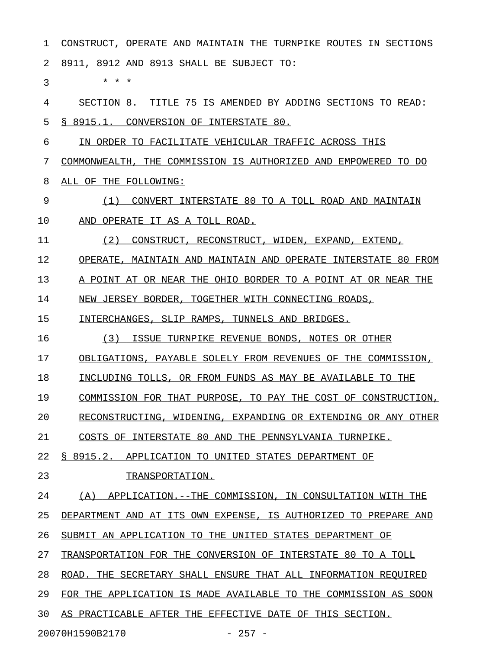1 CONSTRUCT, OPERATE AND MAINTAIN THE TURNPIKE ROUTES IN SECTIONS 2 8911, 8912 AND 8913 SHALL BE SUBJECT TO:

 $3 * * * *$ 

4 SECTION 8. TITLE 75 IS AMENDED BY ADDING SECTIONS TO READ: 5 § 8915.1. CONVERSION OF INTERSTATE 80.

6 IN ORDER TO FACILITATE VEHICULAR TRAFFIC ACROSS THIS

7 COMMONWEALTH, THE COMMISSION IS AUTHORIZED AND EMPOWERED TO DO 8 ALL OF THE FOLLOWING:

9 (1) CONVERT INTERSTATE 80 TO A TOLL ROAD AND MAINTAIN 10 AND OPERATE IT AS A TOLL ROAD.

11 (2) CONSTRUCT, RECONSTRUCT, WIDEN, EXPAND, EXTEND,

12 OPERATE, MAINTAIN AND MAINTAIN AND OPERATE INTERSTATE 80 FROM

13 A POINT AT OR NEAR THE OHIO BORDER TO A POINT AT OR NEAR THE

14 NEW JERSEY BORDER, TOGETHER WITH CONNECTING ROADS,

15 INTERCHANGES, SLIP RAMPS, TUNNELS AND BRIDGES.

16 (3) ISSUE TURNPIKE REVENUE BONDS, NOTES OR OTHER

17 OBLIGATIONS, PAYABLE SOLELY FROM REVENUES OF THE COMMISSION,

18 INCLUDING TOLLS, OR FROM FUNDS AS MAY BE AVAILABLE TO THE

19 COMMISSION FOR THAT PURPOSE, TO PAY THE COST OF CONSTRUCTION,

20 RECONSTRUCTING, WIDENING, EXPANDING OR EXTENDING OR ANY OTHER

21 COSTS OF INTERSTATE 80 AND THE PENNSYLVANIA TURNPIKE.

22 § 8915.2. APPLICATION TO UNITED STATES DEPARTMENT OF

23 TRANSPORTATION.

24 (A) APPLICATION.--THE COMMISSION, IN CONSULTATION WITH THE

25 DEPARTMENT AND AT ITS OWN EXPENSE, IS AUTHORIZED TO PREPARE AND

26 SUBMIT AN APPLICATION TO THE UNITED STATES DEPARTMENT OF

27 TRANSPORTATION FOR THE CONVERSION OF INTERSTATE 80 TO A TOLL

28 ROAD. THE SECRETARY SHALL ENSURE THAT ALL INFORMATION REQUIRED

29 FOR THE APPLICATION IS MADE AVAILABLE TO THE COMMISSION AS SOON

30 AS PRACTICABLE AFTER THE EFFECTIVE DATE OF THIS SECTION.

20070H1590B2170 - 257 -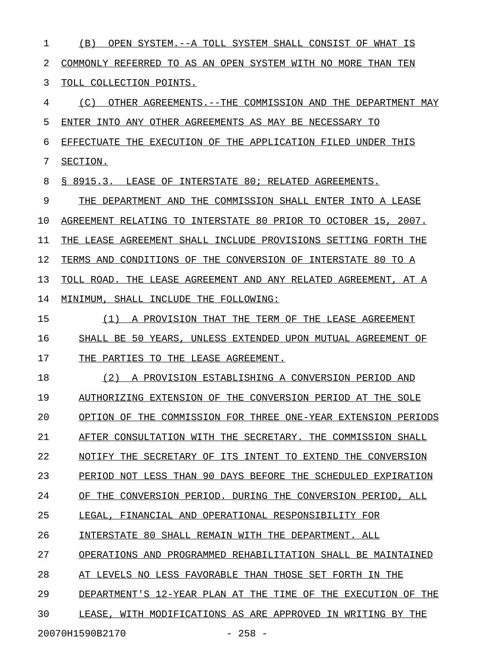1 (B) OPEN SYSTEM.--A TOLL SYSTEM SHALL CONSIST OF WHAT IS 2 COMMONLY REFERRED TO AS AN OPEN SYSTEM WITH NO MORE THAN TEN 3 TOLL COLLECTION POINTS. 4 (C) OTHER AGREEMENTS.--THE COMMISSION AND THE DEPARTMENT MAY 5 ENTER INTO ANY OTHER AGREEMENTS AS MAY BE NECESSARY TO 6 EFFECTUATE THE EXECUTION OF THE APPLICATION FILED UNDER THIS 7 SECTION. 8 § 8915.3. LEASE OF INTERSTATE 80; RELATED AGREEMENTS. 9 THE DEPARTMENT AND THE COMMISSION SHALL ENTER INTO A LEASE 10 AGREEMENT RELATING TO INTERSTATE 80 PRIOR TO OCTOBER 15, 2007. 11 THE LEASE AGREEMENT SHALL INCLUDE PROVISIONS SETTING FORTH THE 12 TERMS AND CONDITIONS OF THE CONVERSION OF INTERSTATE 80 TO A 13 TOLL ROAD. THE LEASE AGREEMENT AND ANY RELATED AGREEMENT, AT A 14 MINIMUM, SHALL INCLUDE THE FOLLOWING: 15 (1) A PROVISION THAT THE TERM OF THE LEASE AGREEMENT 16 SHALL BE 50 YEARS, UNLESS EXTENDED UPON MUTUAL AGREEMENT OF 17 THE PARTIES TO THE LEASE AGREEMENT. 18 (2) A PROVISION ESTABLISHING A CONVERSION PERIOD AND 19 AUTHORIZING EXTENSION OF THE CONVERSION PERIOD AT THE SOLE 20 OPTION OF THE COMMISSION FOR THREE ONE-YEAR EXTENSION PERIODS 21 AFTER CONSULTATION WITH THE SECRETARY. THE COMMISSION SHALL 22 NOTIFY THE SECRETARY OF ITS INTENT TO EXTEND THE CONVERSION 23 PERIOD NOT LESS THAN 90 DAYS BEFORE THE SCHEDULED EXPIRATION 24 OF THE CONVERSION PERIOD. DURING THE CONVERSION PERIOD, ALL 25 LEGAL, FINANCIAL AND OPERATIONAL RESPONSIBILITY FOR 26 INTERSTATE 80 SHALL REMAIN WITH THE DEPARTMENT. ALL 27 OPERATIONS AND PROGRAMMED REHABILITATION SHALL BE MAINTAINED 28 AT LEVELS NO LESS FAVORABLE THAN THOSE SET FORTH IN THE 29 DEPARTMENT'S 12-YEAR PLAN AT THE TIME OF THE EXECUTION OF THE 30 LEASE, WITH MODIFICATIONS AS ARE APPROVED IN WRITING BY THE 20070H1590B2170 - 258 -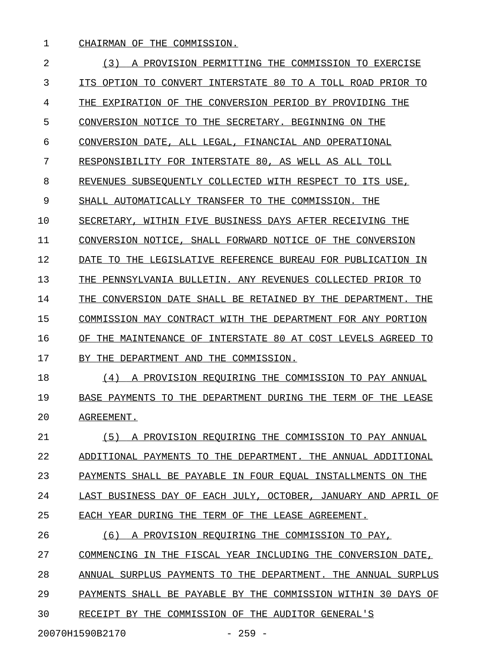1 CHAIRMAN OF THE COMMISSION.

2 (3) A PROVISION PERMITTING THE COMMISSION TO EXERCISE 3 ITS OPTION TO CONVERT INTERSTATE 80 TO A TOLL ROAD PRIOR TO 4 THE EXPIRATION OF THE CONVERSION PERIOD BY PROVIDING THE 5 CONVERSION NOTICE TO THE SECRETARY. BEGINNING ON THE 6 CONVERSION DATE, ALL LEGAL, FINANCIAL AND OPERATIONAL 7 RESPONSIBILITY FOR INTERSTATE 80, AS WELL AS ALL TOLL 8 REVENUES SUBSEOUENTLY COLLECTED WITH RESPECT TO ITS USE, 9 SHALL AUTOMATICALLY TRANSFER TO THE COMMISSION. THE 10 SECRETARY, WITHIN FIVE BUSINESS DAYS AFTER RECEIVING THE 11 CONVERSION NOTICE, SHALL FORWARD NOTICE OF THE CONVERSION 12 DATE TO THE LEGISLATIVE REFERENCE BUREAU FOR PUBLICATION IN 13 THE PENNSYLVANIA BULLETIN. ANY REVENUES COLLECTED PRIOR TO 14 THE CONVERSION DATE SHALL BE RETAINED BY THE DEPARTMENT. THE 15 COMMISSION MAY CONTRACT WITH THE DEPARTMENT FOR ANY PORTION 16 OF THE MAINTENANCE OF INTERSTATE 80 AT COST LEVELS AGREED TO 17 BY THE DEPARTMENT AND THE COMMISSION. 18 (4) A PROVISION REQUIRING THE COMMISSION TO PAY ANNUAL 19 BASE PAYMENTS TO THE DEPARTMENT DURING THE TERM OF THE LEASE 20 AGREEMENT. 21 (5) A PROVISION REQUIRING THE COMMISSION TO PAY ANNUAL 22 ADDITIONAL PAYMENTS TO THE DEPARTMENT. THE ANNUAL ADDITIONAL 23 PAYMENTS SHALL BE PAYABLE IN FOUR EQUAL INSTALLMENTS ON THE 24 LAST BUSINESS DAY OF EACH JULY, OCTOBER, JANUARY AND APRIL OF 25 EACH YEAR DURING THE TERM OF THE LEASE AGREEMENT. 26 (6) A PROVISION REQUIRING THE COMMISSION TO PAY, 27 COMMENCING IN THE FISCAL YEAR INCLUDING THE CONVERSION DATE, 28 ANNUAL SURPLUS PAYMENTS TO THE DEPARTMENT. THE ANNUAL SURPLUS 29 PAYMENTS SHALL BE PAYABLE BY THE COMMISSION WITHIN 30 DAYS OF

20070H1590B2170 - 259 -

30 RECEIPT BY THE COMMISSION OF THE AUDITOR GENERAL'S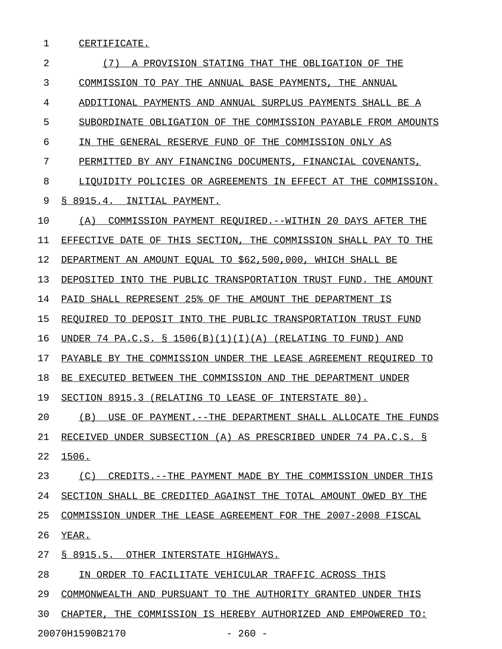1 CERTIFICATE.

| (7)<br>A PROVISION STATING THAT THE OBLIGATION OF THE           |
|-----------------------------------------------------------------|
| COMMISSION TO PAY THE ANNUAL BASE PAYMENTS, THE ANNUAL          |
| ADDITIONAL PAYMENTS AND ANNUAL SURPLUS PAYMENTS SHALL BE A      |
| SUBORDINATE OBLIGATION OF THE COMMISSION PAYABLE FROM AMOUNTS   |
| IN THE GENERAL RESERVE FUND OF THE COMMISSION ONLY AS           |
| PERMITTED BY ANY FINANCING DOCUMENTS, FINANCIAL COVENANTS,      |
| LIOUIDITY POLICIES OR AGREEMENTS IN EFFECT AT THE COMMISSION.   |
| \$8915.4.<br>INITIAL PAYMENT.                                   |
| COMMISSION PAYMENT REOUIRED.--WITHIN 20 DAYS AFTER THE<br>(A)   |
| EFFECTIVE DATE OF THIS SECTION, THE COMMISSION SHALL PAY TO THE |
| DEPARTMENT AN AMOUNT EOUAL TO \$62,500,000, WHICH SHALL BE      |
| DEPOSITED INTO THE PUBLIC TRANSPORTATION TRUST FUND. THE AMOUNT |
| PAID SHALL REPRESENT 25% OF THE AMOUNT THE DEPARTMENT IS        |
| REQUIRED TO DEPOSIT INTO THE PUBLIC TRANSPORTATION TRUST FUND   |
| UNDER 74 PA.C.S. § 1506(B)(1)(I)(A) (RELATING TO FUND)<br>AND   |
| PAYABLE BY THE COMMISSION UNDER THE LEASE AGREEMENT REOUIRED TO |
| BE EXECUTED BETWEEN THE COMMISSION AND THE DEPARTMENT UNDER     |
| SECTION 8915.3 (RELATING TO LEASE OF INTERSTATE 80).            |
| (B)<br>USE OF PAYMENT.--THE DEPARTMENT SHALL ALLOCATE THE FUNDS |
| RECEIVED UNDER SUBSECTION (A) AS PRESCRIBED UNDER 74 PA.C.S. §  |
| 1506.                                                           |
| (C) CREDITS. -- THE PAYMENT MADE BY THE COMMISSION UNDER THIS   |
| SECTION SHALL BE CREDITED AGAINST THE TOTAL AMOUNT OWED BY THE  |
| COMMISSION UNDER THE LEASE AGREEMENT FOR THE 2007-2008 FISCAL   |
| YEAR.                                                           |
| S 8915.5. OTHER INTERSTATE HIGHWAYS.                            |
| IN ORDER TO FACILITATE VEHICULAR TRAFFIC ACROSS THIS            |
| COMMONWEALTH AND PURSUANT TO THE AUTHORITY GRANTED UNDER THIS   |
| CHAPTER, THE COMMISSION IS HEREBY AUTHORIZED AND EMPOWERED TO:  |
|                                                                 |

20070H1590B2170 - 260 -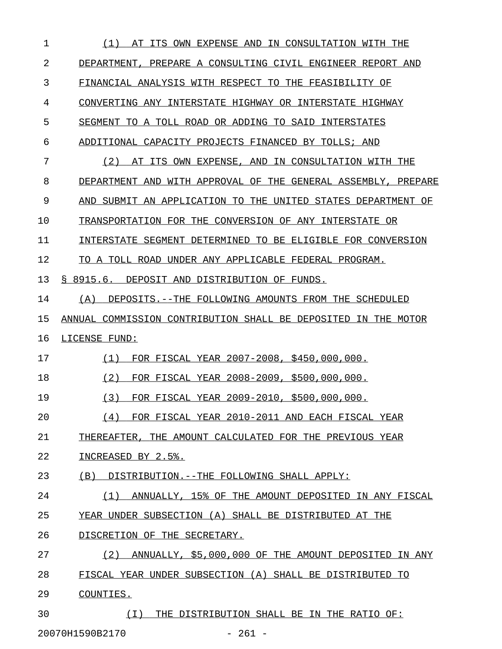| 1  | AT ITS OWN EXPENSE AND IN CONSULTATION WITH THE<br>(1)         |
|----|----------------------------------------------------------------|
| 2  | DEPARTMENT, PREPARE A CONSULTING CIVIL ENGINEER REPORT AND     |
| 3  | FINANCIAL ANALYSIS WITH RESPECT TO THE FEASIBILITY OF          |
| 4  | CONVERTING ANY INTERSTATE HIGHWAY OR INTERSTATE HIGHWAY        |
| 5  | SEGMENT TO A TOLL ROAD OR ADDING TO SAID INTERSTATES           |
| 6  | ADDITIONAL CAPACITY PROJECTS FINANCED BY TOLLS; AND            |
| 7  | (2) AT ITS OWN EXPENSE, AND IN CONSULTATION WITH THE           |
| 8  | DEPARTMENT AND WITH APPROVAL OF THE GENERAL ASSEMBLY, PREPARE  |
| 9  | AND SUBMIT AN APPLICATION TO THE UNITED STATES DEPARTMENT OF   |
| 10 | TRANSPORTATION FOR THE CONVERSION OF ANY INTERSTATE OR         |
| 11 | INTERSTATE SEGMENT DETERMINED TO BE ELIGIBLE FOR CONVERSION    |
| 12 | TO A TOLL ROAD UNDER ANY APPLICABLE FEDERAL PROGRAM.           |
| 13 | § 8915.6. DEPOSIT AND DISTRIBUTION OF FUNDS.                   |
| 14 | DEPOSITS.--THE FOLLOWING AMOUNTS FROM THE SCHEDULED<br>(A)     |
| 15 | ANNUAL COMMISSION CONTRIBUTION SHALL BE DEPOSITED IN THE MOTOR |
| 16 | LICENSE FUND:                                                  |
| 17 | FOR FISCAL YEAR 2007-2008, \$450,000,000.<br>(1)               |
| 18 | (2)<br>FOR FISCAL YEAR 2008-2009, \$500,000,000.               |
| 19 | (3)<br>FOR FISCAL YEAR 2009-2010, \$500,000,000.               |
| 20 | FOR FISCAL YEAR 2010-2011 AND EACH FISCAL YEAR<br>(4)          |
| 21 | THEREAFTER, THE AMOUNT CALCULATED FOR THE PREVIOUS YEAR        |
| 22 | INCREASED BY 2.5%.                                             |
| 23 | (B)<br>DISTRIBUTION.--THE FOLLOWING SHALL APPLY:               |
| 24 | ANNUALLY, 15% OF THE AMOUNT DEPOSITED IN ANY FISCAL<br>(1)     |
| 25 | YEAR UNDER SUBSECTION (A) SHALL BE DISTRIBUTED AT THE          |
| 26 | DISCRETION OF THE SECRETARY.                                   |
| 27 | (2)<br>ANNUALLY, \$5,000,000 OF THE AMOUNT DEPOSITED IN ANY    |
| 28 | FISCAL YEAR UNDER SUBSECTION (A) SHALL BE DISTRIBUTED TO       |
| 29 | COUNTIES.                                                      |
| 30 | THE DISTRIBUTION SHALL BE IN THE RATIO OF:<br>(T)              |
|    | 20070H1590B2170<br>$-261 -$                                    |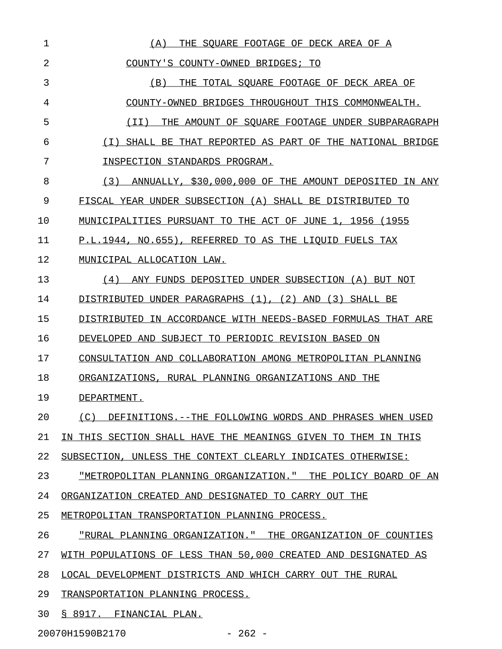| 1  | (A)<br>THE SOUARE FOOTAGE OF DECK AREA OF A                    |
|----|----------------------------------------------------------------|
| 2  | COUNTY'S COUNTY-OWNED BRIDGES; TO                              |
| 3  | (B)<br>THE TOTAL SOUARE FOOTAGE OF DECK AREA OF                |
| 4  | COUNTY-OWNED BRIDGES THROUGHOUT THIS COMMONWEALTH.             |
| 5  | (II)<br>THE AMOUNT OF SOUARE FOOTAGE UNDER SUBPARAGRAPH        |
| 6  | (I) SHALL BE THAT REPORTED AS PART OF THE NATIONAL BRIDGE      |
| 7  | INSPECTION STANDARDS PROGRAM.                                  |
| 8  | ANNUALLY, \$30,000,000 OF THE AMOUNT DEPOSITED IN ANY<br>(3)   |
| 9  | FISCAL YEAR UNDER SUBSECTION (A) SHALL BE DISTRIBUTED TO       |
| 10 | MUNICIPALITIES PURSUANT TO THE ACT OF JUNE 1, 1956 (1955       |
| 11 | P.L.1944, NO.655), REFERRED TO AS THE LIQUID FUELS TAX         |
| 12 | MUNICIPAL ALLOCATION LAW.                                      |
| 13 | (4)<br>ANY FUNDS DEPOSITED UNDER SUBSECTION (A) BUT NOT        |
| 14 | DISTRIBUTED UNDER PARAGRAPHS (1), (2) AND (3) SHALL BE         |
| 15 | DISTRIBUTED IN ACCORDANCE WITH NEEDS-BASED FORMULAS THAT ARE   |
| 16 | DEVELOPED AND SUBJECT TO PERIODIC REVISION BASED ON            |
| 17 | CONSULTATION AND COLLABORATION AMONG METROPOLITAN PLANNING     |
| 18 | ORGANIZATIONS, RURAL PLANNING ORGANIZATIONS AND THE            |
| 19 | DEPARTMENT.                                                    |
| 20 | (C)<br>DEFINITIONS.--THE FOLLOWING WORDS AND PHRASES WHEN USED |
| 21 | IN THIS SECTION SHALL HAVE THE MEANINGS GIVEN TO THEM IN THIS  |
| 22 | SUBSECTION, UNLESS THE CONTEXT CLEARLY INDICATES OTHERWISE:    |
| 23 | "METROPOLITAN PLANNING ORGANIZATION." THE POLICY BOARD OF AN   |
| 24 | ORGANIZATION CREATED AND DESIGNATED TO CARRY OUT THE           |
| 25 | METROPOLITAN TRANSPORTATION PLANNING PROCESS.                  |
| 26 | "RURAL PLANNING ORGANIZATION." THE ORGANIZATION OF COUNTIES    |
| 27 | WITH POPULATIONS OF LESS THAN 50,000 CREATED AND DESIGNATED AS |
| 28 | LOCAL DEVELOPMENT DISTRICTS AND WHICH CARRY OUT THE RURAL      |
| 29 | TRANSPORTATION PLANNING PROCESS.                               |
| 30 | § 8917. FINANCIAL PLAN.                                        |

20070H1590B2170 - 262 -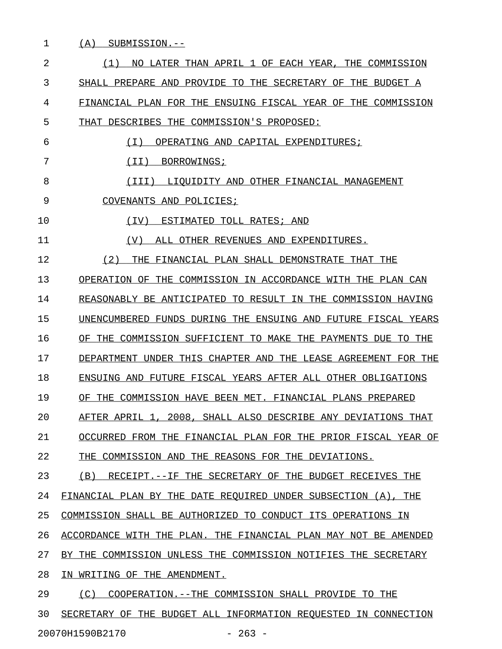1 (A) SUBMISSION.--2  $(1)$  NO LATER THAN APRIL 1 OF EACH YEAR, THE COMMISSION 3 SHALL PREPARE AND PROVIDE TO THE SECRETARY OF THE BUDGET A 4 FINANCIAL PLAN FOR THE ENSUING FISCAL YEAR OF THE COMMISSION 5 THAT DESCRIBES THE COMMISSION'S PROPOSED: 6 (I) OPERATING AND CAPITAL EXPENDITURES; 7 (II) BORROWINGS; 8 (III) LIOUIDITY AND OTHER FINANCIAL MANAGEMENT 9 COVENANTS AND POLICIES; 10 (IV) ESTIMATED TOLL RATES; AND 11  $( V )$  ALL OTHER REVENUES AND EXPENDITURES. 12 (2) THE FINANCIAL PLAN SHALL DEMONSTRATE THAT THE \_\_\_\_\_\_\_\_\_\_\_\_\_\_\_\_\_\_\_\_\_\_\_\_\_\_\_\_\_\_\_\_\_\_\_\_\_\_\_\_\_\_\_\_\_\_\_\_\_\_ 13 OPERATION OF THE COMMISSION IN ACCORDANCE WITH THE PLAN CAN 14 REASONABLY BE ANTICIPATED TO RESULT IN THE COMMISSION HAVING 15 UNENCUMBERED FUNDS DURING THE ENSUING AND FUTURE FISCAL YEARS 16 OF THE COMMISSION SUFFICIENT TO MAKE THE PAYMENTS DUE TO THE 17 DEPARTMENT UNDER THIS CHAPTER AND THE LEASE AGREEMENT FOR THE 18 ENSUING AND FUTURE FISCAL YEARS AFTER ALL OTHER OBLIGATIONS 19 OF THE COMMISSION HAVE BEEN MET. FINANCIAL PLANS PREPARED 20 AFTER APRIL 1, 2008, SHALL ALSO DESCRIBE ANY DEVIATIONS THAT 21 OCCURRED FROM THE FINANCIAL PLAN FOR THE PRIOR FISCAL YEAR OF 22 THE COMMISSION AND THE REASONS FOR THE DEVIATIONS. 23 (B) RECEIPT.--IF THE SECRETARY OF THE BUDGET RECEIVES THE 24 FINANCIAL PLAN BY THE DATE REQUIRED UNDER SUBSECTION (A), THE 25 COMMISSION SHALL BE AUTHORIZED TO CONDUCT ITS OPERATIONS IN 26 ACCORDANCE WITH THE PLAN. THE FINANCIAL PLAN MAY NOT BE AMENDED 27 BY THE COMMISSION UNLESS THE COMMISSION NOTIFIES THE SECRETARY 28 IN WRITING OF THE AMENDMENT. 29 (C) COOPERATION.--THE COMMISSION SHALL PROVIDE TO THE 30 SECRETARY OF THE BUDGET ALL INFORMATION REOUESTED IN CONNECTION

20070H1590B2170 - 263 -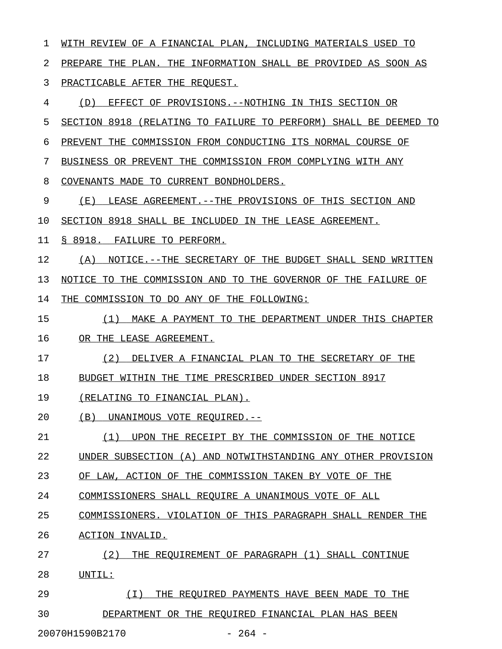| 1  | WITH REVIEW OF A FINANCIAL PLAN, INCLUDING MATERIALS USED TO     |
|----|------------------------------------------------------------------|
| 2  | PREPARE THE PLAN. THE INFORMATION SHALL BE PROVIDED AS SOON AS   |
| 3  | PRACTICABLE AFTER THE REQUEST.                                   |
| 4  | (D) EFFECT OF PROVISIONS. -- NOTHING IN THIS SECTION OR          |
| 5  | SECTION 8918 (RELATING TO FAILURE TO PERFORM) SHALL BE DEEMED TO |
| 6  | PREVENT THE COMMISSION FROM CONDUCTING ITS NORMAL COURSE OF      |
| 7  | BUSINESS OR PREVENT THE COMMISSION FROM COMPLYING WITH ANY       |
| 8  | COVENANTS MADE TO CURRENT BONDHOLDERS.                           |
| 9  | (E) LEASE AGREEMENT. -- THE PROVISIONS OF THIS SECTION AND       |
| 10 | SECTION 8918 SHALL BE INCLUDED IN THE LEASE AGREEMENT.           |
| 11 | § 8918. FAILURE TO PERFORM.                                      |
| 12 | (A) NOTICE.--THE SECRETARY OF THE BUDGET SHALL SEND WRITTEN      |
| 13 | NOTICE TO THE COMMISSION AND TO THE GOVERNOR OF THE FAILURE OF   |
| 14 | THE COMMISSION TO DO ANY OF THE FOLLOWING:                       |
| 15 | MAKE A PAYMENT TO THE DEPARTMENT UNDER THIS CHAPTER<br>(1)       |
| 16 | OR THE LEASE AGREEMENT.                                          |
| 17 | DELIVER A FINANCIAL PLAN TO THE SECRETARY OF THE<br>(2)          |
| 18 | BUDGET WITHIN THE TIME PRESCRIBED UNDER SECTION 8917             |
| 19 | (RELATING TO FINANCIAL PLAN).                                    |
| 20 | (B)<br>UNANIMOUS VOTE REQUIRED.--                                |
| 21 | UPON THE RECEIPT BY THE COMMISSION OF THE NOTICE<br>(1)          |
| 22 | UNDER SUBSECTION (A) AND NOTWITHSTANDING ANY OTHER PROVISION     |
| 23 | OF LAW, ACTION OF THE COMMISSION TAKEN BY VOTE OF<br><b>THE</b>  |
| 24 | COMMISSIONERS SHALL REOUIRE A UNANIMOUS VOTE OF ALL              |
| 25 | COMMISSIONERS. VIOLATION OF THIS PARAGRAPH SHALL RENDER THE      |
| 26 | ACTION INVALID.                                                  |
| 27 | (2)<br>THE REOUIREMENT OF PARAGRAPH (1) SHALL CONTINUE           |
| 28 | UNTIL:                                                           |
| 29 | (T)<br>THE REOUIRED PAYMENTS HAVE BEEN MADE TO THE               |
| 30 | DEPARTMENT OR THE REOUIRED FINANCIAL PLAN HAS BEEN               |
|    | 20070H1590B2170<br>$264 -$                                       |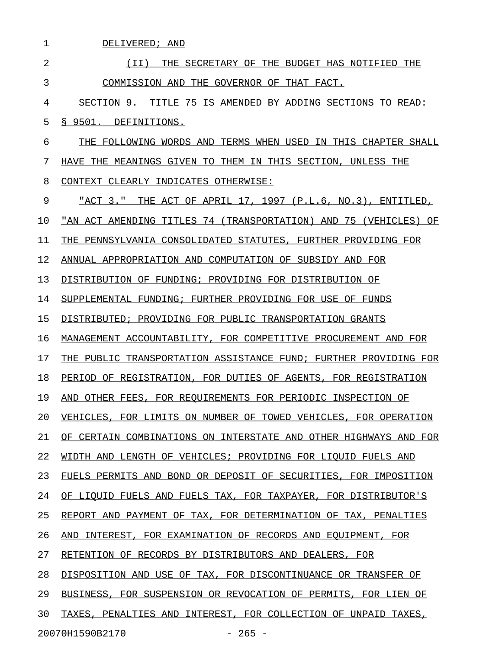| 1  | DELIVERED; AND                                                          |
|----|-------------------------------------------------------------------------|
| 2  | (II)<br>SECRETARY OF THE BUDGET HAS NOTIFIED<br>THE<br>THE.             |
| 3  | COMMISSION AND<br>THE.<br>GOVERNOR OF<br>THAT FACT.                     |
| 4  | SECTION 9.<br>75<br>TITLE<br>IS AMENDED BY ADDING SECTIONS<br>TO READ:  |
| 5  | \$9501.<br>DEFINITIONS.                                                 |
| 6  | FOLLOWING WORDS AND<br>TERMS WHEN USED IN THIS CHAPTER SHALL<br>THE     |
| 7  | MEANINGS GIVEN TO<br>THEM IN THIS SECTION,<br>UNLESS THE<br>THE<br>HAVE |
| 8  | CLEARLY INDICATES OTHERWISE:<br>CONTEXT                                 |
| 9  | ACT OF APRIL 17, 1997 (P.L.6, NO.3),<br>"ACT 3."<br>THE<br>ENTITLED,    |
| 10 | "AN ACT AMENDING TITLES 74 (TRANSPORTATION) AND 75 (VEHICLES)<br>ΟF     |
| 11 | PENNSYLVANIA CONSOLIDATED STATUTES, FURTHER PROVIDING FOR<br>THE        |
| 12 | ANNUAL APPROPRIATION AND COMPUTATION OF SUBSIDY AND FOR                 |
| 13 | DISTRIBUTION OF FUNDING; PROVIDING FOR DISTRIBUTION OF                  |
| 14 | SUPPLEMENTAL FUNDING; FURTHER PROVIDING FOR USE OF FUNDS                |
| 15 | DISTRIBUTED; PROVIDING FOR PUBLIC TRANSPORTATION GRANTS                 |
| 16 | MANAGEMENT ACCOUNTABILITY, FOR COMPETITIVE PROCUREMENT AND FOR          |
| 17 | PUBLIC TRANSPORTATION ASSISTANCE FUND; FURTHER PROVIDING FOR<br>THE     |
| 18 | PERIOD OF REGISTRATION, FOR DUTIES OF AGENTS,<br>FOR REGISTRATION       |
| 19 | FOR REOUIREMENTS FOR PERIODIC INSPECTION OF<br>OTHER FEES,<br>AND       |
| 20 | VEHICLES, FOR LIMITS ON NUMBER OF TOWED VEHICLES, FOR OPERATION         |
| 21 | OF CERTAIN COMBINATIONS ON INTERSTATE AND OTHER HIGHWAYS AND FOR        |
| 22 | WIDTH AND LENGTH OF VEHICLES; PROVIDING FOR LIQUID FUELS AND            |
| 23 | FUELS PERMITS AND BOND OR DEPOSIT OF SECURITIES, FOR IMPOSITION         |
| 24 | OF LIQUID FUELS AND FUELS TAX, FOR TAXPAYER, FOR DISTRIBUTOR'S          |
| 25 | REPORT AND PAYMENT OF TAX, FOR DETERMINATION OF TAX, PENALTIES          |
| 26 | AND INTEREST, FOR EXAMINATION OF RECORDS AND EQUIPMENT, FOR             |
| 27 | RETENTION OF RECORDS BY DISTRIBUTORS AND DEALERS, FOR                   |
| 28 | DISPOSITION AND USE OF TAX, FOR DISCONTINUANCE OR TRANSFER OF           |
| 29 | BUSINESS, FOR SUSPENSION OR REVOCATION OF PERMITS, FOR LIEN OF          |
| 30 | TAXES, PENALTIES AND INTEREST, FOR COLLECTION OF UNPAID TAXES,          |
|    | 20070H1590B2170<br>$-265 -$                                             |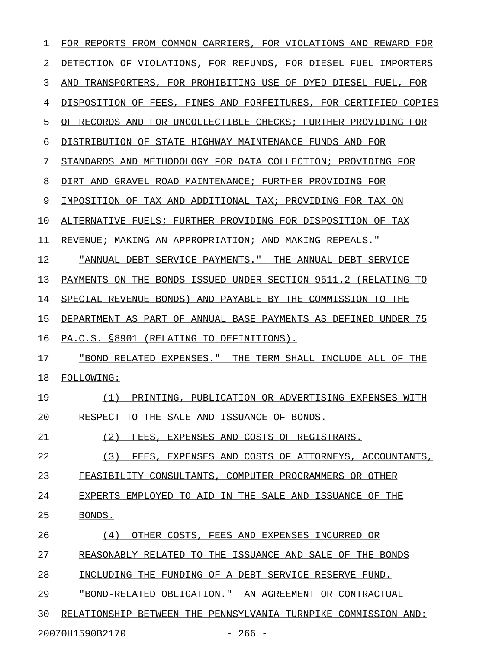| ı  | FOR REPORTS FROM COMMON CARRIERS, FOR VIOLATIONS AND REWARD FOR  |
|----|------------------------------------------------------------------|
| 2  | DETECTION OF VIOLATIONS, FOR REFUNDS, FOR DIESEL FUEL IMPORTERS  |
| 3  | AND TRANSPORTERS, FOR PROHIBITING USE OF DYED DIESEL FUEL, FOR   |
| 4  | DISPOSITION OF FEES, FINES AND FORFEITURES, FOR CERTIFIED COPIES |
| 5  | OF RECORDS AND FOR UNCOLLECTIBLE CHECKS; FURTHER PROVIDING FOR   |
| 6  | DISTRIBUTION OF STATE HIGHWAY MAINTENANCE FUNDS AND FOR          |
| 7  | STANDARDS AND METHODOLOGY FOR DATA COLLECTION; PROVIDING FOR     |
| 8  | DIRT AND GRAVEL ROAD MAINTENANCE; FURTHER PROVIDING FOR          |
| 9  | IMPOSITION OF TAX AND ADDITIONAL TAX; PROVIDING FOR TAX ON       |
| 10 | ALTERNATIVE FUELS; FURTHER PROVIDING FOR DISPOSITION OF TAX      |
| 11 | REVENUE; MAKING AN APPROPRIATION; AND MAKING REPEALS."           |
| 12 | "ANNUAL DEBT SERVICE PAYMENTS." THE ANNUAL DEBT SERVICE          |
| 13 | PAYMENTS ON THE BONDS ISSUED UNDER SECTION 9511.2 (RELATING TO   |
| 14 | SPECIAL REVENUE BONDS) AND PAYABLE BY THE COMMISSION TO THE      |
| 15 | DEPARTMENT AS PART OF ANNUAL BASE PAYMENTS AS DEFINED UNDER 75   |
| 16 | PA.C.S. §8901 (RELATING TO DEFINITIONS).                         |
| 17 | "BOND RELATED EXPENSES." THE TERM SHALL INCLUDE ALL OF THE       |
| 18 | FOLLOWING:                                                       |
| 19 | PRINTING, PUBLICATION OR ADVERTISING EXPENSES WITH<br>(1)        |
| 20 | RESPECT TO THE SALE AND ISSUANCE OF BONDS.                       |
| 21 | (2)<br>FEES, EXPENSES AND COSTS OF REGISTRARS.                   |
| 22 | (3)<br>FEES, EXPENSES AND COSTS OF ATTORNEYS, ACCOUNTANTS,       |
| 23 | FEASIBILITY CONSULTANTS, COMPUTER PROGRAMMERS OR OTHER           |
| 24 | EXPERTS EMPLOYED TO AID IN THE SALE AND ISSUANCE OF THE          |
| 25 | BONDS.                                                           |
| 26 | OTHER COSTS, FEES AND EXPENSES INCURRED OR<br>(4)                |
| 27 | REASONABLY RELATED TO THE ISSUANCE AND SALE OF THE BONDS         |
| 28 | INCLUDING THE FUNDING OF A DEBT SERVICE RESERVE FUND.            |
| 29 | "BOND-RELATED OBLIGATION." AN AGREEMENT OR CONTRACTUAL           |
| 30 | RELATIONSHIP BETWEEN THE PENNSYLVANIA TURNPIKE COMMISSION AND:   |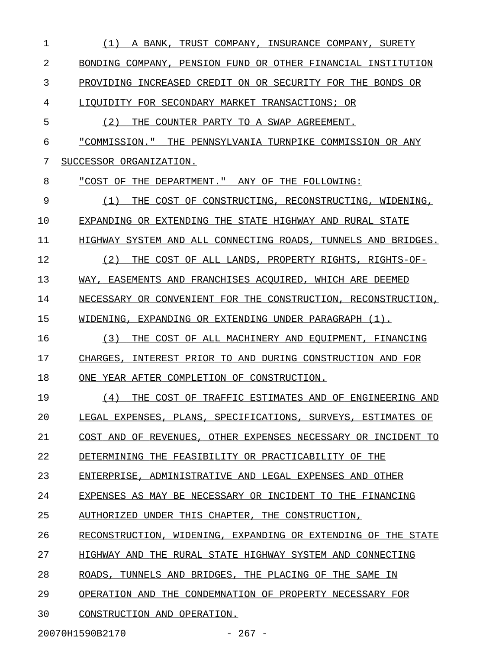| 1  | (1)<br>A BANK.<br>TRUST COMPANY, INSURANCE COMPANY, SURETY       |
|----|------------------------------------------------------------------|
| 2  | BONDING COMPANY, PENSION FUND OR OTHER FINANCIAL INSTITUTION     |
| 3  | PROVIDING INCREASED CREDIT ON OR SECURITY FOR THE BONDS OR       |
| 4  | LIQUIDITY FOR SECONDARY MARKET TRANSACTIONS; OR                  |
| 5  | (2)<br>THE COUNTER PARTY TO A SWAP AGREEMENT.                    |
| 6  | "COMMISSION." THE PENNSYLVANIA TURNPIKE COMMISSION OR ANY        |
| 7  | SUCCESSOR ORGANIZATION.                                          |
| 8  | "COST OF THE DEPARTMENT." ANY OF THE FOLLOWING:                  |
| 9  | THE COST OF CONSTRUCTING, RECONSTRUCTING, WIDENING,<br>(1)       |
| 10 | EXPANDING OR EXTENDING THE STATE HIGHWAY AND RURAL STATE         |
| 11 | HIGHWAY SYSTEM AND ALL CONNECTING ROADS, TUNNELS AND BRIDGES.    |
| 12 | (2)<br>THE COST OF ALL LANDS, PROPERTY RIGHTS, RIGHTS-OF-        |
| 13 | WAY, EASEMENTS AND FRANCHISES ACOUIRED, WHICH ARE DEEMED         |
| 14 | NECESSARY OR CONVENIENT FOR THE CONSTRUCTION, RECONSTRUCTION,    |
| 15 | WIDENING, EXPANDING OR EXTENDING UNDER PARAGRAPH (1).            |
| 16 | (3)<br>THE COST OF ALL MACHINERY AND EOUIPMENT, FINANCING        |
| 17 | CHARGES, INTEREST PRIOR TO AND DURING CONSTRUCTION AND FOR       |
| 18 | ONE YEAR AFTER COMPLETION OF CONSTRUCTION.                       |
| 19 | THE COST OF TRAFFIC ESTIMATES AND OF ENGINEERING AND<br>(4)      |
| 20 | LEGAL EXPENSES, PLANS, SPECIFICATIONS, SURVEYS, ESTIMATES OF     |
| 21 | COST AND OF REVENUES, OTHER EXPENSES NECESSARY OR INCIDENT TO    |
| 22 | DETERMINING THE FEASIBILITY OR PRACTICABILITY OF THE             |
| 23 | ENTERPRISE.<br>ADMINISTRATIVE AND LEGAL EXPENSES AND OTHER       |
| 24 | EXPENSES AS MAY BE NECESSARY OR INCIDENT TO THE FINANCING        |
| 25 | AUTHORIZED<br>UNDER THIS CHAPTER, THE CONSTRUCTION,              |
| 26 | RECONSTRUCTION.<br>WIDENING, EXPANDING OR EXTENDING OF THE STATE |
| 27 | HIGHWAY AND THE RURAL STATE HIGHWAY SYSTEM AND CONNECTING        |
| 28 | TUNNELS AND BRIDGES, THE PLACING OF THE SAME IN<br>ROADS.        |
| 29 | OPERATION AND THE CONDEMNATION OF PROPERTY NECESSARY FOR         |
| 30 | CONSTRUCTION AND OPERATION.                                      |

20070H1590B2170 - 267 -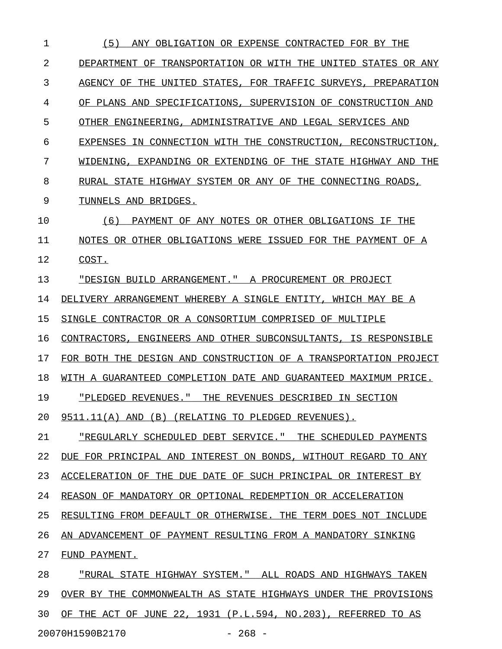1 (5) ANY OBLIGATION OR EXPENSE CONTRACTED FOR BY THE \_\_\_\_\_\_\_\_\_\_\_\_\_\_\_\_\_\_\_\_\_\_\_\_\_\_\_\_\_\_\_\_\_\_\_\_\_\_\_\_\_\_\_\_\_\_\_\_\_\_\_\_ 2 DEPARTMENT OF TRANSPORTATION OR WITH THE UNITED STATES OR ANY 3 AGENCY OF THE UNITED STATES, FOR TRAFFIC SURVEYS, PREPARATION 4 OF PLANS AND SPECIFICATIONS, SUPERVISION OF CONSTRUCTION AND 5 OTHER ENGINEERING, ADMINISTRATIVE AND LEGAL SERVICES AND 6 EXPENSES IN CONNECTION WITH THE CONSTRUCTION, RECONSTRUCTION, 7 WIDENING, EXPANDING OR EXTENDING OF THE STATE HIGHWAY AND THE 8 RURAL STATE HIGHWAY SYSTEM OR ANY OF THE CONNECTING ROADS, 9 TUNNELS AND BRIDGES. 10 (6) PAYMENT OF ANY NOTES OR OTHER OBLIGATIONS IF THE 11 NOTES OR OTHER OBLIGATIONS WERE ISSUED FOR THE PAYMENT OF A 12 COST. 13 "DESIGN BUILD ARRANGEMENT." A PROCUREMENT OR PROJECT \_\_\_\_\_\_\_\_\_\_\_\_\_\_\_\_\_\_\_\_\_\_\_\_\_\_\_\_\_\_\_\_\_\_\_\_\_\_\_\_\_\_\_\_\_\_\_\_\_\_\_\_\_ 14 DELIVERY ARRANGEMENT WHEREBY A SINGLE ENTITY, WHICH MAY BE A 15 SINGLE CONTRACTOR OR A CONSORTIUM COMPRISED OF MULTIPLE 16 CONTRACTORS, ENGINEERS AND OTHER SUBCONSULTANTS, IS RESPONSIBLE 17 FOR BOTH THE DESIGN AND CONSTRUCTION OF A TRANSPORTATION PROJECT 18 WITH A GUARANTEED COMPLETION DATE AND GUARANTEED MAXIMUM PRICE. 19 "PLEDGED REVENUES." THE REVENUES DESCRIBED IN SECTION \_\_\_\_\_\_\_\_\_\_\_\_\_\_\_\_\_\_\_\_\_\_\_\_\_\_\_\_\_\_\_\_\_\_\_\_\_\_\_\_\_\_\_\_\_\_\_\_\_\_\_\_\_\_ 20 9511.11(A) AND (B) (RELATING TO PLEDGED REVENUES). 21 "REGULARLY SCHEDULED DEBT SERVICE." THE SCHEDULED PAYMENTS \_\_\_\_\_\_\_\_\_\_\_\_\_\_\_\_\_\_\_\_\_\_\_\_\_\_\_\_\_\_\_\_\_\_\_\_\_\_\_\_\_\_\_\_\_\_\_\_\_\_\_\_\_\_\_\_\_\_\_ 22 DUE FOR PRINCIPAL AND INTEREST ON BONDS, WITHOUT REGARD TO ANY 23 ACCELERATION OF THE DUE DATE OF SUCH PRINCIPAL OR INTEREST BY 24 REASON OF MANDATORY OR OPTIONAL REDEMPTION OR ACCELERATION 25 RESULTING FROM DEFAULT OR OTHERWISE. THE TERM DOES NOT INCLUDE 26 AN ADVANCEMENT OF PAYMENT RESULTING FROM A MANDATORY SINKING 27 FUND PAYMENT. 28 "RURAL STATE HIGHWAY SYSTEM." ALL ROADS AND HIGHWAYS TAKEN 29 OVER BY THE COMMONWEALTH AS STATE HIGHWAYS UNDER THE PROVISIONS 30 OF THE ACT OF JUNE 22, 1931 (P.L.594, NO.203), REFERRED TO AS

20070H1590B2170 - 268 -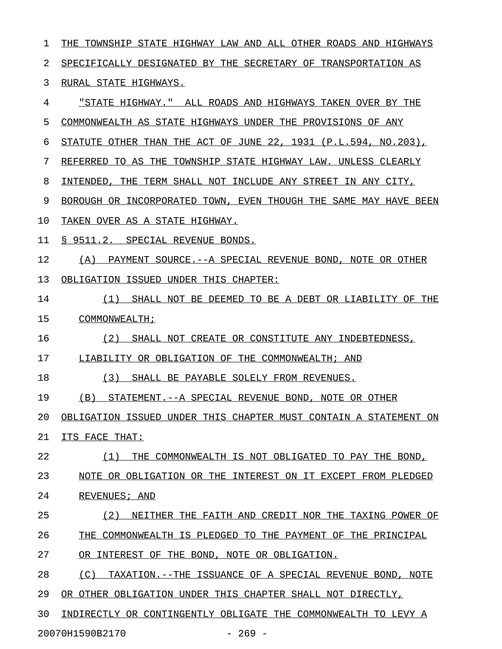1 THE TOWNSHIP STATE HIGHWAY LAW AND ALL OTHER ROADS AND HIGHWAYS 2 SPECIFICALLY DESIGNATED BY THE SECRETARY OF TRANSPORTATION AS 3 RURAL STATE HIGHWAYS. 4 "STATE HIGHWAY." ALL ROADS AND HIGHWAYS TAKEN OVER BY THE 5 COMMONWEALTH AS STATE HIGHWAYS UNDER THE PROVISIONS OF ANY 6 STATUTE OTHER THAN THE ACT OF JUNE 22, 1931 (P.L.594, NO.203), 7 REFERRED TO AS THE TOWNSHIP STATE HIGHWAY LAW. UNLESS CLEARLY 8 INTENDED, THE TERM SHALL NOT INCLUDE ANY STREET IN ANY CITY, 9 BOROUGH OR INCORPORATED TOWN, EVEN THOUGH THE SAME MAY HAVE BEEN 10 TAKEN OVER AS A STATE HIGHWAY. 11 § 9511.2. SPECIAL REVENUE BONDS. 12 (A) PAYMENT SOURCE.--A SPECIAL REVENUE BOND, NOTE OR OTHER 13 OBLIGATION ISSUED UNDER THIS CHAPTER: 14 (1) SHALL NOT BE DEEMED TO BE A DEBT OR LIABILITY OF THE 15 COMMONWEALTH; 16 (2) SHALL NOT CREATE OR CONSTITUTE ANY INDEBTEDNESS, 17 LIABILITY OR OBLIGATION OF THE COMMONWEALTH; AND 18 (3) SHALL BE PAYABLE SOLELY FROM REVENUES. 19 (B) STATEMENT.--A SPECIAL REVENUE BOND, NOTE OR OTHER 20 OBLIGATION ISSUED UNDER THIS CHAPTER MUST CONTAIN A STATEMENT ON 21 ITS FACE THAT: 22 (1) THE COMMONWEALTH IS NOT OBLIGATED TO PAY THE BOND, 23 NOTE OR OBLIGATION OR THE INTEREST ON IT EXCEPT FROM PLEDGED 24 REVENUES; AND 25 (2) NEITHER THE FAITH AND CREDIT NOR THE TAXING POWER OF 26 THE COMMONWEALTH IS PLEDGED TO THE PAYMENT OF THE PRINCIPAL 27 OR INTEREST OF THE BOND, NOTE OR OBLIGATION. 28 (C) TAXATION.--THE ISSUANCE OF A SPECIAL REVENUE BOND, NOTE 29 OR OTHER OBLIGATION UNDER THIS CHAPTER SHALL NOT DIRECTLY, 30 INDIRECTLY OR CONTINGENTLY OBLIGATE THE COMMONWEALTH TO LEVY A

20070H1590B2170 - 269 -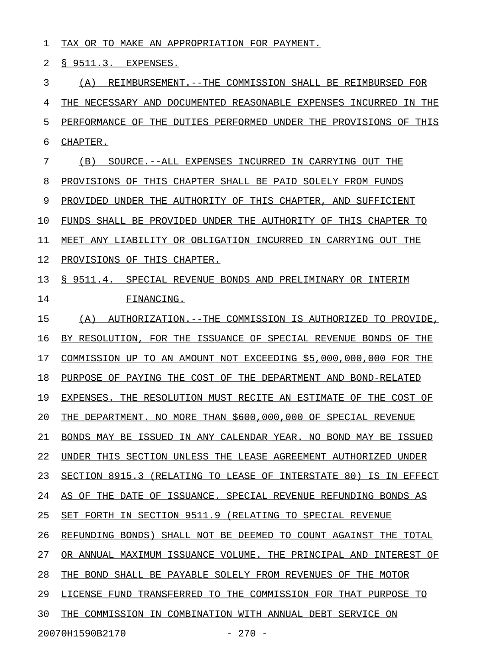1 TAX OR TO MAKE AN APPROPRIATION FOR PAYMENT.

2 § 9511.3. EXPENSES.

3 (A) REIMBURSEMENT.--THE COMMISSION SHALL BE REIMBURSED FOR 4 THE NECESSARY AND DOCUMENTED REASONABLE EXPENSES INCURRED IN THE 5 PERFORMANCE OF THE DUTIES PERFORMED UNDER THE PROVISIONS OF THIS 6 CHAPTER. 7 (B) SOURCE.--ALL EXPENSES INCURRED IN CARRYING OUT THE 8 PROVISIONS OF THIS CHAPTER SHALL BE PAID SOLELY FROM FUNDS 9 PROVIDED UNDER THE AUTHORITY OF THIS CHAPTER, AND SUFFICIENT 10 FUNDS SHALL BE PROVIDED UNDER THE AUTHORITY OF THIS CHAPTER TO 11 MEET ANY LIABILITY OR OBLIGATION INCURRED IN CARRYING OUT THE 12 PROVISIONS OF THIS CHAPTER. 13 § 9511.4. SPECIAL REVENUE BONDS AND PRELIMINARY OR INTERIM 14 FINANCING. 15 (A) AUTHORIZATION.--THE COMMISSION IS AUTHORIZED TO PROVIDE, 16 BY RESOLUTION, FOR THE ISSUANCE OF SPECIAL REVENUE BONDS OF THE 17 COMMISSION UP TO AN AMOUNT NOT EXCEEDING \$5,000,000,000 FOR THE 18 PURPOSE OF PAYING THE COST OF THE DEPARTMENT AND BOND-RELATED 19 EXPENSES. THE RESOLUTION MUST RECITE AN ESTIMATE OF THE COST OF 20 THE DEPARTMENT. NO MORE THAN \$600,000,000 OF SPECIAL REVENUE 21 BONDS MAY BE ISSUED IN ANY CALENDAR YEAR. NO BOND MAY BE ISSUED 22 UNDER THIS SECTION UNLESS THE LEASE AGREEMENT AUTHORIZED UNDER 23 SECTION 8915.3 (RELATING TO LEASE OF INTERSTATE 80) IS IN EFFECT 24 AS OF THE DATE OF ISSUANCE. SPECIAL REVENUE REFUNDING BONDS AS 25 SET FORTH IN SECTION 9511.9 (RELATING TO SPECIAL REVENUE 26 REFUNDING BONDS) SHALL NOT BE DEEMED TO COUNT AGAINST THE TOTAL 27 OR ANNUAL MAXIMUM ISSUANCE VOLUME. THE PRINCIPAL AND INTEREST OF 28 THE BOND SHALL BE PAYABLE SOLELY FROM REVENUES OF THE MOTOR 29 LICENSE FUND TRANSFERRED TO THE COMMISSION FOR THAT PURPOSE TO 30 THE COMMISSION IN COMBINATION WITH ANNUAL DEBT SERVICE ON 20070H1590B2170 - 270 -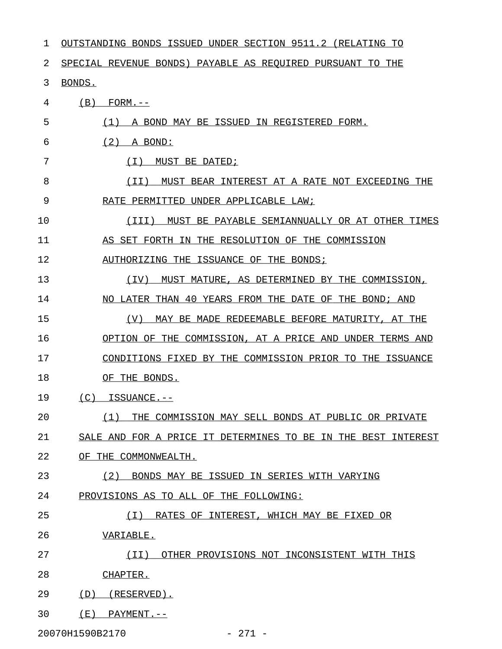| 1  | OUTSTANDING BONDS ISSUED UNDER SECTION 9511.2 (RELATING TO    |
|----|---------------------------------------------------------------|
| 2  | SPECIAL REVENUE BONDS) PAYABLE AS REOUIRED PURSUANT TO THE    |
| 3  | BONDS.                                                        |
| 4  | (B)<br>$FORM. --$                                             |
| 5  | (1)<br>A BOND MAY BE ISSUED IN REGISTERED FORM.               |
| 6  | (2)<br>A BOND:                                                |
| 7  | ( I )<br>MUST BE DATED;                                       |
| 8  | (II)<br>MUST BEAR INTEREST AT A RATE NOT EXCEEDING THE        |
| 9  | RATE PERMITTED UNDER APPLICABLE LAW;                          |
| 10 | (III)<br>MUST BE PAYABLE SEMIANNUALLY OR AT OTHER TIMES       |
| 11 | AS SET FORTH IN THE RESOLUTION OF THE COMMISSION              |
| 12 | AUTHORIZING THE ISSUANCE OF THE BONDS;                        |
| 13 | (TV)<br>MUST MATURE, AS DETERMINED BY THE COMMISSION,         |
| 14 | NO LATER THAN 40 YEARS FROM THE DATE OF THE BOND; AND         |
| 15 | (V)<br>MAY BE MADE REDEEMABLE BEFORE MATURITY, AT THE         |
| 16 | OPTION OF THE COMMISSION, AT A PRICE AND UNDER TERMS AND      |
| 17 | CONDITIONS FIXED BY THE COMMISSION PRIOR TO THE ISSUANCE      |
| 18 | OF THE BONDS.                                                 |
| 19 | (C)<br>ISSUANCE.--                                            |
| 20 | (1)<br>THE COMMISSION MAY SELL BONDS AT PUBLIC OR PRIVATE     |
| 21 | SALE AND FOR A PRICE IT DETERMINES TO BE IN THE BEST INTEREST |
| 22 | OF THE COMMONWEALTH.                                          |
| 23 | (2)<br>BONDS MAY BE ISSUED IN SERIES WITH VARYING             |
| 24 | PROVISIONS AS TO ALL OF THE FOLLOWING:                        |
| 25 | ( I )<br>RATES OF INTEREST, WHICH MAY BE FIXED OR             |
| 26 | VARIABLE.                                                     |
| 27 | OTHER PROVISIONS NOT INCONSISTENT WITH THIS<br>(II)           |
| 28 | CHAPTER.                                                      |
| 29 | (D)<br>(RESERVED).                                            |
| 30 | ( E )<br>$PAYMENT. --$                                        |
|    |                                                               |

20070H1590B2170 - 271 -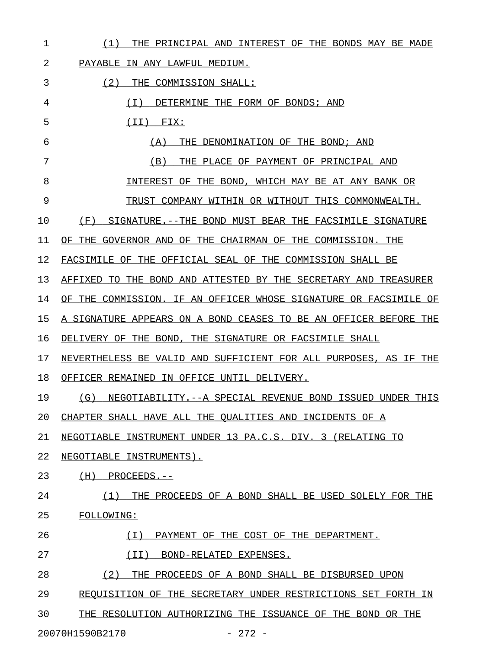| THE PRINCIPAL AND INTEREST OF THE BONDS MAY BE MADE<br>(1)       |
|------------------------------------------------------------------|
| PAYABLE IN ANY LAWFUL MEDIUM.                                    |
| (2)<br>THE COMMISSION SHALL:                                     |
| DETERMINE THE FORM OF BONDS; AND<br>( I )                        |
| $(II)$ FIX:                                                      |
| THE DENOMINATION OF THE BOND; AND<br>(A)                         |
| THE PLACE OF PAYMENT OF PRINCIPAL AND<br>(B)                     |
| INTEREST OF THE BOND, WHICH MAY BE AT ANY BANK OR                |
| TRUST COMPANY WITHIN OR WITHOUT THIS COMMONWEALTH.               |
| SIGNATURE. -- THE BOND MUST BEAR THE FACSIMILE SIGNATURE<br>(F)  |
| OF THE GOVERNOR AND OF THE CHAIRMAN OF THE COMMISSION. THE       |
| FACSIMILE OF THE OFFICIAL SEAL OF THE COMMISSION SHALL BE        |
| AFFIXED TO THE BOND AND ATTESTED BY THE SECRETARY AND TREASURER  |
| OF THE COMMISSION. IF AN OFFICER WHOSE SIGNATURE OR FACSIMILE OF |
| A SIGNATURE APPEARS ON A BOND CEASES TO BE AN OFFICER BEFORE THE |
| DELIVERY OF THE BOND, THE SIGNATURE OR FACSIMILE SHALL           |
| NEVERTHELESS BE VALID AND SUFFICIENT FOR ALL PURPOSES, AS IF THE |
| OFFICER REMAINED IN OFFICE UNTIL DELIVERY.                       |
| (G) NEGOTIABILITY.--A SPECIAL REVENUE BOND ISSUED UNDER THIS     |
| CHAPTER SHALL HAVE ALL THE QUALITIES AND INCIDENTS OF A          |
| NEGOTIABLE INSTRUMENT UNDER 13 PA.C.S. DIV. 3 (RELATING TO       |
| NEGOTIABLE INSTRUMENTS).                                         |
| PROCEEDS.--<br>(H)                                               |
| (1)<br>THE PROCEEDS OF A BOND SHALL BE USED SOLELY FOR THE       |
| FOLLOWING:                                                       |
| ( I )<br>PAYMENT OF THE COST OF THE DEPARTMENT.                  |
| (II)<br>BOND-RELATED EXPENSES.                                   |
| (2)<br>THE PROCEEDS OF A BOND SHALL BE DISBURSED UPON            |
| REQUISITION OF THE SECRETARY UNDER RESTRICTIONS SET FORTH IN     |
| THE RESOLUTION AUTHORIZING THE ISSUANCE OF THE BOND OR THE       |
|                                                                  |

20070H1590B2170 - 272 -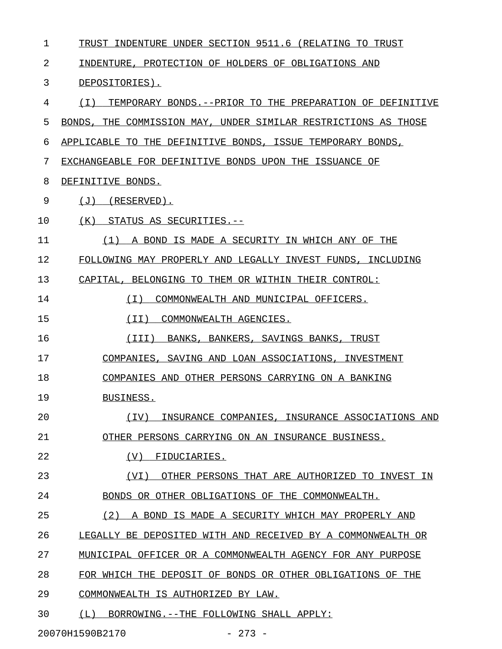| 1  | TRUST INDENTURE UNDER SECTION 9511.6 (RELATING TO TRUST        |
|----|----------------------------------------------------------------|
| 2  | INDENTURE, PROTECTION OF HOLDERS OF OBLIGATIONS AND            |
| 3  | DEPOSITORIES).                                                 |
| 4  | (I) TEMPORARY BONDS. -- PRIOR TO THE PREPARATION OF DEFINITIVE |
| 5  | BONDS, THE COMMISSION MAY, UNDER SIMILAR RESTRICTIONS AS THOSE |
| 6  | APPLICABLE TO THE DEFINITIVE BONDS, ISSUE TEMPORARY BONDS,     |
| 7  | EXCHANGEABLE FOR DEFINITIVE BONDS UPON THE ISSUANCE OF         |
| 8  | DEFINITIVE BONDS.                                              |
| 9  | $(J)$ (RESERVED).                                              |
| 10 | (K) STATUS AS SECURITIES.--                                    |
| 11 | (1) A BOND IS MADE A SECURITY IN WHICH ANY OF THE              |
| 12 | FOLLOWING MAY PROPERLY AND LEGALLY INVEST FUNDS, INCLUDING     |
| 13 | CAPITAL, BELONGING TO THEM OR WITHIN THEIR CONTROL:            |
| 14 | COMMONWEALTH AND MUNICIPAL OFFICERS.<br>( I )                  |
| 15 | (II)<br>COMMONWEALTH AGENCIES.                                 |
| 16 | (III)<br>BANKS, BANKERS, SAVINGS BANKS, TRUST                  |
| 17 | COMPANIES, SAVING AND LOAN ASSOCIATIONS, INVESTMENT            |
| 18 | COMPANIES AND OTHER PERSONS CARRYING ON A BANKING              |
| 19 | BUSINESS.                                                      |
| 20 | (TV)<br>INSURANCE COMPANIES, INSURANCE ASSOCIATIONS AND        |
| 21 | OTHER PERSONS CARRYING ON AN INSURANCE BUSINESS.               |
| 22 | FIDUCIARIES.<br>(V)                                            |
| 23 | (VI)<br>OTHER PERSONS THAT ARE AUTHORIZED TO INVEST IN         |
| 24 | BONDS OR OTHER OBLIGATIONS OF THE COMMONWEALTH.                |
| 25 | (2)<br>A BOND IS MADE A SECURITY WHICH MAY PROPERLY AND        |
| 26 | LEGALLY BE DEPOSITED WITH AND RECEIVED BY A COMMONWEALTH OR    |
| 27 | MUNICIPAL OFFICER OR A COMMONWEALTH AGENCY FOR ANY PURPOSE     |
| 28 | FOR WHICH THE DEPOSIT OF BONDS OR OTHER OBLIGATIONS OF THE     |
| 29 | COMMONWEALTH IS AUTHORIZED BY LAW.                             |
| 30 | (L) BORROWING.--THE FOLLOWING SHALL APPLY:                     |
|    |                                                                |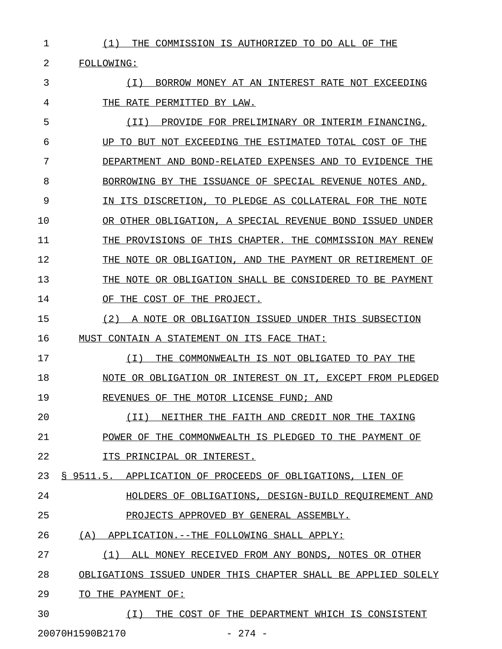2 FOLLOWING:

3 (I) BORROW MONEY AT AN INTEREST RATE NOT EXCEEDING \_\_\_\_\_\_\_\_\_\_\_\_\_\_\_\_\_\_\_\_\_\_\_\_\_\_\_\_\_\_\_\_\_\_\_\_\_\_\_\_\_\_\_\_\_\_\_\_\_\_\_ 4 THE RATE PERMITTED BY LAW.

5 (II) PROVIDE FOR PRELIMINARY OR INTERIM FINANCING, 6 UP TO BUT NOT EXCEEDING THE ESTIMATED TOTAL COST OF THE 7 DEPARTMENT AND BOND-RELATED EXPENSES AND TO EVIDENCE THE 8 BORROWING BY THE ISSUANCE OF SPECIAL REVENUE NOTES AND, 9 IN ITS DISCRETION, TO PLEDGE AS COLLATERAL FOR THE NOTE 10 OR OTHER OBLIGATION, A SPECIAL REVENUE BOND ISSUED UNDER 11 THE PROVISIONS OF THIS CHAPTER. THE COMMISSION MAY RENEW 12 THE NOTE OR OBLIGATION, AND THE PAYMENT OR RETIREMENT OF 13 THE NOTE OR OBLIGATION SHALL BE CONSIDERED TO BE PAYMENT 14 OF THE COST OF THE PROJECT.

15 (2) A NOTE OR OBLIGATION ISSUED UNDER THIS SUBSECTION 16 MUST CONTAIN A STATEMENT ON ITS FACE THAT:

17 (I) THE COMMONWEALTH IS NOT OBLIGATED TO PAY THE \_\_\_\_\_\_\_\_\_\_\_\_\_\_\_\_\_\_\_\_\_\_\_\_\_\_\_\_\_\_\_\_\_\_\_\_\_\_\_\_\_\_\_\_\_\_\_\_\_ 18 NOTE OR OBLIGATION OR INTEREST ON IT, EXCEPT FROM PLEDGED 19 REVENUES OF THE MOTOR LICENSE FUND; AND

20 (II) NEITHER THE FAITH AND CREDIT NOR THE TAXING \_\_\_\_\_\_\_\_\_\_\_\_\_\_\_\_\_\_\_\_\_\_\_\_\_\_\_\_\_\_\_\_\_\_\_\_\_\_\_\_\_\_\_\_\_\_\_\_\_ 21 POWER OF THE COMMONWEALTH IS PLEDGED TO THE PAYMENT OF

22 **ITS PRINCIPAL OR INTEREST.** 

23 § 9511.5. APPLICATION OF PROCEEDS OF OBLIGATIONS, LIEN OF

24 **HOLDERS OF OBLIGATIONS, DESIGN-BUILD REQUIREMENT AND** 

25 PROJECTS APPROVED BY GENERAL ASSEMBLY.

26 (A) APPLICATION.--THE FOLLOWING SHALL APPLY:

27 (1) ALL MONEY RECEIVED FROM ANY BONDS, NOTES OR OTHER \_\_\_\_\_\_\_\_\_\_\_\_\_\_\_\_\_\_\_\_\_\_\_\_\_\_\_\_\_\_\_\_\_\_\_\_\_\_\_\_\_\_\_\_\_\_\_\_\_\_\_\_\_\_

28 OBLIGATIONS ISSUED UNDER THIS CHAPTER SHALL BE APPLIED SOLELY

29 TO THE PAYMENT OF:

30  $(I)$  THE COST OF THE DEPARTMENT WHICH IS CONSISTENT 20070H1590B2170 - 274 -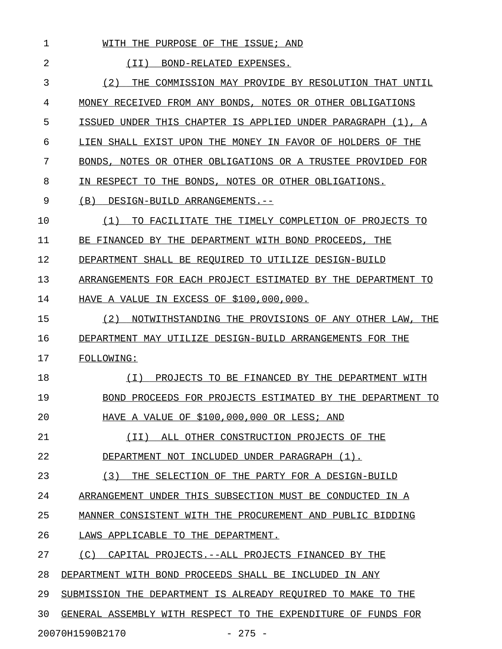| 1  | PURPOSE<br>THE<br>ISSUE;<br>WTTH<br>THE.<br>OF<br>AND                       |
|----|-----------------------------------------------------------------------------|
| 2  | (TT)<br>BOND-RELATED<br>EXPENSES.                                           |
| 3  | (2)<br>COMMISSION MAY PROVIDE BY RESOLUTION THAT UNTIL<br>THF.              |
| 4  | FROM ANY BONDS,<br>NOTES OR OTHER OBLIGATIONS<br>MONEY RECEIVED             |
| 5  | UNDER THIS CHAPTER IS APPLIED<br>ISSUED<br>UNDER PARAGRAPH<br>$(1)$ .<br>Α  |
| 6  | LIEN SHALL EXIST UPON THE<br>MONEY IN FAVOR OF HOLDERS<br>OF.<br>THE        |
| 7  | NOTES OR OTHER OBLIGATIONS OR A TRUSTEE PROVIDED<br>BONDS.<br>FOR           |
| 8  | IN RESPECT TO<br>BONDS.<br>NOTES OR OTHER OBLIGATIONS.<br>THE               |
| 9  | (B)<br>DESIGN-BUILD ARRANGEMENTS.--                                         |
| 10 | (1)<br>TIMELY COMPLETION OF PROJECTS<br>TO<br>FACILITATE<br>THE<br>TО       |
| 11 | BE<br>FINANCED<br>BY<br>THE.<br>DEPARTMENT<br>WITH BOND<br>PROCEEDS.<br>THE |
| 12 | DEPARTMENT<br>SHALL BE REOUIRED<br>TO .<br>UTILIZE<br>DESTGN-BUTLD          |
| 13 | ARRANGEMENTS FOR EACH PROJECT ESTIMATED<br>BY THE<br>DEPARTMENT<br>TО       |
| 14 | IN EXCESS OF \$100,000,000.<br>HAVE A VALUE                                 |
| 15 | (2)<br>NOTWITHSTANDING THE PROVISIONS OF ANY OTHER LAW<br>THE               |
| 16 | DEPARTMENT MAY UTILIZE DESIGN-BUILD ARRANGEMENTS FOR THE                    |
| 17 | FOLLOWING:                                                                  |
| 18 | PROJECTS TO BE FINANCED BY THE<br>(T)<br>DEPARTMENT<br>WTTH                 |
| 19 | BOND PROCEEDS FOR PROJECTS ESTIMATED<br>BY<br>THE<br>DEPARTMENT<br>TО       |
| 20 | HAVE A VALUE OF \$100,000,000 OR LESS; AND                                  |
| 21 | (II) ALL OTHER CONSTRUCTION PROJECTS OF THE                                 |
| 22 | DEPARTMENT NOT INCLUDED UNDER PARAGRAPH (1).                                |
| 23 | (3) THE SELECTION OF THE PARTY FOR A DESIGN-BUILD                           |
| 24 | ARRANGEMENT UNDER THIS SUBSECTION MUST BE CONDUCTED IN A                    |
| 25 | MANNER CONSISTENT WITH THE PROCUREMENT AND PUBLIC BIDDING                   |
| 26 | LAWS APPLICABLE TO THE DEPARTMENT.                                          |
| 27 | (C) CAPITAL PROJECTS. -- ALL PROJECTS FINANCED BY THE                       |
| 28 | DEPARTMENT WITH BOND PROCEEDS SHALL BE INCLUDED IN ANY                      |
| 29 | SUBMISSION THE DEPARTMENT IS ALREADY REQUIRED TO MAKE TO THE                |
| 30 | GENERAL ASSEMBLY WITH RESPECT TO THE EXPENDITURE OF FUNDS FOR               |

20070H1590B2170 - 275 -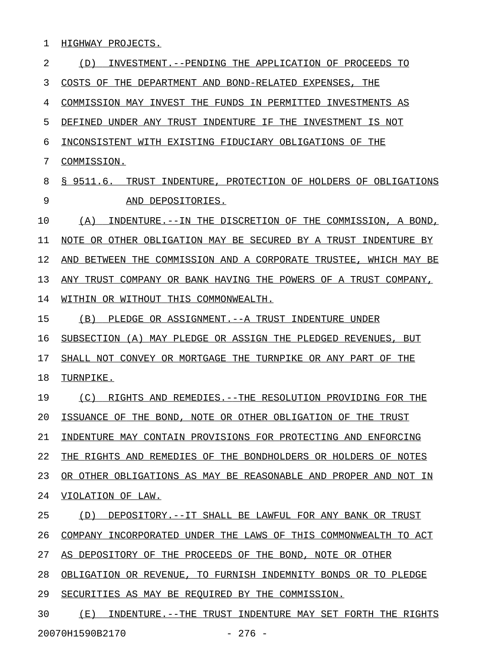1 HIGHWAY PROJECTS.

2 (D) INVESTMENT. --PENDING THE APPLICATION OF PROCEEDS TO 3 COSTS OF THE DEPARTMENT AND BOND-RELATED EXPENSES, THE 4 COMMISSION MAY INVEST THE FUNDS IN PERMITTED INVESTMENTS AS 5 DEFINED UNDER ANY TRUST INDENTURE IF THE INVESTMENT IS NOT 6 INCONSISTENT WITH EXISTING FIDUCIARY OBLIGATIONS OF THE 7 COMMISSION. 8 § 9511.6. TRUST INDENTURE, PROTECTION OF HOLDERS OF OBLIGATIONS 9 AND DEPOSITORIES. 10 (A) INDENTURE.--IN THE DISCRETION OF THE COMMISSION, A BOND, 11 NOTE OR OTHER OBLIGATION MAY BE SECURED BY A TRUST INDENTURE BY 12 AND BETWEEN THE COMMISSION AND A CORPORATE TRUSTEE, WHICH MAY BE 13 ANY TRUST COMPANY OR BANK HAVING THE POWERS OF A TRUST COMPANY, 14 WITHIN OR WITHOUT THIS COMMONWEALTH. 15 (B) PLEDGE OR ASSIGNMENT. -- A TRUST INDENTURE UNDER 16 SUBSECTION (A) MAY PLEDGE OR ASSIGN THE PLEDGED REVENUES, BUT 17 SHALL NOT CONVEY OR MORTGAGE THE TURNPIKE OR ANY PART OF THE 18 TURNPIKE. 19 (C) RIGHTS AND REMEDIES.--THE RESOLUTION PROVIDING FOR THE 20 ISSUANCE OF THE BOND, NOTE OR OTHER OBLIGATION OF THE TRUST 21 INDENTURE MAY CONTAIN PROVISIONS FOR PROTECTING AND ENFORCING 22 THE RIGHTS AND REMEDIES OF THE BONDHOLDERS OR HOLDERS OF NOTES 23 OR OTHER OBLIGATIONS AS MAY BE REASONABLE AND PROPER AND NOT IN 24 VIOLATION OF LAW. 25 (D) DEPOSITORY.--IT SHALL BE LAWFUL FOR ANY BANK OR TRUST 26 COMPANY INCORPORATED UNDER THE LAWS OF THIS COMMONWEALTH TO ACT 27 AS DEPOSITORY OF THE PROCEEDS OF THE BOND, NOTE OR OTHER 28 OBLIGATION OR REVENUE, TO FURNISH INDEMNITY BONDS OR TO PLEDGE 29 SECURITIES AS MAY BE REQUIRED BY THE COMMISSION. 30 (E) INDENTURE.--THE TRUST INDENTURE MAY SET FORTH THE RIGHTS

20070H1590B2170 - 276 -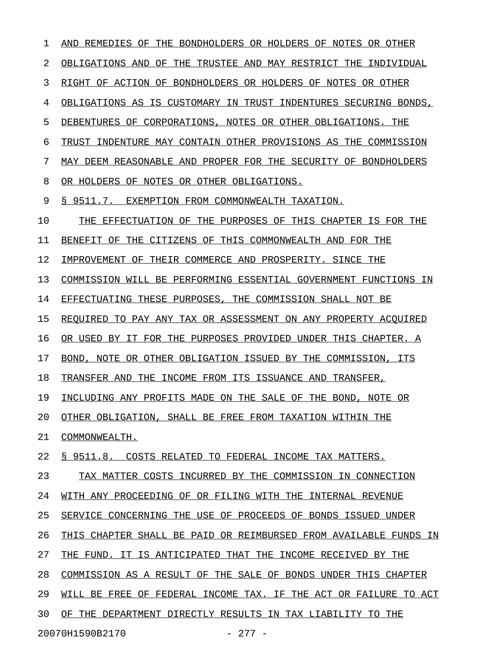1 AND REMEDIES OF THE BONDHOLDERS OR HOLDERS OF NOTES OR OTHER 2 OBLIGATIONS AND OF THE TRUSTEE AND MAY RESTRICT THE INDIVIDUAL 3 RIGHT OF ACTION OF BONDHOLDERS OR HOLDERS OF NOTES OR OTHER 4 OBLIGATIONS AS IS CUSTOMARY IN TRUST INDENTURES SECURING BONDS, 5 DEBENTURES OF CORPORATIONS, NOTES OR OTHER OBLIGATIONS. THE 6 TRUST INDENTURE MAY CONTAIN OTHER PROVISIONS AS THE COMMISSION 7 MAY DEEM REASONABLE AND PROPER FOR THE SECURITY OF BONDHOLDERS 8 OR HOLDERS OF NOTES OR OTHER OBLIGATIONS. 9 § 9511.7. EXEMPTION FROM COMMONWEALTH TAXATION. 10 THE EFFECTUATION OF THE PURPOSES OF THIS CHAPTER IS FOR THE 11 BENEFIT OF THE CITIZENS OF THIS COMMONWEALTH AND FOR THE 12 IMPROVEMENT OF THEIR COMMERCE AND PROSPERITY. SINCE THE 13 COMMISSION WILL BE PERFORMING ESSENTIAL GOVERNMENT FUNCTIONS IN 14 EFFECTUATING THESE PURPOSES, THE COMMISSION SHALL NOT BE 15 REQUIRED TO PAY ANY TAX OR ASSESSMENT ON ANY PROPERTY ACQUIRED 16 OR USED BY IT FOR THE PURPOSES PROVIDED UNDER THIS CHAPTER. A 17 BOND, NOTE OR OTHER OBLIGATION ISSUED BY THE COMMISSION, ITS 18 TRANSFER AND THE INCOME FROM ITS ISSUANCE AND TRANSFER, 19 INCLUDING ANY PROFITS MADE ON THE SALE OF THE BOND, NOTE OR 20 OTHER OBLIGATION, SHALL BE FREE FROM TAXATION WITHIN THE 21 COMMONWEALTH. 22 § 9511.8. COSTS RELATED TO FEDERAL INCOME TAX MATTERS. 23 TAX MATTER COSTS INCURRED BY THE COMMISSION IN CONNECTION 24 WITH ANY PROCEEDING OF OR FILING WITH THE INTERNAL REVENUE 25 SERVICE CONCERNING THE USE OF PROCEEDS OF BONDS ISSUED UNDER 26 THIS CHAPTER SHALL BE PAID OR REIMBURSED FROM AVAILABLE FUNDS IN 27 THE FUND. IT IS ANTICIPATED THAT THE INCOME RECEIVED BY THE 28 COMMISSION AS A RESULT OF THE SALE OF BONDS UNDER THIS CHAPTER 29 WILL BE FREE OF FEDERAL INCOME TAX. IF THE ACT OR FAILURE TO ACT 30 OF THE DEPARTMENT DIRECTLY RESULTS IN TAX LIABILITY TO THE

20070H1590B2170 - 277 -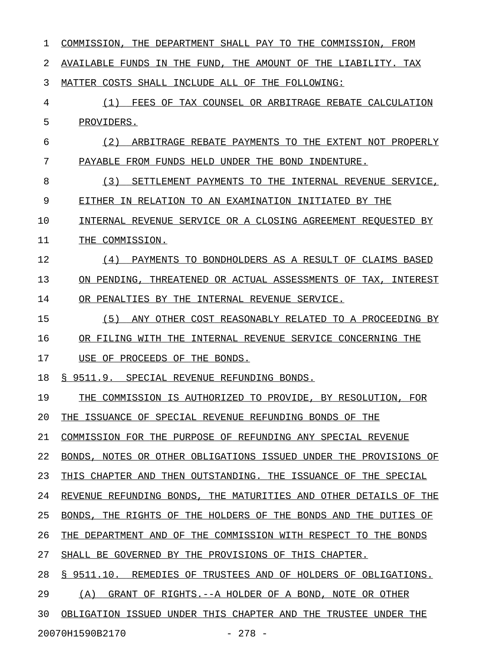| 1  | DEPARTMENT SHALL PAY TO THE COMMISSION,<br>COMMISSION,<br>THE<br>FROM |
|----|-----------------------------------------------------------------------|
| 2  | THE AMOUNT OF THE LIABILITY. TAX<br>AVAILABLE FUNDS IN THE FUND.      |
| 3  | MATTER COSTS SHALL INCLUDE ALL OF THE FOLLOWING:                      |
| 4  | (1)<br>FEES OF TAX COUNSEL OR ARBITRAGE REBATE CALCULATION            |
| 5  | PROVIDERS.                                                            |
| 6  | (2)<br>ARBITRAGE REBATE PAYMENTS TO THE EXTENT NOT PROPERLY           |
| 7  | PAYABLE FROM FUNDS HELD UNDER THE BOND INDENTURE.                     |
| 8  | (3)<br>SETTLEMENT PAYMENTS TO THE INTERNAL REVENUE SERVICE,           |
| 9  | EITHER IN RELATION TO AN EXAMINATION INITIATED BY THE                 |
| 10 | INTERNAL REVENUE SERVICE OR A CLOSING AGREEMENT REOUESTED BY          |
| 11 | THE COMMISSION.                                                       |
| 12 | (4)<br>PAYMENTS TO BONDHOLDERS AS A RESULT OF CLAIMS BASED            |
| 13 | THREATENED OR ACTUAL ASSESSMENTS OF TAX,<br>ON PENDING.<br>INTEREST   |
| 14 | OR PENALTIES BY THE<br>INTERNAL REVENUE SERVICE.                      |
| 15 | (5)<br>ANY OTHER COST REASONABLY RELATED TO A PROCEEDING BY           |
| 16 | OR FILING WITH THE<br>INTERNAL REVENUE SERVICE CONCERNING THE         |
| 17 | USE OF PROCEEDS OF<br>THE BONDS.                                      |
| 18 | \$9511.9.<br>SPECIAL REVENUE REFUNDING BONDS.                         |
| 19 | COMMISSION IS AUTHORIZED TO PROVIDE, BY RESOLUTION,<br>THE<br>FOR     |
| 20 | THE ISSUANCE OF SPECIAL REVENUE REFUNDING BONDS OF THE                |
| 21 | COMMISSION FOR THE PURPOSE OF REFUNDING ANY SPECIAL REVENUE           |
| 22 | BONDS, NOTES OR OTHER OBLIGATIONS ISSUED UNDER THE PROVISIONS OF      |
| 23 | THIS CHAPTER AND THEN OUTSTANDING. THE ISSUANCE OF THE SPECIAL        |
| 24 | REVENUE REFUNDING BONDS, THE MATURITIES AND OTHER DETAILS OF THE      |
| 25 | BONDS, THE RIGHTS OF THE HOLDERS OF THE BONDS AND THE DUTIES OF       |
| 26 | THE DEPARTMENT AND OF THE COMMISSION WITH RESPECT TO THE BONDS        |
| 27 | SHALL BE GOVERNED BY THE PROVISIONS OF THIS CHAPTER.                  |
| 28 | § 9511.10. REMEDIES OF TRUSTEES AND OF HOLDERS OF OBLIGATIONS.        |
| 29 | (A) GRANT OF RIGHTS. -- A HOLDER OF A BOND, NOTE OR OTHER             |
| 30 | OBLIGATION ISSUED UNDER THIS CHAPTER AND THE TRUSTEE UNDER THE        |
|    | 20070H1590B2170<br>$-278$ $-$                                         |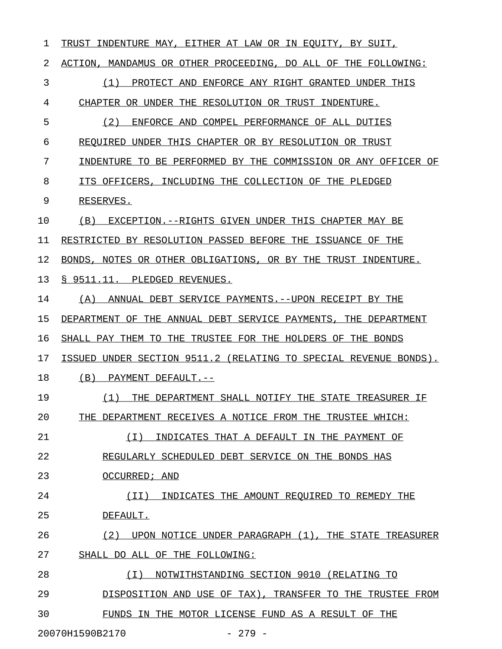| 1                           | INDENTURE MAY, EITHER AT LAW OR IN EQUITY, BY SUIT,<br>TRUST     |  |
|-----------------------------|------------------------------------------------------------------|--|
| 2                           | ACTION, MANDAMUS OR OTHER PROCEEDING, DO ALL OF THE FOLLOWING:   |  |
| 3                           | (1)<br>PROTECT AND ENFORCE ANY RIGHT GRANTED UNDER THIS          |  |
| 4                           | CHAPTER OR UNDER THE RESOLUTION OR TRUST INDENTURE.              |  |
| 5                           | (2)<br>ENFORCE AND COMPEL PERFORMANCE OF ALL DUTIES              |  |
| 6                           | REQUIRED UNDER THIS CHAPTER OR BY RESOLUTION OR TRUST            |  |
| 7                           | INDENTURE TO BE PERFORMED BY THE COMMISSION OR ANY OFFICER OF    |  |
| 8                           | ITS OFFICERS, INCLUDING THE COLLECTION OF THE PLEDGED            |  |
| 9                           | RESERVES.                                                        |  |
| 10                          | (B)<br>EXCEPTION.--RIGHTS GIVEN UNDER THIS CHAPTER MAY BE        |  |
| 11                          | RESTRICTED BY RESOLUTION PASSED BEFORE THE ISSUANCE OF THE       |  |
| 12                          | NOTES OR OTHER OBLIGATIONS, OR BY THE TRUST INDENTURE.<br>BONDS, |  |
| 13                          | \$9511.11.<br>PLEDGED REVENUES.                                  |  |
| 14                          | (A)<br>ANNUAL DEBT SERVICE PAYMENTS.--UPON RECEIPT BY THE        |  |
| 15                          | DEPARTMENT OF THE ANNUAL DEBT SERVICE PAYMENTS, THE DEPARTMENT   |  |
| 16                          | SHALL PAY THEM TO THE TRUSTEE FOR THE HOLDERS OF THE BONDS       |  |
| 17                          | ISSUED UNDER SECTION 9511.2 (RELATING TO SPECIAL REVENUE BONDS). |  |
| 18                          | (B)<br>PAYMENT DEFAULT.--                                        |  |
| 19                          | (1)<br>THE DEPARTMENT SHALL NOTIFY THE STATE TREASURER IF        |  |
| 20                          | THE DEPARTMENT RECEIVES A NOTICE FROM THE TRUSTEE WHICH:         |  |
| 21                          | ( I )<br>INDICATES THAT A DEFAULT IN THE PAYMENT OF              |  |
| 22                          | REGULARLY SCHEDULED DEBT SERVICE ON THE BONDS HAS                |  |
| 23                          | OCCURRED; AND                                                    |  |
| 24                          | (II)<br>INDICATES THE AMOUNT REOUIRED TO REMEDY THE              |  |
| 25                          | DEFAULT.                                                         |  |
| 26                          | (2)<br>UPON NOTICE UNDER PARAGRAPH (1), THE STATE TREASURER      |  |
| 27                          | SHALL DO ALL OF THE FOLLOWING:                                   |  |
| 28                          | NOTWITHSTANDING SECTION 9010 (RELATING TO<br>( I )               |  |
| 29                          | DISPOSITION AND USE OF TAX), TRANSFER TO THE TRUSTEE FROM        |  |
| 30                          | FUNDS IN THE MOTOR LICENSE FUND AS A RESULT OF THE               |  |
| 20070H1590B2170<br>$-279 -$ |                                                                  |  |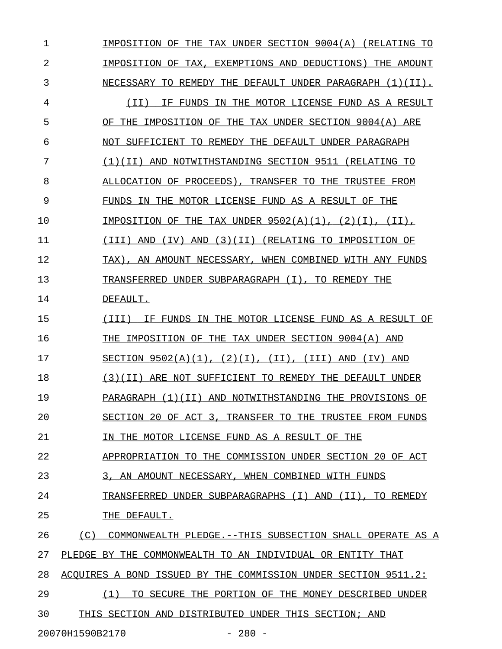1 IMPOSITION OF THE TAX UNDER SECTION 9004(A) (RELATING TO 2 **IMPOSITION OF TAX, EXEMPTIONS AND DEDUCTIONS) THE AMOUNT** 3 NECESSARY TO REMEDY THE DEFAULT UNDER PARAGRAPH  $(1)(1)$ . 4  $(II)$  IF FUNDS IN THE MOTOR LICENSE FUND AS A RESULT 5 OF THE IMPOSITION OF THE TAX UNDER SECTION 9004(A) ARE 6 NOT SUFFICIENT TO REMEDY THE DEFAULT UNDER PARAGRAPH 7 (1)(II) AND NOTWITHSTANDING SECTION 9511 (RELATING TO \_\_\_\_\_\_\_\_\_\_\_\_\_\_\_\_\_\_\_\_\_\_\_\_\_\_\_\_\_\_\_\_\_\_\_\_\_\_\_\_\_\_\_\_\_\_\_\_\_\_\_\_\_ 8 ALLOCATION OF PROCEEDS), TRANSFER TO THE TRUSTEE FROM 9 FUNDS IN THE MOTOR LICENSE FUND AS A RESULT OF THE 10 **IMPOSITION OF THE TAX UNDER 9502(A)(1), (2)(I), (II),** 11 (III) AND (IV) AND (3)(II) (RELATING TO IMPOSITION OF 12 TAX), AN AMOUNT NECESSARY, WHEN COMBINED WITH ANY FUNDS 13 TRANSFERRED UNDER SUBPARAGRAPH (I), TO REMEDY THE 14 DEFAULT. 15  $(III)$  IF FUNDS IN THE MOTOR LICENSE FUND AS A RESULT OF 16 THE IMPOSITION OF THE TAX UNDER SECTION 9004(A) AND 17 SECTION  $9502(A)(1)$ ,  $(2)(I)$ ,  $(II)$ ,  $(III)$  AND  $(IV)$  AND 18 (3)(II) ARE NOT SUFFICIENT TO REMEDY THE DEFAULT UNDER 19 PARAGRAPH (1)(II) AND NOTWITHSTANDING THE PROVISIONS OF 20 SECTION 20 OF ACT 3, TRANSFER TO THE TRUSTEE FROM FUNDS 21 IN THE MOTOR LICENSE FUND AS A RESULT OF THE 22 APPROPRIATION TO THE COMMISSION UNDER SECTION 20 OF ACT 23 3, AN AMOUNT NECESSARY, WHEN COMBINED WITH FUNDS 24 TRANSFERRED UNDER SUBPARAGRAPHS (I) AND (II), TO REMEDY 25 THE DEFAULT. 26 (C) COMMONWEALTH PLEDGE.--THIS SUBSECTION SHALL OPERATE AS A 27 PLEDGE BY THE COMMONWEALTH TO AN INDIVIDUAL OR ENTITY THAT 28 ACOUIRES A BOND ISSUED BY THE COMMISSION UNDER SECTION 9511.2: 29 (1) TO SECURE THE PORTION OF THE MONEY DESCRIBED UNDER 30 THIS SECTION AND DISTRIBUTED UNDER THIS SECTION; AND

20070H1590B2170 - 280 -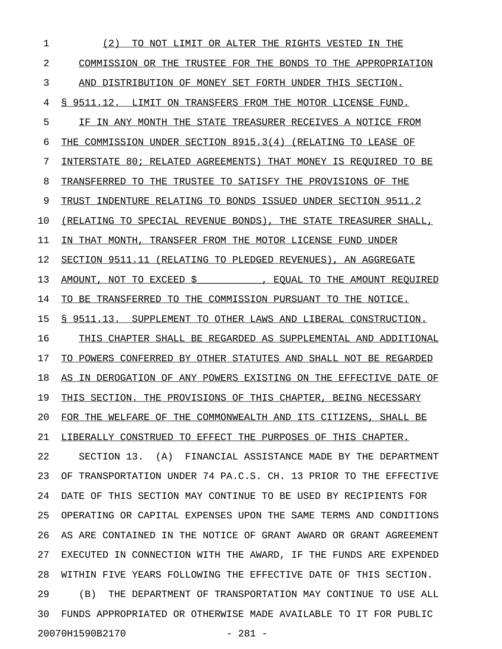1 (2) TO NOT LIMIT OR ALTER THE RIGHTS VESTED IN THE \_\_\_\_\_\_\_\_\_\_\_\_\_\_\_\_\_\_\_\_\_\_\_\_\_\_\_\_\_\_\_\_\_\_\_\_\_\_\_\_\_\_\_\_\_\_\_\_\_\_\_ 2 COMMISSION OR THE TRUSTEE FOR THE BONDS TO THE APPROPRIATION 3 AND DISTRIBUTION OF MONEY SET FORTH UNDER THIS SECTION. 4 § 9511.12. LIMIT ON TRANSFERS FROM THE MOTOR LICENSE FUND. 5 IF IN ANY MONTH THE STATE TREASURER RECEIVES A NOTICE FROM 6 THE COMMISSION UNDER SECTION  $8915.3(4)$  (RELATING TO LEASE OF 7 INTERSTATE 80; RELATED AGREEMENTS) THAT MONEY IS REQUIRED TO BE 8 TRANSFERRED TO THE TRUSTEE TO SATISFY THE PROVISIONS OF THE 9 TRUST INDENTURE RELATING TO BONDS ISSUED UNDER SECTION 9511.2 10 (RELATING TO SPECIAL REVENUE BONDS), THE STATE TREASURER SHALL, 11 IN THAT MONTH, TRANSFER FROM THE MOTOR LICENSE FUND UNDER 12 SECTION 9511.11 (RELATING TO PLEDGED REVENUES), AN AGGREGATE 13 AMOUNT, NOT TO EXCEED \$\_\_\_\_\_\_\_\_\_\_\_, EQUAL TO THE AMOUNT REQUIRED \_\_\_\_\_\_\_\_\_\_\_\_\_\_\_\_\_\_\_\_\_\_\_\_\_\_\_\_\_\_\_\_\_\_\_\_\_\_\_\_\_\_\_\_\_\_\_\_\_\_\_\_\_\_\_\_\_\_\_\_\_\_\_\_ 14 TO BE TRANSFERRED TO THE COMMISSION PURSUANT TO THE NOTICE. 15 § 9511.13. SUPPLEMENT TO OTHER LAWS AND LIBERAL CONSTRUCTION. 16 THIS CHAPTER SHALL BE REGARDED AS SUPPLEMENTAL AND ADDITIONAL 17 TO POWERS CONFERRED BY OTHER STATUTES AND SHALL NOT BE REGARDED 18 AS IN DEROGATION OF ANY POWERS EXISTING ON THE EFFECTIVE DATE OF 19 THIS SECTION. THE PROVISIONS OF THIS CHAPTER, BEING NECESSARY 20 FOR THE WELFARE OF THE COMMONWEALTH AND ITS CITIZENS, SHALL BE 21 LIBERALLY CONSTRUED TO EFFECT THE PURPOSES OF THIS CHAPTER. 22 SECTION 13. (A) FINANCIAL ASSISTANCE MADE BY THE DEPARTMENT 23 OF TRANSPORTATION UNDER 74 PA.C.S. CH. 13 PRIOR TO THE EFFECTIVE 24 DATE OF THIS SECTION MAY CONTINUE TO BE USED BY RECIPIENTS FOR 25 OPERATING OR CAPITAL EXPENSES UPON THE SAME TERMS AND CONDITIONS 26 AS ARE CONTAINED IN THE NOTICE OF GRANT AWARD OR GRANT AGREEMENT 27 EXECUTED IN CONNECTION WITH THE AWARD, IF THE FUNDS ARE EXPENDED 28 WITHIN FIVE YEARS FOLLOWING THE EFFECTIVE DATE OF THIS SECTION. 29 (B) THE DEPARTMENT OF TRANSPORTATION MAY CONTINUE TO USE ALL 30 FUNDS APPROPRIATED OR OTHERWISE MADE AVAILABLE TO IT FOR PUBLIC 20070H1590B2170 - 281 -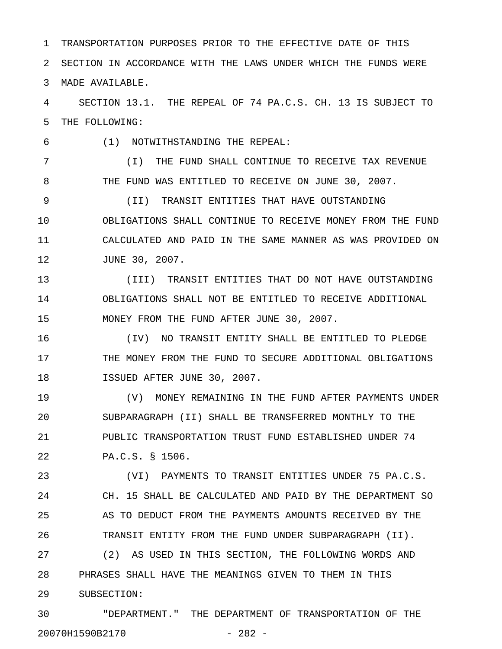1 TRANSPORTATION PURPOSES PRIOR TO THE EFFECTIVE DATE OF THIS 2 SECTION IN ACCORDANCE WITH THE LAWS UNDER WHICH THE FUNDS WERE 3 MADE AVAILABLE.

4 SECTION 13.1. THE REPEAL OF 74 PA.C.S. CH. 13 IS SUBJECT TO 5 THE FOLLOWING:

6 (1) NOTWITHSTANDING THE REPEAL:

7 (I) THE FUND SHALL CONTINUE TO RECEIVE TAX REVENUE 8 THE FUND WAS ENTITLED TO RECEIVE ON JUNE 30, 2007.

9 (II) TRANSIT ENTITIES THAT HAVE OUTSTANDING 10 OBLIGATIONS SHALL CONTINUE TO RECEIVE MONEY FROM THE FUND 11 CALCULATED AND PAID IN THE SAME MANNER AS WAS PROVIDED ON 12 JUNE 30, 2007.

13 (III) TRANSIT ENTITIES THAT DO NOT HAVE OUTSTANDING 14 OBLIGATIONS SHALL NOT BE ENTITLED TO RECEIVE ADDITIONAL 15 MONEY FROM THE FUND AFTER JUNE 30, 2007.

16 (IV) NO TRANSIT ENTITY SHALL BE ENTITLED TO PLEDGE 17 THE MONEY FROM THE FUND TO SECURE ADDITIONAL OBLIGATIONS 18 ISSUED AFTER JUNE 30, 2007.

19 (V) MONEY REMAINING IN THE FUND AFTER PAYMENTS UNDER 20 SUBPARAGRAPH (II) SHALL BE TRANSFERRED MONTHLY TO THE 21 PUBLIC TRANSPORTATION TRUST FUND ESTABLISHED UNDER 74 22 PA.C.S. § 1506.

23 (VI) PAYMENTS TO TRANSIT ENTITIES UNDER 75 PA.C.S. 24 CH. 15 SHALL BE CALCULATED AND PAID BY THE DEPARTMENT SO 25 AS TO DEDUCT FROM THE PAYMENTS AMOUNTS RECEIVED BY THE 26 TRANSIT ENTITY FROM THE FUND UNDER SUBPARAGRAPH (II).

27 (2) AS USED IN THIS SECTION, THE FOLLOWING WORDS AND 28 PHRASES SHALL HAVE THE MEANINGS GIVEN TO THEM IN THIS 29 SUBSECTION:

30 "DEPARTMENT." THE DEPARTMENT OF TRANSPORTATION OF THE 20070H1590B2170 - 282 -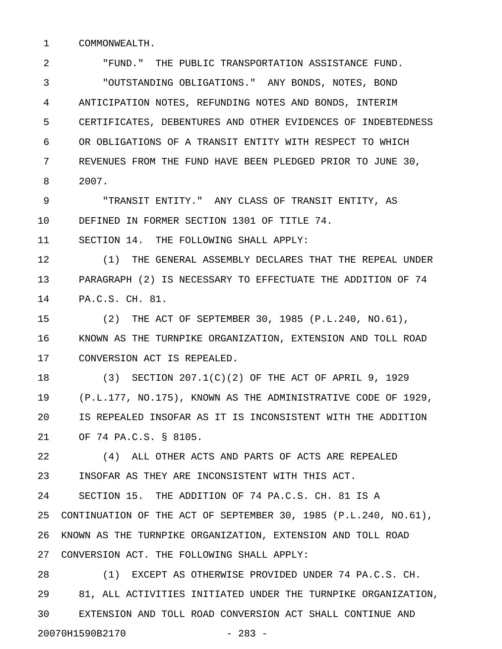1 COMMONWEALTH.

2 "FUND." THE PUBLIC TRANSPORTATION ASSISTANCE FUND. 3 "OUTSTANDING OBLIGATIONS." ANY BONDS, NOTES, BOND 4 ANTICIPATION NOTES, REFUNDING NOTES AND BONDS, INTERIM 5 CERTIFICATES, DEBENTURES AND OTHER EVIDENCES OF INDEBTEDNESS 6 OR OBLIGATIONS OF A TRANSIT ENTITY WITH RESPECT TO WHICH 7 REVENUES FROM THE FUND HAVE BEEN PLEDGED PRIOR TO JUNE 30, 8 2007.

9 "TRANSIT ENTITY." ANY CLASS OF TRANSIT ENTITY, AS 10 DEFINED IN FORMER SECTION 1301 OF TITLE 74.

11 SECTION 14. THE FOLLOWING SHALL APPLY:

12 (1) THE GENERAL ASSEMBLY DECLARES THAT THE REPEAL UNDER 13 PARAGRAPH (2) IS NECESSARY TO EFFECTUATE THE ADDITION OF 74 14 PA.C.S. CH. 81.

15 (2) THE ACT OF SEPTEMBER 30, 1985 (P.L.240, NO.61), 16 KNOWN AS THE TURNPIKE ORGANIZATION, EXTENSION AND TOLL ROAD 17 CONVERSION ACT IS REPEALED.

18 (3) SECTION 207.1(C)(2) OF THE ACT OF APRIL 9, 1929 19 (P.L.177, NO.175), KNOWN AS THE ADMINISTRATIVE CODE OF 1929, 20 IS REPEALED INSOFAR AS IT IS INCONSISTENT WITH THE ADDITION 21 OF 74 PA.C.S. § 8105.

22 (4) ALL OTHER ACTS AND PARTS OF ACTS ARE REPEALED 23 INSOFAR AS THEY ARE INCONSISTENT WITH THIS ACT.

24 SECTION 15. THE ADDITION OF 74 PA.C.S. CH. 81 IS A 25 CONTINUATION OF THE ACT OF SEPTEMBER 30, 1985 (P.L.240, NO.61), 26 KNOWN AS THE TURNPIKE ORGANIZATION, EXTENSION AND TOLL ROAD 27 CONVERSION ACT. THE FOLLOWING SHALL APPLY:

28 (1) EXCEPT AS OTHERWISE PROVIDED UNDER 74 PA.C.S. CH. 29 81, ALL ACTIVITIES INITIATED UNDER THE TURNPIKE ORGANIZATION, 30 EXTENSION AND TOLL ROAD CONVERSION ACT SHALL CONTINUE AND 20070H1590B2170 - 283 -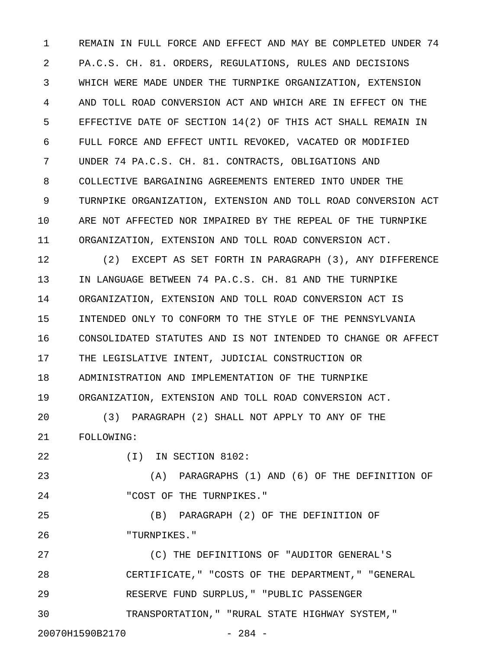1 REMAIN IN FULL FORCE AND EFFECT AND MAY BE COMPLETED UNDER 74 2 PA.C.S. CH. 81. ORDERS, REGULATIONS, RULES AND DECISIONS 3 WHICH WERE MADE UNDER THE TURNPIKE ORGANIZATION, EXTENSION 4 AND TOLL ROAD CONVERSION ACT AND WHICH ARE IN EFFECT ON THE 5 EFFECTIVE DATE OF SECTION 14(2) OF THIS ACT SHALL REMAIN IN 6 FULL FORCE AND EFFECT UNTIL REVOKED, VACATED OR MODIFIED 7 UNDER 74 PA.C.S. CH. 81. CONTRACTS, OBLIGATIONS AND 8 COLLECTIVE BARGAINING AGREEMENTS ENTERED INTO UNDER THE 9 TURNPIKE ORGANIZATION, EXTENSION AND TOLL ROAD CONVERSION ACT 10 ARE NOT AFFECTED NOR IMPAIRED BY THE REPEAL OF THE TURNPIKE 11 ORGANIZATION, EXTENSION AND TOLL ROAD CONVERSION ACT.

12 (2) EXCEPT AS SET FORTH IN PARAGRAPH (3), ANY DIFFERENCE 13 IN LANGUAGE BETWEEN 74 PA.C.S. CH. 81 AND THE TURNPIKE 14 ORGANIZATION, EXTENSION AND TOLL ROAD CONVERSION ACT IS 15 INTENDED ONLY TO CONFORM TO THE STYLE OF THE PENNSYLVANIA 16 CONSOLIDATED STATUTES AND IS NOT INTENDED TO CHANGE OR AFFECT 17 THE LEGISLATIVE INTENT, JUDICIAL CONSTRUCTION OR 18 ADMINISTRATION AND IMPLEMENTATION OF THE TURNPIKE 19 ORGANIZATION, EXTENSION AND TOLL ROAD CONVERSION ACT. 20 (3) PARAGRAPH (2) SHALL NOT APPLY TO ANY OF THE

21 FOLLOWING:

22 (I) IN SECTION 8102:

23 (A) PARAGRAPHS (1) AND (6) OF THE DEFINITION OF 24 "COST OF THE TURNPIKES."

25 (B) PARAGRAPH (2) OF THE DEFINITION OF 26 "TURNPIKES."

27 (C) THE DEFINITIONS OF "AUDITOR GENERAL'S 28 CERTIFICATE," "COSTS OF THE DEPARTMENT," "GENERAL 29 RESERVE FUND SURPLUS," "PUBLIC PASSENGER 30 TRANSPORTATION," "RURAL STATE HIGHWAY SYSTEM,"

20070H1590B2170 - 284 -